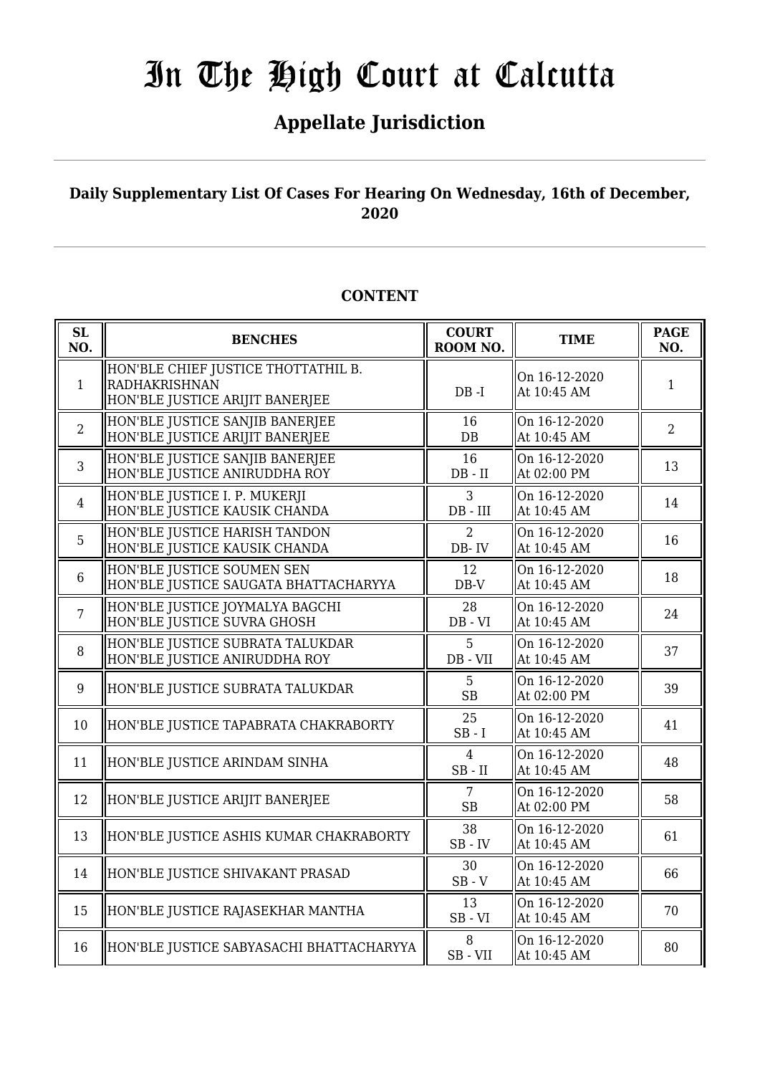## **Appellate Jurisdiction**

### **Daily Supplementary List Of Cases For Hearing On Wednesday, 16th of December, 2020**

### **CONTENT**

| <b>SL</b><br>NO. | <b>BENCHES</b>                                                                                 | <b>COURT</b><br>ROOM NO.      | <b>TIME</b>                  | <b>PAGE</b><br>NO. |
|------------------|------------------------------------------------------------------------------------------------|-------------------------------|------------------------------|--------------------|
| $\mathbf{1}$     | HON'BLE CHIEF JUSTICE THOTTATHIL B.<br><b>RADHAKRISHNAN</b><br>HON'BLE JUSTICE ARIJIT BANERJEE | $DB - I$                      | On 16-12-2020<br>At 10:45 AM | 1                  |
| $\overline{2}$   | HON'BLE JUSTICE SANJIB BANERJEE<br>HON'BLE JUSTICE ARIJIT BANERJEE                             | 16<br>DB                      | On 16-12-2020<br>At 10:45 AM | $\overline{2}$     |
| $\overline{3}$   | HON'BLE JUSTICE SANJIB BANERJEE<br>HON'BLE JUSTICE ANIRUDDHA ROY                               | 16<br>$DB - II$               | On 16-12-2020<br>At 02:00 PM | 13                 |
| $\overline{4}$   | HON'BLE JUSTICE I. P. MUKERJI<br>HON'BLE JUSTICE KAUSIK CHANDA                                 | 3<br>DB - III                 | On 16-12-2020<br>At 10:45 AM | 14                 |
| 5                | HON'BLE JUSTICE HARISH TANDON<br>HON'BLE JUSTICE KAUSIK CHANDA                                 | $\overline{2}$<br>DB-IV       | On 16-12-2020<br>At 10:45 AM | 16                 |
| 6                | HON'BLE JUSTICE SOUMEN SEN<br>HON'BLE JUSTICE SAUGATA BHATTACHARYYA                            | 12<br>$DB-V$                  | On 16-12-2020<br>At 10:45 AM | 18                 |
| $\overline{7}$   | HON'BLE JUSTICE JOYMALYA BAGCHI<br>HON'BLE JUSTICE SUVRA GHOSH                                 | 28<br>$DB - VI$               | On 16-12-2020<br>At 10:45 AM | 24                 |
| 8                | HON'BLE JUSTICE SUBRATA TALUKDAR<br>HON'BLE JUSTICE ANIRUDDHA ROY                              | 5<br>DB - VII                 | On 16-12-2020<br>At 10:45 AM | 37                 |
| 9                | HON'BLE JUSTICE SUBRATA TALUKDAR                                                               | 5<br><b>SB</b>                | On 16-12-2020<br>At 02:00 PM | 39                 |
| 10               | HON'BLE JUSTICE TAPABRATA CHAKRABORTY                                                          | 25<br>$SB - I$                | On 16-12-2020<br>At 10:45 AM | 41                 |
| 11               | HON'BLE JUSTICE ARINDAM SINHA                                                                  | $\overline{4}$<br>$SB$ - $II$ | On 16-12-2020<br>At 10:45 AM | 48                 |
| 12               | HON'BLE JUSTICE ARIJIT BANERJEE                                                                | 7<br><b>SB</b>                | On 16-12-2020<br>At 02:00 PM | 58                 |
| 13               | HON'BLE JUSTICE ASHIS KUMAR CHAKRABORTY                                                        | 38<br>$SB$ - $IV$             | On 16-12-2020<br>At 10:45 AM | 61                 |
| 14               | HON'BLE JUSTICE SHIVAKANT PRASAD                                                               | 30<br>$SB - V$                | On 16-12-2020<br>At 10:45 AM | 66                 |
| 15               | HON'BLE JUSTICE RAJASEKHAR MANTHA                                                              | 13<br>$SB - VI$               | On 16-12-2020<br>At 10:45 AM | 70                 |
| 16               | HON'BLE JUSTICE SABYASACHI BHATTACHARYYA                                                       | 8<br>SB-VII                   | On 16-12-2020<br>At 10:45 AM | 80                 |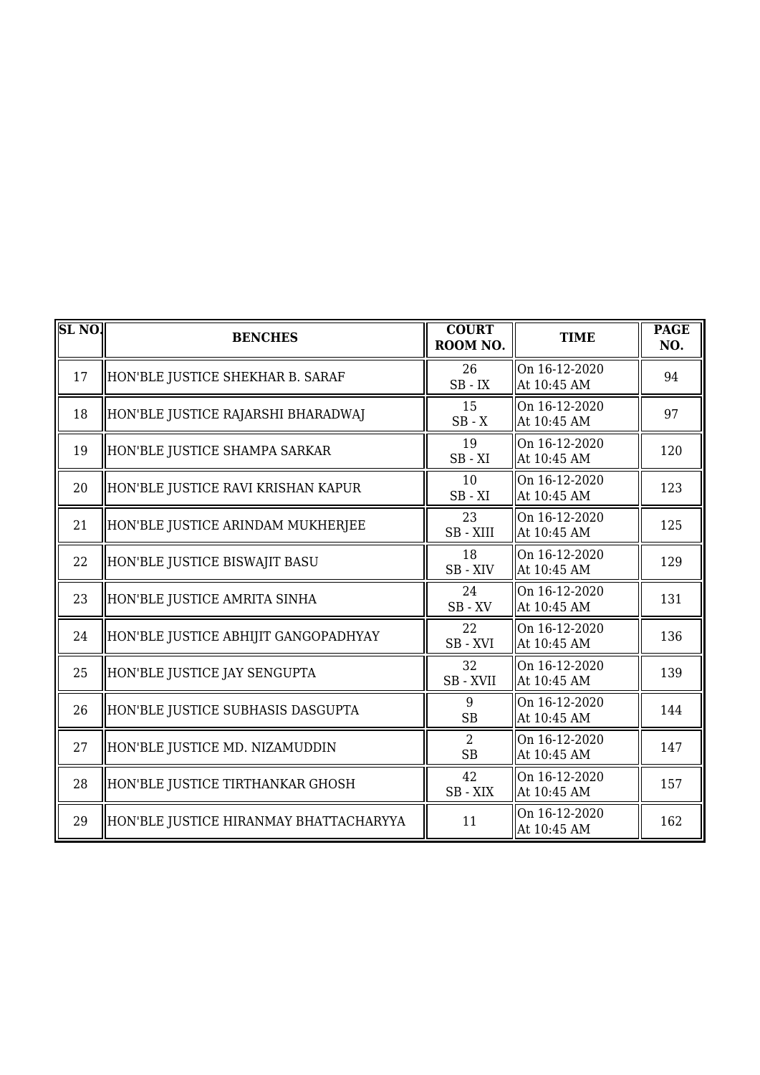| SL <sub>NO</sub> . | <b>BENCHES</b>                         | <b>COURT</b><br>ROOM NO.    | <b>TIME</b>                               | <b>PAGE</b><br>NO. |
|--------------------|----------------------------------------|-----------------------------|-------------------------------------------|--------------------|
| 17                 | HON'BLE JUSTICE SHEKHAR B. SARAF       | 26<br>$SB$ - $IX$           | On 16-12-2020<br>At 10:45 AM              | 94                 |
| 18                 | HON'BLE JUSTICE RAJARSHI BHARADWAJ     | 15<br>$SB - X$              | On 16-12-2020<br>At 10:45 AM              | 97                 |
| 19                 | HON'BLE JUSTICE SHAMPA SARKAR          | 19<br>$SB - XI$             | On 16-12-2020<br>At 10:45 AM              | 120                |
| 20                 | HON'BLE JUSTICE RAVI KRISHAN KAPUR     | 10<br>$SB - XI$             | $\overline{On}$ 16-12-2020<br>At 10:45 AM | 123                |
| 21                 | HON'BLE JUSTICE ARINDAM MUKHERJEE      | 23<br>SB - XIII             | On 16-12-2020<br>At 10:45 AM              | 125                |
| 22                 | HON'BLE JUSTICE BISWAJIT BASU          | 18<br>SB-XIV                | On 16-12-2020<br>At 10:45 AM              | 129                |
| 23                 | HON'BLE JUSTICE AMRITA SINHA           | 24<br>$SB$ - $XV$           | On 16-12-2020<br>At 10:45 AM              | 131                |
| 24                 | HON'BLE JUSTICE ABHIJIT GANGOPADHYAY   | 22<br>SB-XVI                | On 16-12-2020<br>At 10:45 AM              | 136                |
| 25                 | HON'BLE JUSTICE JAY SENGUPTA           | 32<br>SB - XVII             | On 16-12-2020<br>At 10:45 AM              | 139                |
| 26                 | HON'BLE JUSTICE SUBHASIS DASGUPTA      | 9<br><b>SB</b>              | On 16-12-2020<br>At 10:45 AM              | 144                |
| 27                 | HON'BLE JUSTICE MD. NIZAMUDDIN         | $\overline{2}$<br><b>SB</b> | On 16-12-2020<br>At 10:45 AM              | 147                |
| 28                 | HON'BLE JUSTICE TIRTHANKAR GHOSH       | 42<br>$SB - XIX$            | On 16-12-2020<br>At 10:45 AM              | 157                |
| 29                 | HON'BLE JUSTICE HIRANMAY BHATTACHARYYA | 11                          | On 16-12-2020<br>At 10:45 AM              | 162                |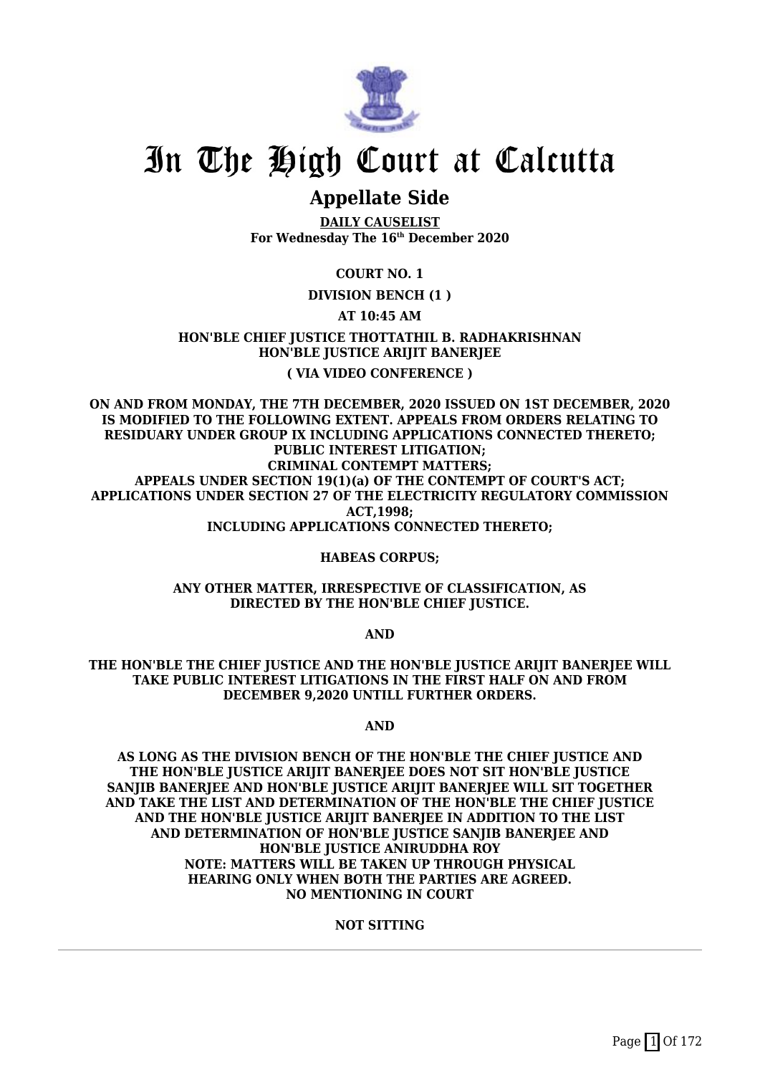

### **Appellate Side**

**DAILY CAUSELIST For Wednesday The 16th December 2020**

### **COURT NO. 1**

### **DIVISION BENCH (1 )**

### **AT 10:45 AM**

**HON'BLE CHIEF JUSTICE THOTTATHIL B. RADHAKRISHNAN HON'BLE JUSTICE ARIJIT BANERJEE ( VIA VIDEO CONFERENCE )**

**ON AND FROM MONDAY, THE 7TH DECEMBER, 2020 ISSUED ON 1ST DECEMBER, 2020 IS MODIFIED TO THE FOLLOWING EXTENT. APPEALS FROM ORDERS RELATING TO RESIDUARY UNDER GROUP IX INCLUDING APPLICATIONS CONNECTED THERETO; PUBLIC INTEREST LITIGATION; CRIMINAL CONTEMPT MATTERS; APPEALS UNDER SECTION 19(1)(a) OF THE CONTEMPT OF COURT'S ACT; APPLICATIONS UNDER SECTION 27 OF THE ELECTRICITY REGULATORY COMMISSION ACT,1998; INCLUDING APPLICATIONS CONNECTED THERETO;**

### **HABEAS CORPUS;**

**ANY OTHER MATTER, IRRESPECTIVE OF CLASSIFICATION, AS DIRECTED BY THE HON'BLE CHIEF JUSTICE.**

**AND**

**THE HON'BLE THE CHIEF JUSTICE AND THE HON'BLE JUSTICE ARIJIT BANERJEE WILL TAKE PUBLIC INTEREST LITIGATIONS IN THE FIRST HALF ON AND FROM DECEMBER 9,2020 UNTILL FURTHER ORDERS.**

**AND**

**AS LONG AS THE DIVISION BENCH OF THE HON'BLE THE CHIEF JUSTICE AND THE HON'BLE JUSTICE ARIJIT BANERJEE DOES NOT SIT HON'BLE JUSTICE SANJIB BANERJEE AND HON'BLE JUSTICE ARIJIT BANERJEE WILL SIT TOGETHER AND TAKE THE LIST AND DETERMINATION OF THE HON'BLE THE CHIEF JUSTICE AND THE HON'BLE JUSTICE ARIJIT BANERJEE IN ADDITION TO THE LIST AND DETERMINATION OF HON'BLE JUSTICE SANJIB BANERJEE AND HON'BLE JUSTICE ANIRUDDHA ROY NOTE: MATTERS WILL BE TAKEN UP THROUGH PHYSICAL HEARING ONLY WHEN BOTH THE PARTIES ARE AGREED. NO MENTIONING IN COURT**

### **NOT SITTING**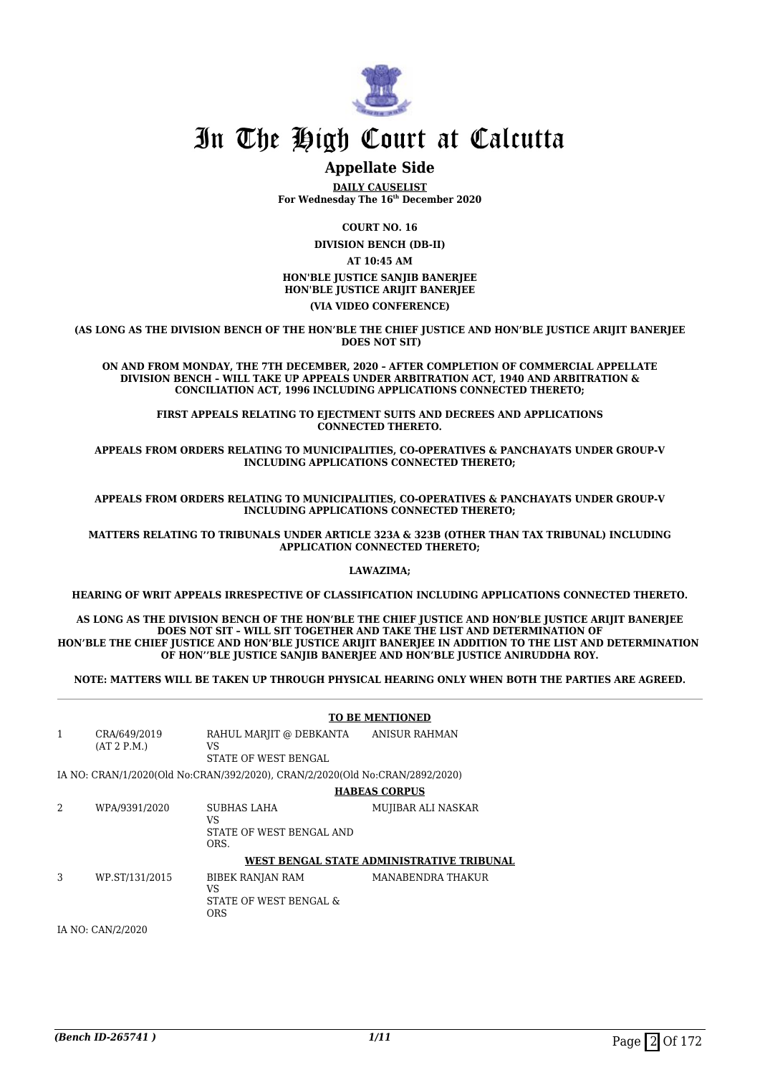

### **Appellate Side**

**DAILY CAUSELIST For Wednesday The 16th December 2020**

> **COURT NO. 16 DIVISION BENCH (DB-II)**

**AT 10:45 AM**

**HON'BLE JUSTICE SANJIB BANERJEE HON'BLE JUSTICE ARIJIT BANERJEE**

**(VIA VIDEO CONFERENCE)**

**(AS LONG AS THE DIVISION BENCH OF THE HON'BLE THE CHIEF JUSTICE AND HON'BLE JUSTICE ARIJIT BANERJEE DOES NOT SIT)**

**ON AND FROM MONDAY, THE 7TH DECEMBER, 2020 – AFTER COMPLETION OF COMMERCIAL APPELLATE DIVISION BENCH – WILL TAKE UP APPEALS UNDER ARBITRATION ACT, 1940 AND ARBITRATION & CONCILIATION ACT, 1996 INCLUDING APPLICATIONS CONNECTED THERETO;**

**FIRST APPEALS RELATING TO EJECTMENT SUITS AND DECREES AND APPLICATIONS CONNECTED THERETO.**

**APPEALS FROM ORDERS RELATING TO MUNICIPALITIES, CO-OPERATIVES & PANCHAYATS UNDER GROUP-V INCLUDING APPLICATIONS CONNECTED THERETO;**

**APPEALS FROM ORDERS RELATING TO MUNICIPALITIES, CO-OPERATIVES & PANCHAYATS UNDER GROUP-V INCLUDING APPLICATIONS CONNECTED THERETO;**

**MATTERS RELATING TO TRIBUNALS UNDER ARTICLE 323A & 323B (OTHER THAN TAX TRIBUNAL) INCLUDING APPLICATION CONNECTED THERETO;**

**LAWAZIMA;**

**HEARING OF WRIT APPEALS IRRESPECTIVE OF CLASSIFICATION INCLUDING APPLICATIONS CONNECTED THERETO.**

**AS LONG AS THE DIVISION BENCH OF THE HON'BLE THE CHIEF JUSTICE AND HON'BLE JUSTICE ARIJIT BANERJEE DOES NOT SIT – WILL SIT TOGETHER AND TAKE THE LIST AND DETERMINATION OF HON'BLE THE CHIEF JUSTICE AND HON'BLE JUSTICE ARIJIT BANERJEE IN ADDITION TO THE LIST AND DETERMINATION OF HON''BLE JUSTICE SANJIB BANERJEE AND HON'BLE JUSTICE ANIRUDDHA ROY.**

**NOTE: MATTERS WILL BE TAKEN UP THROUGH PHYSICAL HEARING ONLY WHEN BOTH THE PARTIES ARE AGREED.**

#### **TO BE MENTIONED** 1 CRA/649/2019 (AT 2 P.M.) RAHUL MARJIT @ DEBKANTA VS STATE OF WEST BENGAL ANISUR RAHMAN IA NO: CRAN/1/2020(Old No:CRAN/392/2020), CRAN/2/2020(Old No:CRAN/2892/2020) **HABEAS CORPUS** 2 WPA/9391/2020 SUBHAS LAHA VS STATE OF WEST BENGAL AND ORS. MUJIBAR ALI NASKAR **WEST BENGAL STATE ADMINISTRATIVE TRIBUNAL** 3 WP.ST/131/2015 BIBEK RANJAN RAM VS STATE OF WEST BENGAL & ORS MANABENDRA THAKUR

IA NO: CAN/2/2020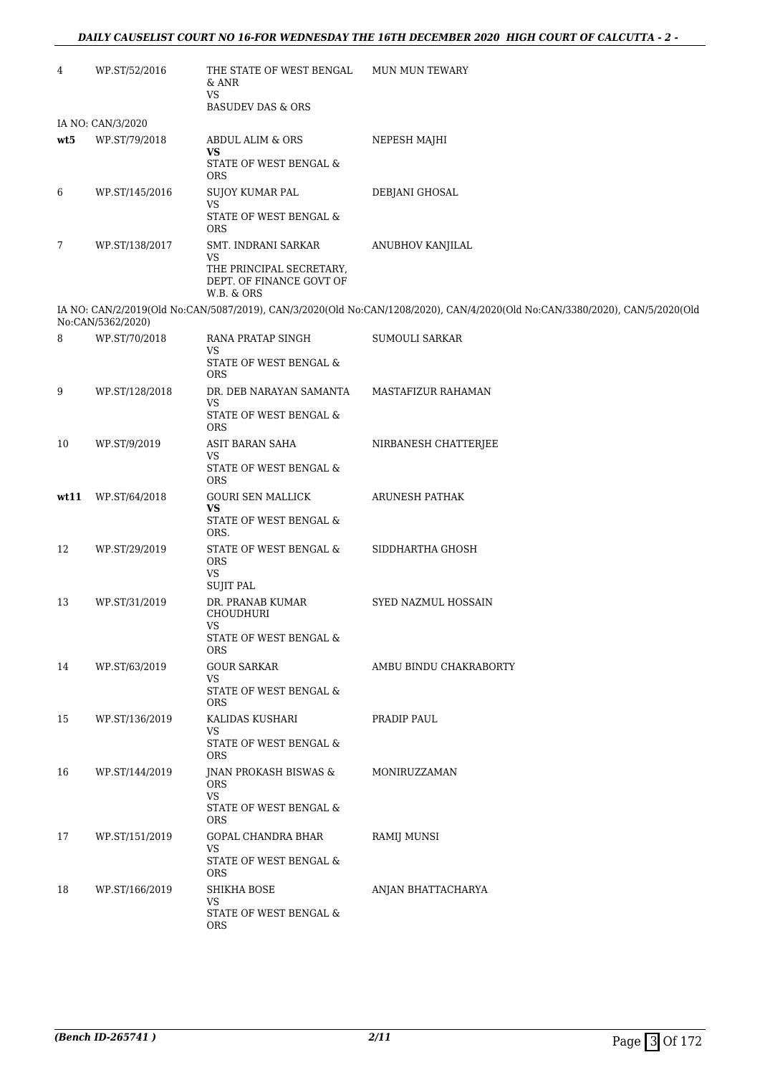| 4    | WP.ST/52/2016     | THE STATE OF WEST BENGAL<br>& ANR<br><b>VS</b>                                              | <b>MUN MUN TEWARY</b>                                                                                                       |
|------|-------------------|---------------------------------------------------------------------------------------------|-----------------------------------------------------------------------------------------------------------------------------|
|      | IA NO: CAN/3/2020 | <b>BASUDEV DAS &amp; ORS</b>                                                                |                                                                                                                             |
| wt5  | WP.ST/79/2018     | <b>ABDUL ALIM &amp; ORS</b>                                                                 | NEPESH MAJHI                                                                                                                |
|      |                   | VS<br>STATE OF WEST BENGAL &<br><b>ORS</b>                                                  |                                                                                                                             |
| 6    | WP.ST/145/2016    | SUJOY KUMAR PAL<br><b>VS</b>                                                                | DEBJANI GHOSAL                                                                                                              |
|      |                   | STATE OF WEST BENGAL $\&$<br><b>ORS</b>                                                     |                                                                                                                             |
| 7    | WP.ST/138/2017    | SMT. INDRANI SARKAR<br>VS                                                                   | ANUBHOV KANJILAL                                                                                                            |
|      |                   | THE PRINCIPAL SECRETARY,<br>DEPT. OF FINANCE GOVT OF<br>W.B. & ORS                          |                                                                                                                             |
|      | No:CAN/5362/2020) |                                                                                             | IA NO: CAN/2/2019(Old No:CAN/5087/2019), CAN/3/2020(Old No:CAN/1208/2020), CAN/4/2020(Old No:CAN/3380/2020), CAN/5/2020(Old |
| 8    | WP.ST/70/2018     | RANA PRATAP SINGH<br><b>VS</b>                                                              | <b>SUMOULI SARKAR</b>                                                                                                       |
|      |                   | STATE OF WEST BENGAL &<br><b>ORS</b>                                                        |                                                                                                                             |
| 9    | WP.ST/128/2018    | DR. DEB NARAYAN SAMANTA<br><b>VS</b>                                                        | MASTAFIZUR RAHAMAN                                                                                                          |
|      |                   | STATE OF WEST BENGAL $\&$<br><b>ORS</b>                                                     |                                                                                                                             |
| 10   | WP.ST/9/2019      | ASIT BARAN SAHA<br>VS<br>STATE OF WEST BENGAL &                                             | NIRBANESH CHATTERJEE                                                                                                        |
|      |                   | <b>ORS</b>                                                                                  |                                                                                                                             |
| wt11 | WP.ST/64/2018     | <b>GOURI SEN MALLICK</b><br>VS<br>STATE OF WEST BENGAL $\&$                                 | ARUNESH PATHAK                                                                                                              |
| 12   | WP.ST/29/2019     | ORS.<br>STATE OF WEST BENGAL &                                                              | SIDDHARTHA GHOSH                                                                                                            |
|      |                   | <b>ORS</b><br><b>VS</b><br><b>SUJIT PAL</b>                                                 |                                                                                                                             |
| 13   | WP.ST/31/2019     | DR. PRANAB KUMAR<br><b>CHOUDHURI</b>                                                        | SYED NAZMUL HOSSAIN                                                                                                         |
|      |                   | <b>VS</b><br>STATE OF WEST BENGAL &<br><b>ORS</b>                                           |                                                                                                                             |
| 14   | WP.ST/63/2019     | <b>GOUR SARKAR</b><br>VS                                                                    | AMBU BINDU CHAKRABORTY                                                                                                      |
|      |                   | STATE OF WEST BENGAL &<br><b>ORS</b>                                                        |                                                                                                                             |
| 15   | WP.ST/136/2019    | KALIDAS KUSHARI<br><b>VS</b>                                                                | PRADIP PAUL                                                                                                                 |
|      |                   | STATE OF WEST BENGAL &<br><b>ORS</b>                                                        |                                                                                                                             |
| 16   | WP.ST/144/2019    | JNAN PROKASH BISWAS &<br><b>ORS</b><br><b>VS</b><br>STATE OF WEST BENGAL $\&$<br><b>ORS</b> | MONIRUZZAMAN                                                                                                                |
| 17   | WP.ST/151/2019    | GOPAL CHANDRA BHAR                                                                          | RAMIJ MUNSI                                                                                                                 |
|      |                   | VS<br>STATE OF WEST BENGAL &<br><b>ORS</b>                                                  |                                                                                                                             |
| 18   | WP.ST/166/2019    | SHIKHA BOSE<br><b>VS</b><br>STATE OF WEST BENGAL $\&$                                       | ANJAN BHATTACHARYA                                                                                                          |
|      |                   | <b>ORS</b>                                                                                  |                                                                                                                             |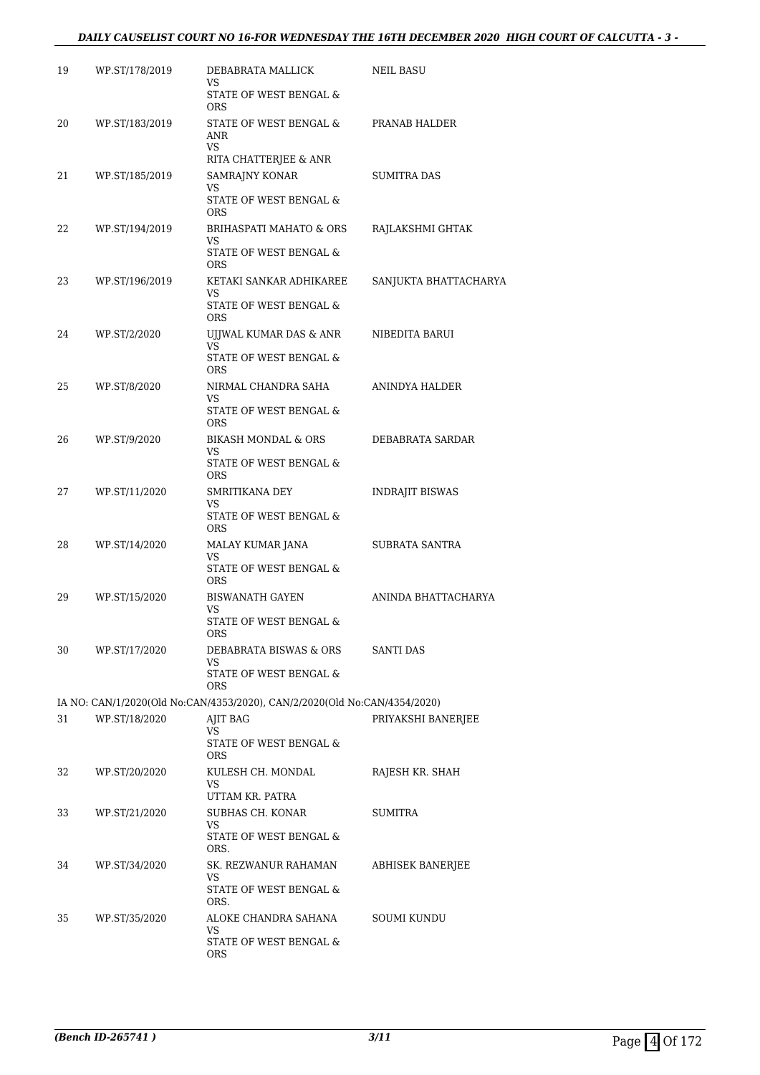| 19 | WP.ST/178/2019 | DEBABRATA MALLICK<br><b>VS</b>                                            | <b>NEIL BASU</b>        |
|----|----------------|---------------------------------------------------------------------------|-------------------------|
|    |                | STATE OF WEST BENGAL &<br>ORS                                             |                         |
| 20 | WP.ST/183/2019 | STATE OF WEST BENGAL &<br><b>ANR</b><br><b>VS</b>                         | PRANAB HALDER           |
|    |                | RITA CHATTERJEE & ANR                                                     |                         |
| 21 | WP.ST/185/2019 | SAMRAJNY KONAR<br>VS<br>STATE OF WEST BENGAL &                            | <b>SUMITRA DAS</b>      |
| 22 | WP.ST/194/2019 | <b>ORS</b><br>BRIHASPATI MAHATO & ORS                                     | RAJLAKSHMI GHTAK        |
|    |                | <b>VS</b><br>STATE OF WEST BENGAL $\&$<br><b>ORS</b>                      |                         |
| 23 | WP.ST/196/2019 | KETAKI SANKAR ADHIKAREE<br>VS                                             | SANJUKTA BHATTACHARYA   |
|    |                | STATE OF WEST BENGAL &<br><b>ORS</b>                                      |                         |
| 24 | WP.ST/2/2020   | UJJWAL KUMAR DAS & ANR<br>VS.<br>STATE OF WEST BENGAL &                   | NIBEDITA BARUI          |
|    |                | ORS                                                                       |                         |
| 25 | WP.ST/8/2020   | NIRMAL CHANDRA SAHA<br>VS                                                 | ANINDYA HALDER          |
|    |                | STATE OF WEST BENGAL &<br>ORS.                                            |                         |
| 26 | WP.ST/9/2020   | <b>BIKASH MONDAL &amp; ORS</b><br><b>VS</b>                               | DEBABRATA SARDAR        |
|    |                | STATE OF WEST BENGAL &<br><b>ORS</b>                                      |                         |
| 27 | WP.ST/11/2020  | SMRITIKANA DEY<br>VS                                                      | <b>INDRAJIT BISWAS</b>  |
|    |                | STATE OF WEST BENGAL &<br><b>ORS</b>                                      |                         |
| 28 | WP.ST/14/2020  | MALAY KUMAR JANA<br><b>VS</b><br>STATE OF WEST BENGAL &                   | SUBRATA SANTRA          |
|    |                | ORS                                                                       |                         |
| 29 | WP.ST/15/2020  | <b>BISWANATH GAYEN</b><br>VS<br>STATE OF WEST BENGAL &                    | ANINDA BHATTACHARYA     |
|    |                | ORS.                                                                      |                         |
| 30 | WP.ST/17/2020  | DEBABRATA BISWAS & ORS<br>VS.                                             | <b>SANTI DAS</b>        |
|    |                | STATE OF WEST BENGAL &<br><b>ORS</b>                                      |                         |
|    |                | IA NO: CAN/1/2020(Old No:CAN/4353/2020), CAN/2/2020(Old No:CAN/4354/2020) |                         |
| 31 | WP.ST/18/2020  | <b>AJIT BAG</b><br>VS<br>STATE OF WEST BENGAL $\&$                        | PRIYAKSHI BANERJEE      |
| 32 | WP.ST/20/2020  | <b>ORS</b><br>KULESH CH. MONDAL<br>VS                                     | RAJESH KR. SHAH         |
|    |                | UTTAM KR. PATRA                                                           |                         |
| 33 | WP.ST/21/2020  | SUBHAS CH. KONAR<br>VS.                                                   | <b>SUMITRA</b>          |
|    |                | STATE OF WEST BENGAL &<br>ORS.                                            |                         |
| 34 | WP.ST/34/2020  | SK. REZWANUR RAHAMAN<br>VS                                                | <b>ABHISEK BANERJEE</b> |
|    |                | STATE OF WEST BENGAL &<br>ORS.                                            |                         |
| 35 | WP.ST/35/2020  | ALOKE CHANDRA SAHANA<br>VS                                                | <b>SOUMI KUNDU</b>      |
|    |                | STATE OF WEST BENGAL &<br><b>ORS</b>                                      |                         |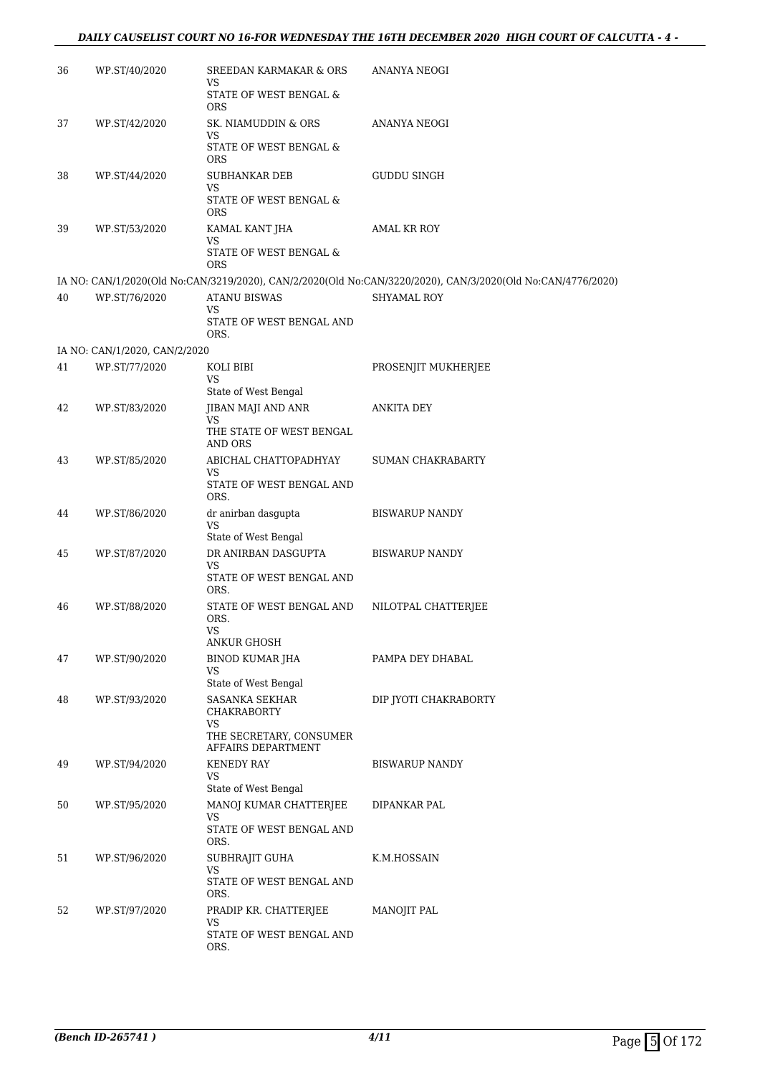### *DAILY CAUSELIST COURT NO 16-FOR WEDNESDAY THE 16TH DECEMBER 2020 HIGH COURT OF CALCUTTA - 4 -*

| 36 | WP.ST/40/2020                 | SREEDAN KARMAKAR & ORS<br>VS<br>STATE OF WEST BENGAL &<br><b>ORS</b>                 | ANANYA NEOGI                                                                                                |
|----|-------------------------------|--------------------------------------------------------------------------------------|-------------------------------------------------------------------------------------------------------------|
| 37 | WP.ST/42/2020                 | SK. NIAMUDDIN & ORS<br>VS<br>STATE OF WEST BENGAL &<br><b>ORS</b>                    | ANANYA NEOGI                                                                                                |
| 38 | WP.ST/44/2020                 | <b>SUBHANKAR DEB</b><br>VS<br>STATE OF WEST BENGAL &<br><b>ORS</b>                   | GUDDU SINGH                                                                                                 |
| 39 | WP.ST/53/2020                 | KAMAL KANT JHA<br><b>VS</b><br>STATE OF WEST BENGAL &<br>ORS                         | AMAL KR ROY                                                                                                 |
|    |                               |                                                                                      | IA NO: CAN/1/2020(Old No:CAN/3219/2020), CAN/2/2020(Old No:CAN/3220/2020), CAN/3/2020(Old No:CAN/4776/2020) |
| 40 | WP.ST/76/2020                 | <b>ATANU BISWAS</b><br>VS<br>STATE OF WEST BENGAL AND<br>ORS.                        | <b>SHYAMAL ROY</b>                                                                                          |
|    | IA NO: CAN/1/2020, CAN/2/2020 |                                                                                      |                                                                                                             |
| 41 | WP.ST/77/2020                 | KOLI BIBI<br>VS<br>State of West Bengal                                              | PROSENJIT MUKHERJEE                                                                                         |
| 42 | WP.ST/83/2020                 | JIBAN MAJI AND ANR<br>VS<br>THE STATE OF WEST BENGAL<br>AND ORS                      | ANKITA DEY                                                                                                  |
| 43 | WP.ST/85/2020                 | ABICHAL CHATTOPADHYAY<br>VS<br>STATE OF WEST BENGAL AND<br>ORS.                      | <b>SUMAN CHAKRABARTY</b>                                                                                    |
| 44 | WP.ST/86/2020                 | dr anirban dasgupta<br><b>VS</b><br>State of West Bengal                             | <b>BISWARUP NANDY</b>                                                                                       |
| 45 | WP.ST/87/2020                 | DR ANIRBAN DASGUPTA<br>VS<br>STATE OF WEST BENGAL AND<br>ORS.                        | <b>BISWARUP NANDY</b>                                                                                       |
| 46 | WP.ST/88/2020                 | STATE OF WEST BENGAL AND<br>ORS.<br><b>VS</b><br>ANKUR GHOSH                         | NILOTPAL CHATTERJEE                                                                                         |
| 47 | WP.ST/90/2020                 | BINOD KUMAR JHA<br>VS<br>State of West Bengal                                        | PAMPA DEY DHABAL                                                                                            |
| 48 | WP.ST/93/2020                 | SASANKA SEKHAR<br>CHAKRABORTY<br>VS<br>THE SECRETARY, CONSUMER<br>AFFAIRS DEPARTMENT | DIP JYOTI CHAKRABORTY                                                                                       |
| 49 | WP.ST/94/2020                 | <b>KENEDY RAY</b><br>VS<br>State of West Bengal                                      | <b>BISWARUP NANDY</b>                                                                                       |
| 50 | WP.ST/95/2020                 | MANOJ KUMAR CHATTERJEE<br>VS<br>STATE OF WEST BENGAL AND<br>ORS.                     | DIPANKAR PAL                                                                                                |
| 51 | WP.ST/96/2020                 | SUBHRAJIT GUHA<br>VS<br>STATE OF WEST BENGAL AND<br>ORS.                             | K.M.HOSSAIN                                                                                                 |
| 52 | WP.ST/97/2020                 | PRADIP KR. CHATTERJEE<br>VS<br>STATE OF WEST BENGAL AND<br>ORS.                      | <b>MANOJIT PAL</b>                                                                                          |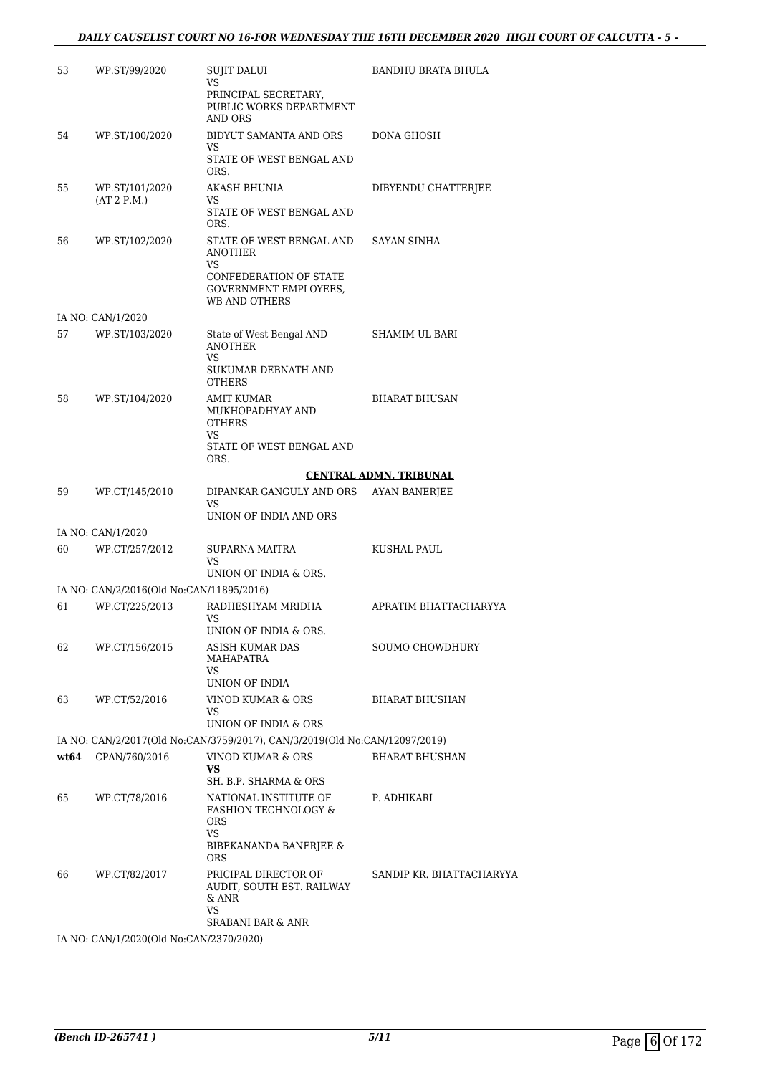| 53   | WP.ST/99/2020                            | <b>SUJIT DALUI</b><br>VS<br>PRINCIPAL SECRETARY,<br>PUBLIC WORKS DEPARTMENT<br><b>AND ORS</b>                        | <b>BANDHU BRATA BHULA</b>     |
|------|------------------------------------------|----------------------------------------------------------------------------------------------------------------------|-------------------------------|
| 54   | WP.ST/100/2020                           | BIDYUT SAMANTA AND ORS<br><b>VS</b><br>STATE OF WEST BENGAL AND<br>ORS.                                              | DONA GHOSH                    |
| 55   | WP.ST/101/2020<br>(AT 2 P.M.)            | AKASH BHUNIA<br>VS<br>STATE OF WEST BENGAL AND<br>ORS.                                                               | DIBYENDU CHATTERJEE           |
| 56   | WP.ST/102/2020                           | STATE OF WEST BENGAL AND<br><b>ANOTHER</b><br>VS<br>CONFEDERATION OF STATE<br>GOVERNMENT EMPLOYEES,<br>WB AND OTHERS | <b>SAYAN SINHA</b>            |
|      | IA NO: CAN/1/2020                        |                                                                                                                      |                               |
| 57   | WP.ST/103/2020                           | State of West Bengal AND<br><b>ANOTHER</b><br><b>VS</b>                                                              | SHAMIM UL BARI                |
|      |                                          | SUKUMAR DEBNATH AND<br><b>OTHERS</b>                                                                                 |                               |
| 58   | WP.ST/104/2020                           | AMIT KUMAR<br>MUKHOPADHYAY AND<br><b>OTHERS</b><br><b>VS</b><br>STATE OF WEST BENGAL AND                             | <b>BHARAT BHUSAN</b>          |
|      |                                          | ORS.                                                                                                                 |                               |
|      |                                          |                                                                                                                      | <b>CENTRAL ADMN. TRIBUNAL</b> |
| 59   | WP.CT/145/2010                           | DIPANKAR GANGULY AND ORS<br>VS<br>UNION OF INDIA AND ORS                                                             | <b>AYAN BANERJEE</b>          |
|      | IA NO: CAN/1/2020                        |                                                                                                                      |                               |
| 60   | WP.CT/257/2012                           | SUPARNA MAITRA<br>VS                                                                                                 | KUSHAL PAUL                   |
|      |                                          | UNION OF INDIA & ORS.                                                                                                |                               |
|      | IA NO: CAN/2/2016(Old No:CAN/11895/2016) |                                                                                                                      |                               |
| 61   | WP.CT/225/2013                           | RADHESHYAM MRIDHA<br>VS.<br>UNION OF INDIA & ORS.                                                                    | APRATIM BHATTACHARYYA         |
| 62   | WP.CT/156/2015                           | ASISH KUMAR DAS<br><b>MAHAPATRA</b><br>VS                                                                            | SOUMO CHOWDHURY               |
|      |                                          | UNION OF INDIA                                                                                                       |                               |
| 63   | WP.CT/52/2016                            | VINOD KUMAR & ORS<br>VS<br>UNION OF INDIA & ORS                                                                      | <b>BHARAT BHUSHAN</b>         |
|      |                                          | IA NO: CAN/2/2017(Old No:CAN/3759/2017), CAN/3/2019(Old No:CAN/12097/2019)                                           |                               |
| wt64 | CPAN/760/2016                            | VINOD KUMAR & ORS<br>VS<br>SH. B.P. SHARMA & ORS                                                                     | <b>BHARAT BHUSHAN</b>         |
| 65   | WP.CT/78/2016                            | NATIONAL INSTITUTE OF<br><b>FASHION TECHNOLOGY &amp;</b><br>ORS<br>VS<br>BIBEKANANDA BANERJEE &<br><b>ORS</b>        | P. ADHIKARI                   |
| 66   | WP.CT/82/2017                            | PRICIPAL DIRECTOR OF<br>AUDIT, SOUTH EST. RAILWAY<br>& ANR<br>VS<br><b>SRABANI BAR &amp; ANR</b>                     | SANDIP KR. BHATTACHARYYA      |
|      | IA NO: CAN/1/2020(Old No:CAN/2370/2020)  |                                                                                                                      |                               |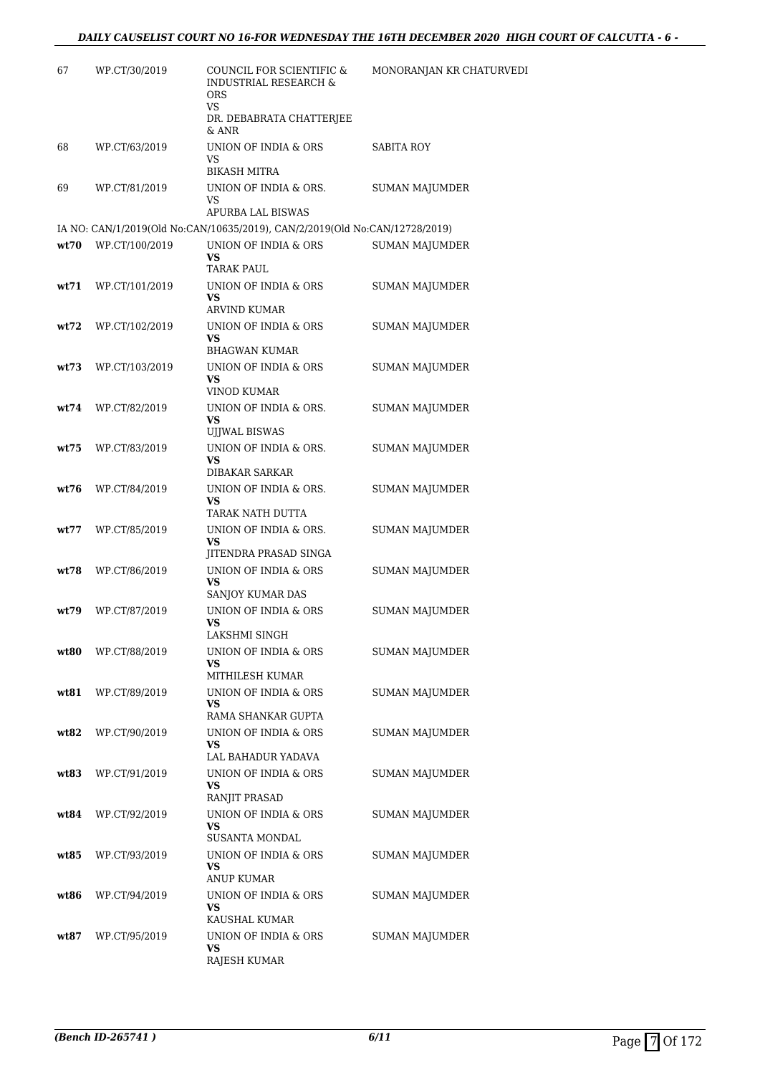| 67   | WP.CT/30/2019  | COUNCIL FOR SCIENTIFIC &<br><b>INDUSTRIAL RESEARCH &amp;</b><br>ORS<br>VS<br>DR. DEBABRATA CHATTERJEE<br>& ANR | MONORANJAN KR CHATURVEDI |
|------|----------------|----------------------------------------------------------------------------------------------------------------|--------------------------|
| 68   | WP.CT/63/2019  | UNION OF INDIA & ORS<br>VS<br><b>BIKASH MITRA</b>                                                              | SABITA ROY               |
| 69   | WP.CT/81/2019  | UNION OF INDIA & ORS.<br>VS.<br>APURBA LAL BISWAS                                                              | SUMAN MAJUMDER           |
|      |                | IA NO: CAN/1/2019(Old No:CAN/10635/2019), CAN/2/2019(Old No:CAN/12728/2019)                                    |                          |
| wt70 | WP.CT/100/2019 | UNION OF INDIA & ORS<br>VS<br>TARAK PAUL                                                                       | <b>SUMAN MAJUMDER</b>    |
| wt71 | WP.CT/101/2019 | UNION OF INDIA & ORS<br><b>VS</b><br><b>ARVIND KUMAR</b>                                                       | SUMAN MAJUMDER           |
| wt72 | WP.CT/102/2019 | UNION OF INDIA & ORS<br>VS<br><b>BHAGWAN KUMAR</b>                                                             | SUMAN MAJUMDER           |
| wt73 | WP.CT/103/2019 | UNION OF INDIA & ORS<br>VS<br>VINOD KUMAR                                                                      | SUMAN MAJUMDER           |
| wt74 | WP.CT/82/2019  | UNION OF INDIA & ORS.<br><b>VS</b><br>UJJWAL BISWAS                                                            | SUMAN MAJUMDER           |
| wt75 | WP.CT/83/2019  | UNION OF INDIA & ORS.<br>VS<br><b>DIBAKAR SARKAR</b>                                                           | SUMAN MAJUMDER           |
| wt76 | WP.CT/84/2019  | UNION OF INDIA & ORS.<br>VS<br>TARAK NATH DUTTA                                                                | <b>SUMAN MAJUMDER</b>    |
| wt77 | WP.CT/85/2019  | UNION OF INDIA & ORS.<br><b>VS</b><br>JITENDRA PRASAD SINGA                                                    | SUMAN MAJUMDER           |
| wt78 | WP.CT/86/2019  | UNION OF INDIA & ORS<br><b>VS</b><br>SANJOY KUMAR DAS                                                          | SUMAN MAJUMDER           |
| wt79 | WP.CT/87/2019  | UNION OF INDIA & ORS<br>VS<br>LAKSHMI SINGH                                                                    | <b>SUMAN MAJUMDER</b>    |
| wt80 | WP.CT/88/2019  | UNION OF INDIA & ORS<br>VS<br>MITHILESH KUMAR                                                                  | <b>SUMAN MAJUMDER</b>    |
| wt81 | WP.CT/89/2019  | UNION OF INDIA & ORS<br>VS.<br>RAMA SHANKAR GUPTA                                                              | SUMAN MAJUMDER           |
| wt82 | WP.CT/90/2019  | UNION OF INDIA & ORS<br>VS<br>LAL BAHADUR YADAVA                                                               | <b>SUMAN MAJUMDER</b>    |
| wt83 | WP.CT/91/2019  | UNION OF INDIA & ORS<br>VS.<br>RANJIT PRASAD                                                                   | <b>SUMAN MAJUMDER</b>    |
| wt84 | WP.CT/92/2019  | UNION OF INDIA & ORS<br><b>VS</b><br>SUSANTA MONDAL                                                            | SUMAN MAJUMDER           |
| wt85 | WP.CT/93/2019  | UNION OF INDIA & ORS<br>VS<br>ANUP KUMAR                                                                       | SUMAN MAJUMDER           |
| wt86 | WP.CT/94/2019  | UNION OF INDIA & ORS<br>VS<br>KAUSHAL KUMAR                                                                    | SUMAN MAJUMDER           |
| wt87 | WP.CT/95/2019  | UNION OF INDIA & ORS<br><b>VS</b><br>RAJESH KUMAR                                                              | SUMAN MAJUMDER           |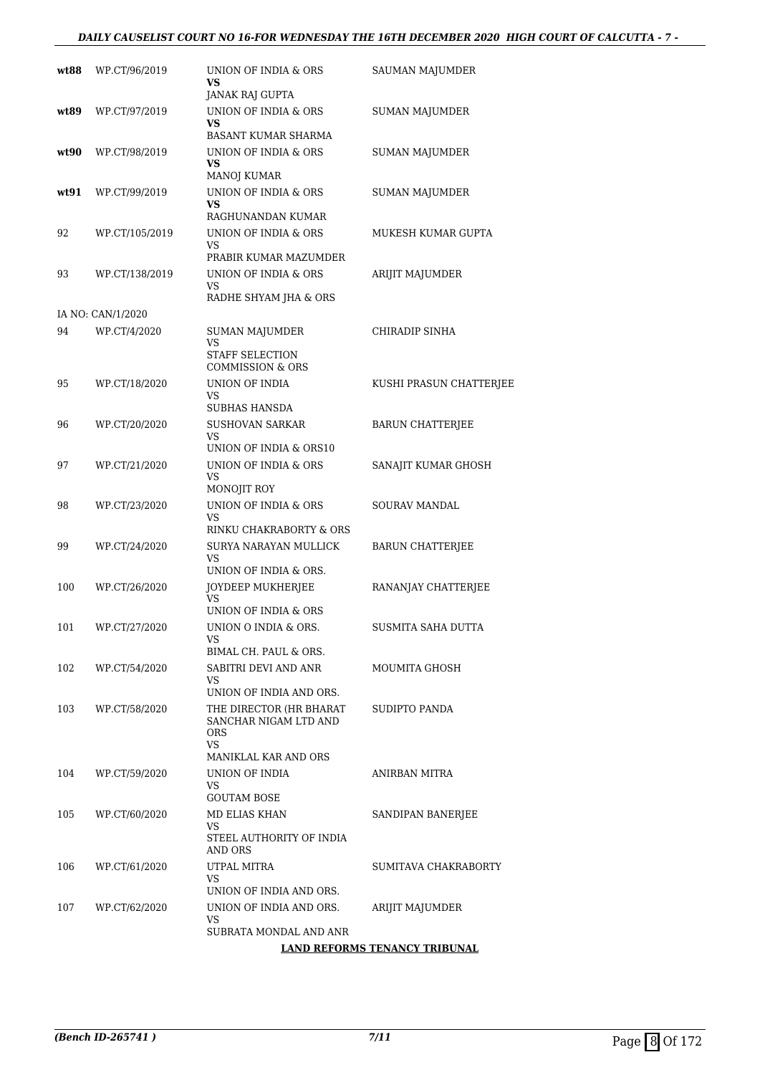### *DAILY CAUSELIST COURT NO 16-FOR WEDNESDAY THE 16TH DECEMBER 2020 HIGH COURT OF CALCUTTA - 7 -*

| wt88 | WP.CT/96/2019     | UNION OF INDIA & ORS<br><b>VS</b><br>JANAK RAJ GUPTA                                          | <b>SAUMAN MAJUMDER</b>        |
|------|-------------------|-----------------------------------------------------------------------------------------------|-------------------------------|
| wt89 | WP.CT/97/2019     | UNION OF INDIA & ORS<br>VS<br>BASANT KUMAR SHARMA                                             | <b>SUMAN MAJUMDER</b>         |
| wt90 | WP.CT/98/2019     | UNION OF INDIA & ORS<br>VS<br><b>MANOJ KUMAR</b>                                              | <b>SUMAN MAJUMDER</b>         |
| wt91 | WP.CT/99/2019     | UNION OF INDIA & ORS<br><b>VS</b><br>RAGHUNANDAN KUMAR                                        | <b>SUMAN MAJUMDER</b>         |
| 92   | WP.CT/105/2019    | UNION OF INDIA & ORS<br>VS                                                                    | MUKESH KUMAR GUPTA            |
| 93   | WP.CT/138/2019    | PRABIR KUMAR MAZUMDER<br>UNION OF INDIA & ORS<br>VS<br>RADHE SHYAM JHA & ORS                  | ARIJIT MAJUMDER               |
|      | IA NO: CAN/1/2020 |                                                                                               |                               |
| 94   | WP.CT/4/2020      | <b>SUMAN MAJUMDER</b><br>VS<br>STAFF SELECTION<br><b>COMMISSION &amp; ORS</b>                 | CHIRADIP SINHA                |
| 95   | WP.CT/18/2020     | UNION OF INDIA<br>VS                                                                          | KUSHI PRASUN CHATTERJEE       |
| 96   | WP.CT/20/2020     | SUBHAS HANSDA<br><b>SUSHOVAN SARKAR</b><br>VS.<br>UNION OF INDIA & ORS10                      | <b>BARUN CHATTERJEE</b>       |
| 97   | WP.CT/21/2020     | UNION OF INDIA & ORS<br>VS.<br>MONOJIT ROY                                                    | SANAJIT KUMAR GHOSH           |
| 98   | WP.CT/23/2020     | UNION OF INDIA & ORS<br>VS<br>RINKU CHAKRABORTY & ORS                                         | SOURAV MANDAL                 |
| 99   | WP.CT/24/2020     | SURYA NARAYAN MULLICK<br>VS<br>UNION OF INDIA & ORS.                                          | <b>BARUN CHATTERJEE</b>       |
| 100  | WP.CT/26/2020     | JOYDEEP MUKHERJEE<br><b>VS</b><br>UNION OF INDIA & ORS                                        | RANANJAY CHATTERJEE           |
| 101  | WP.CT/27/2020     | UNION O INDIA & ORS.<br>VS<br>BIMAL CH. PAUL & ORS.                                           | SUSMITA SAHA DUTTA            |
| 102  | WP.CT/54/2020     | SABITRI DEVI AND ANR<br>VS<br>UNION OF INDIA AND ORS.                                         | MOUMITA GHOSH                 |
| 103  | WP.CT/58/2020     | THE DIRECTOR (HR BHARAT<br>SANCHAR NIGAM LTD AND<br><b>ORS</b><br>VS.<br>MANIKLAL KAR AND ORS | SUDIPTO PANDA                 |
| 104  | WP.CT/59/2020     | UNION OF INDIA<br>VS<br><b>GOUTAM BOSE</b>                                                    | ANIRBAN MITRA                 |
| 105  | WP.CT/60/2020     | MD ELIAS KHAN<br>VS<br>STEEL AUTHORITY OF INDIA<br>AND ORS                                    | SANDIPAN BANERJEE             |
| 106  | WP.CT/61/2020     | UTPAL MITRA<br>VS<br>UNION OF INDIA AND ORS.                                                  | SUMITAVA CHAKRABORTY          |
| 107  | WP.CT/62/2020     | UNION OF INDIA AND ORS.<br>VS                                                                 | ARIJIT MAJUMDER               |
|      |                   | SUBRATA MONDAL AND ANR                                                                        | LAND REFORMS TENANCY TRIBUNAL |
|      |                   |                                                                                               |                               |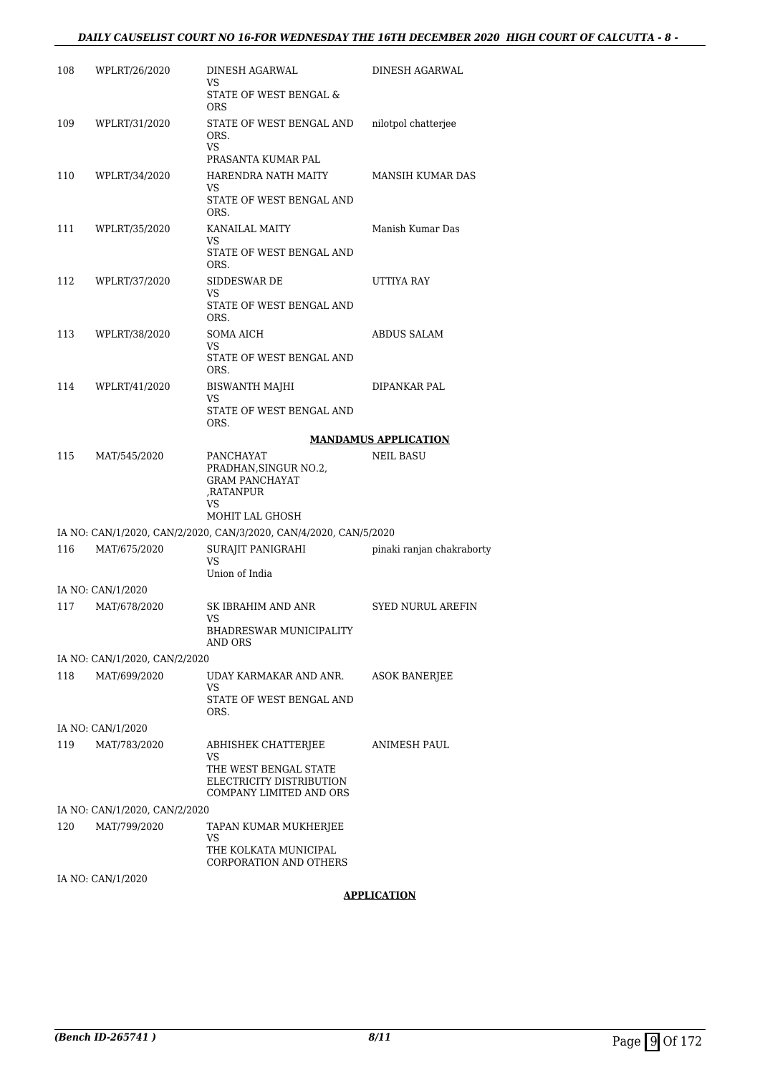| 108 | WPLRT/26/2020                 | DINESH AGARWAL<br>VS.                                                          | DINESH AGARWAL              |
|-----|-------------------------------|--------------------------------------------------------------------------------|-----------------------------|
|     |                               | STATE OF WEST BENGAL &<br><b>ORS</b>                                           |                             |
| 109 | WPLRT/31/2020                 | STATE OF WEST BENGAL AND<br>ORS.<br><b>VS</b><br>PRASANTA KUMAR PAL            | nilotpol chatterjee         |
| 110 | WPLRT/34/2020                 | HARENDRA NATH MAITY<br>VS<br>STATE OF WEST BENGAL AND                          | MANSIH KUMAR DAS            |
| 111 | WPLRT/35/2020                 | ORS.<br>KANAILAL MAITY<br>VS.<br>STATE OF WEST BENGAL AND                      | Manish Kumar Das            |
| 112 | WPLRT/37/2020                 | ORS.<br>SIDDESWAR DE<br>VS<br>STATE OF WEST BENGAL AND<br>ORS.                 | UTTIYA RAY                  |
| 113 | WPLRT/38/2020                 | SOMA AICH<br>VS.                                                               | ABDUS SALAM                 |
|     |                               | STATE OF WEST BENGAL AND<br>ORS.                                               |                             |
| 114 | WPLRT/41/2020                 | BISWANTH MAJHI<br>VS<br>STATE OF WEST BENGAL AND<br>ORS.                       | DIPANKAR PAL                |
|     |                               |                                                                                | <b>MANDAMUS APPLICATION</b> |
| 115 | MAT/545/2020                  | PANCHAYAT<br>PRADHAN, SINGUR NO.2,<br><b>GRAM PANCHAYAT</b><br>,RATANPUR<br>VS | <b>NEIL BASU</b>            |
|     |                               | MOHIT LAL GHOSH                                                                |                             |
|     |                               | IA NO: CAN/1/2020, CAN/2/2020, CAN/3/2020, CAN/4/2020, CAN/5/2020              |                             |
| 116 | MAT/675/2020                  | SURAJIT PANIGRAHI<br><b>VS</b><br>Union of India                               | pinaki ranjan chakraborty   |
|     | IA NO: CAN/1/2020             |                                                                                |                             |
| 117 | MAT/678/2020                  | SK IBRAHIM AND ANR<br>VS                                                       | <b>SYED NURUL AREFIN</b>    |
|     |                               | BHADRESWAR MUNICIPALITY<br>AND ORS                                             |                             |
|     | IA NO: CAN/1/2020, CAN/2/2020 |                                                                                |                             |
| 118 | MAT/699/2020                  | UDAY KARMAKAR AND ANR.<br>VS<br>STATE OF WEST BENGAL AND<br>ORS.               | ASOK BANERJEE               |
|     | IA NO: CAN/1/2020             |                                                                                |                             |
| 119 | MAT/783/2020                  | ABHISHEK CHATTERJEE<br>VS                                                      | ANIMESH PAUL                |
|     |                               | THE WEST BENGAL STATE<br>ELECTRICITY DISTRIBUTION<br>COMPANY LIMITED AND ORS   |                             |
|     | IA NO: CAN/1/2020, CAN/2/2020 |                                                                                |                             |
| 120 | MAT/799/2020                  | TAPAN KUMAR MUKHERJEE                                                          |                             |
|     |                               | VS<br>THE KOLKATA MUNICIPAL<br>CORPORATION AND OTHERS                          |                             |
|     | IA NO: CAN/1/2020             |                                                                                |                             |
|     |                               |                                                                                |                             |

### **APPLICATION**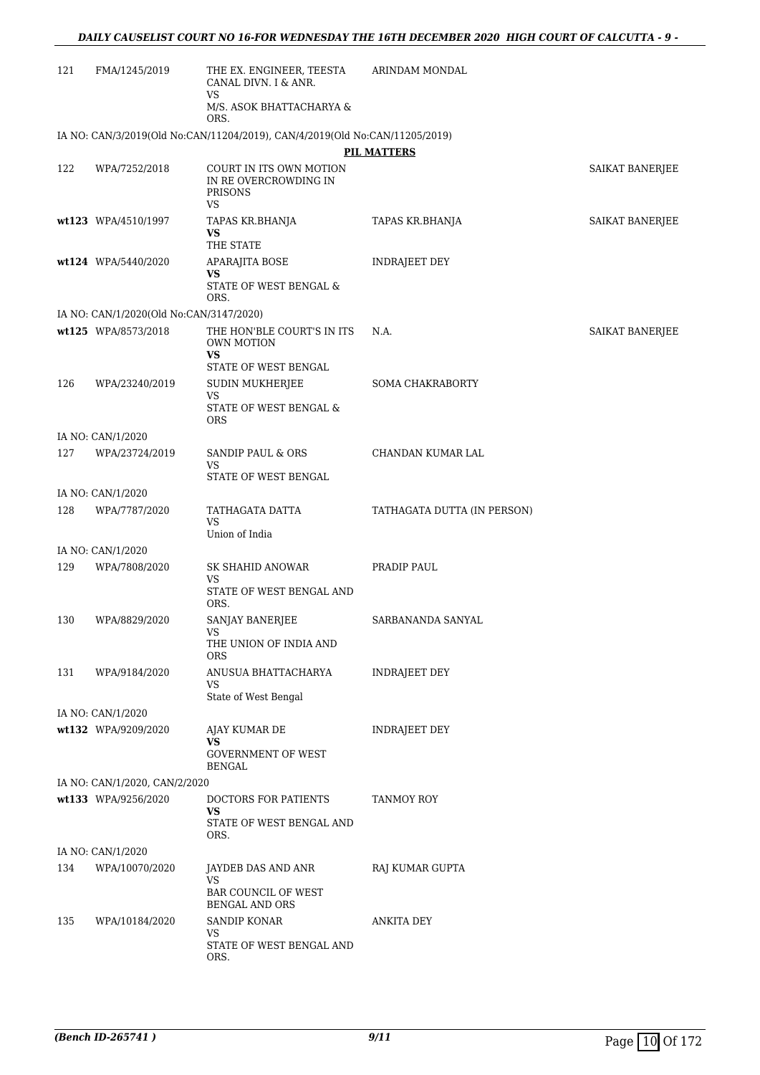| 121 | FMA/1245/2019                           | THE EX. ENGINEER, TEESTA<br>CANAL DIVN. I & ANR.<br><b>VS</b>                   | <b>ARINDAM MONDAL</b>       |                        |
|-----|-----------------------------------------|---------------------------------------------------------------------------------|-----------------------------|------------------------|
|     |                                         | M/S. ASOK BHATTACHARYA &<br>ORS.                                                |                             |                        |
|     |                                         | IA NO: CAN/3/2019(Old No:CAN/11204/2019), CAN/4/2019(Old No:CAN/11205/2019)     |                             |                        |
|     |                                         |                                                                                 | <b>PIL MATTERS</b>          |                        |
| 122 | WPA/7252/2018                           | COURT IN ITS OWN MOTION<br>IN RE OVERCROWDING IN<br><b>PRISONS</b><br><b>VS</b> |                             | SAIKAT BANERJEE        |
|     | wt123 WPA/4510/1997                     | TAPAS KR.BHANJA<br><b>VS</b><br>THE STATE                                       | TAPAS KR.BHANJA             | SAIKAT BANERJEE        |
|     | wt124 WPA/5440/2020                     | APARAJITA BOSE<br>VS<br>STATE OF WEST BENGAL &<br>ORS.                          | INDRAJEET DEY               |                        |
|     | IA NO: CAN/1/2020(Old No:CAN/3147/2020) |                                                                                 |                             |                        |
|     | wt125 WPA/8573/2018                     | THE HON'BLE COURT'S IN ITS<br><b>OWN MOTION</b><br><b>VS</b>                    | N.A.                        | <b>SAIKAT BANERJEE</b> |
|     |                                         | STATE OF WEST BENGAL                                                            |                             |                        |
| 126 | WPA/23240/2019                          | SUDIN MUKHERJEE<br>VS<br>STATE OF WEST BENGAL $\&$<br>ORS                       | <b>SOMA CHAKRABORTY</b>     |                        |
|     | IA NO: CAN/1/2020                       |                                                                                 |                             |                        |
| 127 | WPA/23724/2019                          | SANDIP PAUL & ORS<br><b>VS</b><br>STATE OF WEST BENGAL                          | CHANDAN KUMAR LAL           |                        |
|     | IA NO: CAN/1/2020                       |                                                                                 |                             |                        |
| 128 | WPA/7787/2020                           | TATHAGATA DATTA<br><b>VS</b>                                                    | TATHAGATA DUTTA (IN PERSON) |                        |
|     |                                         | Union of India                                                                  |                             |                        |
| 129 | IA NO: CAN/1/2020<br>WPA/7808/2020      | SK SHAHID ANOWAR                                                                | PRADIP PAUL                 |                        |
|     |                                         | VS<br>STATE OF WEST BENGAL AND<br>ORS.                                          |                             |                        |
| 130 | WPA/8829/2020                           | SANJAY BANERJEE<br>VS                                                           | SARBANANDA SANYAL           |                        |
|     |                                         | THE UNION OF INDIA AND<br>ORS                                                   |                             |                        |
| 131 | WPA/9184/2020                           | ANUSUA BHATTACHARYA<br>VS<br>State of West Bengal                               | <b>INDRAJEET DEY</b>        |                        |
|     | IA NO: CAN/1/2020                       |                                                                                 |                             |                        |
|     | wt132 WPA/9209/2020                     | AJAY KUMAR DE                                                                   | <b>INDRAJEET DEY</b>        |                        |
|     |                                         | <b>VS</b><br><b>GOVERNMENT OF WEST</b><br><b>BENGAL</b>                         |                             |                        |
|     | IA NO: CAN/1/2020, CAN/2/2020           |                                                                                 |                             |                        |
|     | wt133 WPA/9256/2020                     | DOCTORS FOR PATIENTS<br><b>VS</b><br>STATE OF WEST BENGAL AND<br>ORS.           | TANMOY ROY                  |                        |
|     | IA NO: CAN/1/2020                       |                                                                                 |                             |                        |
| 134 | WPA/10070/2020                          | JAYDEB DAS AND ANR                                                              | RAJ KUMAR GUPTA             |                        |
|     |                                         | VS<br><b>BAR COUNCIL OF WEST</b><br>BENGAL AND ORS                              |                             |                        |
| 135 | WPA/10184/2020                          | SANDIP KONAR<br>VS<br>STATE OF WEST BENGAL AND<br>ORS.                          | <b>ANKITA DEY</b>           |                        |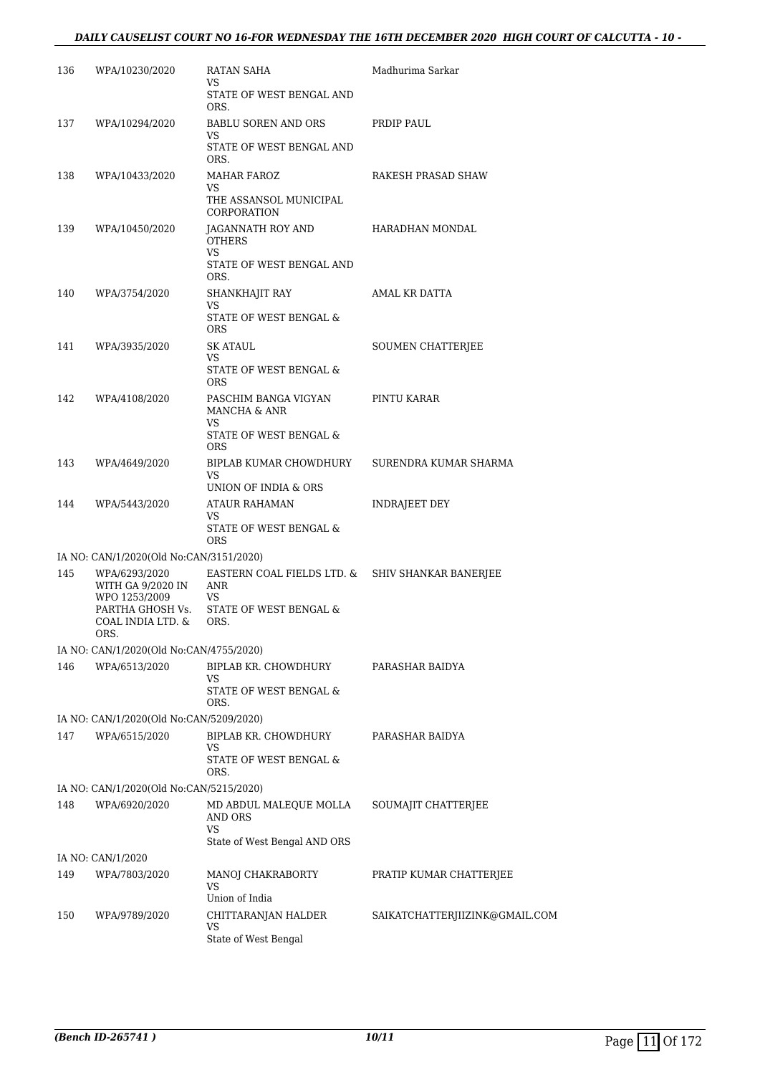| 136 | WPA/10230/2020                                      | RATAN SAHA<br>VS.                                                    | Madhurima Sarkar               |
|-----|-----------------------------------------------------|----------------------------------------------------------------------|--------------------------------|
|     |                                                     | STATE OF WEST BENGAL AND<br>ORS.                                     |                                |
| 137 | WPA/10294/2020                                      | BABLU SOREN AND ORS                                                  | PRDIP PAUL                     |
|     |                                                     | VS.<br>STATE OF WEST BENGAL AND<br>ORS.                              |                                |
| 138 | WPA/10433/2020                                      | MAHAR FAROZ<br>VS                                                    | RAKESH PRASAD SHAW             |
|     |                                                     | THE ASSANSOL MUNICIPAL<br>CORPORATION                                |                                |
| 139 | WPA/10450/2020                                      | JAGANNATH ROY AND<br><b>OTHERS</b><br>VS.                            | HARADHAN MONDAL                |
|     |                                                     | STATE OF WEST BENGAL AND<br>ORS.                                     |                                |
| 140 | WPA/3754/2020                                       | SHANKHAJIT RAY<br>VS                                                 | AMAL KR DATTA                  |
|     |                                                     | STATE OF WEST BENGAL &<br>ORS.                                       |                                |
| 141 | WPA/3935/2020                                       | <b>SK ATAUL</b>                                                      | SOUMEN CHATTERJEE              |
|     |                                                     | VS.<br>STATE OF WEST BENGAL &<br><b>ORS</b>                          |                                |
| 142 | WPA/4108/2020                                       | PASCHIM BANGA VIGYAN<br>MANCHA & ANR                                 | PINTU KARAR                    |
|     |                                                     | VS<br>STATE OF WEST BENGAL &<br><b>ORS</b>                           |                                |
| 143 | WPA/4649/2020                                       | BIPLAB KUMAR CHOWDHURY<br>VS                                         | SURENDRA KUMAR SHARMA          |
|     |                                                     | UNION OF INDIA & ORS                                                 |                                |
| 144 | WPA/5443/2020                                       | ATAUR RAHAMAN<br>VS.<br>STATE OF WEST BENGAL &<br>ORS                | INDRAJEET DEY                  |
|     | IA NO: CAN/1/2020(Old No:CAN/3151/2020)             |                                                                      |                                |
| 145 | WPA/6293/2020<br>WITH GA 9/2020 IN<br>WPO 1253/2009 | EASTERN COAL FIELDS LTD. & SHIV SHANKAR BANERJEE<br>ANR<br><b>VS</b> |                                |
|     | COAL INDIA LTD. &<br>ORS.                           | PARTHA GHOSH Vs. STATE OF WEST BENGAL &<br>ORS.                      |                                |
|     | IA NO: CAN/1/2020(Old No:CAN/4755/2020)             |                                                                      |                                |
| 146 | WPA/6513/2020                                       | BIPLAB KR. CHOWDHURY<br>VS                                           | PARASHAR BAIDYA                |
|     |                                                     | STATE OF WEST BENGAL &<br>ORS.                                       |                                |
|     | IA NO: CAN/1/2020(Old No:CAN/5209/2020)             |                                                                      |                                |
| 147 | WPA/6515/2020                                       | BIPLAB KR. CHOWDHURY<br>VS<br>STATE OF WEST BENGAL &                 | PARASHAR BAIDYA                |
|     |                                                     | ORS.                                                                 |                                |
|     | IA NO: CAN/1/2020(Old No:CAN/5215/2020)             |                                                                      |                                |
| 148 | WPA/6920/2020                                       | MD ABDUL MALEQUE MOLLA<br>AND ORS<br>VS                              | SOUMAJIT CHATTERJEE            |
|     | IA NO: CAN/1/2020                                   | State of West Bengal AND ORS                                         |                                |
| 149 | WPA/7803/2020                                       | MANOJ CHAKRABORTY                                                    | PRATIP KUMAR CHATTERJEE        |
|     |                                                     | VS.<br>Union of India                                                |                                |
| 150 | WPA/9789/2020                                       | CHITTARANJAN HALDER                                                  | SAIKATCHATTERJIIZINK@GMAIL.COM |
|     |                                                     | VS                                                                   |                                |
|     |                                                     | State of West Bengal                                                 |                                |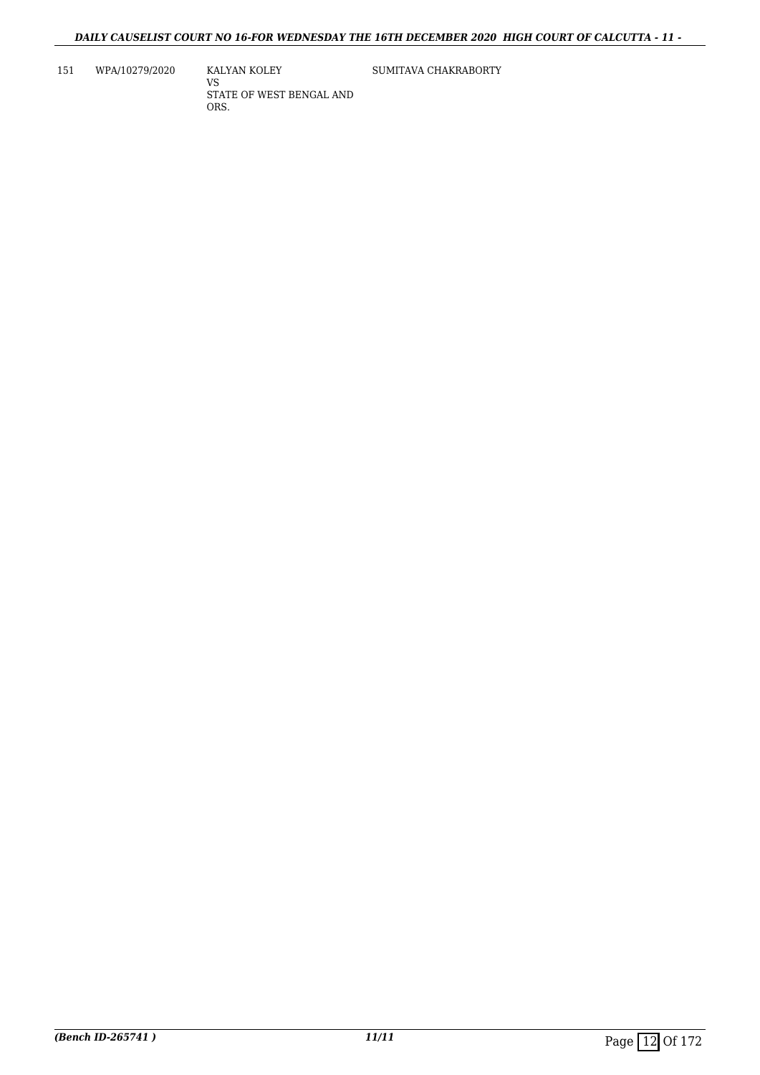151 WPA/10279/2020

KALYAN KOLEY VS STATE OF WEST BENGAL AND ORS.

SUMITAVA CHAKRABORTY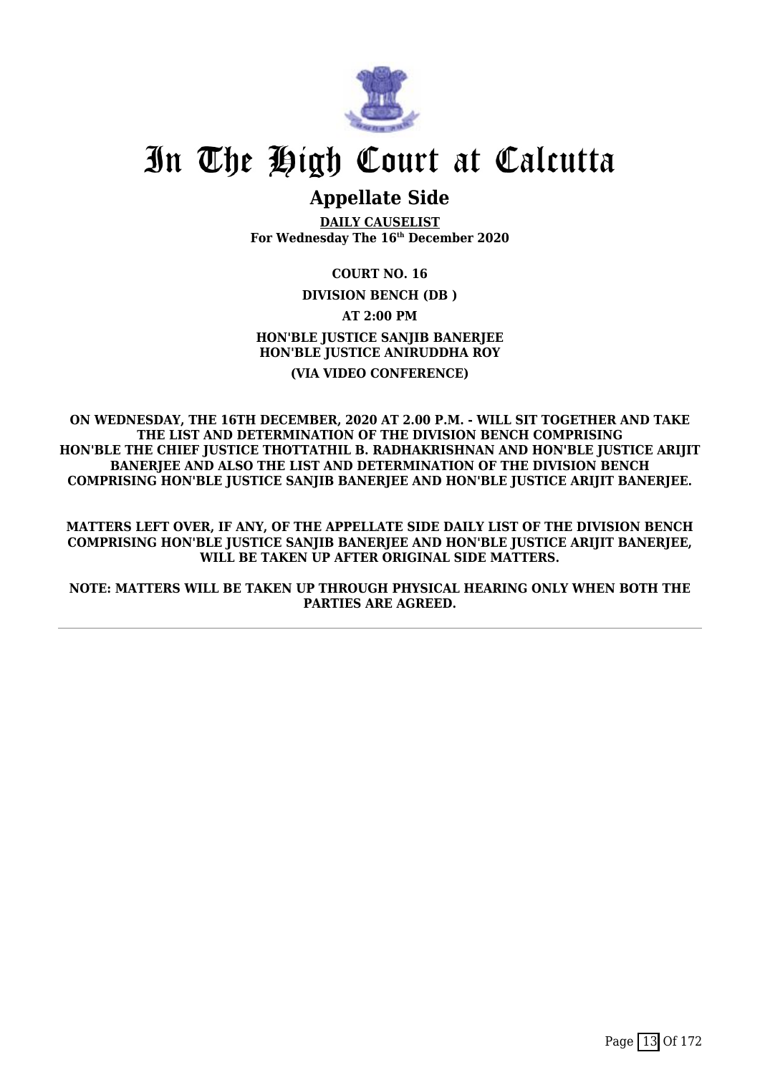

## **Appellate Side**

**DAILY CAUSELIST For Wednesday The 16th December 2020**

**COURT NO. 16 DIVISION BENCH (DB ) AT 2:00 PM HON'BLE JUSTICE SANJIB BANERJEE HON'BLE JUSTICE ANIRUDDHA ROY (VIA VIDEO CONFERENCE)**

**ON WEDNESDAY, THE 16TH DECEMBER, 2020 AT 2.00 P.M. - WILL SIT TOGETHER AND TAKE THE LIST AND DETERMINATION OF THE DIVISION BENCH COMPRISING HON'BLE THE CHIEF JUSTICE THOTTATHIL B. RADHAKRISHNAN AND HON'BLE JUSTICE ARIJIT BANERJEE AND ALSO THE LIST AND DETERMINATION OF THE DIVISION BENCH COMPRISING HON'BLE JUSTICE SANJIB BANERJEE AND HON'BLE JUSTICE ARIJIT BANERJEE.**

**MATTERS LEFT OVER, IF ANY, OF THE APPELLATE SIDE DAILY LIST OF THE DIVISION BENCH COMPRISING HON'BLE JUSTICE SANJIB BANERJEE AND HON'BLE JUSTICE ARIJIT BANERJEE, WILL BE TAKEN UP AFTER ORIGINAL SIDE MATTERS.**

**NOTE: MATTERS WILL BE TAKEN UP THROUGH PHYSICAL HEARING ONLY WHEN BOTH THE PARTIES ARE AGREED.**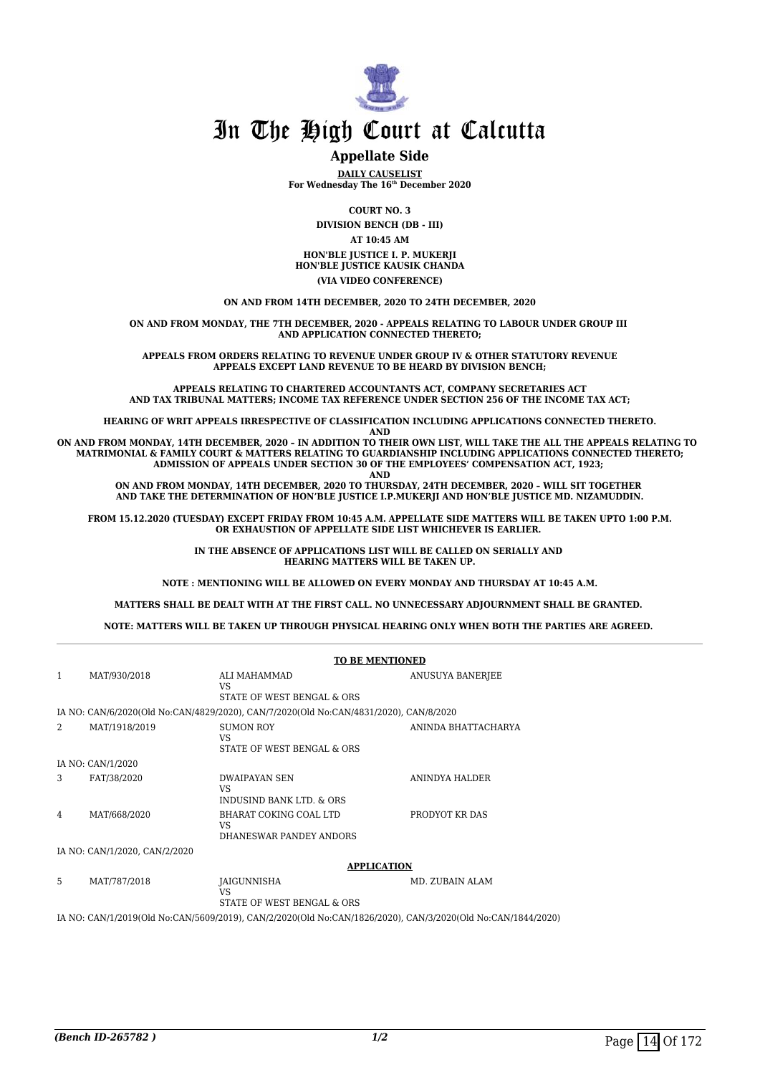

### **Appellate Side**

**DAILY CAUSELIST For Wednesday The 16th December 2020**

**COURT NO. 3**

**DIVISION BENCH (DB - III)**

**AT 10:45 AM**

**HON'BLE JUSTICE I. P. MUKERJI HON'BLE JUSTICE KAUSIK CHANDA**

**(VIA VIDEO CONFERENCE)**

**ON AND FROM 14TH DECEMBER, 2020 TO 24TH DECEMBER, 2020**

**ON AND FROM MONDAY, THE 7TH DECEMBER, 2020 - APPEALS RELATING TO LABOUR UNDER GROUP III AND APPLICATION CONNECTED THERETO;**

**APPEALS FROM ORDERS RELATING TO REVENUE UNDER GROUP IV & OTHER STATUTORY REVENUE APPEALS EXCEPT LAND REVENUE TO BE HEARD BY DIVISION BENCH;**

**APPEALS RELATING TO CHARTERED ACCOUNTANTS ACT, COMPANY SECRETARIES ACT AND TAX TRIBUNAL MATTERS; INCOME TAX REFERENCE UNDER SECTION 256 OF THE INCOME TAX ACT;**

**HEARING OF WRIT APPEALS IRRESPECTIVE OF CLASSIFICATION INCLUDING APPLICATIONS CONNECTED THERETO.**

**AND**

**ON AND FROM MONDAY, 14TH DECEMBER, 2020 – IN ADDITION TO THEIR OWN LIST, WILL TAKE THE ALL THE APPEALS RELATING TO MATRIMONIAL & FAMILY COURT & MATTERS RELATING TO GUARDIANSHIP INCLUDING APPLICATIONS CONNECTED THERETO; ADMISSION OF APPEALS UNDER SECTION 30 OF THE EMPLOYEES' COMPENSATION ACT, 1923; AND**

**ON AND FROM MONDAY, 14TH DECEMBER, 2020 TO THURSDAY, 24TH DECEMBER, 2020 – WILL SIT TOGETHER AND TAKE THE DETERMINATION OF HON'BLE JUSTICE I.P.MUKERJI AND HON'BLE JUSTICE MD. NIZAMUDDIN.**

**FROM 15.12.2020 (TUESDAY) EXCEPT FRIDAY FROM 10:45 A.M. APPELLATE SIDE MATTERS WILL BE TAKEN UPTO 1:00 P.M. OR EXHAUSTION OF APPELLATE SIDE LIST WHICHEVER IS EARLIER.** 

> **IN THE ABSENCE OF APPLICATIONS LIST WILL BE CALLED ON SERIALLY AND HEARING MATTERS WILL BE TAKEN UP.**

**NOTE : MENTIONING WILL BE ALLOWED ON EVERY MONDAY AND THURSDAY AT 10:45 A.M.**

**MATTERS SHALL BE DEALT WITH AT THE FIRST CALL. NO UNNECESSARY ADJOURNMENT SHALL BE GRANTED.** 

**NOTE: MATTERS WILL BE TAKEN UP THROUGH PHYSICAL HEARING ONLY WHEN BOTH THE PARTIES ARE AGREED.** 

|   |                               | <b>TO BE MENTIONED</b>                                                                |                     |
|---|-------------------------------|---------------------------------------------------------------------------------------|---------------------|
| 1 | MAT/930/2018                  | ALI MAHAMMAD<br>VS<br>STATE OF WEST BENGAL & ORS                                      | ANUSUYA BANERJEE    |
|   |                               | IA NO: CAN/6/2020(Old No:CAN/4829/2020), CAN/7/2020(Old No:CAN/4831/2020), CAN/8/2020 |                     |
| 2 | MAT/1918/2019                 | <b>SUMON ROY</b><br>VS<br>STATE OF WEST BENGAL & ORS                                  | ANINDA BHATTACHARYA |
|   | IA NO: CAN/1/2020             |                                                                                       |                     |
| 3 | FAT/38/2020                   | <b>DWAIPAYAN SEN</b><br>VS<br><b>INDUSIND BANK LTD. &amp; ORS</b>                     | ANINDYA HALDER      |
| 4 | MAT/668/2020                  | BHARAT COKING COAL LTD<br>VS<br>DHANESWAR PANDEY ANDORS                               | PRODYOT KR DAS      |
|   | IA NO: CAN/1/2020, CAN/2/2020 |                                                                                       |                     |
|   |                               | <b>APPLICATION</b>                                                                    |                     |
|   |                               |                                                                                       |                     |

5 MAT/787/2018 **JAIGUNNISHA**  $V<sup>S</sup>$ STATE OF WEST BENGAL & ORS MD. ZUBAIN ALAM IA NO: CAN/1/2019(Old No:CAN/5609/2019), CAN/2/2020(Old No:CAN/1826/2020), CAN/3/2020(Old No:CAN/1844/2020)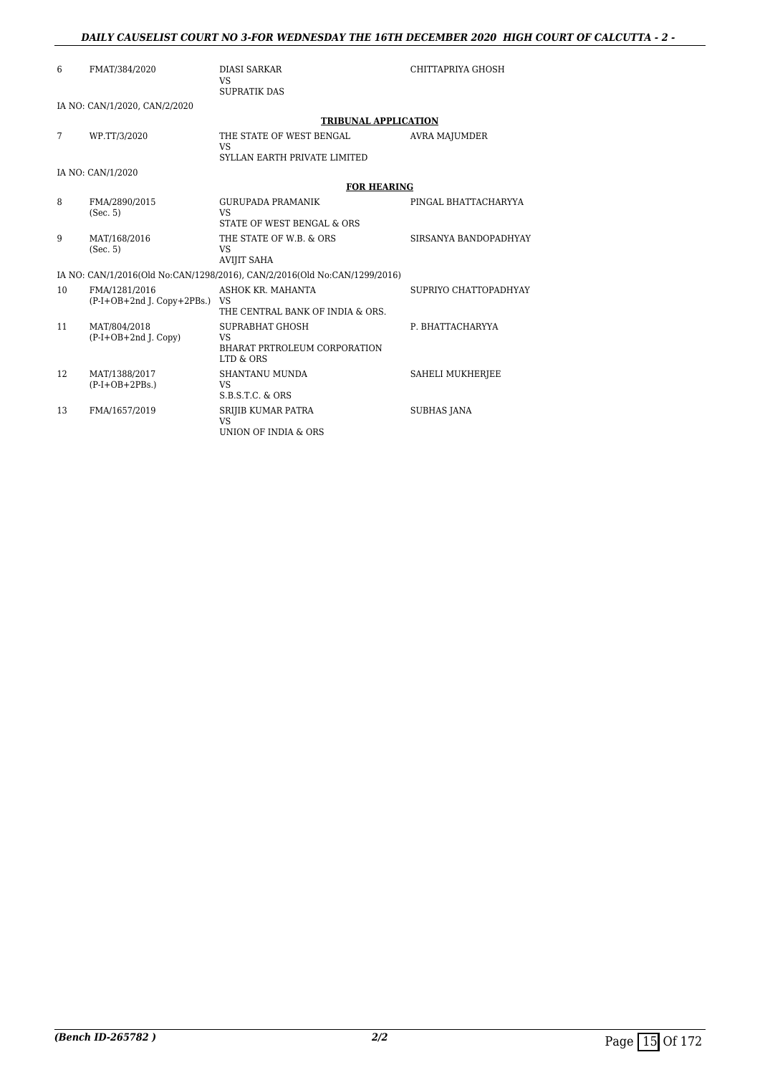### *DAILY CAUSELIST COURT NO 3-FOR WEDNESDAY THE 16TH DECEMBER 2020 HIGH COURT OF CALCUTTA - 2 -*

| 6  | FMAT/384/2020                                 | <b>DIASI SARKAR</b><br><b>VS</b><br><b>SUPRATIK DAS</b>                    | CHITTAPRIYA GHOSH     |
|----|-----------------------------------------------|----------------------------------------------------------------------------|-----------------------|
|    | IA NO: CAN/1/2020, CAN/2/2020                 |                                                                            |                       |
|    |                                               | <b>TRIBUNAL APPLICATION</b>                                                |                       |
| 7  | WP.TT/3/2020                                  | THE STATE OF WEST BENGAL<br><b>VS</b>                                      | <b>AVRA MAJUMDER</b>  |
|    |                                               | SYLLAN EARTH PRIVATE LIMITED                                               |                       |
|    | IA NO: CAN/1/2020                             |                                                                            |                       |
|    |                                               | <b>FOR HEARING</b>                                                         |                       |
| 8  | FMA/2890/2015<br>(Sec. 5)                     | <b>GURUPADA PRAMANIK</b><br><b>VS</b><br>STATE OF WEST BENGAL & ORS        | PINGAL BHATTACHARYYA  |
| 9  | MAT/168/2016<br>(Sec. 5)                      | THE STATE OF W.B. & ORS<br>VS<br><b>AVIJIT SAHA</b>                        | SIRSANYA BANDOPADHYAY |
|    |                                               | IA NO: CAN/1/2016(Old No:CAN/1298/2016), CAN/2/2016(Old No:CAN/1299/2016)  |                       |
| 10 | FMA/1281/2016<br>$(P-I+OB+2nd I. Copy+2PBs.)$ | ASHOK KR. MAHANTA<br>VS<br>THE CENTRAL BANK OF INDIA & ORS.                | SUPRIYO CHATTOPADHYAY |
| 11 | MAT/804/2018<br>$(P-I+OB+2nd J. Copy)$        | SUPRABHAT GHOSH<br>VS.<br><b>BHARAT PRTROLEUM CORPORATION</b><br>LTD & ORS | P. BHATTACHARYYA      |
| 12 | MAT/1388/2017<br>$(P-I+OB+2PBs.)$             | <b>SHANTANU MUNDA</b><br>VS.<br>$S.B.S.T.C.$ & $ORS$                       | SAHELI MUKHERJEE      |
| 13 | FMA/1657/2019                                 | SRIJIB KUMAR PATRA<br><b>VS</b><br>UNION OF INDIA & ORS                    | <b>SUBHAS JANA</b>    |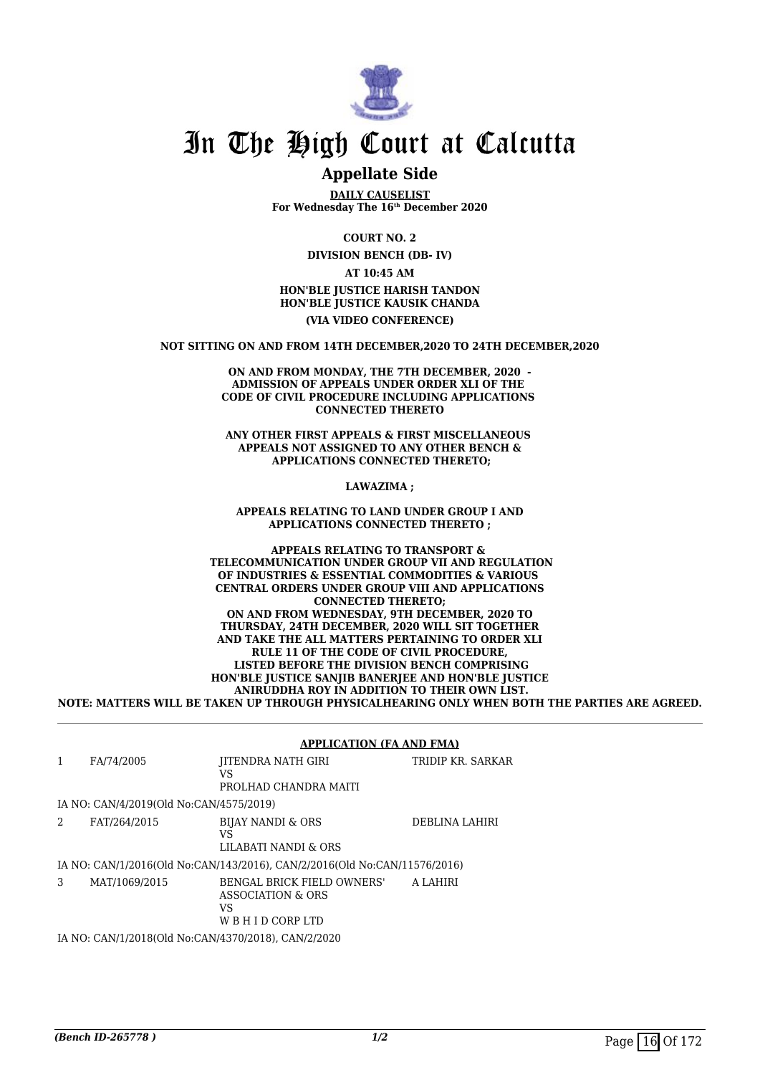

## **Appellate Side**

**DAILY CAUSELIST For Wednesday The 16th December 2020**

**COURT NO. 2**

**DIVISION BENCH (DB- IV)**

**AT 10:45 AM HON'BLE JUSTICE HARISH TANDON HON'BLE JUSTICE KAUSIK CHANDA (VIA VIDEO CONFERENCE)**

**NOT SITTING ON AND FROM 14TH DECEMBER,2020 TO 24TH DECEMBER,2020**

**ON AND FROM MONDAY, THE 7TH DECEMBER, 2020 - ADMISSION OF APPEALS UNDER ORDER XLI OF THE CODE OF CIVIL PROCEDURE INCLUDING APPLICATIONS CONNECTED THERETO**

**ANY OTHER FIRST APPEALS & FIRST MISCELLANEOUS APPEALS NOT ASSIGNED TO ANY OTHER BENCH & APPLICATIONS CONNECTED THERETO;**

**LAWAZIMA ;**

**APPEALS RELATING TO LAND UNDER GROUP I AND APPLICATIONS CONNECTED THERETO ;**

**APPEALS RELATING TO TRANSPORT & TELECOMMUNICATION UNDER GROUP VII AND REGULATION OF INDUSTRIES & ESSENTIAL COMMODITIES & VARIOUS CENTRAL ORDERS UNDER GROUP VIII AND APPLICATIONS CONNECTED THERETO; ON AND FROM WEDNESDAY, 9TH DECEMBER, 2020 TO THURSDAY, 24TH DECEMBER, 2020 WILL SIT TOGETHER AND TAKE THE ALL MATTERS PERTAINING TO ORDER XLI RULE 11 OF THE CODE OF CIVIL PROCEDURE, LISTED BEFORE THE DIVISION BENCH COMPRISING HON'BLE JUSTICE SANJIB BANERJEE AND HON'BLE JUSTICE ANIRUDDHA ROY IN ADDITION TO THEIR OWN LIST. NOTE: MATTERS WILL BE TAKEN UP THROUGH PHYSICALHEARING ONLY WHEN BOTH THE PARTIES ARE AGREED.**

| $\mathbf{1}$ | FA/74/2005                              | <b>JITENDRA NATH GIRI</b><br>VS<br>PROLHAD CHANDRA MAITI                    | TRIDIP KR. SARKAR |
|--------------|-----------------------------------------|-----------------------------------------------------------------------------|-------------------|
|              | IA NO: CAN/4/2019(Old No:CAN/4575/2019) |                                                                             |                   |
| 2            | FAT/264/2015                            | <b>BIJAY NANDI &amp; ORS</b><br>VS<br>LILABATI NANDI & ORS                  | DEBLINA LAHIRI    |
|              |                                         | IA NO: CAN/1/2016(Old No:CAN/143/2016), CAN/2/2016(Old No:CAN/11576/2016)   |                   |
| 3            | MAT/1069/2015                           | BENGAL BRICK FIELD OWNERS'<br>ASSOCIATION & ORS<br>VS<br>W B H I D CORP LTD | A LAHIRI          |
|              |                                         | IA NO: CAN/1/2018(Old No:CAN/4370/2018). CAN/2/2020                         |                   |

### **APPLICATION (FA AND FMA)**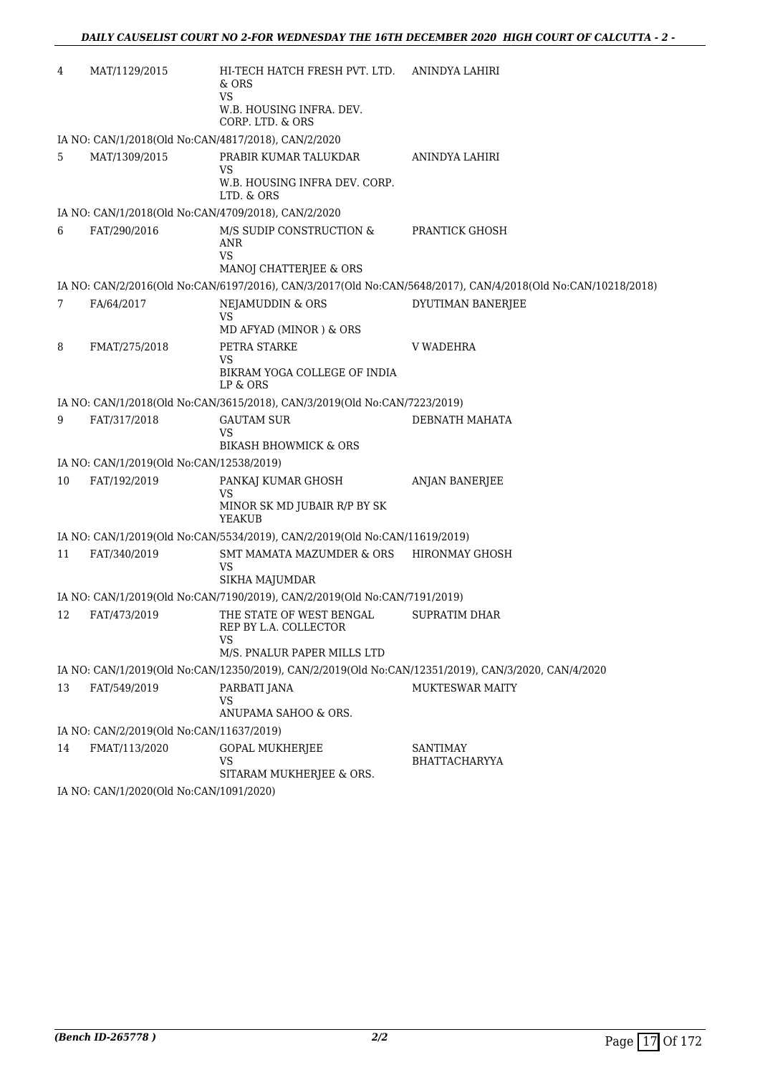| 4  | MAT/1129/2015                            | HI-TECH HATCH FRESH PVT. LTD.<br>& ORS<br>VS<br>W.B. HOUSING INFRA. DEV.<br>CORP. LTD. & ORS | ANINDYA LAHIRI                                                                                               |  |  |  |
|----|------------------------------------------|----------------------------------------------------------------------------------------------|--------------------------------------------------------------------------------------------------------------|--|--|--|
|    |                                          | IA NO: CAN/1/2018(Old No:CAN/4817/2018), CAN/2/2020                                          |                                                                                                              |  |  |  |
| 5  | MAT/1309/2015                            | PRABIR KUMAR TALUKDAR<br>VS<br>W.B. HOUSING INFRA DEV. CORP.<br>LTD. & ORS                   | ANINDYA LAHIRI                                                                                               |  |  |  |
|    |                                          | IA NO: CAN/1/2018(Old No:CAN/4709/2018), CAN/2/2020                                          |                                                                                                              |  |  |  |
| 6  | FAT/290/2016                             | M/S SUDIP CONSTRUCTION &<br>ANR<br>VS.<br>MANOJ CHATTERJEE & ORS                             | <b>PRANTICK GHOSH</b>                                                                                        |  |  |  |
|    |                                          |                                                                                              | IA NO: CAN/2/2016(Old No:CAN/6197/2016), CAN/3/2017(Old No:CAN/5648/2017), CAN/4/2018(Old No:CAN/10218/2018) |  |  |  |
| 7  | FA/64/2017                               | NEJAMUDDIN & ORS<br>VS<br>MD AFYAD (MINOR) & ORS                                             | DYUTIMAN BANERJEE                                                                                            |  |  |  |
| 8  | FMAT/275/2018                            | PETRA STARKE<br>VS<br>BIKRAM YOGA COLLEGE OF INDIA<br>LP & ORS                               | V WADEHRA                                                                                                    |  |  |  |
|    |                                          | IA NO: CAN/1/2018(Old No:CAN/3615/2018), CAN/3/2019(Old No:CAN/7223/2019)                    |                                                                                                              |  |  |  |
| 9  | FAT/317/2018                             | <b>GAUTAM SUR</b><br>VS<br><b>BIKASH BHOWMICK &amp; ORS</b>                                  | DEBNATH MAHATA                                                                                               |  |  |  |
|    | IA NO: CAN/1/2019(Old No:CAN/12538/2019) |                                                                                              |                                                                                                              |  |  |  |
| 10 | FAT/192/2019                             | PANKAJ KUMAR GHOSH<br>VS<br>MINOR SK MD JUBAIR R/P BY SK<br><b>YEAKUB</b>                    | <b>ANJAN BANERJEE</b>                                                                                        |  |  |  |
|    |                                          | IA NO: CAN/1/2019(Old No:CAN/5534/2019), CAN/2/2019(Old No:CAN/11619/2019)                   |                                                                                                              |  |  |  |
| 11 | FAT/340/2019                             | SMT MAMATA MAZUMDER & ORS<br><b>VS</b><br>SIKHA MAJUMDAR                                     | <b>HIRONMAY GHOSH</b>                                                                                        |  |  |  |
|    |                                          | IA NO: CAN/1/2019(Old No:CAN/7190/2019), CAN/2/2019(Old No:CAN/7191/2019)                    |                                                                                                              |  |  |  |
| 12 | FAT/473/2019                             | THE STATE OF WEST BENGAL<br>REP BY L.A. COLLECTOR<br>VS<br>M/S. PNALUR PAPER MILLS LTD       | <b>SUPRATIM DHAR</b>                                                                                         |  |  |  |
|    |                                          |                                                                                              | IA NO: CAN/1/2019(Old No:CAN/12350/2019), CAN/2/2019(Old No:CAN/12351/2019), CAN/3/2020, CAN/4/2020          |  |  |  |
| 13 | FAT/549/2019                             | PARBATI JANA<br>VS<br>ANUPAMA SAHOO & ORS.                                                   | <b>MUKTESWAR MAITY</b>                                                                                       |  |  |  |
|    | IA NO: CAN/2/2019(Old No:CAN/11637/2019) |                                                                                              |                                                                                                              |  |  |  |
| 14 | FMAT/113/2020                            | <b>GOPAL MUKHERJEE</b><br>VS<br>SITARAM MUKHERJEE & ORS.                                     | <b>SANTIMAY</b><br>BHATTACHARYYA                                                                             |  |  |  |
|    |                                          | IA NO: CAN/1/2020(Old No:CAN/1091/2020)                                                      |                                                                                                              |  |  |  |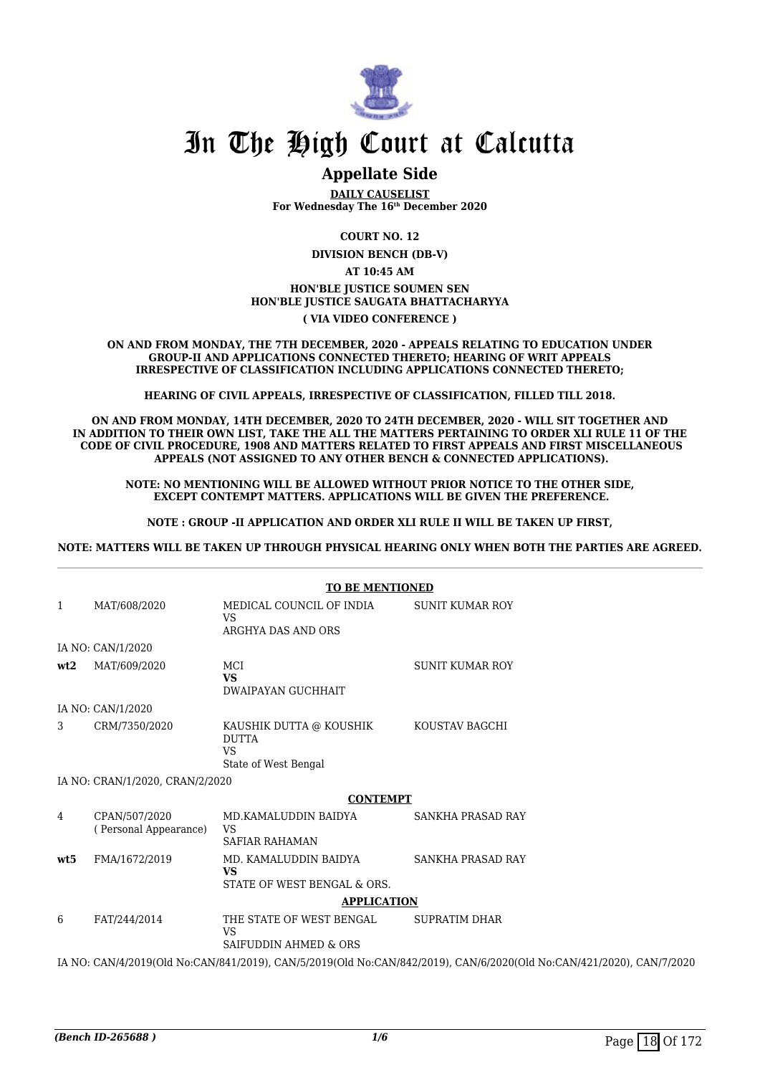

### **Appellate Side**

**DAILY CAUSELIST For Wednesday The 16th December 2020**

**COURT NO. 12**

**DIVISION BENCH (DB-V)**

**AT 10:45 AM**

**HON'BLE JUSTICE SOUMEN SEN HON'BLE JUSTICE SAUGATA BHATTACHARYYA**

**( VIA VIDEO CONFERENCE )**

**ON AND FROM MONDAY, THE 7TH DECEMBER, 2020 - APPEALS RELATING TO EDUCATION UNDER GROUP-II AND APPLICATIONS CONNECTED THERETO; HEARING OF WRIT APPEALS IRRESPECTIVE OF CLASSIFICATION INCLUDING APPLICATIONS CONNECTED THERETO;**

**HEARING OF CIVIL APPEALS, IRRESPECTIVE OF CLASSIFICATION, FILLED TILL 2018.**

**ON AND FROM MONDAY, 14TH DECEMBER, 2020 TO 24TH DECEMBER, 2020 - WILL SIT TOGETHER AND IN ADDITION TO THEIR OWN LIST, TAKE THE ALL THE MATTERS PERTAINING TO ORDER XLI RULE 11 OF THE CODE OF CIVIL PROCEDURE, 1908 AND MATTERS RELATED TO FIRST APPEALS AND FIRST MISCELLANEOUS APPEALS (NOT ASSIGNED TO ANY OTHER BENCH & CONNECTED APPLICATIONS).**

**NOTE: NO MENTIONING WILL BE ALLOWED WITHOUT PRIOR NOTICE TO THE OTHER SIDE, EXCEPT CONTEMPT MATTERS. APPLICATIONS WILL BE GIVEN THE PREFERENCE.**

**NOTE : GROUP -II APPLICATION AND ORDER XLI RULE II WILL BE TAKEN UP FIRST,**

**NOTE: MATTERS WILL BE TAKEN UP THROUGH PHYSICAL HEARING ONLY WHEN BOTH THE PARTIES ARE AGREED.**

|              |                                        | <b>TO BE MENTIONED</b>            |                                                                                                                      |
|--------------|----------------------------------------|-----------------------------------|----------------------------------------------------------------------------------------------------------------------|
|              |                                        |                                   |                                                                                                                      |
| $\mathbf{1}$ | MAT/608/2020                           | MEDICAL COUNCIL OF INDIA<br>VS    | <b>SUNIT KUMAR ROY</b>                                                                                               |
|              |                                        | ARGHYA DAS AND ORS                |                                                                                                                      |
|              | IA NO: CAN/1/2020                      |                                   |                                                                                                                      |
| wt2          | MAT/609/2020                           | MCI                               | <b>SUNIT KUMAR ROY</b>                                                                                               |
|              |                                        | <b>VS</b>                         |                                                                                                                      |
|              |                                        | <b>DWAIPAYAN GUCHHAIT</b>         |                                                                                                                      |
|              | IA NO: CAN/1/2020                      |                                   |                                                                                                                      |
| 3            | CRM/7350/2020                          | KAUSHIK DUTTA @ KOUSHIK           | KOUSTAV BAGCHI                                                                                                       |
|              |                                        | <b>DUTTA</b>                      |                                                                                                                      |
|              |                                        | <b>VS</b>                         |                                                                                                                      |
|              |                                        | State of West Bengal              |                                                                                                                      |
|              | IA NO: CRAN/1/2020, CRAN/2/2020        |                                   |                                                                                                                      |
|              |                                        | <b>CONTEMPT</b>                   |                                                                                                                      |
| 4            | CPAN/507/2020<br>(Personal Appearance) | MD.KAMALUDDIN BAIDYA<br><b>VS</b> | SANKHA PRASAD RAY                                                                                                    |
|              |                                        | <b>SAFIAR RAHAMAN</b>             |                                                                                                                      |
| wt.5         | FMA/1672/2019                          | MD. KAMALUDDIN BAIDYA             | <b>SANKHA PRASAD RAY</b>                                                                                             |
|              |                                        | <b>VS</b>                         |                                                                                                                      |
|              |                                        | STATE OF WEST BENGAL & ORS.       |                                                                                                                      |
|              |                                        | <b>APPLICATION</b>                |                                                                                                                      |
| 6            | FAT/244/2014                           | THE STATE OF WEST BENGAL          | <b>SUPRATIM DHAR</b>                                                                                                 |
|              |                                        | VS                                |                                                                                                                      |
|              |                                        | SAIFUDDIN AHMED & ORS             |                                                                                                                      |
|              |                                        |                                   | IA NO: CAN/4/2019(Old No:CAN/841/2019), CAN/5/2019(Old No:CAN/842/2019), CAN/6/2020(Old No:CAN/421/2020), CAN/7/2020 |
|              |                                        |                                   |                                                                                                                      |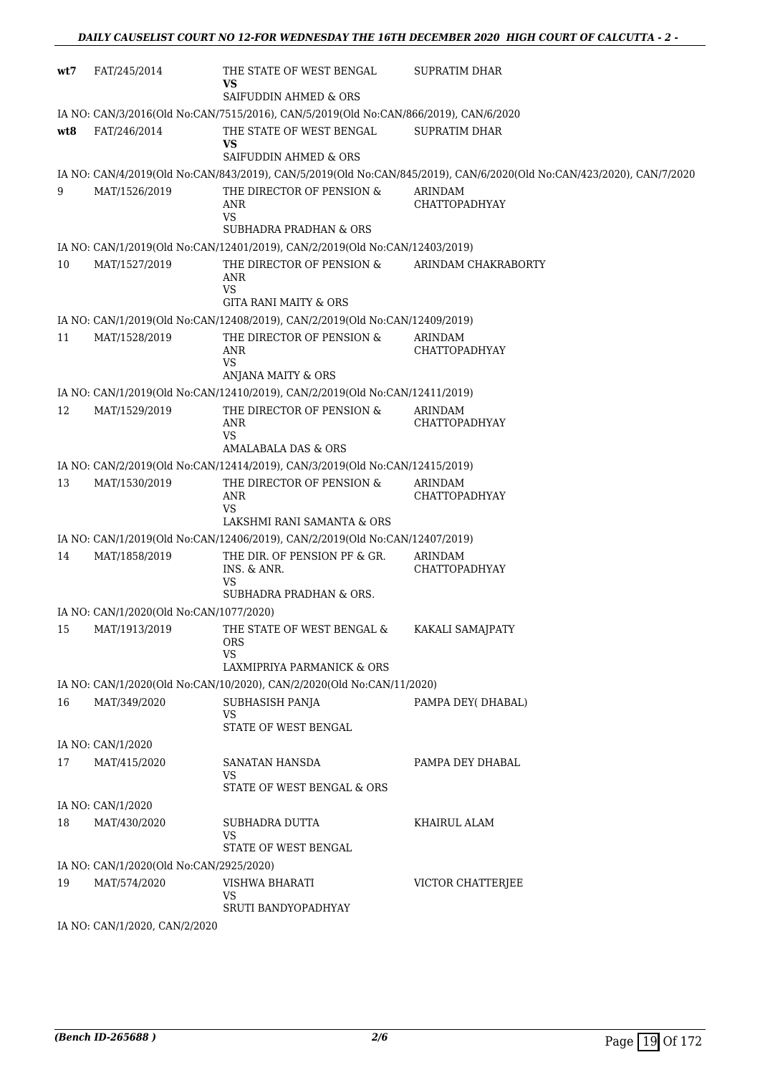| wt7 | FAT/245/2014                            | THE STATE OF WEST BENGAL<br>VS                                                       | SUPRATIM DHAR                                                                                                        |
|-----|-----------------------------------------|--------------------------------------------------------------------------------------|----------------------------------------------------------------------------------------------------------------------|
|     |                                         | SAIFUDDIN AHMED & ORS                                                                |                                                                                                                      |
|     |                                         | IA NO: CAN/3/2016(Old No:CAN/7515/2016), CAN/5/2019(Old No:CAN/866/2019), CAN/6/2020 |                                                                                                                      |
| wt8 | FAT/246/2014                            | THE STATE OF WEST BENGAL<br>VS                                                       | SUPRATIM DHAR                                                                                                        |
|     |                                         | SAIFUDDIN AHMED & ORS                                                                |                                                                                                                      |
| 9   |                                         |                                                                                      | IA NO: CAN/4/2019(Old No:CAN/843/2019), CAN/5/2019(Old No:CAN/845/2019), CAN/6/2020(Old No:CAN/423/2020), CAN/7/2020 |
|     | MAT/1526/2019                           | THE DIRECTOR OF PENSION &<br><b>ANR</b><br>VS                                        | ARINDAM<br><b>CHATTOPADHYAY</b>                                                                                      |
|     |                                         | SUBHADRA PRADHAN & ORS                                                               |                                                                                                                      |
|     |                                         | IA NO: CAN/1/2019(Old No:CAN/12401/2019), CAN/2/2019(Old No:CAN/12403/2019)          |                                                                                                                      |
| 10  | MAT/1527/2019                           | THE DIRECTOR OF PENSION &<br><b>ANR</b><br><b>VS</b>                                 | ARINDAM CHAKRABORTY                                                                                                  |
|     |                                         | <b>GITA RANI MAITY &amp; ORS</b>                                                     |                                                                                                                      |
|     |                                         | IA NO: CAN/1/2019(Old No:CAN/12408/2019), CAN/2/2019(Old No:CAN/12409/2019)          |                                                                                                                      |
| 11  | MAT/1528/2019                           | THE DIRECTOR OF PENSION &<br>ANR<br><b>VS</b>                                        | ARINDAM<br><b>CHATTOPADHYAY</b>                                                                                      |
|     |                                         | ANJANA MAITY & ORS                                                                   |                                                                                                                      |
|     |                                         | IA NO: CAN/1/2019(Old No:CAN/12410/2019), CAN/2/2019(Old No:CAN/12411/2019)          |                                                                                                                      |
| 12  | MAT/1529/2019                           | THE DIRECTOR OF PENSION &<br><b>ANR</b><br><b>VS</b>                                 | ARINDAM<br><b>CHATTOPADHYAY</b>                                                                                      |
|     |                                         | AMALABALA DAS & ORS                                                                  |                                                                                                                      |
|     |                                         | IA NO: CAN/2/2019(Old No:CAN/12414/2019), CAN/3/2019(Old No:CAN/12415/2019)          |                                                                                                                      |
| 13  | MAT/1530/2019                           | THE DIRECTOR OF PENSION &<br>ANR<br><b>VS</b>                                        | ARINDAM<br>CHATTOPADHYAY                                                                                             |
|     |                                         | LAKSHMI RANI SAMANTA & ORS                                                           |                                                                                                                      |
|     |                                         | IA NO: CAN/1/2019(Old No:CAN/12406/2019), CAN/2/2019(Old No:CAN/12407/2019)          |                                                                                                                      |
| 14  | MAT/1858/2019                           | THE DIR. OF PENSION PF & GR.<br>INS. & ANR.<br><b>VS</b>                             | ARINDAM<br><b>CHATTOPADHYAY</b>                                                                                      |
|     |                                         | SUBHADRA PRADHAN & ORS.                                                              |                                                                                                                      |
|     | IA NO: CAN/1/2020(Old No:CAN/1077/2020) |                                                                                      |                                                                                                                      |
| 15  | MAT/1913/2019                           | THE STATE OF WEST BENGAL & KAKALI SAMAJPATY<br><b>ORS</b><br><b>VS</b>               |                                                                                                                      |
|     |                                         | LAXMIPRIYA PARMANICK & ORS                                                           |                                                                                                                      |
|     |                                         | IA NO: CAN/1/2020(Old No:CAN/10/2020), CAN/2/2020(Old No:CAN/11/2020)                |                                                                                                                      |
| 16  | MAT/349/2020                            | SUBHASISH PANJA<br>VS<br>STATE OF WEST BENGAL                                        | PAMPA DEY(DHABAL)                                                                                                    |
|     | IA NO: CAN/1/2020                       |                                                                                      |                                                                                                                      |
| 17  | MAT/415/2020                            | SANATAN HANSDA                                                                       | PAMPA DEY DHABAL                                                                                                     |
|     |                                         | VS<br>STATE OF WEST BENGAL & ORS                                                     |                                                                                                                      |
|     | IA NO: CAN/1/2020                       |                                                                                      |                                                                                                                      |
| 18  | MAT/430/2020                            | SUBHADRA DUTTA<br>VS<br>STATE OF WEST BENGAL                                         | KHAIRUL ALAM                                                                                                         |
|     | IA NO: CAN/1/2020(Old No:CAN/2925/2020) |                                                                                      |                                                                                                                      |
| 19  | MAT/574/2020                            | VISHWA BHARATI<br><b>VS</b>                                                          | VICTOR CHATTERJEE                                                                                                    |
|     |                                         | SRUTI BANDYOPADHYAY                                                                  |                                                                                                                      |
|     | IA NO: CAN/1/2020, CAN/2/2020           |                                                                                      |                                                                                                                      |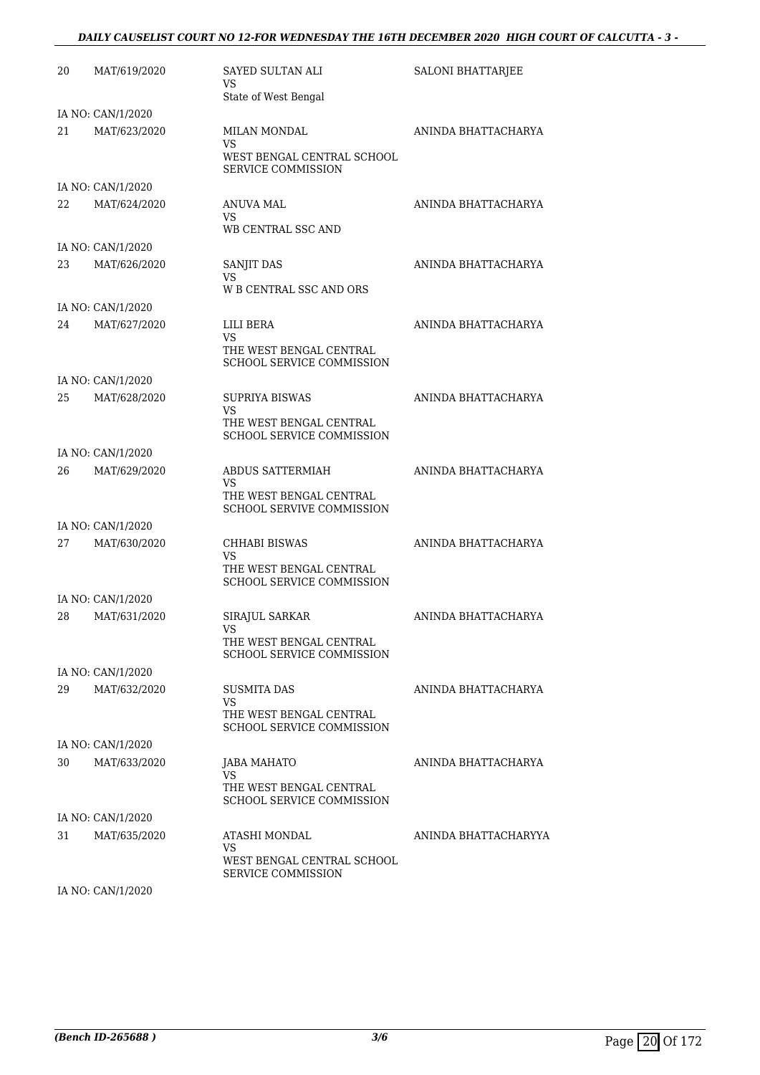#### *DAILY CAUSELIST COURT NO 12-FOR WEDNESDAY THE 16TH DECEMBER 2020 HIGH COURT OF CALCUTTA - 3 -*

| 20 | MAT/619/2020      | SAYED SULTAN ALI<br>VS<br>State of West Bengal                                             | SALONI BHATTARJEE    |
|----|-------------------|--------------------------------------------------------------------------------------------|----------------------|
|    | IA NO: CAN/1/2020 |                                                                                            |                      |
| 21 | MAT/623/2020      | MILAN MONDAL<br>VS<br>WEST BENGAL CENTRAL SCHOOL<br><b>SERVICE COMMISSION</b>              | ANINDA BHATTACHARYA  |
|    | IA NO: CAN/1/2020 |                                                                                            |                      |
| 22 | MAT/624/2020      | ANUVA MAL<br>VS.<br>WB CENTRAL SSC AND                                                     | ANINDA BHATTACHARYA  |
|    | IA NO: CAN/1/2020 |                                                                                            |                      |
| 23 | MAT/626/2020      | SANJIT DAS<br>VS<br>W B CENTRAL SSC AND ORS                                                | ANINDA BHATTACHARYA  |
|    | IA NO: CAN/1/2020 |                                                                                            |                      |
| 24 | MAT/627/2020      | LILI BERA<br>VS<br>THE WEST BENGAL CENTRAL<br>SCHOOL SERVICE COMMISSION                    | ANINDA BHATTACHARYA  |
|    | IA NO: CAN/1/2020 |                                                                                            |                      |
| 25 | MAT/628/2020      | <b>SUPRIYA BISWAS</b><br>VS<br>THE WEST BENGAL CENTRAL<br><b>SCHOOL SERVICE COMMISSION</b> | ANINDA BHATTACHARYA  |
|    | IA NO: CAN/1/2020 |                                                                                            |                      |
| 26 | MAT/629/2020      | ABDUS SATTERMIAH<br>VS<br>THE WEST BENGAL CENTRAL                                          | ANINDA BHATTACHARYA  |
|    |                   | <b>SCHOOL SERVIVE COMMISSION</b>                                                           |                      |
|    | IA NO: CAN/1/2020 |                                                                                            |                      |
| 27 | MAT/630/2020      | CHHABI BISWAS<br>VS<br>THE WEST BENGAL CENTRAL                                             | ANINDA BHATTACHARYA  |
|    |                   | <b>SCHOOL SERVICE COMMISSION</b>                                                           |                      |
|    | IA NO: CAN/1/2020 |                                                                                            |                      |
| 28 | MAT/631/2020      | SIRAJUL SARKAR<br>VS<br>THE WEST BENGAL CENTRAL<br><b>SCHOOL SERVICE COMMISSION</b>        | ANINDA BHATTACHARYA  |
|    | IA NO: CAN/1/2020 |                                                                                            |                      |
| 29 | MAT/632/2020      | <b>SUSMITA DAS</b><br>VS<br>THE WEST BENGAL CENTRAL<br>SCHOOL SERVICE COMMISSION           | ANINDA BHATTACHARYA  |
|    | IA NO: CAN/1/2020 |                                                                                            |                      |
| 30 | MAT/633/2020      | <b>JABA MAHATO</b>                                                                         | ANINDA BHATTACHARYA  |
|    |                   | <b>VS</b><br>THE WEST BENGAL CENTRAL<br>SCHOOL SERVICE COMMISSION                          |                      |
|    | IA NO: CAN/1/2020 |                                                                                            |                      |
| 31 | MAT/635/2020      | ATASHI MONDAL<br>VS<br>WEST BENGAL CENTRAL SCHOOL<br><b>SERVICE COMMISSION</b>             | ANINDA BHATTACHARYYA |

IA NO: CAN/1/2020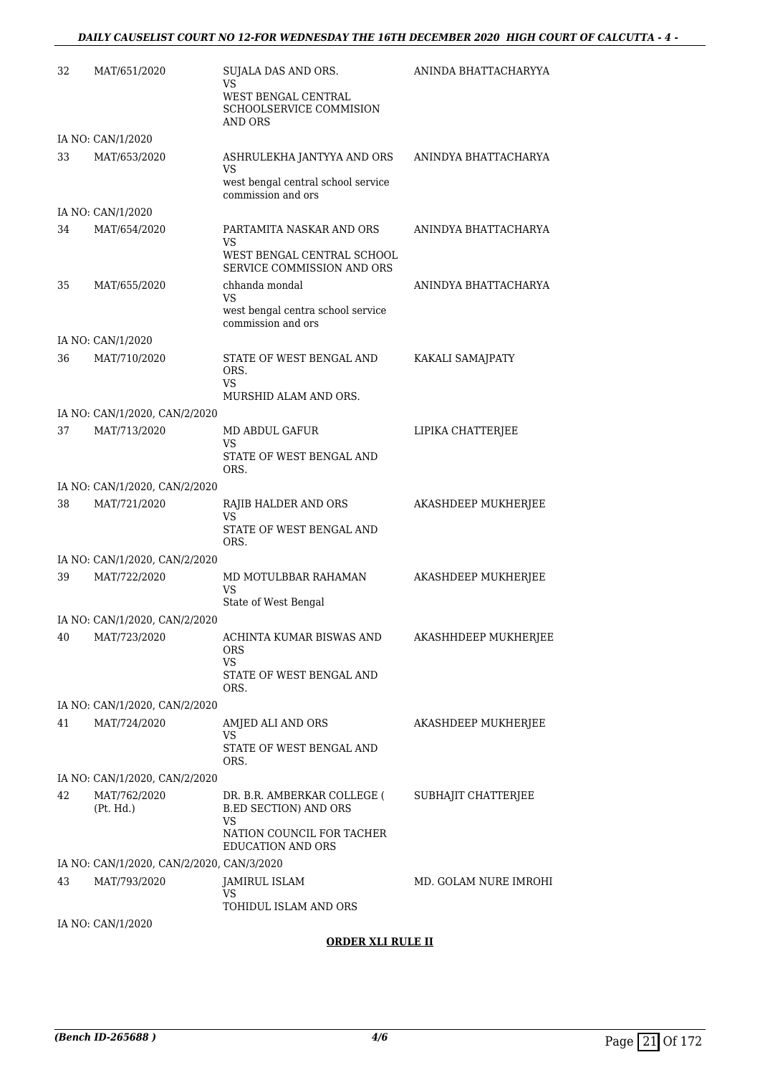| 32 | MAT/651/2020                              | SUJALA DAS AND ORS.<br>VS<br>WEST BENGAL CENTRAL<br><b>SCHOOLSERVICE COMMISION</b><br><b>AND ORS</b> | ANINDA BHATTACHARYYA  |
|----|-------------------------------------------|------------------------------------------------------------------------------------------------------|-----------------------|
|    | IA NO: CAN/1/2020                         |                                                                                                      |                       |
| 33 | MAT/653/2020                              | ASHRULEKHA JANTYYA AND ORS<br>VS<br>west bengal central school service<br>commission and ors         | ANINDYA BHATTACHARYA  |
|    | IA NO: CAN/1/2020                         |                                                                                                      |                       |
| 34 | MAT/654/2020                              | PARTAMITA NASKAR AND ORS<br>VS<br>WEST BENGAL CENTRAL SCHOOL                                         | ANINDYA BHATTACHARYA  |
|    |                                           | SERVICE COMMISSION AND ORS                                                                           |                       |
| 35 | MAT/655/2020                              | chhanda mondal<br>VS<br>west bengal centra school service<br>commission and ors                      | ANINDYA BHATTACHARYA  |
|    | IA NO: CAN/1/2020                         |                                                                                                      |                       |
| 36 | MAT/710/2020                              | STATE OF WEST BENGAL AND<br>ORS.<br>VS                                                               | KAKALI SAMAJPATY      |
|    |                                           | MURSHID ALAM AND ORS.                                                                                |                       |
|    | IA NO: CAN/1/2020, CAN/2/2020             |                                                                                                      |                       |
| 37 | MAT/713/2020                              | MD ABDUL GAFUR<br>VS<br>STATE OF WEST BENGAL AND<br>ORS.                                             | LIPIKA CHATTERJEE     |
|    | IA NO: CAN/1/2020, CAN/2/2020             |                                                                                                      |                       |
| 38 | MAT/721/2020                              | RAJIB HALDER AND ORS<br>VS<br>STATE OF WEST BENGAL AND<br>ORS.                                       | AKASHDEEP MUKHERJEE   |
|    | IA NO: CAN/1/2020, CAN/2/2020             |                                                                                                      |                       |
| 39 | MAT/722/2020                              | MD MOTULBBAR RAHAMAN<br>VS<br>State of West Bengal                                                   | AKASHDEEP MUKHERJEE   |
|    | IA NO: CAN/1/2020, CAN/2/2020             |                                                                                                      |                       |
| 40 | MAT/723/2020                              | ACHINTA KUMAR BISWAS AND<br>ORS<br>VS<br>STATE OF WEST BENGAL AND<br>ORS.                            | AKASHHDEEP MUKHERJEE  |
|    | IA NO: CAN/1/2020, CAN/2/2020             |                                                                                                      |                       |
| 41 | MAT/724/2020                              | AMJED ALI AND ORS<br>VS<br>STATE OF WEST BENGAL AND<br>ORS.                                          | AKASHDEEP MUKHERJEE   |
|    | IA NO: CAN/1/2020, CAN/2/2020             |                                                                                                      |                       |
| 42 | MAT/762/2020<br>(Pt. Hd.)                 | DR. B.R. AMBERKAR COLLEGE (<br><b>B.ED SECTION) AND ORS</b><br>VS                                    | SUBHAJIT CHATTERJEE   |
|    |                                           | NATION COUNCIL FOR TACHER<br><b>EDUCATION AND ORS</b>                                                |                       |
|    | IA NO: CAN/1/2020, CAN/2/2020, CAN/3/2020 |                                                                                                      |                       |
| 43 | MAT/793/2020                              | JAMIRUL ISLAM<br>VS                                                                                  | MD. GOLAM NURE IMROHI |
|    | IA NO: CAN/1/2020                         | TOHIDUL ISLAM AND ORS                                                                                |                       |

#### **ORDER XLI RULE II**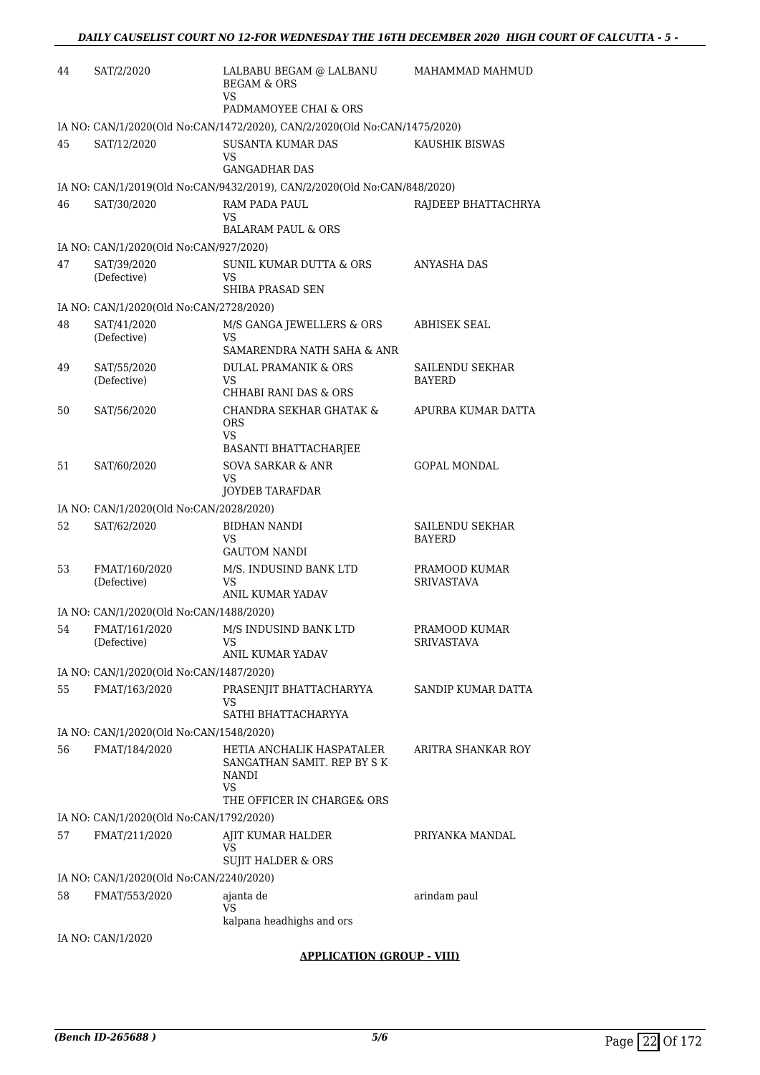| 44 | SAT/2/2020                              | LALBABU BEGAM @ LALBANU<br><b>BEGAM &amp; ORS</b>                         | MAHAMMAD MAHMUD                    |
|----|-----------------------------------------|---------------------------------------------------------------------------|------------------------------------|
|    |                                         | VS<br>PADMAMOYEE CHAI & ORS                                               |                                    |
|    |                                         | IA NO: CAN/1/2020(Old No:CAN/1472/2020), CAN/2/2020(Old No:CAN/1475/2020) |                                    |
| 45 | SAT/12/2020                             | <b>SUSANTA KUMAR DAS</b><br><b>VS</b><br><b>GANGADHAR DAS</b>             | KAUSHIK BISWAS                     |
|    |                                         | IA NO: CAN/1/2019(Old No:CAN/9432/2019), CAN/2/2020(Old No:CAN/848/2020)  |                                    |
| 46 | SAT/30/2020                             | RAM PADA PAUL                                                             | RAJDEEP BHATTACHRYA                |
|    |                                         | VS<br><b>BALARAM PAUL &amp; ORS</b>                                       |                                    |
|    | IA NO: CAN/1/2020(Old No:CAN/927/2020)  |                                                                           |                                    |
| 47 | SAT/39/2020<br>(Defective)              | <b>SUNIL KUMAR DUTTA &amp; ORS</b><br>VS<br>SHIBA PRASAD SEN              | ANYASHA DAS                        |
|    | IA NO: CAN/1/2020(Old No:CAN/2728/2020) |                                                                           |                                    |
| 48 | SAT/41/2020<br>(Defective)              | M/S GANGA JEWELLERS & ORS<br>VS                                           | <b>ABHISEK SEAL</b>                |
|    |                                         | SAMARENDRA NATH SAHA & ANR                                                |                                    |
| 49 | SAT/55/2020<br>(Defective)              | <b>DULAL PRAMANIK &amp; ORS</b><br>VS.                                    | SAILENDU SEKHAR<br><b>BAYERD</b>   |
|    |                                         | CHHABI RANI DAS & ORS                                                     |                                    |
| 50 | SAT/56/2020                             | CHANDRA SEKHAR GHATAK &<br>ORS<br>VS                                      | APURBA KUMAR DATTA                 |
|    |                                         | BASANTI BHATTACHARJEE                                                     |                                    |
| 51 | SAT/60/2020                             | <b>SOVA SARKAR &amp; ANR</b><br>VS<br>JOYDEB TARAFDAR                     | <b>GOPAL MONDAL</b>                |
|    | IA NO: CAN/1/2020(Old No:CAN/2028/2020) |                                                                           |                                    |
| 52 | SAT/62/2020                             | <b>BIDHAN NANDI</b><br>VS                                                 | SAILENDU SEKHAR<br><b>BAYERD</b>   |
|    |                                         | <b>GAUTOM NANDI</b>                                                       |                                    |
| 53 | FMAT/160/2020<br>(Defective)            | M/S. INDUSIND BANK LTD<br>VS<br>ANIL KUMAR YADAV                          | PRAMOOD KUMAR<br><b>SRIVASTAVA</b> |
|    | IA NO: CAN/1/2020(Old No:CAN/1488/2020) |                                                                           |                                    |
| 54 | FMAT/161/2020<br>(Defective)            | M/S INDUSIND BANK LTD<br>VS<br>ANIL KUMAR YADAV                           | PRAMOOD KUMAR<br><b>SRIVASTAVA</b> |
|    | IA NO: CAN/1/2020(Old No:CAN/1487/2020) |                                                                           |                                    |
| 55 | FMAT/163/2020                           | PRASENJIT BHATTACHARYYA                                                   | SANDIP KUMAR DATTA                 |
|    |                                         | VS<br>SATHI BHATTACHARYYA                                                 |                                    |
|    | IA NO: CAN/1/2020(Old No:CAN/1548/2020) |                                                                           |                                    |
| 56 | FMAT/184/2020                           | HETIA ANCHALIK HASPATALER                                                 | ARITRA SHANKAR ROY                 |
|    |                                         | SANGATHAN SAMIT. REP BY S K<br>NANDI<br>VS<br>THE OFFICER IN CHARGE& ORS  |                                    |
|    | IA NO: CAN/1/2020(Old No:CAN/1792/2020) |                                                                           |                                    |
| 57 | FMAT/211/2020                           | AJIT KUMAR HALDER                                                         | PRIYANKA MANDAL                    |
|    |                                         | VS<br><b>SUJIT HALDER &amp; ORS</b>                                       |                                    |
|    | IA NO: CAN/1/2020(Old No:CAN/2240/2020) |                                                                           |                                    |
| 58 | FMAT/553/2020                           | ajanta de<br>VS                                                           | arindam paul                       |
|    |                                         | kalpana headhighs and ors                                                 |                                    |
|    | IA NO: CAN/1/2020                       | <b>APPLICATION (GROUP - VIII)</b>                                         |                                    |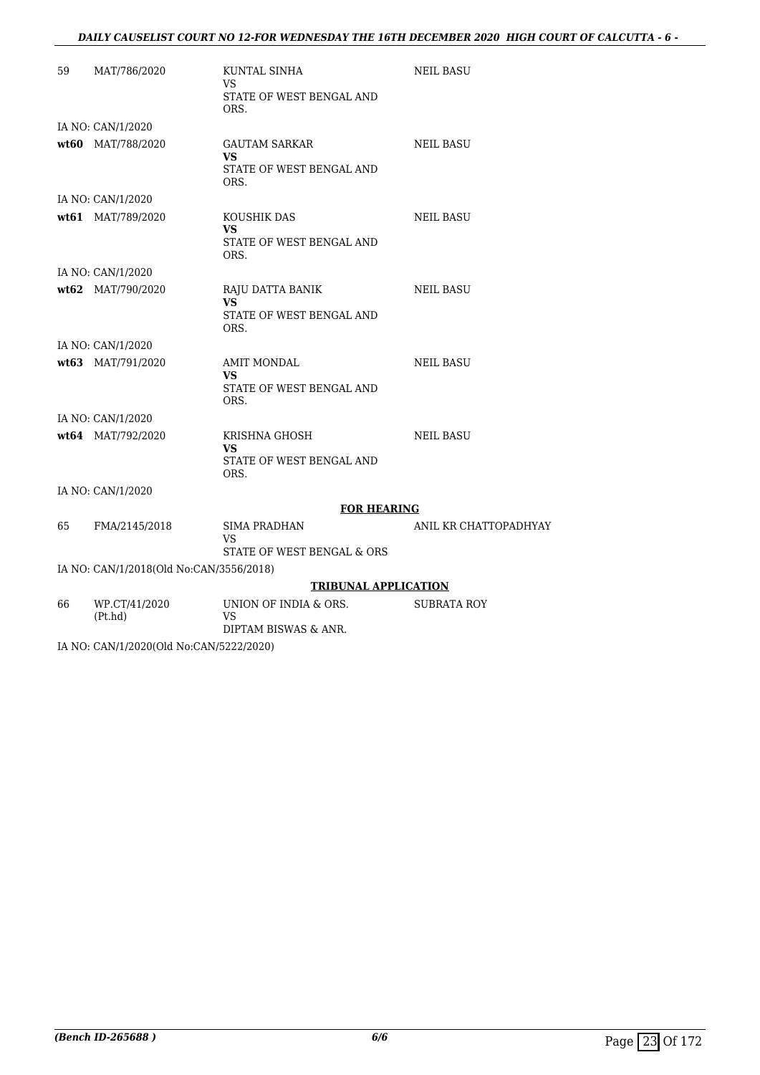### *DAILY CAUSELIST COURT NO 12-FOR WEDNESDAY THE 16TH DECEMBER 2020 HIGH COURT OF CALCUTTA - 6 -*

| 59 | MAT/786/2020                            | KUNTAL SINHA<br><b>VS</b><br>STATE OF WEST BENGAL AND<br>ORS.         | <b>NEIL BASU</b>      |
|----|-----------------------------------------|-----------------------------------------------------------------------|-----------------------|
|    | IA NO: CAN/1/2020                       |                                                                       |                       |
|    | wt60 MAT/788/2020                       | <b>GAUTAM SARKAR</b><br><b>VS</b><br>STATE OF WEST BENGAL AND<br>ORS. | <b>NEIL BASU</b>      |
|    | IA NO: CAN/1/2020                       |                                                                       |                       |
|    | wt61 MAT/789/2020                       | KOUSHIK DAS<br>VS.<br>STATE OF WEST BENGAL AND<br>ORS.                | <b>NEIL BASU</b>      |
|    | IA NO: CAN/1/2020                       |                                                                       |                       |
|    | wt62 MAT/790/2020                       | RAJU DATTA BANIK<br>VS.<br>STATE OF WEST BENGAL AND<br>ORS.           | <b>NEIL BASU</b>      |
|    | IA NO: CAN/1/2020                       |                                                                       |                       |
|    | wt63 MAT/791/2020                       | <b>AMIT MONDAL</b><br><b>VS</b><br>STATE OF WEST BENGAL AND<br>ORS.   | <b>NEIL BASU</b>      |
|    | IA NO: CAN/1/2020                       |                                                                       |                       |
|    | wt64 MAT/792/2020                       | KRISHNA GHOSH<br>VS.<br>STATE OF WEST BENGAL AND<br>ORS.              | <b>NEIL BASU</b>      |
|    | IA NO: CAN/1/2020                       |                                                                       |                       |
|    |                                         | <b>FOR HEARING</b>                                                    |                       |
| 65 | FMA/2145/2018                           | <b>SIMA PRADHAN</b><br><b>VS</b><br>STATE OF WEST BENGAL & ORS        | ANIL KR CHATTOPADHYAY |
|    | IA NO: CAN/1/2018(Old No:CAN/3556/2018) |                                                                       |                       |
|    |                                         | <b>TRIBUNAL APPLICATION</b>                                           |                       |
| 66 | WP.CT/41/2020<br>(Pt.hd)                | UNION OF INDIA & ORS.<br><b>VS</b><br>DIPTAM BISWAS & ANR.            | SUBRATA ROY           |

IA NO: CAN/1/2020(Old No:CAN/5222/2020)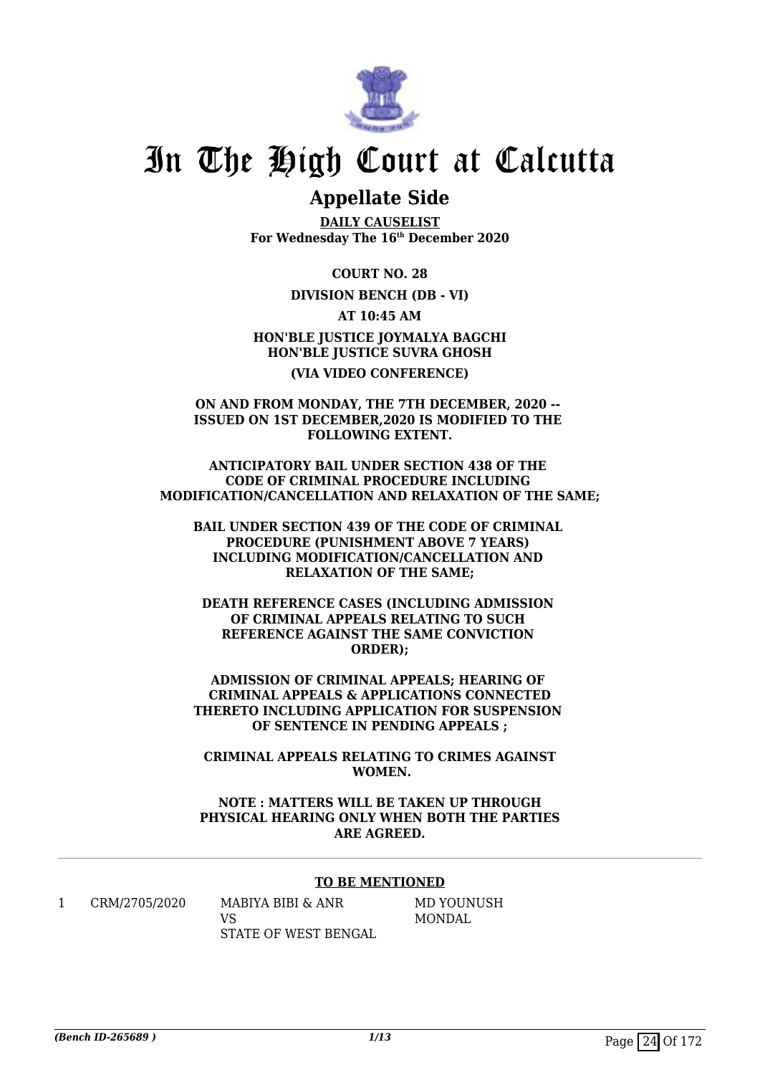

### **Appellate Side**

**DAILY CAUSELIST For Wednesday The 16th December 2020**

**COURT NO. 28**

**DIVISION BENCH (DB - VI)**

**AT 10:45 AM**

**HON'BLE JUSTICE JOYMALYA BAGCHI HON'BLE JUSTICE SUVRA GHOSH (VIA VIDEO CONFERENCE)**

**ON AND FROM MONDAY, THE 7TH DECEMBER, 2020 -- ISSUED ON 1ST DECEMBER,2020 IS MODIFIED TO THE FOLLOWING EXTENT.**

**ANTICIPATORY BAIL UNDER SECTION 438 OF THE CODE OF CRIMINAL PROCEDURE INCLUDING MODIFICATION/CANCELLATION AND RELAXATION OF THE SAME;**

**BAIL UNDER SECTION 439 OF THE CODE OF CRIMINAL PROCEDURE (PUNISHMENT ABOVE 7 YEARS) INCLUDING MODIFICATION/CANCELLATION AND RELAXATION OF THE SAME;**

**DEATH REFERENCE CASES (INCLUDING ADMISSION OF CRIMINAL APPEALS RELATING TO SUCH REFERENCE AGAINST THE SAME CONVICTION ORDER);**

**ADMISSION OF CRIMINAL APPEALS; HEARING OF CRIMINAL APPEALS & APPLICATIONS CONNECTED THERETO INCLUDING APPLICATION FOR SUSPENSION OF SENTENCE IN PENDING APPEALS ;**

**CRIMINAL APPEALS RELATING TO CRIMES AGAINST WOMEN.**

**NOTE : MATTERS WILL BE TAKEN UP THROUGH PHYSICAL HEARING ONLY WHEN BOTH THE PARTIES ARE AGREED.**

### **TO BE MENTIONED**

1 CRM/2705/2020 MABIYA BIBI & ANR  $V<sup>Q</sup>$ STATE OF WEST BENGAL MD YOUNUSH MONDAL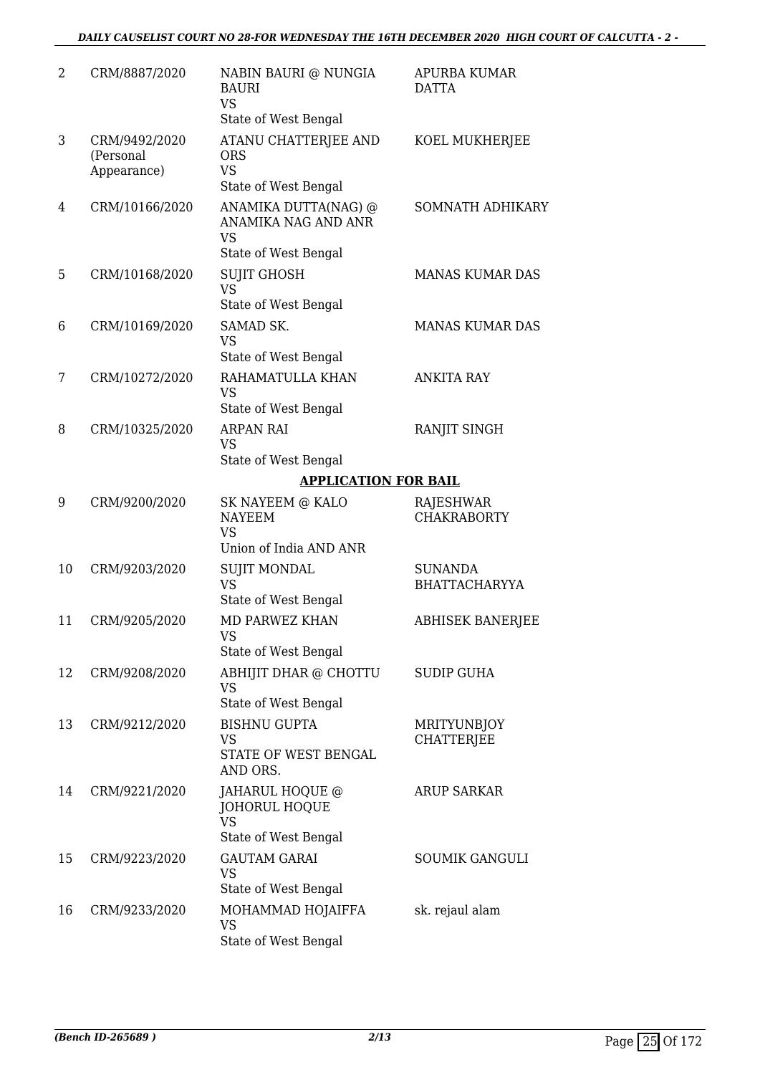### *DAILY CAUSELIST COURT NO 28-FOR WEDNESDAY THE 16TH DECEMBER 2020 HIGH COURT OF CALCUTTA - 2 -*

| 2  | CRM/8887/2020                             | NABIN BAURI @ NUNGIA<br><b>BAURI</b><br><b>VS</b><br>State of West Bengal        | APURBA KUMAR<br><b>DATTA</b>            |
|----|-------------------------------------------|----------------------------------------------------------------------------------|-----------------------------------------|
| 3  | CRM/9492/2020<br>(Personal<br>Appearance) | ATANU CHATTERJEE AND<br><b>ORS</b><br><b>VS</b><br>State of West Bengal          | KOEL MUKHERJEE                          |
| 4  | CRM/10166/2020                            | ANAMIKA DUTTA(NAG) @<br>ANAMIKA NAG AND ANR<br><b>VS</b><br>State of West Bengal | <b>SOMNATH ADHIKARY</b>                 |
| 5  | CRM/10168/2020                            | <b>SUJIT GHOSH</b><br><b>VS</b><br>State of West Bengal                          | <b>MANAS KUMAR DAS</b>                  |
| 6  | CRM/10169/2020                            | SAMAD SK.<br><b>VS</b><br>State of West Bengal                                   | <b>MANAS KUMAR DAS</b>                  |
| 7  | CRM/10272/2020                            | RAHAMATULLA KHAN<br><b>VS</b><br>State of West Bengal                            | <b>ANKITA RAY</b>                       |
| 8  | CRM/10325/2020                            | <b>ARPAN RAI</b><br><b>VS</b><br>State of West Bengal                            | RANJIT SINGH                            |
|    |                                           | <b>APPLICATION FOR BAIL</b>                                                      |                                         |
| 9  | CRM/9200/2020                             | SK NAYEEM @ KALO<br><b>NAYEEM</b><br><b>VS</b>                                   | <b>RAJESHWAR</b><br><b>CHAKRABORTY</b>  |
|    |                                           | Union of India AND ANR                                                           |                                         |
| 10 | CRM/9203/2020                             | <b>SUJIT MONDAL</b><br><b>VS</b><br>State of West Bengal                         | <b>SUNANDA</b><br><b>BHATTACHARYYA</b>  |
| 11 | CRM/9205/2020                             | <b>MD PARWEZ KHAN</b><br><b>VS</b><br>State of West Bengal                       | <b>ABHISEK BANERJEE</b>                 |
| 12 | CRM/9208/2020                             | ABHIJIT DHAR @ CHOTTU<br><b>VS</b><br>State of West Bengal                       | <b>SUDIP GUHA</b>                       |
| 13 | CRM/9212/2020                             | <b>BISHNU GUPTA</b><br>VS<br>STATE OF WEST BENGAL<br>AND ORS.                    | <b>MRITYUNBJOY</b><br><b>CHATTERJEE</b> |
| 14 | CRM/9221/2020                             | JAHARUL HOQUE @<br>JOHORUL HOQUE<br><b>VS</b><br>State of West Bengal            | <b>ARUP SARKAR</b>                      |
| 15 | CRM/9223/2020                             | <b>GAUTAM GARAI</b><br>VS<br>State of West Bengal                                | <b>SOUMIK GANGULI</b>                   |
| 16 | CRM/9233/2020                             | MOHAMMAD HOJAIFFA<br><b>VS</b><br>State of West Bengal                           | sk. rejaul alam                         |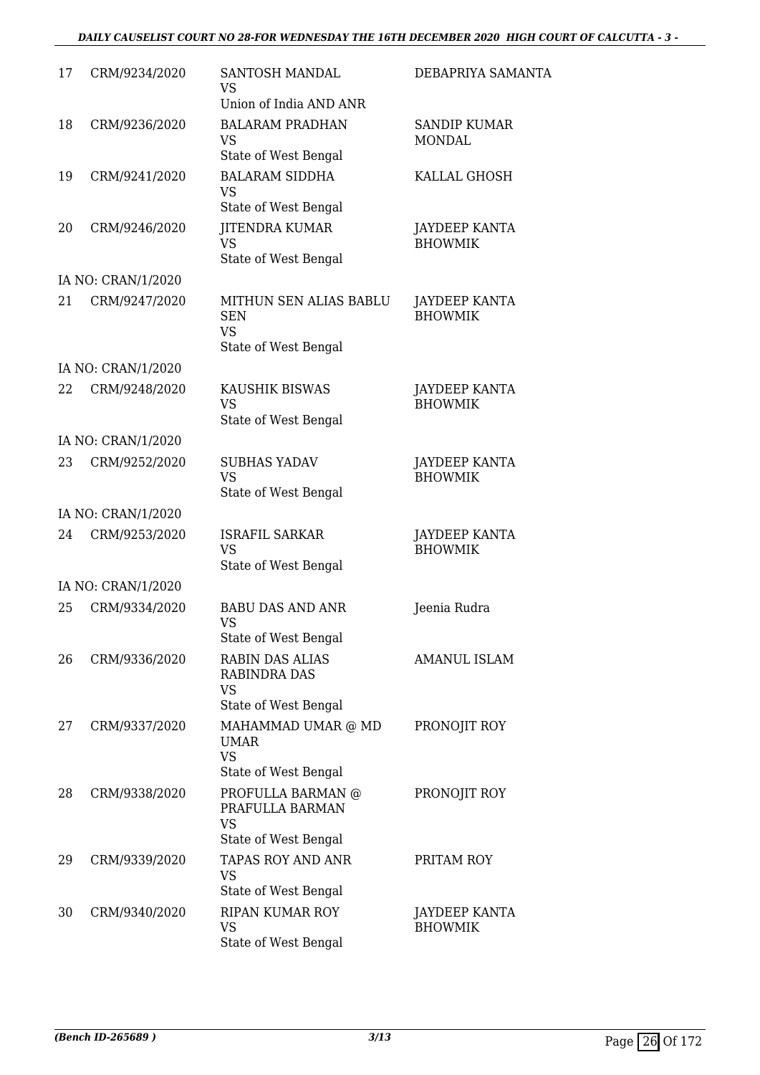### *DAILY CAUSELIST COURT NO 28-FOR WEDNESDAY THE 16TH DECEMBER 2020 HIGH COURT OF CALCUTTA - 3 -*

| 17 | CRM/9234/2020      | SANTOSH MANDAL<br><b>VS</b><br>Union of India AND ANR                              | DEBAPRIYA SAMANTA                    |
|----|--------------------|------------------------------------------------------------------------------------|--------------------------------------|
| 18 | CRM/9236/2020      | <b>BALARAM PRADHAN</b><br>VS.<br>State of West Bengal                              | <b>SANDIP KUMAR</b><br><b>MONDAL</b> |
| 19 | CRM/9241/2020      | <b>BALARAM SIDDHA</b><br><b>VS</b><br>State of West Bengal                         | KALLAL GHOSH                         |
| 20 | CRM/9246/2020      | <b>JITENDRA KUMAR</b><br><b>VS</b><br>State of West Bengal                         | JAYDEEP KANTA<br><b>BHOWMIK</b>      |
|    | IA NO: CRAN/1/2020 |                                                                                    |                                      |
| 21 | CRM/9247/2020      | MITHUN SEN ALIAS BABLU<br><b>SEN</b><br><b>VS</b><br>State of West Bengal          | JAYDEEP KANTA<br><b>BHOWMIK</b>      |
|    | IA NO: CRAN/1/2020 |                                                                                    |                                      |
| 22 | CRM/9248/2020      | KAUSHIK BISWAS<br><b>VS</b><br>State of West Bengal                                | JAYDEEP KANTA<br><b>BHOWMIK</b>      |
|    | IA NO: CRAN/1/2020 |                                                                                    |                                      |
| 23 | CRM/9252/2020      | <b>SUBHAS YADAV</b><br><b>VS</b><br>State of West Bengal                           | JAYDEEP KANTA<br><b>BHOWMIK</b>      |
|    | IA NO: CRAN/1/2020 |                                                                                    |                                      |
| 24 | CRM/9253/2020      | <b>ISRAFIL SARKAR</b><br><b>VS</b><br>State of West Bengal                         | JAYDEEP KANTA<br><b>BHOWMIK</b>      |
|    | IA NO: CRAN/1/2020 |                                                                                    |                                      |
| 25 | CRM/9334/2020      | <b>BABU DAS AND ANR</b><br>VS<br>State of West Bengal                              | Jeenia Rudra                         |
| 26 | CRM/9336/2020      | <b>RABIN DAS ALIAS</b><br><b>RABINDRA DAS</b><br><b>VS</b><br>State of West Bengal | <b>AMANUL ISLAM</b>                  |
| 27 | CRM/9337/2020      | MAHAMMAD UMAR @ MD<br><b>UMAR</b><br><b>VS</b><br>State of West Bengal             | PRONOJIT ROY                         |
| 28 | CRM/9338/2020      | PROFULLA BARMAN @<br>PRAFULLA BARMAN<br><b>VS</b><br>State of West Bengal          | PRONOJIT ROY                         |
| 29 | CRM/9339/2020      | TAPAS ROY AND ANR<br><b>VS</b><br>State of West Bengal                             | PRITAM ROY                           |
| 30 | CRM/9340/2020      | <b>RIPAN KUMAR ROY</b><br><b>VS</b><br>State of West Bengal                        | JAYDEEP KANTA<br><b>BHOWMIK</b>      |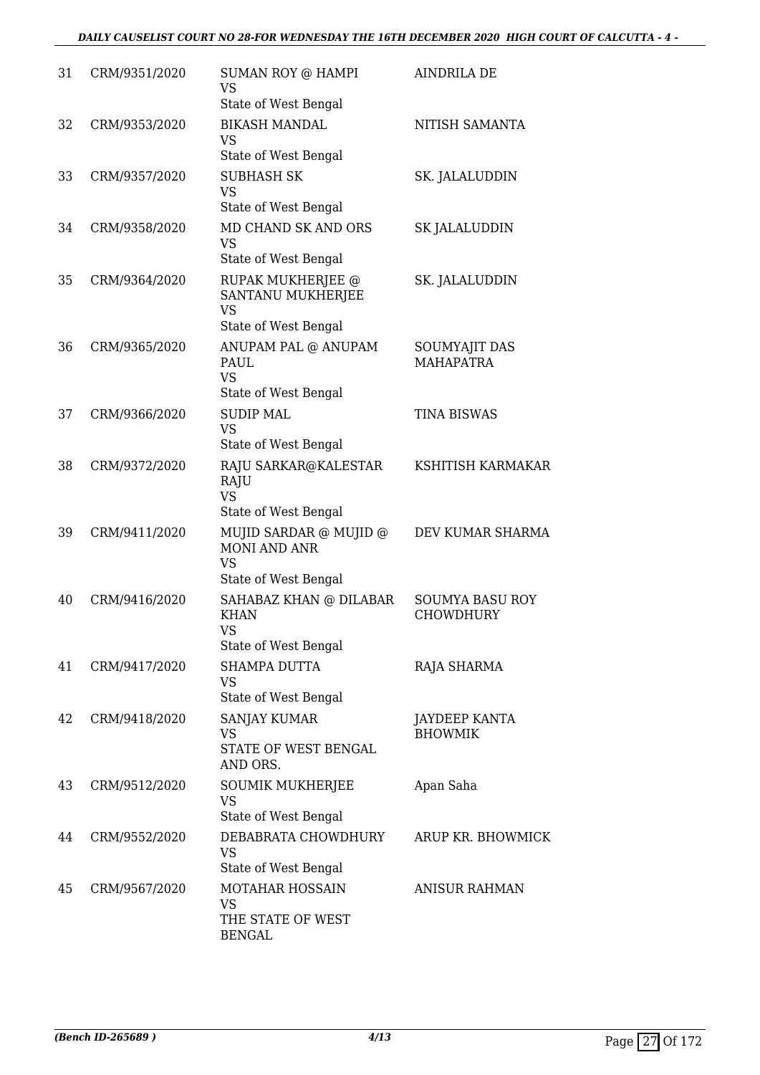| 31 | CRM/9351/2020 | <b>SUMAN ROY @ HAMPI</b><br><b>VS</b>                                              | AINDRILA DE                                |
|----|---------------|------------------------------------------------------------------------------------|--------------------------------------------|
| 32 | CRM/9353/2020 | State of West Bengal<br><b>BIKASH MANDAL</b><br><b>VS</b><br>State of West Bengal  | NITISH SAMANTA                             |
| 33 | CRM/9357/2020 | <b>SUBHASH SK</b><br><b>VS</b><br>State of West Bengal                             | SK. JALALUDDIN                             |
| 34 | CRM/9358/2020 | MD CHAND SK AND ORS<br><b>VS</b><br>State of West Bengal                           | <b>SK JALALUDDIN</b>                       |
| 35 | CRM/9364/2020 | RUPAK MUKHERJEE @<br>SANTANU MUKHERJEE<br><b>VS</b><br>State of West Bengal        | SK. JALALUDDIN                             |
| 36 | CRM/9365/2020 | ANUPAM PAL @ ANUPAM<br><b>PAUL</b><br><b>VS</b><br>State of West Bengal            | <b>SOUMYAJIT DAS</b><br><b>MAHAPATRA</b>   |
| 37 | CRM/9366/2020 | <b>SUDIP MAL</b><br><b>VS</b><br>State of West Bengal                              | <b>TINA BISWAS</b>                         |
| 38 | CRM/9372/2020 | RAJU SARKAR@KALESTAR<br>RAJU<br><b>VS</b><br>State of West Bengal                  | KSHITISH KARMAKAR                          |
| 39 | CRM/9411/2020 | MUJID SARDAR @ MUJID @<br><b>MONI AND ANR</b><br><b>VS</b><br>State of West Bengal | DEV KUMAR SHARMA                           |
| 40 | CRM/9416/2020 | SAHABAZ KHAN @ DILABAR<br><b>KHAN</b><br><b>VS</b><br>State of West Bengal         | <b>SOUMYA BASU ROY</b><br><b>CHOWDHURY</b> |
| 41 | CRM/9417/2020 | <b>SHAMPA DUTTA</b><br><b>VS</b><br>State of West Bengal                           | RAJA SHARMA                                |
| 42 | CRM/9418/2020 | SANJAY KUMAR<br><b>VS</b><br>STATE OF WEST BENGAL<br>AND ORS.                      | JAYDEEP KANTA<br><b>BHOWMIK</b>            |
| 43 | CRM/9512/2020 | <b>SOUMIK MUKHERJEE</b><br><b>VS</b><br>State of West Bengal                       | Apan Saha                                  |
| 44 | CRM/9552/2020 | DEBABRATA CHOWDHURY<br><b>VS</b><br>State of West Bengal                           | ARUP KR. BHOWMICK                          |
| 45 | CRM/9567/2020 | MOTAHAR HOSSAIN<br><b>VS</b><br>THE STATE OF WEST<br><b>BENGAL</b>                 | <b>ANISUR RAHMAN</b>                       |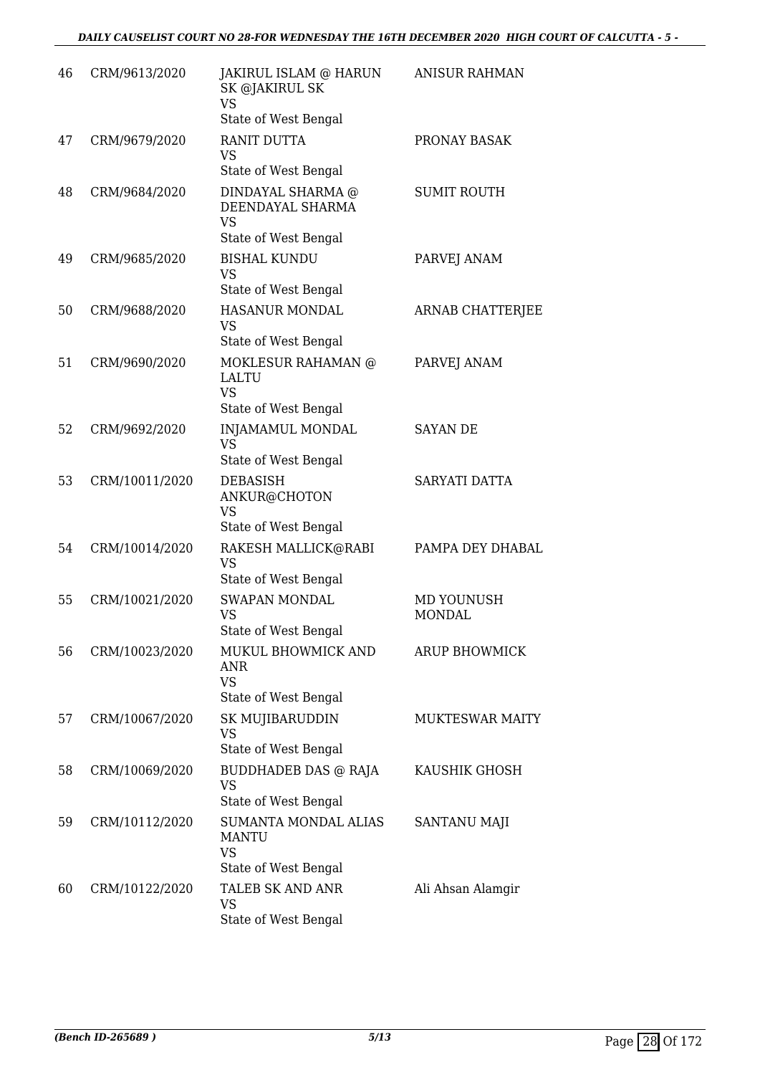| 46 | CRM/9613/2020  | JAKIRUL ISLAM @ HARUN<br>SK @JAKIRUL SK<br><b>VS</b><br>State of West Bengal     | <b>ANISUR RAHMAN</b>        |
|----|----------------|----------------------------------------------------------------------------------|-----------------------------|
| 47 | CRM/9679/2020  | RANIT DUTTA<br><b>VS</b><br>State of West Bengal                                 | PRONAY BASAK                |
| 48 | CRM/9684/2020  | DINDAYAL SHARMA @<br>DEENDAYAL SHARMA<br><b>VS</b><br>State of West Bengal       | <b>SUMIT ROUTH</b>          |
| 49 | CRM/9685/2020  | <b>BISHAL KUNDU</b><br>VS<br>State of West Bengal                                | PARVEJ ANAM                 |
| 50 | CRM/9688/2020  | <b>HASANUR MONDAL</b><br>VS<br>State of West Bengal                              | <b>ARNAB CHATTERJEE</b>     |
| 51 | CRM/9690/2020  | MOKLESUR RAHAMAN @<br>LALTU<br><b>VS</b><br>State of West Bengal                 | PARVEJ ANAM                 |
| 52 | CRM/9692/2020  | <b>INJAMAMUL MONDAL</b><br><b>VS</b><br>State of West Bengal                     | <b>SAYAN DE</b>             |
| 53 | CRM/10011/2020 | DEBASISH<br>ANKUR@CHOTON<br>VS<br>State of West Bengal                           | SARYATI DATTA               |
| 54 | CRM/10014/2020 | RAKESH MALLICK@RABI<br><b>VS</b><br>State of West Bengal                         | PAMPA DEY DHABAL            |
| 55 | CRM/10021/2020 | <b>SWAPAN MONDAL</b><br>VS<br>State of West Bengal                               | MD YOUNUSH<br><b>MONDAL</b> |
| 56 | CRM/10023/2020 | MUKUL BHOWMICK AND<br>ANR<br><b>VS</b><br>State of West Bengal                   | <b>ARUP BHOWMICK</b>        |
| 57 | CRM/10067/2020 | SK MUJIBARUDDIN<br>VS<br>State of West Bengal                                    | <b>MUKTESWAR MAITY</b>      |
| 58 | CRM/10069/2020 | <b>BUDDHADEB DAS @ RAJA</b><br>VS<br>State of West Bengal                        | KAUSHIK GHOSH               |
| 59 | CRM/10112/2020 | <b>SUMANTA MONDAL ALIAS</b><br><b>MANTU</b><br><b>VS</b><br>State of West Bengal | SANTANU MAJI                |
| 60 | CRM/10122/2020 | TALEB SK AND ANR<br><b>VS</b><br>State of West Bengal                            | Ali Ahsan Alamgir           |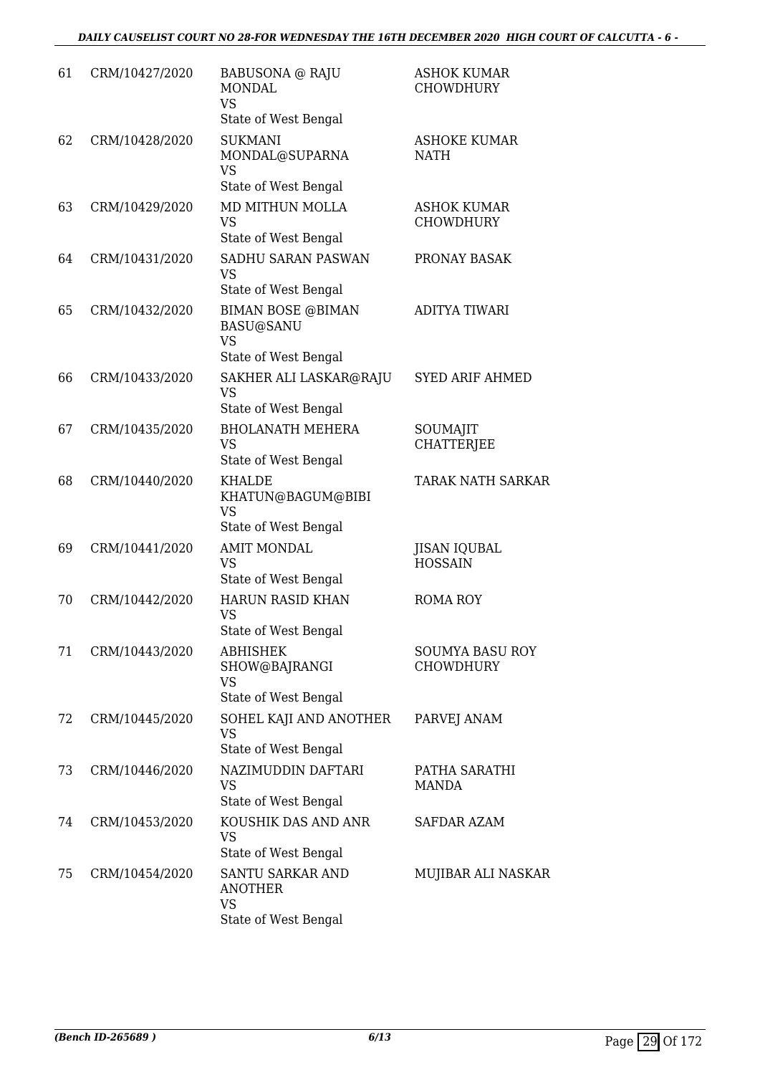| 61 | CRM/10427/2020 | <b>BABUSONA</b> @ RAJU<br><b>MONDAL</b><br><b>VS</b><br>State of West Bengal      | <b>ASHOK KUMAR</b><br><b>CHOWDHURY</b>     |
|----|----------------|-----------------------------------------------------------------------------------|--------------------------------------------|
| 62 | CRM/10428/2020 | <b>SUKMANI</b><br>MONDAL@SUPARNA<br><b>VS</b><br>State of West Bengal             | <b>ASHOKE KUMAR</b><br><b>NATH</b>         |
| 63 | CRM/10429/2020 | MD MITHUN MOLLA<br><b>VS</b><br>State of West Bengal                              | <b>ASHOK KUMAR</b><br><b>CHOWDHURY</b>     |
| 64 | CRM/10431/2020 | SADHU SARAN PASWAN<br>VS<br>State of West Bengal                                  | PRONAY BASAK                               |
| 65 | CRM/10432/2020 | <b>BIMAN BOSE @BIMAN</b><br><b>BASU@SANU</b><br><b>VS</b><br>State of West Bengal | <b>ADITYA TIWARI</b>                       |
| 66 | CRM/10433/2020 | SAKHER ALI LASKAR@RAJU<br>VS<br>State of West Bengal                              | <b>SYED ARIF AHMED</b>                     |
| 67 | CRM/10435/2020 | <b>BHOLANATH MEHERA</b><br><b>VS</b><br>State of West Bengal                      | SOUMAJIT<br><b>CHATTERJEE</b>              |
| 68 | CRM/10440/2020 | <b>KHALDE</b><br>KHATUN@BAGUM@BIBI<br><b>VS</b><br>State of West Bengal           | <b>TARAK NATH SARKAR</b>                   |
| 69 | CRM/10441/2020 | <b>AMIT MONDAL</b><br><b>VS</b><br>State of West Bengal                           | JISAN IQUBAL<br><b>HOSSAIN</b>             |
| 70 | CRM/10442/2020 | <b>HARUN RASID KHAN</b><br><b>VS</b><br>State of West Bengal                      | <b>ROMA ROY</b>                            |
| 71 | CRM/10443/2020 | ABHISHEK<br>SHOW@BAJRANGI<br>VS<br>State of West Bengal                           | <b>SOUMYA BASU ROY</b><br><b>CHOWDHURY</b> |
| 72 | CRM/10445/2020 | SOHEL KAJI AND ANOTHER<br><b>VS</b><br>State of West Bengal                       | PARVEJ ANAM                                |
| 73 | CRM/10446/2020 | NAZIMUDDIN DAFTARI<br>VS<br>State of West Bengal                                  | PATHA SARATHI<br><b>MANDA</b>              |
| 74 | CRM/10453/2020 | KOUSHIK DAS AND ANR<br><b>VS</b><br>State of West Bengal                          | SAFDAR AZAM                                |
| 75 | CRM/10454/2020 | SANTU SARKAR AND<br><b>ANOTHER</b><br><b>VS</b><br>State of West Bengal           | MUJIBAR ALI NASKAR                         |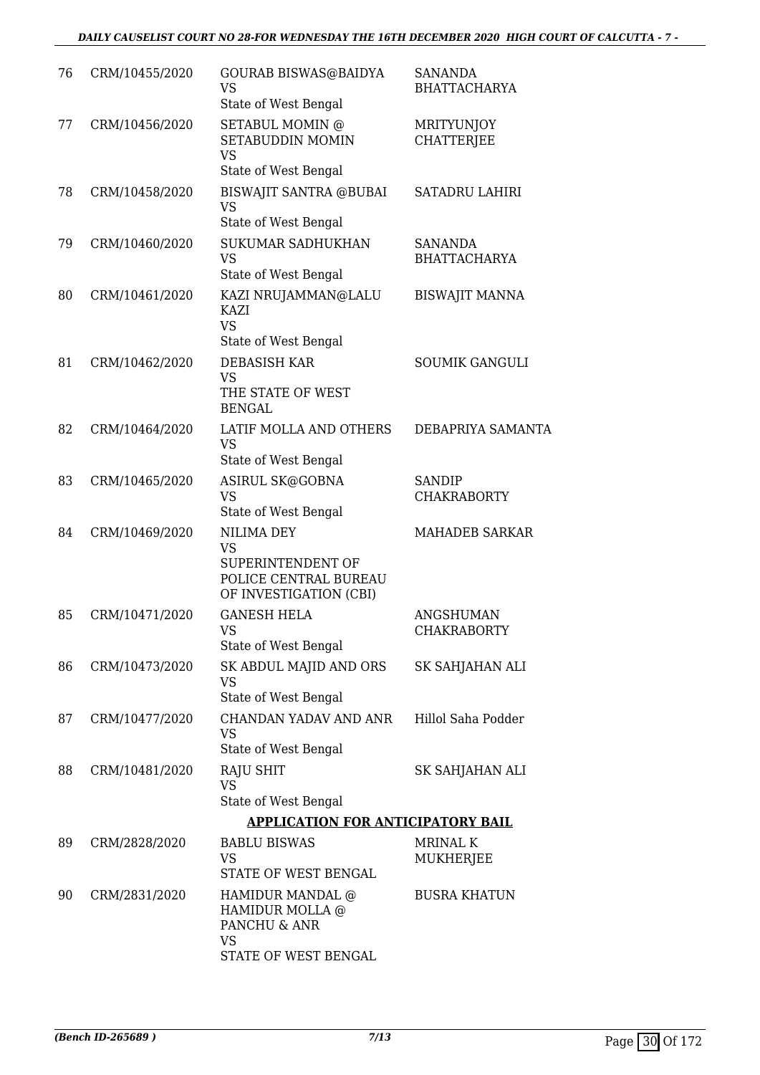| 76 | CRM/10455/2020 | GOURAB BISWAS@BAIDYA<br><b>VS</b><br>State of West Bengal                                              | <b>SANANDA</b><br><b>BHATTACHARYA</b>  |
|----|----------------|--------------------------------------------------------------------------------------------------------|----------------------------------------|
| 77 | CRM/10456/2020 | SETABUL MOMIN @<br>SETABUDDIN MOMIN<br><b>VS</b><br>State of West Bengal                               | <b>MRITYUNJOY</b><br><b>CHATTERJEE</b> |
| 78 | CRM/10458/2020 | <b>BISWAJIT SANTRA @BUBAI</b><br><b>VS</b><br>State of West Bengal                                     | <b>SATADRU LAHIRI</b>                  |
| 79 | CRM/10460/2020 | <b>SUKUMAR SADHUKHAN</b><br><b>VS</b><br>State of West Bengal                                          | <b>SANANDA</b><br><b>BHATTACHARYA</b>  |
| 80 | CRM/10461/2020 | KAZI NRUJAMMAN@LALU<br><b>KAZI</b><br><b>VS</b><br>State of West Bengal                                | <b>BISWAJIT MANNA</b>                  |
| 81 | CRM/10462/2020 | <b>DEBASISH KAR</b><br><b>VS</b><br>THE STATE OF WEST<br><b>BENGAL</b>                                 | <b>SOUMIK GANGULI</b>                  |
| 82 | CRM/10464/2020 | LATIF MOLLA AND OTHERS<br><b>VS</b><br>State of West Bengal                                            | DEBAPRIYA SAMANTA                      |
| 83 | CRM/10465/2020 | ASIRUL SK@GOBNA<br><b>VS</b><br>State of West Bengal                                                   | <b>SANDIP</b><br><b>CHAKRABORTY</b>    |
| 84 | CRM/10469/2020 | <b>NILIMA DEY</b><br><b>VS</b><br>SUPERINTENDENT OF<br>POLICE CENTRAL BUREAU<br>OF INVESTIGATION (CBI) | <b>MAHADEB SARKAR</b>                  |
| 85 | CRM/10471/2020 | <b>GANESH HELA</b><br>VS —<br>State of West Bengal                                                     | <b>ANGSHUMAN</b><br><b>CHAKRABORTY</b> |
| 86 | CRM/10473/2020 | SK ABDUL MAJID AND ORS<br><b>VS</b><br>State of West Bengal                                            | SK SAHJAHAN ALI                        |
| 87 | CRM/10477/2020 | CHANDAN YADAV AND ANR<br><b>VS</b><br>State of West Bengal                                             | Hillol Saha Podder                     |
| 88 | CRM/10481/2020 | <b>RAJU SHIT</b><br><b>VS</b><br>State of West Bengal                                                  | SK SAHJAHAN ALI                        |
|    |                | <b>APPLICATION FOR ANTICIPATORY BAIL</b>                                                               |                                        |
| 89 | CRM/2828/2020  | <b>BABLU BISWAS</b><br><b>VS</b><br>STATE OF WEST BENGAL                                               | <b>MRINAL K</b><br>MUKHERJEE           |
| 90 | CRM/2831/2020  | HAMIDUR MANDAL @<br>HAMIDUR MOLLA @<br>PANCHU & ANR<br>VS<br>STATE OF WEST BENGAL                      | <b>BUSRA KHATUN</b>                    |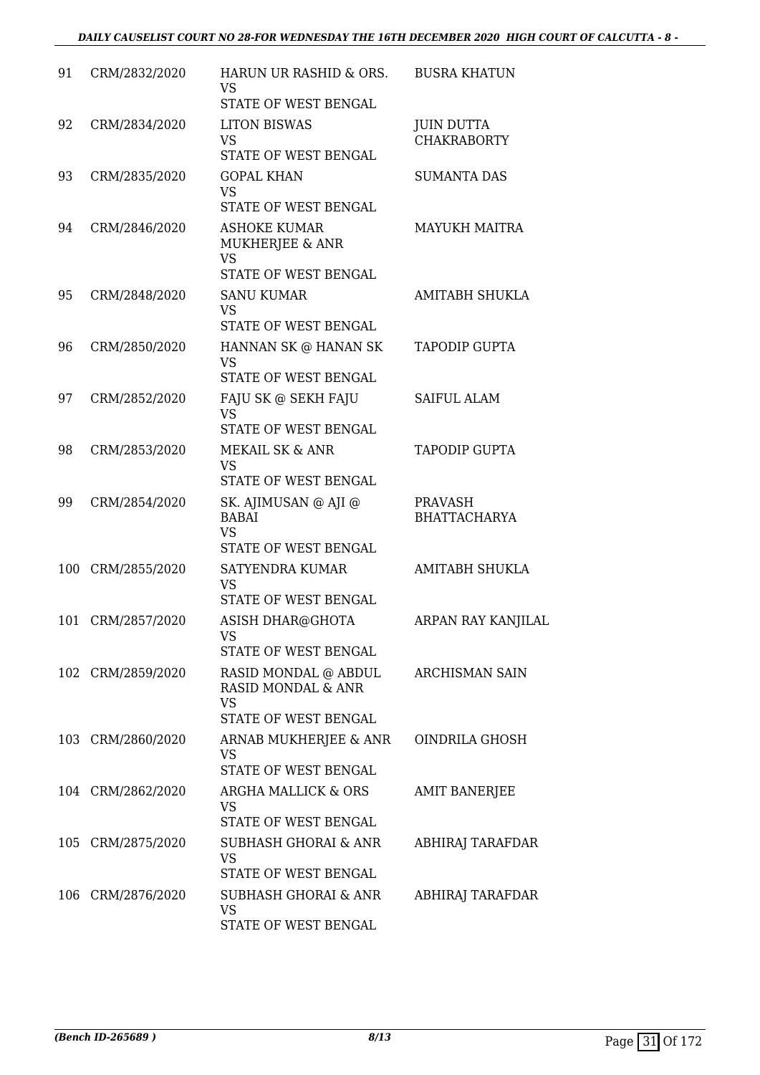| 91  | CRM/2832/2020     | HARUN UR RASHID & ORS.<br>VS<br>STATE OF WEST BENGAL                            | <b>BUSRA KHATUN</b>                     |
|-----|-------------------|---------------------------------------------------------------------------------|-----------------------------------------|
| 92  | CRM/2834/2020     | <b>LITON BISWAS</b><br><b>VS</b><br>STATE OF WEST BENGAL                        | <b>JUIN DUTTA</b><br><b>CHAKRABORTY</b> |
| 93  | CRM/2835/2020     | <b>GOPAL KHAN</b><br><b>VS</b><br>STATE OF WEST BENGAL                          | <b>SUMANTA DAS</b>                      |
| 94  | CRM/2846/2020     | <b>ASHOKE KUMAR</b><br>MUKHERJEE & ANR<br><b>VS</b><br>STATE OF WEST BENGAL     | <b>MAYUKH MAITRA</b>                    |
| 95  | CRM/2848/2020     | <b>SANU KUMAR</b><br><b>VS</b><br>STATE OF WEST BENGAL                          | <b>AMITABH SHUKLA</b>                   |
| 96  | CRM/2850/2020     | HANNAN SK @ HANAN SK<br><b>VS</b><br>STATE OF WEST BENGAL                       | <b>TAPODIP GUPTA</b>                    |
| 97  | CRM/2852/2020     | FAJU SK @ SEKH FAJU<br><b>VS</b><br>STATE OF WEST BENGAL                        | <b>SAIFUL ALAM</b>                      |
| 98  | CRM/2853/2020     | MEKAIL SK & ANR<br><b>VS</b><br>STATE OF WEST BENGAL                            | <b>TAPODIP GUPTA</b>                    |
| 99  | CRM/2854/2020     | SK. AJIMUSAN @ AJI @<br><b>BABAI</b><br><b>VS</b><br>STATE OF WEST BENGAL       | PRAVASH<br><b>BHATTACHARYA</b>          |
| 100 | CRM/2855/2020     | <b>SATYENDRA KUMAR</b><br><b>VS</b><br><b>STATE OF WEST BENGAL</b>              | <b>AMITABH SHUKLA</b>                   |
| 101 | CRM/2857/2020     | ASISH DHAR@GHOTA<br>VS<br>STATE OF WEST BENGAL                                  | ARPAN RAY KANJILAL                      |
|     | 102 CRM/2859/2020 | RASID MONDAL @ ABDUL<br>RASID MONDAL & ANR<br><b>VS</b><br>STATE OF WEST BENGAL | ARCHISMAN SAIN                          |
|     | 103 CRM/2860/2020 | ARNAB MUKHERJEE & ANR<br>VS<br>STATE OF WEST BENGAL                             | OINDRILA GHOSH                          |
|     | 104 CRM/2862/2020 | ARGHA MALLICK & ORS<br><b>VS</b><br>STATE OF WEST BENGAL                        | <b>AMIT BANERJEE</b>                    |
|     | 105 CRM/2875/2020 | SUBHASH GHORAI & ANR<br>VS<br>STATE OF WEST BENGAL                              | ABHIRAJ TARAFDAR                        |
|     | 106 CRM/2876/2020 | <b>SUBHASH GHORAI &amp; ANR</b><br>VS<br>STATE OF WEST BENGAL                   | ABHIRAJ TARAFDAR                        |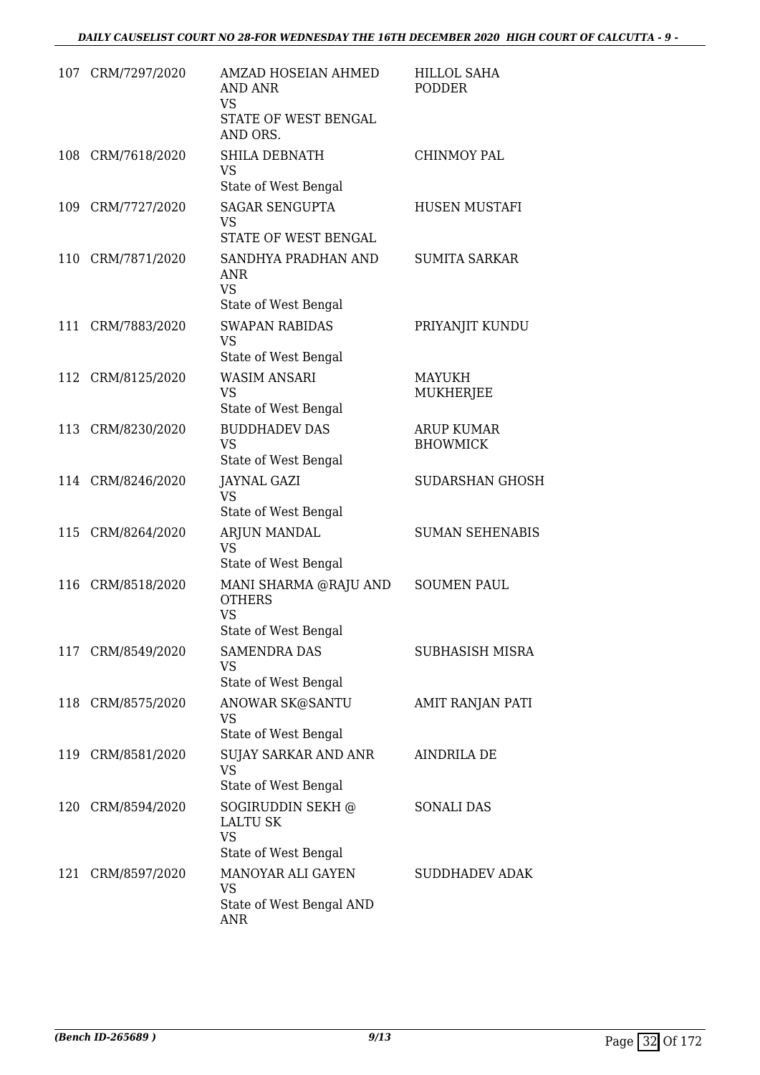|     | 107 CRM/7297/2020 | AMZAD HOSEIAN AHMED<br><b>AND ANR</b><br><b>VS</b><br>STATE OF WEST BENGAL<br>AND ORS. | <b>HILLOL SAHA</b><br><b>PODDER</b>  |
|-----|-------------------|----------------------------------------------------------------------------------------|--------------------------------------|
|     | 108 CRM/7618/2020 | <b>SHILA DEBNATH</b><br><b>VS</b><br>State of West Bengal                              | <b>CHINMOY PAL</b>                   |
| 109 | CRM/7727/2020     | <b>SAGAR SENGUPTA</b><br><b>VS</b>                                                     | <b>HUSEN MUSTAFI</b>                 |
|     | 110 CRM/7871/2020 | STATE OF WEST BENGAL<br>SANDHYA PRADHAN AND<br><b>ANR</b><br><b>VS</b>                 | <b>SUMITA SARKAR</b>                 |
|     |                   | State of West Bengal                                                                   |                                      |
| 111 | CRM/7883/2020     | <b>SWAPAN RABIDAS</b><br><b>VS</b>                                                     | PRIYANJIT KUNDU                      |
|     |                   | State of West Bengal<br><b>WASIM ANSARI</b>                                            |                                      |
|     | 112 CRM/8125/2020 | <b>VS</b><br>State of West Bengal                                                      | <b>MAYUKH</b><br>MUKHERJEE           |
| 113 | CRM/8230/2020     | <b>BUDDHADEV DAS</b><br><b>VS</b><br>State of West Bengal                              | <b>ARUP KUMAR</b><br><b>BHOWMICK</b> |
|     | 114 CRM/8246/2020 | <b>JAYNAL GAZI</b><br><b>VS</b><br>State of West Bengal                                | <b>SUDARSHAN GHOSH</b>               |
| 115 | CRM/8264/2020     | ARJUN MANDAL<br><b>VS</b><br>State of West Bengal                                      | <b>SUMAN SEHENABIS</b>               |
| 116 | CRM/8518/2020     | MANI SHARMA @RAJU AND<br><b>OTHERS</b><br><b>VS</b><br>State of West Bengal            | <b>SOUMEN PAUL</b>                   |
|     | 117 CRM/8549/2020 | <b>SAMENDRA DAS</b><br><b>VS</b><br>State of West Bengal                               | SUBHASISH MISRA                      |
|     | 118 CRM/8575/2020 | ANOWAR SK@SANTU<br><b>VS</b><br>State of West Bengal                                   | <b>AMIT RANJAN PATI</b>              |
|     | 119 CRM/8581/2020 | <b>SUJAY SARKAR AND ANR</b><br><b>VS</b><br>State of West Bengal                       | <b>AINDRILA DE</b>                   |
|     | 120 CRM/8594/2020 | SOGIRUDDIN SEKH @<br><b>LALTU SK</b><br><b>VS</b>                                      | <b>SONALI DAS</b>                    |
|     |                   | State of West Bengal                                                                   |                                      |
| 121 | CRM/8597/2020     | MANOYAR ALI GAYEN<br><b>VS</b><br>State of West Bengal AND                             | <b>SUDDHADEV ADAK</b>                |
|     |                   | <b>ANR</b>                                                                             |                                      |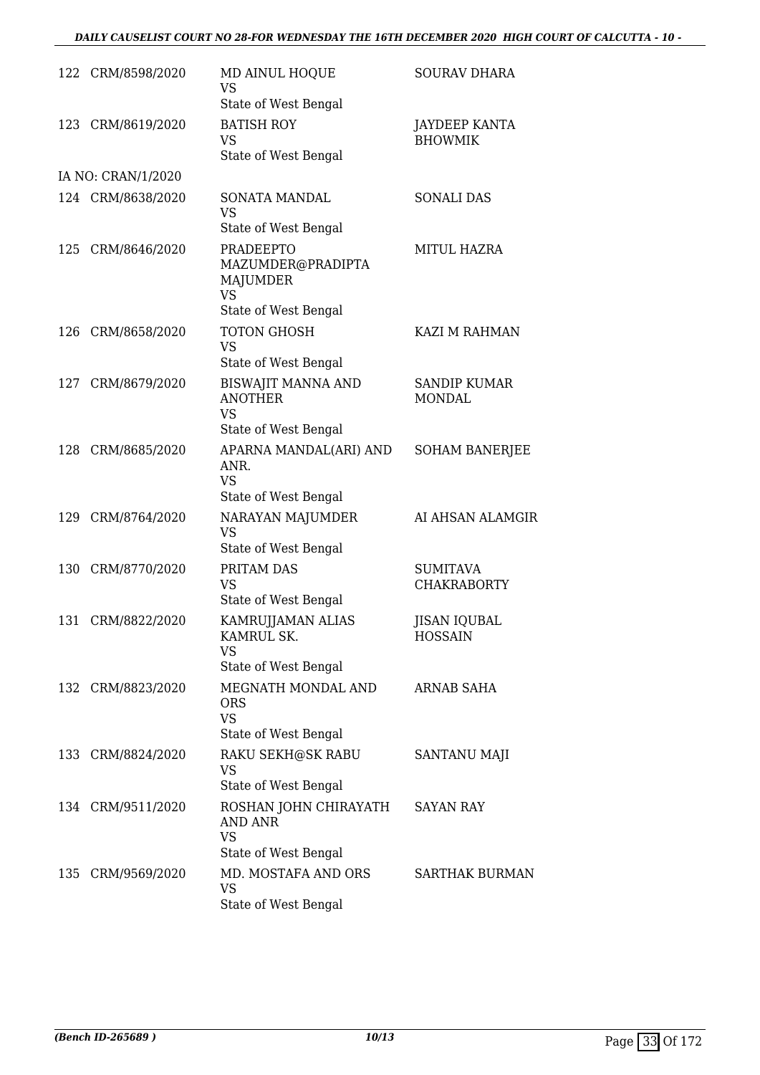|     | 122 CRM/8598/2020  | MD AINUL HOQUE<br><b>VS</b><br>State of West Bengal                                           | <b>SOURAV DHARA</b>                    |
|-----|--------------------|-----------------------------------------------------------------------------------------------|----------------------------------------|
| 123 | CRM/8619/2020      | <b>BATISH ROY</b><br><b>VS</b><br>State of West Bengal                                        | <b>JAYDEEP KANTA</b><br><b>BHOWMIK</b> |
|     | IA NO: CRAN/1/2020 |                                                                                               |                                        |
|     | 124 CRM/8638/2020  | <b>SONATA MANDAL</b><br><b>VS</b><br>State of West Bengal                                     | <b>SONALI DAS</b>                      |
|     | 125 CRM/8646/2020  | <b>PRADEEPTO</b><br>MAZUMDER@PRADIPTA<br><b>MAJUMDER</b><br><b>VS</b><br>State of West Bengal | <b>MITUL HAZRA</b>                     |
| 126 | CRM/8658/2020      | TOTON GHOSH<br><b>VS</b><br>State of West Bengal                                              | KAZI M RAHMAN                          |
| 127 | CRM/8679/2020      | <b>BISWAJIT MANNA AND</b><br><b>ANOTHER</b><br><b>VS</b>                                      | <b>SANDIP KUMAR</b><br><b>MONDAL</b>   |
|     |                    | State of West Bengal                                                                          |                                        |
| 128 | CRM/8685/2020      | APARNA MANDAL(ARI) AND<br>ANR.<br><b>VS</b><br>State of West Bengal                           | <b>SOHAM BANERJEE</b>                  |
|     | 129 CRM/8764/2020  | NARAYAN MAJUMDER<br><b>VS</b><br>State of West Bengal                                         | AI AHSAN ALAMGIR                       |
| 130 | CRM/8770/2020      | PRITAM DAS<br><b>VS</b><br>State of West Bengal                                               | <b>SUMITAVA</b><br><b>CHAKRABORTY</b>  |
| 131 | CRM/8822/2020      | KAMRUJJAMAN ALIAS<br>KAMRUL SK.<br><b>VS</b><br>State of West Bengal                          | <b>JISAN IQUBAL</b><br><b>HOSSAIN</b>  |
|     | 132 CRM/8823/2020  | MEGNATH MONDAL AND<br><b>ORS</b><br><b>VS</b>                                                 | ARNAB SAHA                             |
|     | 133 CRM/8824/2020  | State of West Bengal<br>RAKU SEKH@SK RABU<br>VS<br>State of West Bengal                       | SANTANU MAJI                           |
|     | 134 CRM/9511/2020  | ROSHAN JOHN CHIRAYATH<br><b>AND ANR</b><br><b>VS</b><br>State of West Bengal                  | <b>SAYAN RAY</b>                       |
|     | 135 CRM/9569/2020  | MD. MOSTAFA AND ORS<br><b>VS</b><br>State of West Bengal                                      | <b>SARTHAK BURMAN</b>                  |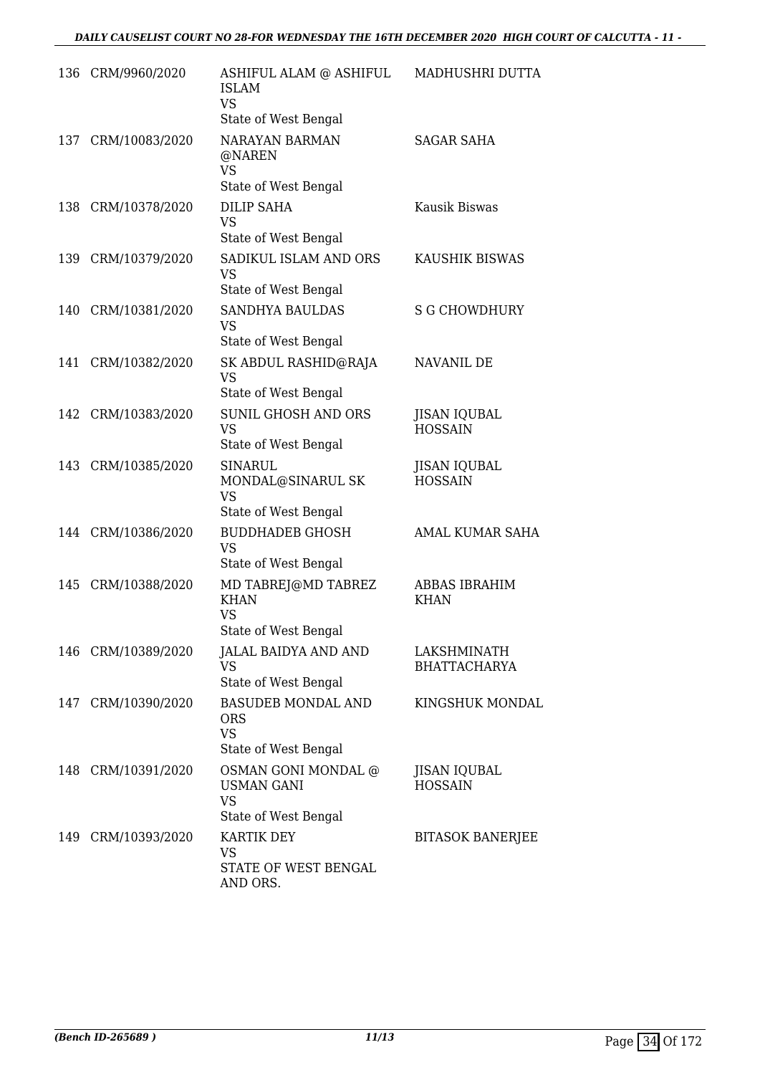|     | 136 CRM/9960/2020  | ASHIFUL ALAM @ ASHIFUL<br>ISLAM<br><b>VS</b><br>State of West Bengal                                  | MADHUSHRI DUTTA                       |
|-----|--------------------|-------------------------------------------------------------------------------------------------------|---------------------------------------|
|     | 137 CRM/10083/2020 | <b>NARAYAN BARMAN</b><br>@NAREN<br><b>VS</b><br>State of West Bengal                                  | <b>SAGAR SAHA</b>                     |
| 138 | CRM/10378/2020     | <b>DILIP SAHA</b><br><b>VS</b><br>State of West Bengal                                                | Kausik Biswas                         |
|     | 139 CRM/10379/2020 | SADIKUL ISLAM AND ORS<br><b>VS</b><br>State of West Bengal                                            | KAUSHIK BISWAS                        |
| 140 | CRM/10381/2020     | <b>SANDHYA BAULDAS</b><br><b>VS</b><br>State of West Bengal                                           | <b>S G CHOWDHURY</b>                  |
| 141 | CRM/10382/2020     | SK ABDUL RASHID@RAJA<br><b>VS</b><br>State of West Bengal                                             | NAVANIL DE                            |
| 142 | CRM/10383/2020     | <b>SUNIL GHOSH AND ORS</b><br>VS<br>State of West Bengal                                              | <b>JISAN IQUBAL</b><br><b>HOSSAIN</b> |
|     | 143 CRM/10385/2020 | <b>SINARUL</b><br>MONDAL@SINARUL SK<br><b>VS</b><br>State of West Bengal                              | JISAN IQUBAL<br><b>HOSSAIN</b>        |
|     | 144 CRM/10386/2020 | <b>BUDDHADEB GHOSH</b><br><b>VS</b><br>State of West Bengal                                           | AMAL KUMAR SAHA                       |
| 145 | CRM/10388/2020     | MD TABREJ@MD TABREZ<br><b>KHAN</b><br>VS                                                              | <b>ABBAS IBRAHIM</b><br><b>KHAN</b>   |
|     | 146 CRM/10389/2020 | State of West Bengal<br><b>JALAL BAIDYA AND AND</b><br>VS<br>State of West Bengal                     | LAKSHMINATH<br><b>BHATTACHARYA</b>    |
|     | 147 CRM/10390/2020 | <b>BASUDEB MONDAL AND</b><br><b>ORS</b><br><b>VS</b>                                                  | KINGSHUK MONDAL                       |
|     | 148 CRM/10391/2020 | State of West Bengal<br>OSMAN GONI MONDAL @<br><b>USMAN GANI</b><br><b>VS</b><br>State of West Bengal | <b>JISAN IQUBAL</b><br><b>HOSSAIN</b> |
|     | 149 CRM/10393/2020 | <b>KARTIK DEY</b><br><b>VS</b><br>STATE OF WEST BENGAL<br>AND ORS.                                    | <b>BITASOK BANERJEE</b>               |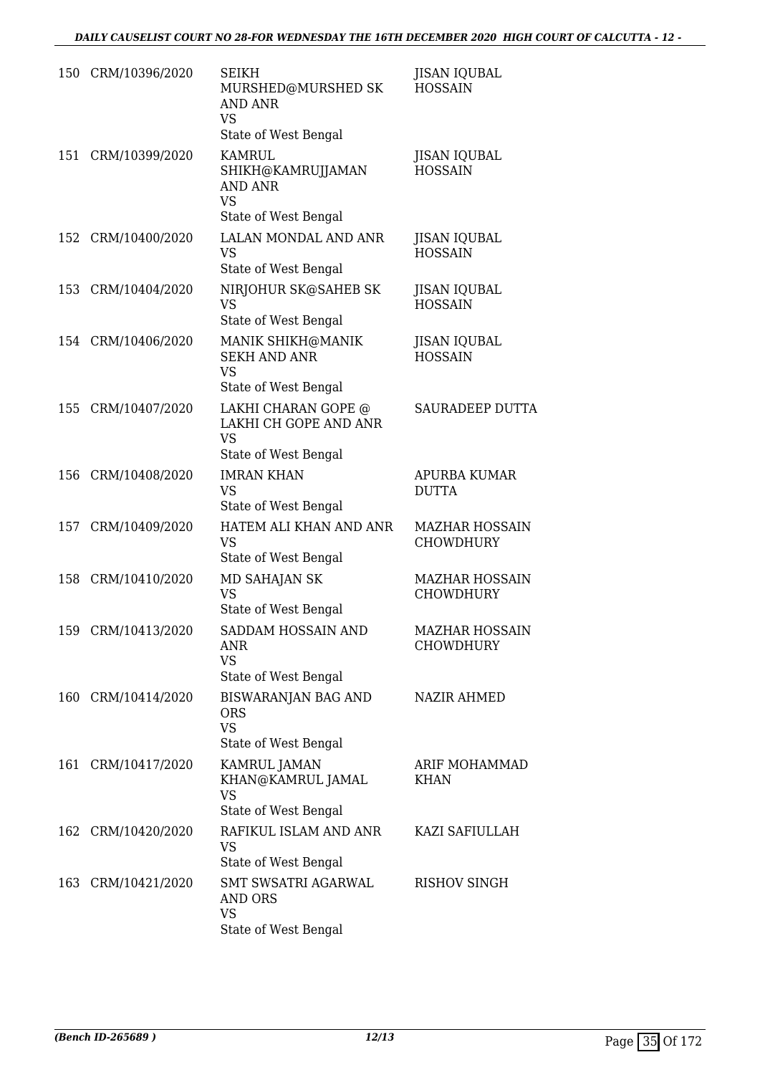|     | 150 CRM/10396/2020 | <b>SEIKH</b><br>MURSHED@MURSHED SK<br><b>AND ANR</b><br><b>VS</b><br>State of West Bengal      | <b>JISAN IQUBAL</b><br><b>HOSSAIN</b>     |
|-----|--------------------|------------------------------------------------------------------------------------------------|-------------------------------------------|
|     | 151 CRM/10399/2020 | <b>KAMRUL</b><br>SHIKH@KAMRUJJAMAN<br><b>AND ANR</b><br><b>VS</b>                              | <b>JISAN IQUBAL</b><br><b>HOSSAIN</b>     |
|     |                    | State of West Bengal                                                                           |                                           |
| 152 | CRM/10400/2020     | LALAN MONDAL AND ANR<br>VS<br>State of West Bengal                                             | <b>JISAN IQUBAL</b><br><b>HOSSAIN</b>     |
|     | 153 CRM/10404/2020 | NIRJOHUR SK@SAHEB SK<br><b>VS</b><br>State of West Bengal                                      | <b>JISAN IQUBAL</b><br><b>HOSSAIN</b>     |
|     | 154 CRM/10406/2020 | MANIK SHIKH@MANIK<br><b>SEKH AND ANR</b><br>VS<br>State of West Bengal                         | <b>JISAN IQUBAL</b><br><b>HOSSAIN</b>     |
| 155 | CRM/10407/2020     | LAKHI CHARAN GOPE @<br>LAKHI CH GOPE AND ANR<br><b>VS</b><br>State of West Bengal              | <b>SAURADEEP DUTTA</b>                    |
| 156 | CRM/10408/2020     | <b>IMRAN KHAN</b><br><b>VS</b><br>State of West Bengal                                         | APURBA KUMAR<br><b>DUTTA</b>              |
| 157 | CRM/10409/2020     | HATEM ALI KHAN AND ANR<br><b>VS</b><br>State of West Bengal                                    | MAZHAR HOSSAIN<br><b>CHOWDHURY</b>        |
|     | 158 CRM/10410/2020 | MD SAHAJAN SK<br><b>VS</b><br>State of West Bengal                                             | <b>MAZHAR HOSSAIN</b><br><b>CHOWDHURY</b> |
|     | 159 CRM/10413/2020 | SADDAM HOSSAIN AND<br>ANR<br><b>VS</b>                                                         | MAZHAR HOSSAIN<br>CHOWDHURY               |
|     | 160 CRM/10414/2020 | State of West Bengal<br><b>BISWARANJAN BAG AND</b><br>ORS<br><b>VS</b><br>State of West Bengal | <b>NAZIR AHMED</b>                        |
|     | 161 CRM/10417/2020 | KAMRUL JAMAN<br>KHAN@KAMRUL JAMAL<br>VS<br>State of West Bengal                                | ARIF MOHAMMAD<br><b>KHAN</b>              |
|     | 162 CRM/10420/2020 | RAFIKUL ISLAM AND ANR<br><b>VS</b><br>State of West Bengal                                     | KAZI SAFIULLAH                            |
|     | 163 CRM/10421/2020 | SMT SWSATRI AGARWAL<br><b>AND ORS</b><br><b>VS</b><br>State of West Bengal                     | <b>RISHOV SINGH</b>                       |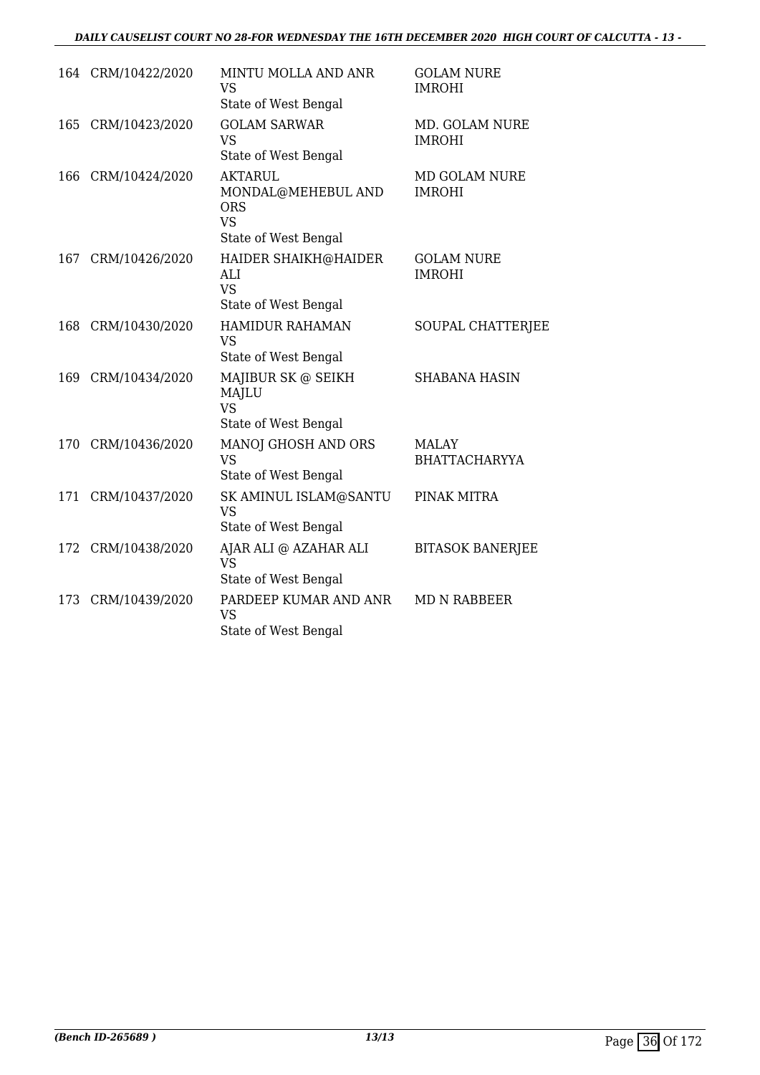#### *DAILY CAUSELIST COURT NO 28-FOR WEDNESDAY THE 16TH DECEMBER 2020 HIGH COURT OF CALCUTTA - 13 -*

|     | 164 CRM/10422/2020 | MINTU MOLLA AND ANR<br><b>VS</b><br>State of West Bengal                                | <b>GOLAM NURE</b><br><b>IMROHI</b>    |
|-----|--------------------|-----------------------------------------------------------------------------------------|---------------------------------------|
| 165 | CRM/10423/2020     | <b>GOLAM SARWAR</b><br><b>VS</b><br>State of West Bengal                                | MD. GOLAM NURE<br><b>IMROHI</b>       |
| 166 | CRM/10424/2020     | <b>AKTARUL</b><br>MONDAL@MEHEBUL AND<br><b>ORS</b><br><b>VS</b><br>State of West Bengal | <b>MD GOLAM NURE</b><br><b>IMROHI</b> |
| 167 | CRM/10426/2020     | HAIDER SHAIKH@HAIDER<br>ALI<br><b>VS</b><br>State of West Bengal                        | <b>GOLAM NURE</b><br><b>IMROHI</b>    |
| 168 | CRM/10430/2020     | <b>HAMIDUR RAHAMAN</b><br><b>VS</b><br>State of West Bengal                             | SOUPAL CHATTERJEE                     |
| 169 | CRM/10434/2020     | MAJIBUR SK @ SEIKH<br><b>MAJLU</b><br><b>VS</b><br>State of West Bengal                 | <b>SHABANA HASIN</b>                  |
| 170 | CRM/10436/2020     | MANOJ GHOSH AND ORS<br><b>VS</b><br>State of West Bengal                                | <b>MALAY</b><br>BHATTACHARYYA         |
| 171 | CRM/10437/2020     | SK AMINUL ISLAM@SANTU<br><b>VS</b><br>State of West Bengal                              | PINAK MITRA                           |
| 172 | CRM/10438/2020     | AJAR ALI @ AZAHAR ALI<br><b>VS</b><br>State of West Bengal                              | <b>BITASOK BANERJEE</b>               |
| 173 | CRM/10439/2020     | PARDEEP KUMAR AND ANR<br><b>VS</b><br>State of West Bengal                              | <b>MD N RABBEER</b>                   |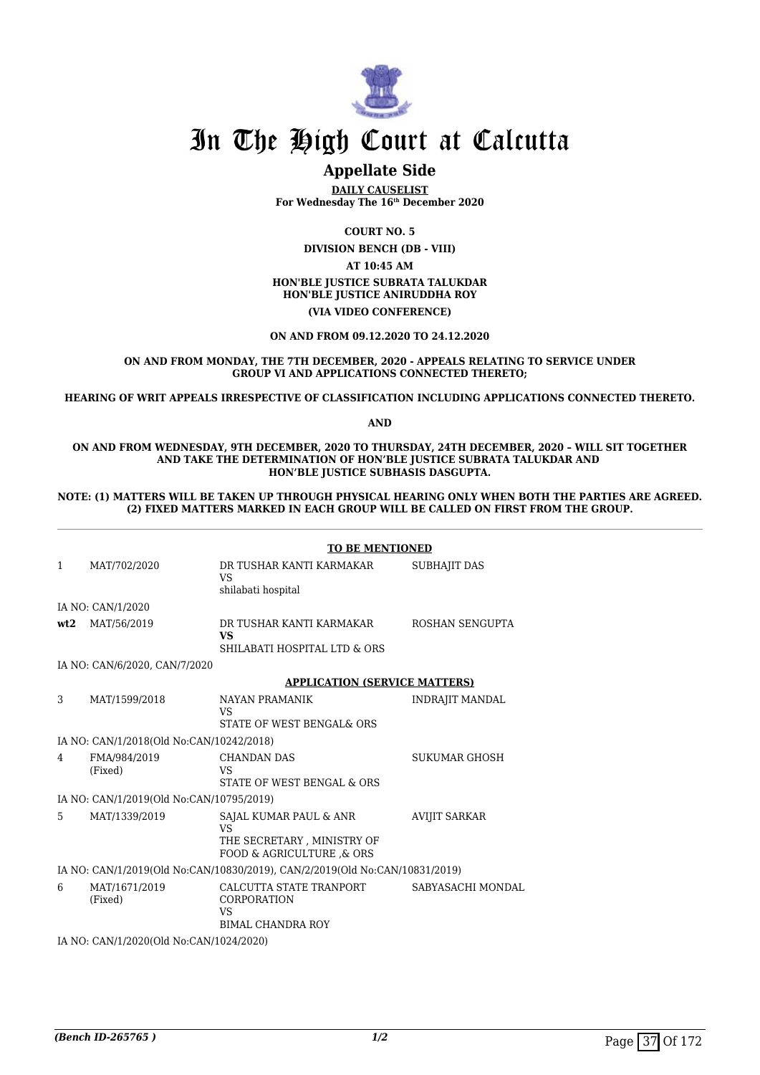

## **Appellate Side**

**DAILY CAUSELIST For Wednesday The 16th December 2020**

**COURT NO. 5**

**DIVISION BENCH (DB - VIII) AT 10:45 AM HON'BLE JUSTICE SUBRATA TALUKDAR HON'BLE JUSTICE ANIRUDDHA ROY (VIA VIDEO CONFERENCE)**

**ON AND FROM 09.12.2020 TO 24.12.2020**

#### **ON AND FROM MONDAY, THE 7TH DECEMBER, 2020 - APPEALS RELATING TO SERVICE UNDER GROUP VI AND APPLICATIONS CONNECTED THERETO;**

**HEARING OF WRIT APPEALS IRRESPECTIVE OF CLASSIFICATION INCLUDING APPLICATIONS CONNECTED THERETO.**

**AND**

**ON AND FROM WEDNESDAY, 9TH DECEMBER, 2020 TO THURSDAY, 24TH DECEMBER, 2020 – WILL SIT TOGETHER AND TAKE THE DETERMINATION OF HON'BLE JUSTICE SUBRATA TALUKDAR AND HON'BLE JUSTICE SUBHASIS DASGUPTA.**

#### **NOTE: (1) MATTERS WILL BE TAKEN UP THROUGH PHYSICAL HEARING ONLY WHEN BOTH THE PARTIES ARE AGREED. (2) FIXED MATTERS MARKED IN EACH GROUP WILL BE CALLED ON FIRST FROM THE GROUP.**

|              |                                          | <b>TO BE MENTIONED</b>                                                                        |                        |  |
|--------------|------------------------------------------|-----------------------------------------------------------------------------------------------|------------------------|--|
| $\mathbf{1}$ | MAT/702/2020                             | DR TUSHAR KANTI KARMAKAR<br>VS.<br>shilabati hospital                                         | <b>SUBHAJIT DAS</b>    |  |
|              | IA NO: CAN/1/2020                        |                                                                                               |                        |  |
| wt2          | MAT/56/2019                              | DR TUSHAR KANTI KARMAKAR<br><b>VS</b><br><b>SHILABATI HOSPITAL LTD &amp; ORS</b>              | ROSHAN SENGUPTA        |  |
|              | IA NO: CAN/6/2020, CAN/7/2020            |                                                                                               |                        |  |
|              |                                          | <b>APPLICATION (SERVICE MATTERS)</b>                                                          |                        |  |
| 3            | MAT/1599/2018                            | <b>NAYAN PRAMANIK</b><br>VS<br>STATE OF WEST BENGAL& ORS                                      | <b>INDRAJIT MANDAL</b> |  |
|              | IA NO: CAN/1/2018(Old No:CAN/10242/2018) |                                                                                               |                        |  |
| 4            | FMA/984/2019<br>(Fixed)                  | <b>CHANDAN DAS</b><br>VS<br><b>STATE OF WEST BENGAL &amp; ORS</b>                             | <b>SUKUMAR GHOSH</b>   |  |
|              | IA NO: CAN/1/2019(Old No:CAN/10795/2019) |                                                                                               |                        |  |
| 5            | MAT/1339/2019                            | SAJAL KUMAR PAUL & ANR<br><b>VS</b><br>THE SECRETARY, MINISTRY OF<br>FOOD & AGRICULTURE & ORS | <b>AVIJIT SARKAR</b>   |  |
|              |                                          | IA NO: CAN/1/2019(Old No:CAN/10830/2019), CAN/2/2019(Old No:CAN/10831/2019)                   |                        |  |
| 6            | MAT/1671/2019<br>(Fixed)                 | CALCUTTA STATE TRANPORT<br>CORPORATION<br>VS<br><b>BIMAL CHANDRA ROY</b>                      | SABYASACHI MONDAL      |  |
|              | IA NO: CAN/1/2020(Old No:CAN/1024/2020)  |                                                                                               |                        |  |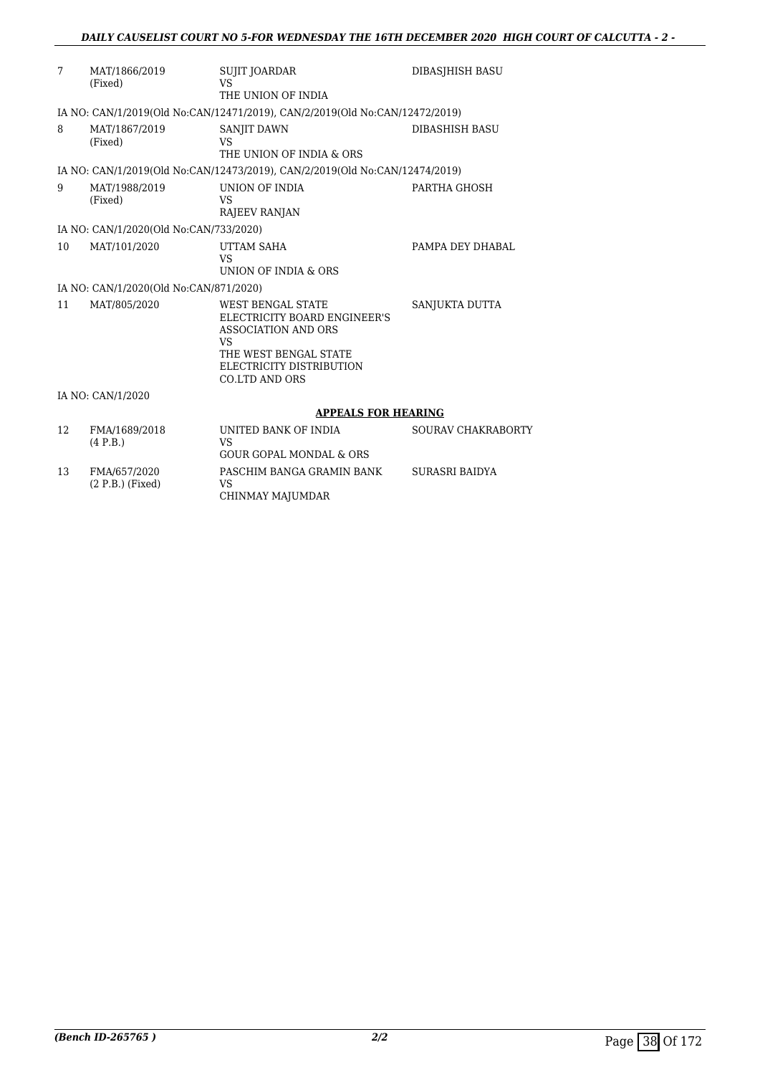| 7  | MAT/1866/2019<br>(Fixed)               | <b>SUJIT JOARDAR</b><br><b>VS</b>                                                                                                                                          | DIBASIHISH BASU           |
|----|----------------------------------------|----------------------------------------------------------------------------------------------------------------------------------------------------------------------------|---------------------------|
|    |                                        | THE UNION OF INDIA                                                                                                                                                         |                           |
|    |                                        | IA NO: CAN/1/2019(Old No:CAN/12471/2019), CAN/2/2019(Old No:CAN/12472/2019)                                                                                                |                           |
| 8  | MAT/1867/2019<br>(Fixed)               | SANJIT DAWN<br>VS<br>THE UNION OF INDIA & ORS                                                                                                                              | <b>DIBASHISH BASU</b>     |
|    |                                        | IA NO: CAN/1/2019(Old No:CAN/12473/2019), CAN/2/2019(Old No:CAN/12474/2019)                                                                                                |                           |
| 9  | MAT/1988/2019<br>(Fixed)               | UNION OF INDIA<br><b>VS</b><br>RAJEEV RANJAN                                                                                                                               | PARTHA GHOSH              |
|    | IA NO: CAN/1/2020(Old No:CAN/733/2020) |                                                                                                                                                                            |                           |
| 10 | MAT/101/2020                           | UTTAM SAHA<br>VS<br>UNION OF INDIA & ORS                                                                                                                                   | PAMPA DEY DHABAL          |
|    | IA NO: CAN/1/2020(Old No:CAN/871/2020) |                                                                                                                                                                            |                           |
| 11 | MAT/805/2020                           | <b>WEST BENGAL STATE</b><br>ELECTRICITY BOARD ENGINEER'S<br><b>ASSOCIATION AND ORS</b><br>VS<br>THE WEST BENGAL STATE<br>ELECTRICITY DISTRIBUTION<br><b>CO.LTD AND ORS</b> | SANJUKTA DUTTA            |
|    | IA NO: CAN/1/2020                      |                                                                                                                                                                            |                           |
|    |                                        | <b>APPEALS FOR HEARING</b>                                                                                                                                                 |                           |
| 12 | FMA/1689/2018<br>(4 P.B.)              | UNITED BANK OF INDIA<br><b>VS</b><br><b>GOUR GOPAL MONDAL &amp; ORS</b>                                                                                                    | <b>SOURAV CHAKRABORTY</b> |
| 13 | FMA/657/2020<br>$(2 P.B.)$ (Fixed)     | PASCHIM BANGA GRAMIN BANK<br>VS                                                                                                                                            | <b>SURASRI BAIDYA</b>     |

CHINMAY MAJUMDAR

(2 P.B.) (Fixed)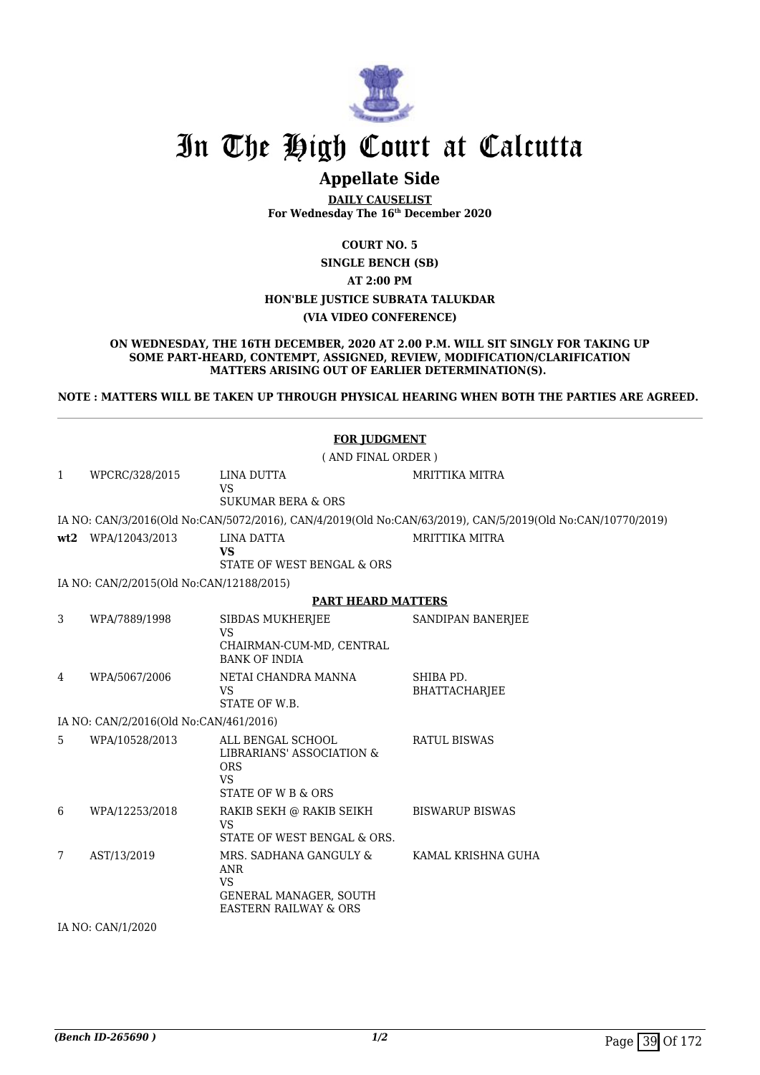

## **Appellate Side**

**DAILY CAUSELIST For Wednesday The 16th December 2020**

### **COURT NO. 5**

**SINGLE BENCH (SB)**

**AT 2:00 PM**

#### **HON'BLE JUSTICE SUBRATA TALUKDAR**

#### **(VIA VIDEO CONFERENCE)**

#### **ON WEDNESDAY, THE 16TH DECEMBER, 2020 AT 2.00 P.M. WILL SIT SINGLY FOR TAKING UP SOME PART-HEARD, CONTEMPT, ASSIGNED, REVIEW, MODIFICATION/CLARIFICATION MATTERS ARISING OUT OF EARLIER DETERMINATION(S).**

**NOTE : MATTERS WILL BE TAKEN UP THROUGH PHYSICAL HEARING WHEN BOTH THE PARTIES ARE AGREED.** 

|   | <b>FOR JUDGMENT</b>                      |                                                                                                                 |                                                                                                            |  |  |  |
|---|------------------------------------------|-----------------------------------------------------------------------------------------------------------------|------------------------------------------------------------------------------------------------------------|--|--|--|
|   | (AND FINAL ORDER)                        |                                                                                                                 |                                                                                                            |  |  |  |
| 1 | WPCRC/328/2015                           | <b>LINA DUTTA</b><br><b>VS</b><br><b>SUKUMAR BERA &amp; ORS</b>                                                 | <b>MRITTIKA MITRA</b>                                                                                      |  |  |  |
|   |                                          |                                                                                                                 | IA NO: CAN/3/2016(Old No:CAN/5072/2016), CAN/4/2019(Old No:CAN/63/2019), CAN/5/2019(Old No:CAN/10770/2019) |  |  |  |
|   | wt2 WPA/12043/2013                       | <b>LINA DATTA</b><br><b>VS</b><br>STATE OF WEST BENGAL & ORS                                                    | <b>MRITTIKA MITRA</b>                                                                                      |  |  |  |
|   | IA NO: CAN/2/2015(Old No:CAN/12188/2015) |                                                                                                                 |                                                                                                            |  |  |  |
|   |                                          | <b>PART HEARD MATTERS</b>                                                                                       |                                                                                                            |  |  |  |
| 3 | WPA/7889/1998                            | <b>SIBDAS MUKHERJEE</b><br><b>VS</b><br>CHAIRMAN-CUM-MD, CENTRAL<br><b>BANK OF INDIA</b>                        | SANDIPAN BANERJEE                                                                                          |  |  |  |
| 4 | WPA/5067/2006                            | NETAI CHANDRA MANNA<br><b>VS</b><br>STATE OF W.B.                                                               | SHIBA PD.<br><b>BHATTACHARJEE</b>                                                                          |  |  |  |
|   | IA NO: CAN/2/2016(Old No:CAN/461/2016)   |                                                                                                                 |                                                                                                            |  |  |  |
| 5 | WPA/10528/2013                           | ALL BENGAL SCHOOL<br>LIBRARIANS' ASSOCIATION &<br><b>ORS</b><br><b>VS</b><br>STATE OF W B & ORS                 | <b>RATUL BISWAS</b>                                                                                        |  |  |  |
| 6 | WPA/12253/2018                           | RAKIB SEKH @ RAKIB SEIKH<br><b>VS</b><br>STATE OF WEST BENGAL & ORS.                                            | <b>BISWARUP BISWAS</b>                                                                                     |  |  |  |
| 7 | AST/13/2019                              | MRS. SADHANA GANGULY &<br><b>ANR</b><br><b>VS</b><br>GENERAL MANAGER, SOUTH<br><b>EASTERN RAILWAY &amp; ORS</b> | KAMAL KRISHNA GUHA                                                                                         |  |  |  |
|   | IA NO: CAN/1/2020                        |                                                                                                                 |                                                                                                            |  |  |  |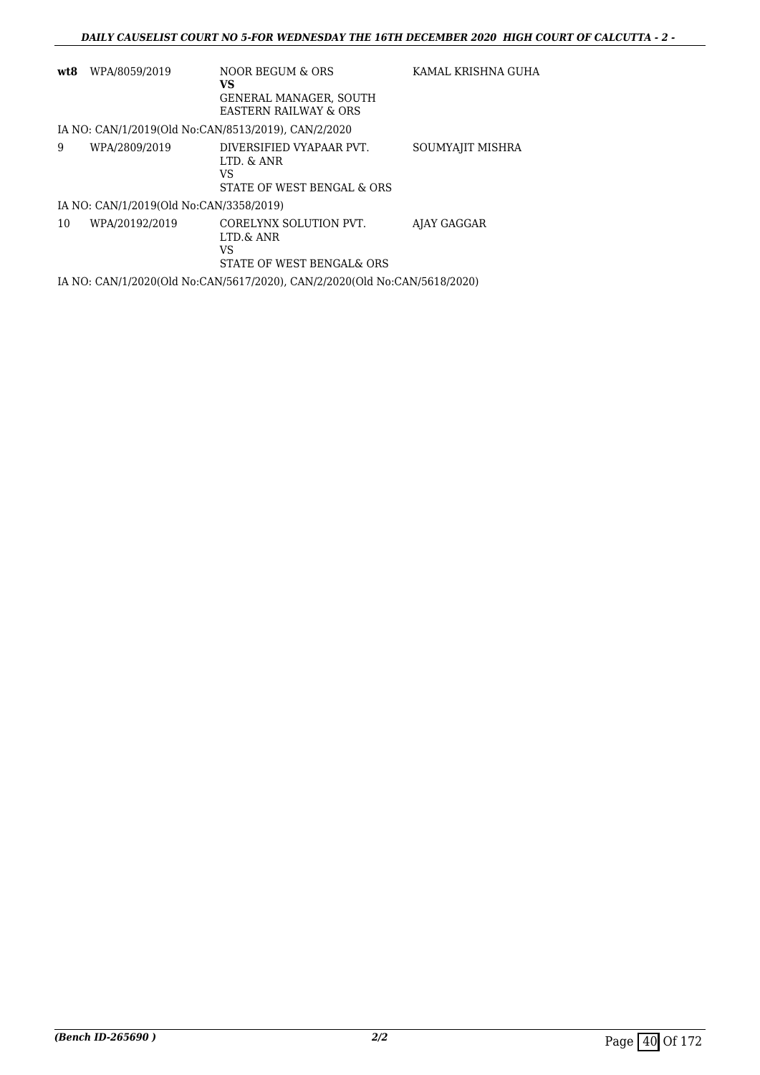| wt8 | WPA/8059/2019                           | NOOR BEGUM & ORS<br>VS<br><b>GENERAL MANAGER, SOUTH</b><br><b>EASTERN RAILWAY &amp; ORS</b> | KAMAL KRISHNA GUHA |
|-----|-----------------------------------------|---------------------------------------------------------------------------------------------|--------------------|
|     |                                         | IA NO: CAN/1/2019(Old No:CAN/8513/2019). CAN/2/2020                                         |                    |
| 9   | WPA/2809/2019                           | DIVERSIFIED VYAPAAR PVT.<br>LTD. & ANR<br>VS<br>STATE OF WEST BENGAL & ORS                  | SOUMYAJIT MISHRA   |
|     | IA NO: CAN/1/2019(Old No:CAN/3358/2019) |                                                                                             |                    |
| 10  | WPA/20192/2019                          | CORELYNX SOLUTION PVT.<br>LTD.& ANR<br>VS<br>STATE OF WEST BENGALS ORS                      | AJAY GAGGAR        |
|     |                                         | IA NO: CAN/1/2020(Old No:CAN/5617/2020), CAN/2/2020(Old No:CAN/5618/2020)                   |                    |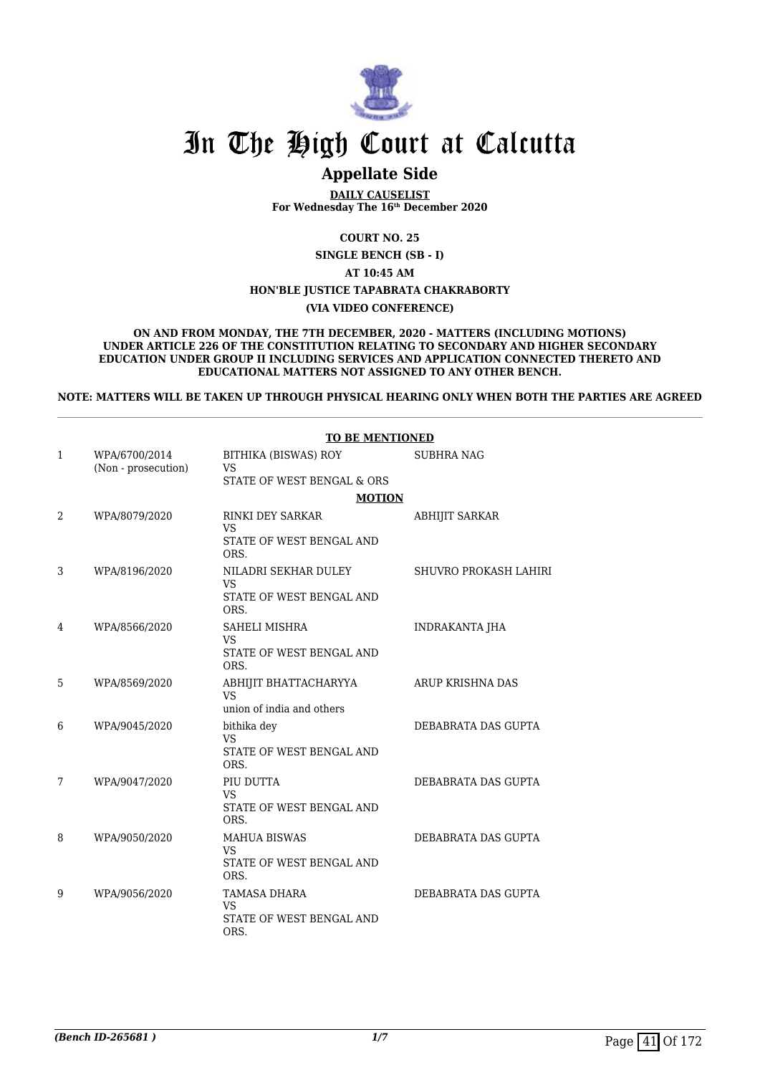

# **Appellate Side**

**DAILY CAUSELIST For Wednesday The 16th December 2020**

**COURT NO. 25**

**SINGLE BENCH (SB - I)**

**AT 10:45 AM**

#### **HON'BLE JUSTICE TAPABRATA CHAKRABORTY**

#### **(VIA VIDEO CONFERENCE)**

**ON AND FROM MONDAY, THE 7TH DECEMBER, 2020 - MATTERS (INCLUDING MOTIONS) UNDER ARTICLE 226 OF THE CONSTITUTION RELATING TO SECONDARY AND HIGHER SECONDARY EDUCATION UNDER GROUP II INCLUDING SERVICES AND APPLICATION CONNECTED THERETO AND EDUCATIONAL MATTERS NOT ASSIGNED TO ANY OTHER BENCH.**

**NOTE: MATTERS WILL BE TAKEN UP THROUGH PHYSICAL HEARING ONLY WHEN BOTH THE PARTIES ARE AGREED**

|    |                                      | <b>TO BE MENTIONED</b>            |                       |  |
|----|--------------------------------------|-----------------------------------|-----------------------|--|
| 1  | WPA/6700/2014<br>(Non - prosecution) | BITHIKA (BISWAS) ROY<br><b>VS</b> | <b>SUBHRA NAG</b>     |  |
|    |                                      | STATE OF WEST BENGAL & ORS        |                       |  |
|    |                                      | <b>MOTION</b>                     |                       |  |
| 2. | WPA/8079/2020                        | RINKI DEY SARKAR<br><b>VS</b>     | <b>ABHIJIT SARKAR</b> |  |
|    |                                      | STATE OF WEST BENGAL AND<br>ORS.  |                       |  |
| 3  | WPA/8196/2020                        | NILADRI SEKHAR DULEY<br><b>VS</b> | SHUVRO PROKASH LAHIRI |  |
|    |                                      | STATE OF WEST BENGAL AND<br>ORS.  |                       |  |
| 4  | WPA/8566/2020                        | SAHELI MISHRA<br><b>VS</b>        | <b>INDRAKANTA JHA</b> |  |
|    |                                      | STATE OF WEST BENGAL AND<br>ORS.  |                       |  |
| 5  | WPA/8569/2020                        | ABHIJIT BHATTACHARYYA<br>VS       | ARUP KRISHNA DAS      |  |
|    |                                      | union of india and others         |                       |  |
| 6  | WPA/9045/2020                        | bithika dey<br>VS.                | DEBABRATA DAS GUPTA   |  |
|    |                                      | STATE OF WEST BENGAL AND<br>ORS.  |                       |  |
| 7  | WPA/9047/2020                        | PIU DUTTA<br><b>VS</b>            | DEBABRATA DAS GUPTA   |  |
|    |                                      | STATE OF WEST BENGAL AND<br>ORS.  |                       |  |
| 8  | WPA/9050/2020                        | <b>MAHUA BISWAS</b><br><b>VS</b>  | DEBABRATA DAS GUPTA   |  |
|    |                                      | STATE OF WEST BENGAL AND<br>ORS.  |                       |  |
| 9  | WPA/9056/2020                        | TAMASA DHARA<br><b>VS</b>         | DEBABRATA DAS GUPTA   |  |
|    |                                      | STATE OF WEST BENGAL AND<br>ORS.  |                       |  |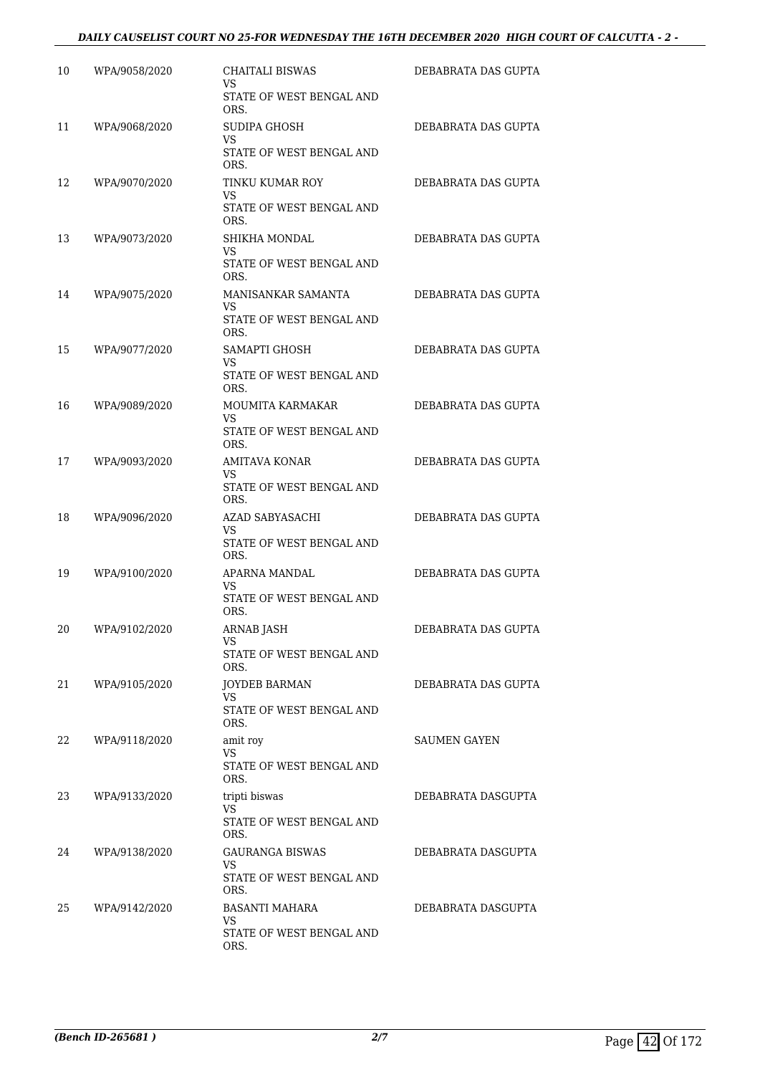### *DAILY CAUSELIST COURT NO 25-FOR WEDNESDAY THE 16TH DECEMBER 2020 HIGH COURT OF CALCUTTA - 2 -*

| 10 | WPA/9058/2020 | CHAITALI BISWAS<br>VS<br>STATE OF WEST BENGAL AND | DEBABRATA DAS GUPTA |
|----|---------------|---------------------------------------------------|---------------------|
|    |               | ORS.                                              |                     |
| 11 | WPA/9068/2020 | SUDIPA GHOSH<br>VS<br>STATE OF WEST BENGAL AND    | DEBABRATA DAS GUPTA |
|    |               | ORS.                                              |                     |
| 12 | WPA/9070/2020 | TINKU KUMAR ROY<br>VS                             | DEBABRATA DAS GUPTA |
|    |               | STATE OF WEST BENGAL AND<br>ORS.                  |                     |
| 13 | WPA/9073/2020 | SHIKHA MONDAL<br>VS                               | DEBABRATA DAS GUPTA |
|    |               | STATE OF WEST BENGAL AND<br>ORS.                  |                     |
| 14 | WPA/9075/2020 | MANISANKAR SAMANTA<br>VS                          | DEBABRATA DAS GUPTA |
|    |               | STATE OF WEST BENGAL AND<br>ORS.                  |                     |
| 15 | WPA/9077/2020 | SAMAPTI GHOSH<br>VS                               | DEBABRATA DAS GUPTA |
|    |               | STATE OF WEST BENGAL AND<br>ORS.                  |                     |
| 16 | WPA/9089/2020 | MOUMITA KARMAKAR<br>VS                            | DEBABRATA DAS GUPTA |
|    |               | STATE OF WEST BENGAL AND<br>ORS.                  |                     |
| 17 | WPA/9093/2020 | AMITAVA KONAR<br>VS                               | DEBABRATA DAS GUPTA |
|    |               | STATE OF WEST BENGAL AND<br>ORS.                  |                     |
| 18 | WPA/9096/2020 | AZAD SABYASACHI<br>VS                             | DEBABRATA DAS GUPTA |
|    |               | STATE OF WEST BENGAL AND<br>ORS.                  |                     |
| 19 | WPA/9100/2020 | APARNA MANDAL<br>VS                               | DEBABRATA DAS GUPTA |
|    |               | STATE OF WEST BENGAL AND<br>ORS.                  |                     |
| 20 | WPA/9102/2020 | ARNAB JASH<br>VS                                  | DEBABRATA DAS GUPTA |
|    |               | STATE OF WEST BENGAL AND<br>ORS.                  |                     |
| 21 | WPA/9105/2020 | <b>JOYDEB BARMAN</b><br>VS.                       | DEBABRATA DAS GUPTA |
|    |               | STATE OF WEST BENGAL AND<br>ORS.                  |                     |
| 22 | WPA/9118/2020 | amit roy<br>VS                                    | <b>SAUMEN GAYEN</b> |
|    |               | STATE OF WEST BENGAL AND<br>ORS.                  |                     |
| 23 | WPA/9133/2020 | tripti biswas<br>VS                               | DEBABRATA DASGUPTA  |
|    |               | STATE OF WEST BENGAL AND<br>ORS.                  |                     |
| 24 | WPA/9138/2020 | <b>GAURANGA BISWAS</b><br>VS                      | DEBABRATA DASGUPTA  |
|    |               | STATE OF WEST BENGAL AND<br>ORS.                  |                     |
| 25 | WPA/9142/2020 | BASANTI MAHARA<br>VS                              | DEBABRATA DASGUPTA  |
|    |               | STATE OF WEST BENGAL AND<br>ORS.                  |                     |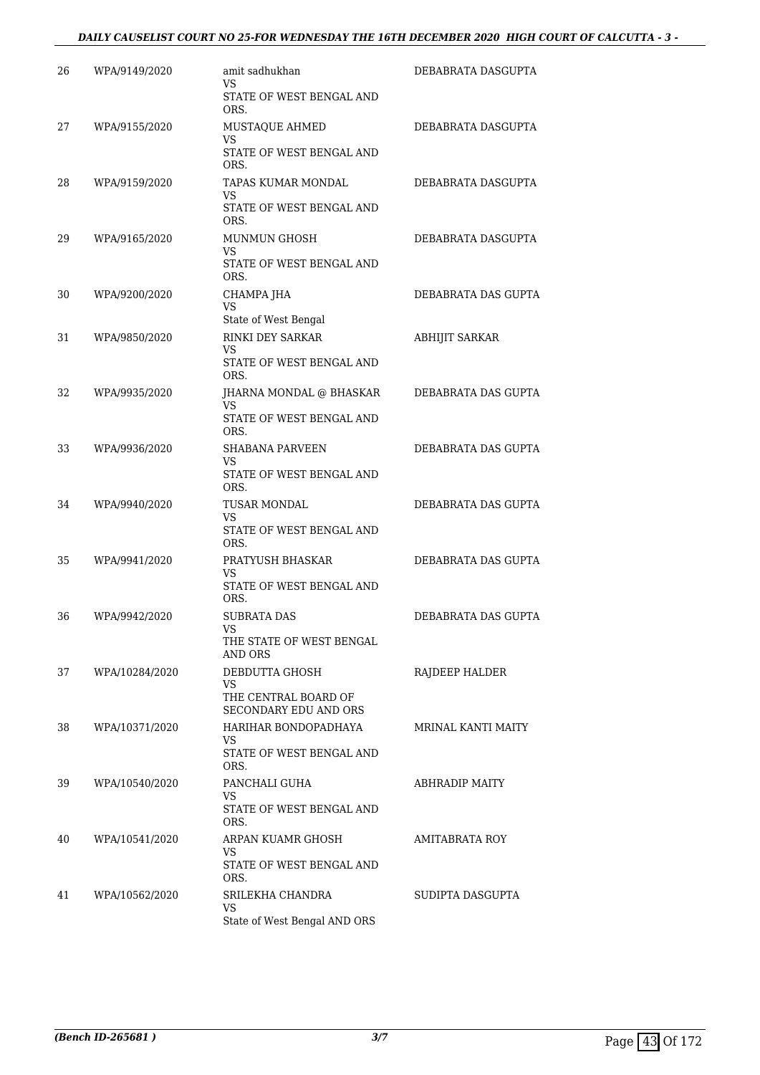### *DAILY CAUSELIST COURT NO 25-FOR WEDNESDAY THE 16TH DECEMBER 2020 HIGH COURT OF CALCUTTA - 3 -*

| 26 | WPA/9149/2020  | amit sadhukhan<br>VS                                             | DEBABRATA DASGUPTA        |
|----|----------------|------------------------------------------------------------------|---------------------------|
|    |                | STATE OF WEST BENGAL AND<br>ORS.                                 |                           |
| 27 | WPA/9155/2020  | MUSTAQUE AHMED<br><b>VS</b>                                      | DEBABRATA DASGUPTA        |
|    |                | STATE OF WEST BENGAL AND<br>ORS.                                 |                           |
| 28 | WPA/9159/2020  | TAPAS KUMAR MONDAL<br>VS<br>STATE OF WEST BENGAL AND<br>ORS.     | DEBABRATA DASGUPTA        |
| 29 | WPA/9165/2020  | MUNMUN GHOSH<br>VS<br>STATE OF WEST BENGAL AND<br>ORS.           | DEBABRATA DASGUPTA        |
| 30 | WPA/9200/2020  | CHAMPA JHA<br>VS                                                 | DEBABRATA DAS GUPTA       |
| 31 | WPA/9850/2020  | State of West Bengal<br>RINKI DEY SARKAR                         | ABHIJIT SARKAR            |
|    |                | VS<br>STATE OF WEST BENGAL AND<br>ORS.                           |                           |
| 32 | WPA/9935/2020  | JHARNA MONDAL @ BHASKAR                                          | DEBABRATA DAS GUPTA       |
|    |                | VS<br>STATE OF WEST BENGAL AND<br>ORS.                           |                           |
| 33 | WPA/9936/2020  | <b>SHABANA PARVEEN</b><br>VS<br>STATE OF WEST BENGAL AND<br>ORS. | DEBABRATA DAS GUPTA       |
| 34 | WPA/9940/2020  | TUSAR MONDAL<br>VS<br>STATE OF WEST BENGAL AND<br>ORS.           | DEBABRATA DAS GUPTA       |
| 35 | WPA/9941/2020  | PRATYUSH BHASKAR<br>VS<br>STATE OF WEST BENGAL AND<br>ORS.       | DEBABRATA DAS GUPTA       |
| 36 | WPA/9942/2020  | <b>SUBRATA DAS</b><br>VS.                                        | DEBABRATA DAS GUPTA       |
|    |                | THE STATE OF WEST BENGAL<br>AND ORS                              |                           |
| 37 | WPA/10284/2020 | DEBDUTTA GHOSH<br>VS.<br>THE CENTRAL BOARD OF                    | RAJDEEP HALDER            |
|    |                | SECONDARY EDU AND ORS                                            | <b>MRINAL KANTI MAITY</b> |
| 38 | WPA/10371/2020 | HARIHAR BONDOPADHAYA<br>VS<br>STATE OF WEST BENGAL AND<br>ORS.   |                           |
| 39 | WPA/10540/2020 | PANCHALI GUHA<br>VS.<br>STATE OF WEST BENGAL AND                 | <b>ABHRADIP MAITY</b>     |
| 40 | WPA/10541/2020 | ORS.<br>ARPAN KUAMR GHOSH<br>VS.                                 | AMITABRATA ROY            |
|    |                | STATE OF WEST BENGAL AND<br>ORS.                                 |                           |
| 41 | WPA/10562/2020 | SRILEKHA CHANDRA<br>VS<br>State of West Bengal AND ORS           | SUDIPTA DASGUPTA          |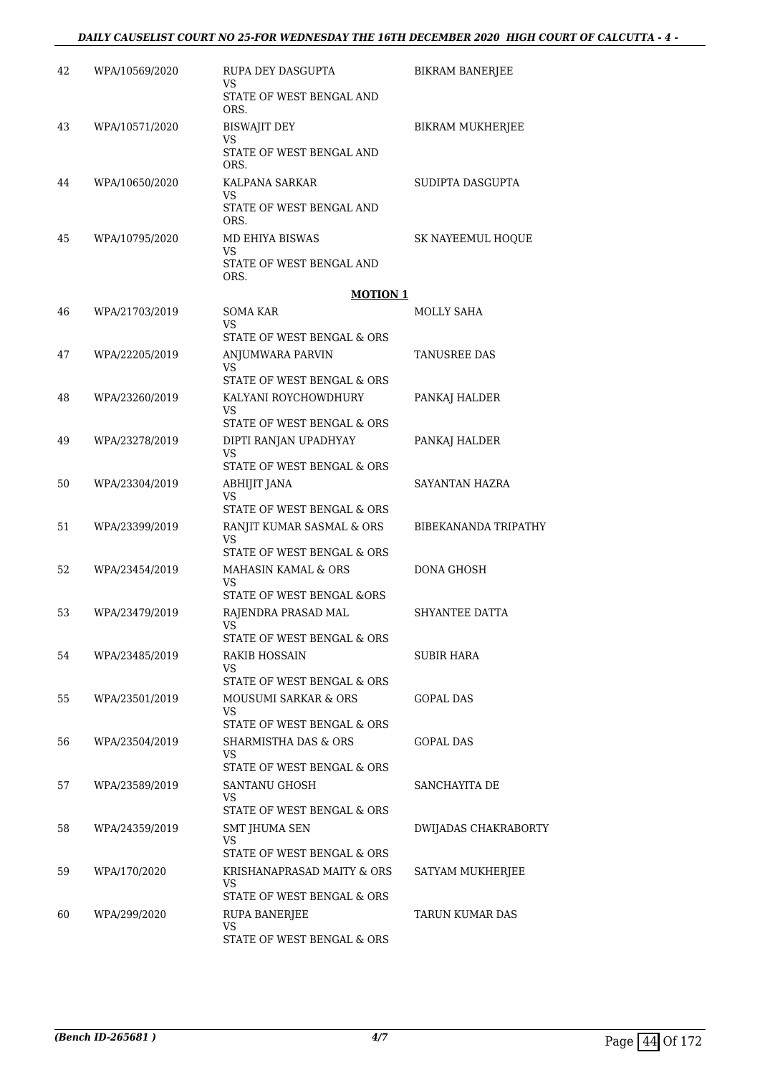#### *DAILY CAUSELIST COURT NO 25-FOR WEDNESDAY THE 16TH DECEMBER 2020 HIGH COURT OF CALCUTTA - 4 -*

| 42 | WPA/10569/2020 | RUPA DEY DASGUPTA<br>VS                                          | BIKRAM BANERJEE      |
|----|----------------|------------------------------------------------------------------|----------------------|
|    |                | STATE OF WEST BENGAL AND<br>ORS.                                 |                      |
| 43 | WPA/10571/2020 | BISWAJIT DEY<br><b>VS</b>                                        | BIKRAM MUKHERJEE     |
|    |                | STATE OF WEST BENGAL AND<br>ORS.                                 |                      |
| 44 | WPA/10650/2020 | KALPANA SARKAR<br>VS                                             | SUDIPTA DASGUPTA     |
|    |                | STATE OF WEST BENGAL AND<br>ORS.                                 |                      |
| 45 | WPA/10795/2020 | MD EHIYA BISWAS<br>VS                                            | SK NAYEEMUL HOQUE    |
|    |                | STATE OF WEST BENGAL AND<br>ORS.                                 |                      |
|    |                | <b>MOTION 1</b>                                                  |                      |
| 46 | WPA/21703/2019 | <b>SOMA KAR</b><br>VS<br>STATE OF WEST BENGAL & ORS              | <b>MOLLY SAHA</b>    |
| 47 | WPA/22205/2019 | ANJUMWARA PARVIN<br>VS                                           | TANUSREE DAS         |
|    |                | STATE OF WEST BENGAL & ORS                                       |                      |
| 48 | WPA/23260/2019 | KALYANI ROYCHOWDHURY<br>VS                                       | PANKAJ HALDER        |
|    |                | STATE OF WEST BENGAL & ORS                                       |                      |
| 49 | WPA/23278/2019 | DIPTI RANJAN UPADHYAY<br><b>VS</b><br>STATE OF WEST BENGAL & ORS | PANKAJ HALDER        |
| 50 | WPA/23304/2019 | ABHIJIT JANA                                                     | SAYANTAN HAZRA       |
|    |                | VS<br>STATE OF WEST BENGAL & ORS                                 |                      |
| 51 | WPA/23399/2019 | RANJIT KUMAR SASMAL & ORS                                        | BIBEKANANDA TRIPATHY |
|    |                | VS<br>STATE OF WEST BENGAL & ORS                                 |                      |
| 52 | WPA/23454/2019 | MAHASIN KAMAL & ORS<br>VS                                        | <b>DONA GHOSH</b>    |
| 53 | WPA/23479/2019 | STATE OF WEST BENGAL &ORS<br>RAJENDRA PRASAD MAL                 | SHYANTEE DATTA       |
|    |                | VS                                                               |                      |
| 54 | WPA/23485/2019 | STATE OF WEST BENGAL & ORS<br>RAKIB HOSSAIN                      | SUBIR HARA           |
|    |                | VS.                                                              |                      |
| 55 | WPA/23501/2019 | STATE OF WEST BENGAL & ORS<br>MOUSUMI SARKAR & ORS               | GOPAL DAS            |
|    |                | VS<br>STATE OF WEST BENGAL & ORS                                 |                      |
| 56 | WPA/23504/2019 | SHARMISTHA DAS & ORS                                             | <b>GOPAL DAS</b>     |
|    |                | VS<br>STATE OF WEST BENGAL & ORS                                 |                      |
| 57 | WPA/23589/2019 | SANTANU GHOSH                                                    | SANCHAYITA DE        |
|    |                | VS<br>STATE OF WEST BENGAL & ORS                                 |                      |
| 58 | WPA/24359/2019 | SMT JHUMA SEN<br>VS                                              | DWIJADAS CHAKRABORTY |
|    |                | STATE OF WEST BENGAL & ORS                                       |                      |
| 59 | WPA/170/2020   | KRISHANAPRASAD MAITY & ORS<br>VS.<br>STATE OF WEST BENGAL & ORS  | SATYAM MUKHERJEE     |
| 60 | WPA/299/2020   | RUPA BANERJEE                                                    | TARUN KUMAR DAS      |
|    |                | VS<br>STATE OF WEST BENGAL & ORS                                 |                      |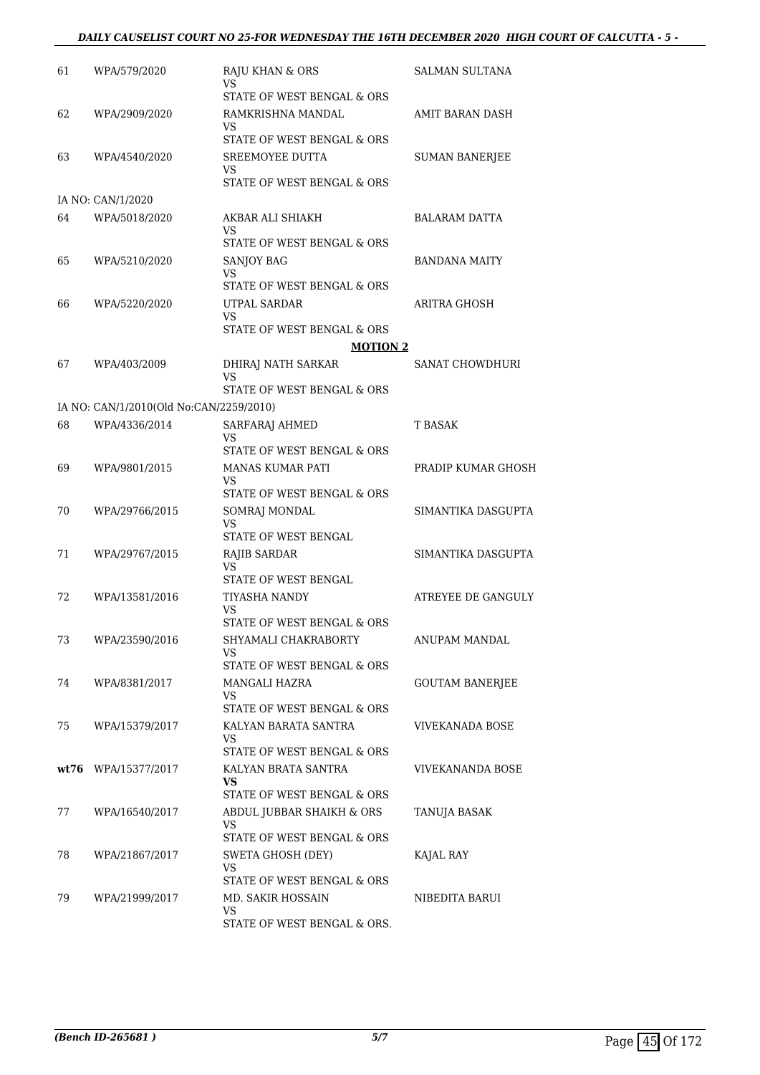### *DAILY CAUSELIST COURT NO 25-FOR WEDNESDAY THE 16TH DECEMBER 2020 HIGH COURT OF CALCUTTA - 5 -*

| 61 | WPA/579/2020                            | RAJU KHAN & ORS<br>VS                             | SALMAN SULTANA          |
|----|-----------------------------------------|---------------------------------------------------|-------------------------|
|    |                                         | STATE OF WEST BENGAL & ORS                        |                         |
| 62 | WPA/2909/2020                           | RAMKRISHNA MANDAL<br>VS                           | AMIT BARAN DASH         |
|    |                                         | STATE OF WEST BENGAL & ORS                        |                         |
| 63 | WPA/4540/2020                           | SREEMOYEE DUTTA<br>VS.                            | <b>SUMAN BANERJEE</b>   |
|    |                                         | STATE OF WEST BENGAL & ORS                        |                         |
|    | IA NO: CAN/1/2020                       |                                                   |                         |
| 64 | WPA/5018/2020                           | AKBAR ALI SHIAKH<br>VS                            | <b>BALARAM DATTA</b>    |
|    |                                         | STATE OF WEST BENGAL & ORS                        |                         |
| 65 | WPA/5210/2020                           | SANJOY BAG                                        | BANDANA MAITY           |
|    |                                         | VS<br>STATE OF WEST BENGAL & ORS                  |                         |
| 66 | WPA/5220/2020                           | UTPAL SARDAR<br>VS                                | ARITRA GHOSH            |
|    |                                         | STATE OF WEST BENGAL & ORS                        |                         |
|    |                                         | <b>MOTION 2</b>                                   |                         |
| 67 | WPA/403/2009                            | DHIRAJ NATH SARKAR                                | <b>SANAT CHOWDHURI</b>  |
|    |                                         | VS<br>STATE OF WEST BENGAL & ORS                  |                         |
|    |                                         |                                                   |                         |
|    | IA NO: CAN/1/2010(Old No:CAN/2259/2010) |                                                   |                         |
| 68 | WPA/4336/2014                           | SARFARAJ AHMED<br>VS                              | T BASAK                 |
|    |                                         | STATE OF WEST BENGAL & ORS                        |                         |
| 69 | WPA/9801/2015                           | <b>MANAS KUMAR PATI</b><br>VS                     | PRADIP KUMAR GHOSH      |
|    |                                         | STATE OF WEST BENGAL & ORS                        |                         |
| 70 | WPA/29766/2015                          | SOMRAJ MONDAL<br>VS                               | SIMANTIKA DASGUPTA      |
|    |                                         | STATE OF WEST BENGAL                              |                         |
| 71 | WPA/29767/2015                          | RAJIB SARDAR                                      | SIMANTIKA DASGUPTA      |
|    |                                         | <b>VS</b><br>STATE OF WEST BENGAL                 |                         |
|    |                                         |                                                   | ATREYEE DE GANGULY      |
| 72 | WPA/13581/2016                          | TIYASHA NANDY<br>VS<br>STATE OF WEST BENGAL & ORS |                         |
| 73 | WPA/23590/2016                          | SHYAMALI CHAKRABORTY                              | <b>ANUPAM MANDAL</b>    |
|    |                                         | VS                                                |                         |
|    |                                         | STATE OF WEST BENGAL & ORS                        |                         |
| 74 | WPA/8381/2017                           | MANGALI HAZRA                                     | GOUTAM BANERJEE         |
|    |                                         | VS.<br>STATE OF WEST BENGAL & ORS                 |                         |
| 75 | WPA/15379/2017                          | KALYAN BARATA SANTRA                              | VIVEKANADA BOSE         |
|    |                                         | VS.<br>STATE OF WEST BENGAL & ORS                 |                         |
|    | wt76 WPA/15377/2017                     | KALYAN BRATA SANTRA                               | <b>VIVEKANANDA BOSE</b> |
|    |                                         | <b>VS</b>                                         |                         |
|    |                                         | STATE OF WEST BENGAL & ORS                        |                         |
| 77 | WPA/16540/2017                          | ABDUL JUBBAR SHAIKH & ORS                         | TANUJA BASAK            |
|    |                                         | VS<br>STATE OF WEST BENGAL & ORS                  |                         |
| 78 | WPA/21867/2017                          | <b>SWETA GHOSH (DEY)</b>                          | KAJAL RAY               |
|    |                                         | VS.                                               |                         |
|    |                                         | STATE OF WEST BENGAL & ORS                        |                         |
| 79 | WPA/21999/2017                          | MD. SAKIR HOSSAIN<br>VS.                          | NIBEDITA BARUI          |
|    |                                         | STATE OF WEST BENGAL & ORS.                       |                         |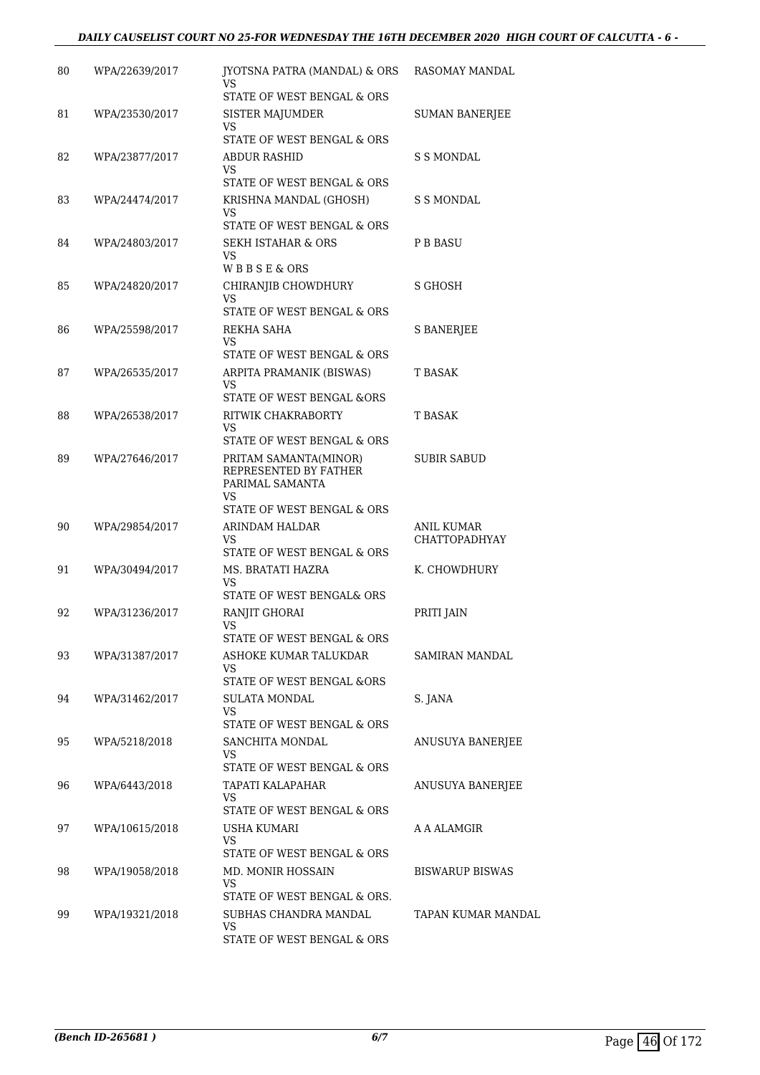#### *DAILY CAUSELIST COURT NO 25-FOR WEDNESDAY THE 16TH DECEMBER 2020 HIGH COURT OF CALCUTTA - 6 -*

| 80 | WPA/22639/2017 | JYOTSNA PATRA (MANDAL) & ORS RASOMAY MANDAL<br>VS                       |                                    |
|----|----------------|-------------------------------------------------------------------------|------------------------------------|
|    |                | STATE OF WEST BENGAL & ORS                                              |                                    |
| 81 | WPA/23530/2017 | SISTER MAJUMDER<br>VS                                                   | <b>SUMAN BANERJEE</b>              |
|    |                | STATE OF WEST BENGAL & ORS                                              |                                    |
| 82 | WPA/23877/2017 | ABDUR RASHID<br>VS.                                                     | S S MONDAL                         |
|    |                | STATE OF WEST BENGAL & ORS                                              |                                    |
| 83 | WPA/24474/2017 | KRISHNA MANDAL (GHOSH)<br>VS<br>STATE OF WEST BENGAL & ORS              | S S MONDAL                         |
| 84 | WPA/24803/2017 | SEKH ISTAHAR & ORS                                                      | P B BASU                           |
|    |                | VS.<br>WBBSE&ORS                                                        |                                    |
| 85 | WPA/24820/2017 | CHIRANJIB CHOWDHURY                                                     | S GHOSH                            |
|    |                | VS.<br>STATE OF WEST BENGAL & ORS                                       |                                    |
| 86 | WPA/25598/2017 | REKHA SAHA                                                              | <b>S BANERJEE</b>                  |
|    |                | VS<br>STATE OF WEST BENGAL & ORS                                        |                                    |
| 87 | WPA/26535/2017 | ARPITA PRAMANIK (BISWAS)                                                | <b>T BASAK</b>                     |
|    |                | VS.<br>STATE OF WEST BENGAL &ORS                                        |                                    |
| 88 | WPA/26538/2017 | RITWIK CHAKRABORTY                                                      | <b>T BASAK</b>                     |
|    |                | VS                                                                      |                                    |
|    |                | STATE OF WEST BENGAL & ORS                                              |                                    |
| 89 | WPA/27646/2017 | PRITAM SAMANTA(MINOR)<br>REPRESENTED BY FATHER<br>PARIMAL SAMANTA<br>VS | <b>SUBIR SABUD</b>                 |
|    |                | STATE OF WEST BENGAL & ORS                                              |                                    |
| 90 | WPA/29854/2017 | ARINDAM HALDAR<br>VS.<br>STATE OF WEST BENGAL & ORS                     | ANIL KUMAR<br><b>CHATTOPADHYAY</b> |
| 91 | WPA/30494/2017 | MS. BRATATI HAZRA                                                       | K. CHOWDHURY                       |
|    |                | VS<br>STATE OF WEST BENGAL& ORS                                         |                                    |
| 92 | WPA/31236/2017 | RANJIT GHORAI                                                           | PRITI JAIN                         |
|    |                | VS<br>STATE OF WEST BENGAL & ORS                                        |                                    |
| 93 | WPA/31387/2017 | ASHOKE KUMAR TALUKDAR                                                   | SAMIRAN MANDAL                     |
|    |                | VS                                                                      |                                    |
|    |                | <b>STATE OF WEST BENGAL &amp;ORS</b>                                    |                                    |
| 94 | WPA/31462/2017 | SULATA MONDAL<br>VS                                                     | S. JANA                            |
|    |                | STATE OF WEST BENGAL & ORS                                              |                                    |
| 95 | WPA/5218/2018  | SANCHITA MONDAL<br>VS<br>STATE OF WEST BENGAL & ORS                     | ANUSUYA BANERJEE                   |
| 96 | WPA/6443/2018  | TAPATI KALAPAHAR                                                        | ANUSUYA BANERJEE                   |
|    |                | VS.                                                                     |                                    |
|    |                | STATE OF WEST BENGAL & ORS                                              |                                    |
| 97 | WPA/10615/2018 | USHA KUMARI<br>VS<br>STATE OF WEST BENGAL & ORS                         | A A ALAMGIR                        |
| 98 | WPA/19058/2018 | MD. MONIR HOSSAIN                                                       | <b>BISWARUP BISWAS</b>             |
|    |                | VS.<br>STATE OF WEST BENGAL & ORS.                                      |                                    |
| 99 | WPA/19321/2018 | SUBHAS CHANDRA MANDAL                                                   | TAPAN KUMAR MANDAL                 |
|    |                | VS<br>STATE OF WEST BENGAL & ORS                                        |                                    |
|    |                |                                                                         |                                    |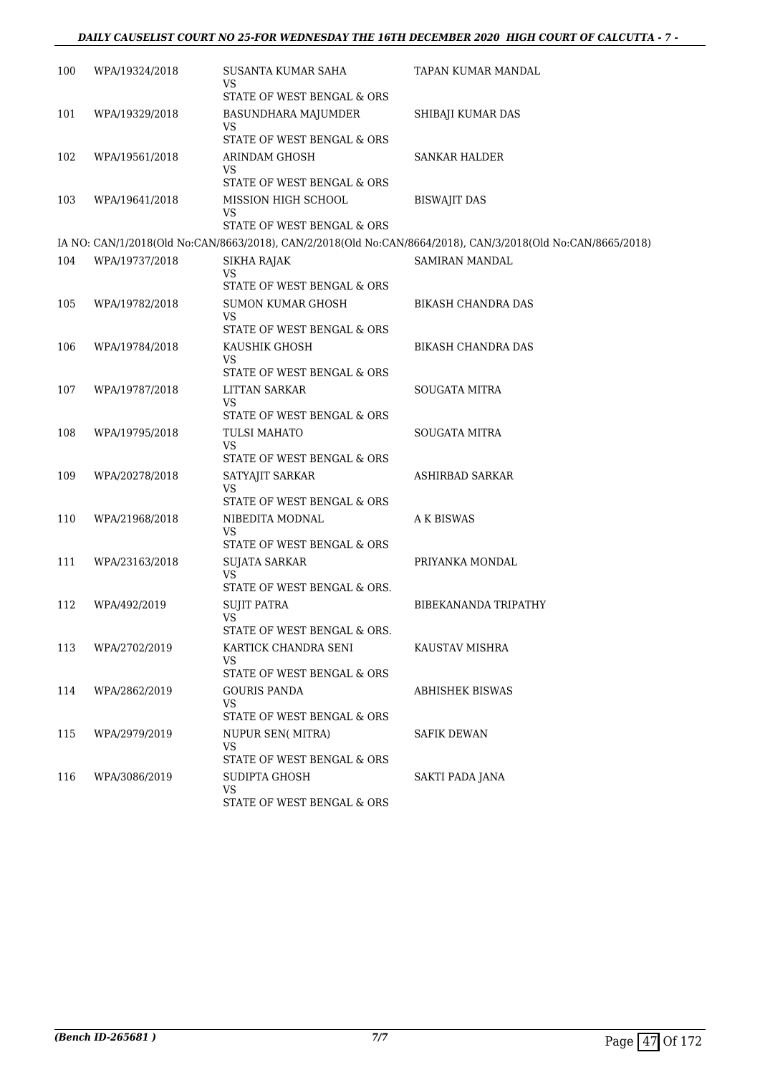### *DAILY CAUSELIST COURT NO 25-FOR WEDNESDAY THE 16TH DECEMBER 2020 HIGH COURT OF CALCUTTA - 7 -*

| 100 | WPA/19324/2018 | SUSANTA KUMAR SAHA               | TAPAN KUMAR MANDAL                                                                                          |
|-----|----------------|----------------------------------|-------------------------------------------------------------------------------------------------------------|
|     |                | VS                               |                                                                                                             |
|     |                | STATE OF WEST BENGAL & ORS       |                                                                                                             |
| 101 | WPA/19329/2018 | BASUNDHARA MAJUMDER<br>VS        | SHIBAJI KUMAR DAS                                                                                           |
|     |                | STATE OF WEST BENGAL & ORS       |                                                                                                             |
| 102 | WPA/19561/2018 | ARINDAM GHOSH                    | SANKAR HALDER                                                                                               |
|     |                | VS<br>STATE OF WEST BENGAL & ORS |                                                                                                             |
| 103 | WPA/19641/2018 | MISSION HIGH SCHOOL              | <b>BISWAJIT DAS</b>                                                                                         |
|     |                | VS<br>STATE OF WEST BENGAL & ORS |                                                                                                             |
|     |                |                                  | IA NO: CAN/1/2018(Old No:CAN/8663/2018), CAN/2/2018(Old No:CAN/8664/2018), CAN/3/2018(Old No:CAN/8665/2018) |
| 104 | WPA/19737/2018 | SIKHA RAJAK                      | <b>SAMIRAN MANDAL</b>                                                                                       |
|     |                | VS<br>STATE OF WEST BENGAL & ORS |                                                                                                             |
| 105 | WPA/19782/2018 | SUMON KUMAR GHOSH                | BIKASH CHANDRA DAS                                                                                          |
|     |                | VS                               |                                                                                                             |
|     |                | STATE OF WEST BENGAL & ORS       |                                                                                                             |
| 106 | WPA/19784/2018 | KAUSHIK GHOSH<br>VS              | <b>BIKASH CHANDRA DAS</b>                                                                                   |
|     |                | STATE OF WEST BENGAL & ORS       |                                                                                                             |
| 107 | WPA/19787/2018 | <b>LITTAN SARKAR</b><br>VS       | SOUGATA MITRA                                                                                               |
|     |                | STATE OF WEST BENGAL & ORS       |                                                                                                             |
| 108 | WPA/19795/2018 | TULSI MAHATO<br><b>VS</b>        | SOUGATA MITRA                                                                                               |
|     |                | STATE OF WEST BENGAL & ORS       |                                                                                                             |
| 109 | WPA/20278/2018 | SATYAJIT SARKAR                  | <b>ASHIRBAD SARKAR</b>                                                                                      |
|     |                | VS<br>STATE OF WEST BENGAL & ORS |                                                                                                             |
| 110 | WPA/21968/2018 | NIBEDITA MODNAL                  | A K BISWAS                                                                                                  |
|     |                | VS                               |                                                                                                             |
|     |                | STATE OF WEST BENGAL & ORS       |                                                                                                             |
| 111 | WPA/23163/2018 | <b>SUJATA SARKAR</b><br>VS       | PRIYANKA MONDAL                                                                                             |
|     |                | STATE OF WEST BENGAL & ORS.      |                                                                                                             |
| 112 | WPA/492/2019   | SUJIT PATRA<br><b>VS</b>         | BIBEKANANDA TRIPATHY                                                                                        |
|     |                | STATE OF WEST BENGAL & ORS.      |                                                                                                             |
| 113 | WPA/2702/2019  | KARTICK CHANDRA SENI             | KAUSTAV MISHRA                                                                                              |
|     |                | VS<br>STATE OF WEST BENGAL & ORS |                                                                                                             |
| 114 | WPA/2862/2019  | <b>GOURIS PANDA</b>              | ABHISHEK BISWAS                                                                                             |
|     |                | VS<br>STATE OF WEST BENGAL & ORS |                                                                                                             |
| 115 | WPA/2979/2019  | NUPUR SEN(MITRA)                 | SAFIK DEWAN                                                                                                 |
|     |                | VS                               |                                                                                                             |
|     |                | STATE OF WEST BENGAL & ORS       |                                                                                                             |
| 116 | WPA/3086/2019  | SUDIPTA GHOSH<br>VS              | SAKTI PADA JANA                                                                                             |
|     |                | STATE OF WEST BENGAL & ORS       |                                                                                                             |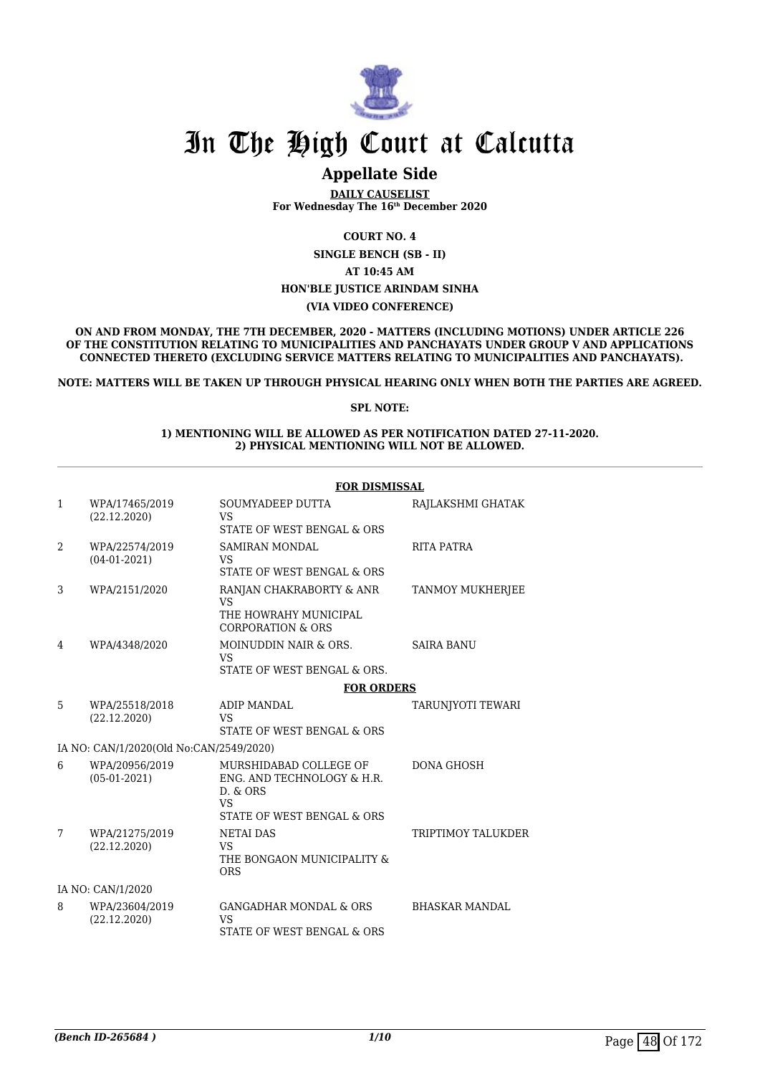

## **Appellate Side**

**DAILY CAUSELIST For Wednesday The 16th December 2020**

**COURT NO. 4**

**SINGLE BENCH (SB - II)**

**AT 10:45 AM**

#### **HON'BLE JUSTICE ARINDAM SINHA**

**(VIA VIDEO CONFERENCE)**

**ON AND FROM MONDAY, THE 7TH DECEMBER, 2020 - MATTERS (INCLUDING MOTIONS) UNDER ARTICLE 226 OF THE CONSTITUTION RELATING TO MUNICIPALITIES AND PANCHAYATS UNDER GROUP V AND APPLICATIONS CONNECTED THERETO (EXCLUDING SERVICE MATTERS RELATING TO MUNICIPALITIES AND PANCHAYATS).**

**NOTE: MATTERS WILL BE TAKEN UP THROUGH PHYSICAL HEARING ONLY WHEN BOTH THE PARTIES ARE AGREED.**

#### **SPL NOTE:**

#### **1) MENTIONING WILL BE ALLOWED AS PER NOTIFICATION DATED 27-11-2020. 2) PHYSICAL MENTIONING WILL NOT BE ALLOWED.**

|   |                                         | <b>FOR DISMISSAL</b>                                                                                        |                         |
|---|-----------------------------------------|-------------------------------------------------------------------------------------------------------------|-------------------------|
| 1 | WPA/17465/2019<br>(22.12.2020)          | SOUMYADEEP DUTTA<br><b>VS</b><br>STATE OF WEST BENGAL & ORS                                                 | RAJLAKSHMI GHATAK       |
| 2 | WPA/22574/2019<br>$(04-01-2021)$        | <b>SAMIRAN MONDAL</b><br><b>VS</b><br>STATE OF WEST BENGAL & ORS                                            | RITA PATRA              |
| 3 | WPA/2151/2020                           | RANJAN CHAKRABORTY & ANR<br><b>VS</b><br>THE HOWRAHY MUNICIPAL<br><b>CORPORATION &amp; ORS</b>              | <b>TANMOY MUKHERJEE</b> |
| 4 | WPA/4348/2020                           | MOINUDDIN NAIR & ORS.<br><b>VS</b><br>STATE OF WEST BENGAL & ORS.                                           | <b>SAIRA BANU</b>       |
|   |                                         | <b>FOR ORDERS</b>                                                                                           |                         |
| 5 | WPA/25518/2018<br>(22.12.2020)          | ADIP MANDAL<br><b>VS</b><br>STATE OF WEST BENGAL & ORS                                                      | TARUNJYOTI TEWARI       |
|   | IA NO: CAN/1/2020(Old No:CAN/2549/2020) |                                                                                                             |                         |
| 6 | WPA/20956/2019<br>$(05-01-2021)$        | MURSHIDABAD COLLEGE OF<br>ENG. AND TECHNOLOGY & H.R.<br>D. & ORS<br><b>VS</b><br>STATE OF WEST BENGAL & ORS | <b>DONA GHOSH</b>       |
| 7 | WPA/21275/2019<br>(22.12.2020)          | <b>NETAI DAS</b><br><b>VS</b><br>THE BONGAON MUNICIPALITY &<br><b>ORS</b>                                   | TRIPTIMOY TALUKDER      |
|   | IA NO: CAN/1/2020                       |                                                                                                             |                         |
| 8 | WPA/23604/2019<br>(22.12.2020)          | <b>GANGADHAR MONDAL &amp; ORS</b><br><b>VS</b><br>STATE OF WEST BENGAL & ORS                                | <b>BHASKAR MANDAL</b>   |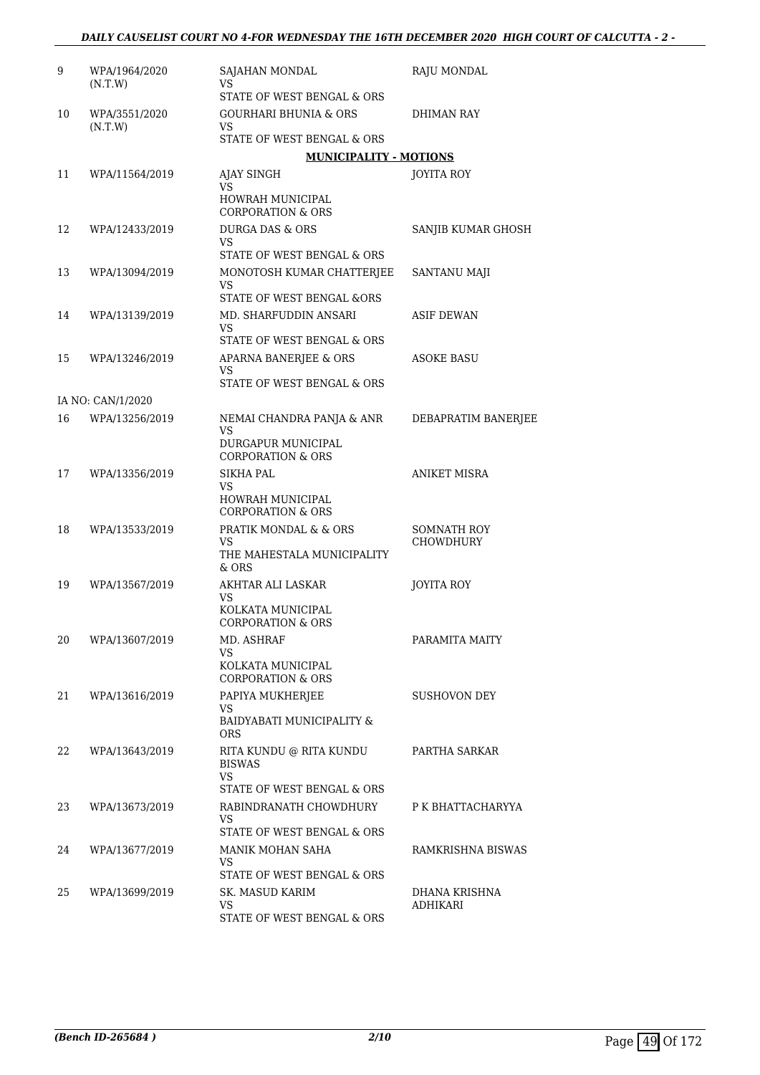| 9  | WPA/1964/2020<br>(N.T.W) | SAJAHAN MONDAL<br>VS.                                        | RAJU MONDAL              |
|----|--------------------------|--------------------------------------------------------------|--------------------------|
|    |                          | STATE OF WEST BENGAL & ORS                                   |                          |
| 10 | WPA/3551/2020<br>(N.T.W) | <b>GOURHARI BHUNIA &amp; ORS</b><br>VS                       | DHIMAN RAY               |
|    |                          | STATE OF WEST BENGAL & ORS                                   |                          |
|    |                          | <b>MUNICIPALITY - MOTIONS</b>                                |                          |
| 11 | WPA/11564/2019           | AJAY SINGH<br>VS                                             | <b>JOYITA ROY</b>        |
|    |                          | HOWRAH MUNICIPAL<br><b>CORPORATION &amp; ORS</b>             |                          |
| 12 | WPA/12433/2019           | <b>DURGA DAS &amp; ORS</b><br>VS                             | SANJIB KUMAR GHOSH       |
|    |                          | STATE OF WEST BENGAL & ORS                                   |                          |
| 13 | WPA/13094/2019           | MONOTOSH KUMAR CHATTERJEE<br>VS<br>STATE OF WEST BENGAL &ORS | SANTANU MAJI             |
|    |                          |                                                              |                          |
| 14 | WPA/13139/2019           | MD. SHARFUDDIN ANSARI<br>VS<br>STATE OF WEST BENGAL & ORS    | <b>ASIF DEWAN</b>        |
| 15 | WPA/13246/2019           | APARNA BANERJEE & ORS                                        | ASOKE BASU               |
|    |                          | VS<br>STATE OF WEST BENGAL & ORS                             |                          |
|    | IA NO: CAN/1/2020        |                                                              |                          |
| 16 | WPA/13256/2019           | NEMAI CHANDRA PANJA & ANR<br>VS                              | DEBAPRATIM BANERJEE      |
|    |                          | DURGAPUR MUNICIPAL<br><b>CORPORATION &amp; ORS</b>           |                          |
| 17 | WPA/13356/2019           | <b>SIKHA PAL</b><br>VS                                       | ANIKET MISRA             |
|    |                          | HOWRAH MUNICIPAL<br><b>CORPORATION &amp; ORS</b>             |                          |
| 18 | WPA/13533/2019           | PRATIK MONDAL & & ORS<br>VS                                  | SOMNATH ROY<br>CHOWDHURY |
|    |                          | THE MAHESTALA MUNICIPALITY<br>$&$ ORS                        |                          |
| 19 | WPA/13567/2019           | AKHTAR ALI LASKAR<br>VS                                      | <b>JOYITA ROY</b>        |
|    |                          | KOLKATA MUNICIPAL<br><b>CORPORATION &amp; ORS</b>            |                          |
| 20 | WPA/13607/2019           | MD. ASHRAF<br>VS                                             | PARAMITA MAITY           |
|    |                          | KOLKATA MUNICIPAL<br><b>CORPORATION &amp; ORS</b>            |                          |
| 21 | WPA/13616/2019           | PAPIYA MUKHERJEE<br>VS.                                      | SUSHOVON DEY             |
|    |                          | BAIDYABATI MUNICIPALITY &<br>ORS.                            |                          |
| 22 | WPA/13643/2019           | RITA KUNDU @ RITA KUNDU<br><b>BISWAS</b>                     | PARTHA SARKAR            |
|    |                          | <b>VS</b><br>STATE OF WEST BENGAL & ORS                      |                          |
| 23 | WPA/13673/2019           | RABINDRANATH CHOWDHURY                                       | P K BHATTACHARYYA        |
|    |                          | VS.<br>STATE OF WEST BENGAL & ORS                            |                          |
| 24 | WPA/13677/2019           | MANIK MOHAN SAHA                                             | RAMKRISHNA BISWAS        |
|    |                          | VS<br>STATE OF WEST BENGAL & ORS                             |                          |
| 25 | WPA/13699/2019           | SK. MASUD KARIM                                              | DHANA KRISHNA            |
|    |                          | VS.                                                          | <b>ADHIKARI</b>          |
|    |                          | STATE OF WEST BENGAL & ORS                                   |                          |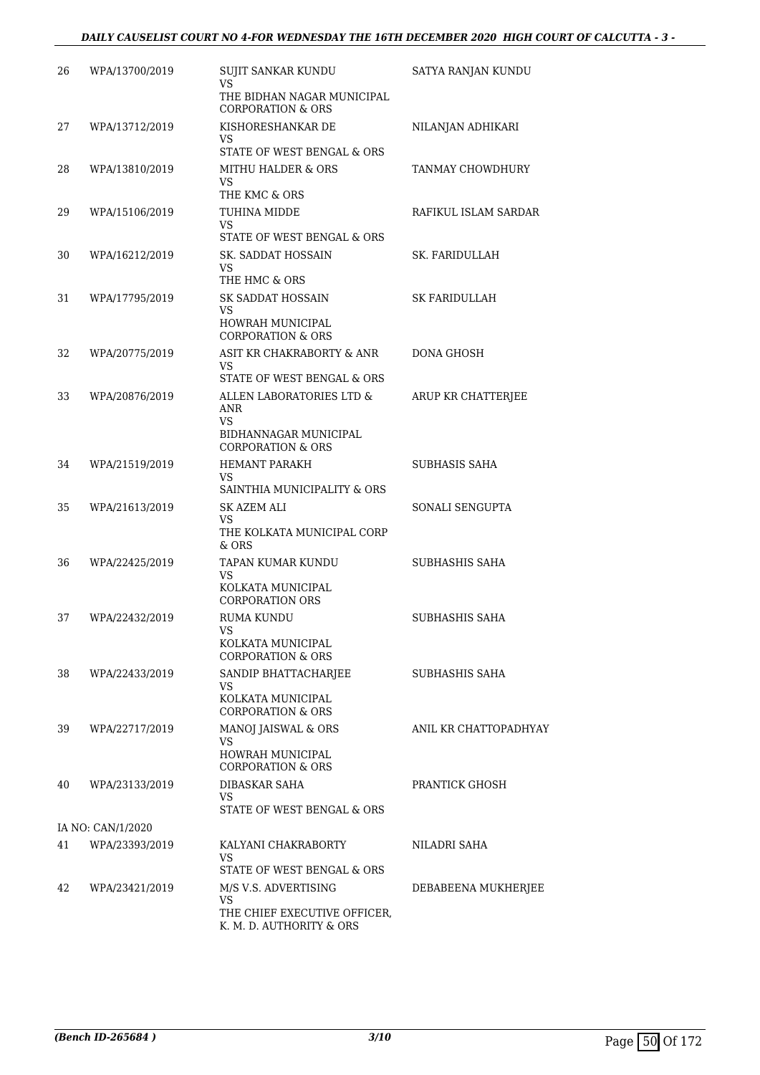| 26 | WPA/13700/2019    | SUJIT SANKAR KUNDU<br>VS<br>THE BIDHAN NAGAR MUNICIPAL<br><b>CORPORATION &amp; ORS</b>                                                                                                                                                                                                                   | SATYA RANJAN KUNDU    |
|----|-------------------|----------------------------------------------------------------------------------------------------------------------------------------------------------------------------------------------------------------------------------------------------------------------------------------------------------|-----------------------|
| 27 | WPA/13712/2019    | KISHORESHANKAR DE<br>VS<br>STATE OF WEST BENGAL & ORS                                                                                                                                                                                                                                                    | NILANJAN ADHIKARI     |
| 28 | WPA/13810/2019    | <b>MITHU HALDER &amp; ORS</b><br>VS.<br>THE KMC & ORS                                                                                                                                                                                                                                                    | TANMAY CHOWDHURY      |
| 29 | WPA/15106/2019    | TUHINA MIDDE<br>VS<br>STATE OF WEST BENGAL & ORS                                                                                                                                                                                                                                                         | RAFIKUL ISLAM SARDAR  |
| 30 | WPA/16212/2019    | SK. SADDAT HOSSAIN<br>VS<br>THE HMC & ORS                                                                                                                                                                                                                                                                | SK. FARIDULLAH        |
| 31 | WPA/17795/2019    | SK SADDAT HOSSAIN<br>VS<br>HOWRAH MUNICIPAL<br><b>CORPORATION &amp; ORS</b>                                                                                                                                                                                                                              | <b>SK FARIDULLAH</b>  |
| 32 | WPA/20775/2019    | ASIT KR CHAKRABORTY & ANR<br>VS.<br>STATE OF WEST BENGAL & ORS                                                                                                                                                                                                                                           | DONA GHOSH            |
| 33 | WPA/20876/2019    | ALLEN LABORATORIES LTD &<br>ANR<br>VS<br>BIDHANNAGAR MUNICIPAL<br><b>CORPORATION &amp; ORS</b>                                                                                                                                                                                                           | ARUP KR CHATTERJEE    |
| 34 | WPA/21519/2019    | <b>HEMANT PARAKH</b><br>VS<br>SAINTHIA MUNICIPALITY & ORS                                                                                                                                                                                                                                                | <b>SUBHASIS SAHA</b>  |
| 35 | WPA/21613/2019    | SK AZEM ALI<br>VS<br>THE KOLKATA MUNICIPAL CORP<br>$&$ ORS                                                                                                                                                                                                                                               | SONALI SENGUPTA       |
| 36 | WPA/22425/2019    | TAPAN KUMAR KUNDU<br>VS<br>KOLKATA MUNICIPAL<br><b>CORPORATION ORS</b>                                                                                                                                                                                                                                   | SUBHASHIS SAHA        |
| 37 | WPA/22432/2019    | <b>RUMA KUNDU</b><br>VS and the set of the set of the set of the set of the set of the set of the set of the set of the set of the set of the set of the set of the set of the set of the set of the set of the set of the set of the set of the se<br>KOLKATA MUNICIPAL<br><b>CORPORATION &amp; ORS</b> | SUBHASHIS SAHA        |
| 38 | WPA/22433/2019    | SANDIP BHATTACHARJEE<br>VS.<br>KOLKATA MUNICIPAL<br><b>CORPORATION &amp; ORS</b>                                                                                                                                                                                                                         | SUBHASHIS SAHA        |
| 39 | WPA/22717/2019    | MANOJ JAISWAL & ORS<br>VS.<br><b>HOWRAH MUNICIPAL</b><br><b>CORPORATION &amp; ORS</b>                                                                                                                                                                                                                    | ANIL KR CHATTOPADHYAY |
| 40 | WPA/23133/2019    | DIBASKAR SAHA<br>VS<br>STATE OF WEST BENGAL & ORS                                                                                                                                                                                                                                                        | PRANTICK GHOSH        |
|    | IA NO: CAN/1/2020 |                                                                                                                                                                                                                                                                                                          |                       |
| 41 | WPA/23393/2019    | KALYANI CHAKRABORTY<br>VS<br>STATE OF WEST BENGAL & ORS                                                                                                                                                                                                                                                  | NILADRI SAHA          |
| 42 | WPA/23421/2019    | M/S V.S. ADVERTISING<br>VS.<br>THE CHIEF EXECUTIVE OFFICER,<br>K. M. D. AUTHORITY & ORS                                                                                                                                                                                                                  | DEBABEENA MUKHERJEE   |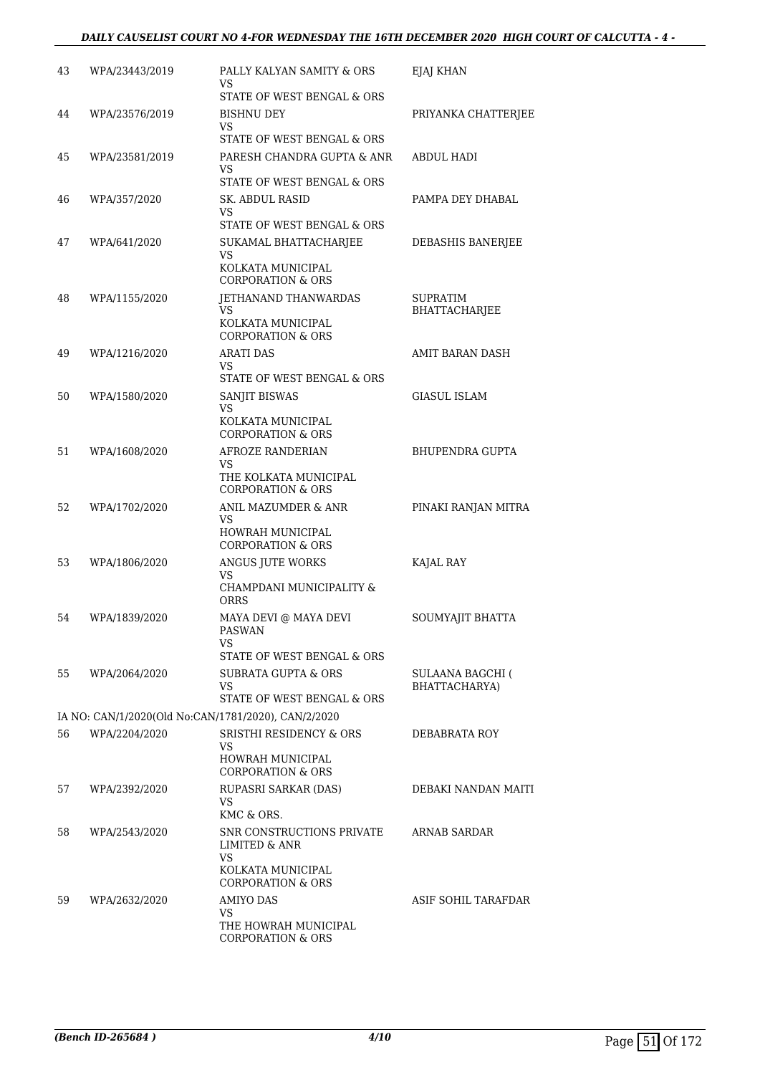#### *DAILY CAUSELIST COURT NO 4-FOR WEDNESDAY THE 16TH DECEMBER 2020 HIGH COURT OF CALCUTTA - 4 -*

| 43 | WPA/23443/2019                                      | PALLY KALYAN SAMITY & ORS<br>VS<br>STATE OF WEST BENGAL & ORS                                                        | EJAJ KHAN                                |
|----|-----------------------------------------------------|----------------------------------------------------------------------------------------------------------------------|------------------------------------------|
| 44 | WPA/23576/2019                                      | <b>BISHNU DEY</b><br>VS                                                                                              | PRIYANKA CHATTERJEE                      |
| 45 | WPA/23581/2019                                      | STATE OF WEST BENGAL & ORS<br>PARESH CHANDRA GUPTA & ANR<br>VS<br>STATE OF WEST BENGAL & ORS                         | <b>ABDUL HADI</b>                        |
| 46 | WPA/357/2020                                        | <b>SK. ABDUL RASID</b><br>VS<br>STATE OF WEST BENGAL & ORS                                                           | PAMPA DEY DHABAL                         |
| 47 | WPA/641/2020                                        | SUKAMAL BHATTACHARJEE<br>VS.<br>KOLKATA MUNICIPAL                                                                    | DEBASHIS BANERJEE                        |
| 48 | WPA/1155/2020                                       | <b>CORPORATION &amp; ORS</b><br>JETHANAND THANWARDAS<br>VS<br>KOLKATA MUNICIPAL<br><b>CORPORATION &amp; ORS</b>      | <b>SUPRATIM</b><br><b>BHATTACHARJEE</b>  |
| 49 | WPA/1216/2020                                       | <b>ARATI DAS</b><br>VS<br>STATE OF WEST BENGAL & ORS                                                                 | AMIT BARAN DASH                          |
| 50 | WPA/1580/2020                                       | SANJIT BISWAS<br>VS<br>KOLKATA MUNICIPAL<br><b>CORPORATION &amp; ORS</b>                                             | <b>GIASUL ISLAM</b>                      |
| 51 | WPA/1608/2020                                       | AFROZE RANDERIAN<br>VS<br>THE KOLKATA MUNICIPAL                                                                      | <b>BHUPENDRA GUPTA</b>                   |
| 52 | WPA/1702/2020                                       | <b>CORPORATION &amp; ORS</b><br>ANIL MAZUMDER & ANR<br><b>VS</b><br>HOWRAH MUNICIPAL<br><b>CORPORATION &amp; ORS</b> | PINAKI RANJAN MITRA                      |
| 53 | WPA/1806/2020                                       | ANGUS JUTE WORKS<br>VS<br>CHAMPDANI MUNICIPALITY &<br>ORRS                                                           | KAJAL RAY                                |
| 54 | WPA/1839/2020                                       | MAYA DEVI @ MAYA DEVI<br>PASWAN<br>VS<br>STATE OF WEST BENGAL & ORS                                                  | SOUMYAJIT BHATTA                         |
| 55 | WPA/2064/2020                                       | <b>SUBRATA GUPTA &amp; ORS</b><br>VS<br>STATE OF WEST BENGAL & ORS                                                   | <b>SULAANA BAGCHI (</b><br>BHATTACHARYA) |
|    | IA NO: CAN/1/2020(Old No:CAN/1781/2020), CAN/2/2020 |                                                                                                                      |                                          |
| 56 | WPA/2204/2020                                       | <b>SRISTHI RESIDENCY &amp; ORS</b><br>VS.<br><b>HOWRAH MUNICIPAL</b><br><b>CORPORATION &amp; ORS</b>                 | DEBABRATA ROY                            |
| 57 | WPA/2392/2020                                       | RUPASRI SARKAR (DAS)<br>VS<br>KMC & ORS.                                                                             | DEBAKI NANDAN MAITI                      |
| 58 | WPA/2543/2020                                       | SNR CONSTRUCTIONS PRIVATE<br><b>LIMITED &amp; ANR</b><br>VS<br>KOLKATA MUNICIPAL<br><b>CORPORATION &amp; ORS</b>     | ARNAB SARDAR                             |
| 59 | WPA/2632/2020                                       | <b>AMIYO DAS</b><br>VS.<br>THE HOWRAH MUNICIPAL<br><b>CORPORATION &amp; ORS</b>                                      | ASIF SOHIL TARAFDAR                      |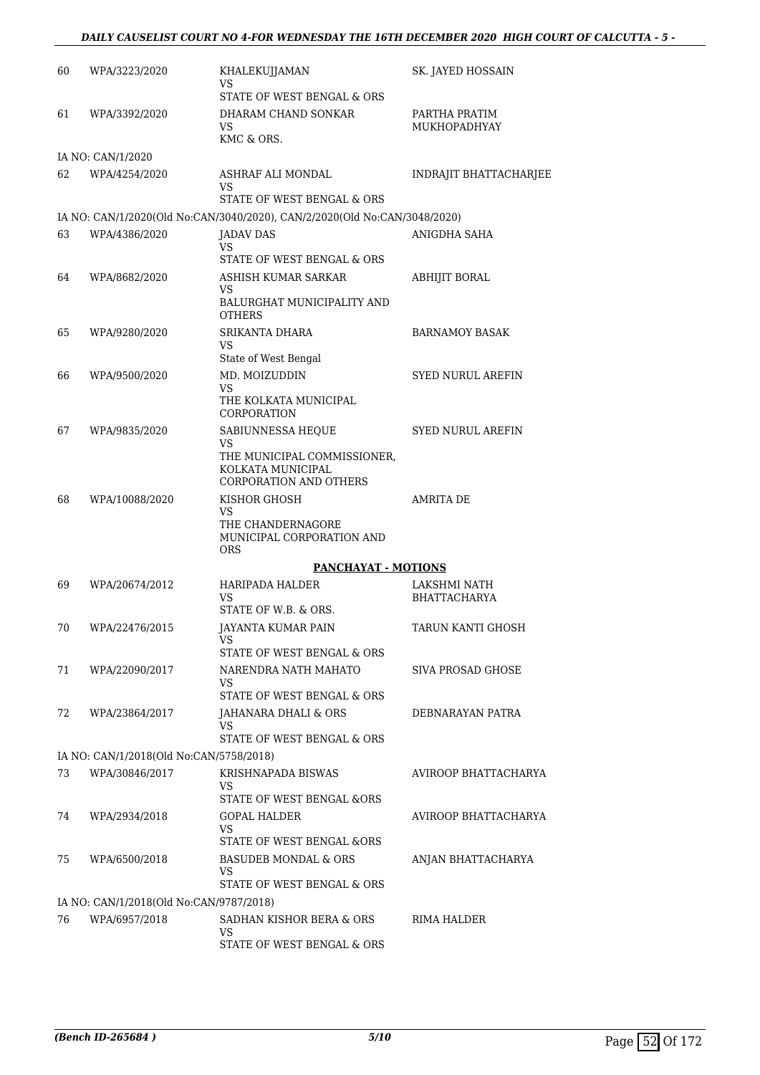### *DAILY CAUSELIST COURT NO 4-FOR WEDNESDAY THE 16TH DECEMBER 2020 HIGH COURT OF CALCUTTA - 5 -*

| 60 | WPA/3223/2020                           | KHALEKUJJAMAN<br>VS                                                       | SK. JAYED HOSSAIN             |
|----|-----------------------------------------|---------------------------------------------------------------------------|-------------------------------|
|    |                                         | STATE OF WEST BENGAL & ORS                                                |                               |
| 61 | WPA/3392/2020                           | DHARAM CHAND SONKAR<br>VS                                                 | PARTHA PRATIM<br>MUKHOPADHYAY |
|    |                                         | KMC & ORS.                                                                |                               |
|    | IA NO: CAN/1/2020                       |                                                                           |                               |
| 62 | WPA/4254/2020                           | ASHRAF ALI MONDAL                                                         | <b>INDRAJIT BHATTACHARJEE</b> |
|    |                                         | VS.<br>STATE OF WEST BENGAL & ORS                                         |                               |
|    |                                         | IA NO: CAN/1/2020(Old No:CAN/3040/2020), CAN/2/2020(Old No:CAN/3048/2020) |                               |
| 63 | WPA/4386/2020                           | JADAV DAS                                                                 | ANIGDHA SAHA                  |
|    |                                         | <b>VS</b>                                                                 |                               |
| 64 | WPA/8682/2020                           | STATE OF WEST BENGAL & ORS<br>ASHISH KUMAR SARKAR                         | ABHIJIT BORAL                 |
|    |                                         | VS                                                                        |                               |
|    |                                         | BALURGHAT MUNICIPALITY AND<br>OTHERS                                      |                               |
| 65 | WPA/9280/2020                           | SRIKANTA DHARA                                                            | <b>BARNAMOY BASAK</b>         |
|    |                                         | VS<br>State of West Bengal                                                |                               |
| 66 | WPA/9500/2020                           | MD. MOIZUDDIN                                                             | <b>SYED NURUL AREFIN</b>      |
|    |                                         | VS                                                                        |                               |
|    |                                         | THE KOLKATA MUNICIPAL<br>CORPORATION                                      |                               |
| 67 | WPA/9835/2020                           | SABIUNNESSA HEQUE<br>VS                                                   | <b>SYED NURUL AREFIN</b>      |
|    |                                         | THE MUNICIPAL COMMISSIONER,                                               |                               |
|    |                                         | KOLKATA MUNICIPAL<br><b>CORPORATION AND OTHERS</b>                        |                               |
| 68 | WPA/10088/2020                          | KISHOR GHOSH                                                              | <b>AMRITA DE</b>              |
|    |                                         | VS<br>THE CHANDERNAGORE                                                   |                               |
|    |                                         | MUNICIPAL CORPORATION AND<br>ORS                                          |                               |
|    |                                         | PANCHAYAT - MOTIONS                                                       |                               |
| 69 | WPA/20674/2012                          | HARIPADA HALDER                                                           | LAKSHMI NATH                  |
|    |                                         | VS                                                                        | BHATTACHARYA                  |
|    |                                         | STATE OF W.B. & ORS.                                                      |                               |
| 70 | WPA/22476/2015                          | JAYANTA KUMAR PAIN<br>VS                                                  | TARUN KANTI GHOSH             |
|    |                                         | STATE OF WEST BENGAL & ORS                                                |                               |
| 71 | WPA/22090/2017                          | NARENDRA NATH MAHATO<br>VS                                                | SIVA PROSAD GHOSE             |
|    |                                         | STATE OF WEST BENGAL & ORS                                                |                               |
| 72 | WPA/23864/2017                          | JAHANARA DHALI & ORS                                                      | DEBNARAYAN PATRA              |
|    |                                         | VS<br>STATE OF WEST BENGAL & ORS                                          |                               |
|    | IA NO: CAN/1/2018(Old No:CAN/5758/2018) |                                                                           |                               |
| 73 | WPA/30846/2017                          | KRISHNAPADA BISWAS                                                        | AVIROOP BHATTACHARYA          |
|    |                                         | VS<br>STATE OF WEST BENGAL &ORS                                           |                               |
| 74 | WPA/2934/2018                           | GOPAL HALDER                                                              | AVIROOP BHATTACHARYA          |
|    |                                         | VS<br>STATE OF WEST BENGAL &ORS                                           |                               |
| 75 | WPA/6500/2018                           | BASUDEB MONDAL & ORS                                                      | ANJAN BHATTACHARYA            |
|    |                                         | VS                                                                        |                               |
|    |                                         | STATE OF WEST BENGAL & ORS                                                |                               |
|    | IA NO: CAN/1/2018(Old No:CAN/9787/2018) |                                                                           |                               |
| 76 | WPA/6957/2018                           | SADHAN KISHOR BERA & ORS<br>VS                                            | RIMA HALDER                   |
|    |                                         | STATE OF WEST BENGAL & ORS                                                |                               |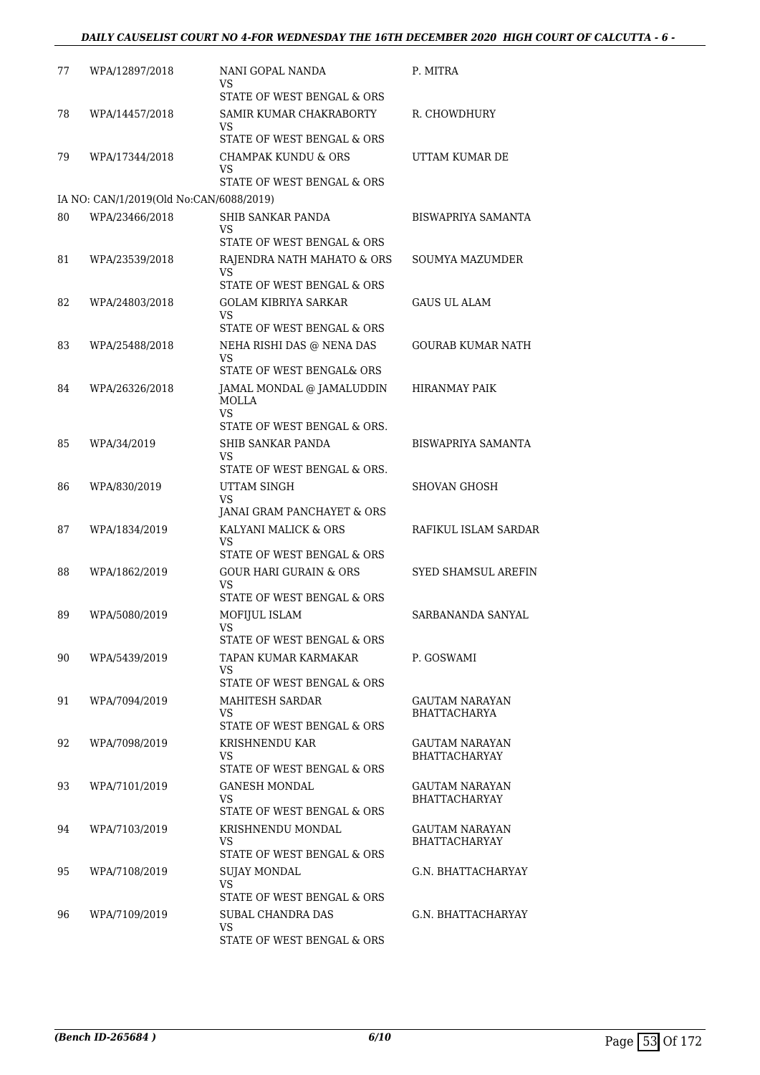### *DAILY CAUSELIST COURT NO 4-FOR WEDNESDAY THE 16TH DECEMBER 2020 HIGH COURT OF CALCUTTA - 6 -*

| 77 | WPA/12897/2018                          | NANI GOPAL NANDA<br>VS                                         | P. MITRA                  |
|----|-----------------------------------------|----------------------------------------------------------------|---------------------------|
| 78 | WPA/14457/2018                          | STATE OF WEST BENGAL & ORS<br>SAMIR KUMAR CHAKRABORTY          | R. CHOWDHURY              |
|    |                                         | VS<br>STATE OF WEST BENGAL & ORS                               |                           |
| 79 | WPA/17344/2018                          | <b>CHAMPAK KUNDU &amp; ORS</b><br>VS                           | UTTAM KUMAR DE            |
|    | IA NO: CAN/1/2019(Old No:CAN/6088/2019) | STATE OF WEST BENGAL & ORS                                     |                           |
| 80 | WPA/23466/2018                          | SHIB SANKAR PANDA                                              | <b>BISWAPRIYA SAMANTA</b> |
|    |                                         | VS<br>STATE OF WEST BENGAL & ORS                               |                           |
| 81 | WPA/23539/2018                          | RAJENDRA NATH MAHATO & ORS<br>VS<br>STATE OF WEST BENGAL & ORS | <b>SOUMYA MAZUMDER</b>    |
| 82 | WPA/24803/2018                          | <b>GOLAM KIBRIYA SARKAR</b><br>VS                              | <b>GAUS UL ALAM</b>       |
|    |                                         | STATE OF WEST BENGAL & ORS                                     |                           |
| 83 | WPA/25488/2018                          | NEHA RISHI DAS @ NENA DAS<br>VS<br>STATE OF WEST BENGAL& ORS   | GOURAB KUMAR NATH         |
|    |                                         |                                                                |                           |
| 84 | WPA/26326/2018                          | JAMAL MONDAL @ JAMALUDDIN<br>MOLLA<br><b>VS</b>                | <b>HIRANMAY PAIK</b>      |
|    |                                         | STATE OF WEST BENGAL & ORS.                                    |                           |
| 85 | WPA/34/2019                             | <b>SHIB SANKAR PANDA</b><br>VS<br>STATE OF WEST BENGAL & ORS.  | <b>BISWAPRIYA SAMANTA</b> |
| 86 | WPA/830/2019                            | UTTAM SINGH                                                    | <b>SHOVAN GHOSH</b>       |
|    |                                         | VS<br>JANAI GRAM PANCHAYET & ORS                               |                           |
| 87 | WPA/1834/2019                           | KALYANI MALICK & ORS                                           | RAFIKUL ISLAM SARDAR      |
|    |                                         | VS<br>STATE OF WEST BENGAL & ORS                               |                           |
| 88 | WPA/1862/2019                           | <b>GOUR HARI GURAIN &amp; ORS</b>                              | SYED SHAMSUL AREFIN       |
|    |                                         | VS<br>STATE OF WEST BENGAL & ORS                               |                           |
| 89 | WPA/5080/2019                           | MOFIJUL ISLAM                                                  | SARBANANDA SANYAL         |
|    |                                         | VS —<br>STATE OF WEST BENGAL & ORS                             |                           |
| 90 | WPA/5439/2019                           | TAPAN KUMAR KARMAKAR<br>VS                                     | P. GOSWAMI                |
|    |                                         | STATE OF WEST BENGAL & ORS                                     |                           |
| 91 | WPA/7094/2019                           | MAHITESH SARDAR                                                | GAUTAM NARAYAN            |
|    |                                         | VS.<br>STATE OF WEST BENGAL & ORS                              | <b>BHATTACHARYA</b>       |
| 92 | WPA/7098/2019                           | KRISHNENDU KAR                                                 | GAUTAM NARAYAN            |
|    |                                         | VS<br>STATE OF WEST BENGAL & ORS                               | <b>BHATTACHARYAY</b>      |
| 93 | WPA/7101/2019                           | <b>GANESH MONDAL</b>                                           | <b>GAUTAM NARAYAN</b>     |
|    |                                         | VS<br>STATE OF WEST BENGAL & ORS                               | <b>BHATTACHARYAY</b>      |
| 94 | WPA/7103/2019                           | KRISHNENDU MONDAL                                              | GAUTAM NARAYAN            |
|    |                                         | VS                                                             | <b>BHATTACHARYAY</b>      |
|    |                                         | STATE OF WEST BENGAL & ORS                                     |                           |
| 95 | WPA/7108/2019                           | <b>SUJAY MONDAL</b><br>VS<br>STATE OF WEST BENGAL & ORS        | G.N. BHATTACHARYAY        |
| 96 | WPA/7109/2019                           | SUBAL CHANDRA DAS                                              | G.N. BHATTACHARYAY        |
|    |                                         | VS                                                             |                           |
|    |                                         | STATE OF WEST BENGAL & ORS                                     |                           |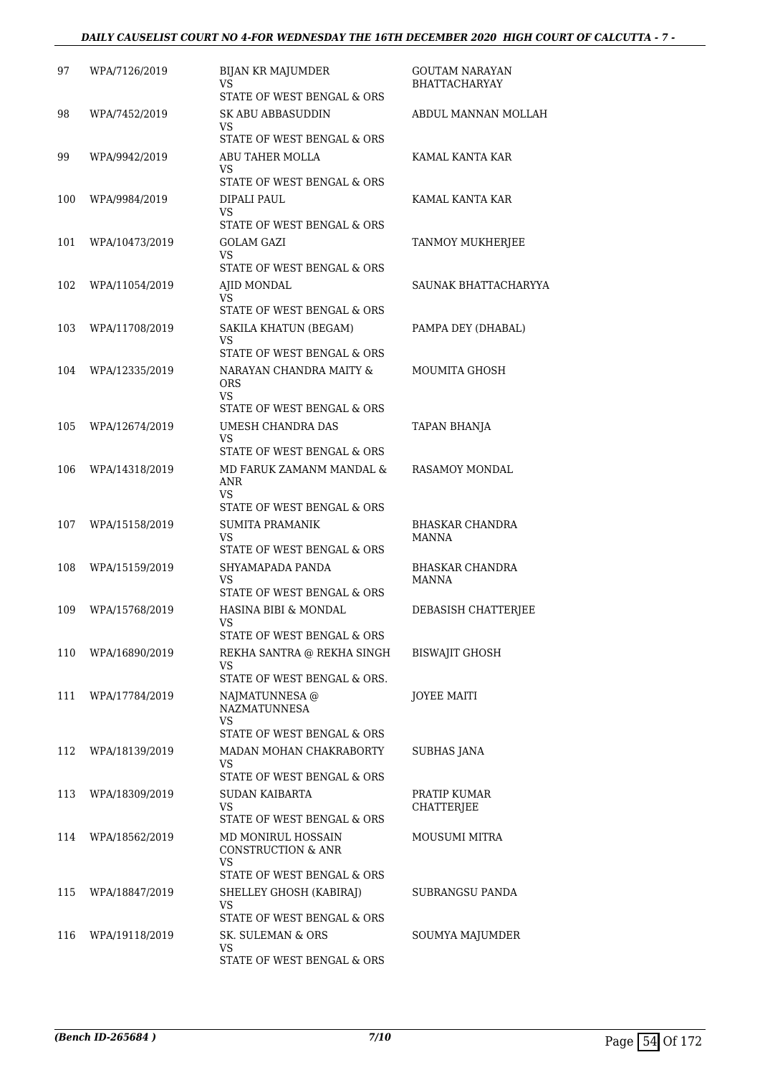#### *DAILY CAUSELIST COURT NO 4-FOR WEDNESDAY THE 16TH DECEMBER 2020 HIGH COURT OF CALCUTTA - 7 -*

| 97  | WPA/7126/2019  | <b>BIJAN KR MAJUMDER</b><br>VS<br>STATE OF WEST BENGAL & ORS                             | GOUTAM NARAYAN<br><b>BHATTACHARYAY</b> |
|-----|----------------|------------------------------------------------------------------------------------------|----------------------------------------|
| 98  | WPA/7452/2019  | <b>SK ABU ABBASUDDIN</b><br>VS<br>STATE OF WEST BENGAL & ORS                             | ABDUL MANNAN MOLLAH                    |
| 99  | WPA/9942/2019  | ABU TAHER MOLLA<br>VS<br>STATE OF WEST BENGAL & ORS                                      | KAMAL KANTA KAR                        |
| 100 | WPA/9984/2019  | DIPALI PAUL<br>VS<br>STATE OF WEST BENGAL & ORS                                          | KAMAL KANTA KAR                        |
| 101 | WPA/10473/2019 | <b>GOLAM GAZI</b><br>VS<br>STATE OF WEST BENGAL & ORS                                    | TANMOY MUKHERJEE                       |
| 102 | WPA/11054/2019 | AJID MONDAL<br>VS<br>STATE OF WEST BENGAL & ORS                                          | SAUNAK BHATTACHARYYA                   |
| 103 | WPA/11708/2019 | SAKILA KHATUN (BEGAM)<br><b>VS</b><br>STATE OF WEST BENGAL & ORS                         | PAMPA DEY (DHABAL)                     |
| 104 | WPA/12335/2019 | NARAYAN CHANDRA MAITY &<br><b>ORS</b><br><b>VS</b><br>STATE OF WEST BENGAL & ORS         | MOUMITA GHOSH                          |
| 105 | WPA/12674/2019 | <b>UMESH CHANDRA DAS</b><br>VS<br>STATE OF WEST BENGAL & ORS                             | TAPAN BHANJA                           |
| 106 | WPA/14318/2019 | MD FARUK ZAMANM MANDAL &<br>ANR<br>VS<br>STATE OF WEST BENGAL & ORS                      | RASAMOY MONDAL                         |
| 107 | WPA/15158/2019 | <b>SUMITA PRAMANIK</b><br><b>VS</b><br>STATE OF WEST BENGAL & ORS                        | <b>BHASKAR CHANDRA</b><br>MANNA        |
| 108 | WPA/15159/2019 | SHYAMAPADA PANDA<br>VS<br>STATE OF WEST BENGAL & ORS                                     | <b>BHASKAR CHANDRA</b><br><b>MANNA</b> |
| 109 | WPA/15768/2019 | HASINA BIBI & MONDAL<br>VS<br>STATE OF WEST BENGAL & ORS                                 | DEBASISH CHATTERJEE                    |
| 110 | WPA/16890/2019 | REKHA SANTRA @ REKHA SINGH<br>VS<br>STATE OF WEST BENGAL & ORS.                          | <b>BISWAJIT GHOSH</b>                  |
| 111 | WPA/17784/2019 | NAJMATUNNESA @<br><b>NAZMATUNNESA</b><br>VS.<br>STATE OF WEST BENGAL & ORS               | JOYEE MAITI                            |
| 112 | WPA/18139/2019 | MADAN MOHAN CHAKRABORTY<br>VS.<br>STATE OF WEST BENGAL & ORS                             | <b>SUBHAS JANA</b>                     |
| 113 | WPA/18309/2019 | <b>SUDAN KAIBARTA</b><br>VS<br>STATE OF WEST BENGAL & ORS                                | PRATIP KUMAR<br>CHATTERJEE             |
| 114 | WPA/18562/2019 | MD MONIRUL HOSSAIN<br><b>CONSTRUCTION &amp; ANR</b><br>VS.<br>STATE OF WEST BENGAL & ORS | <b>MOUSUMI MITRA</b>                   |
| 115 | WPA/18847/2019 | SHELLEY GHOSH (KABIRAJ)<br>VS<br>STATE OF WEST BENGAL & ORS                              | SUBRANGSU PANDA                        |
| 116 | WPA/19118/2019 | SK. SULEMAN & ORS<br>VS.<br>STATE OF WEST BENGAL & ORS                                   | SOUMYA MAJUMDER                        |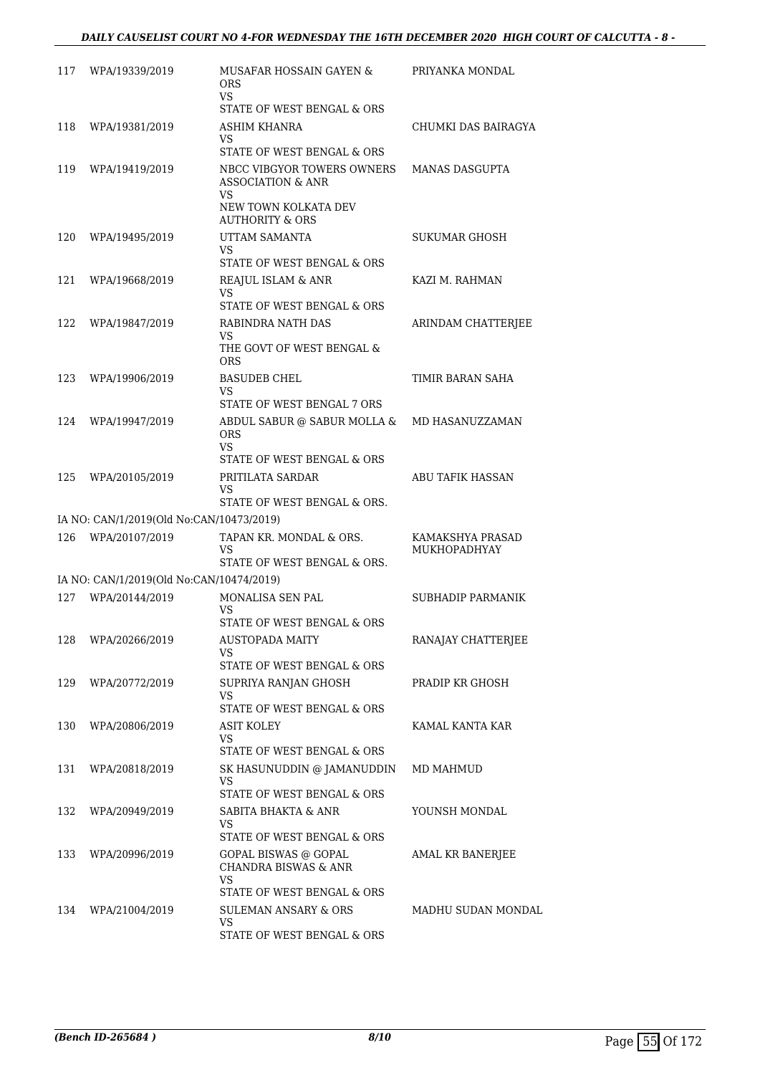| 117 | WPA/19339/2019                           | MUSAFAR HOSSAIN GAYEN &<br>ORS.<br>VS.                                                                                  | PRIYANKA MONDAL                  |
|-----|------------------------------------------|-------------------------------------------------------------------------------------------------------------------------|----------------------------------|
| 118 | WPA/19381/2019                           | STATE OF WEST BENGAL & ORS<br>ASHIM KHANRA                                                                              | CHUMKI DAS BAIRAGYA              |
|     |                                          | VS.<br>STATE OF WEST BENGAL & ORS                                                                                       |                                  |
| 119 | WPA/19419/2019                           | NBCC VIBGYOR TOWERS OWNERS<br><b>ASSOCIATION &amp; ANR</b><br>VS.<br>NEW TOWN KOLKATA DEV<br><b>AUTHORITY &amp; ORS</b> | <b>MANAS DASGUPTA</b>            |
| 120 | WPA/19495/2019                           | UTTAM SAMANTA<br>VS.<br>STATE OF WEST BENGAL & ORS                                                                      | SUKUMAR GHOSH                    |
| 121 | WPA/19668/2019                           | REAJUL ISLAM & ANR<br>VS.<br>STATE OF WEST BENGAL & ORS                                                                 | KAZI M. RAHMAN                   |
| 122 | WPA/19847/2019                           | RABINDRA NATH DAS<br>VS.                                                                                                | ARINDAM CHATTERJEE               |
|     |                                          | THE GOVT OF WEST BENGAL &<br><b>ORS</b>                                                                                 |                                  |
| 123 | WPA/19906/2019                           | <b>BASUDEB CHEL</b><br>VS.                                                                                              | TIMIR BARAN SAHA                 |
|     |                                          | STATE OF WEST BENGAL 7 ORS                                                                                              |                                  |
| 124 | WPA/19947/2019                           | ABDUL SABUR @ SABUR MOLLA &<br><b>ORS</b><br><b>VS</b>                                                                  | MD HASANUZZAMAN                  |
|     |                                          | STATE OF WEST BENGAL & ORS                                                                                              |                                  |
| 125 | WPA/20105/2019                           | PRITILATA SARDAR<br>VS<br>STATE OF WEST BENGAL & ORS.                                                                   | <b>ABU TAFIK HASSAN</b>          |
|     | IA NO: CAN/1/2019(Old No:CAN/10473/2019) |                                                                                                                         |                                  |
| 126 | WPA/20107/2019                           | TAPAN KR. MONDAL & ORS.<br>VS<br>STATE OF WEST BENGAL & ORS.                                                            | KAMAKSHYA PRASAD<br>MUKHOPADHYAY |
|     | IA NO: CAN/1/2019(Old No:CAN/10474/2019) |                                                                                                                         |                                  |
| 127 | WPA/20144/2019                           | MONALISA SEN PAL<br>VS                                                                                                  | SUBHADIP PARMANIK                |
| 128 | WPA/20266/2019                           | STATE OF WEST BENGAL & ORS<br><b>AUSTOPADA MAITY</b><br>VS.<br>STATE OF WEST BENGAL & ORS                               | RANAJAY CHATTERJEE               |
| 129 | WPA/20772/2019                           | SUPRIYA RANJAN GHOSH<br>VS.<br>STATE OF WEST BENGAL & ORS                                                               | PRADIP KR GHOSH                  |
| 130 | WPA/20806/2019                           | ASIT KOLEY<br>VS.                                                                                                       | KAMAL KANTA KAR                  |
| 131 | WPA/20818/2019                           | STATE OF WEST BENGAL & ORS<br>SK HASUNUDDIN @ JAMANUDDIN<br>VS                                                          | MD MAHMUD                        |
| 132 | WPA/20949/2019                           | STATE OF WEST BENGAL & ORS<br>SABITA BHAKTA & ANR<br>VS.                                                                | YOUNSH MONDAL                    |
| 133 | WPA/20996/2019                           | STATE OF WEST BENGAL & ORS<br>GOPAL BISWAS @ GOPAL<br><b>CHANDRA BISWAS &amp; ANR</b><br>VS.                            | AMAL KR BANERJEE                 |
| 134 | WPA/21004/2019                           | STATE OF WEST BENGAL & ORS<br>SULEMAN ANSARY & ORS<br>VS<br>STATE OF WEST BENGAL & ORS                                  | MADHU SUDAN MONDAL               |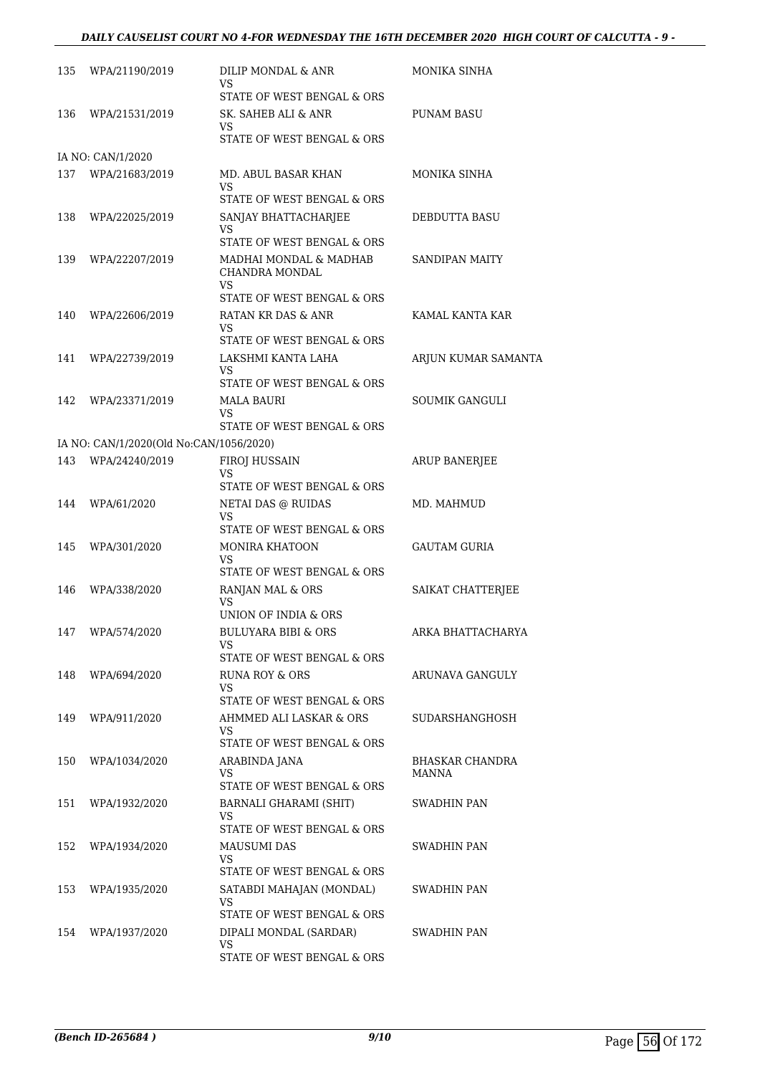### *DAILY CAUSELIST COURT NO 4-FOR WEDNESDAY THE 16TH DECEMBER 2020 HIGH COURT OF CALCUTTA - 9 -*

| 135 | WPA/21190/2019                                            | DILIP MONDAL & ANR<br><b>VS</b>                              | MONIKA SINHA          |
|-----|-----------------------------------------------------------|--------------------------------------------------------------|-----------------------|
|     |                                                           | STATE OF WEST BENGAL & ORS                                   |                       |
| 136 | WPA/21531/2019                                            | SK. SAHEB ALI & ANR<br>VS<br>STATE OF WEST BENGAL & ORS      | PUNAM BASU            |
|     | IA NO: CAN/1/2020                                         |                                                              |                       |
| 137 | WPA/21683/2019                                            | MD. ABUL BASAR KHAN                                          | MONIKA SINHA          |
|     |                                                           | VS<br>STATE OF WEST BENGAL & ORS                             |                       |
| 138 | WPA/22025/2019                                            | SANJAY BHATTACHARJEE<br>VS                                   | <b>DEBDUTTA BASU</b>  |
| 139 | WPA/22207/2019                                            | STATE OF WEST BENGAL & ORS<br>MADHAI MONDAL & MADHAB         | <b>SANDIPAN MAITY</b> |
|     |                                                           | CHANDRA MONDAL<br>VS                                         |                       |
|     |                                                           | STATE OF WEST BENGAL & ORS                                   |                       |
| 140 | WPA/22606/2019                                            | RATAN KR DAS & ANR<br>VS                                     | KAMAL KANTA KAR       |
|     |                                                           | STATE OF WEST BENGAL & ORS                                   |                       |
| 141 | WPA/22739/2019                                            | LAKSHMI KANTA LAHA<br>VS<br>STATE OF WEST BENGAL & ORS       | ARJUN KUMAR SAMANTA   |
| 142 | WPA/23371/2019                                            | MALA BAURI                                                   | <b>SOUMIK GANGULI</b> |
|     |                                                           | VS                                                           |                       |
|     |                                                           | STATE OF WEST BENGAL & ORS                                   |                       |
| 143 | IA NO: CAN/1/2020(Old No:CAN/1056/2020)<br>WPA/24240/2019 |                                                              |                       |
|     |                                                           | <b>FIROJ HUSSAIN</b><br>VS                                   | <b>ARUP BANERJEE</b>  |
|     |                                                           | STATE OF WEST BENGAL & ORS                                   |                       |
| 144 | WPA/61/2020                                               | NETAI DAS @ RUIDAS<br>VS.<br>STATE OF WEST BENGAL & ORS      | MD. MAHMUD            |
| 145 | WPA/301/2020                                              | <b>MONIRA KHATOON</b>                                        | GAUTAM GURIA          |
|     |                                                           | VS<br>STATE OF WEST BENGAL & ORS                             |                       |
| 146 | WPA/338/2020                                              | RANJAN MAL & ORS                                             | SAIKAT CHATTERJEE     |
|     |                                                           | VS<br>UNION OF INDIA & ORS                                   |                       |
|     | 147 WPA/574/2020                                          | <b>BULUYARA BIBI &amp; ORS</b>                               | ARKA BHATTACHARYA     |
|     |                                                           | VS.<br>STATE OF WEST BENGAL & ORS                            |                       |
| 148 | WPA/694/2020                                              | RUNA ROY & ORS                                               | ARUNAVA GANGULY       |
|     |                                                           | VS.                                                          |                       |
|     |                                                           | STATE OF WEST BENGAL & ORS                                   |                       |
| 149 | WPA/911/2020                                              | AHMMED ALI LASKAR & ORS<br>VS.<br>STATE OF WEST BENGAL & ORS | SUDARSHANGHOSH        |
| 150 | WPA/1034/2020                                             | ARABINDA JANA                                                | BHASKAR CHANDRA       |
|     |                                                           | VS<br>STATE OF WEST BENGAL & ORS                             | MANNA                 |
| 151 | WPA/1932/2020                                             | BARNALI GHARAMI (SHIT)                                       | SWADHIN PAN           |
|     |                                                           | VS.<br>STATE OF WEST BENGAL & ORS                            |                       |
| 152 | WPA/1934/2020                                             | <b>MAUSUMI DAS</b>                                           | SWADHIN PAN           |
|     |                                                           | VS.<br>STATE OF WEST BENGAL & ORS                            |                       |
| 153 | WPA/1935/2020                                             | SATABDI MAHAJAN (MONDAL)                                     | SWADHIN PAN           |
|     |                                                           | VS                                                           |                       |
|     |                                                           | STATE OF WEST BENGAL & ORS                                   |                       |
| 154 | WPA/1937/2020                                             | DIPALI MONDAL (SARDAR)<br>VS                                 | SWADHIN PAN           |
|     |                                                           | STATE OF WEST BENGAL & ORS                                   |                       |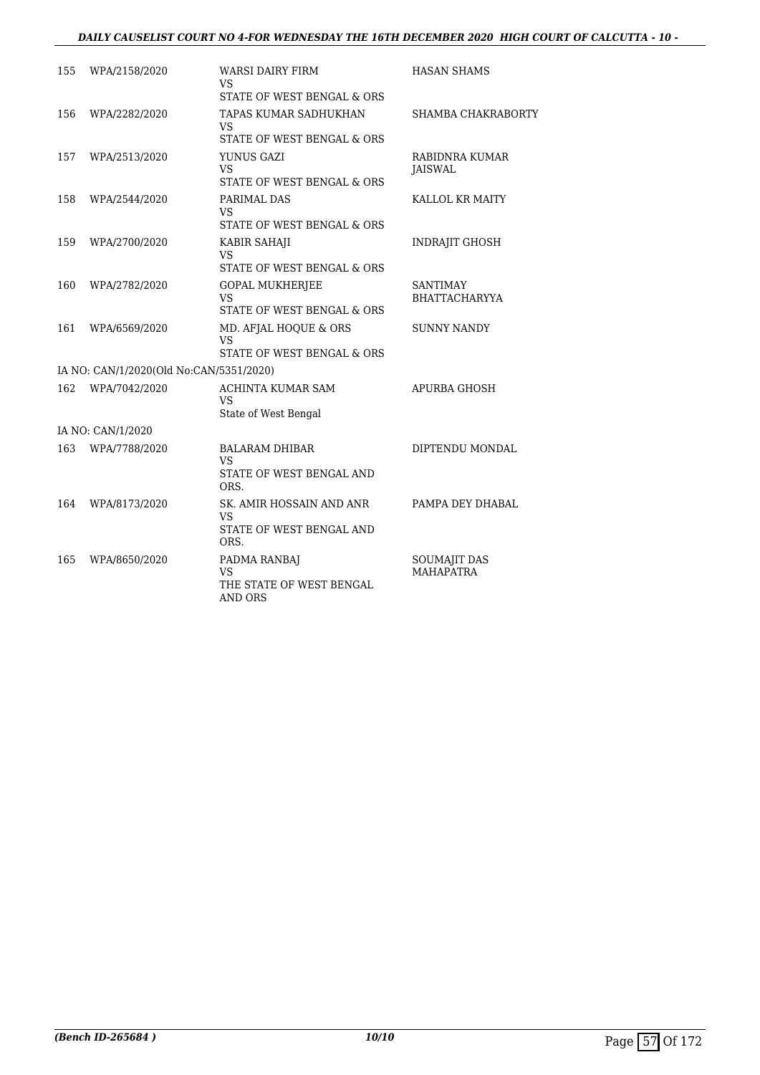### *DAILY CAUSELIST COURT NO 4-FOR WEDNESDAY THE 16TH DECEMBER 2020 HIGH COURT OF CALCUTTA - 10 -*

| 155 | WPA/2158/2020                           | <b>WARSI DAIRY FIRM</b><br>VS                             | <b>HASAN SHAMS</b>                      |
|-----|-----------------------------------------|-----------------------------------------------------------|-----------------------------------------|
|     |                                         | STATE OF WEST BENGAL & ORS                                |                                         |
| 156 | WPA/2282/2020                           | TAPAS KUMAR SADHUKHAN<br><b>VS</b>                        | SHAMBA CHAKRABORTY                      |
|     |                                         | STATE OF WEST BENGAL & ORS                                |                                         |
| 157 | WPA/2513/2020                           | YUNUS GAZI<br>VS                                          | RABIDNRA KUMAR<br>JAISWAL               |
|     |                                         | STATE OF WEST BENGAL & ORS                                |                                         |
| 158 | WPA/2544/2020                           | PARIMAL DAS<br>VS                                         | KALLOL KR MAITY                         |
|     |                                         | STATE OF WEST BENGAL & ORS                                |                                         |
| 159 | WPA/2700/2020                           | KABIR SAHAJI<br>VS                                        | <b>INDRAJIT GHOSH</b>                   |
|     |                                         | STATE OF WEST BENGAL & ORS                                |                                         |
| 160 | WPA/2782/2020                           | <b>GOPAL MUKHERJEE</b><br><b>VS</b>                       | <b>SANTIMAY</b><br><b>BHATTACHARYYA</b> |
|     |                                         | STATE OF WEST BENGAL & ORS                                |                                         |
| 161 | WPA/6569/2020                           | MD. AFJAL HOQUE & ORS<br>VS<br>STATE OF WEST BENGAL & ORS | <b>SUNNY NANDY</b>                      |
|     |                                         |                                                           |                                         |
|     | IA NO: CAN/1/2020(Old No:CAN/5351/2020) |                                                           |                                         |
| 162 | WPA/7042/2020                           | ACHINTA KUMAR SAM<br><b>VS</b><br>State of West Bengal    | <b>APURBA GHOSH</b>                     |
|     | IA NO: CAN/1/2020                       |                                                           |                                         |
| 163 | WPA/7788/2020                           | <b>BALARAM DHIBAR</b><br>VS                               | DIPTENDU MONDAL                         |
|     |                                         | STATE OF WEST BENGAL AND<br>ORS.                          |                                         |
| 164 | WPA/8173/2020                           | SK. AMIR HOSSAIN AND ANR<br>VS                            | PAMPA DEY DHABAL                        |
|     |                                         | STATE OF WEST BENGAL AND<br>ORS.                          |                                         |
| 165 | WPA/8650/2020                           | PADMA RANBAJ<br>VS                                        | SOUMAJIT DAS<br><b>MAHAPATRA</b>        |
|     |                                         | THE STATE OF WEST BENGAL<br>AND ORS                       |                                         |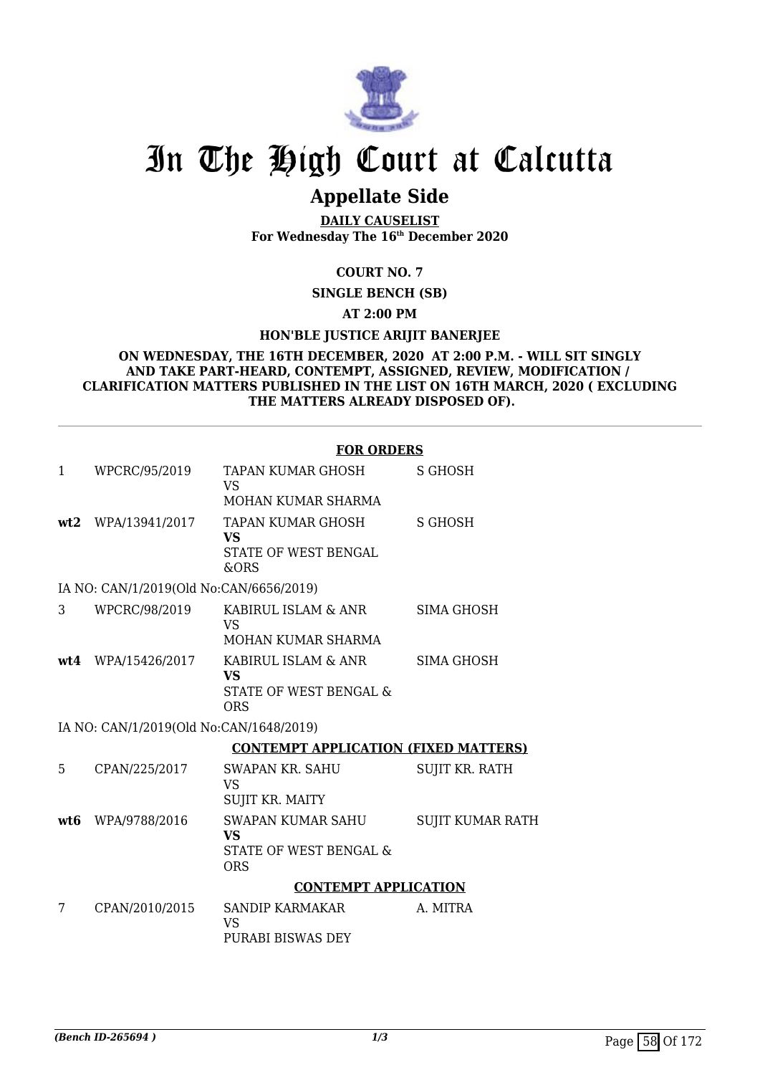

## **Appellate Side**

**DAILY CAUSELIST For Wednesday The 16th December 2020**

### **COURT NO. 7**

**SINGLE BENCH (SB)**

### **AT 2:00 PM**

### **HON'BLE JUSTICE ARIJIT BANERJEE**

#### **ON WEDNESDAY, THE 16TH DECEMBER, 2020 AT 2:00 P.M. - WILL SIT SINGLY AND TAKE PART-HEARD, CONTEMPT, ASSIGNED, REVIEW, MODIFICATION / CLARIFICATION MATTERS PUBLISHED IN THE LIST ON 16TH MARCH, 2020 ( EXCLUDING THE MATTERS ALREADY DISPOSED OF).**

## **FOR ORDERS**

| 1   | WPCRC/95/2019                           | TAPAN KUMAR GHOSH<br><b>VS</b><br>MOHAN KUMAR SHARMA                          | S GHOSH                 |
|-----|-----------------------------------------|-------------------------------------------------------------------------------|-------------------------|
|     | wt2 WPA/13941/2017                      | TAPAN KUMAR GHOSH<br><b>VS</b><br>STATE OF WEST BENGAL<br>&ORS                | <b>S GHOSH</b>          |
|     | IA NO: CAN/1/2019(Old No:CAN/6656/2019) |                                                                               |                         |
| 3   | WPCRC/98/2019                           | KABIRUL ISLAM & ANR<br><b>VS</b><br>MOHAN KUMAR SHARMA                        | <b>SIMA GHOSH</b>       |
| wt4 | WPA/15426/2017                          | KABIRUL ISLAM & ANR<br><b>VS</b><br>STATE OF WEST BENGAL &<br><b>ORS</b>      | <b>SIMA GHOSH</b>       |
|     | IA NO: CAN/1/2019(Old No:CAN/1648/2019) |                                                                               |                         |
|     |                                         | <b>CONTEMPT APPLICATION (FIXED MATTERS)</b>                                   |                         |
| 5   | CPAN/225/2017                           | <b>SWAPAN KR. SAHU</b><br><b>VS</b><br>SUJIT KR. MAITY                        | <b>SUJIT KR. RATH</b>   |
| wt6 | WPA/9788/2016                           | <b>SWAPAN KUMAR SAHU</b><br><b>VS</b><br>STATE OF WEST BENGAL &<br><b>ORS</b> | <b>SUIIT KUMAR RATH</b> |
|     |                                         | <b>CONTEMPT APPLICATION</b>                                                   |                         |
| 7   | CPAN/2010/2015                          | <b>SANDIP KARMAKAR</b><br><b>VS</b><br>PURABI BISWAS DEY                      | A. MITRA                |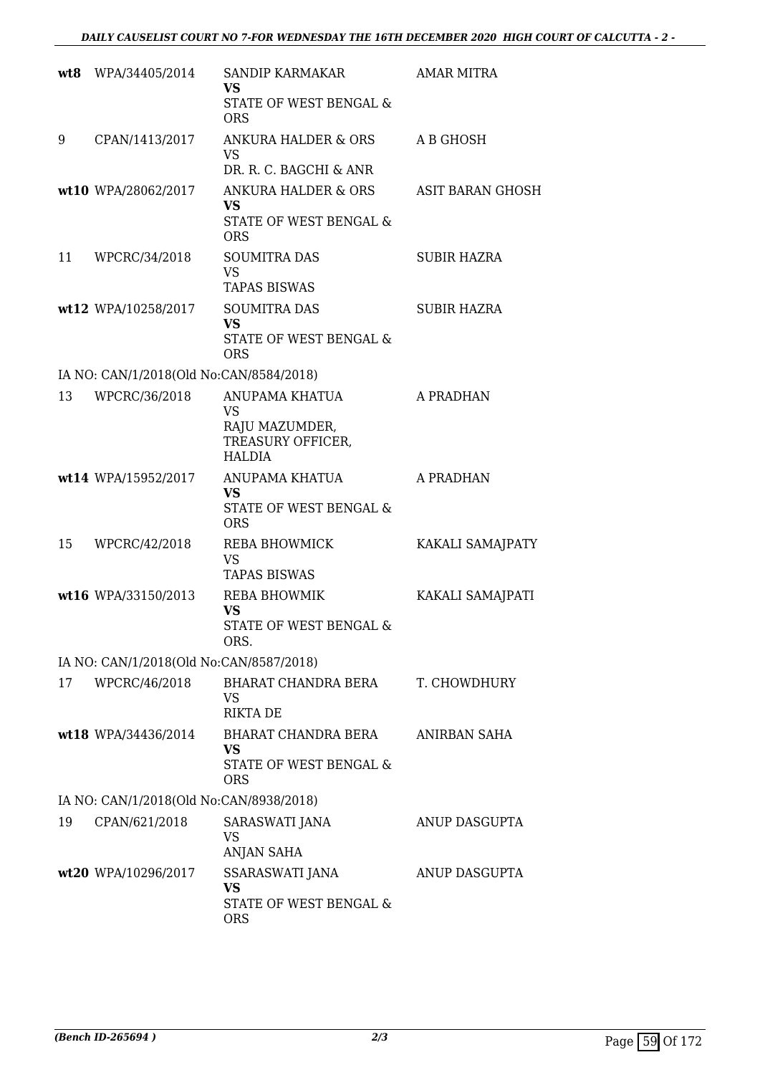|    | wt8 WPA/34405/2014                      | SANDIP KARMAKAR<br><b>VS</b><br>STATE OF WEST BENGAL &<br><b>ORS</b>         | <b>AMAR MITRA</b>       |
|----|-----------------------------------------|------------------------------------------------------------------------------|-------------------------|
| 9  | CPAN/1413/2017                          | <b>ANKURA HALDER &amp; ORS</b><br><b>VS</b><br>DR. R. C. BAGCHI & ANR        | A B GHOSH               |
|    | wt10 WPA/28062/2017                     | ANKURA HALDER & ORS<br><b>VS</b><br>STATE OF WEST BENGAL &<br><b>ORS</b>     | <b>ASIT BARAN GHOSH</b> |
| 11 | WPCRC/34/2018                           | <b>SOUMITRA DAS</b><br><b>VS</b><br><b>TAPAS BISWAS</b>                      | SUBIR HAZRA             |
|    | wt12 WPA/10258/2017                     | <b>SOUMITRA DAS</b><br><b>VS</b><br>STATE OF WEST BENGAL &<br><b>ORS</b>     | <b>SUBIR HAZRA</b>      |
|    | IA NO: CAN/1/2018(Old No:CAN/8584/2018) |                                                                              |                         |
| 13 | WPCRC/36/2018                           | ANUPAMA KHATUA<br><b>VS</b><br>RAJU MAZUMDER,<br>TREASURY OFFICER,<br>HALDIA | A PRADHAN               |
|    | wt14 WPA/15952/2017                     | ANUPAMA KHATUA<br><b>VS</b><br>STATE OF WEST BENGAL &<br><b>ORS</b>          | A PRADHAN               |
| 15 | WPCRC/42/2018                           | REBA BHOWMICK<br><b>VS</b><br><b>TAPAS BISWAS</b>                            | KAKALI SAMAJPATY        |
|    | wt16 WPA/33150/2013                     | REBA BHOWMIK<br>VS<br>STATE OF WEST BENGAL &<br>ORS.                         | KAKALI SAMAJPATI        |
|    | IA NO: CAN/1/2018(Old No:CAN/8587/2018) |                                                                              |                         |
| 17 | WPCRC/46/2018                           | BHARAT CHANDRA BERA<br>VS<br><b>RIKTA DE</b>                                 | T. CHOWDHURY            |
|    | wt18 WPA/34436/2014                     | BHARAT CHANDRA BERA<br><b>VS</b><br>STATE OF WEST BENGAL &<br><b>ORS</b>     | ANIRBAN SAHA            |
|    | IA NO: CAN/1/2018(Old No:CAN/8938/2018) |                                                                              |                         |
| 19 | CPAN/621/2018                           | SARASWATI JANA<br>VS<br><b>ANJAN SAHA</b>                                    | ANUP DASGUPTA           |
|    | wt20 WPA/10296/2017                     | SSARASWATI JANA<br>VS<br>STATE OF WEST BENGAL &<br><b>ORS</b>                | ANUP DASGUPTA           |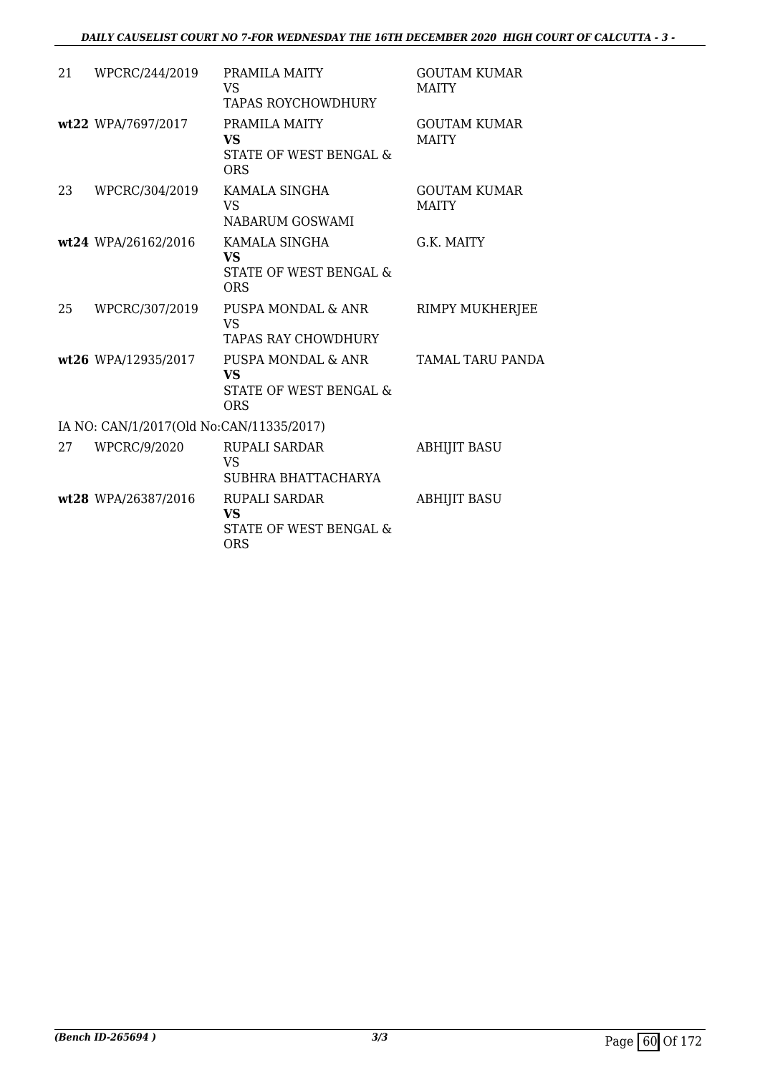### *DAILY CAUSELIST COURT NO 7-FOR WEDNESDAY THE 16TH DECEMBER 2020 HIGH COURT OF CALCUTTA - 3 -*

| 21 | WPCRC/244/2019                           | PRAMILA MAITY<br><b>VS</b><br><b>TAPAS ROYCHOWDHURY</b>                   | <b>GOUTAM KUMAR</b><br><b>MAITY</b> |
|----|------------------------------------------|---------------------------------------------------------------------------|-------------------------------------|
|    | wt22 WPA/7697/2017                       | PRAMILA MAITY<br><b>VS</b><br>STATE OF WEST BENGAL &<br><b>ORS</b>        | <b>GOUTAM KUMAR</b><br><b>MAITY</b> |
| 23 | WPCRC/304/2019                           | KAMALA SINGHA<br><b>VS</b><br>NABARUM GOSWAMI                             | <b>GOUTAM KUMAR</b><br><b>MAITY</b> |
|    | wt24 WPA/26162/2016                      | KAMALA SINGHA<br><b>VS</b><br>STATE OF WEST BENGAL &<br><b>ORS</b>        | G.K. MAITY                          |
| 25 | WPCRC/307/2019                           | PUSPA MONDAL & ANR<br><b>VS</b><br>TAPAS RAY CHOWDHURY                    | RIMPY MUKHERJEE                     |
|    | wt26 WPA/12935/2017                      | PUSPA MONDAL & ANR<br>VS.<br>STATE OF WEST BENGAL &<br><b>ORS</b>         | TAMAL TARU PANDA                    |
|    | IA NO: CAN/1/2017(Old No:CAN/11335/2017) |                                                                           |                                     |
| 27 | WPCRC/9/2020                             | <b>RUPALI SARDAR</b><br><b>VS</b><br>SUBHRA BHATTACHARYA                  | <b>ABHIJIT BASU</b>                 |
|    | wt28 WPA/26387/2016                      | <b>RUPALI SARDAR</b><br><b>VS</b><br>STATE OF WEST BENGAL &<br><b>ORS</b> | <b>ABHIJIT BASU</b>                 |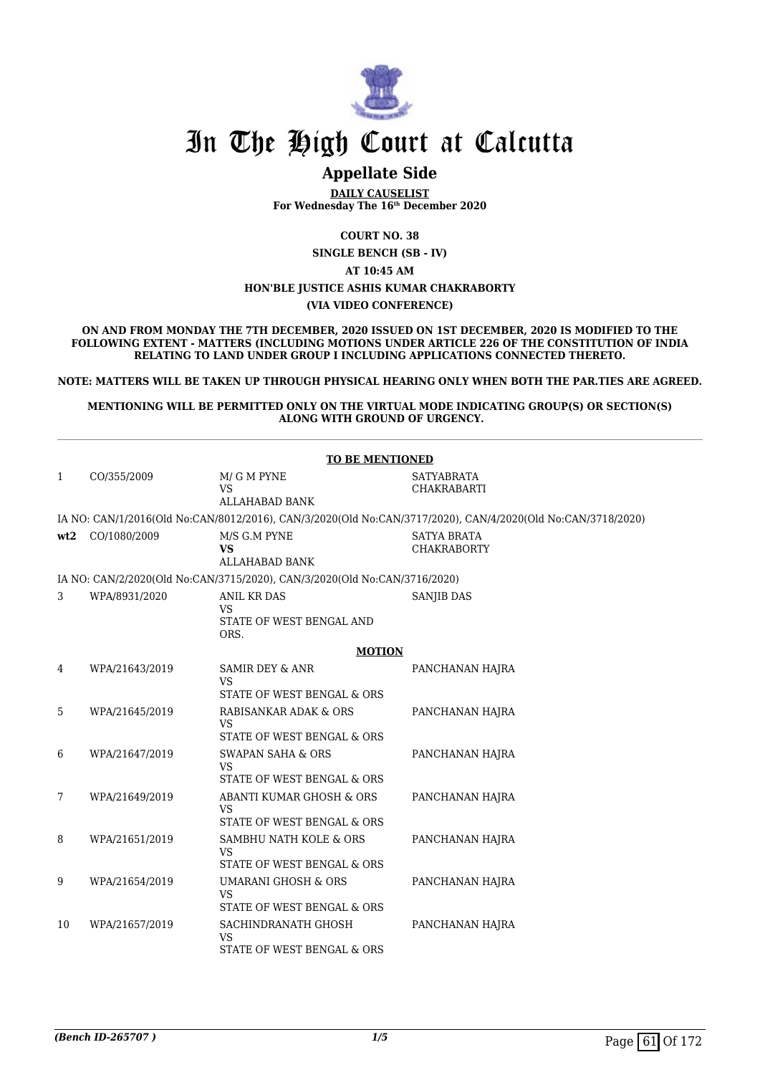

## **Appellate Side**

**DAILY CAUSELIST For Wednesday The 16th December 2020**

**COURT NO. 38**

**SINGLE BENCH (SB - IV)**

**AT 10:45 AM**

### **HON'BLE JUSTICE ASHIS KUMAR CHAKRABORTY**

**(VIA VIDEO CONFERENCE)**

**ON AND FROM MONDAY THE 7TH DECEMBER, 2020 ISSUED ON 1ST DECEMBER, 2020 IS MODIFIED TO THE FOLLOWING EXTENT - MATTERS (INCLUDING MOTIONS UNDER ARTICLE 226 OF THE CONSTITUTION OF INDIA RELATING TO LAND UNDER GROUP I INCLUDING APPLICATIONS CONNECTED THERETO.**

**NOTE: MATTERS WILL BE TAKEN UP THROUGH PHYSICAL HEARING ONLY WHEN BOTH THE PAR.TIES ARE AGREED.**

**MENTIONING WILL BE PERMITTED ONLY ON THE VIRTUAL MODE INDICATING GROUP(S) OR SECTION(S) ALONG WITH GROUND OF URGENCY.**

|              |                | <b>TO BE MENTIONED</b>                                                    |                                                                                                             |
|--------------|----------------|---------------------------------------------------------------------------|-------------------------------------------------------------------------------------------------------------|
| $\mathbf{1}$ | CO/355/2009    | M/ G M PYNE<br><b>VS</b><br><b>ALLAHABAD BANK</b>                         | <b>SATYABRATA</b><br><b>CHAKRABARTI</b>                                                                     |
|              |                |                                                                           | IA NO: CAN/1/2016(Old No:CAN/8012/2016), CAN/3/2020(Old No:CAN/3717/2020), CAN/4/2020(Old No:CAN/3718/2020) |
| wt2          | CO/1080/2009   | M/S G.M PYNE<br>VS<br><b>ALLAHABAD BANK</b>                               | <b>SATYA BRATA</b><br><b>CHAKRABORTY</b>                                                                    |
|              |                | IA NO: CAN/2/2020(Old No:CAN/3715/2020), CAN/3/2020(Old No:CAN/3716/2020) |                                                                                                             |
| 3            | WPA/8931/2020  | <b>ANIL KR DAS</b><br><b>VS</b><br>STATE OF WEST BENGAL AND<br>ORS.       | SANJIB DAS                                                                                                  |
|              |                | <b>MOTION</b>                                                             |                                                                                                             |
| 4            | WPA/21643/2019 | <b>SAMIR DEY &amp; ANR</b><br><b>VS</b><br>STATE OF WEST BENGAL & ORS     | PANCHANAN HAJRA                                                                                             |
| 5            | WPA/21645/2019 | RABISANKAR ADAK & ORS<br>VS<br>STATE OF WEST BENGAL & ORS                 | PANCHANAN HAJRA                                                                                             |
| 6            | WPA/21647/2019 | <b>SWAPAN SAHA &amp; ORS</b><br><b>VS</b><br>STATE OF WEST BENGAL & ORS   | PANCHANAN HAJRA                                                                                             |
| 7            | WPA/21649/2019 | ABANTI KUMAR GHOSH & ORS<br><b>VS</b><br>STATE OF WEST BENGAL & ORS       | PANCHANAN HAJRA                                                                                             |
| 8            | WPA/21651/2019 | SAMBHU NATH KOLE & ORS<br><b>VS</b><br>STATE OF WEST BENGAL & ORS         | PANCHANAN HAJRA                                                                                             |
| 9            | WPA/21654/2019 | <b>UMARANI GHOSH &amp; ORS</b><br><b>VS</b><br>STATE OF WEST BENGAL & ORS | PANCHANAN HAJRA                                                                                             |
| 10           | WPA/21657/2019 | SACHINDRANATH GHOSH<br><b>VS</b><br>STATE OF WEST BENGAL & ORS            | PANCHANAN HAJRA                                                                                             |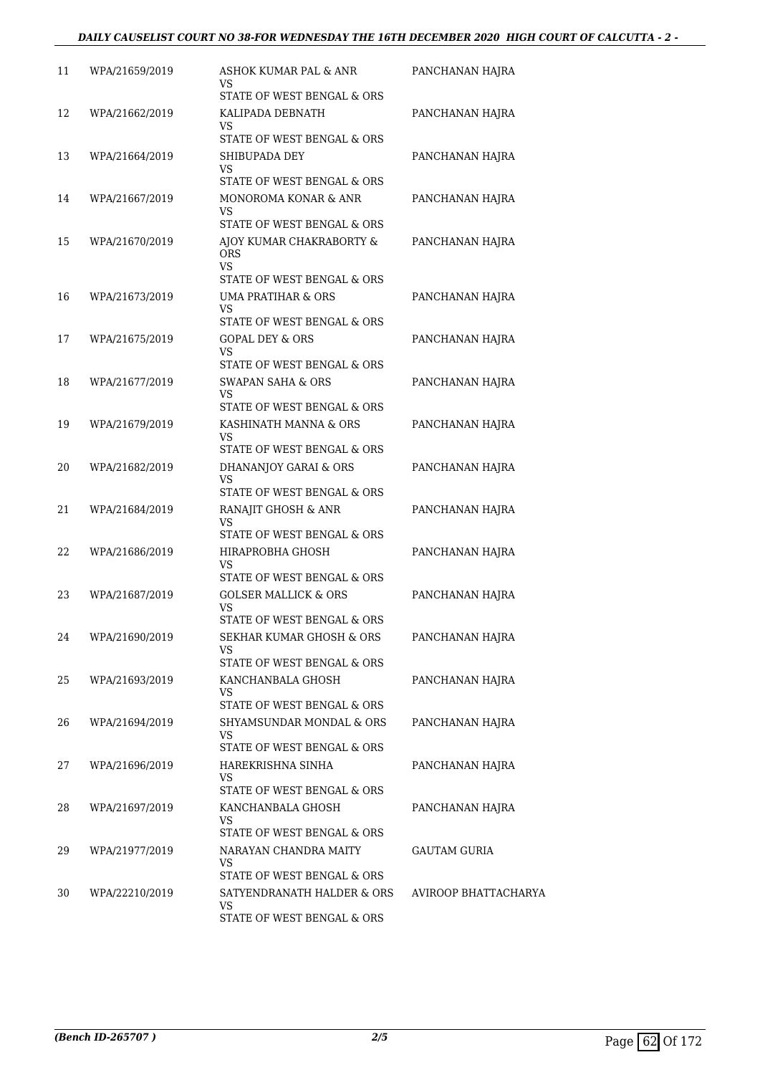| 11 | WPA/21659/2019 | ASHOK KUMAR PAL & ANR<br>VS<br>STATE OF WEST BENGAL & ORS           | PANCHANAN HAJRA      |
|----|----------------|---------------------------------------------------------------------|----------------------|
| 12 | WPA/21662/2019 | KALIPADA DEBNATH<br>VS                                              | PANCHANAN HAJRA      |
| 13 | WPA/21664/2019 | STATE OF WEST BENGAL & ORS<br>SHIBUPADA DEY<br>VS                   | PANCHANAN HAJRA      |
|    |                | STATE OF WEST BENGAL & ORS                                          |                      |
| 14 | WPA/21667/2019 | MONOROMA KONAR & ANR<br>VS<br>STATE OF WEST BENGAL & ORS            | PANCHANAN HAJRA      |
| 15 | WPA/21670/2019 | AJOY KUMAR CHAKRABORTY &<br><b>ORS</b><br>VS                        | PANCHANAN HAJRA      |
| 16 | WPA/21673/2019 | STATE OF WEST BENGAL & ORS<br>UMA PRATIHAR & ORS                    | PANCHANAN HAJRA      |
|    |                | VS                                                                  |                      |
|    |                | STATE OF WEST BENGAL & ORS                                          |                      |
| 17 | WPA/21675/2019 | <b>GOPAL DEY &amp; ORS</b><br>VS                                    | PANCHANAN HAJRA      |
|    |                | STATE OF WEST BENGAL & ORS                                          |                      |
| 18 | WPA/21677/2019 | <b>SWAPAN SAHA &amp; ORS</b><br><b>VS</b>                           | PANCHANAN HAJRA      |
|    |                | STATE OF WEST BENGAL & ORS                                          |                      |
| 19 | WPA/21679/2019 | KASHINATH MANNA & ORS<br>VS                                         | PANCHANAN HAJRA      |
|    |                | STATE OF WEST BENGAL & ORS                                          |                      |
| 20 | WPA/21682/2019 | DHANANJOY GARAI & ORS<br>VS<br>STATE OF WEST BENGAL & ORS           | PANCHANAN HAJRA      |
| 21 | WPA/21684/2019 | RANAJIT GHOSH & ANR                                                 | PANCHANAN HAJRA      |
|    |                | VS<br>STATE OF WEST BENGAL & ORS                                    |                      |
| 22 | WPA/21686/2019 | HIRAPROBHA GHOSH                                                    | PANCHANAN HAJRA      |
|    |                | VS                                                                  |                      |
|    |                | STATE OF WEST BENGAL & ORS                                          |                      |
| 23 | WPA/21687/2019 | <b>GOLSER MALLICK &amp; ORS</b><br>VS<br>STATE OF WEST BENGAL & ORS | PANCHANAN HAJRA      |
| 24 | WPA/21690/2019 | SEKHAR KUMAR GHOSH & ORS                                            | PANCHANAN HAJRA      |
|    |                | VS                                                                  |                      |
|    |                | STATE OF WEST BENGAL & ORS                                          |                      |
| 25 | WPA/21693/2019 | KANCHANBALA GHOSH<br>VS                                             | PANCHANAN HAJRA      |
|    |                | STATE OF WEST BENGAL & ORS                                          |                      |
| 26 | WPA/21694/2019 | SHYAMSUNDAR MONDAL & ORS<br>VS                                      | PANCHANAN HAJRA      |
| 27 | WPA/21696/2019 | STATE OF WEST BENGAL & ORS<br>HAREKRISHNA SINHA                     | PANCHANAN HAJRA      |
|    |                | VS.                                                                 |                      |
|    |                | STATE OF WEST BENGAL & ORS                                          |                      |
| 28 | WPA/21697/2019 | KANCHANBALA GHOSH<br>VS<br>STATE OF WEST BENGAL & ORS               | PANCHANAN HAJRA      |
| 29 | WPA/21977/2019 | NARAYAN CHANDRA MAITY                                               | GAUTAM GURIA         |
|    |                | VS                                                                  |                      |
|    |                | STATE OF WEST BENGAL & ORS                                          |                      |
| 30 | WPA/22210/2019 | SATYENDRANATH HALDER & ORS<br>VS                                    | AVIROOP BHATTACHARYA |
|    |                | STATE OF WEST BENGAL & ORS                                          |                      |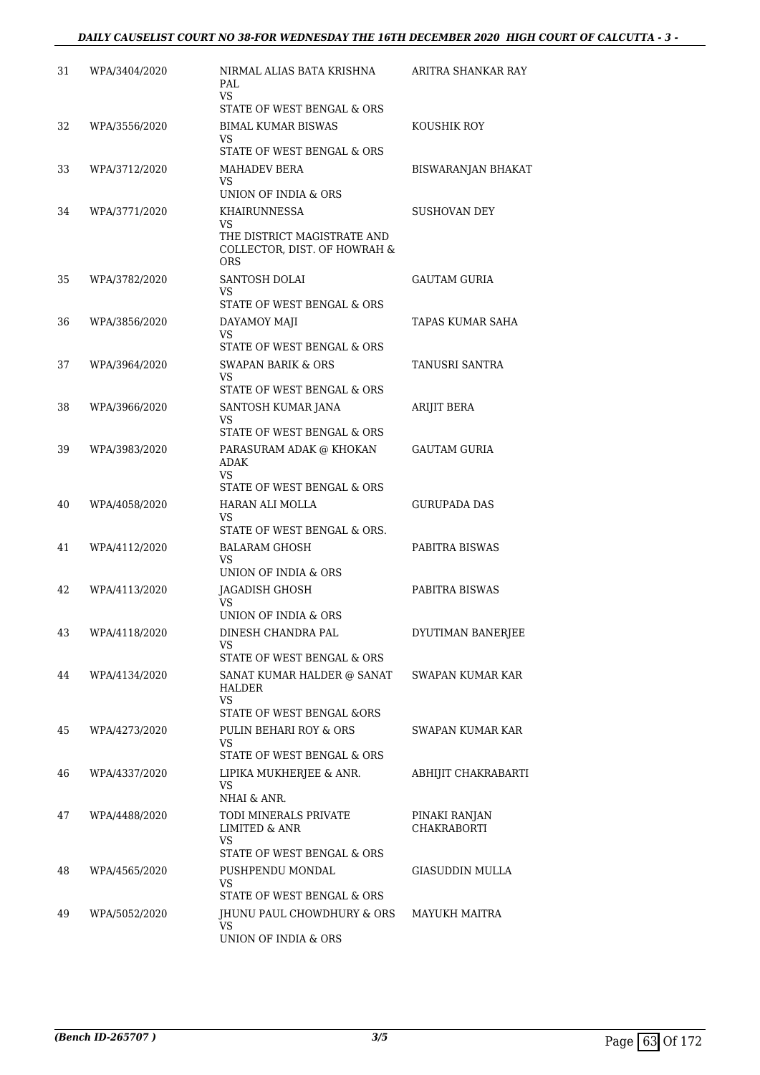| 31 | WPA/3404/2020 | NIRMAL ALIAS BATA KRISHNA<br>PAL<br><b>VS</b>                             | ARITRA SHANKAR RAY        |
|----|---------------|---------------------------------------------------------------------------|---------------------------|
|    |               | STATE OF WEST BENGAL & ORS                                                |                           |
| 32 | WPA/3556/2020 | <b>BIMAL KUMAR BISWAS</b><br>VS<br>STATE OF WEST BENGAL & ORS             | KOUSHIK ROY               |
| 33 | WPA/3712/2020 | MAHADEV BERA                                                              | <b>BISWARANJAN BHAKAT</b> |
|    |               | VS.                                                                       |                           |
|    |               | UNION OF INDIA & ORS                                                      |                           |
| 34 | WPA/3771/2020 | KHAIRUNNESSA<br>VS.                                                       | SUSHOVAN DEY              |
|    |               | THE DISTRICT MAGISTRATE AND<br>COLLECTOR, DIST. OF HOWRAH &<br><b>ORS</b> |                           |
| 35 | WPA/3782/2020 | SANTOSH DOLAI<br>VS                                                       | GAUTAM GURIA              |
|    |               | STATE OF WEST BENGAL & ORS                                                |                           |
| 36 | WPA/3856/2020 | DAYAMOY MAJI<br>VS.                                                       | TAPAS KUMAR SAHA          |
|    |               | STATE OF WEST BENGAL & ORS                                                |                           |
| 37 | WPA/3964/2020 | SWAPAN BARIK & ORS<br>VS                                                  | TANUSRI SANTRA            |
|    |               | STATE OF WEST BENGAL & ORS                                                |                           |
| 38 | WPA/3966/2020 | SANTOSH KUMAR JANA                                                        | <b>ARIJIT BERA</b>        |
|    |               | VS<br>STATE OF WEST BENGAL & ORS                                          |                           |
| 39 | WPA/3983/2020 | PARASURAM ADAK @ KHOKAN<br>ADAK<br>VS                                     | GAUTAM GURIA              |
|    |               | STATE OF WEST BENGAL & ORS                                                |                           |
| 40 | WPA/4058/2020 | HARAN ALI MOLLA<br>VS                                                     | GURUPADA DAS              |
|    |               | STATE OF WEST BENGAL & ORS.                                               |                           |
| 41 | WPA/4112/2020 | <b>BALARAM GHOSH</b><br>VS<br>UNION OF INDIA & ORS                        | PABITRA BISWAS            |
| 42 | WPA/4113/2020 | <b>JAGADISH GHOSH</b>                                                     | PABITRA BISWAS            |
|    |               | VS.<br>UNION OF INDIA & ORS                                               |                           |
| 43 | WPA/4118/2020 | DINESH CHANDRA PAL                                                        | DYUTIMAN BANERJEE         |
|    |               | VS                                                                        |                           |
|    |               | STATE OF WEST BENGAL & ORS                                                |                           |
| 44 | WPA/4134/2020 | SANAT KUMAR HALDER @ SANAT<br><b>HALDER</b><br>VS                         | SWAPAN KUMAR KAR          |
|    |               | STATE OF WEST BENGAL & ORS                                                |                           |
| 45 | WPA/4273/2020 | PULIN BEHARI ROY & ORS<br>VS                                              | SWAPAN KUMAR KAR          |
|    |               | STATE OF WEST BENGAL & ORS                                                |                           |
| 46 | WPA/4337/2020 | LIPIKA MUKHERJEE & ANR.<br>VS<br>NHAI & ANR.                              | ABHIJIT CHAKRABARTI       |
| 47 | WPA/4488/2020 | TODI MINERALS PRIVATE                                                     | PINAKI RANJAN             |
|    |               | <b>LIMITED &amp; ANR</b><br><b>VS</b>                                     | <b>CHAKRABORTI</b>        |
|    |               | STATE OF WEST BENGAL & ORS                                                | <b>GIASUDDIN MULLA</b>    |
| 48 | WPA/4565/2020 | PUSHPENDU MONDAL<br>VS<br>STATE OF WEST BENGAL & ORS                      |                           |
| 49 | WPA/5052/2020 | JHUNU PAUL CHOWDHURY & ORS                                                | MAYUKH MAITRA             |
|    |               | VS<br>UNION OF INDIA & ORS                                                |                           |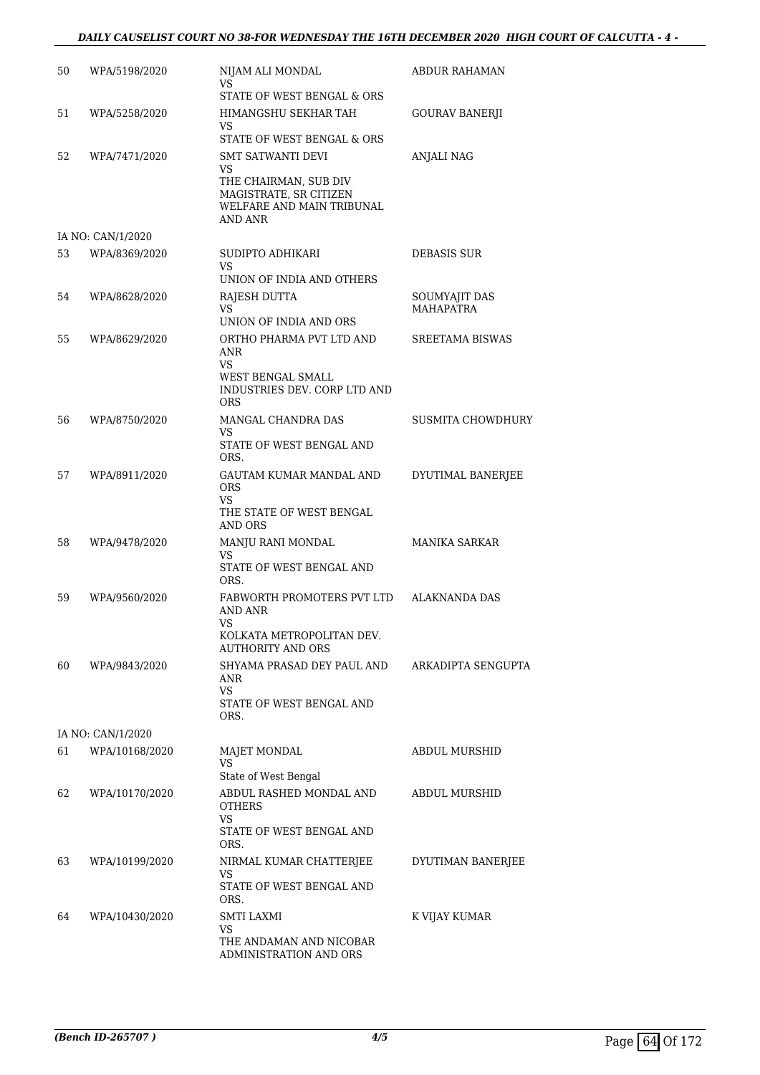### *DAILY CAUSELIST COURT NO 38-FOR WEDNESDAY THE 16TH DECEMBER 2020 HIGH COURT OF CALCUTTA - 4 -*

| 50 | WPA/5198/2020     | NIJAM ALI MONDAL<br>VS<br>STATE OF WEST BENGAL & ORS                                                                   | ABDUR RAHAMAN                     |
|----|-------------------|------------------------------------------------------------------------------------------------------------------------|-----------------------------------|
| 51 | WPA/5258/2020     | HIMANGSHU SEKHAR TAH<br>VS<br>STATE OF WEST BENGAL & ORS                                                               | GOURAV BANERJI                    |
| 52 | WPA/7471/2020     | SMT SATWANTI DEVI<br>VS<br>THE CHAIRMAN, SUB DIV<br>MAGISTRATE. SR CITIZEN<br>WELFARE AND MAIN TRIBUNAL<br>AND ANR     | ANJALI NAG                        |
|    | IA NO: CAN/1/2020 |                                                                                                                        |                                   |
| 53 | WPA/8369/2020     | SUDIPTO ADHIKARI<br>VS<br>UNION OF INDIA AND OTHERS                                                                    | DEBASIS SUR                       |
| 54 | WPA/8628/2020     | RAJESH DUTTA<br><b>VS</b><br>UNION OF INDIA AND ORS                                                                    | SOUMYAJIT DAS<br><b>MAHAPATRA</b> |
| 55 | WPA/8629/2020     | ORTHO PHARMA PVT LTD AND<br><b>ANR</b><br><b>VS</b><br>WEST BENGAL SMALL<br>INDUSTRIES DEV. CORP LTD AND<br><b>ORS</b> | SREETAMA BISWAS                   |
| 56 | WPA/8750/2020     | MANGAL CHANDRA DAS<br>VS<br>STATE OF WEST BENGAL AND<br>ORS.                                                           | SUSMITA CHOWDHURY                 |
| 57 | WPA/8911/2020     | GAUTAM KUMAR MANDAL AND<br><b>ORS</b><br>VS<br>THE STATE OF WEST BENGAL<br>AND ORS                                     | DYUTIMAL BANERJEE                 |
| 58 | WPA/9478/2020     | MANJU RANI MONDAL<br>VS<br>STATE OF WEST BENGAL AND<br>ORS.                                                            | MANIKA SARKAR                     |
| 59 | WPA/9560/2020     | FABWORTH PROMOTERS PVT LTD<br><b>AND ANR</b><br>VS<br>KOLKATA METROPOLITAN DEV.                                        | <b>ALAKNANDA DAS</b>              |
| 60 | WPA/9843/2020     | <b>AUTHORITY AND ORS</b><br>SHYAMA PRASAD DEY PAUL AND<br>ANR<br><b>VS</b><br>STATE OF WEST BENGAL AND<br>ORS.         | ARKADIPTA SENGUPTA                |
|    | IA NO: CAN/1/2020 |                                                                                                                        |                                   |
| 61 | WPA/10168/2020    | <b>MAJET MONDAL</b><br><b>VS</b><br>State of West Bengal                                                               | <b>ABDUL MURSHID</b>              |
| 62 | WPA/10170/2020    | ABDUL RASHED MONDAL AND<br><b>OTHERS</b><br>VS<br>STATE OF WEST BENGAL AND<br>ORS.                                     | <b>ABDUL MURSHID</b>              |
| 63 | WPA/10199/2020    | NIRMAL KUMAR CHATTERJEE<br>VS<br>STATE OF WEST BENGAL AND<br>ORS.                                                      | DYUTIMAN BANERJEE                 |
| 64 | WPA/10430/2020    | SMTI LAXMI<br>VS<br>THE ANDAMAN AND NICOBAR<br>ADMINISTRATION AND ORS                                                  | K VIJAY KUMAR                     |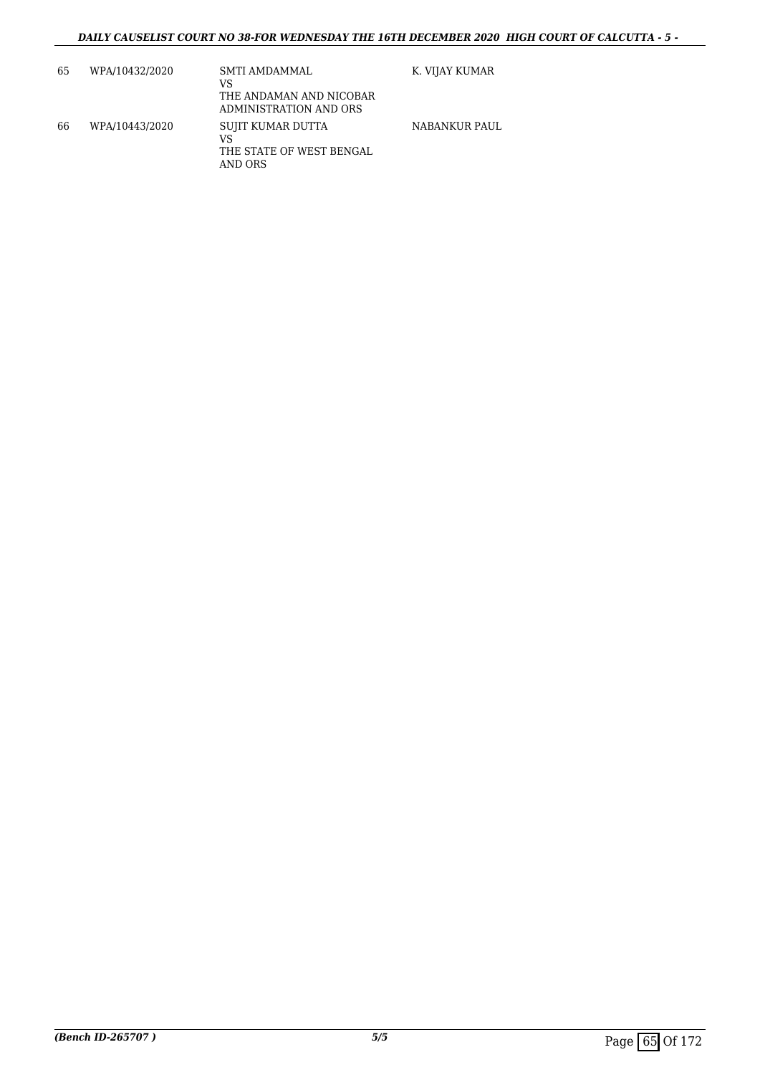| 65 | WPA/10432/2020 | SMTI AMDAMMAL<br>VS<br>THE ANDAMAN AND NICOBAR<br>ADMINISTRATION AND ORS | K. VIJAY KUMAR |
|----|----------------|--------------------------------------------------------------------------|----------------|
| 66 | WPA/10443/2020 | SUJIT KUMAR DUTTA<br>VS<br>THE STATE OF WEST BENGAL<br>AND ORS           | NABANKUR PAUL  |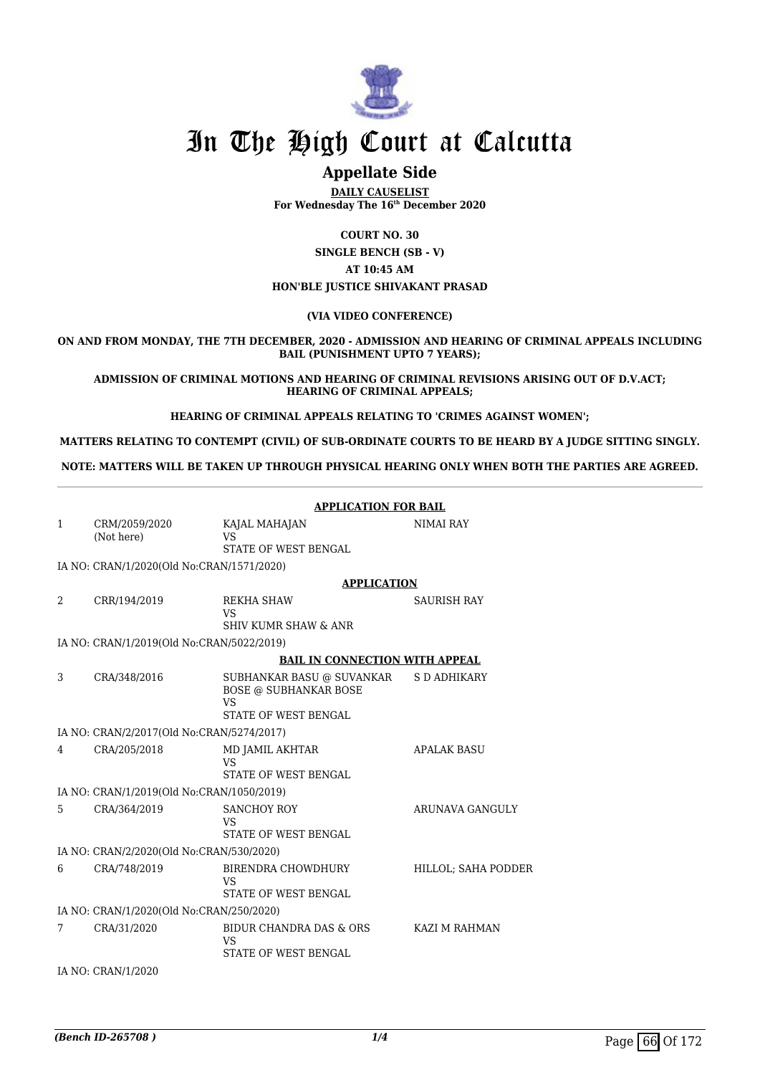

## **Appellate Side**

**DAILY CAUSELIST For Wednesday The 16th December 2020**

**COURT NO. 30**

**SINGLE BENCH (SB - V) AT 10:45 AM HON'BLE JUSTICE SHIVAKANT PRASAD**

#### **(VIA VIDEO CONFERENCE)**

**ON AND FROM MONDAY, THE 7TH DECEMBER, 2020 - ADMISSION AND HEARING OF CRIMINAL APPEALS INCLUDING BAIL (PUNISHMENT UPTO 7 YEARS);**

**ADMISSION OF CRIMINAL MOTIONS AND HEARING OF CRIMINAL REVISIONS ARISING OUT OF D.V.ACT; HEARING OF CRIMINAL APPEALS;**

**HEARING OF CRIMINAL APPEALS RELATING TO 'CRIMES AGAINST WOMEN';**

**MATTERS RELATING TO CONTEMPT (CIVIL) OF SUB-ORDINATE COURTS TO BE HEARD BY A JUDGE SITTING SINGLY.**

**NOTE: MATTERS WILL BE TAKEN UP THROUGH PHYSICAL HEARING ONLY WHEN BOTH THE PARTIES ARE AGREED.**

|                                          | <b>APPLICATION FOR BAIL</b>               |                                                                                                |                        |  |
|------------------------------------------|-------------------------------------------|------------------------------------------------------------------------------------------------|------------------------|--|
| 1                                        | CRM/2059/2020<br>(Not here)               | KAJAL MAHAJAN<br><b>VS</b>                                                                     | <b>NIMAI RAY</b>       |  |
|                                          |                                           | STATE OF WEST BENGAL                                                                           |                        |  |
|                                          | IA NO: CRAN/1/2020(Old No:CRAN/1571/2020) |                                                                                                |                        |  |
|                                          |                                           | <b>APPLICATION</b>                                                                             |                        |  |
| 2                                        | CRR/194/2019                              | <b>REKHA SHAW</b><br><b>VS</b><br><b>SHIV KUMR SHAW &amp; ANR</b>                              | <b>SAURISH RAY</b>     |  |
|                                          | IA NO: CRAN/1/2019(Old No:CRAN/5022/2019) |                                                                                                |                        |  |
|                                          |                                           | <b>BAIL IN CONNECTION WITH APPEAL</b>                                                          |                        |  |
| 3                                        | CRA/348/2016                              | SUBHANKAR BASU @ SUVANKAR<br><b>BOSE @ SUBHANKAR BOSE</b><br><b>VS</b><br>STATE OF WEST BENGAL | S D ADHIKARY           |  |
|                                          |                                           |                                                                                                |                        |  |
|                                          | IA NO: CRAN/2/2017(Old No:CRAN/5274/2017) |                                                                                                |                        |  |
| 4                                        | CRA/205/2018                              | MD JAMIL AKHTAR<br>VS<br>STATE OF WEST BENGAL                                                  | <b>APALAK BASU</b>     |  |
|                                          | IA NO: CRAN/1/2019(Old No:CRAN/1050/2019) |                                                                                                |                        |  |
| 5                                        | CRA/364/2019                              | <b>SANCHOY ROY</b><br>VS<br>STATE OF WEST BENGAL                                               | <b>ARUNAVA GANGULY</b> |  |
|                                          | IA NO: CRAN/2/2020(Old No:CRAN/530/2020)  |                                                                                                |                        |  |
| 6                                        | CRA/748/2019                              | BIRENDRA CHOWDHURY<br><b>VS</b><br>STATE OF WEST BENGAL                                        | HILLOL; SAHA PODDER    |  |
| IA NO: CRAN/1/2020(Old No:CRAN/250/2020) |                                           |                                                                                                |                        |  |
| 7                                        | CRA/31/2020                               | BIDUR CHANDRA DAS & ORS<br><b>VS</b><br>STATE OF WEST BENGAL                                   | KAZI M RAHMAN          |  |
|                                          | IA NO: CRAN/1/2020                        |                                                                                                |                        |  |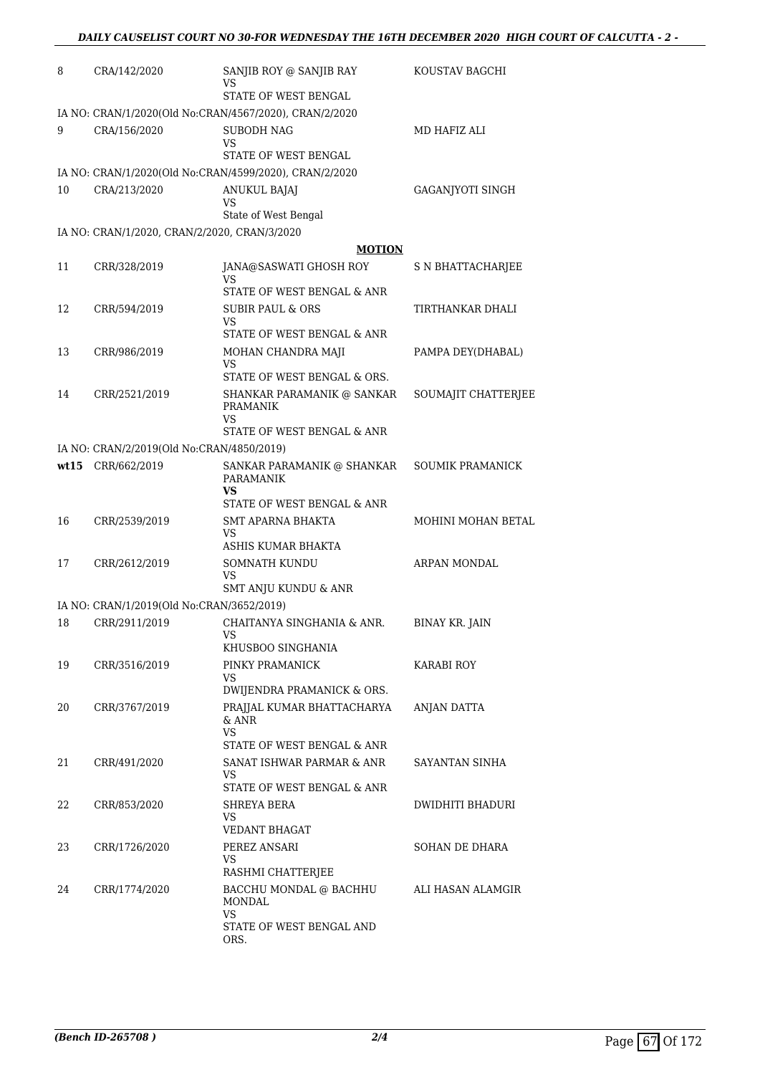| 8  | CRA/142/2020                                 | SANJIB ROY @ SANJIB RAY<br>VS                                                      | KOUSTAV BAGCHI          |
|----|----------------------------------------------|------------------------------------------------------------------------------------|-------------------------|
|    |                                              | STATE OF WEST BENGAL                                                               |                         |
|    |                                              | IA NO: CRAN/1/2020(Old No:CRAN/4567/2020), CRAN/2/2020                             |                         |
| 9  | CRA/156/2020                                 | <b>SUBODH NAG</b><br>VS                                                            | MD HAFIZ ALI            |
|    |                                              | STATE OF WEST BENGAL                                                               |                         |
|    |                                              | IA NO: CRAN/1/2020(Old No:CRAN/4599/2020), CRAN/2/2020                             |                         |
| 10 | CRA/213/2020                                 | <b>ANUKUL BAJAJ</b><br>VS                                                          | GAGANJYOTI SINGH        |
|    |                                              | State of West Bengal                                                               |                         |
|    | IA NO: CRAN/1/2020, CRAN/2/2020, CRAN/3/2020 |                                                                                    |                         |
|    |                                              | <b>MOTION</b>                                                                      |                         |
| 11 | CRR/328/2019                                 | JANA@SASWATI GHOSH ROY<br>VS                                                       | S N BHATTACHARJEE       |
|    |                                              | STATE OF WEST BENGAL & ANR                                                         |                         |
| 12 | CRR/594/2019                                 | SUBIR PAUL & ORS<br>VS<br>STATE OF WEST BENGAL & ANR                               | TIRTHANKAR DHALI        |
|    |                                              |                                                                                    |                         |
| 13 | CRR/986/2019                                 | MOHAN CHANDRA MAJI<br>VS<br>STATE OF WEST BENGAL & ORS.                            | PAMPA DEY(DHABAL)       |
| 14 | CRR/2521/2019                                | SHANKAR PARAMANIK @ SANKAR                                                         | SOUMAJIT CHATTERJEE     |
|    |                                              | <b>PRAMANIK</b><br>VS                                                              |                         |
|    |                                              | STATE OF WEST BENGAL & ANR                                                         |                         |
|    | IA NO: CRAN/2/2019(Old No:CRAN/4850/2019)    |                                                                                    |                         |
|    | wt15 CRR/662/2019                            | SANKAR PARAMANIK @ SHANKAR<br><b>PARAMANIK</b><br>VS<br>STATE OF WEST BENGAL & ANR | <b>SOUMIK PRAMANICK</b> |
| 16 | CRR/2539/2019                                | <b>SMT APARNA BHAKTA</b><br>VS                                                     | MOHINI MOHAN BETAL      |
|    |                                              | ASHIS KUMAR BHAKTA                                                                 |                         |
| 17 | CRR/2612/2019                                | <b>SOMNATH KUNDU</b><br>VS                                                         | ARPAN MONDAL            |
|    |                                              | SMT ANJU KUNDU & ANR                                                               |                         |
|    | IA NO: CRAN/1/2019(Old No:CRAN/3652/2019)    |                                                                                    |                         |
| 18 | CRR/2911/2019                                | CHAITANYA SINGHANIA & ANR.                                                         | <b>BINAY KR. JAIN</b>   |
|    |                                              | KHUSBOO SINGHANIA                                                                  |                         |
| 19 | CRR/3516/2019                                | PINKY PRAMANICK<br>VS<br>DWIJENDRA PRAMANICK & ORS.                                | KARABI ROY              |
| 20 | CRR/3767/2019                                | PRAJJAL KUMAR BHATTACHARYA<br>& ANR                                                | ANJAN DATTA             |
|    |                                              | VS<br>STATE OF WEST BENGAL & ANR                                                   |                         |
| 21 | CRR/491/2020                                 | SANAT ISHWAR PARMAR & ANR<br>VS                                                    | SAYANTAN SINHA          |
|    |                                              | STATE OF WEST BENGAL & ANR                                                         |                         |
| 22 | CRR/853/2020                                 | SHREYA BERA                                                                        | DWIDHITI BHADURI        |
|    |                                              | VS<br>VEDANT BHAGAT                                                                |                         |
| 23 | CRR/1726/2020                                | PEREZ ANSARI<br>VS                                                                 | SOHAN DE DHARA          |
|    |                                              | RASHMI CHATTERJEE                                                                  |                         |
| 24 | CRR/1774/2020                                | BACCHU MONDAL @ BACHHU<br>MONDAL                                                   | ALI HASAN ALAMGIR       |
|    |                                              | VS<br>STATE OF WEST BENGAL AND<br>ORS.                                             |                         |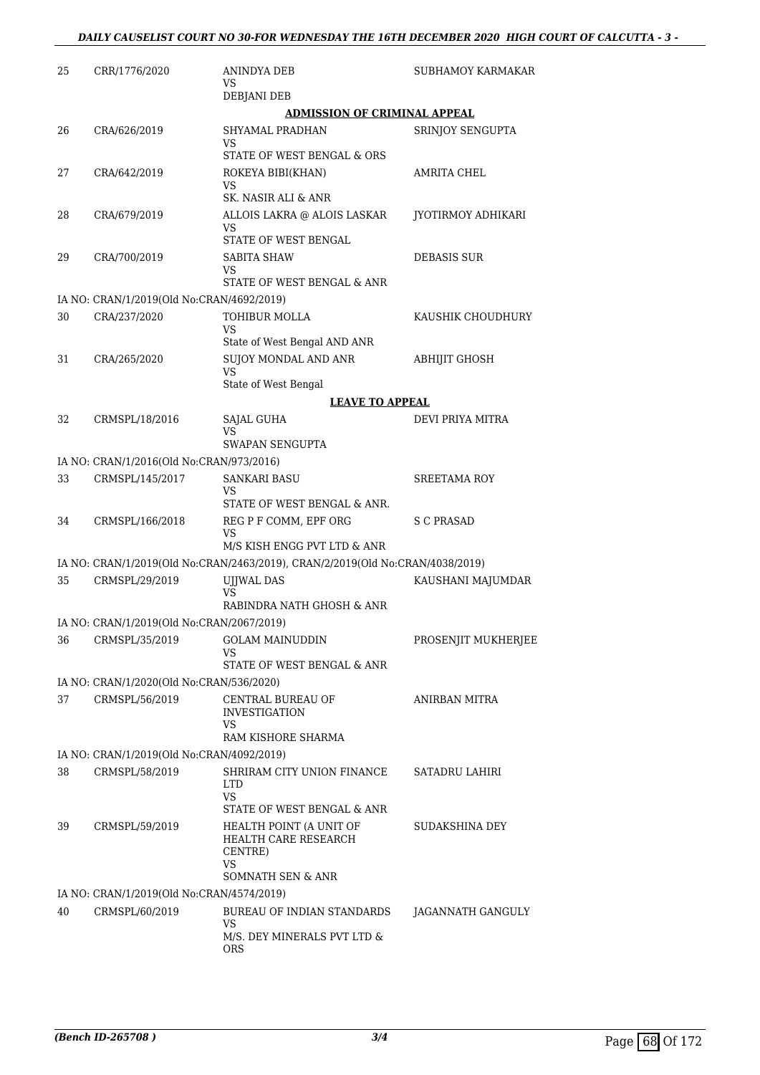| 25 | CRR/1776/2020                                             | <b>ANINDYA DEB</b><br>VS                                                      | SUBHAMOY KARMAKAR    |
|----|-----------------------------------------------------------|-------------------------------------------------------------------------------|----------------------|
|    |                                                           | DEBJANI DEB                                                                   |                      |
|    |                                                           | <b>ADMISSION OF CRIMINAL APPEAL</b>                                           |                      |
| 26 | CRA/626/2019                                              | <b>SHYAMAL PRADHAN</b><br>VS<br>STATE OF WEST BENGAL & ORS                    | SRINJOY SENGUPTA     |
| 27 | CRA/642/2019                                              | ROKEYA BIBI(KHAN)                                                             | AMRITA CHEL          |
|    |                                                           | VS<br>SK. NASIR ALI & ANR                                                     |                      |
| 28 | CRA/679/2019                                              | ALLOIS LAKRA @ ALOIS LASKAR<br>VS                                             | JYOTIRMOY ADHIKARI   |
|    |                                                           | STATE OF WEST BENGAL                                                          |                      |
| 29 | CRA/700/2019                                              | SABITA SHAW<br>VS                                                             | DEBASIS SUR          |
|    |                                                           | STATE OF WEST BENGAL & ANR                                                    |                      |
| 30 | IA NO: CRAN/1/2019(Old No:CRAN/4692/2019)<br>CRA/237/2020 | <b>TOHIBUR MOLLA</b>                                                          | KAUSHIK CHOUDHURY    |
|    |                                                           | VS<br>State of West Bengal AND ANR                                            |                      |
| 31 | CRA/265/2020                                              | SUJOY MONDAL AND ANR<br>VS                                                    | ABHIJIT GHOSH        |
|    |                                                           | State of West Bengal                                                          |                      |
|    |                                                           | <b>LEAVE TO APPEAL</b>                                                        |                      |
| 32 | CRMSPL/18/2016                                            | SAJAL GUHA<br>VS                                                              | DEVI PRIYA MITRA     |
|    |                                                           | SWAPAN SENGUPTA                                                               |                      |
|    | IA NO: CRAN/1/2016(Old No:CRAN/973/2016)                  |                                                                               |                      |
| 33 | CRMSPL/145/2017                                           | <b>SANKARI BASU</b>                                                           | SREETAMA ROY         |
|    |                                                           | VS<br>STATE OF WEST BENGAL & ANR.                                             |                      |
| 34 | CRMSPL/166/2018                                           | REG P F COMM, EPF ORG<br>VS                                                   | S C PRASAD           |
|    |                                                           | M/S KISH ENGG PVT LTD & ANR                                                   |                      |
|    |                                                           | IA NO: CRAN/1/2019(Old No:CRAN/2463/2019), CRAN/2/2019(Old No:CRAN/4038/2019) |                      |
| 35 | CRMSPL/29/2019                                            | UJJWAL DAS<br>VS<br>RABINDRA NATH GHOSH & ANR                                 | KAUSHANI MAJUMDAR    |
|    | IA NO: CRAN/1/2019(Old No:CRAN/2067/2019)                 |                                                                               |                      |
| 36 | CRMSPL/35/2019                                            | <b>GOLAM MAINUDDIN</b><br>VS                                                  | PROSENJIT MUKHERJEE  |
|    |                                                           | STATE OF WEST BENGAL & ANR                                                    |                      |
|    | IA NO: CRAN/1/2020(Old No:CRAN/536/2020)                  |                                                                               |                      |
| 37 | CRMSPL/56/2019                                            | CENTRAL BUREAU OF<br><b>INVESTIGATION</b><br>VS                               | <b>ANIRBAN MITRA</b> |
|    |                                                           | RAM KISHORE SHARMA                                                            |                      |
|    | IA NO: CRAN/1/2019(Old No:CRAN/4092/2019)                 |                                                                               |                      |
| 38 | CRMSPL/58/2019                                            | SHRIRAM CITY UNION FINANCE<br><b>LTD</b><br>VS<br>STATE OF WEST BENGAL & ANR  | SATADRU LAHIRI       |
| 39 | CRMSPL/59/2019                                            | HEALTH POINT (A UNIT OF<br>HEALTH CARE RESEARCH                               | SUDAKSHINA DEY       |
|    |                                                           | CENTRE)<br>VS                                                                 |                      |
|    |                                                           | SOMNATH SEN & ANR                                                             |                      |
|    | IA NO: CRAN/1/2019(Old No:CRAN/4574/2019)                 |                                                                               |                      |
| 40 | CRMSPL/60/2019                                            | BUREAU OF INDIAN STANDARDS<br>VS                                              | JAGANNATH GANGULY    |
|    |                                                           | M/S. DEY MINERALS PVT LTD &<br>ORS                                            |                      |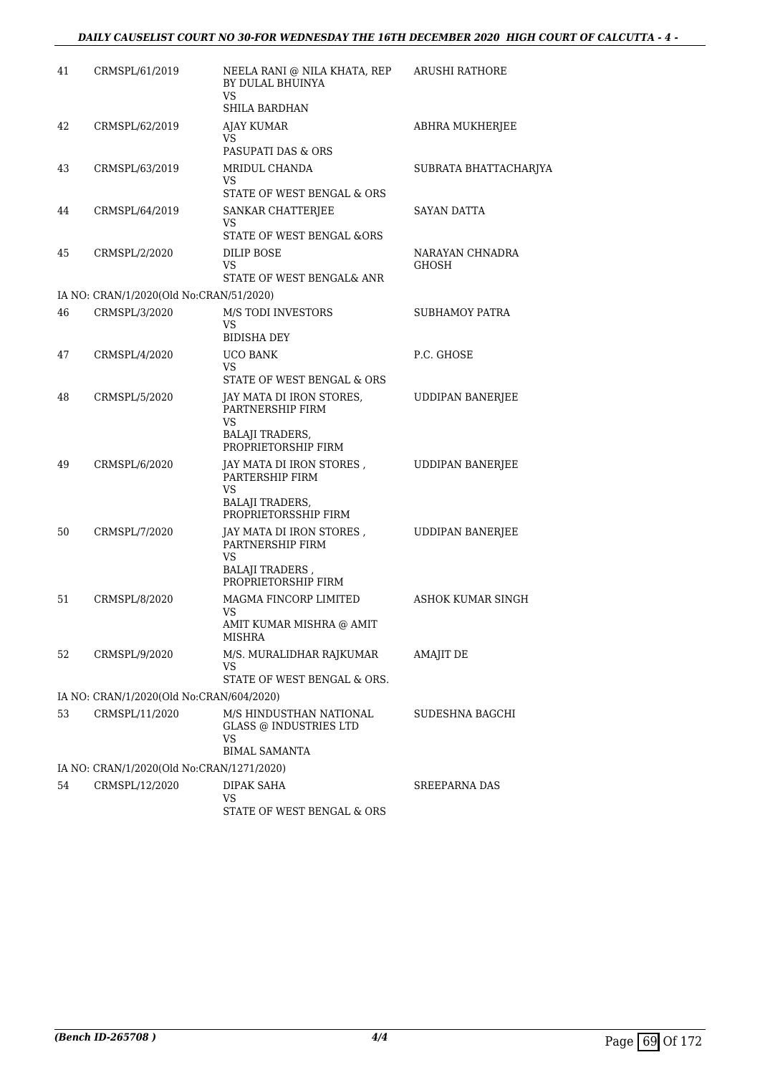| 41 | CRMSPL/61/2019                            | NEELA RANI @ NILA KHATA, REP<br>BY DULAL BHUINYA<br>VS<br>SHILA BARDHAN                              | <b>ARUSHI RATHORE</b>    |
|----|-------------------------------------------|------------------------------------------------------------------------------------------------------|--------------------------|
| 42 | CRMSPL/62/2019                            | AJAY KUMAR<br>VS<br>PASUPATI DAS & ORS                                                               | ABHRA MUKHERJEE          |
| 43 | CRMSPL/63/2019                            | MRIDUL CHANDA<br>VS.<br>STATE OF WEST BENGAL & ORS                                                   | SUBRATA BHATTACHARJYA    |
| 44 | CRMSPL/64/2019                            | SANKAR CHATTERJEE<br>VS<br>STATE OF WEST BENGAL &ORS                                                 | SAYAN DATTA              |
| 45 | CRMSPL/2/2020                             | DILIP BOSE<br>VS<br>STATE OF WEST BENGAL& ANR                                                        | NARAYAN CHNADRA<br>GHOSH |
|    | IA NO: CRAN/1/2020(Old No:CRAN/51/2020)   |                                                                                                      |                          |
| 46 | CRMSPL/3/2020                             | <b>M/S TODI INVESTORS</b><br>VS<br><b>BIDISHA DEY</b>                                                | SUBHAMOY PATRA           |
| 47 | CRMSPL/4/2020                             | <b>UCO BANK</b><br>VS.<br>STATE OF WEST BENGAL & ORS                                                 | P.C. GHOSE               |
| 48 | CRMSPL/5/2020                             | JAY MATA DI IRON STORES,<br>PARTNERSHIP FIRM<br>VS                                                   | <b>UDDIPAN BANERJEE</b>  |
|    |                                           | <b>BALAJI TRADERS,</b><br>PROPRIETORSHIP FIRM                                                        |                          |
| 49 | CRMSPL/6/2020                             | JAY MATA DI IRON STORES,<br>PARTERSHIP FIRM<br>VS<br><b>BALAJI TRADERS,</b><br>PROPRIETORSSHIP FIRM  | <b>UDDIPAN BANERJEE</b>  |
| 50 | CRMSPL/7/2020                             | JAY MATA DI IRON STORES,<br>PARTNERSHIP FIRM<br>VS<br><b>BALAJI TRADERS</b> ,<br>PROPRIETORSHIP FIRM | <b>UDDIPAN BANERJEE</b>  |
| 51 | CRMSPL/8/2020                             | MAGMA FINCORP LIMITED<br>VS<br>AMIT KUMAR MISHRA @ AMIT                                              | ASHOK KUMAR SINGH        |
| 52 | CRMSPL/9/2020                             | <b>MISHRA</b><br>M/S. MURALIDHAR RAJKUMAR<br>VS<br>STATE OF WEST BENGAL & ORS.                       | AMAJIT DE                |
|    | IA NO: CRAN/1/2020(Old No:CRAN/604/2020)  |                                                                                                      |                          |
| 53 | CRMSPL/11/2020                            | M/S HINDUSTHAN NATIONAL<br><b>GLASS @ INDUSTRIES LTD</b><br>VS                                       | SUDESHNA BAGCHI          |
|    |                                           | <b>BIMAL SAMANTA</b>                                                                                 |                          |
|    | IA NO: CRAN/1/2020(Old No:CRAN/1271/2020) |                                                                                                      |                          |
| 54 | CRMSPL/12/2020                            | DIPAK SAHA<br>VS<br>STATE OF WEST BENGAL & ORS                                                       | <b>SREEPARNA DAS</b>     |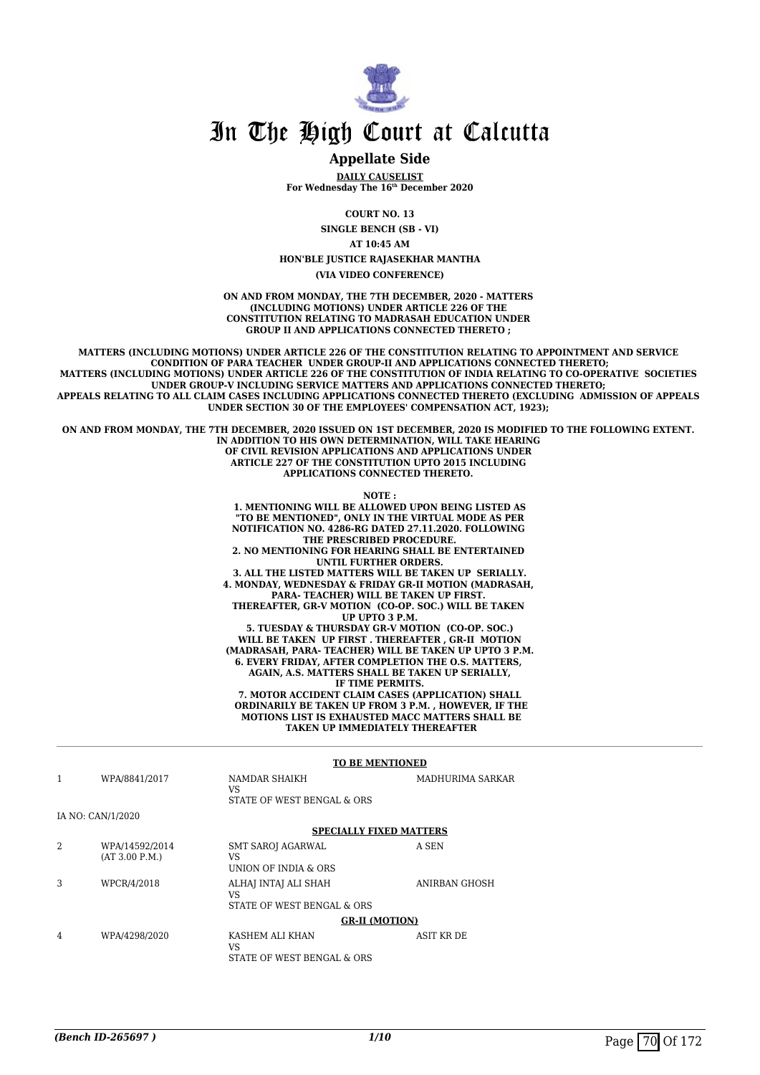

#### **Appellate Side**

**DAILY CAUSELIST For Wednesday The 16th December 2020**

**COURT NO. 13**

**SINGLE BENCH (SB - VI)**

**AT 10:45 AM**

**HON'BLE JUSTICE RAJASEKHAR MANTHA**

**(VIA VIDEO CONFERENCE)**

**ON AND FROM MONDAY, THE 7TH DECEMBER, 2020 - MATTERS (INCLUDING MOTIONS) UNDER ARTICLE 226 OF THE CONSTITUTION RELATING TO MADRASAH EDUCATION UNDER GROUP II AND APPLICATIONS CONNECTED THERETO ;** 

**MATTERS (INCLUDING MOTIONS) UNDER ARTICLE 226 OF THE CONSTITUTION RELATING TO APPOINTMENT AND SERVICE CONDITION OF PARA TEACHER UNDER GROUP-II AND APPLICATIONS CONNECTED THERETO; MATTERS (INCLUDING MOTIONS) UNDER ARTICLE 226 OF THE CONSTITUTION OF INDIA RELATING TO CO-OPERATIVE SOCIETIES UNDER GROUP-V INCLUDING SERVICE MATTERS AND APPLICATIONS CONNECTED THERETO; APPEALS RELATING TO ALL CLAIM CASES INCLUDING APPLICATIONS CONNECTED THERETO (EXCLUDING ADMISSION OF APPEALS UNDER SECTION 30 OF THE EMPLOYEES' COMPENSATION ACT, 1923);** 

**ON AND FROM MONDAY, THE 7TH DECEMBER, 2020 ISSUED ON 1ST DECEMBER, 2020 IS MODIFIED TO THE FOLLOWING EXTENT. IN ADDITION TO HIS OWN DETERMINATION, WILL TAKE HEARING OF CIVIL REVISION APPLICATIONS AND APPLICATIONS UNDER ARTICLE 227 OF THE CONSTITUTION UPTO 2015 INCLUDING APPLICATIONS CONNECTED THERETO.** 

**NOTE :**

**1. MENTIONING WILL BE ALLOWED UPON BEING LISTED AS "TO BE MENTIONED", ONLY IN THE VIRTUAL MODE AS PER NOTIFICATION NO. 4286-RG DATED 27.11.2020. FOLLOWING THE PRESCRIBED PROCEDURE. 2. NO MENTIONING FOR HEARING SHALL BE ENTERTAINED UNTIL FURTHER ORDERS. 3. ALL THE LISTED MATTERS WILL BE TAKEN UP SERIALLY. 4. MONDAY, WEDNESDAY & FRIDAY GR-II MOTION (MADRASAH, PARA- TEACHER) WILL BE TAKEN UP FIRST. THEREAFTER, GR-V MOTION (CO-OP. SOC.) WILL BE TAKEN UP UPTO 3 P.M. 5. TUESDAY & THURSDAY GR-V MOTION (CO-OP. SOC.) WILL BE TAKEN UP FIRST . THEREAFTER , GR-II MOTION (MADRASAH, PARA- TEACHER) WILL BE TAKEN UP UPTO 3 P.M. 6. EVERY FRIDAY, AFTER COMPLETION THE O.S. MATTERS, AGAIN, A.S. MATTERS SHALL BE TAKEN UP SERIALLY, IF TIME PERMITS. 7. MOTOR ACCIDENT CLAIM CASES (APPLICATION) SHALL ORDINARILY BE TAKEN UP FROM 3 P.M. , HOWEVER, IF THE MOTIONS LIST IS EXHAUSTED MACC MATTERS SHALL BE TAKEN UP IMMEDIATELY THEREAFTER**

#### **TO BE MENTIONED** 1 WPA/8841/2017 NAMDAR SHAIKH  $V<sup>Q</sup>$ STATE OF WEST BENGAL & ORS MADHURIMA SARKAR IA NO: CAN/1/2020 **SPECIALLY FIXED MATTERS** 2 WPA/14592/2014 (AT 3.00 P.M.) SMT SAROJ AGARWAL VS UNION OF INDIA & ORS A SEN 3 WPCR/4/2018 ALHAJ INTAJ ALI SHAH VS STATE OF WEST BENGAL & ORS ANIRBAN GHOSH **GR-II (MOTION)** 4 WPA/4298/2020 KASHEM ALI KHAN VS STATE OF WEST BENGAL & ORS ASIT KR DE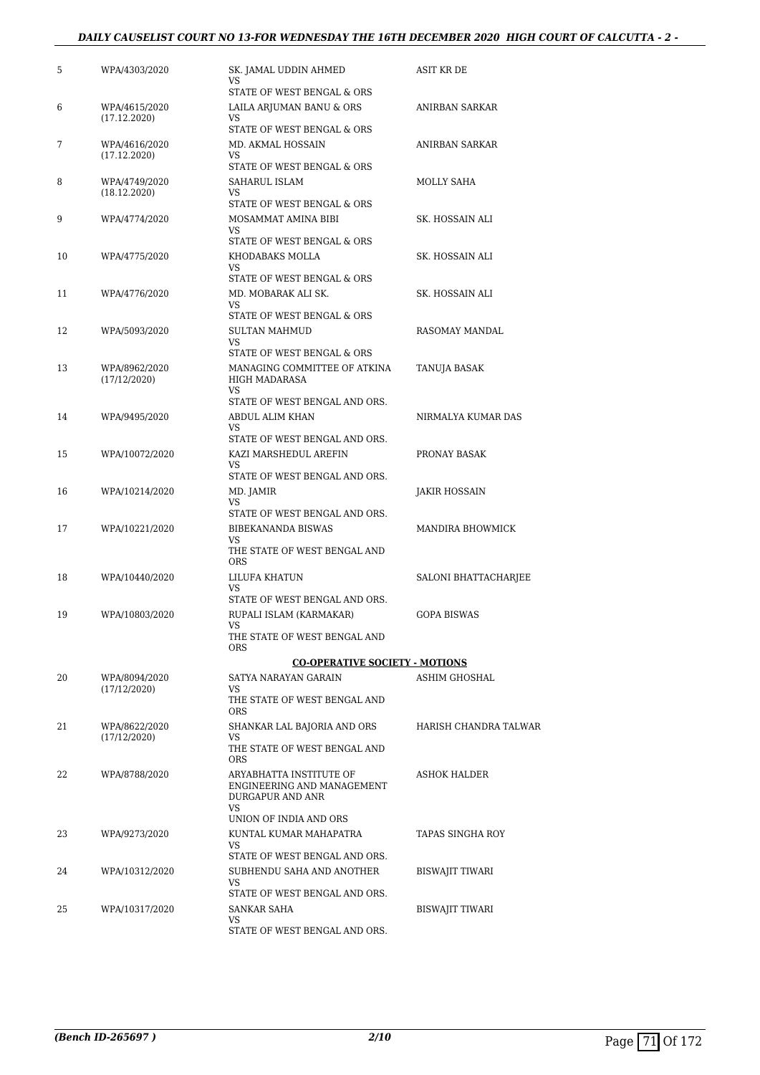#### *DAILY CAUSELIST COURT NO 13-FOR WEDNESDAY THE 16TH DECEMBER 2020 HIGH COURT OF CALCUTTA - 2 -*

| 5  | WPA/4303/2020                 | SK. JAMAL UDDIN AHMED<br>VS<br>STATE OF WEST BENGAL & ORS                   | ASIT KR DE             |
|----|-------------------------------|-----------------------------------------------------------------------------|------------------------|
| 6  | WPA/4615/2020<br>(17.12.2020) | LAILA ARJUMAN BANU & ORS<br>VS.                                             | ANIRBAN SARKAR         |
| 7  | WPA/4616/2020<br>(17.12.2020) | STATE OF WEST BENGAL & ORS<br>MD. AKMAL HOSSAIN<br>VS                       | ANIRBAN SARKAR         |
| 8  | WPA/4749/2020<br>(18.12.2020) | STATE OF WEST BENGAL & ORS<br>SAHARUL ISLAM<br>VS                           | MOLLY SAHA             |
| 9  | WPA/4774/2020                 | STATE OF WEST BENGAL & ORS<br>MOSAMMAT AMINA BIBI<br>VS                     | SK. HOSSAIN ALI        |
| 10 | WPA/4775/2020                 | STATE OF WEST BENGAL & ORS<br>KHODABAKS MOLLA<br>VS.                        | SK. HOSSAIN ALI        |
| 11 | WPA/4776/2020                 | STATE OF WEST BENGAL & ORS<br>MD. MOBARAK ALI SK.<br>VS                     | SK. HOSSAIN ALI        |
| 12 | WPA/5093/2020                 | STATE OF WEST BENGAL & ORS<br><b>SULTAN MAHMUD</b><br><b>VS</b>             | RASOMAY MANDAL         |
| 13 | WPA/8962/2020<br>(17/12/2020) | STATE OF WEST BENGAL & ORS<br>MANAGING COMMITTEE OF ATKINA<br>HIGH MADARASA | TANUJA BASAK           |
| 14 | WPA/9495/2020                 | VS.<br>STATE OF WEST BENGAL AND ORS.<br>ABDUL ALIM KHAN                     | NIRMALYA KUMAR DAS     |
| 15 | WPA/10072/2020                | VS<br>STATE OF WEST BENGAL AND ORS.<br>KAZI MARSHEDUL AREFIN<br>VS.         | PRONAY BASAK           |
| 16 | WPA/10214/2020                | STATE OF WEST BENGAL AND ORS.<br>MD. JAMIR<br>VS.                           | JAKIR HOSSAIN          |
| 17 | WPA/10221/2020                | STATE OF WEST BENGAL AND ORS.<br>BIBEKANANDA BISWAS<br>VS.                  | MANDIRA BHOWMICK       |
| 18 | WPA/10440/2020                | THE STATE OF WEST BENGAL AND<br><b>ORS</b><br>LILUFA KHATUN                 | SALONI BHATTACHARJEE   |
| 19 | WPA/10803/2020                | VS<br>STATE OF WEST BENGAL AND ORS.<br>RUPALI ISLAM (KARMAKAR)              | <b>GOPA BISWAS</b>     |
|    |                               | VS<br>THE STATE OF WEST BENGAL AND<br>ORS                                   |                        |
|    |                               | <b>CO-OPERATIVE SOCIETY - MOTIONS</b>                                       |                        |
| 20 | WPA/8094/2020<br>(17/12/2020) | SATYA NARAYAN GARAIN<br>VS.<br>THE STATE OF WEST BENGAL AND                 | ASHIM GHOSHAL          |
| 21 | WPA/8622/2020<br>(17/12/2020) | <b>ORS</b><br>SHANKAR LAL BAJORIA AND ORS<br>VS                             | HARISH CHANDRA TALWAR  |
| 22 | WPA/8788/2020                 | THE STATE OF WEST BENGAL AND<br><b>ORS</b><br>ARYABHATTA INSTITUTE OF       | <b>ASHOK HALDER</b>    |
|    |                               | ENGINEERING AND MANAGEMENT<br>DURGAPUR AND ANR<br>VS.                       |                        |
| 23 | WPA/9273/2020                 | UNION OF INDIA AND ORS<br>KUNTAL KUMAR MAHAPATRA<br>VS                      | TAPAS SINGHA ROY       |
| 24 | WPA/10312/2020                | STATE OF WEST BENGAL AND ORS.<br>SUBHENDU SAHA AND ANOTHER<br>VS.           | BISWAJIT TIWARI        |
| 25 | WPA/10317/2020                | STATE OF WEST BENGAL AND ORS.<br>SANKAR SAHA<br>VS                          | <b>BISWAJIT TIWARI</b> |
|    |                               | STATE OF WEST BENGAL AND ORS.                                               |                        |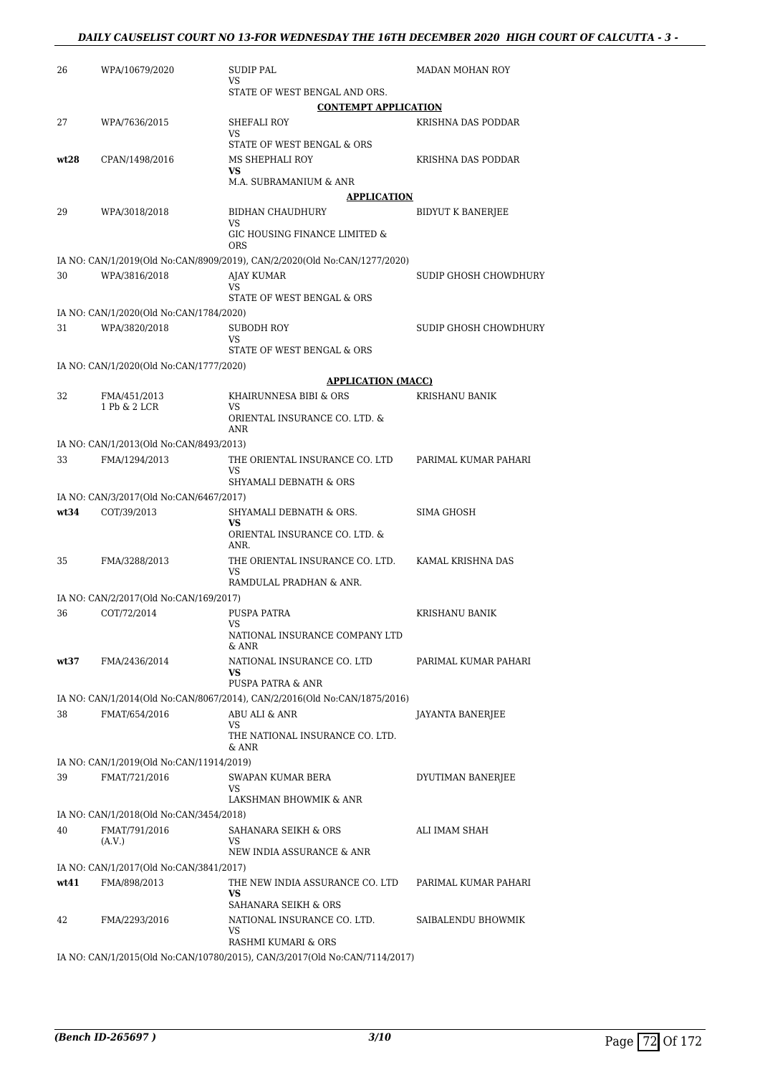| 26   | WPA/10679/2020                                           | SUDIP PAL<br>VS                                                                                | <b>MADAN MOHAN ROY</b>   |
|------|----------------------------------------------------------|------------------------------------------------------------------------------------------------|--------------------------|
|      |                                                          | STATE OF WEST BENGAL AND ORS.                                                                  |                          |
|      |                                                          | <b>CONTEMPT APPLICATION</b>                                                                    |                          |
| 27   | WPA/7636/2015                                            | SHEFALI ROY<br>VS                                                                              | KRISHNA DAS PODDAR       |
|      |                                                          | STATE OF WEST BENGAL & ORS                                                                     |                          |
| wt28 | CPAN/1498/2016                                           | MS SHEPHALI ROY<br><b>VS</b>                                                                   | KRISHNA DAS PODDAR       |
|      |                                                          | M.A. SUBRAMANIUM & ANR                                                                         |                          |
|      |                                                          | <b>APPLICATION</b>                                                                             |                          |
| 29   | WPA/3018/2018                                            | <b>BIDHAN CHAUDHURY</b><br>VS                                                                  | <b>BIDYUT K BANERJEE</b> |
|      |                                                          | GIC HOUSING FINANCE LIMITED &                                                                  |                          |
|      |                                                          | <b>ORS</b>                                                                                     |                          |
| 30   | WPA/3816/2018                                            | IA NO: CAN/1/2019(Old No:CAN/8909/2019), CAN/2/2020(Old No:CAN/1277/2020)<br><b>AJAY KUMAR</b> | SUDIP GHOSH CHOWDHURY    |
|      |                                                          | VS                                                                                             |                          |
|      |                                                          | STATE OF WEST BENGAL & ORS                                                                     |                          |
| 31   | IA NO: CAN/1/2020(Old No:CAN/1784/2020)<br>WPA/3820/2018 | SUBODH ROY                                                                                     | SUDIP GHOSH CHOWDHURY    |
|      |                                                          | VS                                                                                             |                          |
|      |                                                          | STATE OF WEST BENGAL & ORS                                                                     |                          |
|      | IA NO: CAN/1/2020(Old No:CAN/1777/2020)                  | <b>APPLICATION (MACC)</b>                                                                      |                          |
| 32   | FMA/451/2013                                             | KHAIRUNNESA BIBI & ORS                                                                         | KRISHANU BANIK           |
|      | 1 Pb & 2 LCR                                             | VS                                                                                             |                          |
|      |                                                          | ORIENTAL INSURANCE CO. LTD. &<br>ANR                                                           |                          |
|      | IA NO: CAN/1/2013(Old No:CAN/8493/2013)                  |                                                                                                |                          |
| 33   | FMA/1294/2013                                            | THE ORIENTAL INSURANCE CO. LTD<br>VS                                                           | PARIMAL KUMAR PAHARI     |
|      |                                                          | SHYAMALI DEBNATH & ORS                                                                         |                          |
|      | IA NO: CAN/3/2017(Old No:CAN/6467/2017)                  |                                                                                                |                          |
| wt34 | COT/39/2013                                              | SHYAMALI DEBNATH & ORS.<br><b>VS</b>                                                           | SIMA GHOSH               |
|      |                                                          | ORIENTAL INSURANCE CO. LTD. &<br>ANR.                                                          |                          |
| 35   | FMA/3288/2013                                            | THE ORIENTAL INSURANCE CO. LTD.<br>VS                                                          | KAMAL KRISHNA DAS        |
|      |                                                          | RAMDULAL PRADHAN & ANR.                                                                        |                          |
| 36   | IA NO: CAN/2/2017(Old No:CAN/169/2017)<br>COT/72/2014    | PUSPA PATRA                                                                                    | <b>KRISHANU BANIK</b>    |
|      |                                                          | VS                                                                                             |                          |
|      |                                                          | NATIONAL INSURANCE COMPANY LTD<br>& ANR                                                        |                          |
| wt37 | FMA/2436/2014                                            | NATIONAL INSURANCE CO. LTD<br><b>VS</b>                                                        | PARIMAL KUMAR PAHARI     |
|      |                                                          | PUSPA PATRA & ANR                                                                              |                          |
|      |                                                          | IA NO: CAN/1/2014(Old No:CAN/8067/2014), CAN/2/2016(Old No:CAN/1875/2016)                      |                          |
| 38   | FMAT/654/2016                                            | ABU ALI & ANR                                                                                  | JAYANTA BANERJEE         |
|      |                                                          | VS<br>THE NATIONAL INSURANCE CO. LTD.<br>& ANR                                                 |                          |
|      | IA NO: CAN/1/2019(Old No:CAN/11914/2019)                 |                                                                                                |                          |
| 39   | FMAT/721/2016                                            | SWAPAN KUMAR BERA                                                                              | DYUTIMAN BANERJEE        |
|      |                                                          | VS<br>LAKSHMAN BHOWMIK & ANR                                                                   |                          |
|      | IA NO: CAN/1/2018(Old No:CAN/3454/2018)                  |                                                                                                |                          |
| 40   | FMAT/791/2016                                            | SAHANARA SEIKH & ORS                                                                           | ALI IMAM SHAH            |
|      | (A.V.)                                                   | VS<br>NEW INDIA ASSURANCE & ANR                                                                |                          |
|      | IA NO: CAN/1/2017(Old No:CAN/3841/2017)                  |                                                                                                |                          |
| wt41 | FMA/898/2013                                             | THE NEW INDIA ASSURANCE CO. LTD                                                                | PARIMAL KUMAR PAHARI     |
|      |                                                          | VS.<br>SAHANARA SEIKH & ORS                                                                    |                          |
| 42   | FMA/2293/2016                                            | NATIONAL INSURANCE CO. LTD.                                                                    | SAIBALENDU BHOWMIK       |
|      |                                                          | VS<br>RASHMI KUMARI & ORS                                                                      |                          |
|      |                                                          | IA NO: CAN/1/2015(Old No:CAN/10780/2015), CAN/3/2017(Old No:CAN/7114/2017)                     |                          |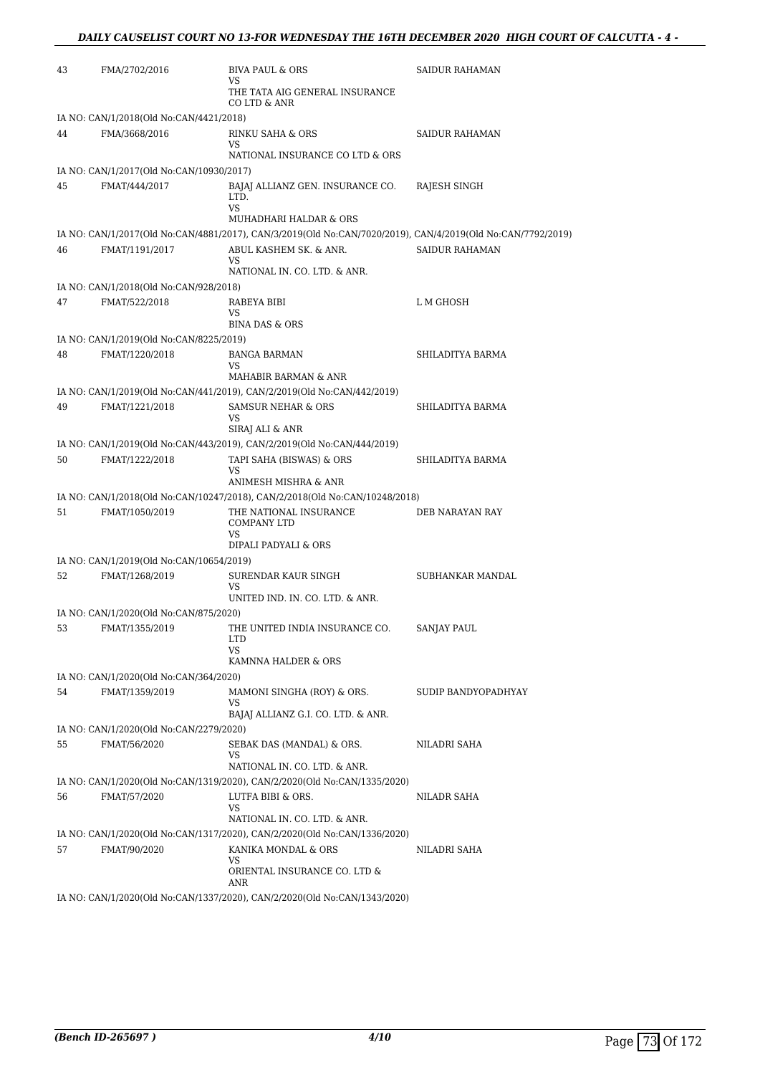| 43 | FMA/2702/2016                            | <b>BIVA PAUL &amp; ORS</b><br>VS                                                                            | SAIDUR RAHAMAN        |
|----|------------------------------------------|-------------------------------------------------------------------------------------------------------------|-----------------------|
|    |                                          | THE TATA AIG GENERAL INSURANCE<br>CO LTD & ANR                                                              |                       |
|    | IA NO: CAN/1/2018(Old No:CAN/4421/2018)  |                                                                                                             |                       |
| 44 | FMA/3668/2016                            | RINKU SAHA & ORS<br>VS                                                                                      | <b>SAIDUR RAHAMAN</b> |
|    |                                          | NATIONAL INSURANCE CO LTD & ORS                                                                             |                       |
|    | IA NO: CAN/1/2017(Old No:CAN/10930/2017) |                                                                                                             |                       |
| 45 | FMAT/444/2017                            | BAJAJ ALLIANZ GEN. INSURANCE CO.<br>LTD.<br>VS<br>MUHADHARI HALDAR & ORS                                    | RAJESH SINGH          |
|    |                                          | IA NO: CAN/1/2017(Old No:CAN/4881/2017), CAN/3/2019(Old No:CAN/7020/2019), CAN/4/2019(Old No:CAN/7792/2019) |                       |
| 46 | FMAT/1191/2017                           | ABUL KASHEM SK. & ANR.<br>VS<br>NATIONAL IN. CO. LTD. & ANR.                                                | SAIDUR RAHAMAN        |
|    | IA NO: CAN/1/2018(Old No:CAN/928/2018)   |                                                                                                             |                       |
| 47 | FMAT/522/2018                            | RABEYA BIBI<br>VS<br><b>BINA DAS &amp; ORS</b>                                                              | L M GHOSH             |
|    | IA NO: CAN/1/2019(Old No:CAN/8225/2019)  |                                                                                                             |                       |
| 48 | FMAT/1220/2018                           | <b>BANGA BARMAN</b><br>VS<br>MAHABIR BARMAN & ANR                                                           | SHILADITYA BARMA      |
|    |                                          | IA NO: CAN/1/2019(Old No:CAN/441/2019), CAN/2/2019(Old No:CAN/442/2019)                                     |                       |
| 49 | FMAT/1221/2018                           | <b>SAMSUR NEHAR &amp; ORS</b><br>VS<br>SIRAJ ALI & ANR                                                      | SHILADITYA BARMA      |
|    |                                          | IA NO: CAN/1/2019(Old No:CAN/443/2019), CAN/2/2019(Old No:CAN/444/2019)                                     |                       |
| 50 | FMAT/1222/2018                           | TAPI SAHA (BISWAS) & ORS<br>VS<br>ANIMESH MISHRA & ANR                                                      | SHILADITYA BARMA      |
|    |                                          | IA NO: CAN/1/2018(Old No:CAN/10247/2018), CAN/2/2018(Old No:CAN/10248/2018)                                 |                       |
| 51 | FMAT/1050/2019                           | THE NATIONAL INSURANCE<br><b>COMPANY LTD</b><br>VS                                                          | DEB NARAYAN RAY       |
|    |                                          | DIPALI PADYALI & ORS                                                                                        |                       |
|    | IA NO: CAN/1/2019(Old No:CAN/10654/2019) |                                                                                                             |                       |
| 52 | FMAT/1268/2019                           | SURENDAR KAUR SINGH<br>VS<br>UNITED IND. IN. CO. LTD. & ANR.                                                | SUBHANKAR MANDAL      |
|    | IA NO: CAN/1/2020(Old No:CAN/875/2020)   |                                                                                                             |                       |
| 53 | FMAT/1355/2019                           | THE UNITED INDIA INSURANCE CO.                                                                              | SANJAY PAUL           |
|    |                                          | <b>LTD</b><br>VS                                                                                            |                       |
|    |                                          | KAMNNA HALDER & ORS                                                                                         |                       |
|    | IA NO: CAN/1/2020(Old No:CAN/364/2020)   |                                                                                                             |                       |
| 54 | FMAT/1359/2019                           | MAMONI SINGHA (ROY) & ORS.<br>VS<br>BAJAJ ALLIANZ G.I. CO. LTD. & ANR.                                      | SUDIP BANDYOPADHYAY   |
|    | IA NO: CAN/1/2020(Old No:CAN/2279/2020)  |                                                                                                             |                       |
| 55 | FMAT/56/2020                             | SEBAK DAS (MANDAL) & ORS.<br>VS<br>NATIONAL IN. CO. LTD. & ANR.                                             | NILADRI SAHA          |
|    |                                          | IA NO: CAN/1/2020(Old No:CAN/1319/2020), CAN/2/2020(Old No:CAN/1335/2020)                                   |                       |
| 56 | FMAT/57/2020                             | LUTFA BIBI & ORS.                                                                                           | NILADR SAHA           |
|    |                                          | VS                                                                                                          |                       |
|    |                                          | NATIONAL IN. CO. LTD. & ANR.                                                                                |                       |
|    |                                          | IA NO: CAN/1/2020(Old No:CAN/1317/2020), CAN/2/2020(Old No:CAN/1336/2020)                                   |                       |
| 57 | FMAT/90/2020                             | KANIKA MONDAL & ORS<br>VS<br>ORIENTAL INSURANCE CO. LTD &                                                   | NILADRI SAHA          |
|    |                                          | ANR<br><b>IA NO: CAN/1/2020(Old No:CAN/1337/2020)</b> CAN/2/2020(Old No:CAN/1343/2020)                      |                       |

IA NO: CAN/1/2020(Old No:CAN/1337/2020), CAN/2/2020(Old No:CAN/1343/2020)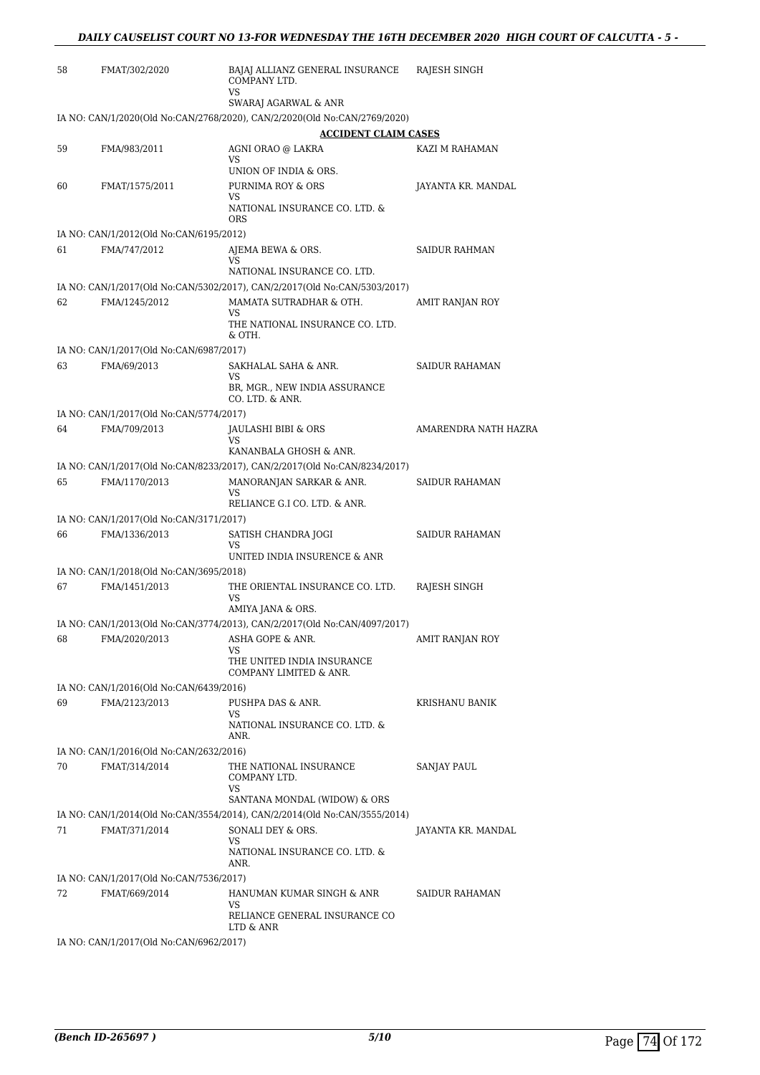| 58 | FMAT/302/2020                                            | BAJAJ ALLIANZ GENERAL INSURANCE<br>COMPANY LTD.<br>VS                                          | RAJESH SINGH          |
|----|----------------------------------------------------------|------------------------------------------------------------------------------------------------|-----------------------|
|    |                                                          | SWARAJ AGARWAL & ANR                                                                           |                       |
|    |                                                          | IA NO: CAN/1/2020(Old No:CAN/2768/2020), CAN/2/2020(Old No:CAN/2769/2020)                      |                       |
|    |                                                          | <b>ACCIDENT CLAIM CASES</b>                                                                    |                       |
| 59 | FMA/983/2011                                             | AGNI ORAO @ LAKRA<br>VS<br>UNION OF INDIA & ORS.                                               | KAZI M RAHAMAN        |
| 60 | FMAT/1575/2011                                           | PURNIMA ROY & ORS                                                                              | JAYANTA KR. MANDAL    |
|    |                                                          | VS<br>NATIONAL INSURANCE CO. LTD. &<br><b>ORS</b>                                              |                       |
|    | IA NO: CAN/1/2012(Old No:CAN/6195/2012)                  |                                                                                                |                       |
| 61 | FMA/747/2012                                             | AJEMA BEWA & ORS.                                                                              | <b>SAIDUR RAHMAN</b>  |
|    |                                                          | VS<br>NATIONAL INSURANCE CO. LTD.                                                              |                       |
|    |                                                          | IA NO: CAN/1/2017(Old No:CAN/5302/2017), CAN/2/2017(Old No:CAN/5303/2017)                      |                       |
| 62 | FMA/1245/2012                                            | MAMATA SUTRADHAR & OTH.<br>VS                                                                  | AMIT RANJAN ROY       |
|    |                                                          | THE NATIONAL INSURANCE CO. LTD.<br>& OTH.                                                      |                       |
|    | IA NO: CAN/1/2017(Old No:CAN/6987/2017)                  |                                                                                                |                       |
| 63 | FMA/69/2013                                              | SAKHALAL SAHA & ANR.<br>VS                                                                     | <b>SAIDUR RAHAMAN</b> |
|    |                                                          | BR, MGR., NEW INDIA ASSURANCE<br>CO. LTD. & ANR.                                               |                       |
|    | IA NO: CAN/1/2017(Old No:CAN/5774/2017)                  |                                                                                                |                       |
| 64 | FMA/709/2013                                             | JAULASHI BIBI & ORS<br>VS                                                                      | AMARENDRA NATH HAZRA  |
|    |                                                          | KANANBALA GHOSH & ANR.                                                                         |                       |
| 65 | FMA/1170/2013                                            | IA NO: CAN/1/2017(Old No:CAN/8233/2017), CAN/2/2017(Old No:CAN/8234/2017)                      | <b>SAIDUR RAHAMAN</b> |
|    |                                                          | MANORANJAN SARKAR & ANR.<br>VS<br>RELIANCE G.I CO. LTD. & ANR.                                 |                       |
|    | IA NO: CAN/1/2017(Old No:CAN/3171/2017)                  |                                                                                                |                       |
| 66 | FMA/1336/2013                                            | SATISH CHANDRA JOGI<br>VS                                                                      | SAIDUR RAHAMAN        |
|    |                                                          | UNITED INDIA INSURENCE & ANR                                                                   |                       |
| 67 | IA NO: CAN/1/2018(Old No:CAN/3695/2018)<br>FMA/1451/2013 | THE ORIENTAL INSURANCE CO. LTD.                                                                |                       |
|    |                                                          | VS                                                                                             | RAJESH SINGH          |
|    |                                                          | AMIYA JANA & ORS.<br>IA NO: CAN/1/2013(Old No:CAN/3774/2013), CAN/2/2017(Old No:CAN/4097/2017) |                       |
| 68 | FMA/2020/2013                                            | <b>ASHA GOPE &amp; ANR.</b>                                                                    | AMIT RANJAN ROY       |
|    |                                                          | VS<br>THE UNITED INDIA INSURANCE<br>COMPANY LIMITED & ANR.                                     |                       |
|    | IA NO: CAN/1/2016(Old No:CAN/6439/2016)                  |                                                                                                |                       |
| 69 | FMA/2123/2013                                            | PUSHPA DAS & ANR.                                                                              | <b>KRISHANU BANIK</b> |
|    |                                                          | VS<br>NATIONAL INSURANCE CO. LTD. &<br>ANR.                                                    |                       |
|    | IA NO: CAN/1/2016(Old No:CAN/2632/2016)                  |                                                                                                |                       |
| 70 | FMAT/314/2014                                            | THE NATIONAL INSURANCE<br>COMPANY LTD.<br>VS                                                   | <b>SANJAY PAUL</b>    |
|    |                                                          | SANTANA MONDAL (WIDOW) & ORS                                                                   |                       |
|    |                                                          | IA NO: CAN/1/2014(Old No:CAN/3554/2014), CAN/2/2014(Old No:CAN/3555/2014)                      |                       |
| 71 | FMAT/371/2014                                            | SONALI DEY & ORS.<br>VS                                                                        | JAYANTA KR. MANDAL    |
|    |                                                          | NATIONAL INSURANCE CO. LTD. &<br>ANR.                                                          |                       |
|    | IA NO: CAN/1/2017(Old No:CAN/7536/2017)                  |                                                                                                |                       |
| 72 | FMAT/669/2014                                            | HANUMAN KUMAR SINGH & ANR<br>VS<br>RELIANCE GENERAL INSURANCE CO                               | SAIDUR RAHAMAN        |
|    |                                                          | LTD & ANR                                                                                      |                       |
|    | IA NO: CAN/1/2017(Old No:CAN/6962/2017)                  |                                                                                                |                       |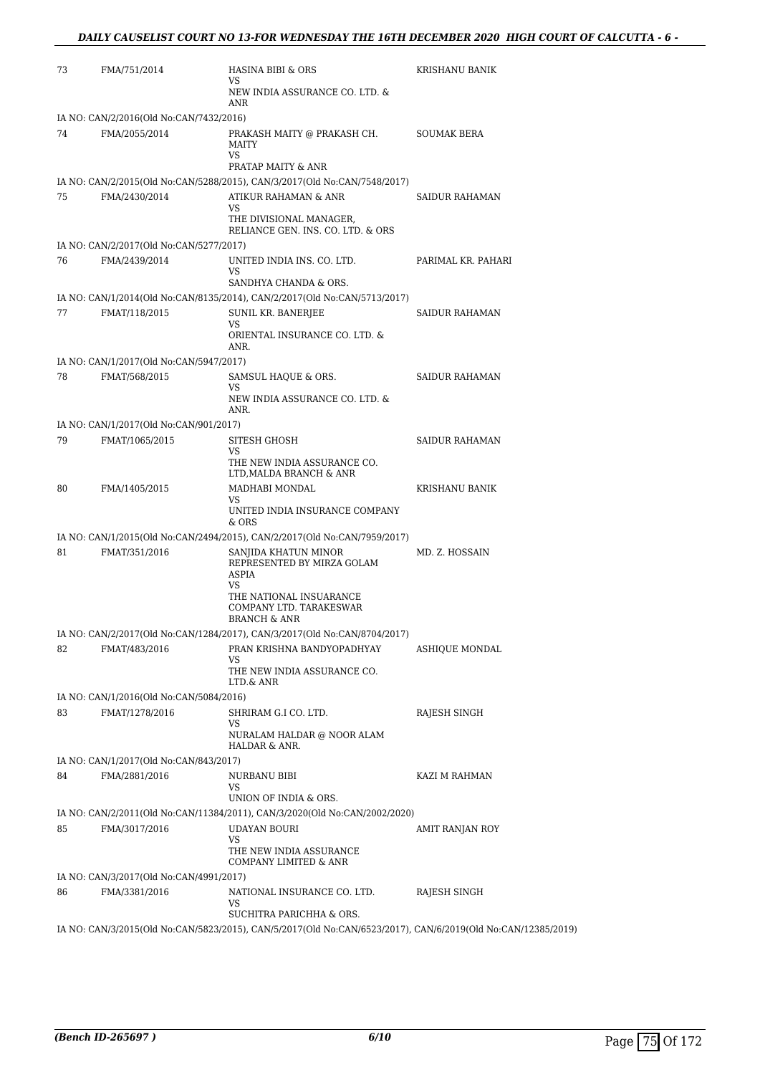| 73 | FMA/751/2014                            | HASINA BIBI & ORS<br>VS                                                                                      | KRISHANU BANIK        |
|----|-----------------------------------------|--------------------------------------------------------------------------------------------------------------|-----------------------|
|    |                                         | NEW INDIA ASSURANCE CO. LTD. &<br>ANR                                                                        |                       |
|    | IA NO: CAN/2/2016(Old No:CAN/7432/2016) |                                                                                                              |                       |
| 74 | FMA/2055/2014                           | PRAKASH MAITY @ PRAKASH CH.<br>MAITY<br><b>VS</b>                                                            | <b>SOUMAK BERA</b>    |
|    |                                         | PRATAP MAITY & ANR                                                                                           |                       |
|    |                                         | IA NO: CAN/2/2015(Old No:CAN/5288/2015), CAN/3/2017(Old No:CAN/7548/2017)                                    |                       |
| 75 | FMA/2430/2014                           | ATIKUR RAHAMAN & ANR<br>VS                                                                                   | SAIDUR RAHAMAN        |
|    |                                         | THE DIVISIONAL MANAGER,<br>RELIANCE GEN. INS. CO. LTD. & ORS                                                 |                       |
|    | IA NO: CAN/2/2017(Old No:CAN/5277/2017) |                                                                                                              |                       |
| 76 | FMA/2439/2014                           | UNITED INDIA INS. CO. LTD.<br>VS<br>SANDHYA CHANDA & ORS.                                                    | PARIMAL KR. PAHARI    |
|    |                                         | IA NO: CAN/1/2014(Old No:CAN/8135/2014), CAN/2/2017(Old No:CAN/5713/2017)                                    |                       |
| 77 | FMAT/118/2015                           | <b>SUNIL KR. BANERJEE</b><br>VS<br>ORIENTAL INSURANCE CO. LTD. &<br>ANR.                                     | <b>SAIDUR RAHAMAN</b> |
|    | IA NO: CAN/1/2017(Old No:CAN/5947/2017) |                                                                                                              |                       |
| 78 | FMAT/568/2015                           | SAMSUL HAQUE & ORS.<br>VS                                                                                    | <b>SAIDUR RAHAMAN</b> |
|    |                                         | NEW INDIA ASSURANCE CO. LTD. &<br>ANR.                                                                       |                       |
|    | IA NO: CAN/1/2017(Old No:CAN/901/2017)  |                                                                                                              |                       |
| 79 | FMAT/1065/2015                          | SITESH GHOSH<br>VS<br>THE NEW INDIA ASSURANCE CO.<br>LTD, MALDA BRANCH & ANR                                 | <b>SAIDUR RAHAMAN</b> |
| 80 | FMA/1405/2015                           | MADHABI MONDAL                                                                                               | KRISHANU BANIK        |
|    |                                         | VS<br>UNITED INDIA INSURANCE COMPANY<br>& ORS                                                                |                       |
|    |                                         | IA NO: CAN/1/2015(Old No:CAN/2494/2015), CAN/2/2017(Old No:CAN/7959/2017)                                    |                       |
| 81 | FMAT/351/2016                           | SANJIDA KHATUN MINOR<br>REPRESENTED BY MIRZA GOLAM<br>ASPIA<br>VS                                            | MD. Z. HOSSAIN        |
|    |                                         | THE NATIONAL INSUARANCE<br>COMPANY LTD. TARAKESWAR<br><b>BRANCH &amp; ANR</b>                                |                       |
|    |                                         | IA NO: CAN/2/2017(Old No:CAN/1284/2017), CAN/3/2017(Old No:CAN/8704/2017)                                    |                       |
| 82 | FMAT/483/2016                           | PRAN KRISHNA BANDYOPADHYAY<br>VS                                                                             | ASHIQUE MONDAL        |
|    |                                         | THE NEW INDIA ASSURANCE CO.<br>LTD.& ANR                                                                     |                       |
|    | IA NO: CAN/1/2016(Old No:CAN/5084/2016) |                                                                                                              |                       |
| 83 | FMAT/1278/2016                          | SHRIRAM G.I CO. LTD.<br>VS<br>NURALAM HALDAR @ NOOR ALAM<br>HALDAR & ANR.                                    | RAJESH SINGH          |
|    | IA NO: CAN/1/2017(Old No:CAN/843/2017)  |                                                                                                              |                       |
| 84 | FMA/2881/2016                           | NURBANU BIBI<br>VS                                                                                           | KAZI M RAHMAN         |
|    |                                         | UNION OF INDIA & ORS.                                                                                        |                       |
|    |                                         | IA NO: CAN/2/2011(Old No:CAN/11384/2011), CAN/3/2020(Old No:CAN/2002/2020)                                   |                       |
| 85 | FMA/3017/2016                           | UDAYAN BOURI<br>VS<br>THE NEW INDIA ASSURANCE                                                                | AMIT RANJAN ROY       |
|    |                                         | COMPANY LIMITED & ANR                                                                                        |                       |
|    | IA NO: CAN/3/2017(Old No:CAN/4991/2017) |                                                                                                              |                       |
| 86 | FMA/3381/2016                           | NATIONAL INSURANCE CO. LTD.<br>VS<br>SUCHITRA PARICHHA & ORS.                                                | RAJESH SINGH          |
|    |                                         | IA NO: CAN/3/2015(Old No:CAN/5823/2015), CAN/5/2017(Old No:CAN/6523/2017), CAN/6/2019(Old No:CAN/12385/2019) |                       |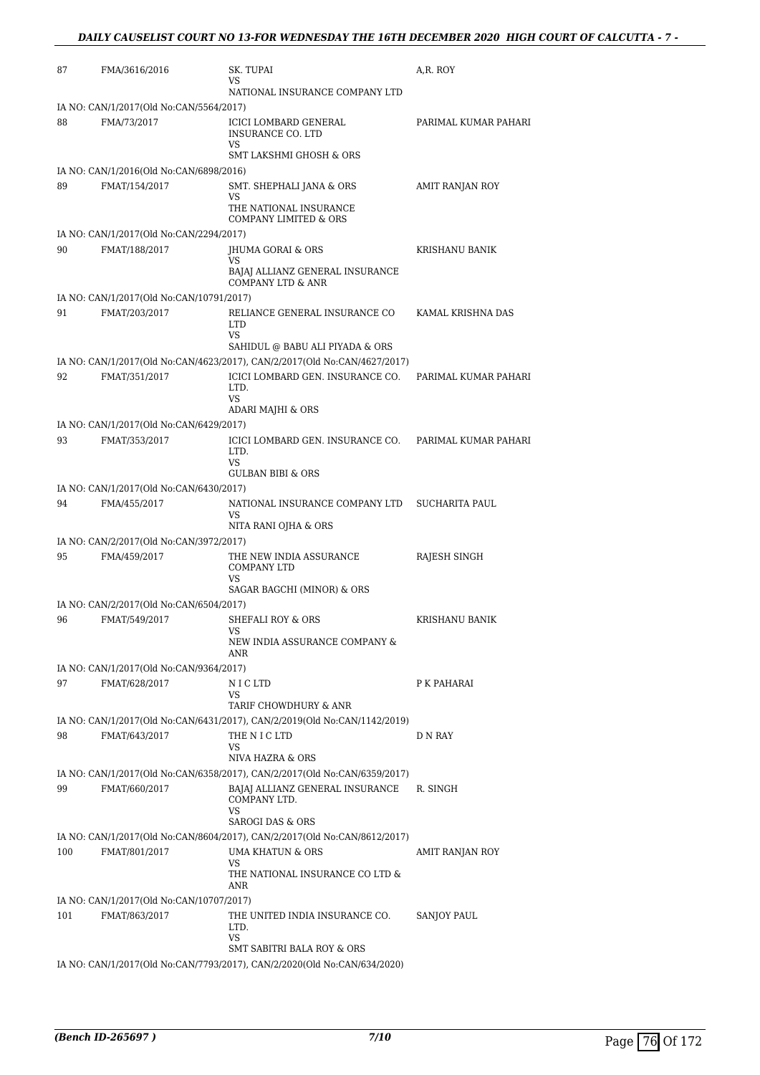| 87  | FMA/3616/2016                                            | SK. TUPAI                                                                                                                          | A,R. ROY               |
|-----|----------------------------------------------------------|------------------------------------------------------------------------------------------------------------------------------------|------------------------|
|     |                                                          | VS<br>NATIONAL INSURANCE COMPANY LTD                                                                                               |                        |
|     | IA NO: CAN/1/2017(Old No:CAN/5564/2017)                  |                                                                                                                                    |                        |
| 88  | FMA/73/2017                                              | ICICI LOMBARD GENERAL<br><b>INSURANCE CO. LTD</b><br>VS                                                                            | PARIMAL KUMAR PAHARI   |
|     |                                                          | <b>SMT LAKSHMI GHOSH &amp; ORS</b>                                                                                                 |                        |
| 89  | IA NO: CAN/1/2016(Old No:CAN/6898/2016)<br>FMAT/154/2017 | SMT. SHEPHALI JANA & ORS                                                                                                           | <b>AMIT RANJAN ROY</b> |
|     |                                                          | VS<br>THE NATIONAL INSURANCE<br><b>COMPANY LIMITED &amp; ORS</b>                                                                   |                        |
|     | IA NO: CAN/1/2017(Old No:CAN/2294/2017)                  |                                                                                                                                    |                        |
| 90  | FMAT/188/2017                                            | JHUMA GORAI & ORS                                                                                                                  | KRISHANU BANIK         |
|     |                                                          | <b>VS</b><br>BAJAJ ALLIANZ GENERAL INSURANCE<br><b>COMPANY LTD &amp; ANR</b>                                                       |                        |
|     | IA NO: CAN/1/2017(Old No:CAN/10791/2017)                 |                                                                                                                                    |                        |
| 91  | FMAT/203/2017                                            | RELIANCE GENERAL INSURANCE CO<br><b>LTD</b><br>VS                                                                                  | KAMAL KRISHNA DAS      |
|     |                                                          | SAHIDUL @ BABU ALI PIYADA & ORS                                                                                                    |                        |
| 92  | FMAT/351/2017                                            | IA NO: CAN/1/2017(Old No:CAN/4623/2017), CAN/2/2017(Old No:CAN/4627/2017)<br>ICICI LOMBARD GEN. INSURANCE CO.<br>LTD.<br><b>VS</b> | PARIMAL KUMAR PAHARI   |
|     |                                                          | ADARI MAJHI & ORS                                                                                                                  |                        |
| 93  | IA NO: CAN/1/2017(Old No:CAN/6429/2017)<br>FMAT/353/2017 | ICICI LOMBARD GEN. INSURANCE CO.                                                                                                   | PARIMAL KUMAR PAHARI   |
|     |                                                          | LTD.<br><b>VS</b><br><b>GULBAN BIBI &amp; ORS</b>                                                                                  |                        |
|     | IA NO: CAN/1/2017(Old No:CAN/6430/2017)                  |                                                                                                                                    |                        |
| 94  | FMA/455/2017                                             | NATIONAL INSURANCE COMPANY LTD<br>VS                                                                                               | <b>SUCHARITA PAUL</b>  |
|     | IA NO: CAN/2/2017(Old No:CAN/3972/2017)                  | NITA RANI OJHA & ORS                                                                                                               |                        |
| 95  | FMA/459/2017                                             | THE NEW INDIA ASSURANCE<br>COMPANY LTD<br><b>VS</b>                                                                                | RAJESH SINGH           |
|     |                                                          | SAGAR BAGCHI (MINOR) & ORS                                                                                                         |                        |
| 96  | IA NO: CAN/2/2017(Old No:CAN/6504/2017)<br>FMAT/549/2017 | <b>SHEFALI ROY &amp; ORS</b>                                                                                                       | <b>KRISHANU BANIK</b>  |
|     |                                                          | VS.<br>NEW INDIA ASSURANCE COMPANY &<br>ANR                                                                                        |                        |
|     | IA NO: CAN/1/2017(Old No:CAN/9364/2017)                  |                                                                                                                                    |                        |
| 97  | FMAT/628/2017                                            | N I C LTD<br>VS                                                                                                                    | P K PAHARAI            |
|     |                                                          | TARIF CHOWDHURY & ANR<br>IA NO: CAN/1/2017(Old No:CAN/6431/2017), CAN/2/2019(Old No:CAN/1142/2019)                                 |                        |
| 98  | FMAT/643/2017                                            | THE N I C LTD<br><b>VS</b>                                                                                                         | <b>D N RAY</b>         |
|     |                                                          | NIVA HAZRA & ORS<br>IA NO: CAN/1/2017(Old No:CAN/6358/2017), CAN/2/2017(Old No:CAN/6359/2017)                                      |                        |
| 99  | FMAT/660/2017                                            | BAJAJ ALLIANZ GENERAL INSURANCE<br>COMPANY LTD.<br><b>VS</b>                                                                       | R. SINGH               |
|     |                                                          | <b>SAROGI DAS &amp; ORS</b><br>IA NO: CAN/1/2017(Old No:CAN/8604/2017), CAN/2/2017(Old No:CAN/8612/2017)                           |                        |
| 100 | FMAT/801/2017                                            | UMA KHATUN & ORS<br>VS<br>THE NATIONAL INSURANCE CO LTD &                                                                          | AMIT RANJAN ROY        |
|     |                                                          | ANR                                                                                                                                |                        |
|     | IA NO: CAN/1/2017(Old No:CAN/10707/2017)                 |                                                                                                                                    |                        |
| 101 | FMAT/863/2017                                            | THE UNITED INDIA INSURANCE CO.<br>LTD.<br>VS<br>SMT SABITRI BALA ROY & ORS                                                         | SANJOY PAUL            |
|     |                                                          | IA NO: CAN/1/2017(Old No:CAN/7793/2017), CAN/2/2020(Old No:CAN/634/2020)                                                           |                        |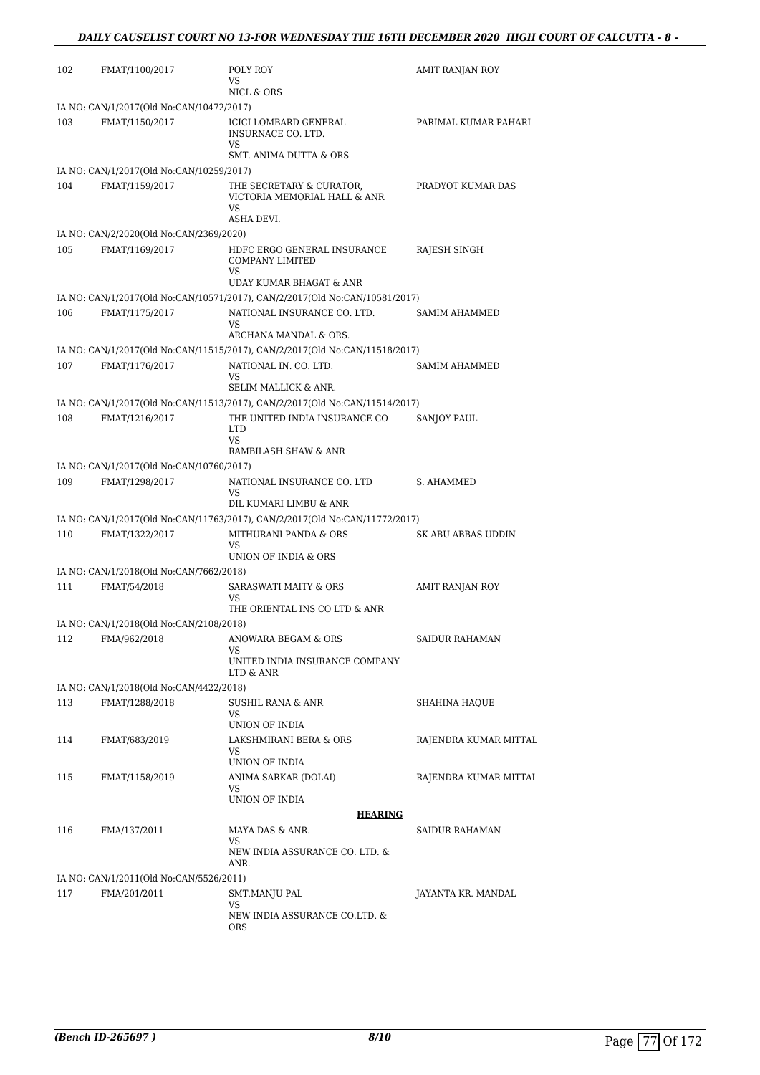| 102 | FMAT/1100/2017                                            | POLY ROY<br>VS<br>NICL & ORS                                                | AMIT RANJAN ROY       |
|-----|-----------------------------------------------------------|-----------------------------------------------------------------------------|-----------------------|
|     | IA NO: CAN/1/2017(Old No:CAN/10472/2017)                  |                                                                             |                       |
| 103 | FMAT/1150/2017                                            | ICICI LOMBARD GENERAL<br>INSURNACE CO. LTD.<br>VS                           | PARIMAL KUMAR PAHARI  |
|     |                                                           | SMT. ANIMA DUTTA & ORS                                                      |                       |
|     | IA NO: CAN/1/2017(Old No:CAN/10259/2017)                  |                                                                             |                       |
| 104 | FMAT/1159/2017                                            | THE SECRETARY & CURATOR,<br>VICTORIA MEMORIAL HALL & ANR<br><b>VS</b>       | PRADYOT KUMAR DAS     |
|     |                                                           | ASHA DEVI.                                                                  |                       |
| 105 | IA NO: CAN/2/2020(Old No:CAN/2369/2020)<br>FMAT/1169/2017 | HDFC ERGO GENERAL INSURANCE<br>COMPANY LIMITED                              | RAJESH SINGH          |
|     |                                                           | VS<br>UDAY KUMAR BHAGAT & ANR                                               |                       |
|     |                                                           | IA NO: CAN/1/2017(Old No:CAN/10571/2017), CAN/2/2017(Old No:CAN/10581/2017) |                       |
| 106 | FMAT/1175/2017                                            | NATIONAL INSURANCE CO. LTD.<br><b>VS</b><br>ARCHANA MANDAL & ORS.           | <b>SAMIM AHAMMED</b>  |
|     |                                                           | IA NO: CAN/1/2017(Old No:CAN/11515/2017), CAN/2/2017(Old No:CAN/11518/2017) |                       |
| 107 | FMAT/1176/2017                                            | NATIONAL IN. CO. LTD.                                                       | SAMIM AHAMMED         |
|     |                                                           | VS<br>SELIM MALLICK & ANR.                                                  |                       |
|     |                                                           | IA NO: CAN/1/2017(Old No:CAN/11513/2017), CAN/2/2017(Old No:CAN/11514/2017) |                       |
| 108 | FMAT/1216/2017                                            | THE UNITED INDIA INSURANCE CO<br><b>LTD</b><br>VS                           | SANJOY PAUL           |
|     |                                                           | RAMBILASH SHAW & ANR                                                        |                       |
|     | IA NO: CAN/1/2017(Old No:CAN/10760/2017)                  |                                                                             |                       |
| 109 | FMAT/1298/2017                                            | NATIONAL INSURANCE CO. LTD<br>VS<br>DIL KUMARI LIMBU & ANR                  | S. AHAMMED            |
|     |                                                           | IA NO: CAN/1/2017(Old No:CAN/11763/2017), CAN/2/2017(Old No:CAN/11772/2017) |                       |
| 110 | FMAT/1322/2017                                            | MITHURANI PANDA & ORS<br>VS                                                 | SK ABU ABBAS UDDIN    |
|     |                                                           | UNION OF INDIA & ORS                                                        |                       |
|     | IA NO: CAN/1/2018(Old No:CAN/7662/2018)                   |                                                                             |                       |
| 111 | FMAT/54/2018                                              | <b>SARASWATI MAITY &amp; ORS</b><br>VS<br>THE ORIENTAL INS CO LTD & ANR     | AMIT RANJAN ROY       |
|     | IA NO: CAN/1/2018(Old No:CAN/2108/2018)                   |                                                                             |                       |
| 112 | FMA/962/2018                                              | ANOWARA BEGAM & ORS<br>VS.                                                  | SAIDUR RAHAMAN        |
|     |                                                           | UNITED INDIA INSURANCE COMPANY<br>LTD & ANR                                 |                       |
|     | IA NO: CAN/1/2018(Old No:CAN/4422/2018)                   |                                                                             |                       |
| 113 | FMAT/1288/2018                                            | SUSHIL RANA & ANR<br>VS<br>UNION OF INDIA                                   | SHAHINA HAQUE         |
| 114 | FMAT/683/2019                                             | LAKSHMIRANI BERA & ORS<br>VS.                                               | RAJENDRA KUMAR MITTAL |
|     |                                                           | UNION OF INDIA                                                              |                       |
| 115 | FMAT/1158/2019                                            | ANIMA SARKAR (DOLAI)<br>VS<br>UNION OF INDIA                                | RAJENDRA KUMAR MITTAL |
|     |                                                           | <b>HEARING</b>                                                              |                       |
| 116 | FMA/137/2011                                              | MAYA DAS & ANR.<br>VS.                                                      | SAIDUR RAHAMAN        |
|     |                                                           | NEW INDIA ASSURANCE CO. LTD. &<br>ANR.                                      |                       |
|     | IA NO: CAN/1/2011(Old No:CAN/5526/2011)                   |                                                                             |                       |
| 117 | FMA/201/2011                                              | SMT.MANJU PAL<br>VS                                                         | JAYANTA KR. MANDAL    |
|     |                                                           | NEW INDIA ASSURANCE CO.LTD. &<br>ORS                                        |                       |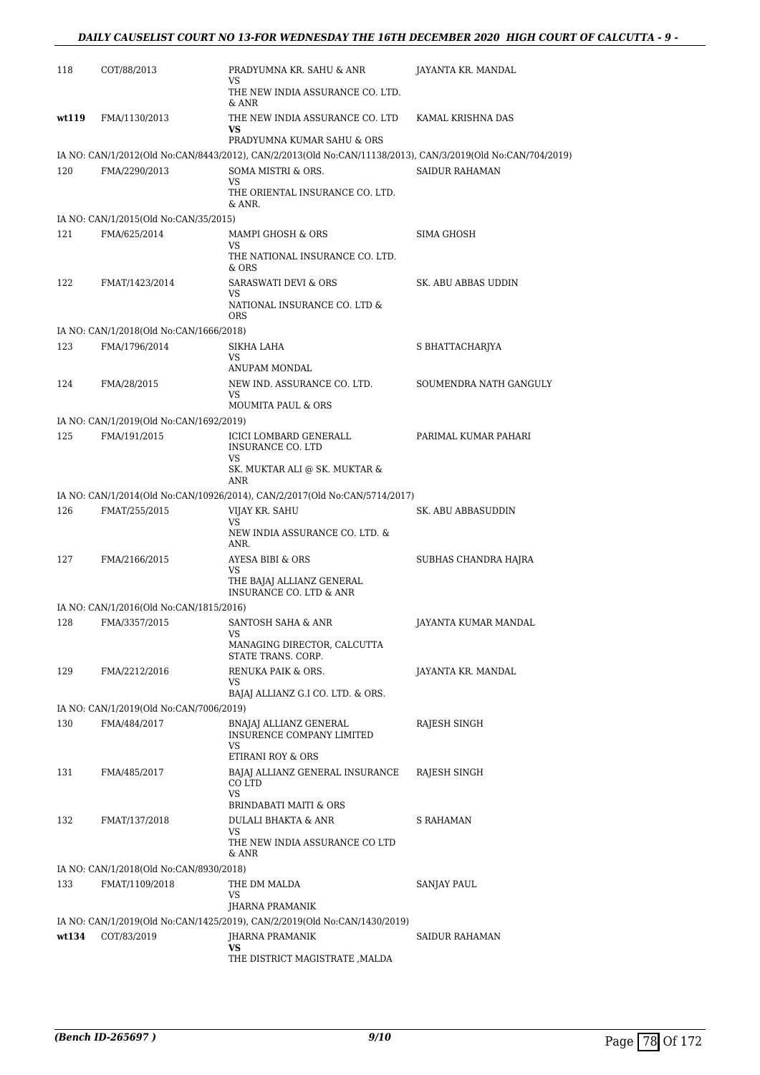| 118   | COT/88/2013                             | PRADYUMNA KR. SAHU & ANR<br>VS.                                                                             | JAYANTA KR. MANDAL     |
|-------|-----------------------------------------|-------------------------------------------------------------------------------------------------------------|------------------------|
|       |                                         | THE NEW INDIA ASSURANCE CO. LTD.<br>& ANR                                                                   |                        |
| wt119 | FMA/1130/2013                           | THE NEW INDIA ASSURANCE CO. LTD<br>VS<br>PRADYUMNA KUMAR SAHU & ORS                                         | KAMAL KRISHNA DAS      |
|       |                                         | IA NO: CAN/1/2012(Old No:CAN/8443/2012), CAN/2/2013(Old No:CAN/11138/2013), CAN/3/2019(Old No:CAN/704/2019) |                        |
| 120   | FMA/2290/2013                           | SOMA MISTRI & ORS.<br>VS.<br>THE ORIENTAL INSURANCE CO. LTD.<br>& ANR.                                      | <b>SAIDUR RAHAMAN</b>  |
|       | IA NO: CAN/1/2015(Old No:CAN/35/2015)   |                                                                                                             |                        |
| 121   | FMA/625/2014                            | MAMPI GHOSH & ORS                                                                                           | <b>SIMA GHOSH</b>      |
|       |                                         | VS<br>THE NATIONAL INSURANCE CO. LTD.<br>& ORS                                                              |                        |
| 122   | FMAT/1423/2014                          | <b>SARASWATI DEVI &amp; ORS</b><br>VS<br>NATIONAL INSURANCE CO. LTD &<br>ORS                                | SK. ABU ABBAS UDDIN    |
|       | IA NO: CAN/1/2018(Old No:CAN/1666/2018) |                                                                                                             |                        |
| 123   | FMA/1796/2014                           | SIKHA LAHA<br>VS.<br>ANUPAM MONDAL                                                                          | S BHATTACHARJYA        |
| 124   | FMA/28/2015                             | NEW IND. ASSURANCE CO. LTD.<br>VS.                                                                          | SOUMENDRA NATH GANGULY |
|       | IA NO: CAN/1/2019(Old No:CAN/1692/2019) | <b>MOUMITA PAUL &amp; ORS</b>                                                                               |                        |
| 125   | FMA/191/2015                            | ICICI LOMBARD GENERALL<br><b>INSURANCE CO. LTD</b><br>VS                                                    | PARIMAL KUMAR PAHARI   |
|       |                                         | SK. MUKTAR ALI @ SK. MUKTAR &<br>ANR                                                                        |                        |
|       |                                         | IA NO: CAN/1/2014(Old No:CAN/10926/2014), CAN/2/2017(Old No:CAN/5714/2017)                                  |                        |
| 126   | FMAT/255/2015                           | VIJAY KR. SAHU<br><b>VS</b><br>NEW INDIA ASSURANCE CO. LTD. &                                               | SK. ABU ABBASUDDIN     |
| 127   | FMA/2166/2015                           | ANR.<br>AYESA BIBI & ORS                                                                                    | SUBHAS CHANDRA HAJRA   |
|       |                                         | VS.<br>THE BAJAJ ALLIANZ GENERAL<br>INSURANCE CO. LTD & ANR                                                 |                        |
|       | IA NO: CAN/1/2016(Old No:CAN/1815/2016) |                                                                                                             |                        |
| 128   | FMA/3357/2015                           | SANTOSH SAHA & ANR<br>MANAGING DIRECTOR, CALCUTTA                                                           | JAYANTA KUMAR MANDAL   |
|       |                                         | STATE TRANS. CORP.                                                                                          |                        |
| 129   | FMA/2212/2016                           | RENUKA PAIK & ORS.<br>VS                                                                                    | JAYANTA KR. MANDAL     |
|       |                                         | BAJAJ ALLIANZ G.I CO. LTD. & ORS.                                                                           |                        |
|       | IA NO: CAN/1/2019(Old No:CAN/7006/2019) |                                                                                                             |                        |
| 130   | FMA/484/2017                            | BNAJAJ ALLIANZ GENERAL<br><b>INSURENCE COMPANY LIMITED</b><br>VS<br>ETIRANI ROY & ORS                       | RAJESH SINGH           |
| 131   | FMA/485/2017                            | BAJAJ ALLIANZ GENERAL INSURANCE<br>CO LTD<br><b>VS</b>                                                      | RAJESH SINGH           |
|       |                                         | <b>BRINDABATI MAITI &amp; ORS</b>                                                                           |                        |
| 132   | FMAT/137/2018                           | <b>DULALI BHAKTA &amp; ANR</b><br>VS                                                                        | S RAHAMAN              |
|       |                                         | THE NEW INDIA ASSURANCE CO LTD<br>& ANR                                                                     |                        |
|       | IA NO: CAN/1/2018(Old No:CAN/8930/2018) |                                                                                                             |                        |
| 133   | FMAT/1109/2018                          | THE DM MALDA<br>VS                                                                                          | SANJAY PAUL            |
|       |                                         | JHARNA PRAMANIK                                                                                             |                        |
| wt134 | COT/83/2019                             | IA NO: CAN/1/2019(Old No:CAN/1425/2019), CAN/2/2019(Old No:CAN/1430/2019)<br>JHARNA PRAMANIK                | SAIDUR RAHAMAN         |
|       |                                         | VS                                                                                                          |                        |
|       |                                         | THE DISTRICT MAGISTRATE , MALDA                                                                             |                        |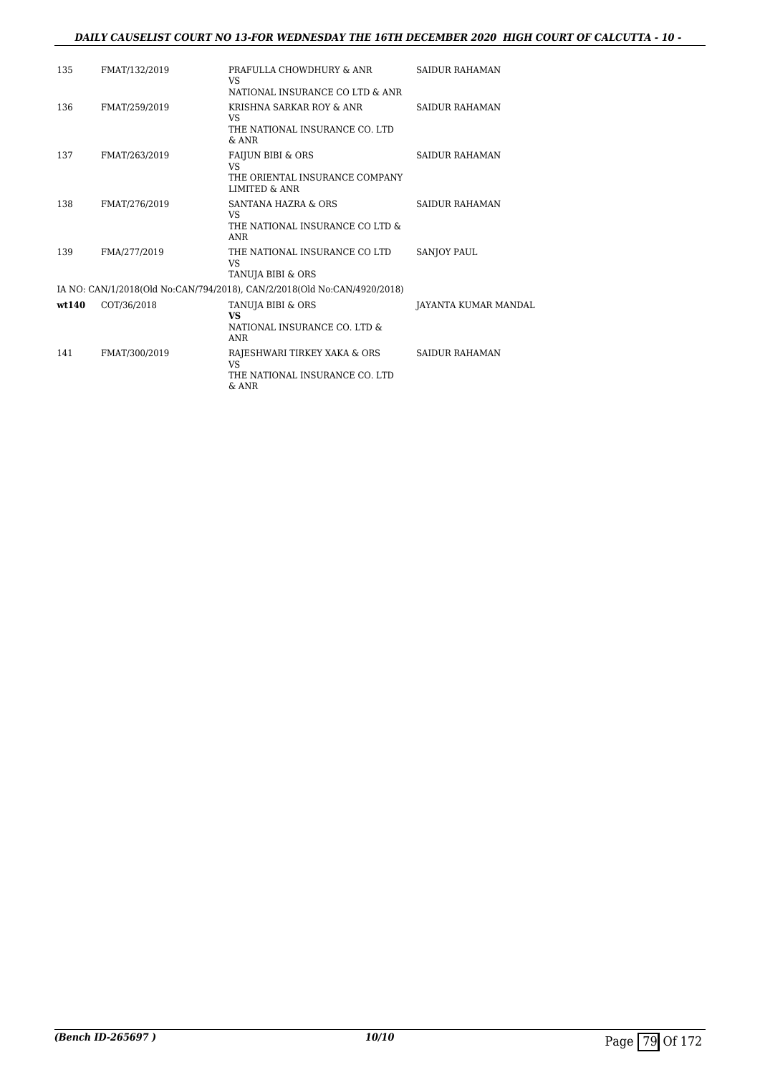#### *DAILY CAUSELIST COURT NO 13-FOR WEDNESDAY THE 16TH DECEMBER 2020 HIGH COURT OF CALCUTTA - 10 -*

| 135   | FMAT/132/2019 | PRAFULLA CHOWDHURY & ANR<br>VS                                           | SAIDUR RAHAMAN       |
|-------|---------------|--------------------------------------------------------------------------|----------------------|
|       |               | NATIONAL INSURANCE CO LTD & ANR                                          |                      |
| 136   | FMAT/259/2019 | KRISHNA SARKAR ROY & ANR<br>VS.                                          | SAIDUR RAHAMAN       |
|       |               | THE NATIONAL INSURANCE CO. LTD<br>$&$ ANR                                |                      |
| 137   | FMAT/263/2019 | <b>FAIJUN BIBI &amp; ORS</b>                                             | SAIDUR RAHAMAN       |
|       |               | VS.                                                                      |                      |
|       |               | THE ORIENTAL INSURANCE COMPANY<br><b>LIMITED &amp; ANR</b>               |                      |
| 138   | FMAT/276/2019 | <b>SANTANA HAZRA &amp; ORS</b><br><b>VS</b>                              | SAIDUR RAHAMAN       |
|       |               | THE NATIONAL INSURANCE CO LTD &<br>ANR                                   |                      |
| 139   | FMA/277/2019  | THE NATIONAL INSURANCE CO LTD<br><b>VS</b>                               | <b>SANIOY PAUL</b>   |
|       |               | TANUJA BIBI & ORS                                                        |                      |
|       |               | IA NO: CAN/1/2018(Old No:CAN/794/2018), CAN/2/2018(Old No:CAN/4920/2018) |                      |
| wt140 | COT/36/2018   | TANUJA BIBI & ORS                                                        | JAYANTA KUMAR MANDAL |
|       |               | <b>VS</b>                                                                |                      |
|       |               | NATIONAL INSURANCE CO. LTD &<br>ANR                                      |                      |
| 141   | FMAT/300/2019 | RAJESHWARI TIRKEY XAKA & ORS<br><b>VS</b>                                | SAIDUR RAHAMAN       |
|       |               | THE NATIONAL INSURANCE CO. LTD                                           |                      |
|       |               | $&$ ANR                                                                  |                      |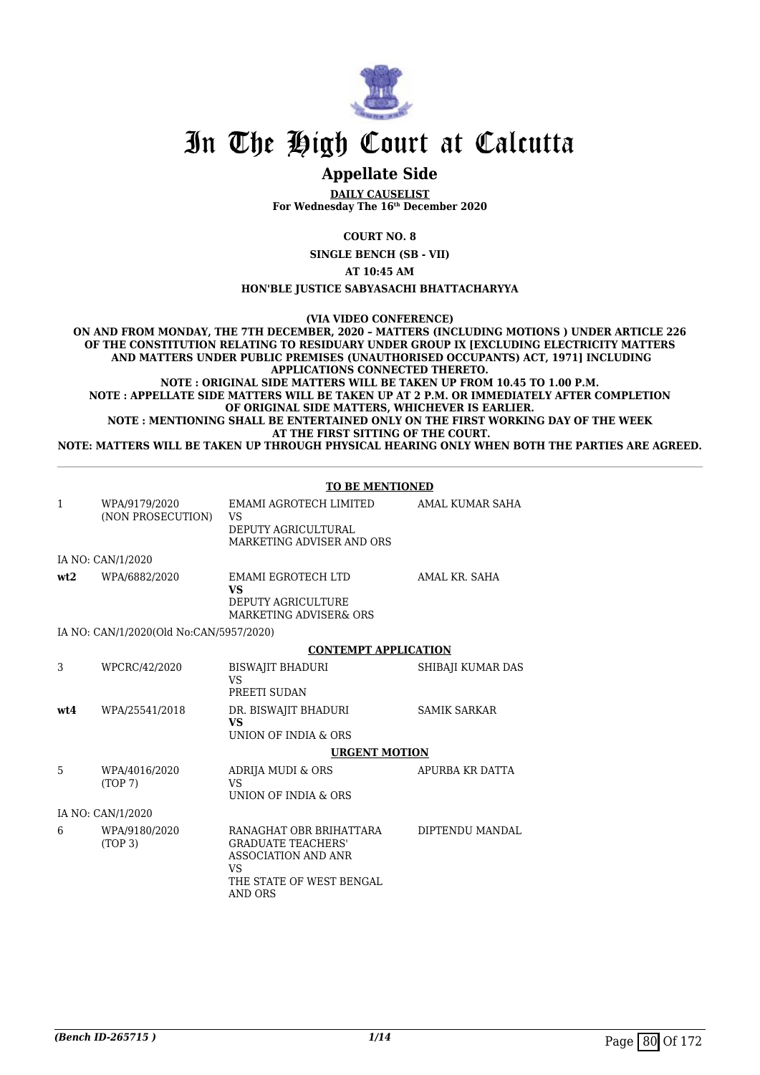

# In The High Court at Calcutta

# **Appellate Side**

**DAILY CAUSELIST For Wednesday The 16th December 2020**

**COURT NO. 8**

**SINGLE BENCH (SB - VII)**

**AT 10:45 AM**

**HON'BLE JUSTICE SABYASACHI BHATTACHARYYA**

**(VIA VIDEO CONFERENCE)**

**ON AND FROM MONDAY, THE 7TH DECEMBER, 2020 – MATTERS (INCLUDING MOTIONS ) UNDER ARTICLE 226 OF THE CONSTITUTION RELATING TO RESIDUARY UNDER GROUP IX [EXCLUDING ELECTRICITY MATTERS AND MATTERS UNDER PUBLIC PREMISES (UNAUTHORISED OCCUPANTS) ACT, 1971] INCLUDING APPLICATIONS CONNECTED THERETO. NOTE : ORIGINAL SIDE MATTERS WILL BE TAKEN UP FROM 10.45 TO 1.00 P.M.**

**NOTE : APPELLATE SIDE MATTERS WILL BE TAKEN UP AT 2 P.M. OR IMMEDIATELY AFTER COMPLETION OF ORIGINAL SIDE MATTERS, WHICHEVER IS EARLIER. NOTE : MENTIONING SHALL BE ENTERTAINED ONLY ON THE FIRST WORKING DAY OF THE WEEK AT THE FIRST SITTING OF THE COURT.**

**NOTE: MATTERS WILL BE TAKEN UP THROUGH PHYSICAL HEARING ONLY WHEN BOTH THE PARTIES ARE AGREED.**

|              |                                         | <b>TO BE MENTIONED</b>                                                                                                                 |                     |
|--------------|-----------------------------------------|----------------------------------------------------------------------------------------------------------------------------------------|---------------------|
| $\mathbf{1}$ | WPA/9179/2020<br>(NON PROSECUTION)      | EMAMI AGROTECH LIMITED<br><b>VS</b><br>DEPUTY AGRICULTURAL<br>MARKETING ADVISER AND ORS                                                | AMAL KUMAR SAHA     |
|              | IA NO: CAN/1/2020                       |                                                                                                                                        |                     |
| wt2          | WPA/6882/2020                           | EMAMI EGROTECH LTD<br><b>VS</b><br>DEPUTY AGRICULTURE<br><b>MARKETING ADVISER&amp; ORS</b>                                             | AMAL KR. SAHA       |
|              | IA NO: CAN/1/2020(Old No:CAN/5957/2020) |                                                                                                                                        |                     |
|              |                                         | <b>CONTEMPT APPLICATION</b>                                                                                                            |                     |
| 3            | WPCRC/42/2020                           | <b>BISWAJIT BHADURI</b><br><b>VS</b><br>PREETI SUDAN                                                                                   | SHIBAJI KUMAR DAS   |
| wt4          | WPA/25541/2018                          | DR. BISWAJIT BHADURI<br><b>VS</b><br>UNION OF INDIA & ORS                                                                              | <b>SAMIK SARKAR</b> |
|              |                                         | <b>URGENT MOTION</b>                                                                                                                   |                     |
| 5            | WPA/4016/2020<br>(TOP 7)                | ADRIJA MUDI & ORS<br><b>VS</b><br>UNION OF INDIA & ORS                                                                                 | APURBA KR DATTA     |
|              | IA NO: CAN/1/2020                       |                                                                                                                                        |                     |
| 6            | WPA/9180/2020<br>(TOP <sub>3</sub> )    | RANAGHAT OBR BRIHATTARA<br><b>GRADUATE TEACHERS'</b><br>ASSOCIATION AND ANR<br><b>VS</b><br>THE STATE OF WEST BENGAL<br><b>AND ORS</b> | DIPTENDU MANDAL     |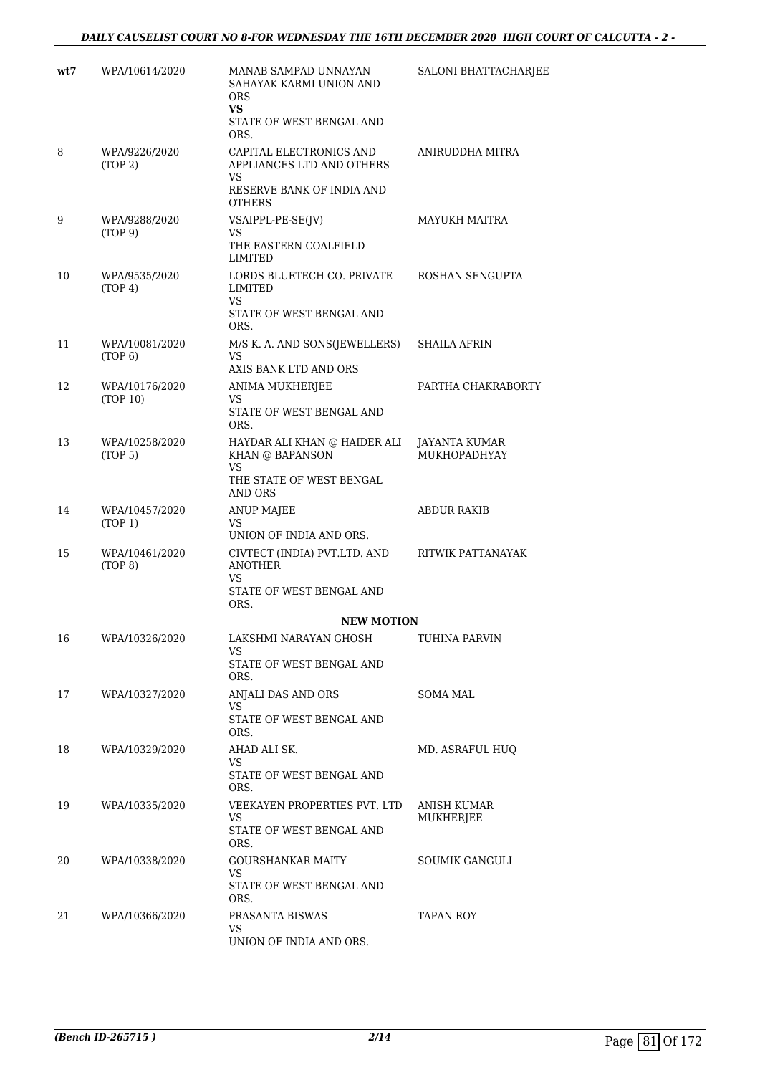## *DAILY CAUSELIST COURT NO 8-FOR WEDNESDAY THE 16TH DECEMBER 2020 HIGH COURT OF CALCUTTA - 2 -*

| wt7 | WPA/10614/2020                        | MANAB SAMPAD UNNAYAN<br>SAHAYAK KARMI UNION AND<br><b>ORS</b><br>VS.<br>STATE OF WEST BENGAL AND | <b>SALONI BHATTACHARJEE</b>          |
|-----|---------------------------------------|--------------------------------------------------------------------------------------------------|--------------------------------------|
| 8   | WPA/9226/2020<br>(TOP 2)              | ORS.<br>CAPITAL ELECTRONICS AND<br>APPLIANCES LTD AND OTHERS<br>VS<br>RESERVE BANK OF INDIA AND  | ANIRUDDHA MITRA                      |
| 9   | WPA/9288/2020<br>(TOP 9)              | <b>OTHERS</b><br>VSAIPPL-PE-SE(JV)<br>VS.<br>THE EASTERN COALFIELD<br>LIMITED                    | <b>MAYUKH MAITRA</b>                 |
| 10  | WPA/9535/2020<br>(TOP 4)              | LORDS BLUETECH CO. PRIVATE<br>LIMITED<br>VS.<br>STATE OF WEST BENGAL AND                         | ROSHAN SENGUPTA                      |
| 11  | WPA/10081/2020<br>(TOP 6)             | ORS.<br>M/S K. A. AND SONS(JEWELLERS)<br><b>VS</b>                                               | SHAILA AFRIN                         |
| 12  | WPA/10176/2020<br>(TOP 10)            | AXIS BANK LTD AND ORS<br>ANIMA MUKHERJEE<br>VS<br>STATE OF WEST BENGAL AND<br>ORS.               | PARTHA CHAKRABORTY                   |
| 13  | WPA/10258/2020<br>(TOP <sub>5</sub> ) | HAYDAR ALI KHAN @ HAIDER ALI<br>KHAN @ BAPANSON<br>VS<br>THE STATE OF WEST BENGAL                | JAYANTA KUMAR<br><b>MUKHOPADHYAY</b> |
| 14  | WPA/10457/2020<br>(TOP 1)             | AND ORS<br><b>ANUP MAJEE</b><br><b>VS</b>                                                        | ABDUR RAKIB                          |
| 15  | WPA/10461/2020<br>(TOP 8)             | UNION OF INDIA AND ORS.<br>CIVTECT (INDIA) PVT.LTD. AND<br><b>ANOTHER</b><br>VS                  | RITWIK PATTANAYAK                    |
|     |                                       | STATE OF WEST BENGAL AND<br>ORS.                                                                 |                                      |
|     |                                       | <b>NEW MOTION</b>                                                                                |                                      |
| 16  | WPA/10326/2020                        | LAKSHMI NARAYAN GHOSH<br>VS.<br>STATE OF WEST BENGAL AND<br>ORS.                                 | TUHINA PARVIN                        |
| 17  | WPA/10327/2020                        | ANJALI DAS AND ORS<br>VS.                                                                        | SOMA MAL                             |
|     |                                       | STATE OF WEST BENGAL AND<br>ORS.                                                                 |                                      |
| 18  | WPA/10329/2020                        | AHAD ALI SK.<br>VS                                                                               | MD. ASRAFUL HUQ                      |
|     |                                       | STATE OF WEST BENGAL AND<br>ORS.                                                                 |                                      |
| 19  | WPA/10335/2020                        | VEEKAYEN PROPERTIES PVT. LTD<br>VS<br>STATE OF WEST BENGAL AND                                   | <b>ANISH KUMAR</b><br>MUKHERJEE      |
| 20  | WPA/10338/2020                        | ORS.<br><b>GOURSHANKAR MAITY</b>                                                                 | SOUMIK GANGULI                       |
|     |                                       | VS<br>STATE OF WEST BENGAL AND<br>ORS.                                                           |                                      |
| 21  | WPA/10366/2020                        | PRASANTA BISWAS<br>VS.<br>UNION OF INDIA AND ORS.                                                | TAPAN ROY                            |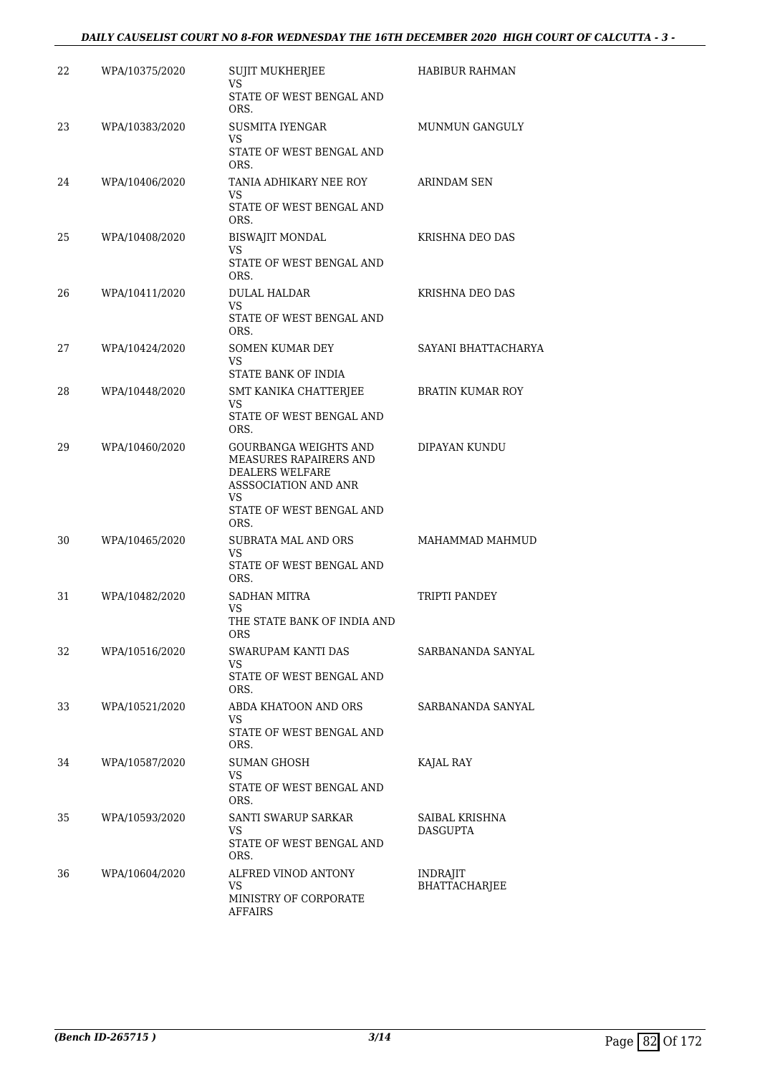#### *DAILY CAUSELIST COURT NO 8-FOR WEDNESDAY THE 16TH DECEMBER 2020 HIGH COURT OF CALCUTTA - 3 -*

| 22 | WPA/10375/2020 | <b>SUJIT MUKHERJEE</b><br>VS                           | <b>HABIBUR RAHMAN</b>             |
|----|----------------|--------------------------------------------------------|-----------------------------------|
|    |                | STATE OF WEST BENGAL AND<br>ORS.                       |                                   |
| 23 | WPA/10383/2020 | SUSMITA IYENGAR<br>VS                                  | <b>MUNMUN GANGULY</b>             |
|    |                | STATE OF WEST BENGAL AND<br>ORS.                       |                                   |
| 24 | WPA/10406/2020 | TANIA ADHIKARY NEE ROY<br>VS.                          | <b>ARINDAM SEN</b>                |
|    |                | STATE OF WEST BENGAL AND<br>ORS.                       |                                   |
| 25 | WPA/10408/2020 | <b>BISWAJIT MONDAL</b><br>VS                           | KRISHNA DEO DAS                   |
|    |                | STATE OF WEST BENGAL AND<br>ORS.                       |                                   |
| 26 | WPA/10411/2020 | <b>DULAL HALDAR</b><br>VS.                             | KRISHNA DEO DAS                   |
|    |                | STATE OF WEST BENGAL AND<br>ORS.                       |                                   |
| 27 | WPA/10424/2020 | <b>SOMEN KUMAR DEY</b><br>VS.                          | SAYANI BHATTACHARYA               |
|    |                | STATE BANK OF INDIA                                    |                                   |
| 28 | WPA/10448/2020 | SMT KANIKA CHATTERJEE<br>VS                            | BRATIN KUMAR ROY                  |
|    |                | STATE OF WEST BENGAL AND<br>ORS.                       |                                   |
| 29 | WPA/10460/2020 | GOURBANGA WEIGHTS AND<br><b>MEASURES RAPAIRERS AND</b> | DIPAYAN KUNDU                     |
|    |                | DEALERS WELFARE                                        |                                   |
|    |                | ASSSOCIATION AND ANR<br>VS                             |                                   |
|    |                | STATE OF WEST BENGAL AND<br>ORS.                       |                                   |
| 30 | WPA/10465/2020 | SUBRATA MAL AND ORS<br>VS                              | MAHAMMAD MAHMUD                   |
|    |                | STATE OF WEST BENGAL AND<br>ORS.                       |                                   |
| 31 | WPA/10482/2020 | <b>SADHAN MITRA</b><br>VS                              | TRIPTI PANDEY                     |
|    |                | THE STATE BANK OF INDIA AND<br><b>ORS</b>              |                                   |
| 32 | WPA/10516/2020 | SWARUPAM KANTI DAS<br>VS                               | SARBANANDA SANYAL                 |
|    |                | STATE OF WEST BENGAL AND<br>ORS.                       |                                   |
| 33 | WPA/10521/2020 | ABDA KHATOON AND ORS<br>VS                             | SARBANANDA SANYAL                 |
|    |                | STATE OF WEST BENGAL AND<br>ORS.                       |                                   |
| 34 | WPA/10587/2020 | SUMAN GHOSH<br>VS                                      | KAJAL RAY                         |
|    |                | STATE OF WEST BENGAL AND<br>ORS.                       |                                   |
| 35 | WPA/10593/2020 | SANTI SWARUP SARKAR<br>VS                              | SAIBAL KRISHNA<br><b>DASGUPTA</b> |
|    |                | STATE OF WEST BENGAL AND<br>ORS.                       |                                   |
| 36 | WPA/10604/2020 | ALFRED VINOD ANTONY<br>VS                              | <b>INDRAJIT</b><br>BHATTACHARJEE  |
|    |                | MINISTRY OF CORPORATE<br><b>AFFAIRS</b>                |                                   |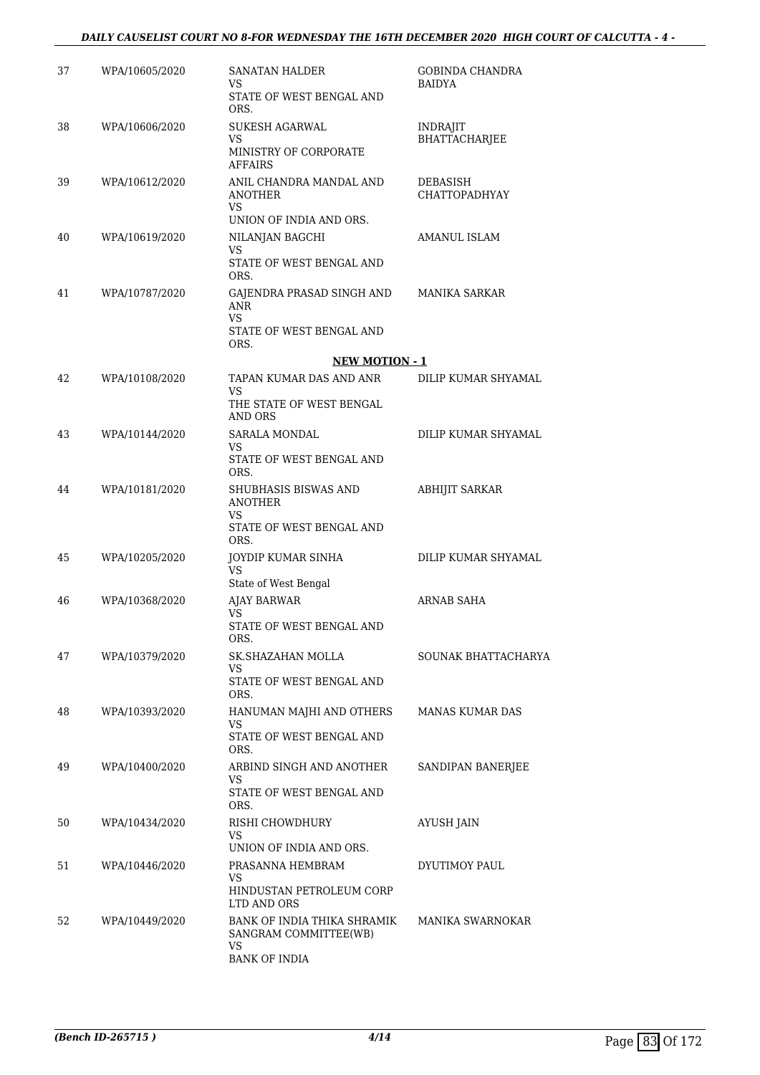#### *DAILY CAUSELIST COURT NO 8-FOR WEDNESDAY THE 16TH DECEMBER 2020 HIGH COURT OF CALCUTTA - 4 -*

| 37 | WPA/10605/2020 | SANATAN HALDER                                                                           | GOBINDA CHANDRA                  |
|----|----------------|------------------------------------------------------------------------------------------|----------------------------------|
|    |                | VS<br>STATE OF WEST BENGAL AND<br>ORS.                                                   | <b>BAIDYA</b>                    |
| 38 | WPA/10606/2020 | SUKESH AGARWAL<br>VS<br>MINISTRY OF CORPORATE<br><b>AFFAIRS</b>                          | INDRAJIT<br><b>BHATTACHARJEE</b> |
| 39 | WPA/10612/2020 | ANIL CHANDRA MANDAL AND<br>ANOTHER<br>VS                                                 | DEBASISH<br><b>CHATTOPADHYAY</b> |
|    |                | UNION OF INDIA AND ORS.                                                                  |                                  |
| 40 | WPA/10619/2020 | NILANJAN BAGCHI<br>VS<br>STATE OF WEST BENGAL AND<br>ORS.                                | AMANUL ISLAM                     |
| 41 | WPA/10787/2020 | GAJENDRA PRASAD SINGH AND<br><b>ANR</b><br>VS                                            | MANIKA SARKAR                    |
|    |                | STATE OF WEST BENGAL AND<br>ORS.                                                         |                                  |
|    |                | <b>NEW MOTION - 1</b>                                                                    |                                  |
| 42 | WPA/10108/2020 | TAPAN KUMAR DAS AND ANR<br>VS<br>THE STATE OF WEST BENGAL<br>AND ORS                     | DILIP KUMAR SHYAMAL              |
| 43 | WPA/10144/2020 | <b>SARALA MONDAL</b><br>VS.<br>STATE OF WEST BENGAL AND                                  | DILIP KUMAR SHYAMAL              |
| 44 | WPA/10181/2020 | ORS.<br>SHUBHASIS BISWAS AND<br><b>ANOTHER</b><br>VS<br>STATE OF WEST BENGAL AND<br>ORS. | <b>ABHIJIT SARKAR</b>            |
| 45 | WPA/10205/2020 | JOYDIP KUMAR SINHA<br>VS                                                                 | DILIP KUMAR SHYAMAL              |
| 46 | WPA/10368/2020 | State of West Bengal<br><b>AJAY BARWAR</b><br>VS<br>STATE OF WEST BENGAL AND<br>ORS.     | <b>ARNAB SAHA</b>                |
| 47 | WPA/10379/2020 | SK.SHAZAHAN MOLLA<br>VS.<br>STATE OF WEST BENGAL AND<br>ORS.                             | SOUNAK BHATTACHARYA              |
| 48 | WPA/10393/2020 | HANUMAN MAJHI AND OTHERS<br>VS<br>STATE OF WEST BENGAL AND<br>ORS.                       | <b>MANAS KUMAR DAS</b>           |
| 49 | WPA/10400/2020 | ARBIND SINGH AND ANOTHER<br>VS<br>STATE OF WEST BENGAL AND<br>ORS.                       | SANDIPAN BANERJEE                |
| 50 | WPA/10434/2020 | RISHI CHOWDHURY<br>VS<br>UNION OF INDIA AND ORS.                                         | AYUSH JAIN                       |
| 51 | WPA/10446/2020 | PRASANNA HEMBRAM<br>VS<br>HINDUSTAN PETROLEUM CORP<br>LTD AND ORS                        | DYUTIMOY PAUL                    |
| 52 | WPA/10449/2020 | BANK OF INDIA THIKA SHRAMIK<br>SANGRAM COMMITTEE(WB)<br>VS.<br><b>BANK OF INDIA</b>      | MANIKA SWARNOKAR                 |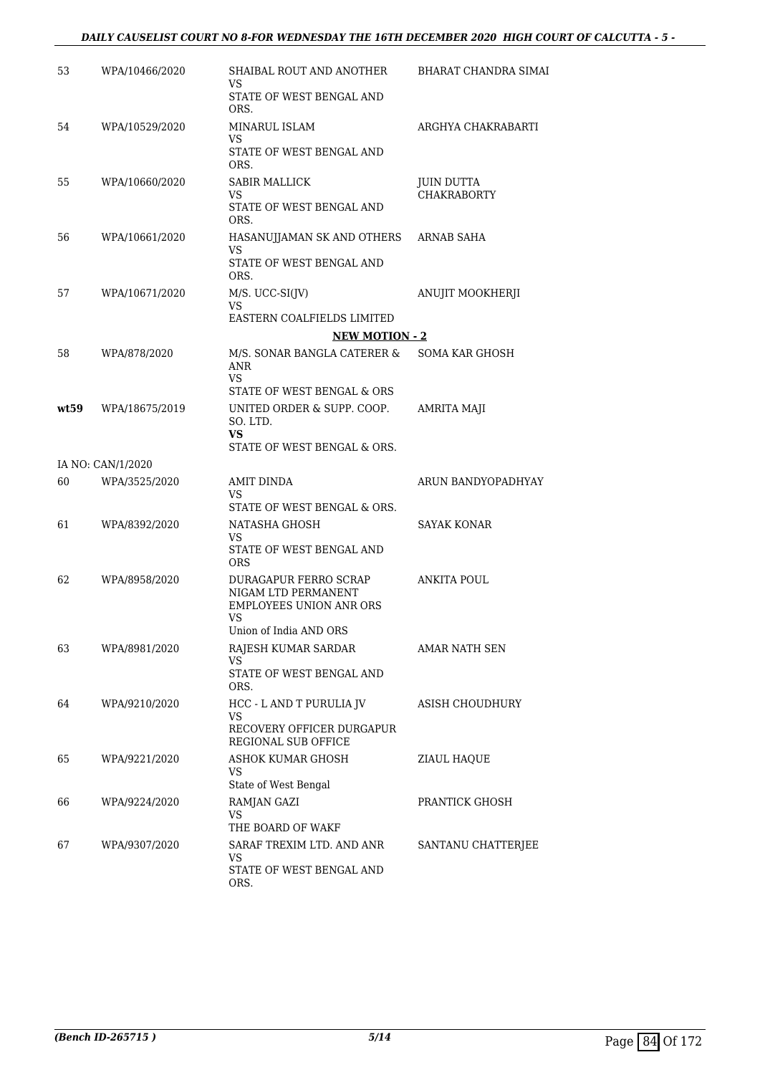#### *DAILY CAUSELIST COURT NO 8-FOR WEDNESDAY THE 16TH DECEMBER 2020 HIGH COURT OF CALCUTTA - 5 -*

| 53   | WPA/10466/2020    | SHAIBAL ROUT AND ANOTHER<br>VS                   | BHARAT CHANDRA SIMAI                    |
|------|-------------------|--------------------------------------------------|-----------------------------------------|
|      |                   | STATE OF WEST BENGAL AND<br>ORS.                 |                                         |
| 54   | WPA/10529/2020    | MINARUL ISLAM<br>VS.                             | ARGHYA CHAKRABARTI                      |
|      |                   | STATE OF WEST BENGAL AND<br>ORS.                 |                                         |
| 55   | WPA/10660/2020    | <b>SABIR MALLICK</b><br>VS.                      | <b>JUIN DUTTA</b><br><b>CHAKRABORTY</b> |
|      |                   | STATE OF WEST BENGAL AND<br>ORS.                 |                                         |
| 56   | WPA/10661/2020    | HASANUJJAMAN SK AND OTHERS<br>VS                 | ARNAB SAHA                              |
|      |                   | STATE OF WEST BENGAL AND<br>ORS.                 |                                         |
| 57   | WPA/10671/2020    | $M/S. UCC-SI(IV)$<br>VS.                         | ANUJIT MOOKHERJI                        |
|      |                   | EASTERN COALFIELDS LIMITED                       |                                         |
|      |                   | <b>NEW MOTION - 2</b>                            |                                         |
| 58   | WPA/878/2020      | M/S. SONAR BANGLA CATERER &<br><b>ANR</b><br>VS  | <b>SOMA KAR GHOSH</b>                   |
|      |                   | STATE OF WEST BENGAL & ORS                       |                                         |
| wt59 | WPA/18675/2019    | UNITED ORDER & SUPP. COOP.<br>SO. LTD.<br>VS     | AMRITA MAJI                             |
|      |                   | STATE OF WEST BENGAL & ORS.                      |                                         |
|      | IA NO: CAN/1/2020 |                                                  |                                         |
| 60   | WPA/3525/2020     | AMIT DINDA<br>VS.<br>STATE OF WEST BENGAL & ORS. | ARUN BANDYOPADHYAY                      |
| 61   | WPA/8392/2020     | NATASHA GHOSH                                    | <b>SAYAK KONAR</b>                      |
|      |                   | VS.<br>STATE OF WEST BENGAL AND<br><b>ORS</b>    |                                         |
| 62   | WPA/8958/2020     | DURAGAPUR FERRO SCRAP<br>NIGAM LTD PERMANENT     | <b>ANKITA POUL</b>                      |
|      |                   | <b>EMPLOYEES UNION ANR ORS</b>                   |                                         |
|      |                   | VS<br>Union of India AND ORS                     |                                         |
| 63   | WPA/8981/2020     | RAJESH KUMAR SARDAR<br>VS.                       | AMAR NATH SEN                           |
|      |                   | STATE OF WEST BENGAL AND<br>ORS.                 |                                         |
| 64   | WPA/9210/2020     | HCC - L AND T PURULIA JV<br>VS                   | ASISH CHOUDHURY                         |
|      |                   | RECOVERY OFFICER DURGAPUR<br>REGIONAL SUB OFFICE |                                         |
| 65   | WPA/9221/2020     | ASHOK KUMAR GHOSH<br>VS<br>State of West Bengal  | ZIAUL HAQUE                             |
| 66   | WPA/9224/2020     | RAMJAN GAZI                                      | PRANTICK GHOSH                          |
|      |                   | VS<br>THE BOARD OF WAKF                          |                                         |
| 67   | WPA/9307/2020     | SARAF TREXIM LTD. AND ANR                        | SANTANU CHATTERJEE                      |
|      |                   | VS<br>STATE OF WEST BENGAL AND<br>ORS.           |                                         |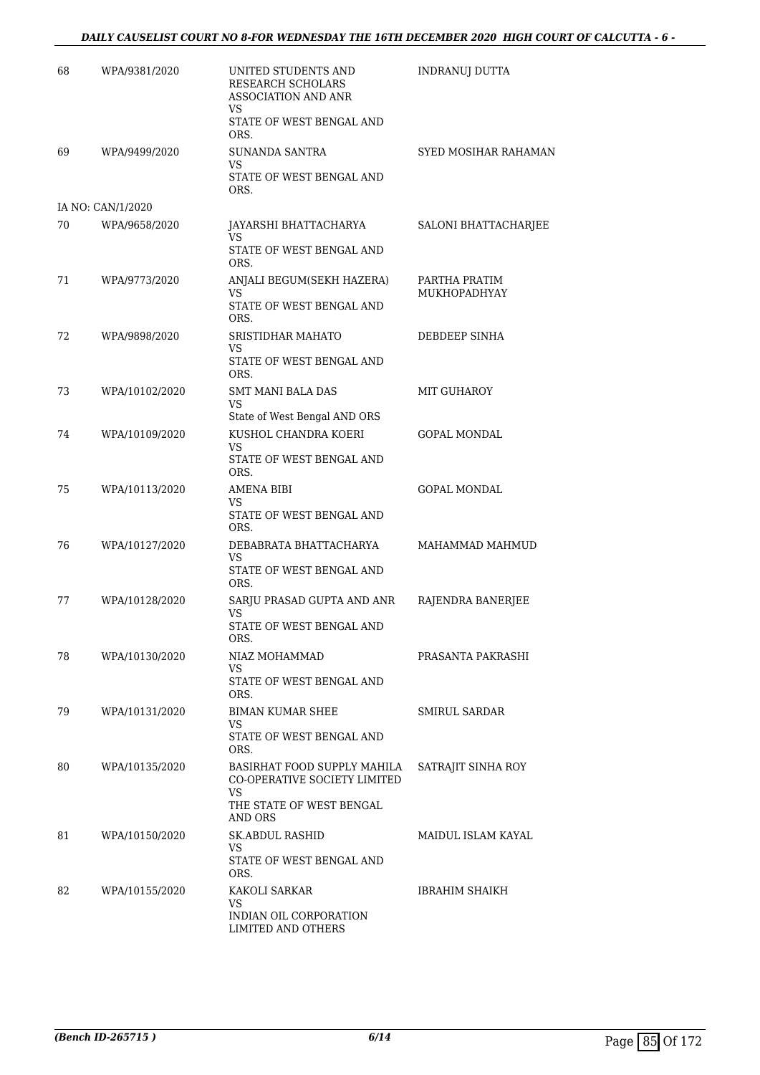#### *DAILY CAUSELIST COURT NO 8-FOR WEDNESDAY THE 16TH DECEMBER 2020 HIGH COURT OF CALCUTTA - 6 -*

| 68 | WPA/9381/2020     | UNITED STUDENTS AND<br>RESEARCH SCHOLARS<br>ASSOCIATION AND ANR<br>VS | <b>INDRANUJ DUTTA</b>         |
|----|-------------------|-----------------------------------------------------------------------|-------------------------------|
|    |                   | STATE OF WEST BENGAL AND<br>ORS.                                      |                               |
| 69 | WPA/9499/2020     | <b>SUNANDA SANTRA</b>                                                 | <b>SYED MOSIHAR RAHAMAN</b>   |
|    |                   | VS.<br>STATE OF WEST BENGAL AND<br>ORS.                               |                               |
|    | IA NO: CAN/1/2020 |                                                                       |                               |
| 70 | WPA/9658/2020     | JAYARSHI BHATTACHARYA<br>VS                                           | SALONI BHATTACHARJEE          |
|    |                   | STATE OF WEST BENGAL AND<br>ORS.                                      |                               |
| 71 | WPA/9773/2020     | ANJALI BEGUM(SEKH HAZERA)<br><b>VS</b>                                | PARTHA PRATIM<br>MUKHOPADHYAY |
|    |                   | STATE OF WEST BENGAL AND<br>ORS.                                      |                               |
| 72 | WPA/9898/2020     | SRISTIDHAR MAHATO<br>VS.                                              | DEBDEEP SINHA                 |
|    |                   | STATE OF WEST BENGAL AND<br>ORS.                                      |                               |
| 73 | WPA/10102/2020    | <b>SMT MANI BALA DAS</b><br>VS                                        | MIT GUHAROY                   |
|    |                   | State of West Bengal AND ORS                                          |                               |
| 74 | WPA/10109/2020    | KUSHOL CHANDRA KOERI<br>VS.                                           | <b>GOPAL MONDAL</b>           |
|    |                   | STATE OF WEST BENGAL AND<br>ORS.                                      |                               |
| 75 | WPA/10113/2020    | AMENA BIBI<br>VS.<br>STATE OF WEST BENGAL AND                         | <b>GOPAL MONDAL</b>           |
| 76 | WPA/10127/2020    | ORS.<br>DEBABRATA BHATTACHARYA                                        | MAHAMMAD MAHMUD               |
|    |                   | VS<br>STATE OF WEST BENGAL AND                                        |                               |
| 77 | WPA/10128/2020    | ORS.<br>SARJU PRASAD GUPTA AND ANR                                    | RAJENDRA BANERJEE             |
|    |                   | <b>VS</b><br>STATE OF WEST BENGAL AND<br>ORS.                         |                               |
| 78 | WPA/10130/2020    | NIAZ MOHAMMAD                                                         | PRASANTA PAKRASHI             |
|    |                   | VS.<br>STATE OF WEST BENGAL AND<br>ORS.                               |                               |
| 79 | WPA/10131/2020    | <b>BIMAN KUMAR SHEE</b>                                               | <b>SMIRUL SARDAR</b>          |
|    |                   | VS.<br>STATE OF WEST BENGAL AND<br>ORS.                               |                               |
| 80 | WPA/10135/2020    | BASIRHAT FOOD SUPPLY MAHILA<br>CO-OPERATIVE SOCIETY LIMITED           | SATRAJIT SINHA ROY            |
|    |                   | VS<br>THE STATE OF WEST BENGAL<br>AND ORS                             |                               |
| 81 | WPA/10150/2020    | SK.ABDUL RASHID                                                       | MAIDUL ISLAM KAYAL            |
|    |                   | VS<br>STATE OF WEST BENGAL AND<br>ORS.                                |                               |
| 82 | WPA/10155/2020    | KAKOLI SARKAR<br>VS                                                   | IBRAHIM SHAIKH                |
|    |                   | INDIAN OIL CORPORATION<br>LIMITED AND OTHERS                          |                               |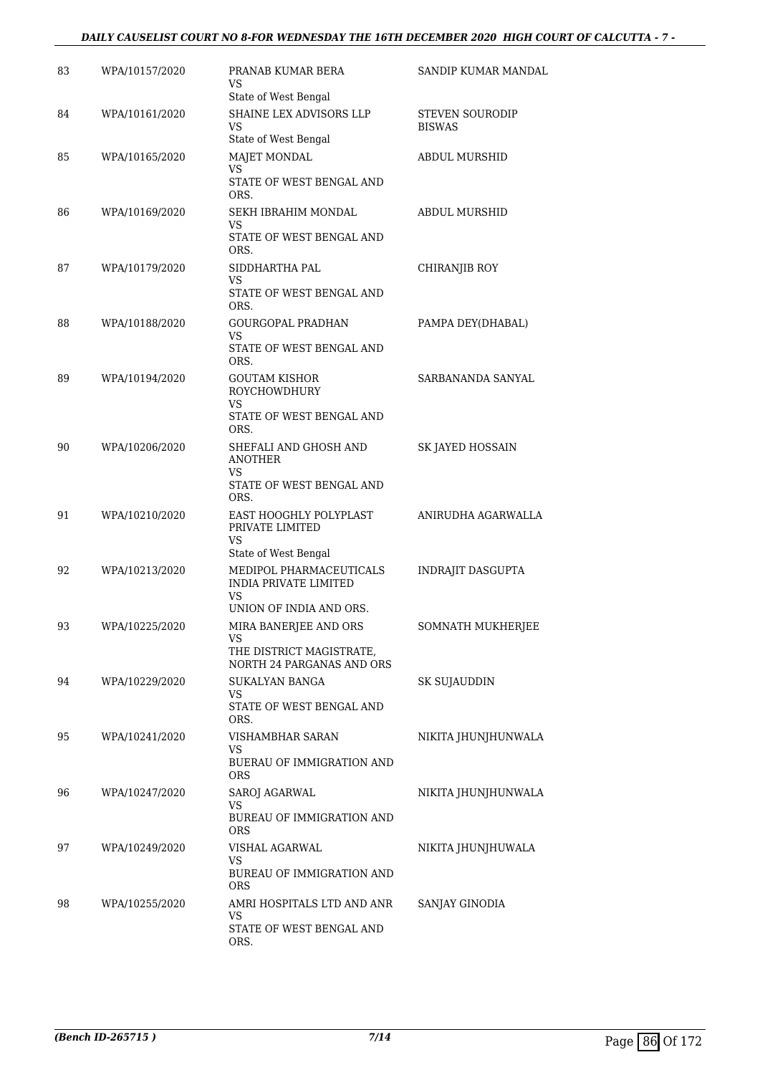#### *DAILY CAUSELIST COURT NO 8-FOR WEDNESDAY THE 16TH DECEMBER 2020 HIGH COURT OF CALCUTTA - 7 -*

| 83 | WPA/10157/2020 | PRANAB KUMAR BERA<br>VS                                                               | SANDIP KUMAR MANDAL              |
|----|----------------|---------------------------------------------------------------------------------------|----------------------------------|
| 84 | WPA/10161/2020 | State of West Bengal<br>SHAINE LEX ADVISORS LLP<br>VS                                 | STEVEN SOURODIP<br><b>BISWAS</b> |
| 85 | WPA/10165/2020 | State of West Bengal<br><b>MAJET MONDAL</b><br><b>VS</b>                              | ABDUL MURSHID                    |
|    |                | STATE OF WEST BENGAL AND<br>ORS.                                                      |                                  |
| 86 | WPA/10169/2020 | SEKH IBRAHIM MONDAL<br>VS<br>STATE OF WEST BENGAL AND<br>ORS.                         | <b>ABDUL MURSHID</b>             |
| 87 | WPA/10179/2020 | SIDDHARTHA PAL<br>VS<br>STATE OF WEST BENGAL AND                                      | CHIRANJIB ROY                    |
| 88 | WPA/10188/2020 | ORS.<br><b>GOURGOPAL PRADHAN</b><br>VS                                                | PAMPA DEY(DHABAL)                |
|    |                | STATE OF WEST BENGAL AND<br>ORS.                                                      |                                  |
| 89 | WPA/10194/2020 | <b>GOUTAM KISHOR</b><br><b>ROYCHOWDHURY</b><br>VS<br>STATE OF WEST BENGAL AND         | SARBANANDA SANYAL                |
|    |                | ORS.                                                                                  |                                  |
| 90 | WPA/10206/2020 | SHEFALI AND GHOSH AND<br>ANOTHER<br>VS<br>STATE OF WEST BENGAL AND<br>ORS.            | SK JAYED HOSSAIN                 |
| 91 | WPA/10210/2020 | EAST HOOGHLY POLYPLAST<br>PRIVATE LIMITED<br>VS                                       | ANIRUDHA AGARWALLA               |
| 92 | WPA/10213/2020 | State of West Bengal<br>MEDIPOL PHARMACEUTICALS<br><b>INDIA PRIVATE LIMITED</b><br>VS | INDRAJIT DASGUPTA                |
|    |                | UNION OF INDIA AND ORS.                                                               |                                  |
| 93 | WPA/10225/2020 | MIRA BANERJEE AND ORS<br>VS<br>THE DISTRICT MAGISTRATE,<br>NORTH 24 PARGANAS AND ORS  | SOMNATH MUKHERJEE                |
| 94 | WPA/10229/2020 | SUKALYAN BANGA<br>VS<br>STATE OF WEST BENGAL AND<br>ORS.                              | SK SUJAUDDIN                     |
| 95 | WPA/10241/2020 | VISHAMBHAR SARAN<br>VS<br><b>BUERAU OF IMMIGRATION AND</b><br>ORS                     | NIKITA JHUNJHUNWALA              |
| 96 | WPA/10247/2020 | SAROJ AGARWAL<br>VS<br>BUREAU OF IMMIGRATION AND                                      | NIKITA JHUNJHUNWALA              |
| 97 | WPA/10249/2020 | <b>ORS</b><br>VISHAL AGARWAL<br>VS<br>BUREAU OF IMMIGRATION AND<br>ORS                | NIKITA JHUNJHUWALA               |
| 98 | WPA/10255/2020 | AMRI HOSPITALS LTD AND ANR<br>VS<br>STATE OF WEST BENGAL AND<br>ORS.                  | SANJAY GINODIA                   |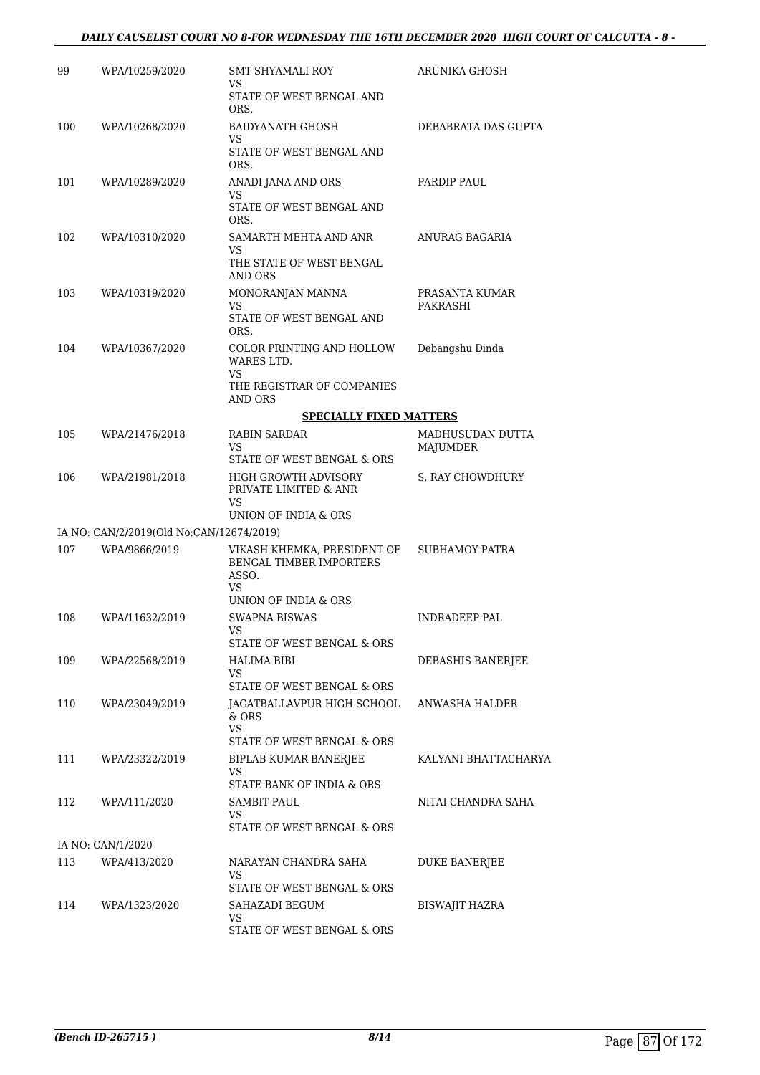#### *DAILY CAUSELIST COURT NO 8-FOR WEDNESDAY THE 16TH DECEMBER 2020 HIGH COURT OF CALCUTTA - 8 -*

| 99  | WPA/10259/2020                           | SMT SHYAMALI ROY<br>VS                                   | ARUNIKA GHOSH                |
|-----|------------------------------------------|----------------------------------------------------------|------------------------------|
|     |                                          | STATE OF WEST BENGAL AND<br>ORS.                         |                              |
| 100 | WPA/10268/2020                           | <b>BAIDYANATH GHOSH</b><br>VS                            | DEBABRATA DAS GUPTA          |
|     |                                          | STATE OF WEST BENGAL AND<br>ORS.                         |                              |
| 101 | WPA/10289/2020                           | ANADI JANA AND ORS<br>VS                                 | PARDIP PAUL                  |
|     |                                          | STATE OF WEST BENGAL AND<br>ORS.                         |                              |
| 102 | WPA/10310/2020                           | SAMARTH MEHTA AND ANR<br>VS<br>THE STATE OF WEST BENGAL  | ANURAG BAGARIA               |
|     |                                          | AND ORS                                                  |                              |
| 103 | WPA/10319/2020                           | MONORANJAN MANNA<br>VS                                   | PRASANTA KUMAR<br>PAKRASHI   |
|     |                                          | STATE OF WEST BENGAL AND<br>ORS.                         |                              |
| 104 | WPA/10367/2020                           | COLOR PRINTING AND HOLLOW<br>WARES LTD.<br>VS            | Debangshu Dinda              |
|     |                                          | THE REGISTRAR OF COMPANIES<br>AND ORS                    |                              |
|     |                                          | <b>SPECIALLY FIXED MATTERS</b>                           |                              |
| 105 | WPA/21476/2018                           | RABIN SARDAR<br>VS<br>STATE OF WEST BENGAL & ORS         | MADHUSUDAN DUTTA<br>MAJUMDER |
| 106 | WPA/21981/2018                           | HIGH GROWTH ADVISORY<br>PRIVATE LIMITED & ANR<br>VS      | S. RAY CHOWDHURY             |
|     | IA NO: CAN/2/2019(Old No:CAN/12674/2019) | UNION OF INDIA & ORS                                     |                              |
| 107 | WPA/9866/2019                            | VIKASH KHEMKA, PRESIDENT OF                              | <b>SUBHAMOY PATRA</b>        |
|     |                                          | <b>BENGAL TIMBER IMPORTERS</b><br>ASSO.<br>VS            |                              |
|     |                                          | UNION OF INDIA & ORS                                     |                              |
| 108 | WPA/11632/2019                           | <b>SWAPNA BISWAS</b><br>VS<br>STATE OF WEST BENGAL & ORS | INDRADEEP PAL                |
| 109 | WPA/22568/2019                           | HALIMA BIBI                                              | DEBASHIS BANERJEE            |
|     |                                          | VS.<br>STATE OF WEST BENGAL & ORS                        |                              |
| 110 | WPA/23049/2019                           | JAGATBALLAVPUR HIGH SCHOOL<br>$&$ ORS<br>VS              | ANWASHA HALDER               |
|     |                                          | STATE OF WEST BENGAL & ORS                               |                              |
| 111 | WPA/23322/2019                           | BIPLAB KUMAR BANERJEE<br>VS<br>STATE BANK OF INDIA & ORS | KALYANI BHATTACHARYA         |
| 112 | WPA/111/2020                             | SAMBIT PAUL                                              | NITAI CHANDRA SAHA           |
|     |                                          | VS<br>STATE OF WEST BENGAL & ORS                         |                              |
|     | IA NO: CAN/1/2020                        |                                                          |                              |
| 113 | WPA/413/2020                             | NARAYAN CHANDRA SAHA<br>VS<br>STATE OF WEST BENGAL & ORS | <b>DUKE BANERJEE</b>         |
| 114 | WPA/1323/2020                            | SAHAZADI BEGUM                                           | BISWAJIT HAZRA               |
|     |                                          | VS<br>STATE OF WEST BENGAL & ORS                         |                              |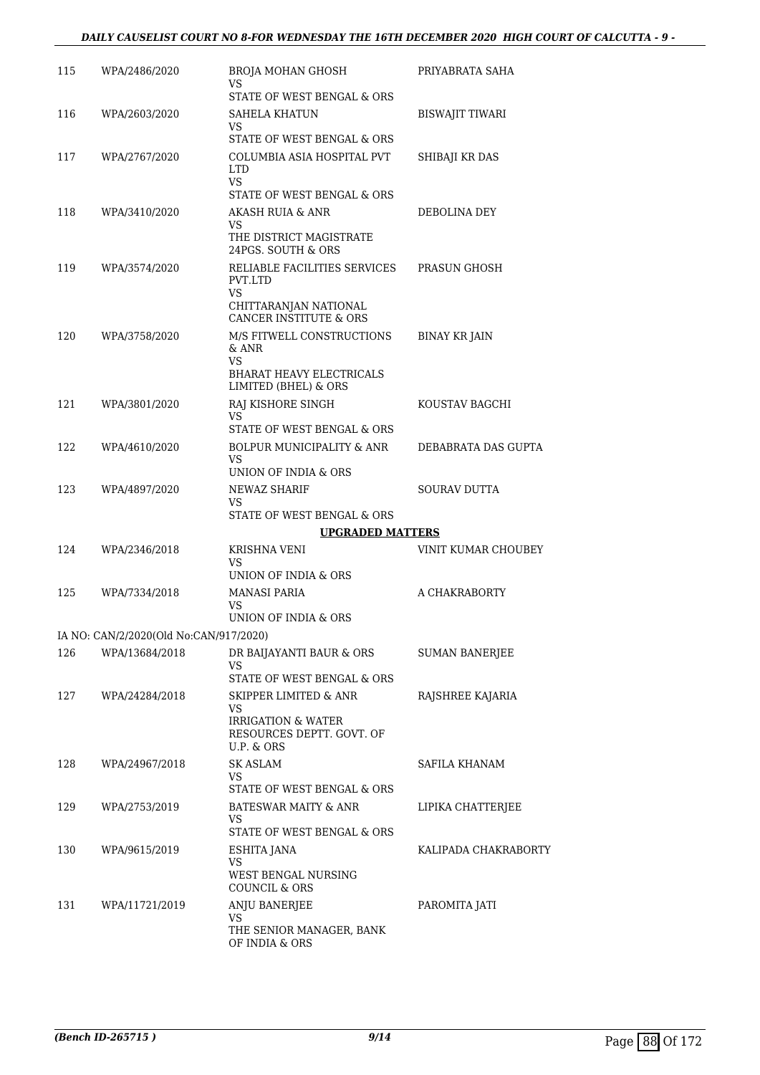| 115 | WPA/2486/2020                          | BROJA MOHAN GHOSH<br>VS                                             | PRIYABRATA SAHA       |
|-----|----------------------------------------|---------------------------------------------------------------------|-----------------------|
| 116 | WPA/2603/2020                          | STATE OF WEST BENGAL & ORS<br>SAHELA KHATUN                         | BISWAJIT TIWARI       |
|     |                                        | VS.<br>STATE OF WEST BENGAL & ORS                                   |                       |
| 117 | WPA/2767/2020                          | COLUMBIA ASIA HOSPITAL PVT<br>LTD.                                  | SHIBAJI KR DAS        |
|     |                                        | VS.<br>STATE OF WEST BENGAL & ORS                                   |                       |
| 118 | WPA/3410/2020                          | AKASH RUIA & ANR                                                    | DEBOLINA DEY          |
|     |                                        | VS.<br>THE DISTRICT MAGISTRATE<br>24PGS. SOUTH & ORS                |                       |
| 119 | WPA/3574/2020                          | RELIABLE FACILITIES SERVICES<br>PVT.LTD                             | PRASUN GHOSH          |
|     |                                        | VS<br>CHITTARANJAN NATIONAL<br><b>CANCER INSTITUTE &amp; ORS</b>    |                       |
| 120 | WPA/3758/2020                          | M/S FITWELL CONSTRUCTIONS<br>& ANR<br>VS.                           | <b>BINAY KR JAIN</b>  |
|     |                                        | <b>BHARAT HEAVY ELECTRICALS</b><br>LIMITED (BHEL) & ORS             |                       |
| 121 | WPA/3801/2020                          | RAJ KISHORE SINGH<br>VS.                                            | KOUSTAV BAGCHI        |
|     |                                        | STATE OF WEST BENGAL & ORS                                          |                       |
| 122 | WPA/4610/2020                          | BOLPUR MUNICIPALITY & ANR<br>VS<br>UNION OF INDIA & ORS             | DEBABRATA DAS GUPTA   |
| 123 | WPA/4897/2020                          | NEWAZ SHARIF                                                        | <b>SOURAV DUTTA</b>   |
|     |                                        | VS.<br>STATE OF WEST BENGAL & ORS                                   |                       |
|     |                                        | <b>UPGRADED MATTERS</b>                                             |                       |
| 124 | WPA/2346/2018                          | KRISHNA VENI                                                        | VINIT KUMAR CHOUBEY   |
|     |                                        | VS<br>UNION OF INDIA & ORS                                          |                       |
| 125 | WPA/7334/2018                          | MANASI PARIA<br>VS                                                  | A CHAKRABORTY         |
|     |                                        | UNION OF INDIA & ORS                                                |                       |
|     | IA NO: CAN/2/2020(Old No:CAN/917/2020) |                                                                     |                       |
| 126 | WPA/13684/2018                         | DR BAIJAYANTI BAUR & ORS<br>VS                                      | <b>SUMAN BANERJEE</b> |
|     |                                        | STATE OF WEST BENGAL & ORS                                          |                       |
| 127 | WPA/24284/2018                         | SKIPPER LIMITED & ANR<br>VS.                                        | RAJSHREE KAJARIA      |
|     |                                        | IRRIGATION & WATER<br>RESOURCES DEPTT. GOVT. OF<br>U.P. & ORS       |                       |
| 128 | WPA/24967/2018                         | <b>SK ASLAM</b><br>VS                                               | SAFILA KHANAM         |
|     |                                        | STATE OF WEST BENGAL & ORS                                          |                       |
| 129 | WPA/2753/2019                          | <b>BATESWAR MAITY &amp; ANR</b><br>VS<br>STATE OF WEST BENGAL & ORS | LIPIKA CHATTERJEE     |
| 130 | WPA/9615/2019                          | ESHITA JANA                                                         | KALIPADA CHAKRABORTY  |
|     |                                        | VS<br>WEST BENGAL NURSING<br><b>COUNCIL &amp; ORS</b>               |                       |
| 131 | WPA/11721/2019                         | ANJU BANERJEE<br>VS                                                 | PAROMITA JATI         |
|     |                                        | THE SENIOR MANAGER, BANK<br>OF INDIA & ORS                          |                       |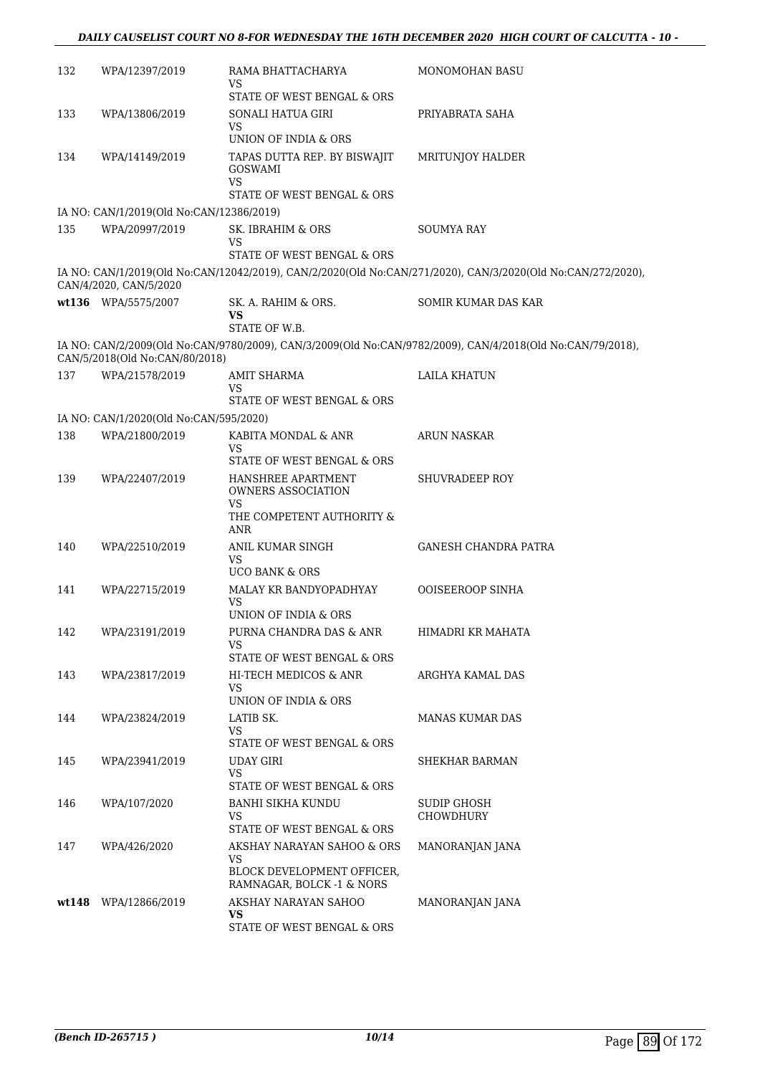| 132 | WPA/12397/2019                           | RAMA BHATTACHARYA<br>VS                                 | <b>MONOMOHAN BASU</b>                                                                                       |
|-----|------------------------------------------|---------------------------------------------------------|-------------------------------------------------------------------------------------------------------------|
|     |                                          | STATE OF WEST BENGAL & ORS                              |                                                                                                             |
| 133 | WPA/13806/2019                           | SONALI HATUA GIRI<br><b>VS</b>                          | PRIYABRATA SAHA                                                                                             |
|     |                                          | UNION OF INDIA & ORS                                    |                                                                                                             |
| 134 | WPA/14149/2019                           | TAPAS DUTTA REP. BY BISWAJIT<br><b>GOSWAMI</b><br>VS    | MRITUNJOY HALDER                                                                                            |
|     |                                          | STATE OF WEST BENGAL & ORS                              |                                                                                                             |
|     | IA NO: CAN/1/2019(Old No:CAN/12386/2019) |                                                         |                                                                                                             |
| 135 | WPA/20997/2019                           | SK. IBRAHIM & ORS<br><b>VS</b>                          | <b>SOUMYA RAY</b>                                                                                           |
|     |                                          | STATE OF WEST BENGAL & ORS                              |                                                                                                             |
|     | CAN/4/2020, CAN/5/2020                   |                                                         | IA NO: CAN/1/2019(Old No:CAN/12042/2019), CAN/2/2020(Old No:CAN/271/2020), CAN/3/2020(Old No:CAN/272/2020), |
|     | wt136 WPA/5575/2007                      | SK. A. RAHIM & ORS.<br>VS<br>STATE OF W.B.              | SOMIR KUMAR DAS KAR                                                                                         |
|     | CAN/5/2018(Old No:CAN/80/2018)           |                                                         | IA NO: CAN/2/2009(Old No:CAN/9780/2009), CAN/3/2009(Old No:CAN/9782/2009), CAN/4/2018(Old No:CAN/79/2018),  |
| 137 | WPA/21578/2019                           | AMIT SHARMA                                             | LAILA KHATUN                                                                                                |
|     |                                          | VS<br>STATE OF WEST BENGAL & ORS                        |                                                                                                             |
|     | IA NO: CAN/1/2020(Old No:CAN/595/2020)   |                                                         |                                                                                                             |
| 138 | WPA/21800/2019                           | KABITA MONDAL & ANR                                     | ARUN NASKAR                                                                                                 |
|     |                                          | VS<br>STATE OF WEST BENGAL & ORS                        |                                                                                                             |
| 139 | WPA/22407/2019                           | HANSHREE APARTMENT<br>OWNERS ASSOCIATION<br>VS          | <b>SHUVRADEEP ROY</b>                                                                                       |
|     |                                          | THE COMPETENT AUTHORITY &<br>ANR                        |                                                                                                             |
| 140 | WPA/22510/2019                           | ANIL KUMAR SINGH<br>VS                                  | GANESH CHANDRA PATRA                                                                                        |
|     |                                          | <b>UCO BANK &amp; ORS</b>                               |                                                                                                             |
| 141 | WPA/22715/2019                           | MALAY KR BANDYOPADHYAY<br>VS                            | <b>OOISEEROOP SINHA</b>                                                                                     |
|     |                                          | UNION OF INDIA & ORS                                    |                                                                                                             |
| 142 | WPA/23191/2019                           | PURNA CHANDRA DAS & ANR<br>VS                           | HIMADRI KR MAHATA                                                                                           |
|     |                                          | STATE OF WEST BENGAL & ORS                              |                                                                                                             |
| 143 | WPA/23817/2019                           | HI-TECH MEDICOS & ANR<br>VS.<br>UNION OF INDIA & ORS    | ARGHYA KAMAL DAS                                                                                            |
| 144 | WPA/23824/2019                           | LATIB SK.                                               | MANAS KUMAR DAS                                                                                             |
|     |                                          | <b>VS</b>                                               |                                                                                                             |
| 145 | WPA/23941/2019                           | STATE OF WEST BENGAL & ORS<br><b>UDAY GIRI</b>          | SHEKHAR BARMAN                                                                                              |
|     |                                          | VS<br>STATE OF WEST BENGAL & ORS                        |                                                                                                             |
| 146 | WPA/107/2020                             | <b>BANHI SIKHA KUNDU</b><br><b>VS</b>                   | SUDIP GHOSH<br>CHOWDHURY                                                                                    |
|     |                                          | STATE OF WEST BENGAL & ORS                              |                                                                                                             |
| 147 | WPA/426/2020                             | AKSHAY NARAYAN SAHOO & ORS<br><b>VS</b>                 | MANORANJAN JANA                                                                                             |
|     |                                          | BLOCK DEVELOPMENT OFFICER,<br>RAMNAGAR, BOLCK -1 & NORS |                                                                                                             |
|     | wt148 WPA/12866/2019                     | AKSHAY NARAYAN SAHOO<br><b>VS</b>                       | MANORANJAN JANA                                                                                             |
|     |                                          | STATE OF WEST BENGAL & ORS                              |                                                                                                             |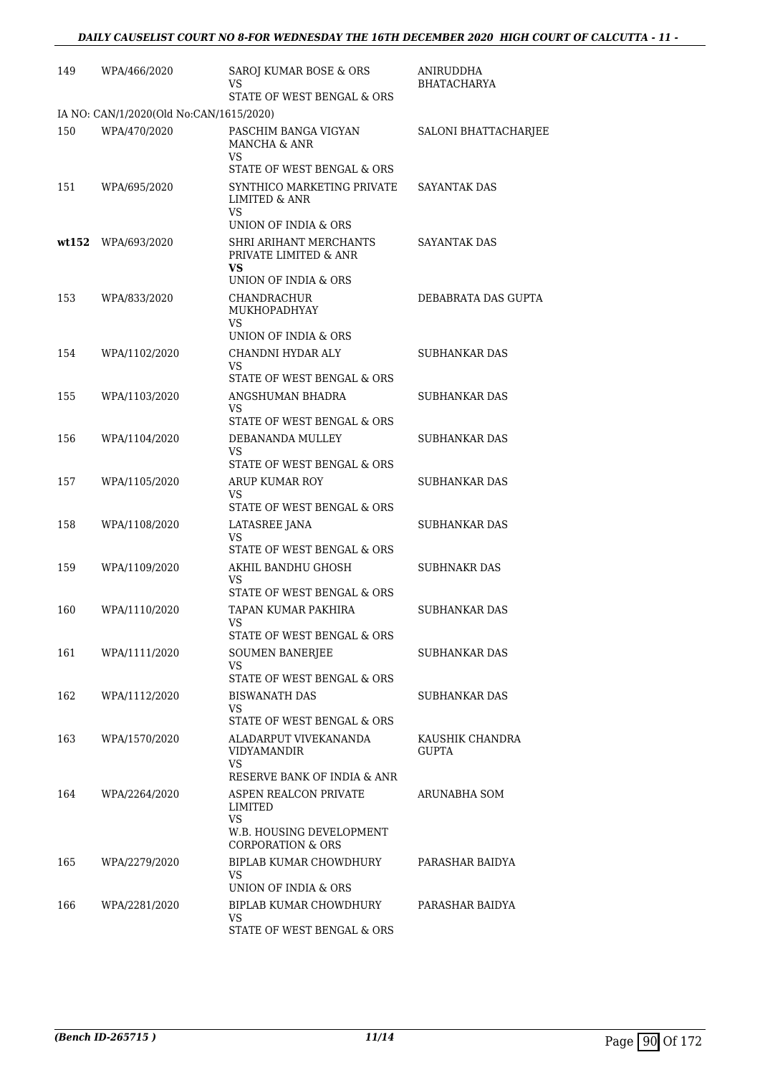| 149 | WPA/466/2020                            | SAROJ KUMAR BOSE & ORS<br>VS<br>STATE OF WEST BENGAL & ORS                                         | ANIRUDDHA<br><b>BHATACHARYA</b> |
|-----|-----------------------------------------|----------------------------------------------------------------------------------------------------|---------------------------------|
|     | IA NO: CAN/1/2020(Old No:CAN/1615/2020) |                                                                                                    |                                 |
| 150 | WPA/470/2020                            | PASCHIM BANGA VIGYAN<br>MANCHA & ANR<br><b>VS</b><br>STATE OF WEST BENGAL & ORS                    | SALONI BHATTACHARJEE            |
| 151 | WPA/695/2020                            | SYNTHICO MARKETING PRIVATE<br>LIMITED & ANR<br>VS.<br>UNION OF INDIA & ORS                         | <b>SAYANTAK DAS</b>             |
|     | wt152 WPA/693/2020                      | SHRI ARIHANT MERCHANTS<br>PRIVATE LIMITED & ANR<br>VS.<br>UNION OF INDIA & ORS                     | SAYANTAK DAS                    |
| 153 | WPA/833/2020                            | CHANDRACHUR<br>MUKHOPADHYAY<br>VS<br>UNION OF INDIA & ORS                                          | DEBABRATA DAS GUPTA             |
| 154 | WPA/1102/2020                           | CHANDNI HYDAR ALY<br>VS<br>STATE OF WEST BENGAL & ORS                                              | SUBHANKAR DAS                   |
| 155 | WPA/1103/2020                           | ANGSHUMAN BHADRA<br>VS<br>STATE OF WEST BENGAL & ORS                                               | SUBHANKAR DAS                   |
| 156 | WPA/1104/2020                           | DEBANANDA MULLEY<br>VS<br>STATE OF WEST BENGAL & ORS                                               | SUBHANKAR DAS                   |
| 157 | WPA/1105/2020                           | <b>ARUP KUMAR ROY</b><br>VS<br>STATE OF WEST BENGAL & ORS                                          | SUBHANKAR DAS                   |
| 158 | WPA/1108/2020                           | LATASREE JANA<br><b>VS</b><br>STATE OF WEST BENGAL & ORS                                           | SUBHANKAR DAS                   |
| 159 | WPA/1109/2020                           | AKHIL BANDHU GHOSH<br>VS<br>STATE OF WEST BENGAL & ORS                                             | <b>SUBHNAKR DAS</b>             |
| 160 | WPA/1110/2020                           | TAPAN KUMAR PAKHIRA<br>VS<br>STATE OF WEST BENGAL & ORS                                            | SUBHANKAR DAS                   |
| 161 | WPA/1111/2020                           | <b>SOUMEN BANERJEE</b><br>VS.<br>STATE OF WEST BENGAL & ORS                                        | SUBHANKAR DAS                   |
| 162 | WPA/1112/2020                           | BISWANATH DAS<br>VS<br>STATE OF WEST BENGAL & ORS                                                  | SUBHANKAR DAS                   |
| 163 | WPA/1570/2020                           | ALADARPUT VIVEKANANDA<br>VIDYAMANDIR<br>VS<br>RESERVE BANK OF INDIA & ANR                          | KAUSHIK CHANDRA<br><b>GUPTA</b> |
| 164 | WPA/2264/2020                           | ASPEN REALCON PRIVATE<br>LIMITED<br>VS<br>W.B. HOUSING DEVELOPMENT<br><b>CORPORATION &amp; ORS</b> | ARUNABHA SOM                    |
| 165 | WPA/2279/2020                           | BIPLAB KUMAR CHOWDHURY<br>VS<br>UNION OF INDIA & ORS                                               | PARASHAR BAIDYA                 |
| 166 | WPA/2281/2020                           | BIPLAB KUMAR CHOWDHURY<br>VS.<br>STATE OF WEST BENGAL & ORS                                        | PARASHAR BAIDYA                 |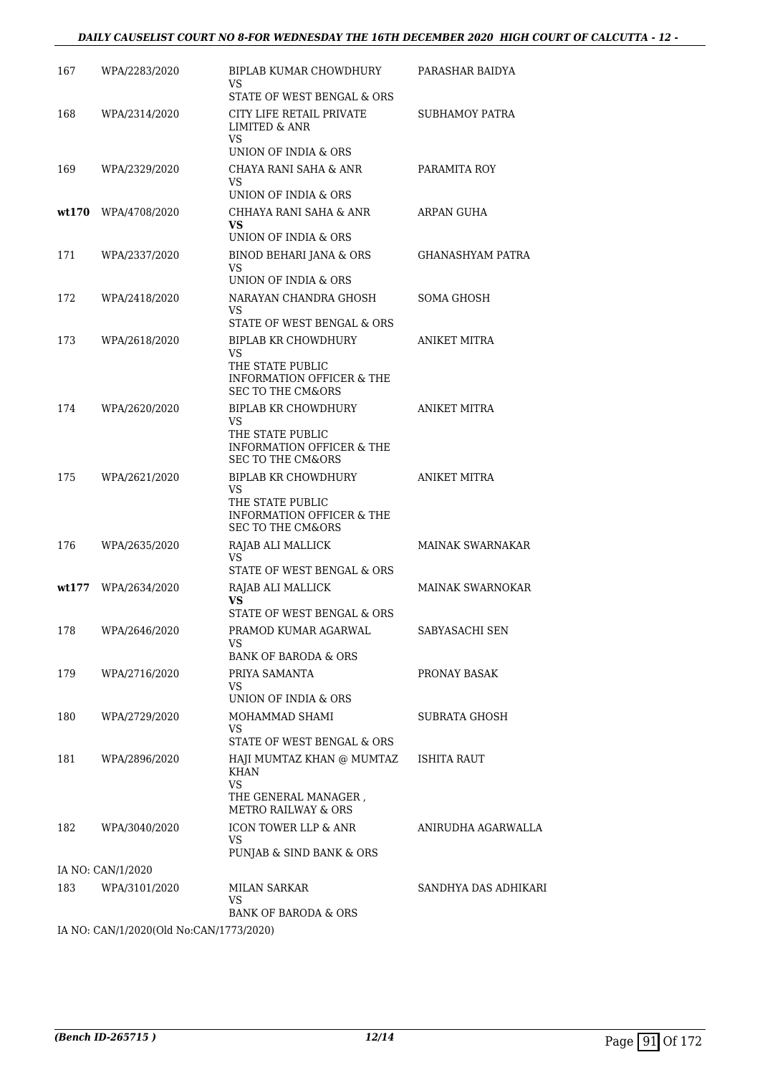#### *DAILY CAUSELIST COURT NO 8-FOR WEDNESDAY THE 16TH DECEMBER 2020 HIGH COURT OF CALCUTTA - 12 -*

| 167 | WPA/2283/2020                                          | BIPLAB KUMAR CHOWDHURY<br>VS                                                        | PARASHAR BAIDYA         |
|-----|--------------------------------------------------------|-------------------------------------------------------------------------------------|-------------------------|
| 168 | WPA/2314/2020                                          | STATE OF WEST BENGAL & ORS<br>CITY LIFE RETAIL PRIVATE                              | SUBHAMOY PATRA          |
|     |                                                        | <b>LIMITED &amp; ANR</b><br>VS.                                                     |                         |
|     |                                                        | UNION OF INDIA & ORS                                                                |                         |
| 169 | WPA/2329/2020                                          | CHAYA RANI SAHA & ANR<br>VS                                                         | PARAMITA ROY            |
|     |                                                        | UNION OF INDIA & ORS                                                                |                         |
|     | $wt170$ WPA/4708/2020                                  | CHHAYA RANI SAHA & ANR<br>VS<br>UNION OF INDIA & ORS                                | ARPAN GUHA              |
| 171 | WPA/2337/2020                                          | BINOD BEHARI JANA & ORS                                                             | GHANASHYAM PATRA        |
|     |                                                        | VS<br>UNION OF INDIA & ORS                                                          |                         |
| 172 | WPA/2418/2020                                          | NARAYAN CHANDRA GHOSH                                                               | SOMA GHOSH              |
|     |                                                        | VS<br>STATE OF WEST BENGAL & ORS                                                    |                         |
| 173 | WPA/2618/2020                                          | <b>BIPLAB KR CHOWDHURY</b>                                                          | <b>ANIKET MITRA</b>     |
|     |                                                        | VS                                                                                  |                         |
|     |                                                        | THE STATE PUBLIC<br><b>INFORMATION OFFICER &amp; THE</b>                            |                         |
|     |                                                        | <b>SEC TO THE CM&amp;ORS</b>                                                        |                         |
| 174 | WPA/2620/2020                                          | BIPLAB KR CHOWDHURY                                                                 | <b>ANIKET MITRA</b>     |
|     |                                                        | VS<br>THE STATE PUBLIC                                                              |                         |
|     |                                                        | INFORMATION OFFICER & THE<br><b>SEC TO THE CM&amp;ORS</b>                           |                         |
| 175 | WPA/2621/2020                                          | BIPLAB KR CHOWDHURY                                                                 | ANIKET MITRA            |
|     |                                                        | VS<br>THE STATE PUBLIC<br>INFORMATION OFFICER & THE<br><b>SEC TO THE CM&amp;ORS</b> |                         |
| 176 | WPA/2635/2020                                          | RAJAB ALI MALLICK                                                                   | <b>MAINAK SWARNAKAR</b> |
|     |                                                        | VS<br>STATE OF WEST BENGAL & ORS                                                    |                         |
|     | wt177 WPA/2634/2020                                    | RAJAB ALI MALLICK                                                                   | <b>MAINAK SWARNOKAR</b> |
|     |                                                        | VS                                                                                  |                         |
| 178 | WPA/2646/2020                                          | STATE OF WEST BENGAL & ORS<br>PRAMOD KUMAR AGARWAL                                  | SABYASACHI SEN          |
|     |                                                        | VS<br><b>BANK OF BARODA &amp; ORS</b>                                               |                         |
| 179 | WPA/2716/2020                                          | PRIYA SAMANTA                                                                       | PRONAY BASAK            |
|     |                                                        | VS.<br>UNION OF INDIA & ORS                                                         |                         |
| 180 | WPA/2729/2020                                          | MOHAMMAD SHAMI                                                                      | <b>SUBRATA GHOSH</b>    |
|     |                                                        | VS.                                                                                 |                         |
|     |                                                        | STATE OF WEST BENGAL & ORS                                                          |                         |
| 181 | WPA/2896/2020                                          | HAJI MUMTAZ KHAN @ MUMTAZ ISHITA RAUT<br>KHAN<br>VS                                 |                         |
|     |                                                        | THE GENERAL MANAGER,<br><b>METRO RAILWAY &amp; ORS</b>                              |                         |
| 182 | WPA/3040/2020                                          | ICON TOWER LLP & ANR                                                                | ANIRUDHA AGARWALLA      |
|     |                                                        | VS.<br>PUNJAB & SIND BANK & ORS                                                     |                         |
|     | IA NO: CAN/1/2020                                      |                                                                                     |                         |
| 183 | WPA/3101/2020                                          | MILAN SARKAR<br>VS                                                                  | SANDHYA DAS ADHIKARI    |
|     |                                                        | BANK OF BARODA & ORS                                                                |                         |
|     | LA NO $\cdot$ CANI1/2020(Old No $\cdot$ CANI1773/2020) |                                                                                     |                         |

IA NO: CAN/1/2020(Old No:CAN/1773/2020)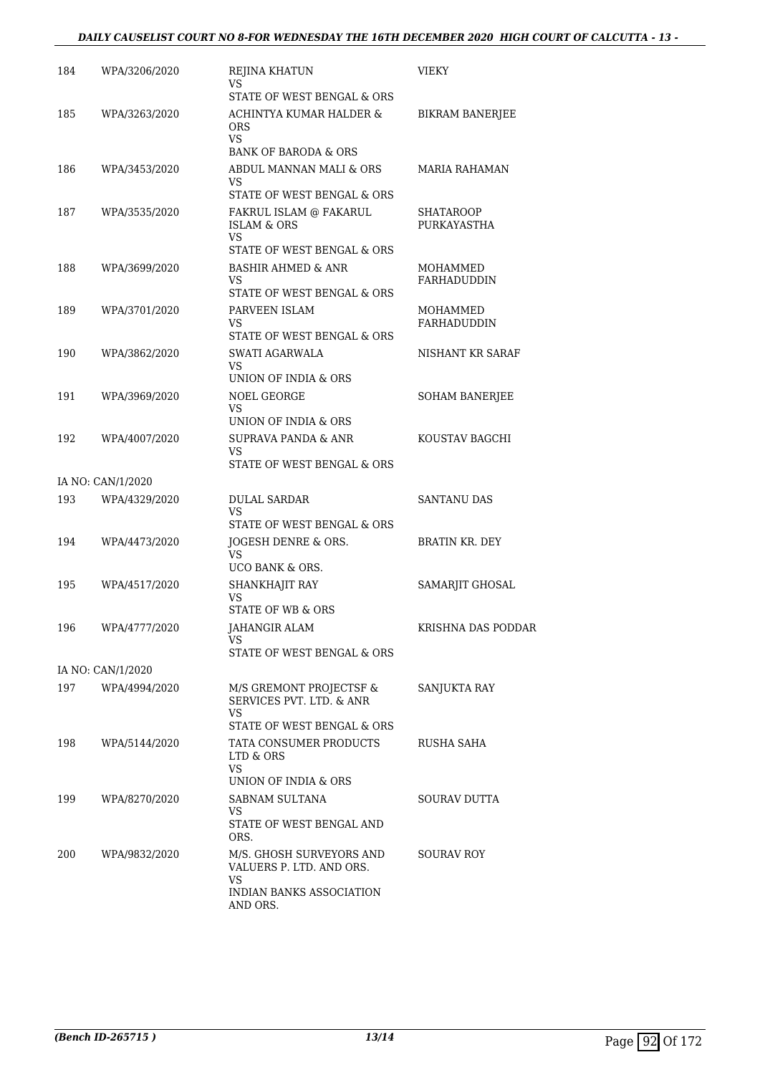| 184 | WPA/3206/2020     | REJINA KHATUN<br>VS                                                                  | <b>VIEKY</b>                    |
|-----|-------------------|--------------------------------------------------------------------------------------|---------------------------------|
|     |                   | STATE OF WEST BENGAL & ORS                                                           |                                 |
| 185 | WPA/3263/2020     | ACHINTYA KUMAR HALDER &<br><b>ORS</b><br>VS.                                         | <b>BIKRAM BANERJEE</b>          |
|     |                   | <b>BANK OF BARODA &amp; ORS</b>                                                      |                                 |
| 186 | WPA/3453/2020     | ABDUL MANNAN MALI & ORS<br>VS<br>STATE OF WEST BENGAL & ORS                          | MARIA RAHAMAN                   |
| 187 | WPA/3535/2020     | FAKRUL ISLAM @ FAKARUL<br><b>ISLAM &amp; ORS</b><br><b>VS</b>                        | <b>SHATAROOP</b><br>PURKAYASTHA |
| 188 | WPA/3699/2020     | STATE OF WEST BENGAL & ORS<br>BASHIR AHMED & ANR<br>VS<br>STATE OF WEST BENGAL & ORS | MOHAMMED<br>FARHADUDDIN         |
| 189 | WPA/3701/2020     | PARVEEN ISLAM<br>VS<br>STATE OF WEST BENGAL & ORS                                    | MOHAMMED<br>FARHADUDDIN         |
| 190 | WPA/3862/2020     | SWATI AGARWALA<br><b>VS</b><br>UNION OF INDIA & ORS                                  | NISHANT KR SARAF                |
| 191 | WPA/3969/2020     | NOEL GEORGE<br>VS                                                                    | <b>SOHAM BANERJEE</b>           |
|     |                   | UNION OF INDIA & ORS                                                                 |                                 |
| 192 | WPA/4007/2020     | SUPRAVA PANDA & ANR<br>VS<br>STATE OF WEST BENGAL & ORS                              | KOUSTAV BAGCHI                  |
|     | IA NO: CAN/1/2020 |                                                                                      |                                 |
| 193 | WPA/4329/2020     | <b>DULAL SARDAR</b><br>VS                                                            | <b>SANTANU DAS</b>              |
| 194 | WPA/4473/2020     | STATE OF WEST BENGAL & ORS<br>JOGESH DENRE & ORS.<br>VS<br>UCO BANK & ORS.           | <b>BRATIN KR. DEY</b>           |
| 195 | WPA/4517/2020     | SHANKHAJIT RAY<br>VS<br><b>STATE OF WB &amp; ORS</b>                                 | SAMARJIT GHOSAL                 |
| 196 | WPA/4777/2020     | JAHANGIR ALAM<br>VS<br>STATE OF WEST BENGAL & ORS                                    | KRISHNA DAS PODDAR              |
|     | IA NO: CAN/1/2020 |                                                                                      |                                 |
| 197 | WPA/4994/2020     | M/S GREMONT PROJECTSF &<br>SERVICES PVT. LTD. & ANR<br>VS                            | SANJUKTA RAY                    |
|     |                   | STATE OF WEST BENGAL & ORS                                                           |                                 |
| 198 | WPA/5144/2020     | TATA CONSUMER PRODUCTS<br>LTD & ORS<br>VS                                            | RUSHA SAHA                      |
|     |                   | UNION OF INDIA & ORS                                                                 |                                 |
| 199 | WPA/8270/2020     | SABNAM SULTANA<br>VS<br>STATE OF WEST BENGAL AND<br>ORS.                             | SOURAV DUTTA                    |
| 200 | WPA/9832/2020     | M/S. GHOSH SURVEYORS AND<br>VALUERS P. LTD. AND ORS.<br>VS.                          | <b>SOURAV ROY</b>               |
|     |                   | INDIAN BANKS ASSOCIATION<br>AND ORS.                                                 |                                 |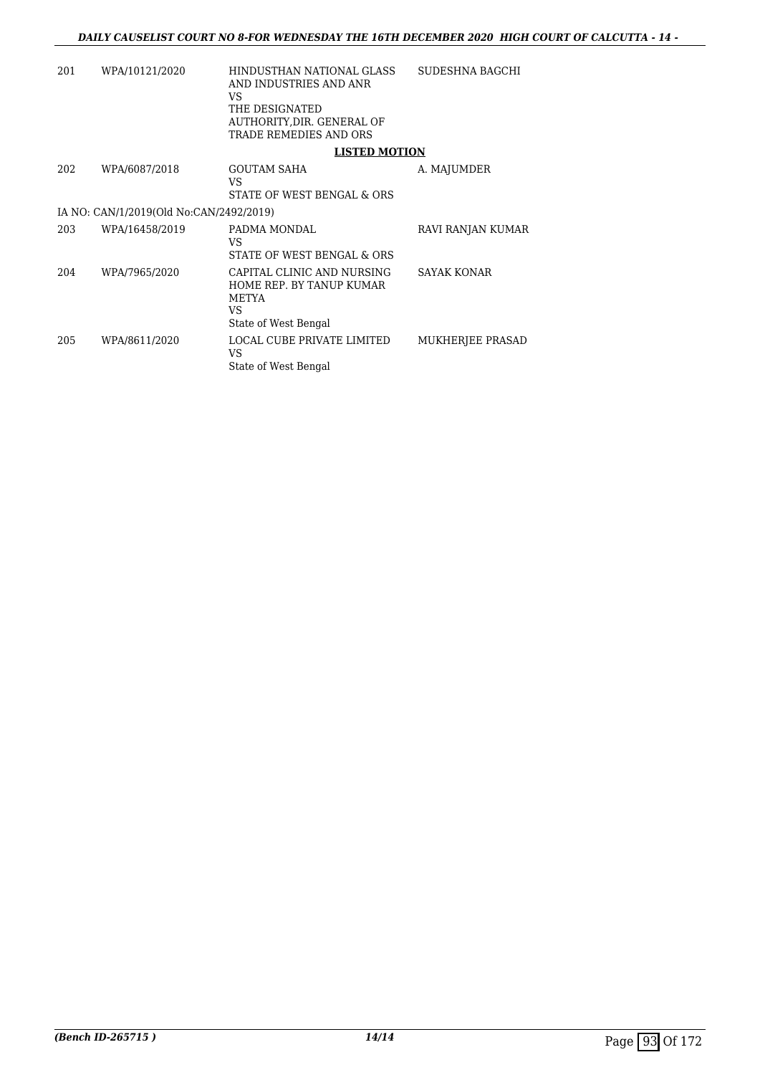| 201 | WPA/10121/2020                          | HINDUSTHAN NATIONAL GLASS<br>AND INDUSTRIES AND ANR<br>VS.<br>THE DESIGNATED<br>AUTHORITY, DIR. GENERAL OF<br>TRADE REMEDIES AND ORS | SUDESHNA BAGCHI    |
|-----|-----------------------------------------|--------------------------------------------------------------------------------------------------------------------------------------|--------------------|
|     |                                         | <b>LISTED MOTION</b>                                                                                                                 |                    |
| 202 | WPA/6087/2018                           | <b>GOUTAM SAHA</b><br>VS.<br>STATE OF WEST BENGAL & ORS                                                                              | A. MAJUMDER        |
|     | IA NO: CAN/1/2019(Old No:CAN/2492/2019) |                                                                                                                                      |                    |
| 203 | WPA/16458/2019                          | PADMA MONDAL<br>VS.<br>STATE OF WEST BENGAL & ORS                                                                                    | RAVI RANJAN KUMAR  |
| 204 | WPA/7965/2020                           | CAPITAL CLINIC AND NURSING<br>HOME REP. BY TANUP KUMAR<br>METYA<br>VS.<br>State of West Bengal                                       | <b>SAYAK KONAR</b> |
| 205 | WPA/8611/2020                           | LOCAL CUBE PRIVATE LIMITED<br>VS.<br>State of West Bengal                                                                            | MUKHERJEE PRASAD   |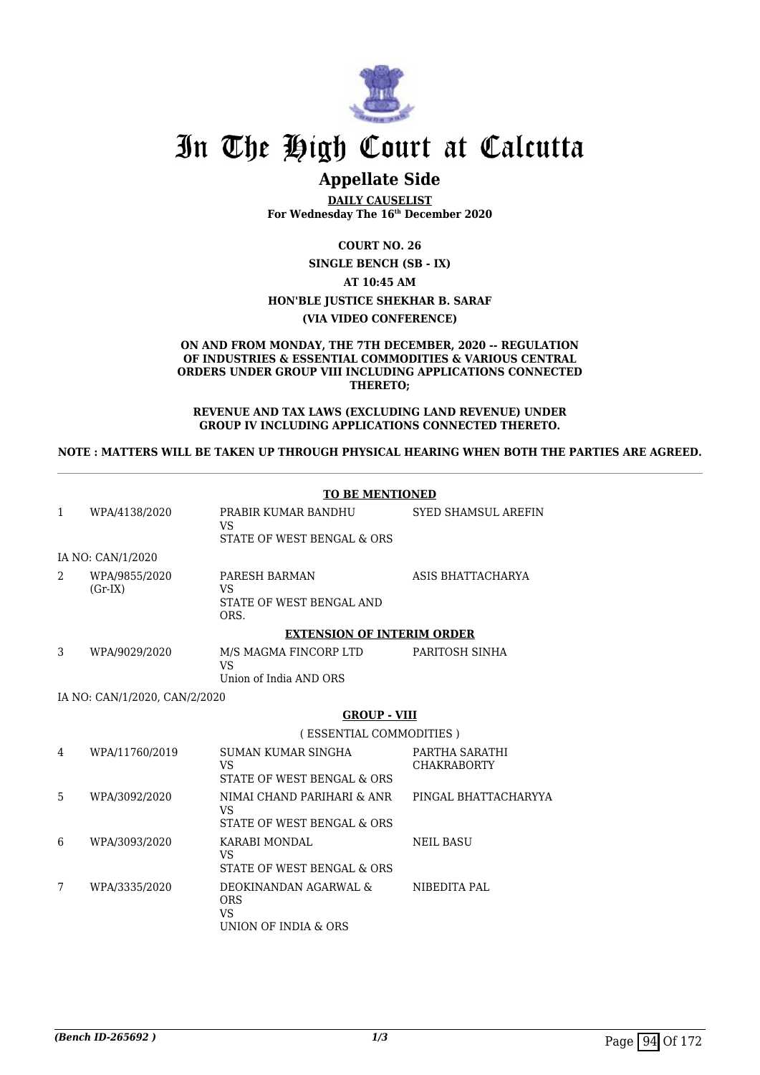

# In The High Court at Calcutta

# **Appellate Side**

**DAILY CAUSELIST For Wednesday The 16th December 2020**

**COURT NO. 26**

**SINGLE BENCH (SB - IX)**

**AT 10:45 AM**

#### **HON'BLE JUSTICE SHEKHAR B. SARAF**

#### **(VIA VIDEO CONFERENCE)**

#### **ON AND FROM MONDAY, THE 7TH DECEMBER, 2020 -- REGULATION OF INDUSTRIES & ESSENTIAL COMMODITIES & VARIOUS CENTRAL ORDERS UNDER GROUP VIII INCLUDING APPLICATIONS CONNECTED THERETO;**

#### **REVENUE AND TAX LAWS (EXCLUDING LAND REVENUE) UNDER GROUP IV INCLUDING APPLICATIONS CONNECTED THERETO.**

#### **NOTE : MATTERS WILL BE TAKEN UP THROUGH PHYSICAL HEARING WHEN BOTH THE PARTIES ARE AGREED.**

|   |                               | <b>TO BE MENTIONED</b>                                                   |                                      |
|---|-------------------------------|--------------------------------------------------------------------------|--------------------------------------|
| 1 | WPA/4138/2020                 | PRABIR KUMAR BANDHU<br>VS.<br>STATE OF WEST BENGAL & ORS                 | <b>SYED SHAMSUL AREFIN</b>           |
|   | IA NO: CAN/1/2020             |                                                                          |                                      |
| 2 | WPA/9855/2020<br>$(Gr-IX)$    | PARESH BARMAN<br>VS<br>STATE OF WEST BENGAL AND<br>ORS.                  | ASIS BHATTACHARYA                    |
|   |                               | <b>EXTENSION OF INTERIM ORDER</b>                                        |                                      |
| 3 | WPA/9029/2020                 | M/S MAGMA FINCORP LTD<br><b>VS</b>                                       | PARITOSH SINHA                       |
|   |                               | Union of India AND ORS                                                   |                                      |
|   | IA NO: CAN/1/2020, CAN/2/2020 |                                                                          |                                      |
|   |                               | <b>GROUP - VIII</b>                                                      |                                      |
|   |                               | (ESSENTIAL COMMODITIES)                                                  |                                      |
| 4 | WPA/11760/2019                | SUMAN KUMAR SINGHA<br>VS.<br>STATE OF WEST BENGAL & ORS                  | PARTHA SARATHI<br><b>CHAKRABORTY</b> |
| 5 | WPA/3092/2020                 | NIMAI CHAND PARIHARI & ANR<br><b>VS</b><br>STATE OF WEST BENGAL & ORS    | PINGAL BHATTACHARYYA                 |
| 6 | WPA/3093/2020                 | KARABI MONDAL<br>VS<br>STATE OF WEST BENGAL & ORS                        | <b>NEIL BASU</b>                     |
| 7 | WPA/3335/2020                 | DEOKINANDAN AGARWAL &<br><b>ORS</b><br><b>VS</b><br>UNION OF INDIA & ORS | NIBEDITA PAL                         |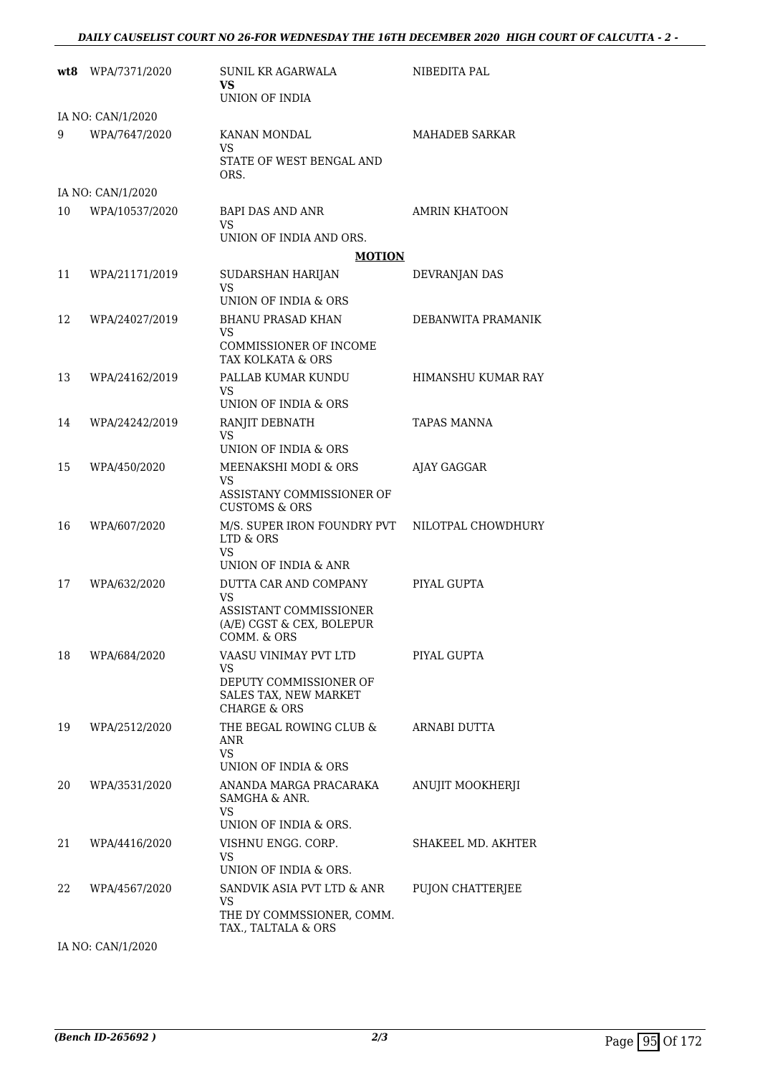|    | wt8 WPA/7371/2020 | <b>SUNIL KR AGARWALA</b><br>VS<br>UNION OF INDIA                                 | NIBEDITA PAL              |
|----|-------------------|----------------------------------------------------------------------------------|---------------------------|
|    | IA NO: CAN/1/2020 |                                                                                  |                           |
| 9  | WPA/7647/2020     | <b>KANAN MONDAL</b><br>VS<br>STATE OF WEST BENGAL AND                            | <b>MAHADEB SARKAR</b>     |
|    | IA NO: CAN/1/2020 | ORS.                                                                             |                           |
| 10 | WPA/10537/2020    | <b>BAPI DAS AND ANR</b>                                                          | <b>AMRIN KHATOON</b>      |
|    |                   | VS<br>UNION OF INDIA AND ORS.                                                    |                           |
|    |                   | <b>MOTION</b>                                                                    |                           |
| 11 | WPA/21171/2019    | SUDARSHAN HARIJAN<br>VS<br>UNION OF INDIA & ORS                                  | DEVRANJAN DAS             |
| 12 | WPA/24027/2019    | <b>BHANU PRASAD KHAN</b>                                                         | DEBANWITA PRAMANIK        |
|    |                   | VS                                                                               |                           |
|    |                   | COMMISSIONER OF INCOME<br>TAX KOLKATA & ORS                                      |                           |
| 13 | WPA/24162/2019    | PALLAB KUMAR KUNDU<br>VS                                                         | <b>HIMANSHU KUMAR RAY</b> |
|    |                   | UNION OF INDIA & ORS                                                             |                           |
| 14 | WPA/24242/2019    | RANJIT DEBNATH<br>VS<br>UNION OF INDIA & ORS                                     | <b>TAPAS MANNA</b>        |
| 15 | WPA/450/2020      | MEENAKSHI MODI & ORS                                                             |                           |
|    |                   | VS<br>ASSISTANY COMMISSIONER OF<br><b>CUSTOMS &amp; ORS</b>                      | AJAY GAGGAR               |
| 16 | WPA/607/2020      | M/S. SUPER IRON FOUNDRY PVT<br>LTD & ORS                                         | NILOTPAL CHOWDHURY        |
|    |                   | VS<br>UNION OF INDIA & ANR                                                       |                           |
| 17 | WPA/632/2020      | DUTTA CAR AND COMPANY                                                            | PIYAL GUPTA               |
|    |                   | <b>VS</b><br>ASSISTANT COMMISSIONER<br>(A/E) CGST & CEX, BOLEPUR<br>COMM. & ORS  |                           |
| 18 | WPA/684/2020      | VAASU VINIMAY PVT LTD                                                            | PIYAL GUPTA               |
|    |                   | VS<br>DEPUTY COMMISSIONER OF<br>SALES TAX, NEW MARKET<br><b>CHARGE &amp; ORS</b> |                           |
| 19 | WPA/2512/2020     | THE BEGAL ROWING CLUB &<br>ANR<br><b>VS</b>                                      | ARNABI DUTTA              |
|    |                   | UNION OF INDIA & ORS                                                             |                           |
| 20 | WPA/3531/2020     | ANANDA MARGA PRACARAKA<br>SAMGHA & ANR.<br>VS                                    | <b>ANUJIT MOOKHERJI</b>   |
|    |                   | UNION OF INDIA & ORS.                                                            |                           |
| 21 | WPA/4416/2020     | VISHNU ENGG. CORP.<br>VS                                                         | SHAKEEL MD. AKHTER        |
|    |                   | UNION OF INDIA & ORS.<br>SANDVIK ASIA PVT LTD & ANR                              |                           |
| 22 | WPA/4567/2020     | <b>VS</b><br>THE DY COMMSSIONER, COMM.<br>TAX., TALTALA & ORS                    | PUJON CHATTERJEE          |
|    |                   |                                                                                  |                           |

IA NO: CAN/1/2020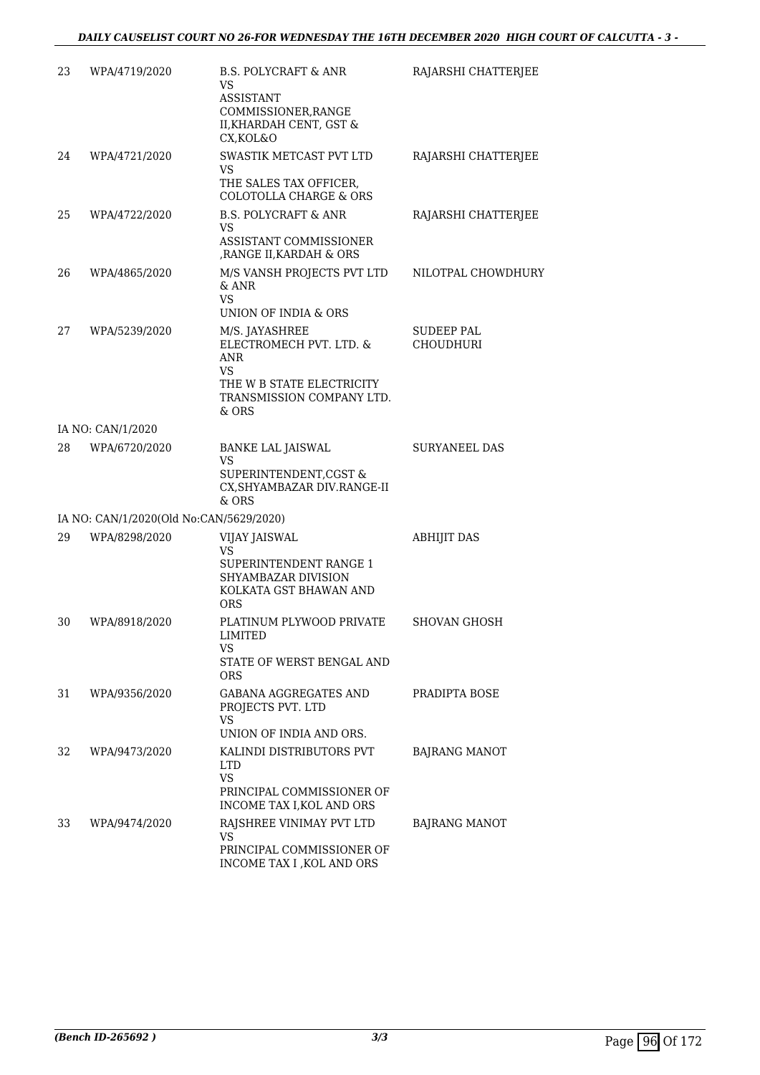| 23 | WPA/4719/2020                           | <b>B.S. POLYCRAFT &amp; ANR</b><br><b>VS</b><br>ASSISTANT<br>COMMISSIONER, RANGE<br>II, KHARDAH CENT, GST &<br>CX, KOL&O         | RAJARSHI CHATTERJEE                   |
|----|-----------------------------------------|----------------------------------------------------------------------------------------------------------------------------------|---------------------------------------|
| 24 | WPA/4721/2020                           | SWASTIK METCAST PVT LTD<br>VS<br>THE SALES TAX OFFICER,<br>COLOTOLLA CHARGE & ORS                                                | RAJARSHI CHATTERJEE                   |
| 25 | WPA/4722/2020                           | <b>B.S. POLYCRAFT &amp; ANR</b><br>VS<br>ASSISTANT COMMISSIONER<br>, RANGE II, KARDAH & ORS                                      | RAJARSHI CHATTERJEE                   |
| 26 | WPA/4865/2020                           | M/S VANSH PROJECTS PVT LTD<br>& ANR<br><b>VS</b><br>UNION OF INDIA & ORS                                                         | NILOTPAL CHOWDHURY                    |
| 27 | WPA/5239/2020                           | M/S. JAYASHREE<br>ELECTROMECH PVT. LTD. &<br><b>ANR</b><br>VS<br>THE W B STATE ELECTRICITY<br>TRANSMISSION COMPANY LTD.<br>& ORS | <b>SUDEEP PAL</b><br><b>CHOUDHURI</b> |
|    | IA NO: CAN/1/2020                       |                                                                                                                                  |                                       |
| 28 | WPA/6720/2020                           | <b>BANKE LAL JAISWAL</b><br>VS<br>SUPERINTENDENT, CGST &<br>CX, SHYAMBAZAR DIV. RANGE-II<br>$&$ ORS                              | <b>SURYANEEL DAS</b>                  |
|    | IA NO: CAN/1/2020(Old No:CAN/5629/2020) |                                                                                                                                  |                                       |
| 29 | WPA/8298/2020                           | VIJAY JAISWAL<br>VS<br>SUPERINTENDENT RANGE 1<br><b>SHYAMBAZAR DIVISION</b><br>KOLKATA GST BHAWAN AND<br>ORS                     | <b>ABHIJIT DAS</b>                    |
| 30 | WPA/8918/2020                           | PLATINUM PLYWOOD PRIVATE<br><b>LIMITED</b><br>VS<br>STATE OF WERST BENGAL AND<br><b>ORS</b>                                      | <b>SHOVAN GHOSH</b>                   |
| 31 | WPA/9356/2020                           | GABANA AGGREGATES AND<br>PROJECTS PVT. LTD<br><b>VS</b><br>UNION OF INDIA AND ORS.                                               | PRADIPTA BOSE                         |
| 32 | WPA/9473/2020                           | KALINDI DISTRIBUTORS PVT<br><b>LTD</b><br><b>VS</b><br>PRINCIPAL COMMISSIONER OF<br>INCOME TAX I, KOL AND ORS                    | <b>BAJRANG MANOT</b>                  |
| 33 | WPA/9474/2020                           | RAJSHREE VINIMAY PVT LTD<br><b>VS</b><br>PRINCIPAL COMMISSIONER OF<br>INCOME TAX I , KOL AND ORS                                 | BAJRANG MANOT                         |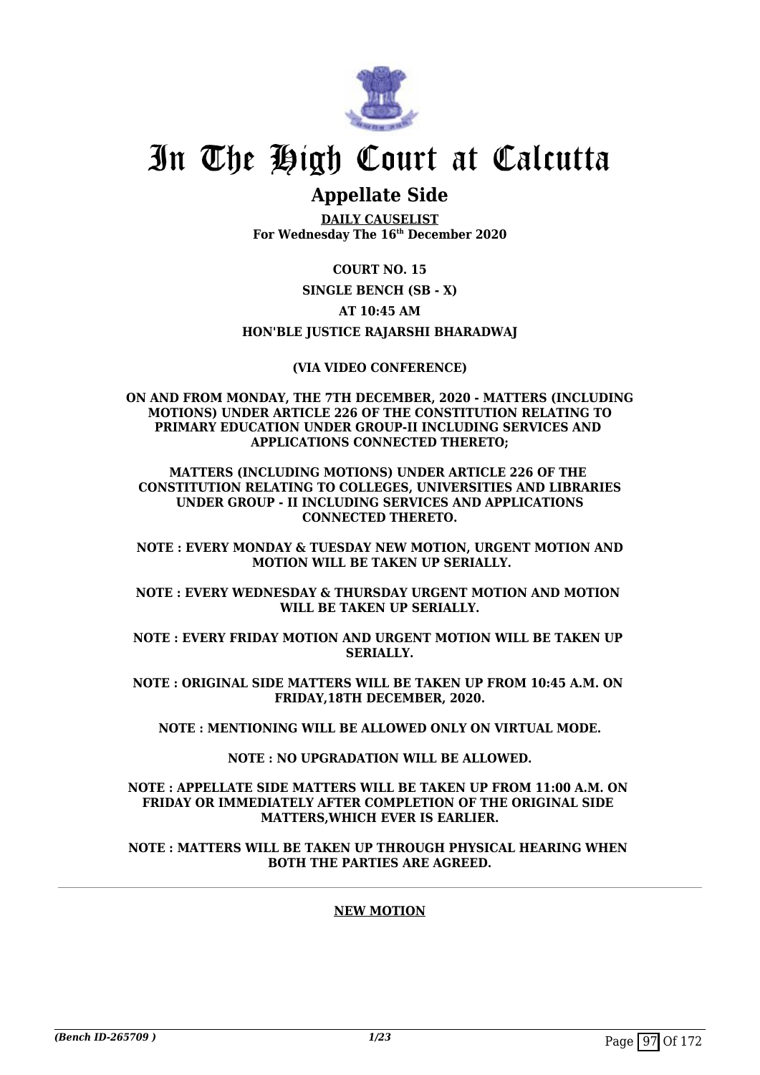

# In The High Court at Calcutta

# **Appellate Side**

**DAILY CAUSELIST For Wednesday The 16th December 2020**

## **COURT NO. 15**

**SINGLE BENCH (SB - X)**

## **AT 10:45 AM**

# **HON'BLE JUSTICE RAJARSHI BHARADWAJ**

## **(VIA VIDEO CONFERENCE)**

#### **ON AND FROM MONDAY, THE 7TH DECEMBER, 2020 - MATTERS (INCLUDING MOTIONS) UNDER ARTICLE 226 OF THE CONSTITUTION RELATING TO PRIMARY EDUCATION UNDER GROUP-II INCLUDING SERVICES AND APPLICATIONS CONNECTED THERETO;**

#### **MATTERS (INCLUDING MOTIONS) UNDER ARTICLE 226 OF THE CONSTITUTION RELATING TO COLLEGES, UNIVERSITIES AND LIBRARIES UNDER GROUP - II INCLUDING SERVICES AND APPLICATIONS CONNECTED THERETO.**

#### **NOTE : EVERY MONDAY & TUESDAY NEW MOTION, URGENT MOTION AND MOTION WILL BE TAKEN UP SERIALLY.**

#### **NOTE : EVERY WEDNESDAY & THURSDAY URGENT MOTION AND MOTION WILL BE TAKEN UP SERIALLY.**

#### **NOTE : EVERY FRIDAY MOTION AND URGENT MOTION WILL BE TAKEN UP SERIALLY.**

#### **NOTE : ORIGINAL SIDE MATTERS WILL BE TAKEN UP FROM 10:45 A.M. ON FRIDAY,18TH DECEMBER, 2020.**

## **NOTE : MENTIONING WILL BE ALLOWED ONLY ON VIRTUAL MODE.**

## **NOTE : NO UPGRADATION WILL BE ALLOWED.**

#### **NOTE : APPELLATE SIDE MATTERS WILL BE TAKEN UP FROM 11:00 A.M. ON FRIDAY OR IMMEDIATELY AFTER COMPLETION OF THE ORIGINAL SIDE MATTERS,WHICH EVER IS EARLIER.**

#### **NOTE : MATTERS WILL BE TAKEN UP THROUGH PHYSICAL HEARING WHEN BOTH THE PARTIES ARE AGREED.**

# **NEW MOTION**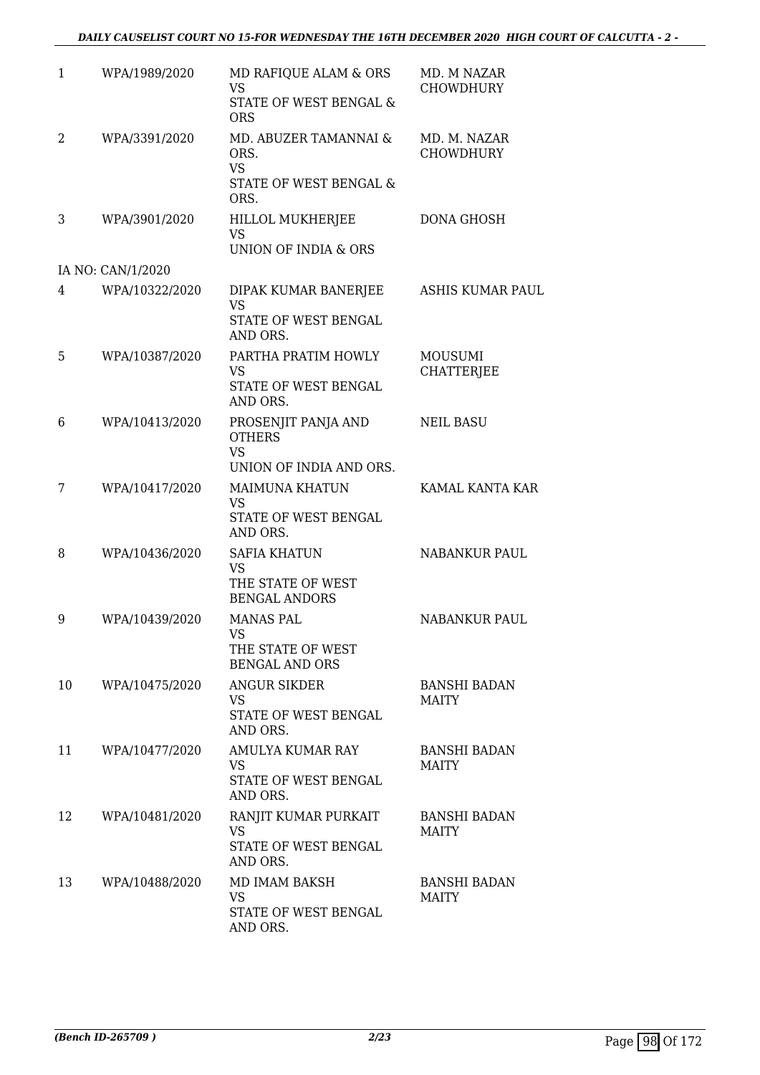| $\mathbf{1}$ | WPA/1989/2020     | MD RAFIQUE ALAM & ORS<br><b>VS</b><br>STATE OF WEST BENGAL &<br><b>ORS</b>    | MD. M NAZAR<br><b>CHOWDHURY</b>     |
|--------------|-------------------|-------------------------------------------------------------------------------|-------------------------------------|
| 2            | WPA/3391/2020     | MD. ABUZER TAMANNAI &<br>ORS.<br><b>VS</b><br>STATE OF WEST BENGAL &<br>ORS.  | MD. M. NAZAR<br><b>CHOWDHURY</b>    |
| 3            | WPA/3901/2020     | HILLOL MUKHERJEE<br><b>VS</b><br>UNION OF INDIA & ORS                         | DONA GHOSH                          |
|              | IA NO: CAN/1/2020 |                                                                               |                                     |
| 4            | WPA/10322/2020    | DIPAK KUMAR BANERJEE<br><b>VS</b><br>STATE OF WEST BENGAL<br>AND ORS.         | <b>ASHIS KUMAR PAUL</b>             |
| 5            | WPA/10387/2020    | PARTHA PRATIM HOWLY<br><b>VS</b><br>STATE OF WEST BENGAL<br>AND ORS.          | MOUSUMI<br><b>CHATTERJEE</b>        |
| 6            | WPA/10413/2020    | PROSENJIT PANJA AND<br><b>OTHERS</b><br><b>VS</b><br>UNION OF INDIA AND ORS.  | <b>NEIL BASU</b>                    |
| 7            | WPA/10417/2020    | <b>MAIMUNA KHATUN</b><br><b>VS</b><br>STATE OF WEST BENGAL<br>AND ORS.        | KAMAL KANTA KAR                     |
| 8            | WPA/10436/2020    | <b>SAFIA KHATUN</b><br><b>VS</b><br>THE STATE OF WEST<br><b>BENGAL ANDORS</b> | <b>NABANKUR PAUL</b>                |
| 9            | WPA/10439/2020    | <b>MANAS PAL</b><br>VS<br>THE STATE OF WEST<br><b>BENGAL AND ORS</b>          | <b>NABANKUR PAUL</b>                |
| 10           | WPA/10475/2020    | <b>ANGUR SIKDER</b><br><b>VS</b><br>STATE OF WEST BENGAL<br>AND ORS.          | <b>BANSHI BADAN</b><br><b>MAITY</b> |
| 11           | WPA/10477/2020    | AMULYA KUMAR RAY<br>VS<br>STATE OF WEST BENGAL<br>AND ORS.                    | <b>BANSHI BADAN</b><br><b>MAITY</b> |
| 12           | WPA/10481/2020    | RANJIT KUMAR PURKAIT<br>VS<br>STATE OF WEST BENGAL<br>AND ORS.                | <b>BANSHI BADAN</b><br>MAITY        |
| 13           | WPA/10488/2020    | MD IMAM BAKSH<br>VS<br>STATE OF WEST BENGAL<br>AND ORS.                       | <b>BANSHI BADAN</b><br><b>MAITY</b> |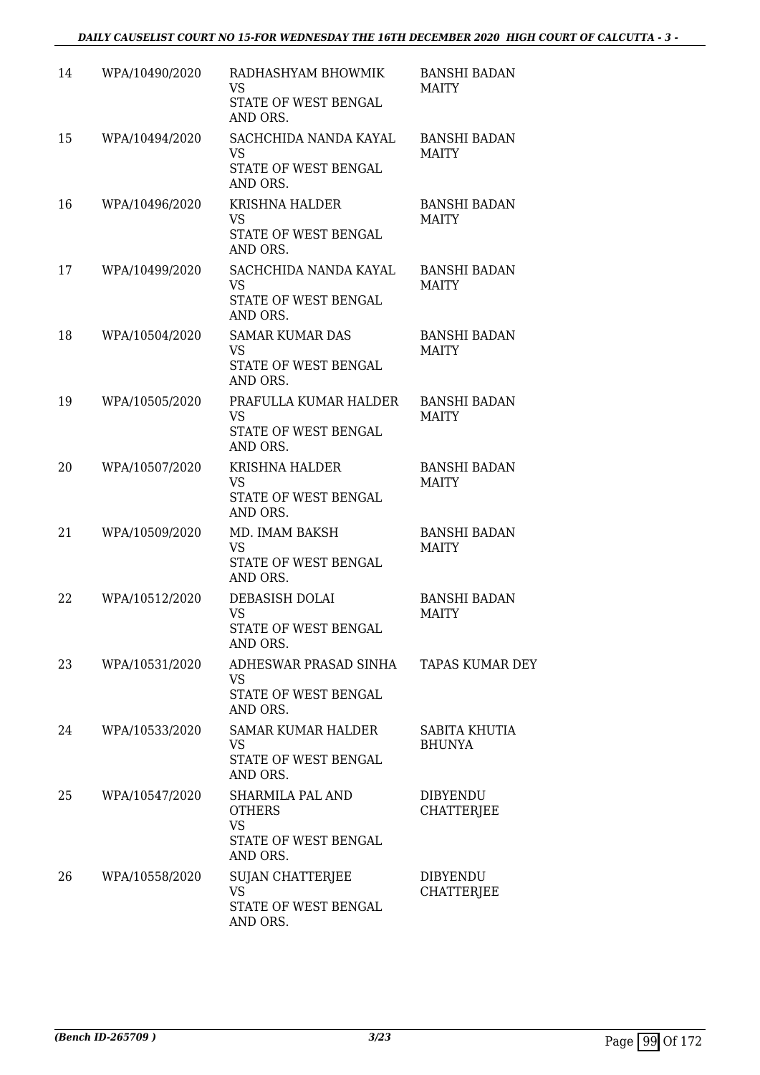## *DAILY CAUSELIST COURT NO 15-FOR WEDNESDAY THE 16TH DECEMBER 2020 HIGH COURT OF CALCUTTA - 3 -*

| 14 | WPA/10490/2020 | RADHASHYAM BHOWMIK<br>VS<br>STATE OF WEST BENGAL<br>AND ORS.                       | <b>BANSHI BADAN</b><br><b>MAITY</b>  |
|----|----------------|------------------------------------------------------------------------------------|--------------------------------------|
| 15 | WPA/10494/2020 | SACHCHIDA NANDA KAYAL<br><b>VS</b><br>STATE OF WEST BENGAL<br>AND ORS.             | <b>BANSHI BADAN</b><br><b>MAITY</b>  |
| 16 | WPA/10496/2020 | <b>KRISHNA HALDER</b><br><b>VS</b><br>STATE OF WEST BENGAL<br>AND ORS.             | <b>BANSHI BADAN</b><br><b>MAITY</b>  |
| 17 | WPA/10499/2020 | SACHCHIDA NANDA KAYAL<br>VS<br>STATE OF WEST BENGAL<br>AND ORS.                    | <b>BANSHI BADAN</b><br><b>MAITY</b>  |
| 18 | WPA/10504/2020 | <b>SAMAR KUMAR DAS</b><br><b>VS</b><br>STATE OF WEST BENGAL<br>AND ORS.            | <b>BANSHI BADAN</b><br><b>MAITY</b>  |
| 19 | WPA/10505/2020 | PRAFULLA KUMAR HALDER<br><b>VS</b><br>STATE OF WEST BENGAL<br>AND ORS.             | <b>BANSHI BADAN</b><br><b>MAITY</b>  |
| 20 | WPA/10507/2020 | <b>KRISHNA HALDER</b><br>VS.<br>STATE OF WEST BENGAL<br>AND ORS.                   | <b>BANSHI BADAN</b><br><b>MAITY</b>  |
| 21 | WPA/10509/2020 | MD. IMAM BAKSH<br><b>VS</b><br>STATE OF WEST BENGAL<br>AND ORS.                    | <b>BANSHI BADAN</b><br><b>MAITY</b>  |
| 22 | WPA/10512/2020 | DEBASISH DOLAI<br><b>VS</b><br>STATE OF WEST BENGAL<br>AND ORS.                    | <b>BANSHI BADAN</b><br><b>MAITY</b>  |
| 23 | WPA/10531/2020 | ADHESWAR PRASAD SINHA<br>VS<br>STATE OF WEST BENGAL<br>AND ORS.                    | <b>TAPAS KUMAR DEY</b>               |
| 24 | WPA/10533/2020 | <b>SAMAR KUMAR HALDER</b><br><b>VS</b><br>STATE OF WEST BENGAL<br>AND ORS.         | SABITA KHUTIA<br><b>BHUNYA</b>       |
| 25 | WPA/10547/2020 | SHARMILA PAL AND<br><b>OTHERS</b><br><b>VS</b><br>STATE OF WEST BENGAL<br>AND ORS. | <b>DIBYENDU</b><br><b>CHATTERJEE</b> |
| 26 | WPA/10558/2020 | <b>SUJAN CHATTERJEE</b><br><b>VS</b><br>STATE OF WEST BENGAL<br>AND ORS.           | <b>DIBYENDU</b><br>CHATTERJEE        |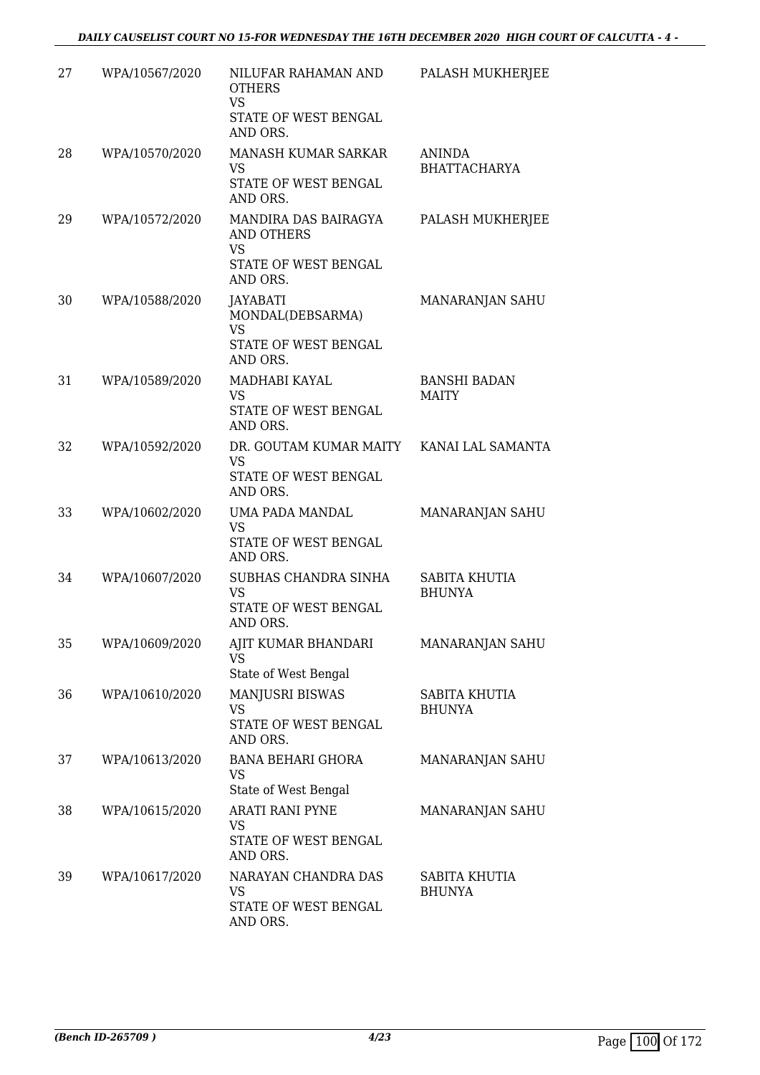| 27 | WPA/10567/2020 | NILUFAR RAHAMAN AND<br><b>OTHERS</b><br><b>VS</b><br>STATE OF WEST BENGAL<br>AND ORS.      | PALASH MUKHERJEE                    |
|----|----------------|--------------------------------------------------------------------------------------------|-------------------------------------|
| 28 | WPA/10570/2020 | <b>MANASH KUMAR SARKAR</b><br>VS<br>STATE OF WEST BENGAL<br>AND ORS.                       | ANINDA<br><b>BHATTACHARYA</b>       |
| 29 | WPA/10572/2020 | MANDIRA DAS BAIRAGYA<br><b>AND OTHERS</b><br><b>VS</b><br>STATE OF WEST BENGAL<br>AND ORS. | PALASH MUKHERJEE                    |
| 30 | WPA/10588/2020 | JAYABATI<br>MONDAL(DEBSARMA)<br><b>VS</b><br>STATE OF WEST BENGAL<br>AND ORS.              | MANARANJAN SAHU                     |
| 31 | WPA/10589/2020 | MADHABI KAYAL<br><b>VS</b><br>STATE OF WEST BENGAL<br>AND ORS.                             | <b>BANSHI BADAN</b><br><b>MAITY</b> |
| 32 | WPA/10592/2020 | DR. GOUTAM KUMAR MAITY<br>VS<br>STATE OF WEST BENGAL<br>AND ORS.                           | KANAI LAL SAMANTA                   |
| 33 | WPA/10602/2020 | UMA PADA MANDAL<br><b>VS</b><br>STATE OF WEST BENGAL<br>AND ORS.                           | MANARANJAN SAHU                     |
| 34 | WPA/10607/2020 | SUBHAS CHANDRA SINHA<br><b>VS</b><br>STATE OF WEST BENGAL<br>AND ORS.                      | SABITA KHUTIA<br><b>BHUNYA</b>      |
| 35 | WPA/10609/2020 | AJIT KUMAR BHANDARI<br><b>VS</b><br>State of West Bengal                                   | MANARANJAN SAHU                     |
| 36 | WPA/10610/2020 | MANJUSRI BISWAS<br><b>VS</b><br>STATE OF WEST BENGAL<br>AND ORS.                           | SABITA KHUTIA<br><b>BHUNYA</b>      |
| 37 | WPA/10613/2020 | <b>BANA BEHARI GHORA</b><br><b>VS</b><br>State of West Bengal                              | MANARANJAN SAHU                     |
| 38 | WPA/10615/2020 | <b>ARATI RANI PYNE</b><br>VS<br>STATE OF WEST BENGAL<br>AND ORS.                           | MANARANJAN SAHU                     |
| 39 | WPA/10617/2020 | NARAYAN CHANDRA DAS<br>VS<br>STATE OF WEST BENGAL<br>AND ORS.                              | SABITA KHUTIA<br><b>BHUNYA</b>      |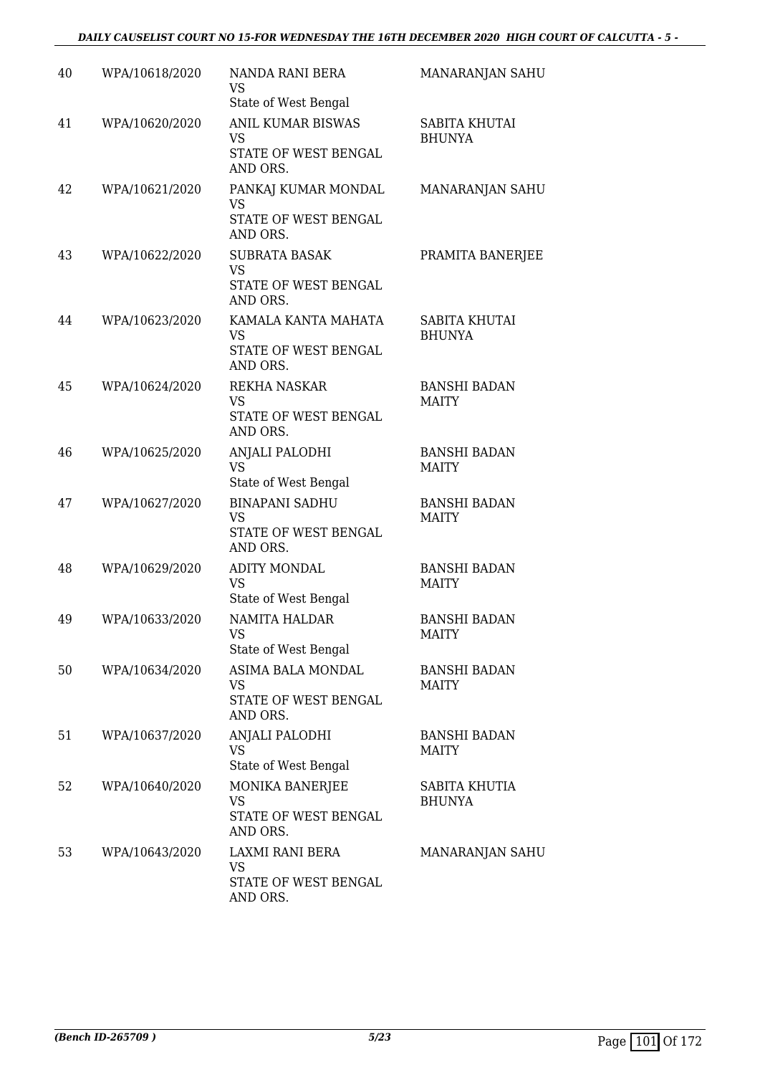## *DAILY CAUSELIST COURT NO 15-FOR WEDNESDAY THE 16TH DECEMBER 2020 HIGH COURT OF CALCUTTA - 5 -*

| 40 | WPA/10618/2020 | NANDA RANI BERA<br>VS<br>State of West Bengal                        | MANARANJAN SAHU                       |
|----|----------------|----------------------------------------------------------------------|---------------------------------------|
| 41 | WPA/10620/2020 | <b>ANIL KUMAR BISWAS</b><br>VS.<br>STATE OF WEST BENGAL<br>AND ORS.  | SABITA KHUTAI<br><b>BHUNYA</b>        |
| 42 | WPA/10621/2020 | PANKAJ KUMAR MONDAL<br>VS<br>STATE OF WEST BENGAL<br>AND ORS.        | MANARANJAN SAHU                       |
| 43 | WPA/10622/2020 | <b>SUBRATA BASAK</b><br>VS<br>STATE OF WEST BENGAL<br>AND ORS.       | PRAMITA BANERJEE                      |
| 44 | WPA/10623/2020 | KAMALA KANTA MAHATA<br><b>VS</b><br>STATE OF WEST BENGAL<br>AND ORS. | <b>SABITA KHUTAI</b><br><b>BHUNYA</b> |
| 45 | WPA/10624/2020 | REKHA NASKAR<br>VS.<br>STATE OF WEST BENGAL<br>AND ORS.              | <b>BANSHI BADAN</b><br><b>MAITY</b>   |
| 46 | WPA/10625/2020 | ANJALI PALODHI<br><b>VS</b><br>State of West Bengal                  | <b>BANSHI BADAN</b><br><b>MAITY</b>   |
| 47 | WPA/10627/2020 | <b>BINAPANI SADHU</b><br>VS<br>STATE OF WEST BENGAL<br>AND ORS.      | <b>BANSHI BADAN</b><br><b>MAITY</b>   |
| 48 | WPA/10629/2020 | <b>ADITY MONDAL</b><br><b>VS</b><br>State of West Bengal             | <b>BANSHI BADAN</b><br><b>MAITY</b>   |
| 49 | WPA/10633/2020 | NAMITA HALDAR<br>VS<br>State of West Bengal                          | <b>BANSHI BADAN</b><br><b>MAITY</b>   |
| 50 | WPA/10634/2020 | ASIMA BALA MONDAL<br>VS<br>STATE OF WEST BENGAL<br>AND ORS.          | <b>BANSHI BADAN</b><br><b>MAITY</b>   |
| 51 | WPA/10637/2020 | ANJALI PALODHI<br>VS.<br>State of West Bengal                        | <b>BANSHI BADAN</b><br>MAITY          |
| 52 | WPA/10640/2020 | MONIKA BANERJEE<br><b>VS</b><br>STATE OF WEST BENGAL<br>AND ORS.     | SABITA KHUTIA<br><b>BHUNYA</b>        |
| 53 | WPA/10643/2020 | LAXMI RANI BERA<br>VS<br>STATE OF WEST BENGAL<br>AND ORS.            | MANARANJAN SAHU                       |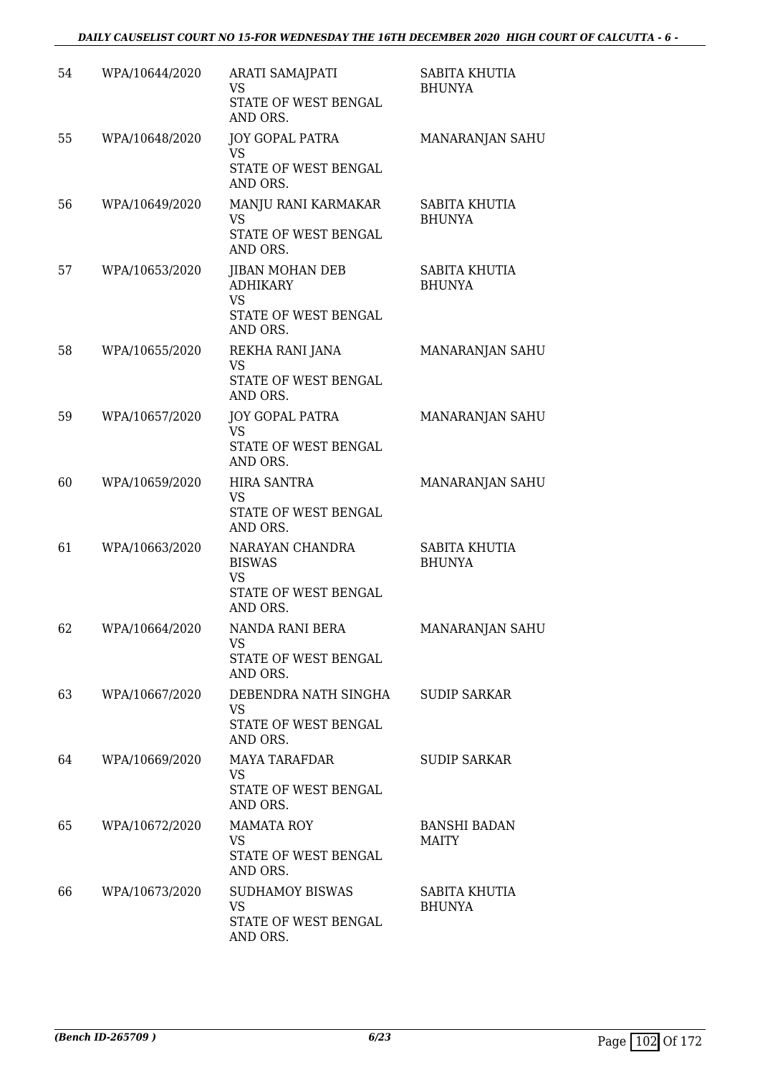| 54 | WPA/10644/2020 | ARATI SAMAJPATI<br>VS<br>STATE OF WEST BENGAL<br>AND ORS.                                  | SABITA KHUTIA<br><b>BHUNYA</b>      |
|----|----------------|--------------------------------------------------------------------------------------------|-------------------------------------|
| 55 | WPA/10648/2020 | <b>JOY GOPAL PATRA</b><br>VS<br>STATE OF WEST BENGAL<br>AND ORS.                           | MANARANJAN SAHU                     |
| 56 | WPA/10649/2020 | MANJU RANI KARMAKAR<br><b>VS</b><br>STATE OF WEST BENGAL<br>AND ORS.                       | SABITA KHUTIA<br><b>BHUNYA</b>      |
| 57 | WPA/10653/2020 | <b>JIBAN MOHAN DEB</b><br><b>ADHIKARY</b><br><b>VS</b><br>STATE OF WEST BENGAL<br>AND ORS. | SABITA KHUTIA<br><b>BHUNYA</b>      |
| 58 | WPA/10655/2020 | REKHA RANI JANA<br><b>VS</b><br>STATE OF WEST BENGAL<br>AND ORS.                           | MANARANJAN SAHU                     |
| 59 | WPA/10657/2020 | <b>JOY GOPAL PATRA</b><br><b>VS</b><br>STATE OF WEST BENGAL<br>AND ORS.                    | MANARANJAN SAHU                     |
| 60 | WPA/10659/2020 | <b>HIRA SANTRA</b><br><b>VS</b><br>STATE OF WEST BENGAL<br>AND ORS.                        | MANARANJAN SAHU                     |
| 61 | WPA/10663/2020 | NARAYAN CHANDRA<br><b>BISWAS</b><br>VS<br>STATE OF WEST BENGAL<br>AND ORS.                 | SABITA KHUTIA<br><b>BHUNYA</b>      |
| 62 | WPA/10664/2020 | NANDA RANI BERA<br>VS.<br>STATE OF WEST BENGAL<br>AND ORS.                                 | MANARANJAN SAHU                     |
| 63 | WPA/10667/2020 | DEBENDRA NATH SINGHA SUDIP SARKAR<br>VS.<br>STATE OF WEST BENGAL<br>AND ORS.               |                                     |
| 64 | WPA/10669/2020 | MAYA TARAFDAR<br><b>VS</b><br>STATE OF WEST BENGAL<br>AND ORS.                             | <b>SUDIP SARKAR</b>                 |
| 65 | WPA/10672/2020 | MAMATA ROY<br>VS<br>STATE OF WEST BENGAL<br>AND ORS.                                       | <b>BANSHI BADAN</b><br><b>MAITY</b> |
| 66 | WPA/10673/2020 | <b>SUDHAMOY BISWAS</b><br>VS<br>STATE OF WEST BENGAL<br>AND ORS.                           | SABITA KHUTIA<br>BHUNYA             |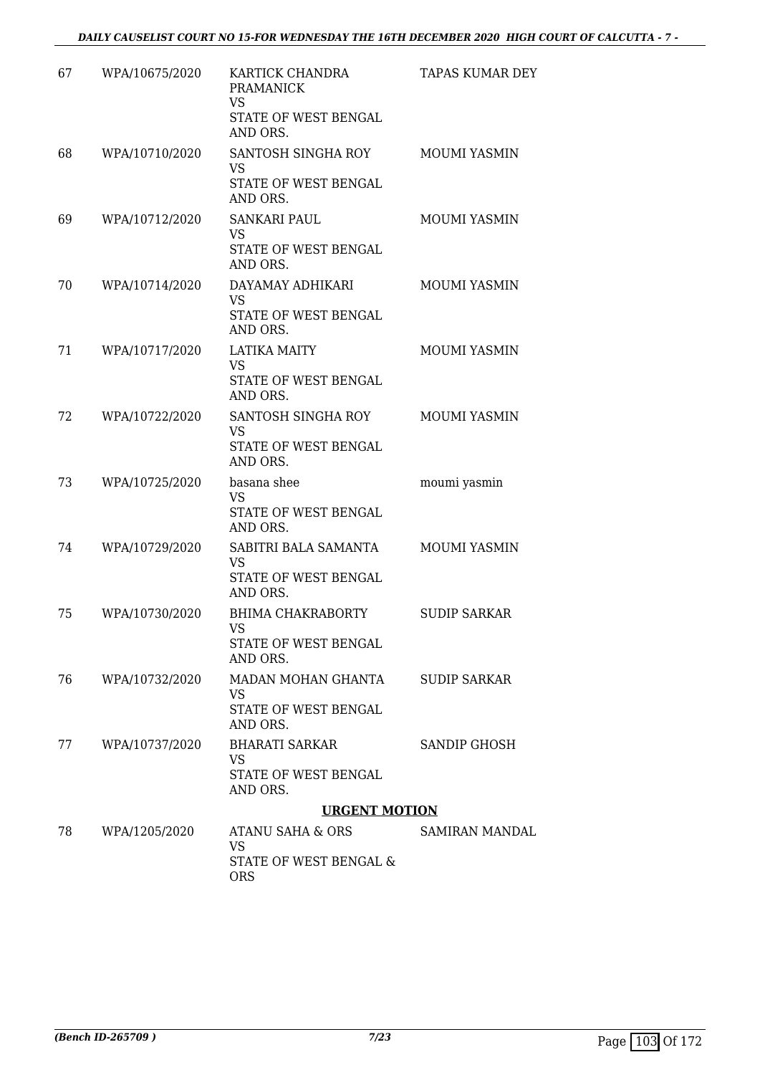| 67 | WPA/10675/2020 | KARTICK CHANDRA<br><b>PRAMANICK</b><br><b>VS</b>                              | <b>TAPAS KUMAR DEY</b> |
|----|----------------|-------------------------------------------------------------------------------|------------------------|
|    |                | STATE OF WEST BENGAL<br>AND ORS.                                              |                        |
| 68 | WPA/10710/2020 | SANTOSH SINGHA ROY<br><b>VS</b><br>STATE OF WEST BENGAL<br>AND ORS.           | <b>MOUMI YASMIN</b>    |
| 69 | WPA/10712/2020 | <b>SANKARI PAUL</b><br><b>VS</b><br>STATE OF WEST BENGAL<br>AND ORS.          | MOUMI YASMIN           |
| 70 | WPA/10714/2020 | DAYAMAY ADHIKARI<br><b>VS</b><br>STATE OF WEST BENGAL<br>AND ORS.             | <b>MOUMI YASMIN</b>    |
| 71 | WPA/10717/2020 | <b>LATIKA MAITY</b><br><b>VS</b><br>STATE OF WEST BENGAL<br>AND ORS.          | <b>MOUMI YASMIN</b>    |
| 72 | WPA/10722/2020 | SANTOSH SINGHA ROY<br><b>VS</b><br>STATE OF WEST BENGAL<br>AND ORS.           | <b>MOUMI YASMIN</b>    |
| 73 | WPA/10725/2020 | basana shee<br><b>VS</b><br>STATE OF WEST BENGAL<br>AND ORS.                  | moumi yasmin           |
| 74 | WPA/10729/2020 | SABITRI BALA SAMANTA<br><b>VS</b><br>STATE OF WEST BENGAL<br>AND ORS.         | <b>MOUMI YASMIN</b>    |
| 75 | WPA/10730/2020 | <b>BHIMA CHAKRABORTY</b><br>VS FOR THE VS<br>STATE OF WEST BENGAL<br>AND ORS. | <b>SUDIP SARKAR</b>    |
| 76 | WPA/10732/2020 | MADAN MOHAN GHANTA<br>VS<br>STATE OF WEST BENGAL<br>AND ORS.                  | <b>SUDIP SARKAR</b>    |
| 77 | WPA/10737/2020 | BHARATI SARKAR<br>VS<br>STATE OF WEST BENGAL<br>AND ORS.                      | SANDIP GHOSH           |
|    |                | <b>URGENT MOTION</b>                                                          |                        |
| 78 | WPA/1205/2020  | ATANU SAHA & ORS<br>VS<br>STATE OF WEST BENGAL &<br><b>ORS</b>                | SAMIRAN MANDAL         |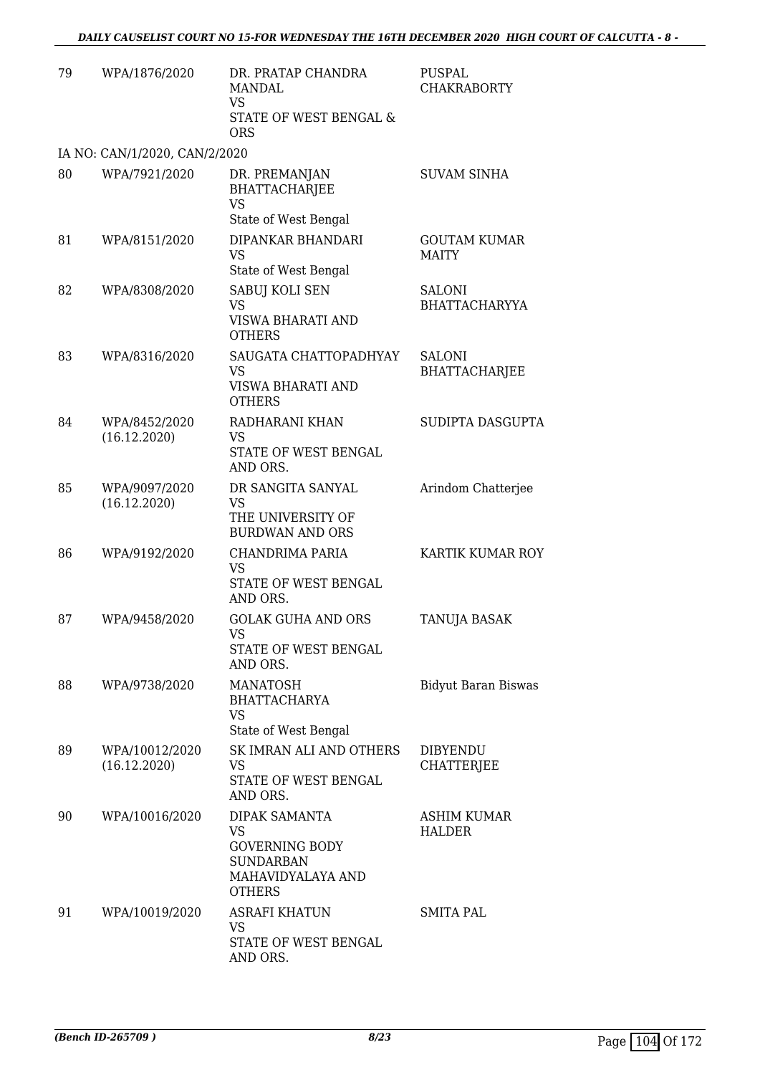| 79 | WPA/1876/2020                  | DR. PRATAP CHANDRA<br><b>MANDAL</b><br>VS<br>STATE OF WEST BENGAL &<br><b>ORS</b>                      | PUSPAL<br><b>CHAKRABORTY</b>          |
|----|--------------------------------|--------------------------------------------------------------------------------------------------------|---------------------------------------|
|    | IA NO: CAN/1/2020, CAN/2/2020  |                                                                                                        |                                       |
| 80 | WPA/7921/2020                  | DR. PREMANJAN<br><b>BHATTACHARJEE</b><br><b>VS</b><br>State of West Bengal                             | <b>SUVAM SINHA</b>                    |
| 81 | WPA/8151/2020                  | DIPANKAR BHANDARI<br><b>VS</b><br>State of West Bengal                                                 | <b>GOUTAM KUMAR</b><br><b>MAITY</b>   |
| 82 | WPA/8308/2020                  | SABUJ KOLI SEN<br><b>VS</b><br>VISWA BHARATI AND<br><b>OTHERS</b>                                      | SALONI<br>BHATTACHARYYA               |
| 83 | WPA/8316/2020                  | SAUGATA CHATTOPADHYAY<br><b>VS</b><br>VISWA BHARATI AND<br><b>OTHERS</b>                               | <b>SALONI</b><br><b>BHATTACHARJEE</b> |
| 84 | WPA/8452/2020<br>(16.12.2020)  | RADHARANI KHAN<br>VS<br>STATE OF WEST BENGAL<br>AND ORS.                                               | SUDIPTA DASGUPTA                      |
| 85 | WPA/9097/2020<br>(16.12.2020)  | DR SANGITA SANYAL<br>VS<br>THE UNIVERSITY OF<br><b>BURDWAN AND ORS</b>                                 | Arindom Chatterjee                    |
| 86 | WPA/9192/2020                  | CHANDRIMA PARIA<br>VS<br>STATE OF WEST BENGAL<br>AND ORS.                                              | KARTIK KUMAR ROY                      |
| 87 | WPA/9458/2020                  | <b>GOLAK GUHA AND ORS</b><br>VS<br>STATE OF WEST BENGAL<br>AND ORS.                                    | TANUJA BASAK                          |
| 88 | WPA/9738/2020                  | <b>MANATOSH</b><br><b>BHATTACHARYA</b><br>VS<br>State of West Bengal                                   | <b>Bidyut Baran Biswas</b>            |
| 89 | WPA/10012/2020<br>(16.12.2020) | SK IMRAN ALI AND OTHERS<br>VS<br>STATE OF WEST BENGAL<br>AND ORS.                                      | <b>DIBYENDU</b><br><b>CHATTERJEE</b>  |
| 90 | WPA/10016/2020                 | DIPAK SAMANTA<br>VS<br><b>GOVERNING BODY</b><br><b>SUNDARBAN</b><br>MAHAVIDYALAYA AND<br><b>OTHERS</b> | <b>ASHIM KUMAR</b><br>HALDER          |
| 91 | WPA/10019/2020                 | <b>ASRAFI KHATUN</b><br>VS<br>STATE OF WEST BENGAL<br>AND ORS.                                         | SMITA PAL                             |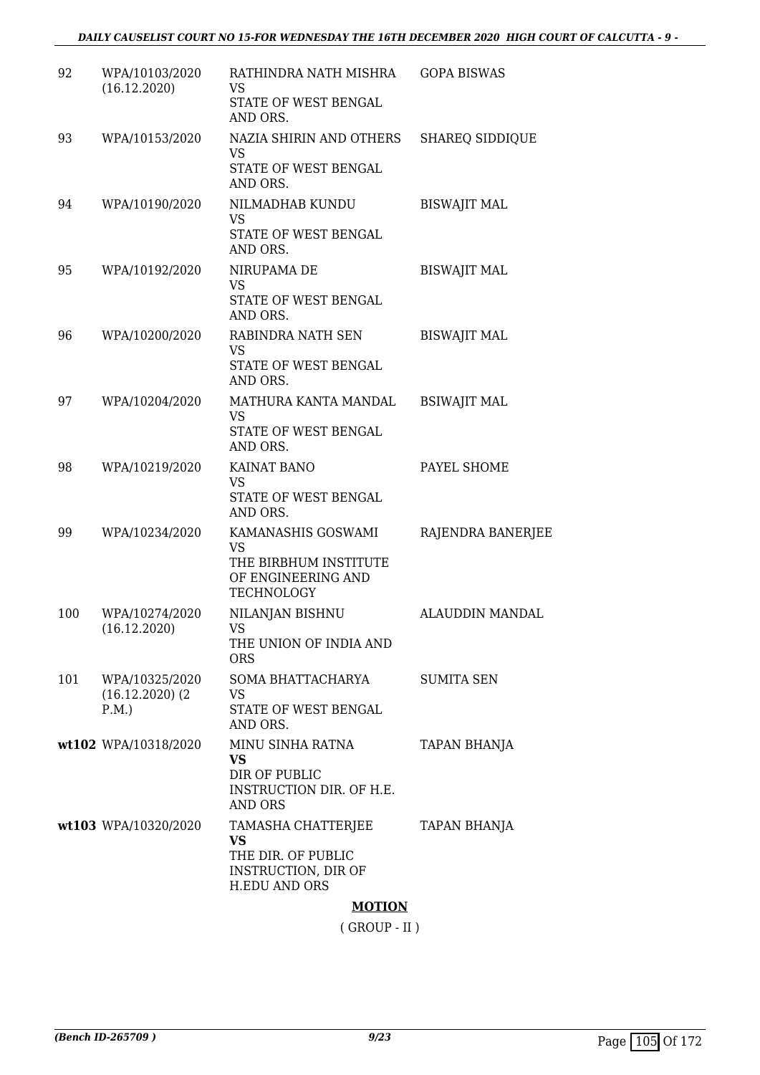| 92  | WPA/10103/2020<br>(16.12.2020)                 | RATHINDRA NATH MISHRA<br>VS<br>STATE OF WEST BENGAL<br>AND ORS.                               | <b>GOPA BISWAS</b>     |
|-----|------------------------------------------------|-----------------------------------------------------------------------------------------------|------------------------|
| 93  | WPA/10153/2020                                 | NAZIA SHIRIN AND OTHERS<br>VS<br>STATE OF WEST BENGAL<br>AND ORS.                             | <b>SHAREQ SIDDIQUE</b> |
| 94  | WPA/10190/2020                                 | NILMADHAB KUNDU<br>VS<br>STATE OF WEST BENGAL<br>AND ORS.                                     | <b>BISWAJIT MAL</b>    |
| 95  | WPA/10192/2020                                 | NIRUPAMA DE<br>VS<br>STATE OF WEST BENGAL<br>AND ORS.                                         | <b>BISWAJIT MAL</b>    |
| 96  | WPA/10200/2020                                 | RABINDRA NATH SEN<br>VS<br>STATE OF WEST BENGAL<br>AND ORS.                                   | <b>BISWAJIT MAL</b>    |
| 97  | WPA/10204/2020                                 | MATHURA KANTA MANDAL<br>VS<br>STATE OF WEST BENGAL<br>AND ORS.                                | <b>BSIWAJIT MAL</b>    |
| 98  | WPA/10219/2020                                 | KAINAT BANO<br>VS<br>STATE OF WEST BENGAL<br>AND ORS.                                         | PAYEL SHOME            |
| 99  | WPA/10234/2020                                 | KAMANASHIS GOSWAMI<br>VS<br>THE BIRBHUM INSTITUTE<br>OF ENGINEERING AND<br><b>TECHNOLOGY</b>  | RAJENDRA BANERJEE      |
| 100 | WPA/10274/2020<br>(16.12.2020)                 | NILANJAN BISHNU<br>VS.<br>THE UNION OF INDIA AND<br><b>ORS</b>                                | ALAUDDIN MANDAL        |
| 101 | WPA/10325/2020<br>$(16.12.2020)$ $(2)$<br>P.M. | SOMA BHATTACHARYA<br>VS<br>STATE OF WEST BENGAL<br>AND ORS.                                   | <b>SUMITA SEN</b>      |
|     | wt102 WPA/10318/2020                           | MINU SINHA RATNA<br><b>VS</b><br>DIR OF PUBLIC<br>INSTRUCTION DIR. OF H.E.<br><b>AND ORS</b>  | <b>TAPAN BHANJA</b>    |
|     | wt103 WPA/10320/2020                           | TAMASHA CHATTERJEE<br>VS<br>THE DIR. OF PUBLIC<br>INSTRUCTION, DIR OF<br><b>H.EDU AND ORS</b> | TAPAN BHANJA           |

#### **MOTION**

( GROUP - II )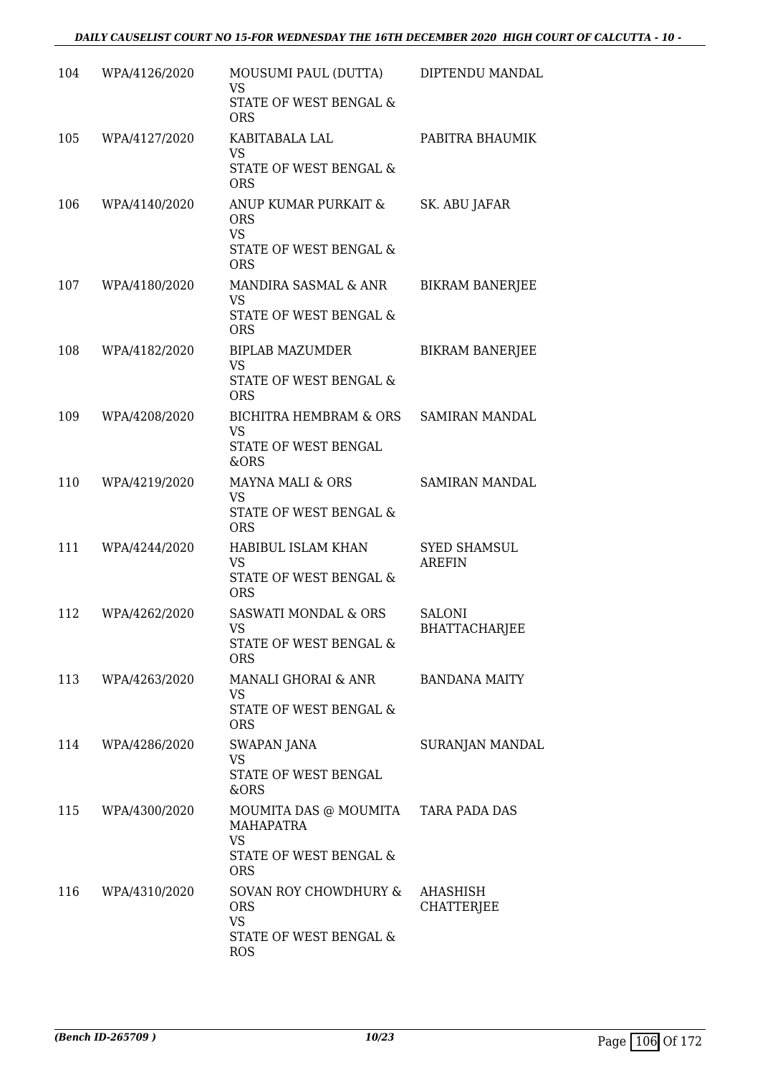| 104 | WPA/4126/2020 | MOUSUMI PAUL (DUTTA)<br>VS<br><b>STATE OF WEST BENGAL &amp;</b>                                        | DIPTENDU MANDAL                       |
|-----|---------------|--------------------------------------------------------------------------------------------------------|---------------------------------------|
| 105 | WPA/4127/2020 | <b>ORS</b><br>KABITABALA LAL<br><b>VS</b><br>STATE OF WEST BENGAL &                                    | PABITRA BHAUMIK                       |
| 106 | WPA/4140/2020 | <b>ORS</b><br>ANUP KUMAR PURKAIT &<br><b>ORS</b><br><b>VS</b><br>STATE OF WEST BENGAL &                | SK. ABU JAFAR                         |
| 107 | WPA/4180/2020 | <b>ORS</b><br>MANDIRA SASMAL & ANR<br><b>VS</b><br>STATE OF WEST BENGAL &                              | <b>BIKRAM BANERJEE</b>                |
| 108 | WPA/4182/2020 | <b>ORS</b><br><b>BIPLAB MAZUMDER</b><br><b>VS</b><br><b>STATE OF WEST BENGAL &amp;</b>                 | <b>BIKRAM BANERJEE</b>                |
| 109 | WPA/4208/2020 | <b>ORS</b><br>BICHITRA HEMBRAM & ORS<br><b>VS</b><br>STATE OF WEST BENGAL                              | <b>SAMIRAN MANDAL</b>                 |
| 110 | WPA/4219/2020 | &ORS<br>MAYNA MALI & ORS<br>VS<br>STATE OF WEST BENGAL &                                               | <b>SAMIRAN MANDAL</b>                 |
| 111 | WPA/4244/2020 | <b>ORS</b><br>HABIBUL ISLAM KHAN<br><b>VS</b><br>STATE OF WEST BENGAL &                                | <b>SYED SHAMSUL</b><br><b>AREFIN</b>  |
| 112 | WPA/4262/2020 | <b>ORS</b><br><b>SASWATI MONDAL &amp; ORS</b><br>VS.<br>STATE OF WEST BENGAL &<br><b>ORS</b>           | <b>SALONI</b><br><b>BHATTACHARJEE</b> |
| 113 | WPA/4263/2020 | MANALI GHORAI & ANR<br>VS<br>STATE OF WEST BENGAL &                                                    | <b>BANDANA MAITY</b>                  |
| 114 | WPA/4286/2020 | <b>ORS</b><br><b>SWAPAN JANA</b><br><b>VS</b><br>STATE OF WEST BENGAL<br>&ORS                          | SURANJAN MANDAL                       |
| 115 | WPA/4300/2020 | MOUMITA DAS @ MOUMITA TARA PADA DAS<br>MAHAPATRA<br>VS<br>STATE OF WEST BENGAL &                       |                                       |
| 116 | WPA/4310/2020 | <b>ORS</b><br>SOVAN ROY CHOWDHURY &<br><b>ORS</b><br><b>VS</b><br>STATE OF WEST BENGAL &<br><b>ROS</b> | <b>AHASHISH</b><br><b>CHATTERJEE</b>  |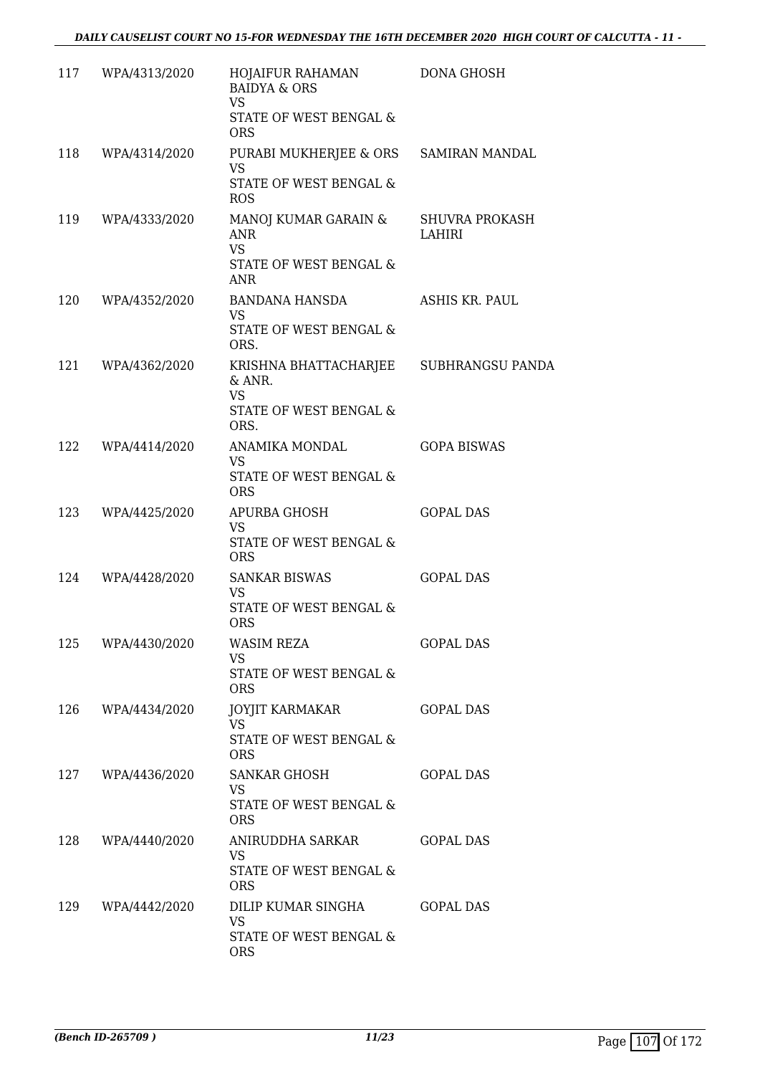| 117 | WPA/4313/2020     | HOJAIFUR RAHAMAN<br><b>BAIDYA &amp; ORS</b><br><b>VS</b><br>STATE OF WEST BENGAL &<br><b>ORS</b> | <b>DONA GHOSH</b>               |
|-----|-------------------|--------------------------------------------------------------------------------------------------|---------------------------------|
| 118 | WPA/4314/2020     | PURABI MUKHERJEE & ORS<br><b>VS</b><br>STATE OF WEST BENGAL &<br><b>ROS</b>                      | <b>SAMIRAN MANDAL</b>           |
| 119 | WPA/4333/2020     | MANOJ KUMAR GARAIN &<br><b>ANR</b><br><b>VS</b><br>STATE OF WEST BENGAL &<br><b>ANR</b>          | <b>SHUVRA PROKASH</b><br>LAHIRI |
| 120 | WPA/4352/2020     | BANDANA HANSDA<br><b>VS</b><br>STATE OF WEST BENGAL &<br>ORS.                                    | ASHIS KR. PAUL                  |
| 121 | WPA/4362/2020     | KRISHNA BHATTACHARJEE<br>& ANR.<br><b>VS</b><br>STATE OF WEST BENGAL &                           | SUBHRANGSU PANDA                |
| 122 | WPA/4414/2020     | ORS.<br>ANAMIKA MONDAL<br><b>VS</b><br>STATE OF WEST BENGAL &<br><b>ORS</b>                      | <b>GOPA BISWAS</b>              |
| 123 | WPA/4425/2020     | APURBA GHOSH<br><b>VS</b><br>STATE OF WEST BENGAL &<br><b>ORS</b>                                | <b>GOPAL DAS</b>                |
| 124 | WPA/4428/2020     | <b>SANKAR BISWAS</b><br><b>VS</b><br>STATE OF WEST BENGAL &<br><b>ORS</b>                        | <b>GOPAL DAS</b>                |
| 125 | WPA/4430/2020     | WASIM REZA<br>VS.<br>STATE OF WEST BENGAL &<br><b>ORS</b>                                        | <b>GOPAL DAS</b>                |
|     | 126 WPA/4434/2020 | JOYJIT KARMAKAR<br>VS<br>STATE OF WEST BENGAL &<br><b>ORS</b>                                    | <b>GOPAL DAS</b>                |
| 127 | WPA/4436/2020     | SANKAR GHOSH<br>VS<br>STATE OF WEST BENGAL &<br><b>ORS</b>                                       | <b>GOPAL DAS</b>                |
| 128 | WPA/4440/2020     | ANIRUDDHA SARKAR<br><b>VS</b><br>STATE OF WEST BENGAL &<br><b>ORS</b>                            | <b>GOPAL DAS</b>                |
| 129 | WPA/4442/2020     | DILIP KUMAR SINGHA<br><b>VS</b><br>STATE OF WEST BENGAL &<br><b>ORS</b>                          | <b>GOPAL DAS</b>                |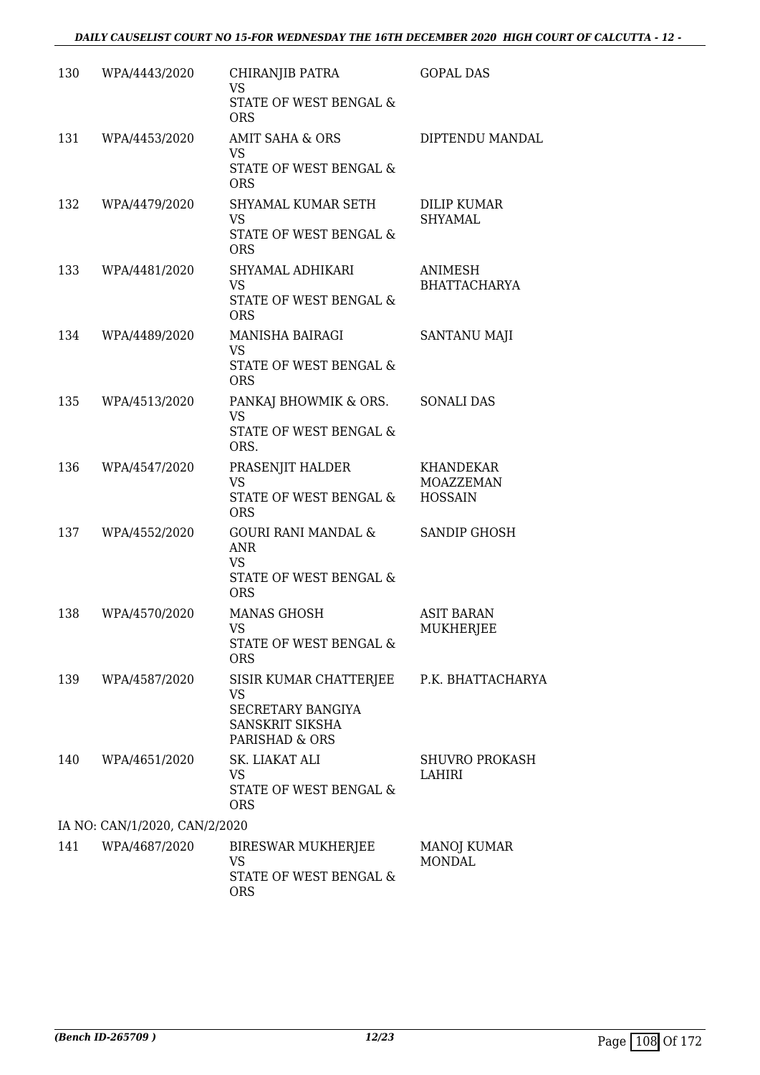| 130 | WPA/4443/2020                 | CHIRANJIB PATRA<br><b>VS</b>                                        | <b>GOPAL DAS</b>                                |
|-----|-------------------------------|---------------------------------------------------------------------|-------------------------------------------------|
|     |                               | STATE OF WEST BENGAL &<br><b>ORS</b>                                |                                                 |
| 131 | WPA/4453/2020                 | AMIT SAHA & ORS<br>VS.                                              | DIPTENDU MANDAL                                 |
|     |                               | STATE OF WEST BENGAL &<br><b>ORS</b>                                |                                                 |
| 132 | WPA/4479/2020                 | SHYAMAL KUMAR SETH<br><b>VS</b><br>STATE OF WEST BENGAL &           | <b>DILIP KUMAR</b><br>SHYAMAL                   |
| 133 | WPA/4481/2020                 | <b>ORS</b><br>SHYAMAL ADHIKARI<br><b>VS</b>                         | ANIMESH<br><b>BHATTACHARYA</b>                  |
|     |                               | STATE OF WEST BENGAL &<br><b>ORS</b>                                |                                                 |
| 134 | WPA/4489/2020                 | <b>MANISHA BAIRAGI</b><br>VS                                        | <b>SANTANU MAJI</b>                             |
|     |                               | <b>STATE OF WEST BENGAL &amp;</b><br><b>ORS</b>                     |                                                 |
| 135 | WPA/4513/2020                 | PANKAJ BHOWMIK & ORS.<br><b>VS</b>                                  | <b>SONALI DAS</b>                               |
|     |                               | STATE OF WEST BENGAL &<br>ORS.                                      |                                                 |
| 136 | WPA/4547/2020                 | PRASENJIT HALDER<br>VS.<br>STATE OF WEST BENGAL &<br><b>ORS</b>     | <b>KHANDEKAR</b><br>MOAZZEMAN<br><b>HOSSAIN</b> |
| 137 | WPA/4552/2020                 | GOURI RANI MANDAL &<br>ANR<br><b>VS</b><br>STATE OF WEST BENGAL &   | SANDIP GHOSH                                    |
|     |                               | <b>ORS</b>                                                          |                                                 |
| 138 | WPA/4570/2020                 | <b>MANAS GHOSH</b><br>VS.<br>STATE OF WEST BENGAL &<br><b>ORS</b>   | <b>ASIT BARAN</b><br>MUKHERJEE                  |
| 139 | WPA/4587/2020                 | SISIR KUMAR CHATTERJEE P.K. BHATTACHARYA<br>VS<br>SECRETARY BANGIYA |                                                 |
|     |                               | SANSKRIT SIKSHA<br>PARISHAD & ORS                                   |                                                 |
| 140 | WPA/4651/2020                 | SK. LIAKAT ALI<br><b>VS</b>                                         | <b>SHUVRO PROKASH</b><br>LAHIRI                 |
|     |                               | STATE OF WEST BENGAL &<br><b>ORS</b>                                |                                                 |
|     | IA NO: CAN/1/2020, CAN/2/2020 |                                                                     |                                                 |
| 141 | WPA/4687/2020                 | BIRESWAR MUKHERJEE<br>VS<br>STATE OF WEST BENGAL &                  | MANOJ KUMAR<br><b>MONDAL</b>                    |
|     |                               | <b>ORS</b>                                                          |                                                 |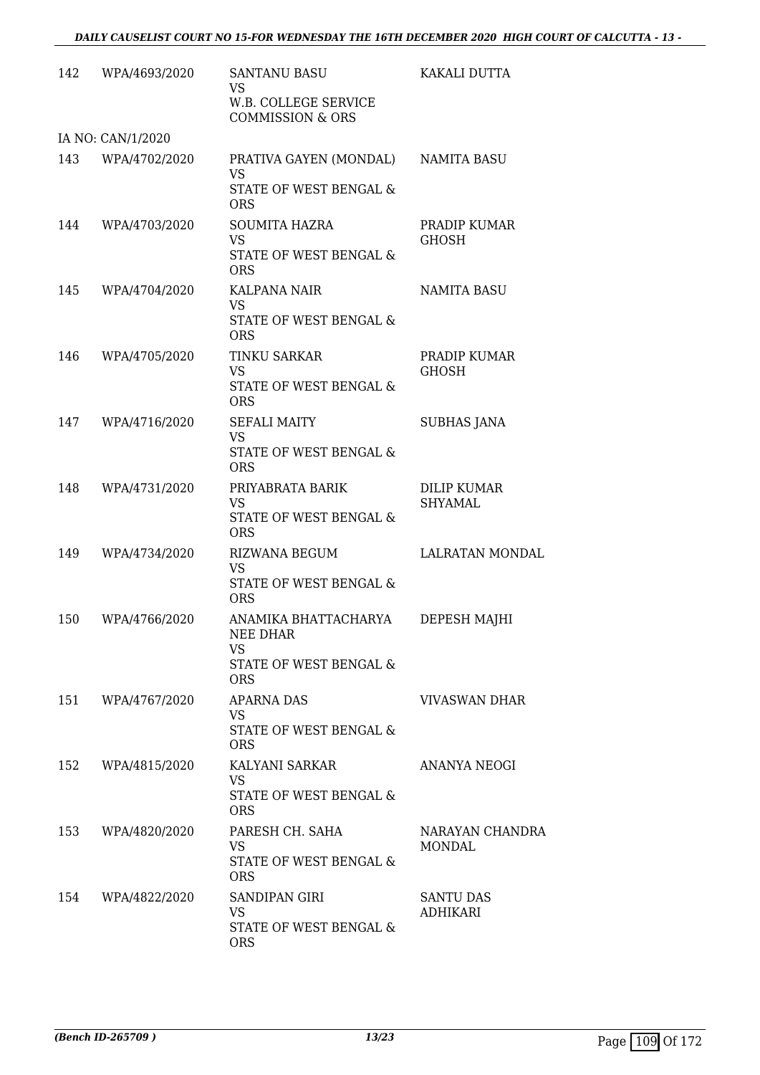| 142 | WPA/4693/2020                      | <b>SANTANU BASU</b><br><b>VS</b><br>W.B. COLLEGE SERVICE   | KAKALI DUTTA                 |
|-----|------------------------------------|------------------------------------------------------------|------------------------------|
|     |                                    | <b>COMMISSION &amp; ORS</b>                                |                              |
| 143 | IA NO: CAN/1/2020<br>WPA/4702/2020 | PRATIVA GAYEN (MONDAL)                                     | NAMITA BASU                  |
|     |                                    | <b>VS</b><br>STATE OF WEST BENGAL &<br><b>ORS</b>          |                              |
| 144 | WPA/4703/2020                      | <b>SOUMITA HAZRA</b><br><b>VS</b>                          | PRADIP KUMAR<br><b>GHOSH</b> |
|     |                                    | STATE OF WEST BENGAL &<br><b>ORS</b>                       |                              |
| 145 | WPA/4704/2020                      | KALPANA NAIR<br>VS<br>STATE OF WEST BENGAL &<br><b>ORS</b> | <b>NAMITA BASU</b>           |
| 146 | WPA/4705/2020                      | <b>TINKU SARKAR</b><br><b>VS</b>                           | PRADIP KUMAR<br><b>GHOSH</b> |
|     |                                    | STATE OF WEST BENGAL &<br><b>ORS</b>                       |                              |
| 147 | WPA/4716/2020                      | <b>SEFALI MAITY</b><br><b>VS</b><br>STATE OF WEST BENGAL & | <b>SUBHAS JANA</b>           |
|     |                                    | <b>ORS</b>                                                 |                              |
| 148 | WPA/4731/2020                      | PRIYABRATA BARIK<br>VS                                     | DILIP KUMAR<br>SHYAMAL       |
|     |                                    | STATE OF WEST BENGAL &<br><b>ORS</b>                       |                              |
| 149 | WPA/4734/2020                      | RIZWANA BEGUM<br><b>VS</b>                                 | <b>LALRATAN MONDAL</b>       |
|     |                                    | <b>STATE OF WEST BENGAL &amp;</b><br><b>ORS</b>            |                              |
| 150 | WPA/4766/2020                      | ANAMIKA BHATTACHARYA<br>NEE DHAR<br>VS                     | DEPESH MAJHI                 |
|     |                                    | STATE OF WEST BENGAL &<br><b>ORS</b>                       |                              |
| 151 | WPA/4767/2020                      | APARNA DAS<br>VS.                                          | <b>VIVASWAN DHAR</b>         |
|     |                                    | <b>STATE OF WEST BENGAL &amp;</b><br><b>ORS</b>            |                              |
| 152 | WPA/4815/2020                      | KALYANI SARKAR<br><b>VS</b>                                | ANANYA NEOGI                 |
|     |                                    | STATE OF WEST BENGAL &<br><b>ORS</b>                       |                              |
| 153 | WPA/4820/2020                      | PARESH CH. SAHA<br>VS                                      | NARAYAN CHANDRA<br>MONDAL    |
|     |                                    | STATE OF WEST BENGAL &<br><b>ORS</b>                       |                              |
| 154 | WPA/4822/2020                      | SANDIPAN GIRI<br>VS                                        | SANTU DAS<br><b>ADHIKARI</b> |
|     |                                    | STATE OF WEST BENGAL &<br><b>ORS</b>                       |                              |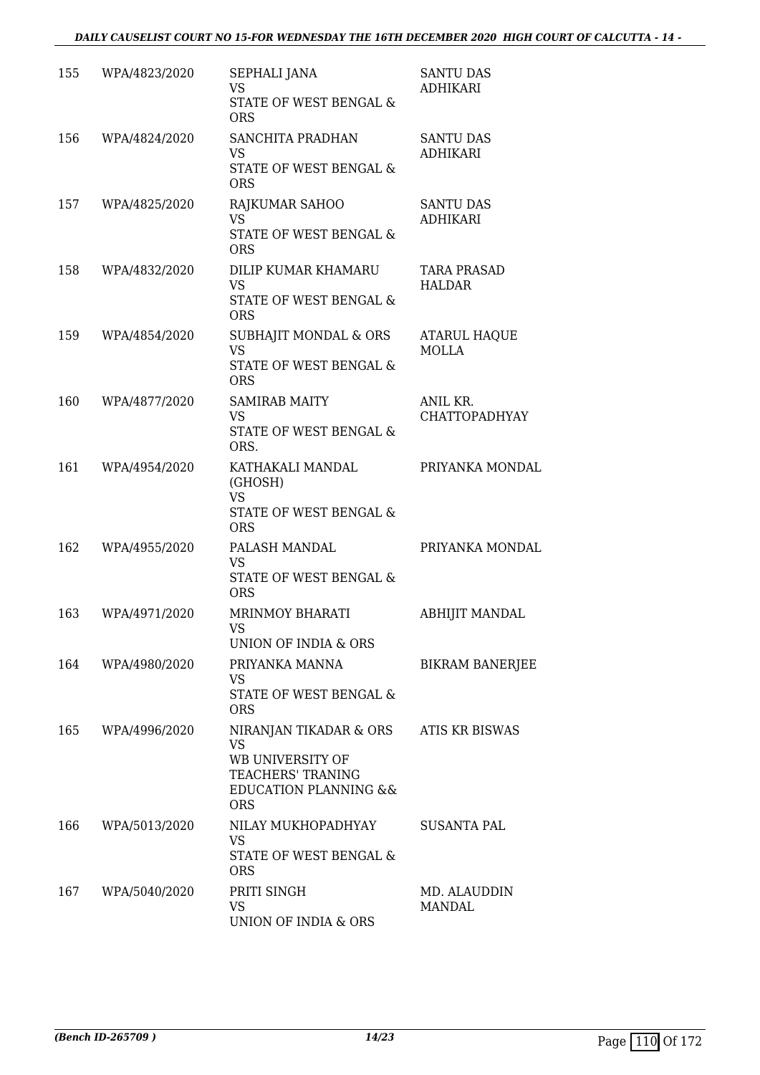| 155 | WPA/4823/2020 | SEPHALI JANA<br><b>VS</b><br>STATE OF WEST BENGAL &<br><b>ORS</b>                                                                         | <b>SANTU DAS</b><br>ADHIKARI        |
|-----|---------------|-------------------------------------------------------------------------------------------------------------------------------------------|-------------------------------------|
| 156 | WPA/4824/2020 | SANCHITA PRADHAN<br><b>VS</b><br>STATE OF WEST BENGAL &<br><b>ORS</b>                                                                     | <b>SANTU DAS</b><br><b>ADHIKARI</b> |
| 157 | WPA/4825/2020 | RAJKUMAR SAHOO<br><b>VS</b><br>STATE OF WEST BENGAL &<br><b>ORS</b>                                                                       | <b>SANTU DAS</b><br><b>ADHIKARI</b> |
| 158 | WPA/4832/2020 | DILIP KUMAR KHAMARU<br><b>VS</b><br>STATE OF WEST BENGAL &<br><b>ORS</b>                                                                  | <b>TARA PRASAD</b><br><b>HALDAR</b> |
| 159 | WPA/4854/2020 | SUBHAJIT MONDAL & ORS<br><b>VS</b><br>STATE OF WEST BENGAL &<br><b>ORS</b>                                                                | <b>ATARUL HAQUE</b><br><b>MOLLA</b> |
| 160 | WPA/4877/2020 | <b>SAMIRAB MAITY</b><br><b>VS</b><br>STATE OF WEST BENGAL &<br>ORS.                                                                       | ANIL KR.<br>CHATTOPADHYAY           |
| 161 | WPA/4954/2020 | KATHAKALI MANDAL<br>(GHOSH)<br><b>VS</b><br>STATE OF WEST BENGAL &<br><b>ORS</b>                                                          | PRIYANKA MONDAL                     |
| 162 | WPA/4955/2020 | PALASH MANDAL<br><b>VS</b><br>STATE OF WEST BENGAL &<br><b>ORS</b>                                                                        | PRIYANKA MONDAL                     |
| 163 | WPA/4971/2020 | <b>MRINMOY BHARATI</b><br>VS<br>UNION OF INDIA & ORS                                                                                      | <b>ABHIJIT MANDAL</b>               |
| 164 | WPA/4980/2020 | PRIYANKA MANNA<br>VS<br>STATE OF WEST BENGAL &<br><b>ORS</b>                                                                              | <b>BIKRAM BANERJEE</b>              |
| 165 | WPA/4996/2020 | NIRANJAN TIKADAR & ORS<br><b>VS</b><br>WB UNIVERSITY OF<br><b>TEACHERS' TRANING</b><br><b>EDUCATION PLANNING &amp;&amp;</b><br><b>ORS</b> | ATIS KR BISWAS                      |
| 166 | WPA/5013/2020 | NILAY MUKHOPADHYAY<br><b>VS</b><br>STATE OF WEST BENGAL &<br><b>ORS</b>                                                                   | SUSANTA PAL                         |
| 167 | WPA/5040/2020 | PRITI SINGH<br>VS<br>UNION OF INDIA & ORS                                                                                                 | MD. ALAUDDIN<br><b>MANDAL</b>       |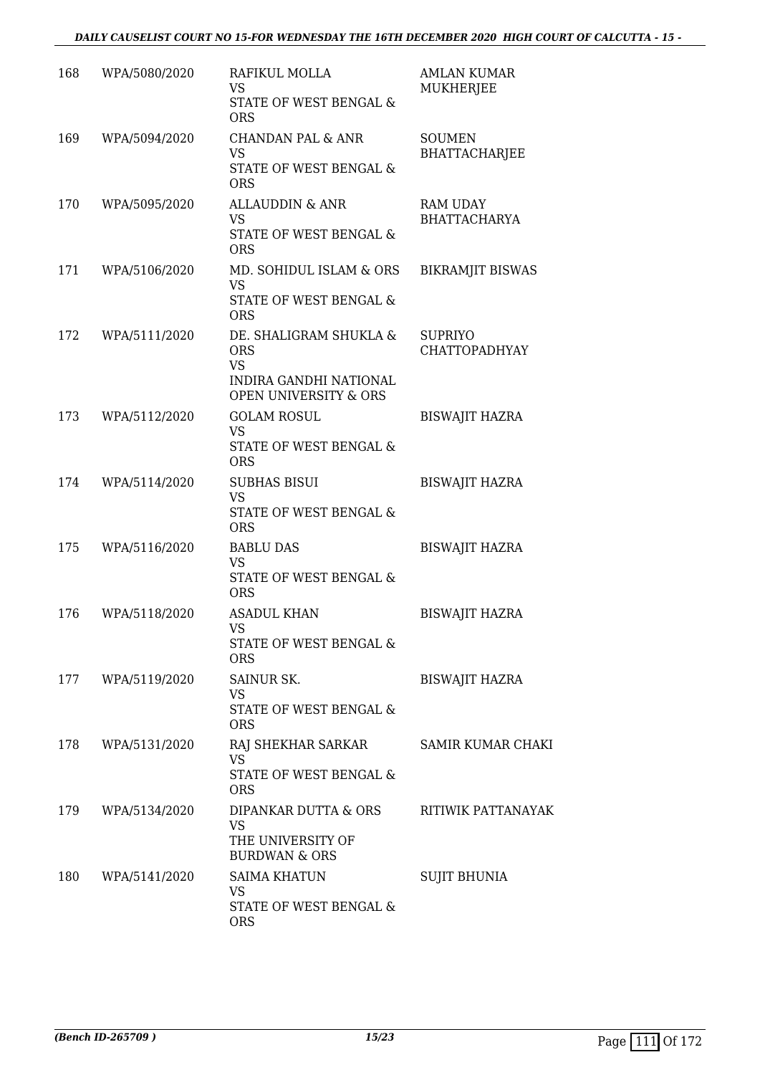| 168 | WPA/5080/2020 | RAFIKUL MOLLA<br>VS<br>STATE OF WEST BENGAL &<br><b>ORS</b>                                                            | <b>AMLAN KUMAR</b><br>MUKHERJEE        |
|-----|---------------|------------------------------------------------------------------------------------------------------------------------|----------------------------------------|
| 169 | WPA/5094/2020 | <b>CHANDAN PAL &amp; ANR</b><br>VS<br>STATE OF WEST BENGAL &<br><b>ORS</b>                                             | <b>SOUMEN</b><br><b>BHATTACHARJEE</b>  |
| 170 | WPA/5095/2020 | <b>ALLAUDDIN &amp; ANR</b><br><b>VS</b><br>STATE OF WEST BENGAL &<br><b>ORS</b>                                        | <b>RAM UDAY</b><br><b>BHATTACHARYA</b> |
| 171 | WPA/5106/2020 | MD. SOHIDUL ISLAM & ORS<br><b>VS</b><br>STATE OF WEST BENGAL &<br><b>ORS</b>                                           | <b>BIKRAMJIT BISWAS</b>                |
| 172 | WPA/5111/2020 | DE. SHALIGRAM SHUKLA &<br><b>ORS</b><br><b>VS</b><br><b>INDIRA GANDHI NATIONAL</b><br><b>OPEN UNIVERSITY &amp; ORS</b> | <b>SUPRIYO</b><br><b>CHATTOPADHYAY</b> |
| 173 | WPA/5112/2020 | <b>GOLAM ROSUL</b><br><b>VS</b><br>STATE OF WEST BENGAL &<br><b>ORS</b>                                                | <b>BISWAJIT HAZRA</b>                  |
| 174 | WPA/5114/2020 | <b>SUBHAS BISUI</b><br><b>VS</b><br>STATE OF WEST BENGAL &<br><b>ORS</b>                                               | <b>BISWAJIT HAZRA</b>                  |
| 175 | WPA/5116/2020 | <b>BABLU DAS</b><br><b>VS</b><br>STATE OF WEST BENGAL &<br><b>ORS</b>                                                  | <b>BISWAJIT HAZRA</b>                  |
| 176 | WPA/5118/2020 | <b>ASADUL KHAN</b><br>VS<br>STATE OF WEST BENGAL &<br><b>ORS</b>                                                       | <b>BISWAJIT HAZRA</b>                  |
| 177 | WPA/5119/2020 | SAINUR SK.<br>VS<br>STATE OF WEST BENGAL &<br><b>ORS</b>                                                               | <b>BISWAJIT HAZRA</b>                  |
| 178 | WPA/5131/2020 | RAJ SHEKHAR SARKAR<br><b>VS</b><br>STATE OF WEST BENGAL &<br><b>ORS</b>                                                | <b>SAMIR KUMAR CHAKI</b>               |
| 179 | WPA/5134/2020 | DIPANKAR DUTTA & ORS<br>VS<br>THE UNIVERSITY OF<br><b>BURDWAN &amp; ORS</b>                                            | RITIWIK PATTANAYAK                     |
| 180 | WPA/5141/2020 | <b>SAIMA KHATUN</b><br>VS<br>STATE OF WEST BENGAL &<br><b>ORS</b>                                                      | <b>SUJIT BHUNIA</b>                    |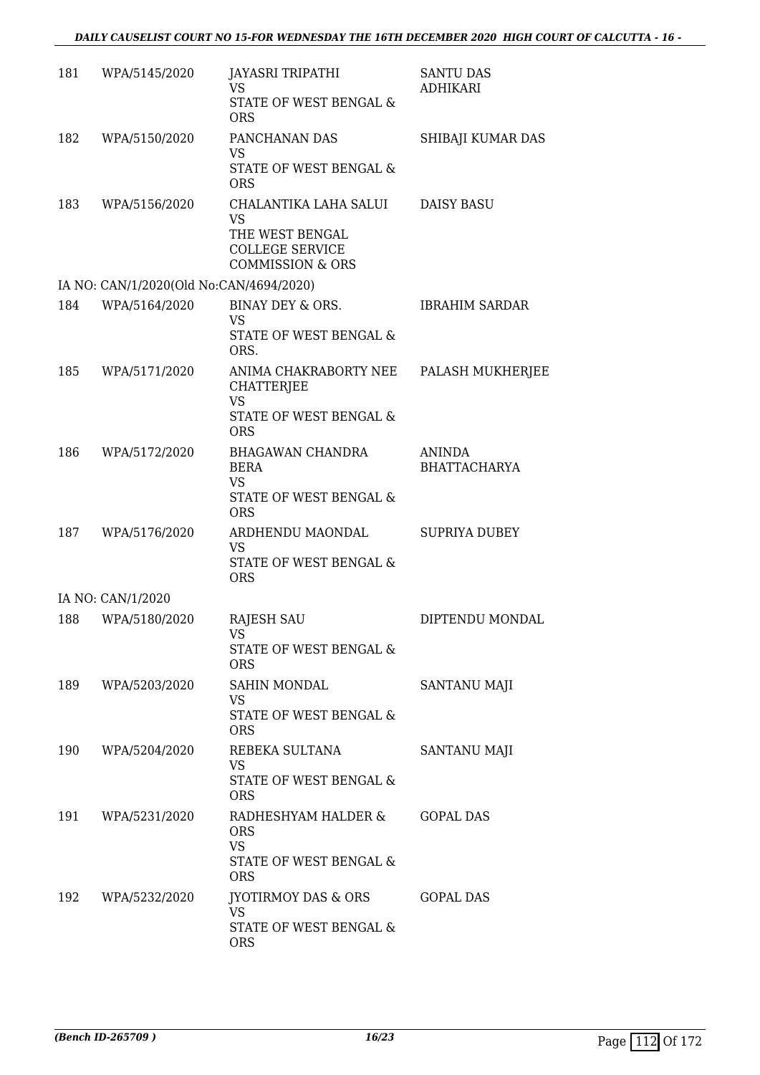| 181 | WPA/5145/2020                           | JAYASRI TRIPATHI<br>VS<br><b>STATE OF WEST BENGAL &amp;</b><br><b>ORS</b>                                      | <b>SANTU DAS</b><br><b>ADHIKARI</b>  |
|-----|-----------------------------------------|----------------------------------------------------------------------------------------------------------------|--------------------------------------|
| 182 | WPA/5150/2020                           | PANCHANAN DAS<br><b>VS</b><br>STATE OF WEST BENGAL &<br><b>ORS</b>                                             | SHIBAJI KUMAR DAS                    |
| 183 | WPA/5156/2020                           | CHALANTIKA LAHA SALUI<br><b>VS</b><br>THE WEST BENGAL<br><b>COLLEGE SERVICE</b><br><b>COMMISSION &amp; ORS</b> | <b>DAISY BASU</b>                    |
|     | IA NO: CAN/1/2020(Old No:CAN/4694/2020) |                                                                                                                |                                      |
| 184 | WPA/5164/2020                           | BINAY DEY & ORS.<br>VS<br>STATE OF WEST BENGAL &<br>ORS.                                                       | <b>IBRAHIM SARDAR</b>                |
| 185 | WPA/5171/2020                           | ANIMA CHAKRABORTY NEE<br>CHATTERJEE<br><b>VS</b><br><b>STATE OF WEST BENGAL &amp;</b><br><b>ORS</b>            | PALASH MUKHERJEE                     |
| 186 | WPA/5172/2020                           | BHAGAWAN CHANDRA<br><b>BERA</b><br>VS<br>STATE OF WEST BENGAL &<br><b>ORS</b>                                  | <b>ANINDA</b><br><b>BHATTACHARYA</b> |
| 187 | WPA/5176/2020                           | ARDHENDU MAONDAL<br><b>VS</b><br>STATE OF WEST BENGAL &<br><b>ORS</b>                                          | <b>SUPRIYA DUBEY</b>                 |
|     | IA NO: CAN/1/2020                       |                                                                                                                |                                      |
| 188 | WPA/5180/2020                           | <b>RAJESH SAU</b><br>VS<br>STATE OF WEST BENGAL &<br><b>ORS</b>                                                | DIPTENDU MONDAL                      |
| 189 | WPA/5203/2020                           | SAHIN MONDAL<br>VS.<br>STATE OF WEST BENGAL &<br><b>ORS</b>                                                    | SANTANU MAJI                         |
| 190 | WPA/5204/2020                           | REBEKA SULTANA<br>VS<br>STATE OF WEST BENGAL &<br><b>ORS</b>                                                   | SANTANU MAJI                         |
| 191 | WPA/5231/2020                           | RADHESHYAM HALDER &<br><b>ORS</b><br><b>VS</b><br>STATE OF WEST BENGAL &<br><b>ORS</b>                         | <b>GOPAL DAS</b>                     |
| 192 | WPA/5232/2020                           | JYOTIRMOY DAS & ORS<br>VS.<br>STATE OF WEST BENGAL &<br><b>ORS</b>                                             | <b>GOPAL DAS</b>                     |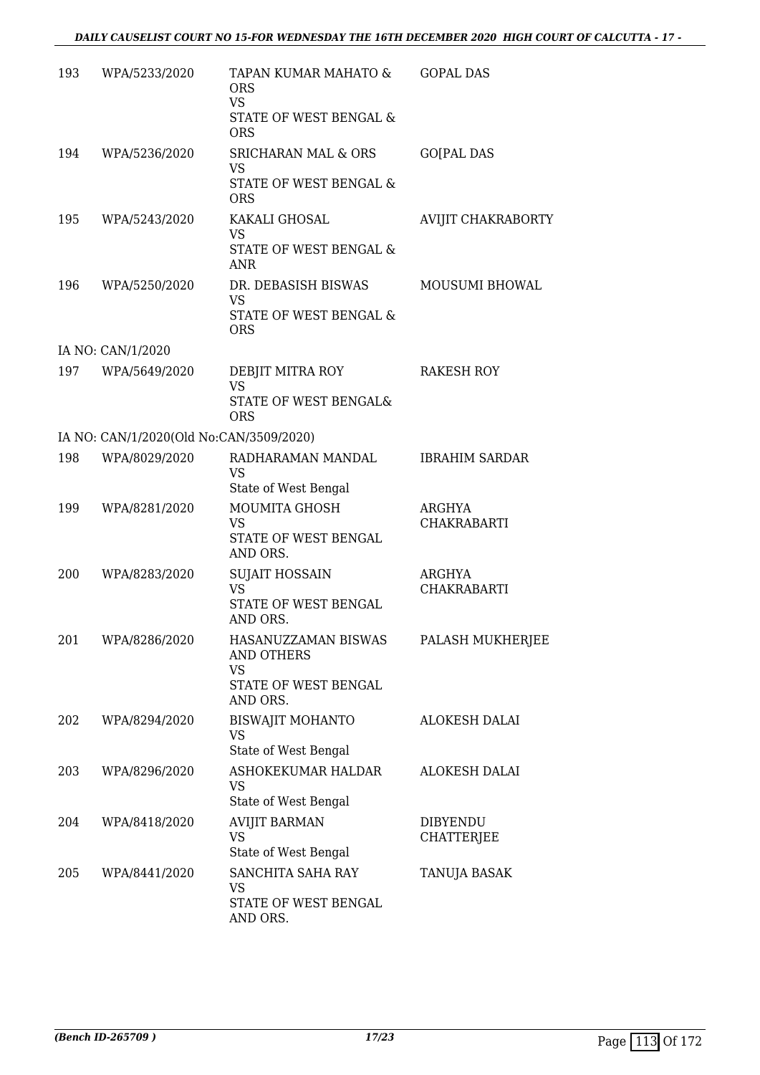| 193 | WPA/5233/2020                           | TAPAN KUMAR MAHATO &<br><b>ORS</b><br><b>VS</b><br>STATE OF WEST BENGAL &<br><b>ORS</b> | <b>GOPAL DAS</b>                     |
|-----|-----------------------------------------|-----------------------------------------------------------------------------------------|--------------------------------------|
| 194 | WPA/5236/2020                           | <b>SRICHARAN MAL &amp; ORS</b><br><b>VS</b><br>STATE OF WEST BENGAL &<br><b>ORS</b>     | <b>GO[PAL DAS</b>                    |
| 195 | WPA/5243/2020                           | KAKALI GHOSAL<br><b>VS</b><br>STATE OF WEST BENGAL &<br><b>ANR</b>                      | <b>AVIJIT CHAKRABORTY</b>            |
| 196 | WPA/5250/2020                           | DR. DEBASISH BISWAS<br><b>VS</b><br>STATE OF WEST BENGAL &<br><b>ORS</b>                | MOUSUMI BHOWAL                       |
|     | IA NO: CAN/1/2020                       |                                                                                         |                                      |
| 197 | WPA/5649/2020                           | DEBJIT MITRA ROY<br>VS<br>STATE OF WEST BENGAL&<br><b>ORS</b>                           | <b>RAKESH ROY</b>                    |
|     | IA NO: CAN/1/2020(Old No:CAN/3509/2020) |                                                                                         |                                      |
| 198 | WPA/8029/2020                           | RADHARAMAN MANDAL<br>VS<br>State of West Bengal                                         | <b>IBRAHIM SARDAR</b>                |
| 199 | WPA/8281/2020                           | <b>MOUMITA GHOSH</b><br><b>VS</b><br>STATE OF WEST BENGAL<br>AND ORS.                   | ARGHYA<br><b>CHAKRABARTI</b>         |
| 200 | WPA/8283/2020                           | <b>SUJAIT HOSSAIN</b><br><b>VS</b><br>STATE OF WEST BENGAL<br>AND ORS.                  | ARGHYA<br><b>CHAKRABARTI</b>         |
| 201 | WPA/8286/2020                           | HASANUZZAMAN BISWAS<br><b>AND OTHERS</b><br>VS<br>STATE OF WEST BENGAL                  | PALASH MUKHERJEE                     |
| 202 | WPA/8294/2020                           | AND ORS.<br>BISWAJIT MOHANTO<br><b>VS</b><br>State of West Bengal                       | ALOKESH DALAI                        |
| 203 | WPA/8296/2020                           | ASHOKEKUMAR HALDAR<br>VS.<br>State of West Bengal                                       | <b>ALOKESH DALAI</b>                 |
| 204 | WPA/8418/2020                           | <b>AVIJIT BARMAN</b><br><b>VS</b><br>State of West Bengal                               | <b>DIBYENDU</b><br><b>CHATTERJEE</b> |
| 205 | WPA/8441/2020                           | SANCHITA SAHA RAY<br>VS<br>STATE OF WEST BENGAL<br>AND ORS.                             | TANUJA BASAK                         |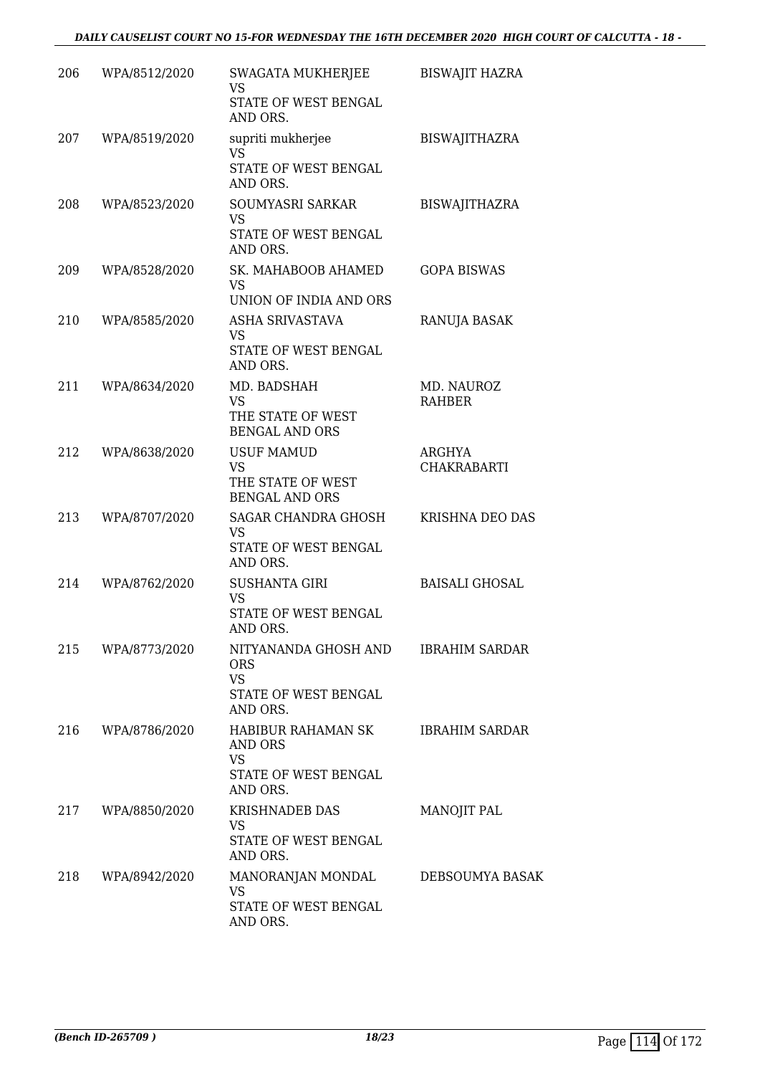| 206 | WPA/8512/2020 | SWAGATA MUKHERJEE<br><b>VS</b>                                               | <b>BISWAJIT HAZRA</b>        |
|-----|---------------|------------------------------------------------------------------------------|------------------------------|
|     |               | STATE OF WEST BENGAL<br>AND ORS.                                             |                              |
| 207 | WPA/8519/2020 | supriti mukherjee<br><b>VS</b><br>STATE OF WEST BENGAL                       | <b>BISWAJITHAZRA</b>         |
|     |               | AND ORS.                                                                     |                              |
| 208 | WPA/8523/2020 | SOUMYASRI SARKAR<br><b>VS</b><br>STATE OF WEST BENGAL                        | <b>BISWAJITHAZRA</b>         |
|     |               | AND ORS.                                                                     |                              |
| 209 | WPA/8528/2020 | SK. MAHABOOB AHAMED<br><b>VS</b><br>UNION OF INDIA AND ORS                   | <b>GOPA BISWAS</b>           |
| 210 | WPA/8585/2020 | ASHA SRIVASTAVA                                                              | RANUJA BASAK                 |
|     |               | <b>VS</b><br>STATE OF WEST BENGAL<br>AND ORS.                                |                              |
| 211 | WPA/8634/2020 | MD. BADSHAH<br><b>VS</b>                                                     | MD. NAUROZ<br><b>RAHBER</b>  |
|     |               | THE STATE OF WEST<br><b>BENGAL AND ORS</b>                                   |                              |
| 212 | WPA/8638/2020 | <b>USUF MAMUD</b><br><b>VS</b><br>THE STATE OF WEST<br><b>BENGAL AND ORS</b> | ARGHYA<br><b>CHAKRABARTI</b> |
| 213 | WPA/8707/2020 | SAGAR CHANDRA GHOSH<br><b>VS</b><br>STATE OF WEST BENGAL<br>AND ORS.         | KRISHNA DEO DAS              |
| 214 | WPA/8762/2020 | <b>SUSHANTA GIRI</b>                                                         | <b>BAISALI GHOSAL</b>        |
|     |               | <b>VS</b><br>STATE OF WEST BENGAL<br>AND ORS                                 |                              |
| 215 | WPA/8773/2020 | NITYANANDA GHOSH AND<br><b>ORS</b><br><b>VS</b>                              | <b>IBRAHIM SARDAR</b>        |
|     |               | STATE OF WEST BENGAL<br>AND ORS.                                             |                              |
| 216 | WPA/8786/2020 | HABIBUR RAHAMAN SK<br>AND ORS<br><b>VS</b><br>STATE OF WEST BENGAL           | <b>IBRAHIM SARDAR</b>        |
| 217 | WPA/8850/2020 | AND ORS.<br><b>KRISHNADEB DAS</b>                                            |                              |
|     |               | <b>VS</b><br>STATE OF WEST BENGAL<br>AND ORS.                                | MANOJIT PAL                  |
| 218 | WPA/8942/2020 | MANORANJAN MONDAL<br>VS                                                      | DEBSOUMYA BASAK              |
|     |               | STATE OF WEST BENGAL<br>AND ORS.                                             |                              |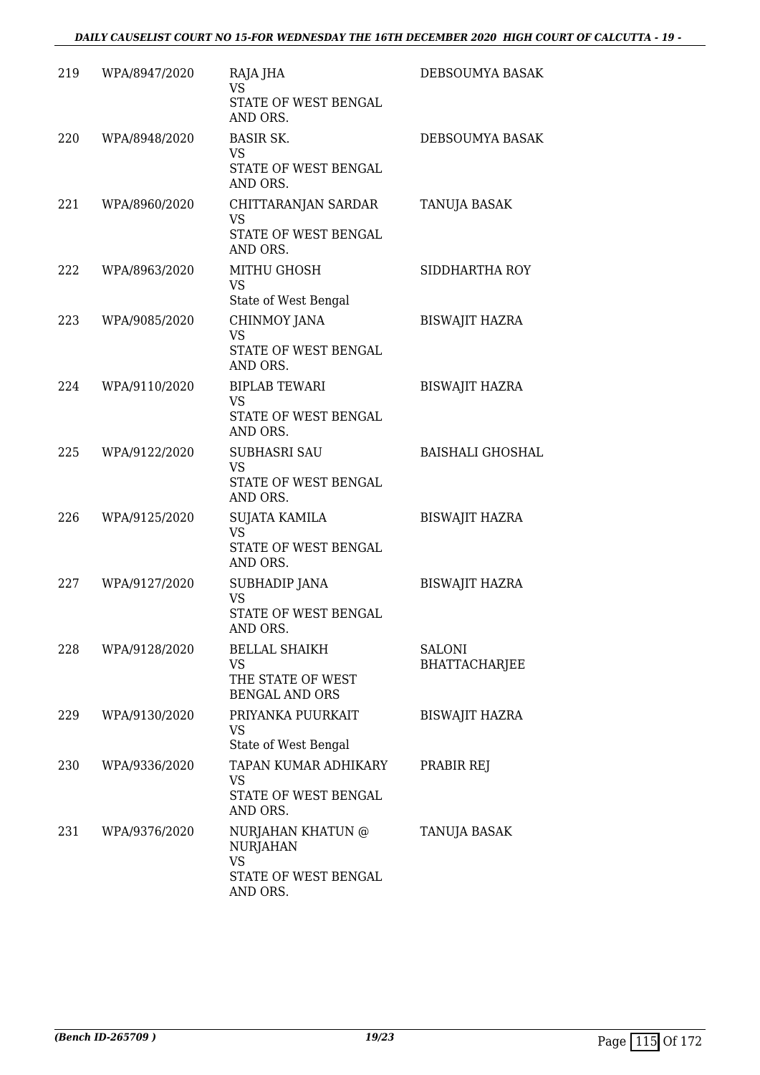| 219 | WPA/8947/2020 | RAJA JHA<br><b>VS</b>                                                    | DEBSOUMYA BASAK                |
|-----|---------------|--------------------------------------------------------------------------|--------------------------------|
|     |               | STATE OF WEST BENGAL<br>AND ORS.                                         |                                |
| 220 | WPA/8948/2020 | <b>BASIR SK.</b><br>VS                                                   | DEBSOUMYA BASAK                |
|     |               | STATE OF WEST BENGAL<br>AND ORS.                                         |                                |
| 221 | WPA/8960/2020 | CHITTARANJAN SARDAR<br><b>VS</b><br>STATE OF WEST BENGAL<br>AND ORS.     | TANUJA BASAK                   |
| 222 | WPA/8963/2020 | <b>MITHU GHOSH</b><br><b>VS</b><br>State of West Bengal                  | SIDDHARTHA ROY                 |
| 223 | WPA/9085/2020 | CHINMOY JANA<br><b>VS</b>                                                | <b>BISWAJIT HAZRA</b>          |
|     |               | STATE OF WEST BENGAL<br>AND ORS.                                         |                                |
| 224 | WPA/9110/2020 | <b>BIPLAB TEWARI</b><br><b>VS</b><br>STATE OF WEST BENGAL                | <b>BISWAJIT HAZRA</b>          |
| 225 | WPA/9122/2020 | AND ORS.<br><b>SUBHASRI SAU</b>                                          | <b>BAISHALI GHOSHAL</b>        |
|     |               | <b>VS</b><br>STATE OF WEST BENGAL<br>AND ORS.                            |                                |
| 226 | WPA/9125/2020 | SUJATA KAMILA<br><b>VS</b><br>STATE OF WEST BENGAL<br>AND ORS.           | <b>BISWAJIT HAZRA</b>          |
| 227 | WPA/9127/2020 | SUBHADIP JANA<br><b>VS</b><br>STATE OF WEST BENGAL<br>AND ORS.           | <b>BISWAJIT HAZRA</b>          |
| 228 | WPA/9128/2020 | <b>BELLAL SHAIKH</b><br>VS<br>THE STATE OF WEST<br><b>BENGAL AND ORS</b> | SALONI<br><b>BHATTACHARJEE</b> |
| 229 | WPA/9130/2020 | PRIYANKA PUURKAIT<br><b>VS</b><br>State of West Bengal                   | <b>BISWAJIT HAZRA</b>          |
| 230 | WPA/9336/2020 | TAPAN KUMAR ADHIKARY<br><b>VS</b><br>STATE OF WEST BENGAL<br>AND ORS.    | PRABIR REJ                     |
| 231 | WPA/9376/2020 | NURJAHAN KHATUN @<br><b>NURJAHAN</b><br><b>VS</b>                        | TANUJA BASAK                   |
|     |               | STATE OF WEST BENGAL<br>AND ORS.                                         |                                |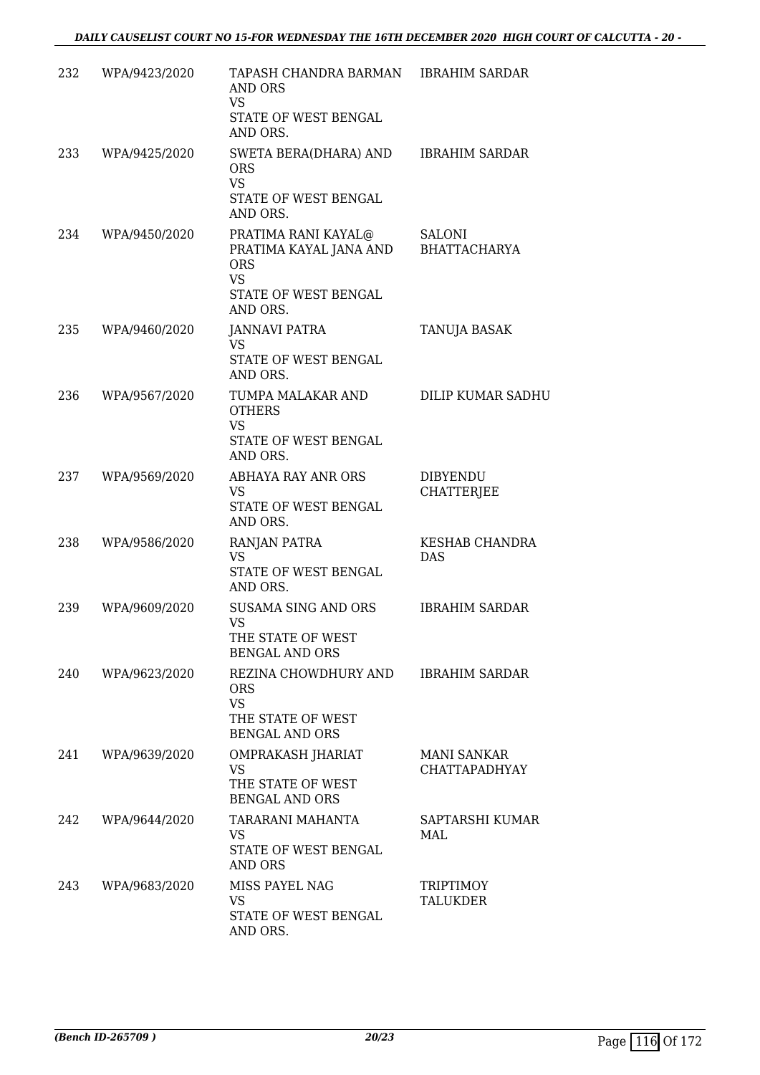| 232 | WPA/9423/2020 | TAPASH CHANDRA BARMAN<br><b>AND ORS</b><br>VS<br>STATE OF WEST BENGAL<br>AND ORS.                     | <b>IBRAHIM SARDAR</b>                      |
|-----|---------------|-------------------------------------------------------------------------------------------------------|--------------------------------------------|
| 233 | WPA/9425/2020 | SWETA BERA(DHARA) AND<br><b>ORS</b><br><b>VS</b><br>STATE OF WEST BENGAL<br>AND ORS.                  | <b>IBRAHIM SARDAR</b>                      |
| 234 | WPA/9450/2020 | PRATIMA RANI KAYAL@<br>PRATIMA KAYAL JANA AND<br><b>ORS</b><br>VS<br>STATE OF WEST BENGAL<br>AND ORS. | SALONI<br><b>BHATTACHARYA</b>              |
| 235 | WPA/9460/2020 | JANNAVI PATRA<br><b>VS</b><br>STATE OF WEST BENGAL<br>AND ORS.                                        | TANUJA BASAK                               |
| 236 | WPA/9567/2020 | TUMPA MALAKAR AND<br><b>OTHERS</b><br><b>VS</b><br>STATE OF WEST BENGAL<br>AND ORS.                   | DILIP KUMAR SADHU                          |
| 237 | WPA/9569/2020 | ABHAYA RAY ANR ORS<br>VS<br>STATE OF WEST BENGAL<br>AND ORS.                                          | <b>DIBYENDU</b><br><b>CHATTERJEE</b>       |
| 238 | WPA/9586/2020 | RANJAN PATRA<br><b>VS</b><br>STATE OF WEST BENGAL<br>AND ORS.                                         | <b>KESHAB CHANDRA</b><br><b>DAS</b>        |
| 239 | WPA/9609/2020 | <b>SUSAMA SING AND ORS</b><br>VS<br>THE STATE OF WEST<br><b>BENGAL AND ORS</b>                        | <b>IBRAHIM SARDAR</b>                      |
| 240 | WPA/9623/2020 | REZINA CHOWDHURY AND<br><b>ORS</b><br><b>VS</b><br>THE STATE OF WEST<br><b>BENGAL AND ORS</b>         | <b>IBRAHIM SARDAR</b>                      |
| 241 | WPA/9639/2020 | OMPRAKASH JHARIAT<br>VS<br>THE STATE OF WEST<br><b>BENGAL AND ORS</b>                                 | <b>MANI SANKAR</b><br><b>CHATTAPADHYAY</b> |
| 242 | WPA/9644/2020 | TARARANI MAHANTA<br>VS<br>STATE OF WEST BENGAL<br>AND ORS                                             | SAPTARSHI KUMAR<br>MAL                     |
| 243 | WPA/9683/2020 | MISS PAYEL NAG<br><b>VS</b><br>STATE OF WEST BENGAL<br>AND ORS.                                       | <b>TRIPTIMOY</b><br><b>TALUKDER</b>        |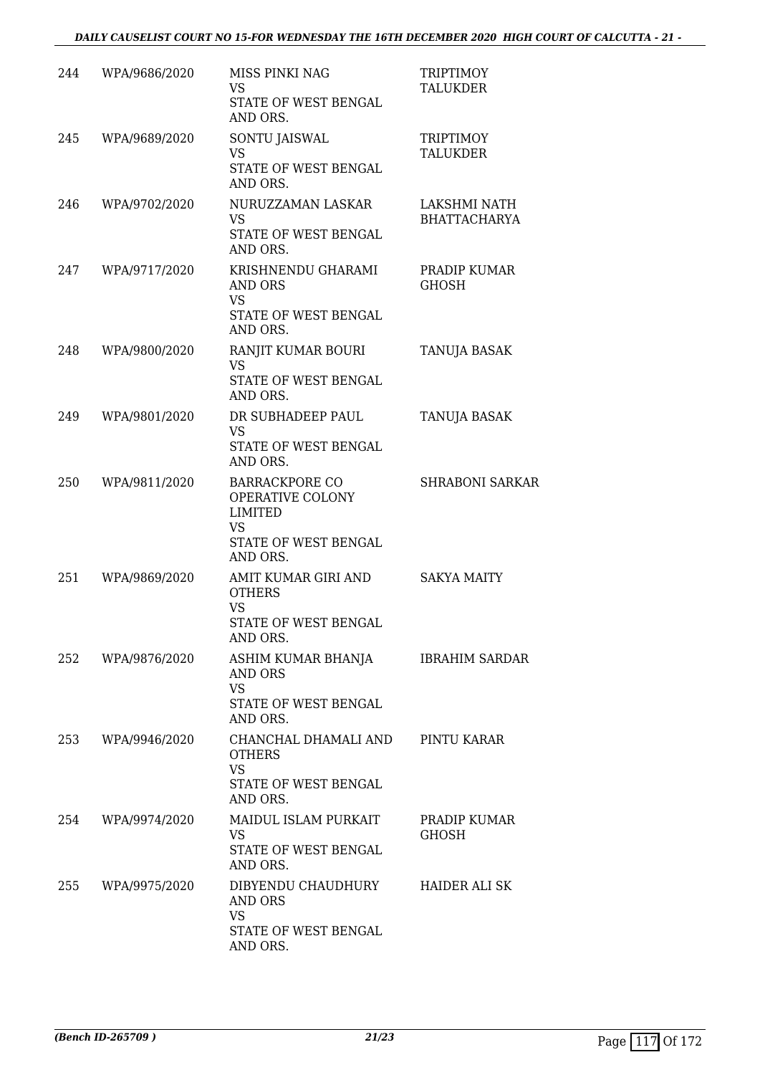| 244 | WPA/9686/2020 | MISS PINKI NAG<br>VS<br>STATE OF WEST BENGAL<br>AND ORS.                                              | <b>TRIPTIMOY</b><br><b>TALUKDER</b> |
|-----|---------------|-------------------------------------------------------------------------------------------------------|-------------------------------------|
| 245 | WPA/9689/2020 | SONTU JAISWAL<br><b>VS</b><br>STATE OF WEST BENGAL<br>AND ORS.                                        | <b>TRIPTIMOY</b><br><b>TALUKDER</b> |
| 246 | WPA/9702/2020 | NURUZZAMAN LASKAR<br><b>VS</b><br>STATE OF WEST BENGAL<br>AND ORS.                                    | LAKSHMI NATH<br><b>BHATTACHARYA</b> |
| 247 | WPA/9717/2020 | KRISHNENDU GHARAMI<br>AND ORS<br><b>VS</b><br>STATE OF WEST BENGAL<br>AND ORS.                        | PRADIP KUMAR<br><b>GHOSH</b>        |
| 248 | WPA/9800/2020 | RANJIT KUMAR BOURI<br><b>VS</b><br>STATE OF WEST BENGAL<br>AND ORS.                                   | TANUJA BASAK                        |
| 249 | WPA/9801/2020 | DR SUBHADEEP PAUL<br><b>VS</b><br>STATE OF WEST BENGAL<br>AND ORS.                                    | <b>TANUJA BASAK</b>                 |
| 250 | WPA/9811/2020 | <b>BARRACKPORE CO</b><br>OPERATIVE COLONY<br>LIMITED<br><b>VS</b><br>STATE OF WEST BENGAL<br>AND ORS. | <b>SHRABONI SARKAR</b>              |
| 251 | WPA/9869/2020 | AMIT KUMAR GIRI AND<br><b>OTHERS</b><br><b>VS</b><br><b>STATE OF WEST BENGAL</b><br>AND ORS.          | <b>SAKYA MAITY</b>                  |
| 252 | WPA/9876/2020 | ASHIM KUMAR BHANJA<br>AND ORS<br><b>VS</b><br>STATE OF WEST BENGAL<br>AND ORS.                        | <b>IBRAHIM SARDAR</b>               |
| 253 | WPA/9946/2020 | CHANCHAL DHAMALI AND<br><b>OTHERS</b><br><b>VS</b><br>STATE OF WEST BENGAL<br>AND ORS.                | PINTU KARAR                         |
| 254 | WPA/9974/2020 | <b>MAIDUL ISLAM PURKAIT</b><br><b>VS</b><br>STATE OF WEST BENGAL<br>AND ORS.                          | PRADIP KUMAR<br><b>GHOSH</b>        |
| 255 | WPA/9975/2020 | DIBYENDU CHAUDHURY<br>AND ORS<br><b>VS</b><br>STATE OF WEST BENGAL<br>AND ORS.                        | HAIDER ALI SK                       |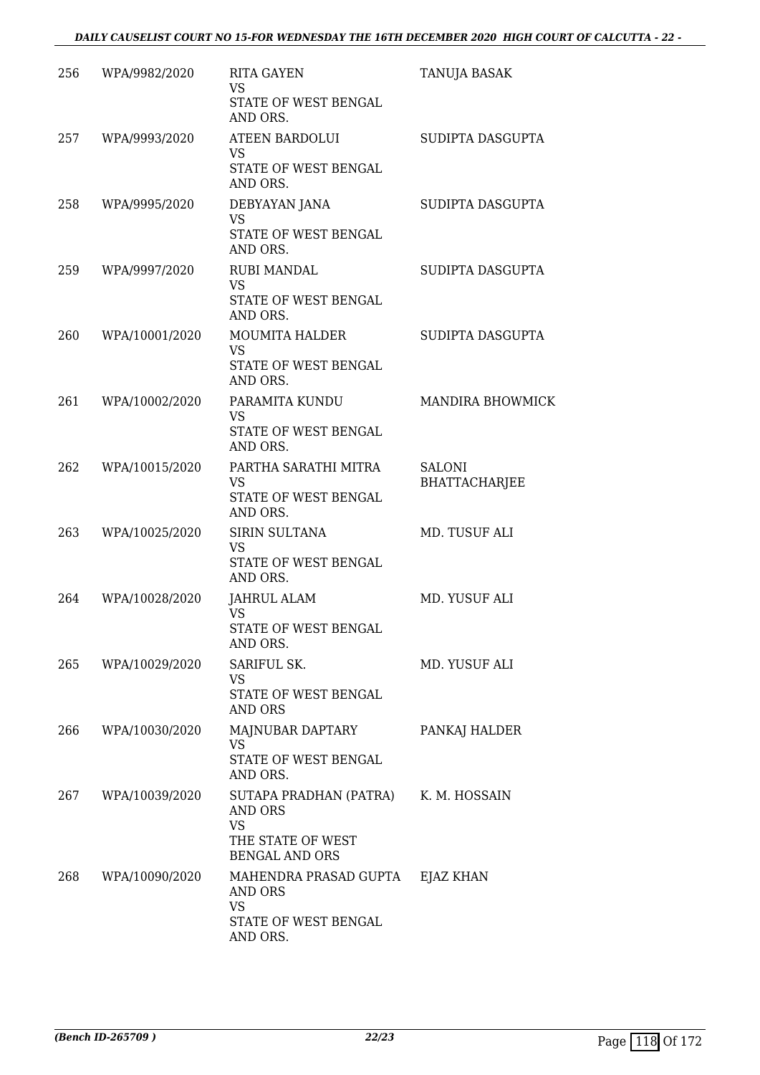| 256 | WPA/9982/2020      | <b>RITA GAYEN</b><br><b>VS</b><br>STATE OF WEST BENGAL<br>AND ORS.                                         | TANUJA BASAK                          |
|-----|--------------------|------------------------------------------------------------------------------------------------------------|---------------------------------------|
| 257 | WPA/9993/2020      | <b>ATEEN BARDOLUI</b><br><b>VS</b><br>STATE OF WEST BENGAL<br>AND ORS.                                     | SUDIPTA DASGUPTA                      |
| 258 | WPA/9995/2020      | DEBYAYAN JANA<br><b>VS</b><br>STATE OF WEST BENGAL<br>AND ORS.                                             | SUDIPTA DASGUPTA                      |
| 259 | WPA/9997/2020      | <b>RUBI MANDAL</b><br><b>VS</b><br>STATE OF WEST BENGAL<br>AND ORS.                                        | SUDIPTA DASGUPTA                      |
| 260 | WPA/10001/2020     | <b>MOUMITA HALDER</b><br><b>VS</b><br>STATE OF WEST BENGAL<br>AND ORS.                                     | SUDIPTA DASGUPTA                      |
| 261 | WPA/10002/2020     | PARAMITA KUNDU<br><b>VS</b><br>STATE OF WEST BENGAL<br>AND ORS.                                            | <b>MANDIRA BHOWMICK</b>               |
| 262 | WPA/10015/2020     | PARTHA SARATHI MITRA<br><b>VS</b><br>STATE OF WEST BENGAL<br>AND ORS.                                      | <b>SALONI</b><br><b>BHATTACHARJEE</b> |
| 263 | WPA/10025/2020     | SIRIN SULTANA<br><b>VS</b><br>STATE OF WEST BENGAL<br>AND ORS.                                             | MD. TUSUF ALI                         |
| 264 | WPA/10028/2020     | JAHRUL ALAM<br><b>VS</b><br>STATE OF WEST BENGAL<br>AND ORS.                                               | MD. YUSUF ALI                         |
| 265 | WPA/10029/2020     | SARIFUL SK.<br>VS<br>STATE OF WEST BENGAL<br>AND ORS                                                       | MD. YUSUF ALI                         |
| 266 | WPA/10030/2020     | MAJNUBAR DAPTARY<br><b>VS</b><br>STATE OF WEST BENGAL<br>AND ORS.                                          | PANKAJ HALDER                         |
|     | 267 WPA/10039/2020 | SUTAPA PRADHAN (PATRA) K. M. HOSSAIN<br>AND ORS<br><b>VS</b><br>THE STATE OF WEST<br><b>BENGAL AND ORS</b> |                                       |
| 268 | WPA/10090/2020     | MAHENDRA PRASAD GUPTA EJAZ KHAN<br>AND ORS<br>VS<br>STATE OF WEST BENGAL<br>AND ORS.                       |                                       |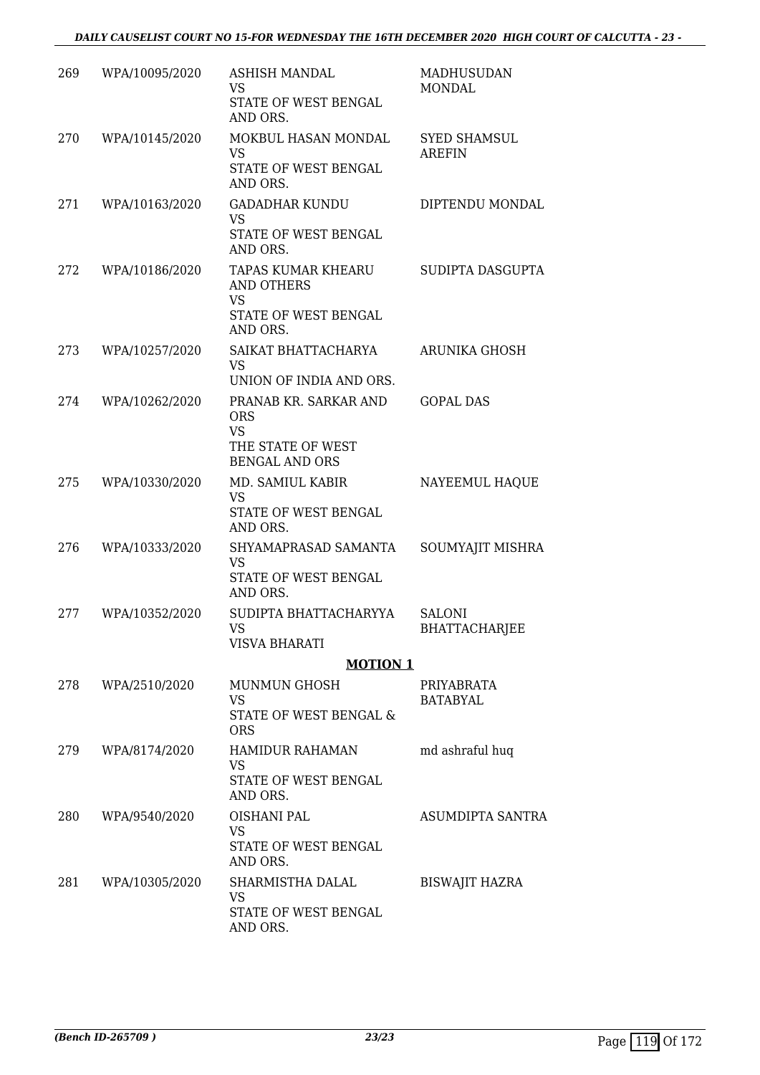| 269 | WPA/10095/2020 | <b>ASHISH MANDAL</b><br>VS<br>STATE OF WEST BENGAL<br>AND ORS.                                 | MADHUSUDAN<br><b>MONDAL</b>           |
|-----|----------------|------------------------------------------------------------------------------------------------|---------------------------------------|
| 270 | WPA/10145/2020 | MOKBUL HASAN MONDAL<br><b>VS</b><br>STATE OF WEST BENGAL<br>AND ORS.                           | <b>SYED SHAMSUL</b><br><b>AREFIN</b>  |
| 271 | WPA/10163/2020 | <b>GADADHAR KUNDU</b><br><b>VS</b><br>STATE OF WEST BENGAL<br>AND ORS.                         | DIPTENDU MONDAL                       |
| 272 | WPA/10186/2020 | TAPAS KUMAR KHEARU<br>AND OTHERS<br><b>VS</b><br>STATE OF WEST BENGAL<br>AND ORS.              | SUDIPTA DASGUPTA                      |
| 273 | WPA/10257/2020 | SAIKAT BHATTACHARYA<br><b>VS</b><br>UNION OF INDIA AND ORS.                                    | ARUNIKA GHOSH                         |
| 274 | WPA/10262/2020 | PRANAB KR. SARKAR AND<br><b>ORS</b><br><b>VS</b><br>THE STATE OF WEST<br><b>BENGAL AND ORS</b> | <b>GOPAL DAS</b>                      |
| 275 | WPA/10330/2020 | MD. SAMIUL KABIR<br>VS<br>STATE OF WEST BENGAL<br>AND ORS.                                     | NAYEEMUL HAQUE                        |
| 276 | WPA/10333/2020 | SHYAMAPRASAD SAMANTA<br><b>VS</b><br>STATE OF WEST BENGAL<br>AND ORS.                          | SOUMYAJIT MISHRA                      |
| 277 | WPA/10352/2020 | SUDIPTA BHATTACHARYYA<br>VS.<br><b>VISVA BHARATI</b>                                           | <b>SALONI</b><br><b>BHATTACHARJEE</b> |
|     |                | <b>MOTION 1</b>                                                                                |                                       |
| 278 | WPA/2510/2020  | <b>MUNMUN GHOSH</b><br>VS<br>STATE OF WEST BENGAL &<br><b>ORS</b>                              | PRIYABRATA<br><b>BATABYAL</b>         |
| 279 | WPA/8174/2020  | HAMIDUR RAHAMAN<br>VS<br>STATE OF WEST BENGAL<br>AND ORS.                                      | md ashraful huq                       |
| 280 | WPA/9540/2020  | <b>OISHANI PAL</b><br><b>VS</b><br>STATE OF WEST BENGAL<br>AND ORS.                            | ASUMDIPTA SANTRA                      |
| 281 | WPA/10305/2020 | SHARMISTHA DALAL<br>VS<br>STATE OF WEST BENGAL<br>AND ORS.                                     | <b>BISWAJIT HAZRA</b>                 |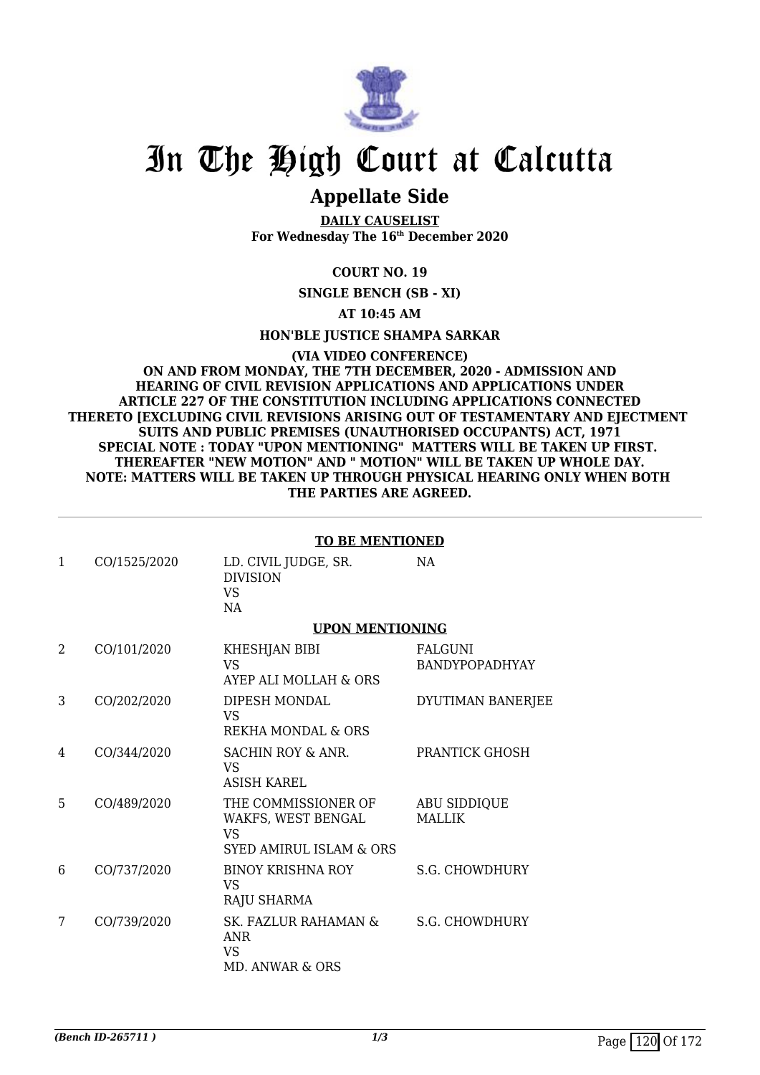

## **Appellate Side**

**DAILY CAUSELIST For Wednesday The 16th December 2020**

#### **COURT NO. 19**

**SINGLE BENCH (SB - XI)**

#### **AT 10:45 AM**

**HON'BLE JUSTICE SHAMPA SARKAR**

#### **(VIA VIDEO CONFERENCE) ON AND FROM MONDAY, THE 7TH DECEMBER, 2020 - ADMISSION AND HEARING OF CIVIL REVISION APPLICATIONS AND APPLICATIONS UNDER ARTICLE 227 OF THE CONSTITUTION INCLUDING APPLICATIONS CONNECTED THERETO [EXCLUDING CIVIL REVISIONS ARISING OUT OF TESTAMENTARY AND EJECTMENT SUITS AND PUBLIC PREMISES (UNAUTHORISED OCCUPANTS) ACT, 1971 SPECIAL NOTE : TODAY "UPON MENTIONING" MATTERS WILL BE TAKEN UP FIRST. THEREAFTER "NEW MOTION" AND " MOTION" WILL BE TAKEN UP WHOLE DAY. NOTE: MATTERS WILL BE TAKEN UP THROUGH PHYSICAL HEARING ONLY WHEN BOTH THE PARTIES ARE AGREED.**

|  | <b>TO BE MENTIONED</b> |  |
|--|------------------------|--|
|  |                        |  |

| $\mathbf{1}$   | CO/1525/2020 | LD. CIVIL JUDGE, SR.<br><b>DIVISION</b><br><b>VS</b><br>NA                                   | NA                               |
|----------------|--------------|----------------------------------------------------------------------------------------------|----------------------------------|
|                |              | <b>UPON MENTIONING</b>                                                                       |                                  |
| $\overline{2}$ | CO/101/2020  | KHESHJAN BIBI<br><b>VS</b><br>AYEP ALI MOLLAH & ORS                                          | <b>FALGUNI</b><br>BANDYPOPADHYAY |
| 3              | CO/202/2020  | DIPESH MONDAL<br><b>VS</b><br><b>REKHA MONDAL &amp; ORS</b>                                  | DYUTIMAN BANERJEE                |
| 4              | CO/344/2020  | <b>SACHIN ROY &amp; ANR.</b><br>VS<br><b>ASISH KAREL</b>                                     | PRANTICK GHOSH                   |
| 5              | CO/489/2020  | THE COMMISSIONER OF<br>WAKFS, WEST BENGAL<br><b>VS</b><br><b>SYED AMIRUL ISLAM &amp; ORS</b> | ABU SIDDIQUE<br><b>MALLIK</b>    |
| 6              | CO/737/2020  | <b>BINOY KRISHNA ROY</b><br><b>VS</b><br>RAJU SHARMA                                         | <b>S.G. CHOWDHURY</b>            |
| 7              | CO/739/2020  | SK. FAZLUR RAHAMAN &<br><b>ANR</b><br>VS<br><b>MD. ANWAR &amp; ORS</b>                       | <b>S.G. CHOWDHURY</b>            |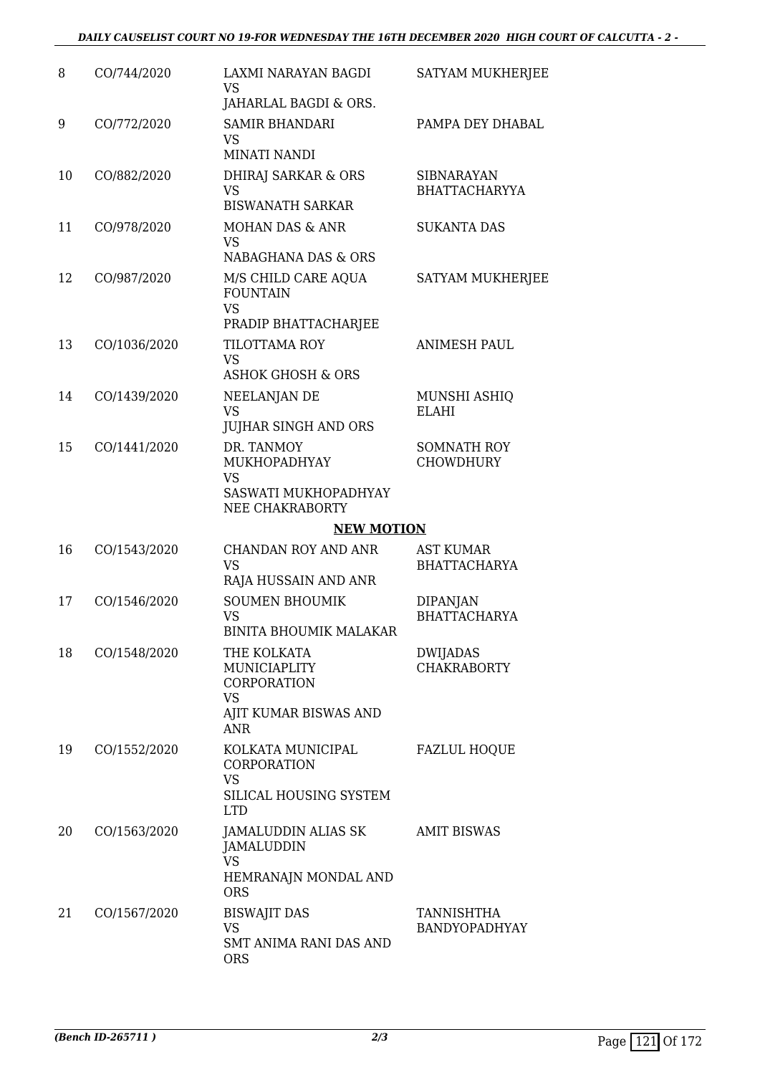#### *DAILY CAUSELIST COURT NO 19-FOR WEDNESDAY THE 16TH DECEMBER 2020 HIGH COURT OF CALCUTTA - 2 -*

| 8  | CO/744/2020  | LAXMI NARAYAN BAGDI<br><b>VS</b><br>JAHARLAL BAGDI & ORS.                                      | SATYAM MUKHERJEE                          |
|----|--------------|------------------------------------------------------------------------------------------------|-------------------------------------------|
| 9  | CO/772/2020  | <b>SAMIR BHANDARI</b><br><b>VS</b><br><b>MINATI NANDI</b>                                      | PAMPA DEY DHABAL                          |
| 10 | CO/882/2020  | DHIRAJ SARKAR & ORS<br><b>VS</b><br><b>BISWANATH SARKAR</b>                                    | <b>SIBNARAYAN</b><br><b>BHATTACHARYYA</b> |
| 11 | CO/978/2020  | <b>MOHAN DAS &amp; ANR</b><br><b>VS</b><br>NABAGHANA DAS & ORS                                 | <b>SUKANTA DAS</b>                        |
| 12 | CO/987/2020  | M/S CHILD CARE AQUA<br><b>FOUNTAIN</b><br><b>VS</b><br>PRADIP BHATTACHARJEE                    | SATYAM MUKHERJEE                          |
| 13 | CO/1036/2020 | TILOTTAMA ROY<br><b>VS</b><br><b>ASHOK GHOSH &amp; ORS</b>                                     | <b>ANIMESH PAUL</b>                       |
| 14 | CO/1439/2020 | NEELANJAN DE<br><b>VS</b><br><b>JUJHAR SINGH AND ORS</b>                                       | MUNSHI ASHIQ<br><b>ELAHI</b>              |
| 15 | CO/1441/2020 | DR. TANMOY<br>MUKHOPADHYAY<br><b>VS</b><br>SASWATI MUKHOPADHYAY<br>NEE CHAKRABORTY             | <b>SOMNATH ROY</b><br><b>CHOWDHURY</b>    |
|    |              | <b>NEW MOTION</b>                                                                              |                                           |
| 16 | CO/1543/2020 | CHANDAN ROY AND ANR<br><b>VS</b><br>RAJA HUSSAIN AND ANR                                       | <b>AST KUMAR</b><br><b>BHATTACHARYA</b>   |
| 17 | CO/1546/2020 | <b>SOUMEN BHOUMIK</b><br>VS<br><b>BINITA BHOUMIK MALAKAR</b>                                   | <b>DIPANJAN</b><br><b>BHATTACHARYA</b>    |
| 18 | CO/1548/2020 | THE KOLKATA<br>MUNICIAPLITY<br>CORPORATION<br><b>VS</b><br>AJIT KUMAR BISWAS AND<br><b>ANR</b> | DWIJADAS<br><b>CHAKRABORTY</b>            |
| 19 | CO/1552/2020 | KOLKATA MUNICIPAL<br>CORPORATION<br><b>VS</b><br>SILICAL HOUSING SYSTEM<br><b>LTD</b>          | <b>FAZLUL HOQUE</b>                       |
| 20 | CO/1563/2020 | JAMALUDDIN ALIAS SK<br>JAMALUDDIN<br><b>VS</b><br>HEMRANAJN MONDAL AND<br><b>ORS</b>           | <b>AMIT BISWAS</b>                        |
| 21 | CO/1567/2020 | <b>BISWAJIT DAS</b><br><b>VS</b><br>SMT ANIMA RANI DAS AND<br><b>ORS</b>                       | <b>TANNISHTHA</b><br><b>BANDYOPADHYAY</b> |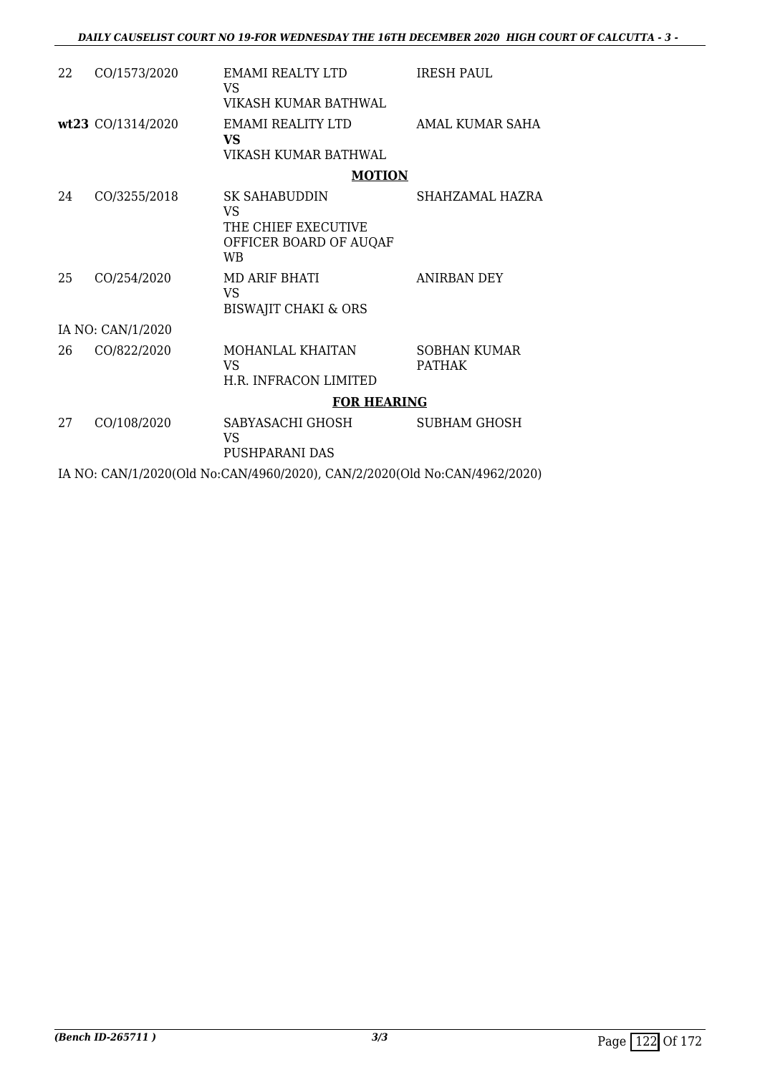| 22                                                                        | CO/1573/2020      | <b>EMAMI REALTY LTD</b><br>VS<br>VIKASH KUMAR BATHWAL                                    | <b>IRESH PAUL</b>                    |
|---------------------------------------------------------------------------|-------------------|------------------------------------------------------------------------------------------|--------------------------------------|
|                                                                           | wt23 CO/1314/2020 | <b>EMAMI REALITY LTD</b><br>VS.<br>VIKASH KUMAR BATHWAL                                  | AMAL KUMAR SAHA                      |
|                                                                           |                   | <b>MOTION</b>                                                                            |                                      |
| 24                                                                        | CO/3255/2018      | <b>SK SAHABUDDIN</b><br>VS<br>THE CHIEF EXECUTIVE<br>OFFICER BOARD OF AUQAF<br><b>WB</b> | SHAHZAMAL HAZRA                      |
| 25                                                                        | CO/254/2020       | MD ARIF BHATI<br>VS.<br><b>BISWAJIT CHAKI &amp; ORS</b>                                  | <b>ANIRBAN DEY</b>                   |
|                                                                           | IA NO: CAN/1/2020 |                                                                                          |                                      |
| 26                                                                        | CO/822/2020       | MOHANLAL KHAITAN<br>VS<br>H.R. INFRACON LIMITED                                          | <b>SOBHAN KUMAR</b><br><b>PATHAK</b> |
|                                                                           |                   | <b>FOR HEARING</b>                                                                       |                                      |
| 27                                                                        | CO/108/2020       | SABYASACHI GHOSH<br>VS<br>PUSHPARANI DAS                                                 | SUBHAM GHOSH                         |
| IA NO: CAN/1/2020(Old No:CAN/4960/2020), CAN/2/2020(Old No:CAN/4962/2020) |                   |                                                                                          |                                      |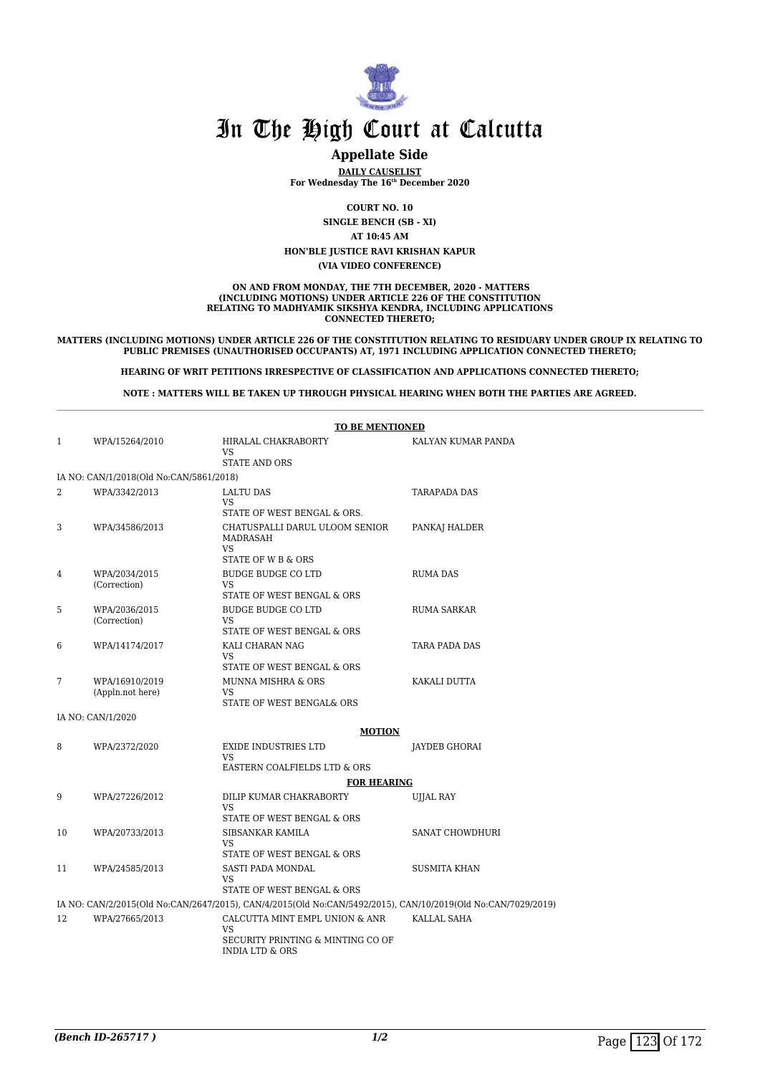

### **Appellate Side**

**DAILY CAUSELIST For Wednesday The 16th December 2020**

**COURT NO. 10**

**SINGLE BENCH (SB - XI)**

**AT 10:45 AM**

**HON'BLE JUSTICE RAVI KRISHAN KAPUR**

**(VIA VIDEO CONFERENCE)**

#### **ON AND FROM MONDAY, THE 7TH DECEMBER, 2020 - MATTERS (INCLUDING MOTIONS) UNDER ARTICLE 226 OF THE CONSTITUTION RELATING TO MADHYAMIK SIKSHYA KENDRA, INCLUDING APPLICATIONS CONNECTED THERETO;**

#### **MATTERS (INCLUDING MOTIONS) UNDER ARTICLE 226 OF THE CONSTITUTION RELATING TO RESIDUARY UNDER GROUP IX RELATING TO PUBLIC PREMISES (UNAUTHORISED OCCUPANTS) AT, 1971 INCLUDING APPLICATION CONNECTED THERETO;**

**HEARING OF WRIT PETITIONS IRRESPECTIVE OF CLASSIFICATION AND APPLICATIONS CONNECTED THERETO;**

**NOTE : MATTERS WILL BE TAKEN UP THROUGH PHYSICAL HEARING WHEN BOTH THE PARTIES ARE AGREED.**

|              |                                         | <b>TO BE MENTIONED</b>                                                                                       |                        |
|--------------|-----------------------------------------|--------------------------------------------------------------------------------------------------------------|------------------------|
| $\mathbf{1}$ | WPA/15264/2010                          | HIRALAL CHAKRABORTY<br><b>VS</b><br><b>STATE AND ORS</b>                                                     | KALYAN KUMAR PANDA     |
|              | IA NO: CAN/1/2018(Old No:CAN/5861/2018) |                                                                                                              |                        |
| 2            | WPA/3342/2013                           | <b>LALTU DAS</b><br>VS.<br>STATE OF WEST BENGAL & ORS.                                                       | <b>TARAPADA DAS</b>    |
| 3            | WPA/34586/2013                          | CHATUSPALLI DARUL ULOOM SENIOR<br><b>MADRASAH</b><br>VS<br>STATE OF W B & ORS                                | PANKAJ HALDER          |
| 4            | WPA/2034/2015<br>(Correction)           | <b>BUDGE BUDGE CO LTD</b><br><b>VS</b><br>STATE OF WEST BENGAL & ORS                                         | <b>RUMA DAS</b>        |
| 5            | WPA/2036/2015<br>(Correction)           | <b>BUDGE BUDGE CO LTD</b><br><b>VS</b><br>STATE OF WEST BENGAL & ORS                                         | <b>RUMA SARKAR</b>     |
| 6            | WPA/14174/2017                          | KALI CHARAN NAG<br><b>VS</b><br>STATE OF WEST BENGAL & ORS                                                   | TARA PADA DAS          |
| 7            | WPA/16910/2019<br>(Appln.not here)      | <b>MUNNA MISHRA &amp; ORS</b><br><b>VS</b><br>STATE OF WEST BENGAL& ORS                                      | KAKALI DUTTA           |
|              | IA NO: CAN/1/2020                       |                                                                                                              |                        |
|              |                                         | <b>MOTION</b>                                                                                                |                        |
| 8            | WPA/2372/2020                           | <b>EXIDE INDUSTRIES LTD</b><br><b>VS</b><br>EASTERN COALFIELDS LTD & ORS                                     | JAYDEB GHORAI          |
|              |                                         | <b>FOR HEARING</b>                                                                                           |                        |
| 9            | WPA/27226/2012                          | DILIP KUMAR CHAKRABORTY<br><b>VS</b><br>STATE OF WEST BENGAL & ORS                                           | <b>UJJAL RAY</b>       |
| 10           | WPA/20733/2013                          | SIBSANKAR KAMILA<br><b>VS</b><br>STATE OF WEST BENGAL & ORS                                                  | <b>SANAT CHOWDHURI</b> |
| 11           | WPA/24585/2013                          | <b>SASTI PADA MONDAL</b><br>VS<br>STATE OF WEST BENGAL & ORS                                                 | <b>SUSMITA KHAN</b>    |
|              |                                         | IA NO: CAN/2/2015(Old No:CAN/2647/2015), CAN/4/2015(Old No:CAN/5492/2015), CAN/10/2019(Old No:CAN/7029/2019) |                        |
| 12           | WPA/27665/2013                          | CALCUTTA MINT EMPL UNION & ANR<br>VS<br>SECURITY PRINTING & MINTING CO OF<br>INDIA LTD & ORS                 | KALLAL SAHA            |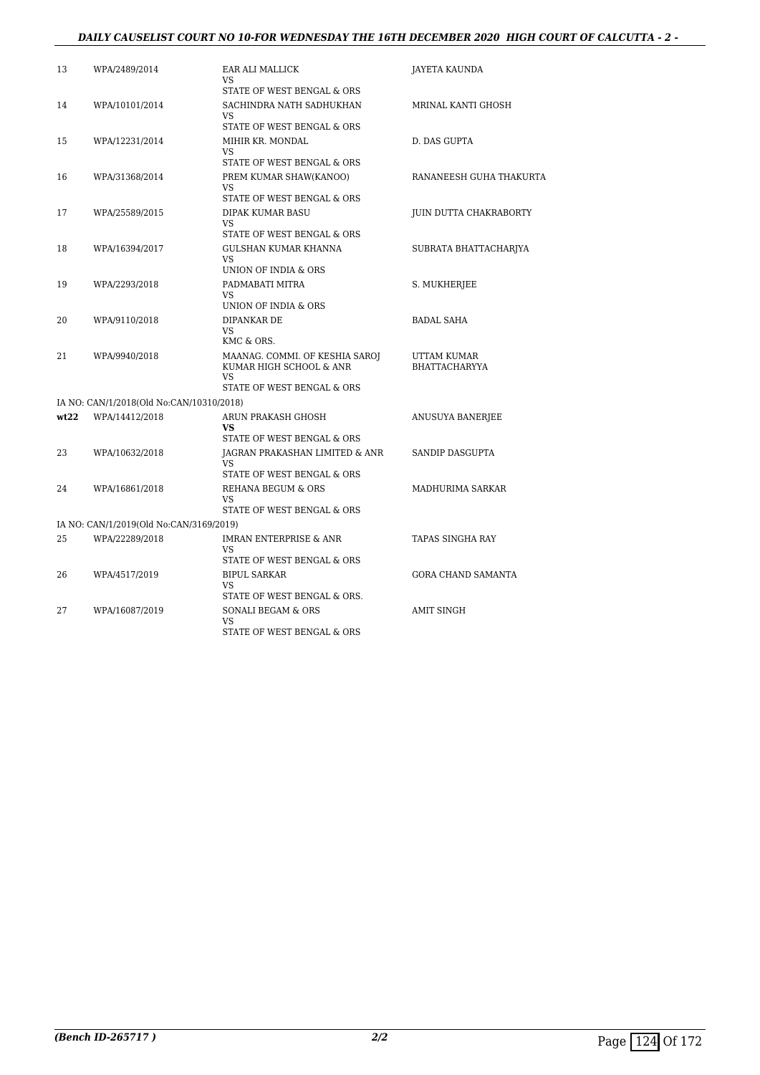#### *DAILY CAUSELIST COURT NO 10-FOR WEDNESDAY THE 16TH DECEMBER 2020 HIGH COURT OF CALCUTTA - 2 -*

| 13   | WPA/2489/2014                            | EAR ALI MALLICK<br>VS                                                                         | JAYETA KAUNDA                       |
|------|------------------------------------------|-----------------------------------------------------------------------------------------------|-------------------------------------|
|      |                                          | STATE OF WEST BENGAL & ORS                                                                    |                                     |
| 14   | WPA/10101/2014                           | SACHINDRA NATH SADHUKHAN<br>VS                                                                | MRINAL KANTI GHOSH                  |
|      |                                          | STATE OF WEST BENGAL & ORS                                                                    |                                     |
| 15   | WPA/12231/2014                           | MIHIR KR. MONDAL<br>VS                                                                        | D. DAS GUPTA                        |
|      |                                          | STATE OF WEST BENGAL & ORS                                                                    |                                     |
| 16   | WPA/31368/2014                           | PREM KUMAR SHAW(KANOO)<br><b>VS</b>                                                           | RANANEESH GUHA THAKURTA             |
|      |                                          | STATE OF WEST BENGAL & ORS                                                                    |                                     |
| 17   | WPA/25589/2015                           | DIPAK KUMAR BASU<br>VS<br>STATE OF WEST BENGAL & ORS                                          | JUIN DUTTA CHAKRABORTY              |
|      |                                          |                                                                                               |                                     |
| 18   | WPA/16394/2017                           | GULSHAN KUMAR KHANNA<br>VS<br>UNION OF INDIA & ORS                                            | SUBRATA BHATTACHARJYA               |
| 19   |                                          | PADMABATI MITRA                                                                               |                                     |
|      | WPA/2293/2018                            | VS.<br>UNION OF INDIA & ORS                                                                   | S. MUKHERJEE                        |
| 20   | WPA/9110/2018                            | DIPANKAR DE                                                                                   | <b>BADAL SAHA</b>                   |
|      |                                          | VS<br>KMC & ORS.                                                                              |                                     |
| 21   | WPA/9940/2018                            | MAANAG. COMMI. OF KESHIA SAROJ<br>KUMAR HIGH SCHOOL & ANR<br>VS<br>STATE OF WEST BENGAL & ORS | UTTAM KUMAR<br><b>BHATTACHARYYA</b> |
|      | IA NO: CAN/1/2018(Old No:CAN/10310/2018) |                                                                                               |                                     |
| wt22 |                                          |                                                                                               |                                     |
|      | WPA/14412/2018                           | ARUN PRAKASH GHOSH<br>VS<br>STATE OF WEST BENGAL & ORS                                        | ANUSUYA BANERJEE                    |
| 23   | WPA/10632/2018                           | <b>IAGRAN PRAKASHAN LIMITED &amp; ANR</b>                                                     | <b>SANDIP DASGUPTA</b>              |
|      |                                          | VS<br>STATE OF WEST BENGAL & ORS                                                              |                                     |
| 24   | WPA/16861/2018                           | REHANA BEGUM & ORS<br><b>VS</b>                                                               | MADHURIMA SARKAR                    |
|      |                                          | STATE OF WEST BENGAL & ORS                                                                    |                                     |
|      | IA NO: CAN/1/2019(Old No:CAN/3169/2019)  |                                                                                               |                                     |
| 25   | WPA/22289/2018                           | <b>IMRAN ENTERPRISE &amp; ANR</b><br><b>VS</b><br>STATE OF WEST BENGAL & ORS                  | <b>TAPAS SINGHA RAY</b>             |
|      |                                          |                                                                                               |                                     |
| 26   | WPA/4517/2019                            | <b>BIPUL SARKAR</b><br>VS<br>STATE OF WEST BENGAL & ORS.                                      | GORA CHAND SAMANTA                  |
| 27   | WPA/16087/2019                           | SONALI BEGAM & ORS                                                                            | <b>AMIT SINGH</b>                   |
|      |                                          | VS<br>STATE OF WEST BENGAL & ORS                                                              |                                     |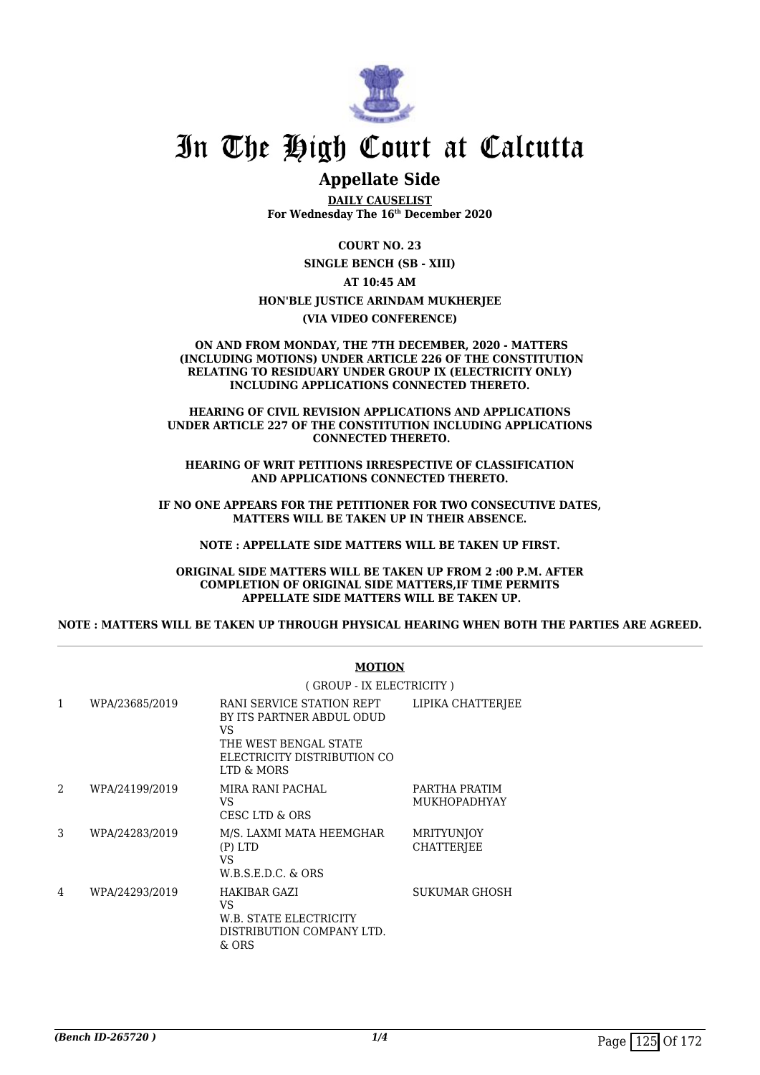

### **Appellate Side**

**DAILY CAUSELIST For Wednesday The 16th December 2020**

**COURT NO. 23**

**SINGLE BENCH (SB - XIII)**

**AT 10:45 AM**

**HON'BLE JUSTICE ARINDAM MUKHERJEE**

**(VIA VIDEO CONFERENCE)**

#### **ON AND FROM MONDAY, THE 7TH DECEMBER, 2020 - MATTERS (INCLUDING MOTIONS) UNDER ARTICLE 226 OF THE CONSTITUTION RELATING TO RESIDUARY UNDER GROUP IX (ELECTRICITY ONLY) INCLUDING APPLICATIONS CONNECTED THERETO.**

#### **HEARING OF CIVIL REVISION APPLICATIONS AND APPLICATIONS UNDER ARTICLE 227 OF THE CONSTITUTION INCLUDING APPLICATIONS CONNECTED THERETO.**

**HEARING OF WRIT PETITIONS IRRESPECTIVE OF CLASSIFICATION AND APPLICATIONS CONNECTED THERETO.**

**IF NO ONE APPEARS FOR THE PETITIONER FOR TWO CONSECUTIVE DATES, MATTERS WILL BE TAKEN UP IN THEIR ABSENCE.**

**NOTE : APPELLATE SIDE MATTERS WILL BE TAKEN UP FIRST.**

**ORIGINAL SIDE MATTERS WILL BE TAKEN UP FROM 2 :00 P.M. AFTER COMPLETION OF ORIGINAL SIDE MATTERS,IF TIME PERMITS APPELLATE SIDE MATTERS WILL BE TAKEN UP.**

**NOTE : MATTERS WILL BE TAKEN UP THROUGH PHYSICAL HEARING WHEN BOTH THE PARTIES ARE AGREED.**

|                | MUTIUN                                                                                                                             |                                        |  |
|----------------|------------------------------------------------------------------------------------------------------------------------------------|----------------------------------------|--|
|                | (GROUP - IX ELECTRICITY)                                                                                                           |                                        |  |
| WPA/23685/2019 | RANI SERVICE STATION REPT<br>BY ITS PARTNER ABDUL ODUD<br>VS<br>THE WEST BENGAL STATE<br>ELECTRICITY DISTRIBUTION CO<br>LTD & MORS | LIPIKA CHATTERJEE                      |  |
| WPA/24199/2019 | MIRA RANI PACHAL<br>VS.<br>CESC LTD & ORS                                                                                          | PARTHA PRATIM<br><b>MUKHOPADHYAY</b>   |  |
| WPA/24283/2019 | M/S. LAXMI MATA HEEMGHAR<br>$(P)$ LTD<br>VS<br>$W.B.S.E.D.C.$ & $ORS$                                                              | <b>MRITYUNJOY</b><br><b>CHATTERIEE</b> |  |
| WPA/24293/2019 | HAKIBAR GAZI<br>VS.<br>W.B. STATE ELECTRICITY<br>DISTRIBUTION COMPANY LTD.<br>& ORS                                                | SUKUMAR GHOSH                          |  |
|                |                                                                                                                                    |                                        |  |

#### **MOTION**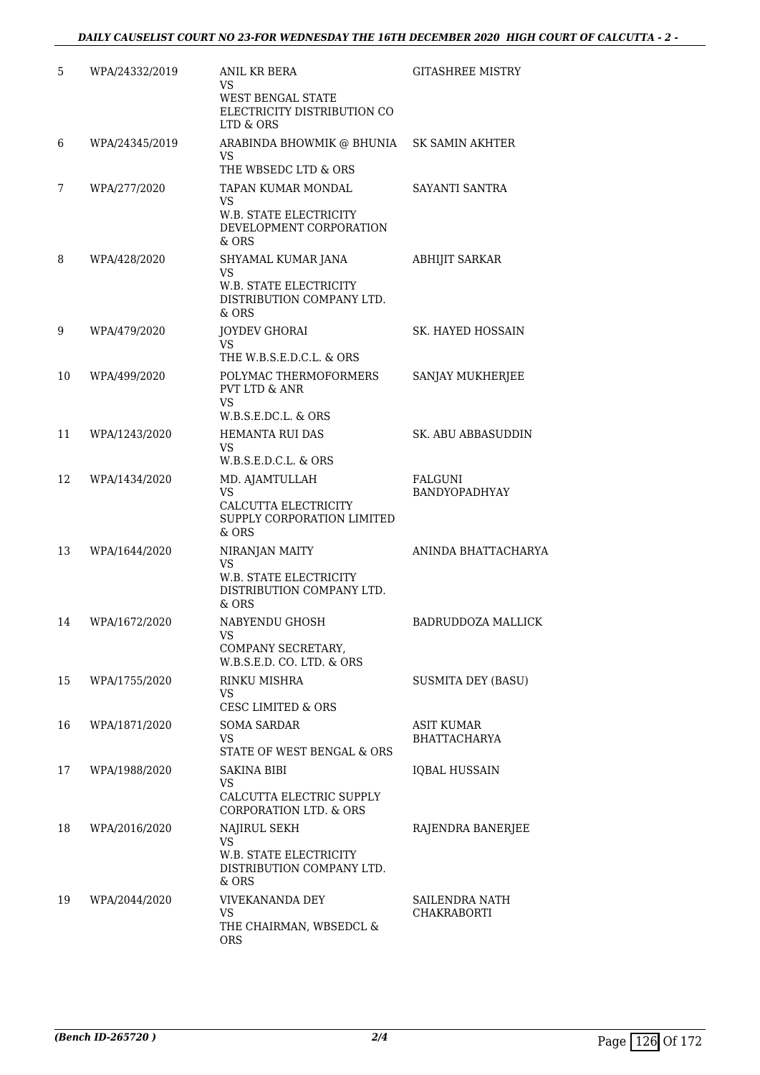| 5  | WPA/24332/2019 | <b>ANIL KR BERA</b><br>VS<br>WEST BENGAL STATE<br>ELECTRICITY DISTRIBUTION CO<br>LTD & ORS    | <b>GITASHREE MISTRY</b>                  |
|----|----------------|-----------------------------------------------------------------------------------------------|------------------------------------------|
| 6  | WPA/24345/2019 | ARABINDA BHOWMIK @ BHUNIA<br>VS<br>THE WBSEDC LTD & ORS                                       | <b>SK SAMIN AKHTER</b>                   |
| 7  | WPA/277/2020   | TAPAN KUMAR MONDAL<br>VS<br>W.B. STATE ELECTRICITY<br>DEVELOPMENT CORPORATION<br>$&$ ORS      | SAYANTI SANTRA                           |
| 8  | WPA/428/2020   | SHYAMAL KUMAR JANA<br>VS<br>W.B. STATE ELECTRICITY<br>DISTRIBUTION COMPANY LTD.<br>$&$ ORS    | <b>ABHIJIT SARKAR</b>                    |
| 9  | WPA/479/2020   | JOYDEV GHORAI<br>VS<br>THE W.B.S.E.D.C.L. & ORS                                               | SK. HAYED HOSSAIN                        |
| 10 | WPA/499/2020   | POLYMAC THERMOFORMERS<br><b>PVT LTD &amp; ANR</b><br>VS<br>W.B.S.E.DC.L. & ORS                | SANJAY MUKHERJEE                         |
| 11 | WPA/1243/2020  | <b>HEMANTA RUI DAS</b><br>VS<br>$W.B.S.E.D.C.L. \& ORS$                                       | SK. ABU ABBASUDDIN                       |
| 12 | WPA/1434/2020  | MD. AJAMTULLAH<br><b>VS</b><br>CALCUTTA ELECTRICITY<br>SUPPLY CORPORATION LIMITED<br>& ORS    | FALGUNI<br><b>BANDYOPADHYAY</b>          |
| 13 | WPA/1644/2020  | NIRANJAN MAITY<br><b>VS</b><br>W.B. STATE ELECTRICITY<br>DISTRIBUTION COMPANY LTD.<br>$&$ ORS | ANINDA BHATTACHARYA                      |
| 14 | WPA/1672/2020  | NABYENDU GHOSH<br>COMPANY SECRETARY,<br>W.B.S.E.D. CO. LTD. & ORS                             | <b>BADRUDDOZA MALLICK</b>                |
| 15 | WPA/1755/2020  | RINKU MISHRA<br>VS<br><b>CESC LIMITED &amp; ORS</b>                                           | <b>SUSMITA DEY (BASU)</b>                |
| 16 | WPA/1871/2020  | <b>SOMA SARDAR</b><br>VS<br>STATE OF WEST BENGAL & ORS                                        | <b>ASIT KUMAR</b><br><b>BHATTACHARYA</b> |
| 17 | WPA/1988/2020  | <b>SAKINA BIBI</b><br>VS<br>CALCUTTA ELECTRIC SUPPLY<br>CORPORATION LTD. & ORS                | <b>IOBAL HUSSAIN</b>                     |
| 18 | WPA/2016/2020  | NAJIRUL SEKH<br><b>VS</b><br>W.B. STATE ELECTRICITY<br>DISTRIBUTION COMPANY LTD.<br>& ORS     | RAJENDRA BANERJEE                        |
| 19 | WPA/2044/2020  | <b>VIVEKANANDA DEY</b><br>VS<br>THE CHAIRMAN, WBSEDCL &<br><b>ORS</b>                         | SAILENDRA NATH<br>CHAKRABORTI            |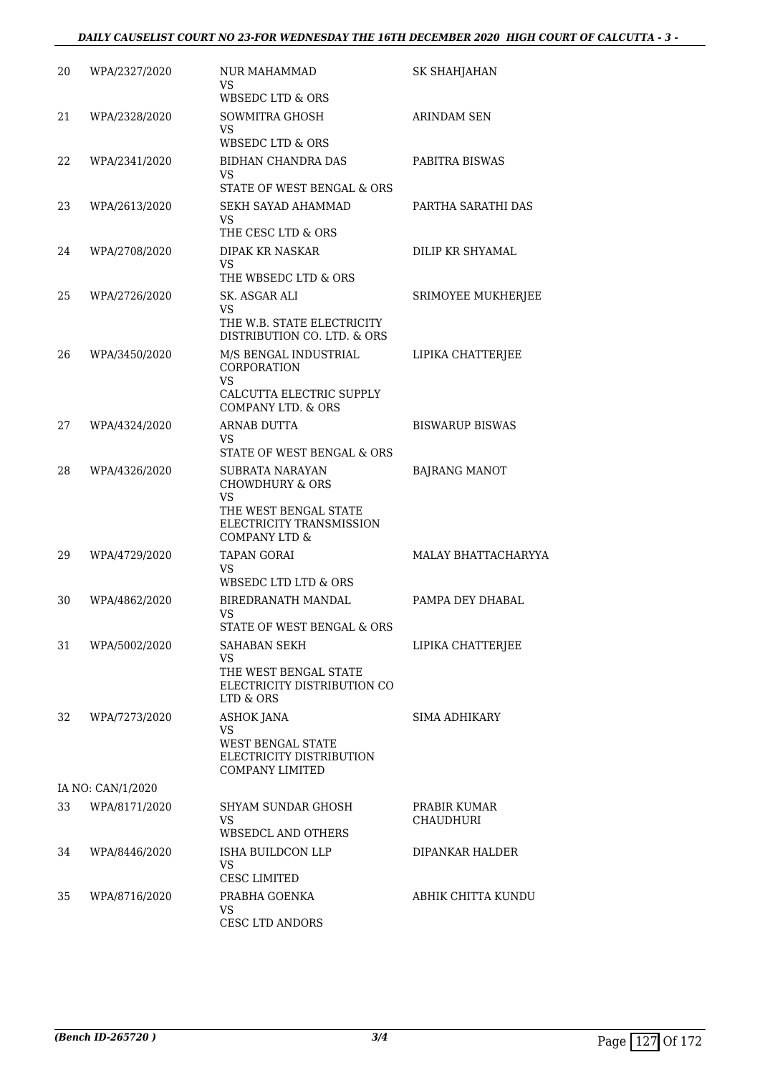| 20 | WPA/2327/2020     | NUR MAHAMMAD<br>VS<br><b>WBSEDC LTD &amp; ORS</b>                                                                                    | SK SHAHJAHAN                     |
|----|-------------------|--------------------------------------------------------------------------------------------------------------------------------------|----------------------------------|
| 21 | WPA/2328/2020     | SOWMITRA GHOSH<br>VS<br>WBSEDC LTD & ORS                                                                                             | <b>ARINDAM SEN</b>               |
| 22 | WPA/2341/2020     | BIDHAN CHANDRA DAS<br>VS<br>STATE OF WEST BENGAL & ORS                                                                               | PABITRA BISWAS                   |
| 23 | WPA/2613/2020     | SEKH SAYAD AHAMMAD<br>VS<br>THE CESC LTD & ORS                                                                                       | PARTHA SARATHI DAS               |
| 24 | WPA/2708/2020     | DIPAK KR NASKAR<br>VS<br>THE WBSEDC LTD & ORS                                                                                        | DILIP KR SHYAMAL                 |
| 25 | WPA/2726/2020     | SK. ASGAR ALI<br>VS<br>THE W.B. STATE ELECTRICITY<br>DISTRIBUTION CO. LTD. & ORS                                                     | SRIMOYEE MUKHERJEE               |
| 26 | WPA/3450/2020     | M/S BENGAL INDUSTRIAL<br>CORPORATION<br><b>VS</b><br>CALCUTTA ELECTRIC SUPPLY<br>COMPANY LTD, & ORS                                  | LIPIKA CHATTERJEE                |
| 27 | WPA/4324/2020     | <b>ARNAB DUTTA</b><br>VS<br>STATE OF WEST BENGAL & ORS                                                                               | <b>BISWARUP BISWAS</b>           |
| 28 | WPA/4326/2020     | SUBRATA NARAYAN<br><b>CHOWDHURY &amp; ORS</b><br>VS<br>THE WEST BENGAL STATE<br>ELECTRICITY TRANSMISSION<br><b>COMPANY LTD &amp;</b> | <b>BAJRANG MANOT</b>             |
| 29 | WPA/4729/2020     | <b>TAPAN GORAI</b><br>VS<br>WBSEDC LTD LTD & ORS                                                                                     | <b>MALAY BHATTACHARYYA</b>       |
| 30 | WPA/4862/2020     | BIREDRANATH MANDAL<br>VS<br>STATE OF WEST BENGAL & ORS                                                                               | PAMPA DEY DHABAL                 |
| 31 | WPA/5002/2020     | SAHABAN SEKH<br><b>VS</b><br>THE WEST BENGAL STATE<br>ELECTRICITY DISTRIBUTION CO<br>LTD & ORS                                       | LIPIKA CHATTERJEE                |
| 32 | WPA/7273/2020     | ASHOK JANA<br><b>VS</b><br><b>WEST BENGAL STATE</b><br>ELECTRICITY DISTRIBUTION<br><b>COMPANY LIMITED</b>                            | SIMA ADHIKARY                    |
|    | IA NO: CAN/1/2020 |                                                                                                                                      |                                  |
| 33 | WPA/8171/2020     | SHYAM SUNDAR GHOSH<br>VS<br>WBSEDCL AND OTHERS                                                                                       | PRABIR KUMAR<br><b>CHAUDHURI</b> |
| 34 | WPA/8446/2020     | ISHA BUILDCON LLP<br><b>VS</b><br><b>CESC LIMITED</b>                                                                                | DIPANKAR HALDER                  |
| 35 | WPA/8716/2020     | PRABHA GOENKA<br>VS<br><b>CESC LTD ANDORS</b>                                                                                        | ABHIK CHITTA KUNDU               |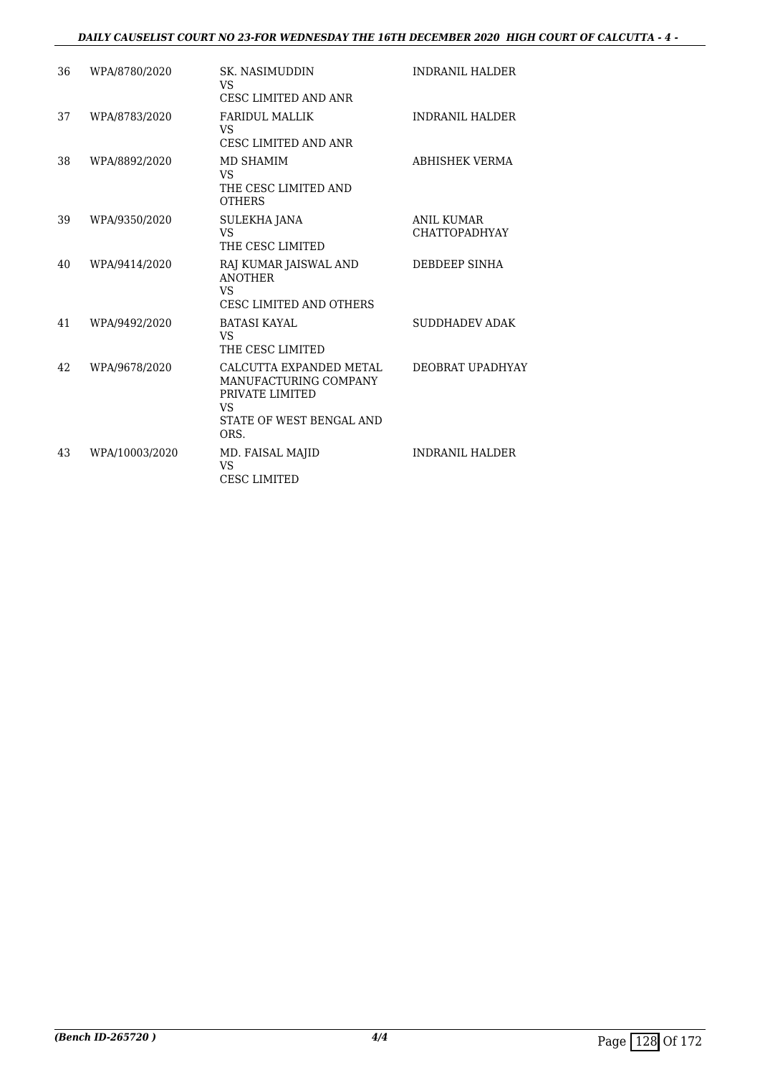#### *DAILY CAUSELIST COURT NO 23-FOR WEDNESDAY THE 16TH DECEMBER 2020 HIGH COURT OF CALCUTTA - 4 -*

| 36 | WPA/8780/2020  | <b>SK. NASIMUDDIN</b><br>VS.<br><b>CESC LIMITED AND ANR</b>                                                   | <b>INDRANIL HALDER</b>                    |
|----|----------------|---------------------------------------------------------------------------------------------------------------|-------------------------------------------|
| 37 | WPA/8783/2020  | <b>FARIDUL MALLIK</b><br>VS<br>CESC LIMITED AND ANR                                                           | <b>INDRANIL HALDER</b>                    |
| 38 | WPA/8892/2020  | MD SHAMIM<br>VS<br>THE CESC LIMITED AND<br><b>OTHERS</b>                                                      | ABHISHEK VERMA                            |
| 39 | WPA/9350/2020  | SULEKHA JANA<br>VS<br>THE CESC LIMITED                                                                        | <b>ANIL KUMAR</b><br><b>CHATTOPADHYAY</b> |
| 40 | WPA/9414/2020  | RAJ KUMAR JAISWAL AND<br><b>ANOTHER</b><br><b>VS</b><br><b>CESC LIMITED AND OTHERS</b>                        | DEBDEEP SINHA                             |
| 41 | WPA/9492/2020  | <b>BATASI KAYAL</b><br><b>VS</b><br>THE CESC LIMITED                                                          | <b>SUDDHADEV ADAK</b>                     |
| 42 | WPA/9678/2020  | CALCUTTA EXPANDED METAL<br>MANUFACTURING COMPANY<br>PRIVATE LIMITED<br>VS<br>STATE OF WEST BENGAL AND<br>ORS. | DEOBRAT UPADHYAY                          |
| 43 | WPA/10003/2020 | MD. FAISAL MAJID<br>VS<br><b>CESC LIMITED</b>                                                                 | <b>INDRANIL HALDER</b>                    |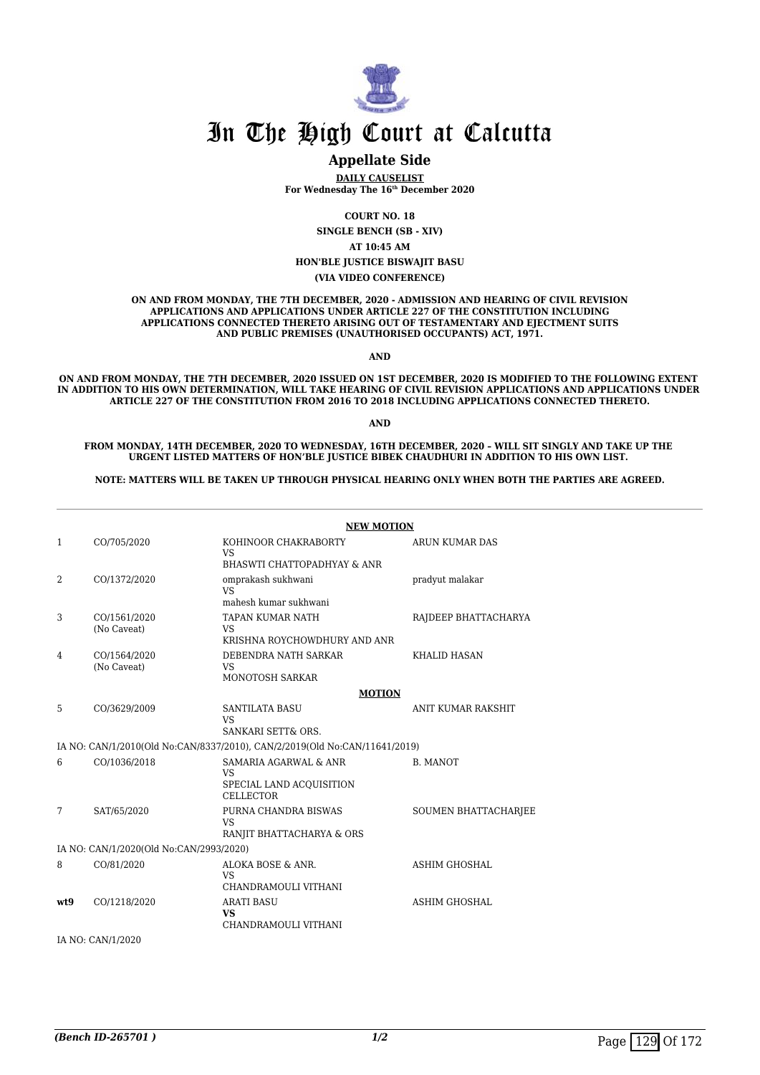

#### **Appellate Side**

**DAILY CAUSELIST For Wednesday The 16th December 2020**

**COURT NO. 18**

**SINGLE BENCH (SB - XIV)**

**AT 10:45 AM**

**HON'BLE JUSTICE BISWAJIT BASU**

**(VIA VIDEO CONFERENCE)**

**ON AND FROM MONDAY, THE 7TH DECEMBER, 2020 - ADMISSION AND HEARING OF CIVIL REVISION APPLICATIONS AND APPLICATIONS UNDER ARTICLE 227 OF THE CONSTITUTION INCLUDING APPLICATIONS CONNECTED THERETO ARISING OUT OF TESTAMENTARY AND EJECTMENT SUITS AND PUBLIC PREMISES (UNAUTHORISED OCCUPANTS) ACT, 1971.**

**AND**

**ON AND FROM MONDAY, THE 7TH DECEMBER, 2020 ISSUED ON 1ST DECEMBER, 2020 IS MODIFIED TO THE FOLLOWING EXTENT IN ADDITION TO HIS OWN DETERMINATION, WILL TAKE HEARING OF CIVIL REVISION APPLICATIONS AND APPLICATIONS UNDER ARTICLE 227 OF THE CONSTITUTION FROM 2016 TO 2018 INCLUDING APPLICATIONS CONNECTED THERETO.**

**AND**

**FROM MONDAY, 14TH DECEMBER, 2020 TO WEDNESDAY, 16TH DECEMBER, 2020 – WILL SIT SINGLY AND TAKE UP THE URGENT LISTED MATTERS OF HON'BLE JUSTICE BIBEK CHAUDHURI IN ADDITION TO HIS OWN LIST.** 

**NOTE: MATTERS WILL BE TAKEN UP THROUGH PHYSICAL HEARING ONLY WHEN BOTH THE PARTIES ARE AGREED.**

|                |                                         | <b>NEW MOTION</b>                                                          |                           |
|----------------|-----------------------------------------|----------------------------------------------------------------------------|---------------------------|
| $\mathbf{1}$   | CO/705/2020                             | KOHINOOR CHAKRABORTY<br>VS.                                                | ARUN KUMAR DAS            |
|                |                                         | BHASWTI CHATTOPADHYAY & ANR                                                |                           |
| $\overline{2}$ | CO/1372/2020                            | omprakash sukhwani<br>VS <sub>1</sub>                                      | pradyut malakar           |
|                |                                         | mahesh kumar sukhwani                                                      |                           |
| 3              | CO/1561/2020<br>(No Caveat)             | <b>TAPAN KUMAR NATH</b><br><b>VS</b>                                       | RAJDEEP BHATTACHARYA      |
|                |                                         | KRISHNA ROYCHOWDHURY AND ANR                                               |                           |
| 4              | CO/1564/2020<br>(No Caveat)             | DEBENDRA NATH SARKAR<br>VS.                                                | <b>KHALID HASAN</b>       |
|                |                                         | MONOTOSH SARKAR                                                            |                           |
|                |                                         | <b>MOTION</b>                                                              |                           |
| 5              | CO/3629/2009                            | <b>SANTILATA BASU</b><br>VS.                                               | <b>ANIT KUMAR RAKSHIT</b> |
|                |                                         | SANKARI SETT& ORS.                                                         |                           |
|                |                                         | IA NO: CAN/1/2010(Old No:CAN/8337/2010), CAN/2/2019(Old No:CAN/11641/2019) |                           |
| 6              | CO/1036/2018                            | <b>SAMARIA AGARWAL &amp; ANR</b><br><b>VS</b>                              | <b>B. MANOT</b>           |
|                |                                         | SPECIAL LAND ACQUISITION<br><b>CELLECTOR</b>                               |                           |
| 7              | SAT/65/2020                             | PURNA CHANDRA BISWAS<br>VS.                                                | SOUMEN BHATTACHARJEE      |
|                |                                         | RANJIT BHATTACHARYA & ORS                                                  |                           |
|                | IA NO: CAN/1/2020(Old No:CAN/2993/2020) |                                                                            |                           |
| 8              | CO/81/2020                              | ALOKA BOSE & ANR.<br><b>VS</b>                                             | <b>ASHIM GHOSHAL</b>      |
|                |                                         | CHANDRAMOULI VITHANI                                                       |                           |
| wt9            | CO/1218/2020                            | <b>ARATI BASU</b><br><b>VS</b><br>CHANDRAMOULI VITHANI                     | <b>ASHIM GHOSHAL</b>      |
|                | IA NO: CAN/1/2020                       |                                                                            |                           |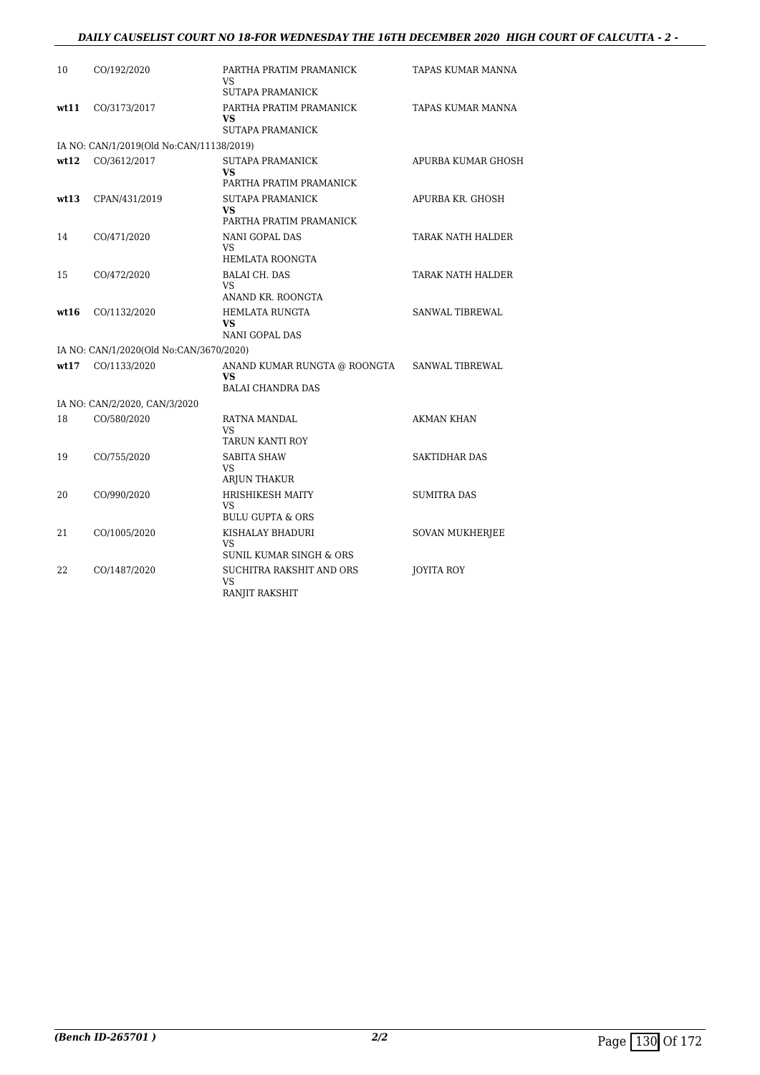#### *DAILY CAUSELIST COURT NO 18-FOR WEDNESDAY THE 16TH DECEMBER 2020 HIGH COURT OF CALCUTTA - 2 -*

| 10   | CO/192/2020                              | PARTHA PRATIM PRAMANICK<br>VS.                              | TAPAS KUMAR MANNA      |
|------|------------------------------------------|-------------------------------------------------------------|------------------------|
|      |                                          | <b>SUTAPA PRAMANICK</b>                                     |                        |
| wt11 | CO/3173/2017                             | PARTHA PRATIM PRAMANICK<br><b>VS</b><br>SUTAPA PRAMANICK    | TAPAS KUMAR MANNA      |
|      | IA NO: CAN/1/2019(Old No:CAN/11138/2019) |                                                             |                        |
| wt12 | CO/3612/2017                             | SUTAPA PRAMANICK                                            | APURBA KUMAR GHOSH     |
|      |                                          | <b>VS</b><br>PARTHA PRATIM PRAMANICK                        |                        |
| wt13 | CPAN/431/2019                            | <b>SUTAPA PRAMANICK</b><br><b>VS</b>                        | APURBA KR. GHOSH       |
|      |                                          | PARTHA PRATIM PRAMANICK                                     |                        |
| 14   | CO/471/2020                              | NANI GOPAL DAS<br><b>VS</b><br><b>HEMLATA ROONGTA</b>       | TARAK NATH HALDER      |
| 15   | CO/472/2020                              | <b>BALAI CH. DAS</b>                                        | TARAK NATH HALDER      |
|      |                                          | VS.<br>ANAND KR. ROONGTA                                    |                        |
| wt16 | CO/1132/2020                             | <b>HEMLATA RUNGTA</b><br><b>VS</b><br><b>NANI GOPAL DAS</b> | SANWAL TIBREWAL        |
|      | IA NO: CAN/1/2020(Old No:CAN/3670/2020)  |                                                             |                        |
| wt17 | CO/1133/2020                             | ANAND KUMAR RUNGTA @ ROONGTA                                | <b>SANWAL TIBREWAL</b> |
|      |                                          | <b>VS</b><br><b>BALAI CHANDRA DAS</b>                       |                        |
|      | IA NO: CAN/2/2020, CAN/3/2020            |                                                             |                        |
| 18   | CO/580/2020                              | RATNA MANDAL<br>VS.                                         | AKMAN KHAN             |
|      |                                          | TARUN KANTI ROY                                             |                        |
| 19   | CO/755/2020                              | <b>SABITA SHAW</b><br><b>VS</b>                             | <b>SAKTIDHAR DAS</b>   |
|      |                                          | <b>ARJUN THAKUR</b>                                         |                        |
| 20   | CO/990/2020                              | <b>HRISHIKESH MAITY</b><br><b>VS</b>                        | <b>SUMITRA DAS</b>     |
|      |                                          | <b>BULU GUPTA &amp; ORS</b>                                 |                        |
| 21   | CO/1005/2020                             | KISHALAY BHADURI<br>VS.<br>SUNIL KUMAR SINGH & ORS          | <b>SOVAN MUKHERJEE</b> |
| 22   | CO/1487/2020                             | SUCHITRA RAKSHIT AND ORS<br>VS.<br>RANJIT RAKSHIT           | JOYITA ROY             |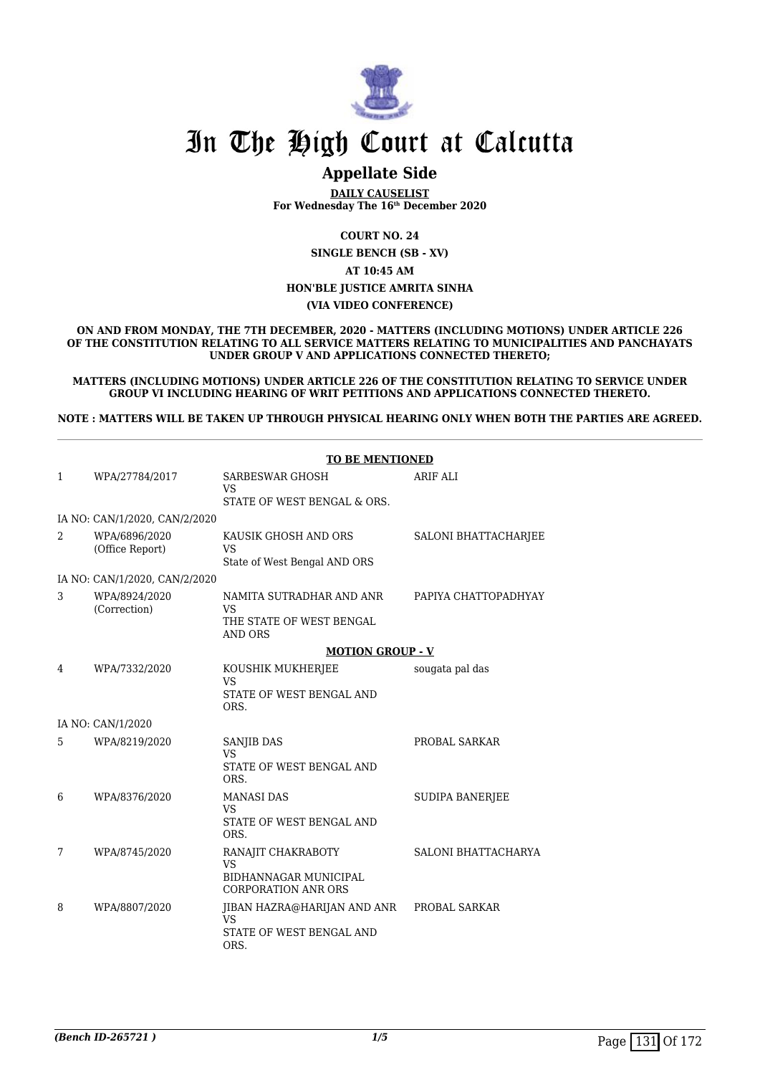

### **Appellate Side**

**DAILY CAUSELIST For Wednesday The 16th December 2020**

**COURT NO. 24**

**SINGLE BENCH (SB - XV) AT 10:45 AM**

#### **HON'BLE JUSTICE AMRITA SINHA**

#### **(VIA VIDEO CONFERENCE)**

**ON AND FROM MONDAY, THE 7TH DECEMBER, 2020 - MATTERS (INCLUDING MOTIONS) UNDER ARTICLE 226 OF THE CONSTITUTION RELATING TO ALL SERVICE MATTERS RELATING TO MUNICIPALITIES AND PANCHAYATS UNDER GROUP V AND APPLICATIONS CONNECTED THERETO;**

**MATTERS (INCLUDING MOTIONS) UNDER ARTICLE 226 OF THE CONSTITUTION RELATING TO SERVICE UNDER GROUP VI INCLUDING HEARING OF WRIT PETITIONS AND APPLICATIONS CONNECTED THERETO.**

**NOTE : MATTERS WILL BE TAKEN UP THROUGH PHYSICAL HEARING ONLY WHEN BOTH THE PARTIES ARE AGREED.**

|                |                                  | <b>TO BE MENTIONED</b>                                                                 |                             |
|----------------|----------------------------------|----------------------------------------------------------------------------------------|-----------------------------|
| $\mathbf{1}$   | WPA/27784/2017                   | <b>SARBESWAR GHOSH</b><br><b>VS</b><br>STATE OF WEST BENGAL & ORS.                     | <b>ARIF ALI</b>             |
|                | IA NO: CAN/1/2020, CAN/2/2020    |                                                                                        |                             |
| $\overline{2}$ | WPA/6896/2020<br>(Office Report) | KAUSIK GHOSH AND ORS<br><b>VS</b><br>State of West Bengal AND ORS                      | <b>SALONI BHATTACHARJEE</b> |
|                | IA NO: CAN/1/2020, CAN/2/2020    |                                                                                        |                             |
| 3              | WPA/8924/2020<br>(Correction)    | NAMITA SUTRADHAR AND ANR<br>VS<br>THE STATE OF WEST BENGAL<br><b>AND ORS</b>           | PAPIYA CHATTOPADHYAY        |
|                |                                  | <b>MOTION GROUP - V</b>                                                                |                             |
| 4              | WPA/7332/2020                    | KOUSHIK MUKHERJEE<br><b>VS</b><br>STATE OF WEST BENGAL AND<br>ORS.                     | sougata pal das             |
|                | IA NO: CAN/1/2020                |                                                                                        |                             |
| 5              | WPA/8219/2020                    | SANJIB DAS<br>VS<br>STATE OF WEST BENGAL AND<br>ORS.                                   | PROBAL SARKAR               |
| 6              | WPA/8376/2020                    | <b>MANASI DAS</b><br>VS<br>STATE OF WEST BENGAL AND<br>ORS.                            | <b>SUDIPA BANERJEE</b>      |
| 7              | WPA/8745/2020                    | RANAJIT CHAKRABOTY<br><b>VS</b><br>BIDHANNAGAR MUNICIPAL<br><b>CORPORATION ANR ORS</b> | SALONI BHATTACHARYA         |
| 8              | WPA/8807/2020                    | JIBAN HAZRA@HARIJAN AND ANR<br><b>VS</b><br>STATE OF WEST BENGAL AND<br>ORS.           | PROBAL SARKAR               |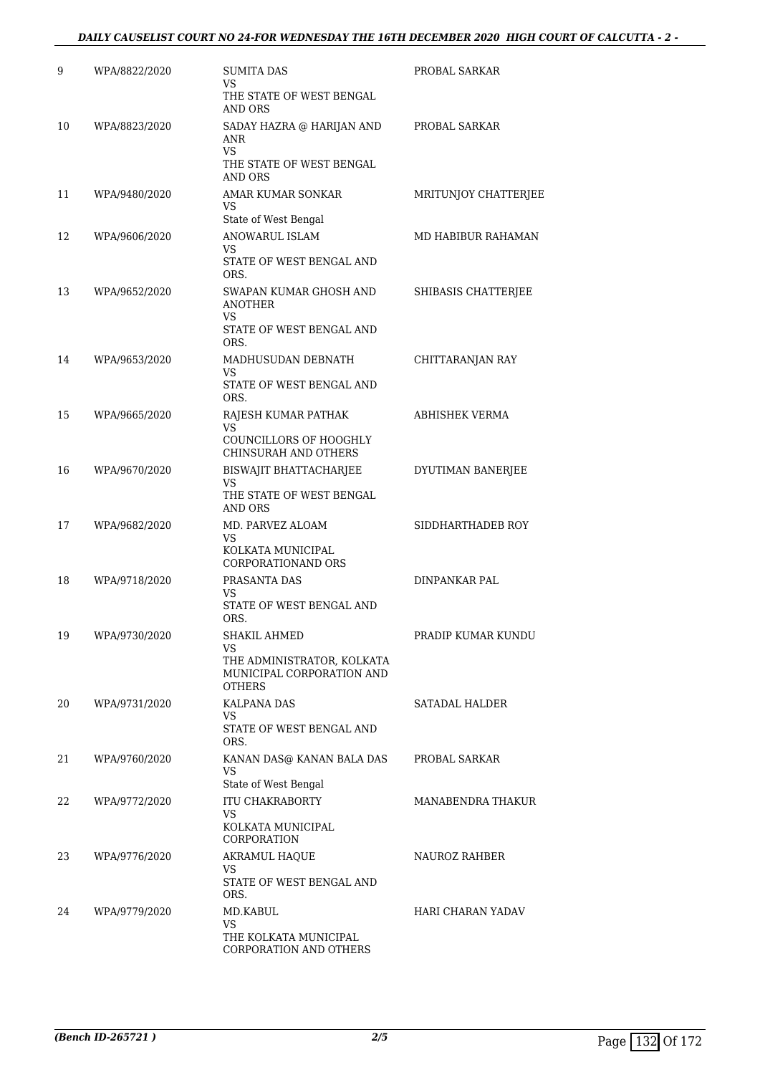| 9  | WPA/8822/2020 | SUMITA DAS<br>VS<br>THE STATE OF WEST BENGAL<br>AND ORS                                        | PROBAL SARKAR        |
|----|---------------|------------------------------------------------------------------------------------------------|----------------------|
| 10 | WPA/8823/2020 | SADAY HAZRA @ HARIJAN AND<br>ANR<br>VS<br>THE STATE OF WEST BENGAL                             | PROBAL SARKAR        |
| 11 | WPA/9480/2020 | <b>AND ORS</b><br>AMAR KUMAR SONKAR<br>VS                                                      | MRITUNJOY CHATTERJEE |
| 12 | WPA/9606/2020 | State of West Bengal<br><b>ANOWARUL ISLAM</b><br>VS<br>STATE OF WEST BENGAL AND<br>ORS.        | MD HABIBUR RAHAMAN   |
| 13 | WPA/9652/2020 | SWAPAN KUMAR GHOSH AND<br>ANOTHER<br>VS<br>STATE OF WEST BENGAL AND                            | SHIBASIS CHATTERJEE  |
| 14 | WPA/9653/2020 | ORS.<br>MADHUSUDAN DEBNATH<br>VS<br>STATE OF WEST BENGAL AND                                   | CHITTARANJAN RAY     |
| 15 | WPA/9665/2020 | ORS.<br>RAJESH KUMAR PATHAK<br>VS<br>COUNCILLORS OF HOOGHLY<br>CHINSURAH AND OTHERS            | ABHISHEK VERMA       |
| 16 | WPA/9670/2020 | BISWAJIT BHATTACHARJEE<br>VS<br>THE STATE OF WEST BENGAL<br>AND ORS                            | DYUTIMAN BANERJEE    |
| 17 | WPA/9682/2020 | MD. PARVEZ ALOAM<br>VS<br>KOLKATA MUNICIPAL<br>CORPORATIONAND ORS                              | SIDDHARTHADEB ROY    |
| 18 | WPA/9718/2020 | PRASANTA DAS<br>VS<br>STATE OF WEST BENGAL AND<br>ORS.                                         | DINPANKAR PAL        |
| 19 | WPA/9730/2020 | SHAKIL AHMED<br>VS<br>THE ADMINISTRATOR, KOLKATA<br>MUNICIPAL CORPORATION AND<br><b>OTHERS</b> | PRADIP KUMAR KUNDU   |
| 20 | WPA/9731/2020 | KALPANA DAS<br>VS<br>STATE OF WEST BENGAL AND<br>ORS.                                          | SATADAL HALDER       |
| 21 | WPA/9760/2020 | KANAN DAS@ KANAN BALA DAS<br>VS<br>State of West Bengal                                        | PROBAL SARKAR        |
| 22 | WPA/9772/2020 | ITU CHAKRABORTY<br>VS<br>KOLKATA MUNICIPAL<br>CORPORATION                                      | MANABENDRA THAKUR    |
| 23 | WPA/9776/2020 | <b>AKRAMUL HAQUE</b><br>VS<br>STATE OF WEST BENGAL AND<br>ORS.                                 | NAUROZ RAHBER        |
| 24 | WPA/9779/2020 | MD.KABUL<br>VS<br>THE KOLKATA MUNICIPAL<br>CORPORATION AND OTHERS                              | HARI CHARAN YADAV    |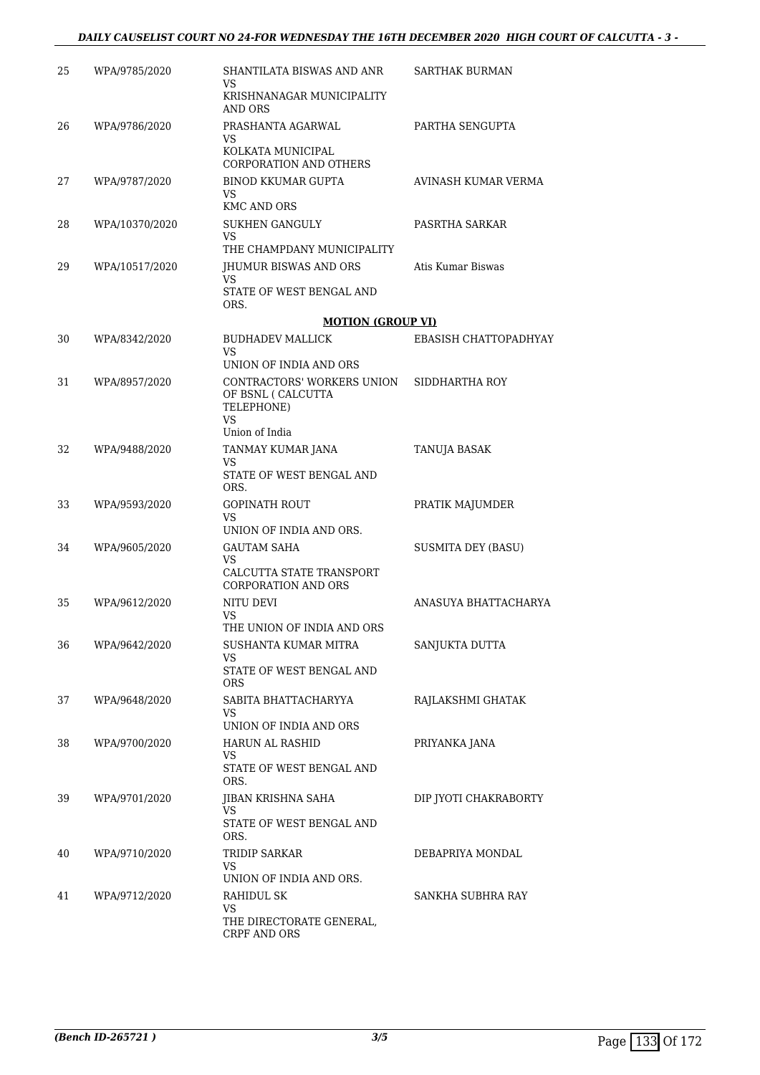#### *DAILY CAUSELIST COURT NO 24-FOR WEDNESDAY THE 16TH DECEMBER 2020 HIGH COURT OF CALCUTTA - 3 -*

| 25 | WPA/9785/2020  | SHANTILATA BISWAS AND ANR<br>VS<br>KRISHNANAGAR MUNICIPALITY                           | SARTHAK BURMAN            |
|----|----------------|----------------------------------------------------------------------------------------|---------------------------|
|    |                | AND ORS                                                                                |                           |
| 26 | WPA/9786/2020  | PRASHANTA AGARWAL<br>VS<br>KOLKATA MUNICIPAL<br>CORPORATION AND OTHERS                 | PARTHA SENGUPTA           |
| 27 | WPA/9787/2020  | BINOD KKUMAR GUPTA<br>VS<br><b>KMC AND ORS</b>                                         | AVINASH KUMAR VERMA       |
| 28 | WPA/10370/2020 | <b>SUKHEN GANGULY</b><br>VS                                                            | PASRTHA SARKAR            |
|    |                | THE CHAMPDANY MUNICIPALITY                                                             |                           |
| 29 | WPA/10517/2020 | JHUMUR BISWAS AND ORS<br>VS.                                                           | Atis Kumar Biswas         |
|    |                | STATE OF WEST BENGAL AND<br>ORS.                                                       |                           |
|    |                | <b>MOTION (GROUP VI)</b>                                                               |                           |
| 30 | WPA/8342/2020  | <b>BUDHADEV MALLICK</b><br>VS                                                          | EBASISH CHATTOPADHYAY     |
|    |                | UNION OF INDIA AND ORS                                                                 |                           |
| 31 | WPA/8957/2020  | CONTRACTORS' WORKERS UNION<br>OF BSNL ( CALCUTTA<br>TELEPHONE)<br>VS<br>Union of India | SIDDHARTHA ROY            |
| 32 | WPA/9488/2020  | TANMAY KUMAR JANA                                                                      | TANUJA BASAK              |
|    |                | VS<br>STATE OF WEST BENGAL AND<br>ORS.                                                 |                           |
| 33 | WPA/9593/2020  | GOPINATH ROUT<br>VS.                                                                   | PRATIK MAJUMDER           |
|    |                | UNION OF INDIA AND ORS.                                                                |                           |
| 34 | WPA/9605/2020  | <b>GAUTAM SAHA</b><br>VS.<br>CALCUTTA STATE TRANSPORT<br><b>CORPORATION AND ORS</b>    | <b>SUSMITA DEY (BASU)</b> |
| 35 | WPA/9612/2020  | NITU DEVI<br>VS<br>THE UNION OF INDIA AND ORS                                          | ANASUYA BHATTACHARYA      |
| 36 | WPA/9642/2020  | SUSHANTA KUMAR MITRA<br>VS<br>STATE OF WEST BENGAL AND<br>ORS.                         | SANJUKTA DUTTA            |
| 37 | WPA/9648/2020  | SABITA BHATTACHARYYA<br>VS<br>UNION OF INDIA AND ORS                                   | RAJLAKSHMI GHATAK         |
| 38 | WPA/9700/2020  | HARUN AL RASHID                                                                        | PRIYANKA JANA             |
|    |                | VS<br>STATE OF WEST BENGAL AND<br>ORS.                                                 |                           |
| 39 | WPA/9701/2020  | JIBAN KRISHNA SAHA<br>VS<br>STATE OF WEST BENGAL AND                                   | DIP JYOTI CHAKRABORTY     |
|    |                | ORS.                                                                                   |                           |
| 40 | WPA/9710/2020  | TRIDIP SARKAR<br>VS                                                                    | DEBAPRIYA MONDAL          |
|    |                | UNION OF INDIA AND ORS.                                                                |                           |
| 41 | WPA/9712/2020  | RAHIDUL SK<br>VS<br>THE DIRECTORATE GENERAL,<br>CRPF AND ORS                           | SANKHA SUBHRA RAY         |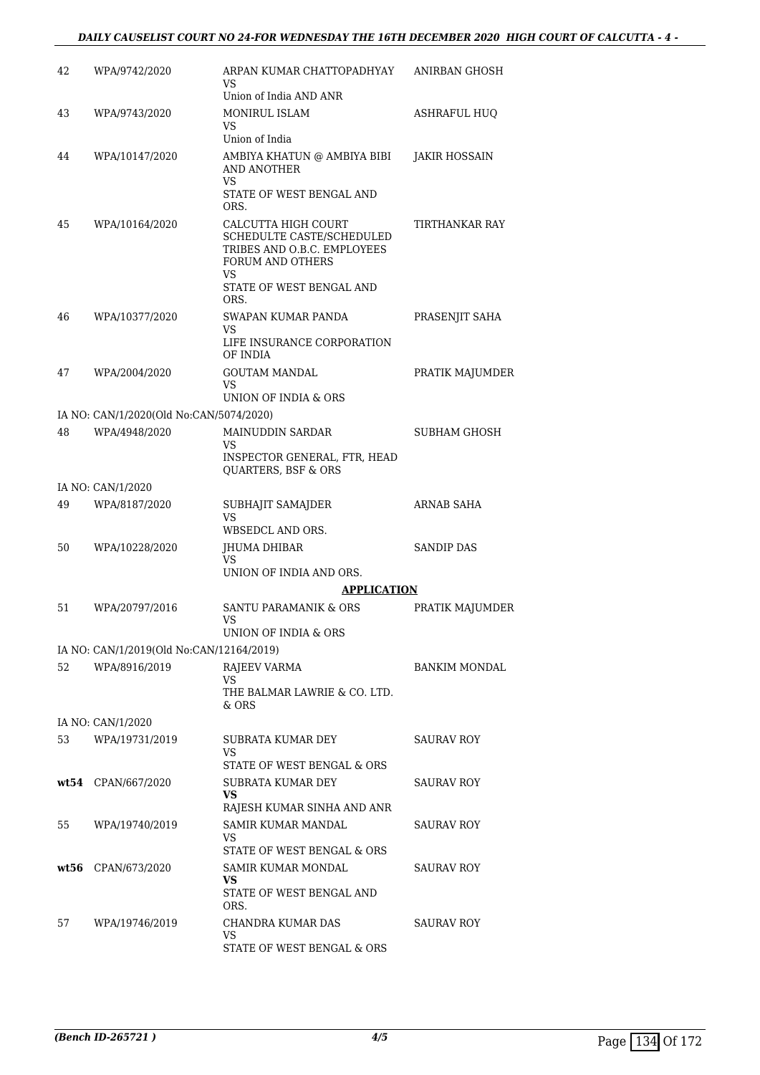#### *DAILY CAUSELIST COURT NO 24-FOR WEDNESDAY THE 16TH DECEMBER 2020 HIGH COURT OF CALCUTTA - 4 -*

| 42   | WPA/9742/2020                                            | ARPAN KUMAR CHATTOPADHYAY<br>VS<br>Union of India AND ANR                                                                                     | ANIRBAN GHOSH        |
|------|----------------------------------------------------------|-----------------------------------------------------------------------------------------------------------------------------------------------|----------------------|
| 43   | WPA/9743/2020                                            | <b>MONIRUL ISLAM</b><br>VS.                                                                                                                   | <b>ASHRAFUL HUQ</b>  |
| 44   | WPA/10147/2020                                           | Union of India<br>AMBIYA KHATUN @ AMBIYA BIBI<br>AND ANOTHER<br>VS<br>STATE OF WEST BENGAL AND<br>ORS.                                        | JAKIR HOSSAIN        |
| 45   | WPA/10164/2020                                           | CALCUTTA HIGH COURT<br>SCHEDULTE CASTE/SCHEDULED<br>TRIBES AND O.B.C. EMPLOYEES<br>FORUM AND OTHERS<br>VS<br>STATE OF WEST BENGAL AND<br>ORS. | TIRTHANKAR RAY       |
| 46   | WPA/10377/2020                                           | SWAPAN KUMAR PANDA<br>VS<br>LIFE INSURANCE CORPORATION<br>OF INDIA                                                                            | PRASENJIT SAHA       |
| 47   | WPA/2004/2020                                            | GOUTAM MANDAL<br>VS<br>UNION OF INDIA & ORS                                                                                                   | PRATIK MAJUMDER      |
|      |                                                          |                                                                                                                                               |                      |
| 48   | IA NO: CAN/1/2020(Old No:CAN/5074/2020)<br>WPA/4948/2020 | MAINUDDIN SARDAR                                                                                                                              | <b>SUBHAM GHOSH</b>  |
|      |                                                          | VS<br>INSPECTOR GENERAL, FTR, HEAD<br><b>OUARTERS, BSF &amp; ORS</b>                                                                          |                      |
|      | IA NO: CAN/1/2020                                        |                                                                                                                                               |                      |
| 49   | WPA/8187/2020                                            | SUBHAJIT SAMAJDER<br>VS                                                                                                                       | ARNAB SAHA           |
|      |                                                          | WBSEDCL AND ORS.                                                                                                                              |                      |
| 50   | WPA/10228/2020                                           | JHUMA DHIBAR<br>VS                                                                                                                            | <b>SANDIP DAS</b>    |
|      |                                                          | UNION OF INDIA AND ORS.                                                                                                                       |                      |
|      |                                                          | <b>APPLICATION</b>                                                                                                                            |                      |
| 51   | WPA/20797/2016                                           | SANTU PARAMANIK & ORS<br>VS<br>UNION OF INDIA & ORS                                                                                           | PRATIK MAJUMDER      |
|      | IA NO: CAN/1/2019(Old No:CAN/12164/2019)                 |                                                                                                                                               |                      |
| 52   | WPA/8916/2019                                            | RAJEEV VARMA                                                                                                                                  | <b>BANKIM MONDAL</b> |
|      |                                                          | VS<br>THE BALMAR LAWRIE & CO. LTD.<br>& ORS                                                                                                   |                      |
|      | IA NO: CAN/1/2020                                        |                                                                                                                                               |                      |
| 53   | WPA/19731/2019                                           | SUBRATA KUMAR DEY<br>VS.                                                                                                                      | <b>SAURAV ROY</b>    |
|      |                                                          | STATE OF WEST BENGAL & ORS                                                                                                                    |                      |
|      | wt54 CPAN/667/2020                                       | SUBRATA KUMAR DEY<br>VS.<br>RAJESH KUMAR SINHA AND ANR                                                                                        | SAURAV ROY           |
| 55   | WPA/19740/2019                                           | SAMIR KUMAR MANDAL<br>VS<br>STATE OF WEST BENGAL & ORS                                                                                        | SAURAV ROY           |
| wt56 | CPAN/673/2020                                            | SAMIR KUMAR MONDAL<br>VS                                                                                                                      | SAURAV ROY           |
|      |                                                          | STATE OF WEST BENGAL AND<br>ORS.                                                                                                              |                      |
| 57   | WPA/19746/2019                                           | CHANDRA KUMAR DAS<br>VS                                                                                                                       | <b>SAURAV ROY</b>    |
|      |                                                          | STATE OF WEST BENGAL & ORS                                                                                                                    |                      |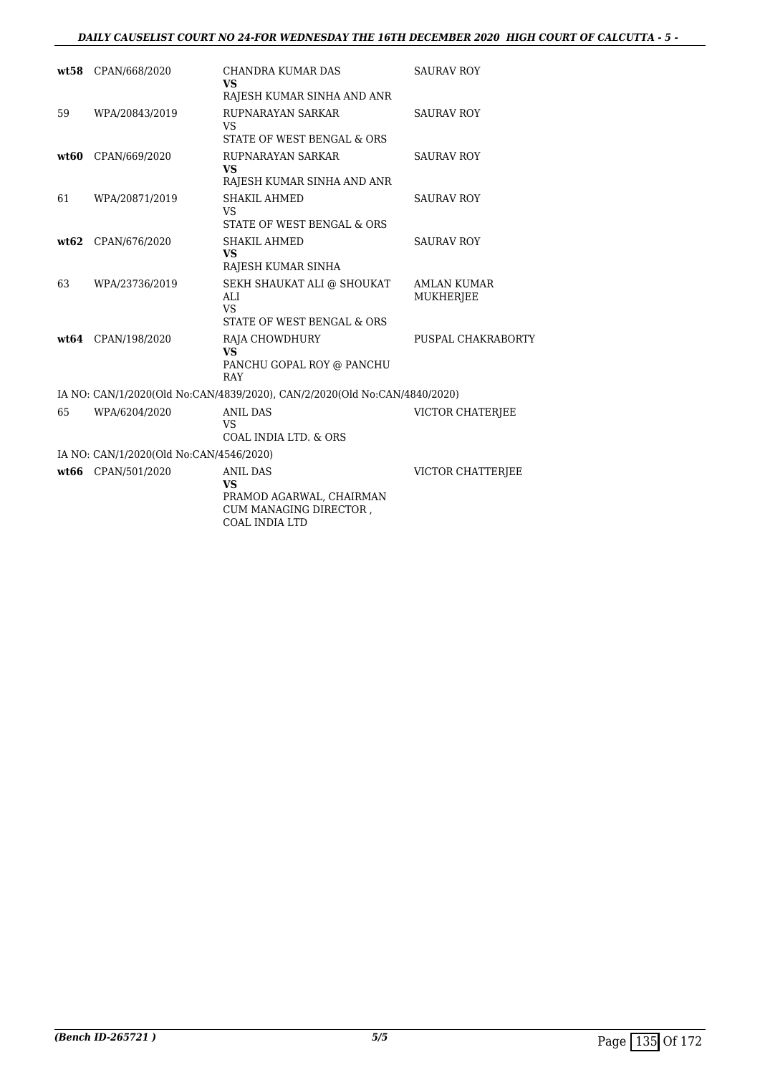#### *DAILY CAUSELIST COURT NO 24-FOR WEDNESDAY THE 16TH DECEMBER 2020 HIGH COURT OF CALCUTTA - 5 -*

|    | wt58 CPAN/668/2020                      | CHANDRA KUMAR DAS<br><b>VS</b>                                                                              | <b>SAURAV ROY</b>                      |
|----|-----------------------------------------|-------------------------------------------------------------------------------------------------------------|----------------------------------------|
|    |                                         | RAJESH KUMAR SINHA AND ANR                                                                                  |                                        |
| 59 | WPA/20843/2019                          | RUPNARAYAN SARKAR<br><b>VS</b><br>STATE OF WEST BENGAL & ORS                                                | <b>SAURAV ROY</b>                      |
|    |                                         |                                                                                                             |                                        |
|    | wt60 CPAN/669/2020                      | RUPNARAYAN SARKAR<br><b>VS</b><br>RAJESH KUMAR SINHA AND ANR                                                | <b>SAURAV ROY</b>                      |
| 61 | WPA/20871/2019                          | <b>SHAKIL AHMED</b><br><b>VS</b>                                                                            | <b>SAURAV ROY</b>                      |
|    |                                         | STATE OF WEST BENGAL & ORS                                                                                  |                                        |
|    | wt62 CPAN/676/2020                      | <b>SHAKIL AHMED</b><br><b>VS</b><br>RAJESH KUMAR SINHA                                                      | <b>SAURAV ROY</b>                      |
| 63 | WPA/23736/2019                          | SEKH SHAUKAT ALI @ SHOUKAT<br>ALI<br><b>VS</b><br>STATE OF WEST BENGAL & ORS                                | <b>AMLAN KUMAR</b><br><b>MUKHERJEE</b> |
|    | wt64 CPAN/198/2020                      | <b>RAJA CHOWDHURY</b><br><b>VS</b><br>PANCHU GOPAL ROY @ PANCHU<br>RAY                                      | PUSPAL CHAKRABORTY                     |
|    |                                         | IA NO: CAN/1/2020(Old No:CAN/4839/2020), CAN/2/2020(Old No:CAN/4840/2020)                                   |                                        |
| 65 | WPA/6204/2020                           | <b>ANIL DAS</b><br><b>VS</b><br>COAL INDIA LTD, & ORS                                                       | VICTOR CHATERJEE                       |
|    | IA NO: CAN/1/2020(Old No:CAN/4546/2020) |                                                                                                             |                                        |
|    | wt66 CPAN/501/2020                      | <b>ANIL DAS</b><br><b>VS</b><br>PRAMOD AGARWAL, CHAIRMAN<br>CUM MANAGING DIRECTOR,<br><b>COAL INDIA LTD</b> | <b>VICTOR CHATTERIEE</b>               |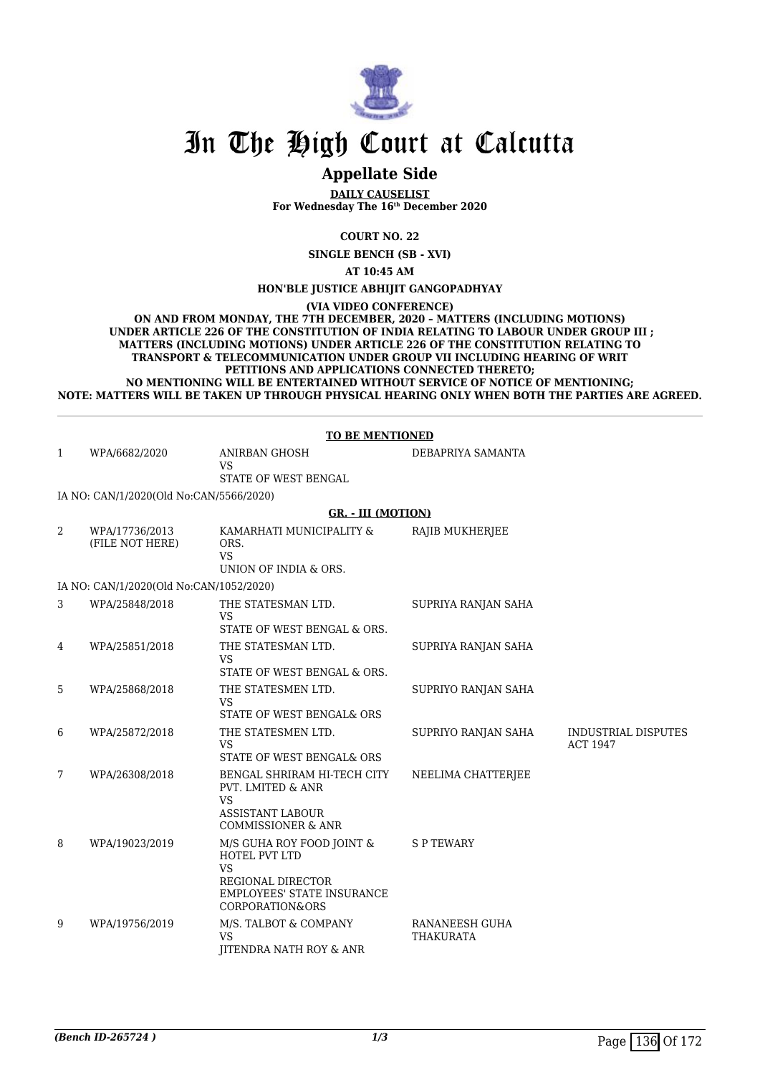

### **Appellate Side**

**DAILY CAUSELIST For Wednesday The 16th December 2020**

**COURT NO. 22**

**SINGLE BENCH (SB - XVI)**

**AT 10:45 AM**

**HON'BLE JUSTICE ABHIJIT GANGOPADHYAY**

**(VIA VIDEO CONFERENCE)**

**ON AND FROM MONDAY, THE 7TH DECEMBER, 2020 – MATTERS (INCLUDING MOTIONS) UNDER ARTICLE 226 OF THE CONSTITUTION OF INDIA RELATING TO LABOUR UNDER GROUP III ; MATTERS (INCLUDING MOTIONS) UNDER ARTICLE 226 OF THE CONSTITUTION RELATING TO TRANSPORT & TELECOMMUNICATION UNDER GROUP VII INCLUDING HEARING OF WRIT PETITIONS AND APPLICATIONS CONNECTED THERETO; NO MENTIONING WILL BE ENTERTAINED WITHOUT SERVICE OF NOTICE OF MENTIONING; NOTE: MATTERS WILL BE TAKEN UP THROUGH PHYSICAL HEARING ONLY WHEN BOTH THE PARTIES ARE AGREED.**

|              | <b>TO BE MENTIONED</b>                  |                                                                                                                                                 |                                    |                                               |  |
|--------------|-----------------------------------------|-------------------------------------------------------------------------------------------------------------------------------------------------|------------------------------------|-----------------------------------------------|--|
| $\mathbf{1}$ | WPA/6682/2020                           | <b>ANIRBAN GHOSH</b><br>VS<br>STATE OF WEST BENGAL                                                                                              | DEBAPRIYA SAMANTA                  |                                               |  |
|              | IA NO: CAN/1/2020(Old No:CAN/5566/2020) |                                                                                                                                                 |                                    |                                               |  |
|              |                                         | <b>GR. - III (MOTION)</b>                                                                                                                       |                                    |                                               |  |
| 2            | WPA/17736/2013<br>(FILE NOT HERE)       | KAMARHATI MUNICIPALITY &<br>ORS.<br><b>VS</b><br>UNION OF INDIA & ORS.                                                                          | RAJIB MUKHERJEE                    |                                               |  |
|              | IA NO: CAN/1/2020(Old No:CAN/1052/2020) |                                                                                                                                                 |                                    |                                               |  |
| 3            | WPA/25848/2018                          | THE STATESMAN LTD.<br><b>VS</b><br>STATE OF WEST BENGAL & ORS.                                                                                  | SUPRIYA RANJAN SAHA                |                                               |  |
| 4            | WPA/25851/2018                          | THE STATESMAN LTD.<br><b>VS</b><br>STATE OF WEST BENGAL & ORS.                                                                                  | SUPRIYA RANJAN SAHA                |                                               |  |
| 5            | WPA/25868/2018                          | THE STATESMEN LTD.<br><b>VS</b><br>STATE OF WEST BENGAL& ORS                                                                                    | SUPRIYO RANJAN SAHA                |                                               |  |
| 6            | WPA/25872/2018                          | THE STATESMEN LTD.<br><b>VS</b><br>STATE OF WEST BENGAL& ORS                                                                                    | SUPRIYO RANJAN SAHA                | <b>INDUSTRIAL DISPUTES</b><br><b>ACT 1947</b> |  |
| 7            | WPA/26308/2018                          | BENGAL SHRIRAM HI-TECH CITY<br><b>PVT. LMITED &amp; ANR</b><br><b>VS</b><br><b>ASSISTANT LABOUR</b><br><b>COMMISSIONER &amp; ANR</b>            | NEELIMA CHATTERJEE                 |                                               |  |
| 8            | WPA/19023/2019                          | M/S GUHA ROY FOOD JOINT &<br>HOTEL PVT LTD<br><b>VS</b><br>REGIONAL DIRECTOR<br><b>EMPLOYEES' STATE INSURANCE</b><br><b>CORPORATION&amp;ORS</b> | <b>SPTEWARY</b>                    |                                               |  |
| 9            | WPA/19756/2019                          | M/S. TALBOT & COMPANY<br><b>VS</b><br>JITENDRA NATH ROY & ANR                                                                                   | RANANEESH GUHA<br><b>THAKURATA</b> |                                               |  |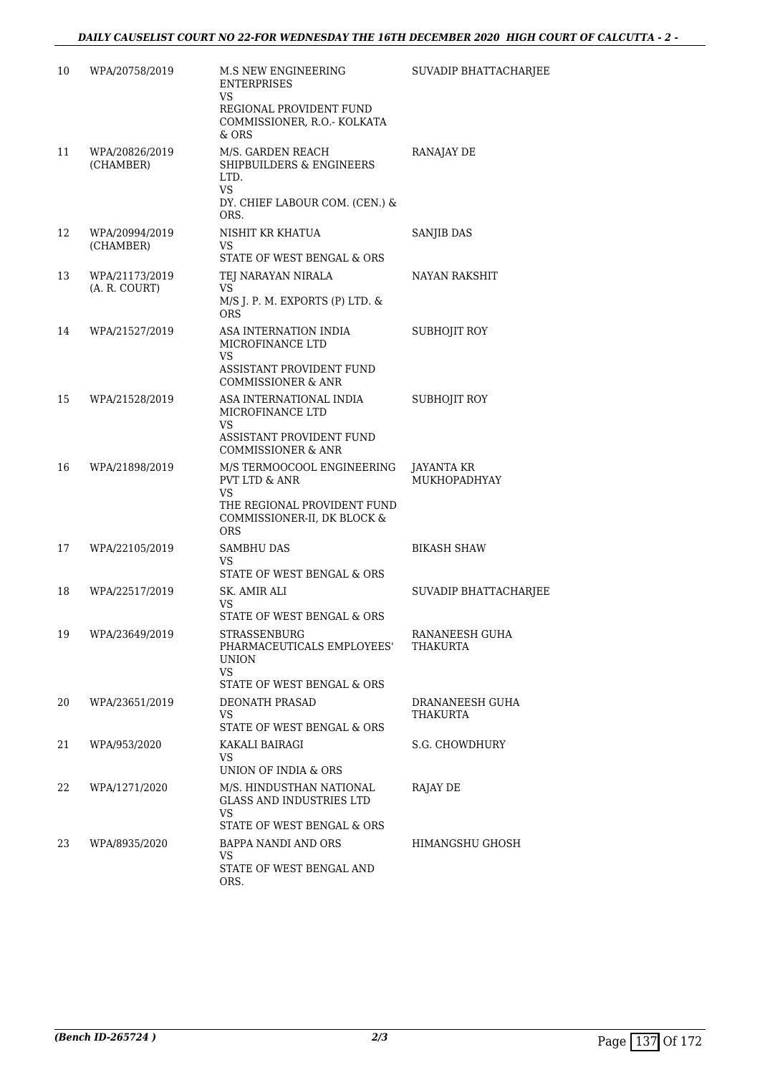| 10 | WPA/20758/2019                  | M.S NEW ENGINEERING<br><b>ENTERPRISES</b><br>VS<br>REGIONAL PROVIDENT FUND                                                                      | SUVADIP BHATTACHARJEE       |
|----|---------------------------------|-------------------------------------------------------------------------------------------------------------------------------------------------|-----------------------------|
|    |                                 | COMMISSIONER, R.O.- KOLKATA<br>$&$ ORS                                                                                                          |                             |
| 11 | WPA/20826/2019<br>(CHAMBER)     | M/S. GARDEN REACH<br>SHIPBUILDERS & ENGINEERS<br>LTD.<br>VS<br>DY. CHIEF LABOUR COM. (CEN.) &<br>ORS.                                           | RANAJAY DE                  |
| 12 | WPA/20994/2019<br>(CHAMBER)     | NISHIT KR KHATUA<br>VS<br>STATE OF WEST BENGAL & ORS                                                                                            | <b>SANJIB DAS</b>           |
| 13 | WPA/21173/2019<br>(A. R. COURT) | TEJ NARAYAN NIRALA<br>VS.<br>M/S J. P. M. EXPORTS (P) LTD. &<br><b>ORS</b>                                                                      | NAYAN RAKSHIT               |
| 14 | WPA/21527/2019                  | ASA INTERNATION INDIA<br>MICROFINANCE LTD<br>VS<br>ASSISTANT PROVIDENT FUND<br><b>COMMISSIONER &amp; ANR</b>                                    | SUBHOJIT ROY                |
| 15 | WPA/21528/2019                  | ASA INTERNATIONAL INDIA<br>MICROFINANCE LTD<br>VS<br>ASSISTANT PROVIDENT FUND<br><b>COMMISSIONER &amp; ANR</b>                                  | SUBHOJIT ROY                |
| 16 | WPA/21898/2019                  | M/S TERMOOCOOL ENGINEERING<br><b>PVT LTD &amp; ANR</b><br><b>VS</b><br>THE REGIONAL PROVIDENT FUND<br>COMMISSIONER-II, DK BLOCK &<br><b>ORS</b> | JAYANTA KR<br>MUKHOPADHYAY  |
| 17 | WPA/22105/2019                  | SAMBHU DAS<br>VS<br>STATE OF WEST BENGAL & ORS                                                                                                  | BIKASH SHAW                 |
| 18 | WPA/22517/2019                  | SK. AMIR ALI<br>VS.<br>STATE OF WEST BENGAL & ORS                                                                                               | SUVADIP BHATTACHARJEE       |
| 19 | WPA/23649/2019                  | STRASSENBURG<br>PHARMACEUTICALS EMPLOYEES'<br><b>UNION</b><br>VS.<br>STATE OF WEST BENGAL & ORS                                                 | RANANEESH GUHA<br>THAKURTA  |
| 20 | WPA/23651/2019                  | <b>DEONATH PRASAD</b><br>VS<br>STATE OF WEST BENGAL & ORS                                                                                       | DRANANEESH GUHA<br>THAKURTA |
| 21 | WPA/953/2020                    | KAKALI BAIRAGI<br>VS<br>UNION OF INDIA & ORS                                                                                                    | S.G. CHOWDHURY              |
| 22 | WPA/1271/2020                   | M/S. HINDUSTHAN NATIONAL<br><b>GLASS AND INDUSTRIES LTD</b><br>VS.<br>STATE OF WEST BENGAL & ORS                                                | RAJAY DE                    |
| 23 | WPA/8935/2020                   | BAPPA NANDI AND ORS<br>VS.<br>STATE OF WEST BENGAL AND<br>ORS.                                                                                  | HIMANGSHU GHOSH             |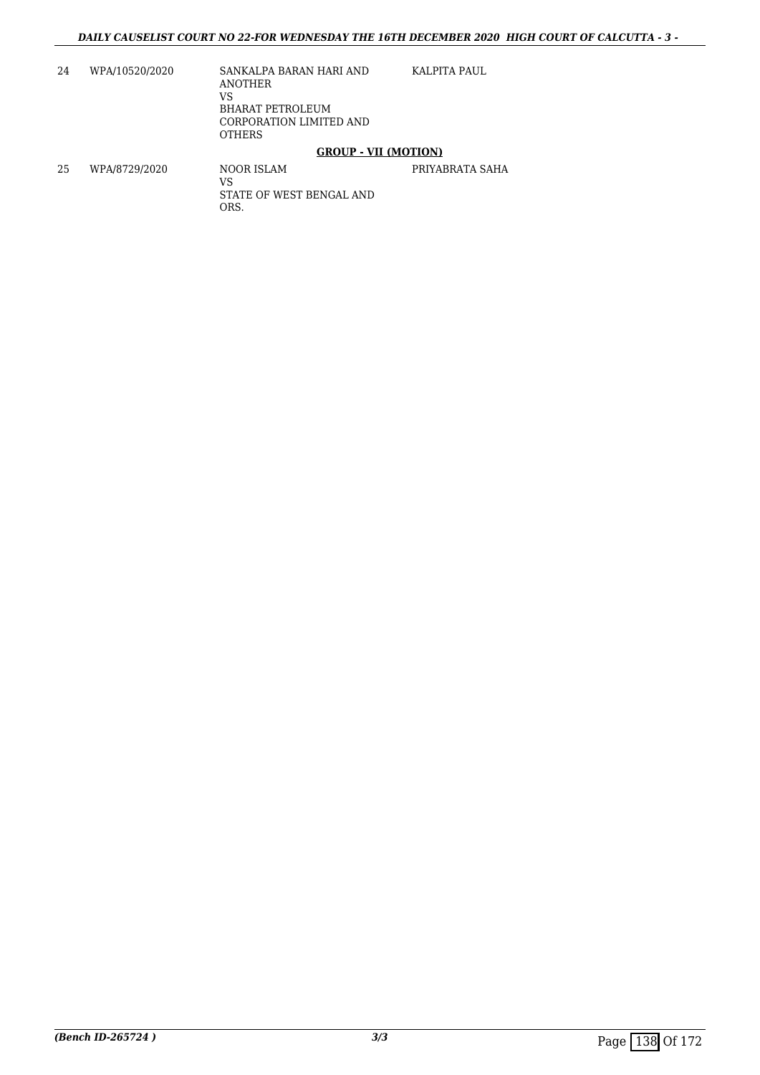24 WPA/10520/2020 SANKALPA BARAN HARI AND ANOTHER VS BHARAT PETROLEUM CORPORATION LIMITED AND **OTHERS** KALPITA PAUL

#### **GROUP - VII (MOTION)**

25 WPA/8729/2020 NOOR ISLAM VS STATE OF WEST BENGAL AND ORS. PRIYABRATA SAHA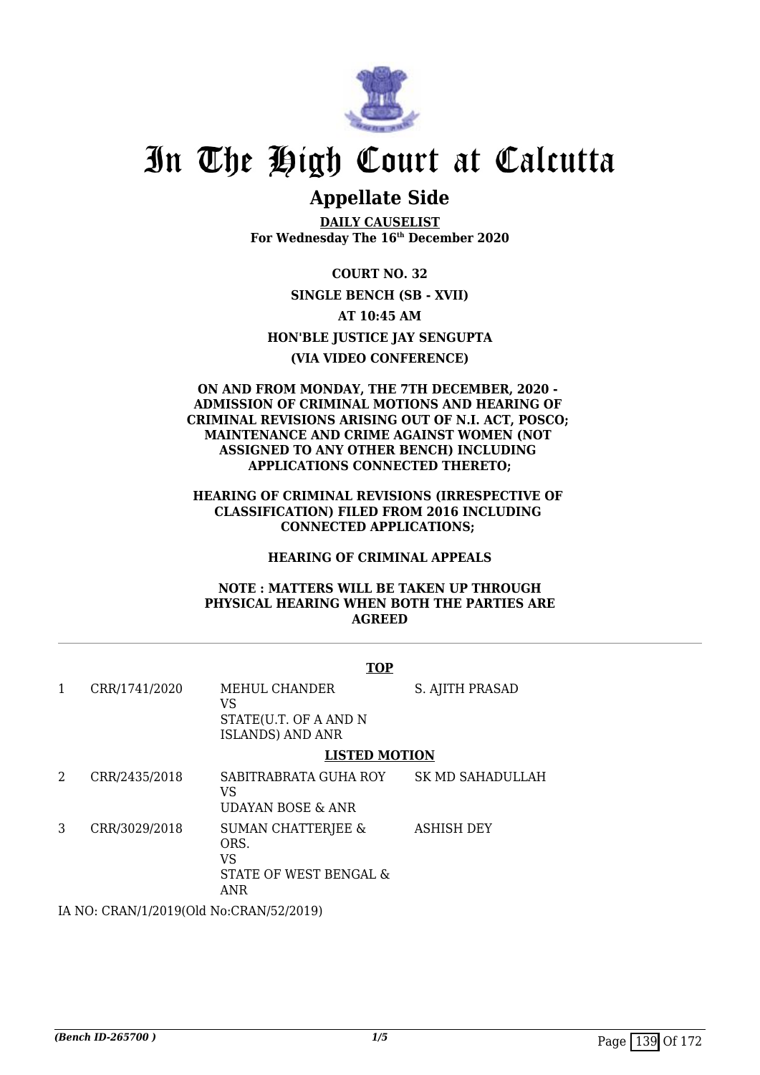

## **Appellate Side**

**DAILY CAUSELIST For Wednesday The 16th December 2020**

**COURT NO. 32 SINGLE BENCH (SB - XVII) AT 10:45 AM HON'BLE JUSTICE JAY SENGUPTA (VIA VIDEO CONFERENCE)**

#### **ON AND FROM MONDAY, THE 7TH DECEMBER, 2020 - ADMISSION OF CRIMINAL MOTIONS AND HEARING OF CRIMINAL REVISIONS ARISING OUT OF N.I. ACT, POSCO; MAINTENANCE AND CRIME AGAINST WOMEN (NOT ASSIGNED TO ANY OTHER BENCH) INCLUDING APPLICATIONS CONNECTED THERETO;**

#### **HEARING OF CRIMINAL REVISIONS (IRRESPECTIVE OF CLASSIFICATION) FILED FROM 2016 INCLUDING CONNECTED APPLICATIONS;**

#### **HEARING OF CRIMINAL APPEALS**

#### **NOTE : MATTERS WILL BE TAKEN UP THROUGH PHYSICAL HEARING WHEN BOTH THE PARTIES ARE AGREED**

|   |                                        | <b>TOP</b>                                                                   |                         |  |
|---|----------------------------------------|------------------------------------------------------------------------------|-------------------------|--|
| 1 | CRR/1741/2020                          | MEHUL CHANDER<br>VS.<br>STATE(U.T. OF A AND N<br><b>ISLANDS) AND ANR</b>     | S. AJITH PRASAD         |  |
|   |                                        | <b>LISTED MOTION</b>                                                         |                         |  |
| 2 | CRR/2435/2018                          | SABITRABRATA GUHA ROY<br>VS<br>UDAYAN BOSE & ANR                             | <b>SK MD SAHADULLAH</b> |  |
| 3 | CRR/3029/2018                          | <b>SUMAN CHATTERJEE &amp;</b><br>ORS.<br>VS<br>STATE OF WEST BENGAL &<br>ANR | <b>ASHISH DEY</b>       |  |
|   | IA NO. CRANILIZO 1000 No.CRANIE 20010) |                                                                              |                         |  |

IA NO: CRAN/1/2019(Old No:CRAN/52/2019)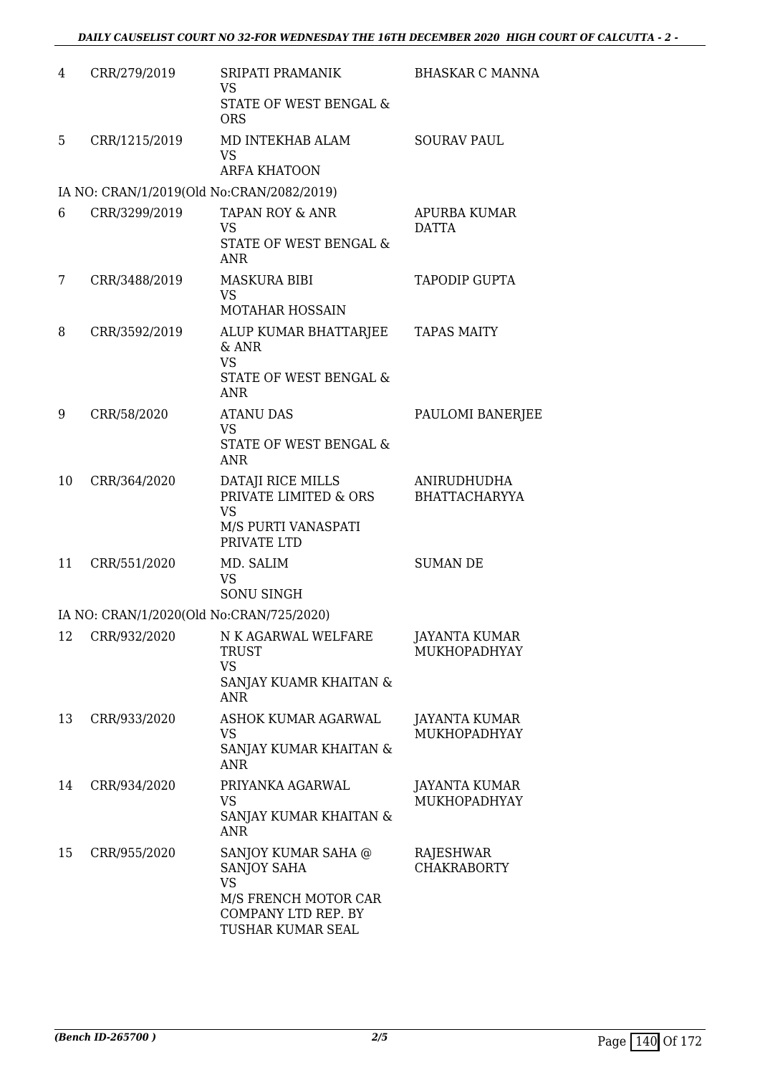| 4  | CRR/279/2019  | SRIPATI PRAMANIK<br><b>VS</b><br>STATE OF WEST BENGAL &                                                             | <b>BHASKAR C MANNA</b>              |
|----|---------------|---------------------------------------------------------------------------------------------------------------------|-------------------------------------|
|    |               | <b>ORS</b>                                                                                                          |                                     |
| 5  | CRR/1215/2019 | MD INTEKHAB ALAM<br><b>VS</b><br><b>ARFA KHATOON</b>                                                                | <b>SOURAV PAUL</b>                  |
|    |               | IA NO: CRAN/1/2019(Old No:CRAN/2082/2019)                                                                           |                                     |
| 6  | CRR/3299/2019 | <b>TAPAN ROY &amp; ANR</b><br><b>VS</b><br>STATE OF WEST BENGAL &<br><b>ANR</b>                                     | APURBA KUMAR<br><b>DATTA</b>        |
| 7  | CRR/3488/2019 | MASKURA BIBI<br><b>VS</b><br><b>MOTAHAR HOSSAIN</b>                                                                 | <b>TAPODIP GUPTA</b>                |
| 8  | CRR/3592/2019 | ALUP KUMAR BHATTARJEE<br>$&$ ANR<br><b>VS</b><br><b>STATE OF WEST BENGAL &amp;</b><br><b>ANR</b>                    | <b>TAPAS MAITY</b>                  |
| 9  | CRR/58/2020   | <b>ATANU DAS</b><br><b>VS</b><br>STATE OF WEST BENGAL &<br><b>ANR</b>                                               | PAULOMI BANERJEE                    |
| 10 | CRR/364/2020  | DATAJI RICE MILLS<br>PRIVATE LIMITED & ORS<br><b>VS</b><br>M/S PURTI VANASPATI<br>PRIVATE LTD                       | ANIRUDHUDHA<br><b>BHATTACHARYYA</b> |
| 11 | CRR/551/2020  | MD. SALIM<br><b>VS</b><br>SONU SINGH                                                                                | <b>SUMAN DE</b>                     |
|    |               | IA NO: CRAN/1/2020(Old No:CRAN/725/2020)                                                                            |                                     |
| 12 | CRR/932/2020  | N K AGARWAL WELFARE<br><b>TRUST</b><br><b>VS</b><br>SANJAY KUAMR KHAITAN &<br><b>ANR</b>                            | JAYANTA KUMAR<br>MUKHOPADHYAY       |
| 13 | CRR/933/2020  | ASHOK KUMAR AGARWAL<br><b>VS</b><br>SANJAY KUMAR KHAITAN &<br><b>ANR</b>                                            | JAYANTA KUMAR<br>MUKHOPADHYAY       |
| 14 | CRR/934/2020  | PRIYANKA AGARWAL<br>VS<br>SANJAY KUMAR KHAITAN &<br><b>ANR</b>                                                      | JAYANTA KUMAR<br>MUKHOPADHYAY       |
| 15 | CRR/955/2020  | SANJOY KUMAR SAHA @<br>SANJOY SAHA<br><b>VS</b><br>M/S FRENCH MOTOR CAR<br>COMPANY LTD REP. BY<br>TUSHAR KUMAR SEAL | RAJESHWAR<br><b>CHAKRABORTY</b>     |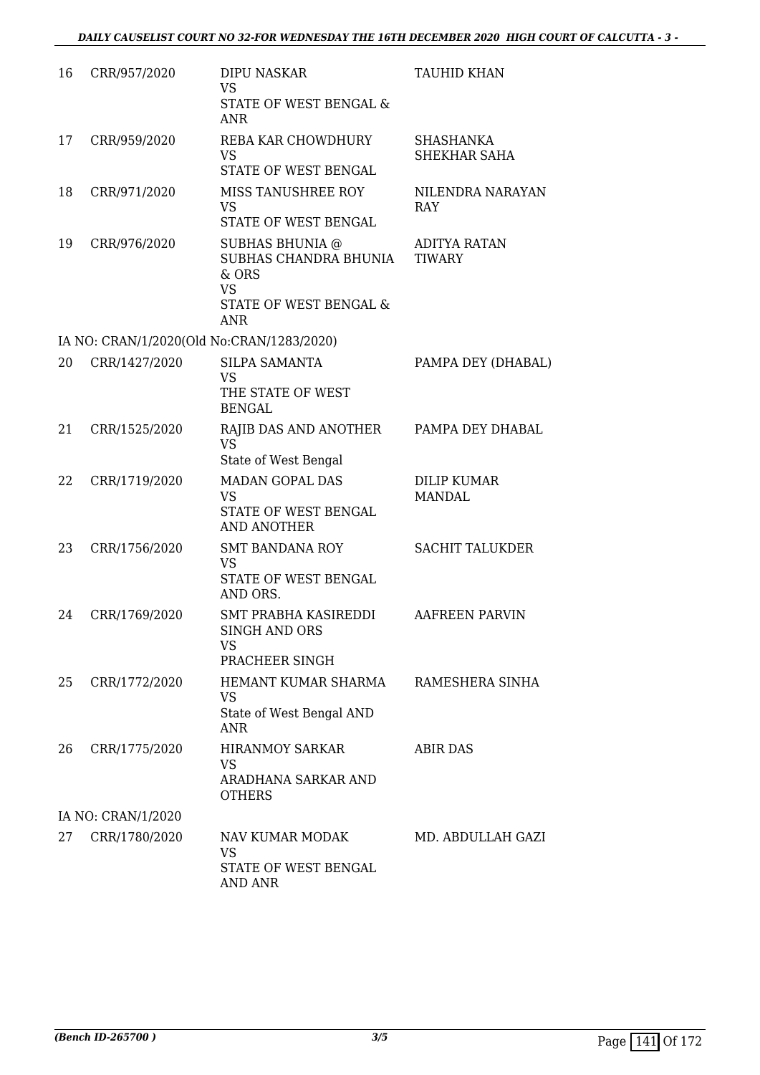| 16 | CRR/957/2020                              | DIPU NASKAR<br>VS<br>STATE OF WEST BENGAL &<br>ANR                                                     | TAUHID KHAN                          |
|----|-------------------------------------------|--------------------------------------------------------------------------------------------------------|--------------------------------------|
| 17 | CRR/959/2020                              | REBA KAR CHOWDHURY<br><b>VS</b><br>STATE OF WEST BENGAL                                                | <b>SHASHANKA</b><br>SHEKHAR SAHA     |
| 18 | CRR/971/2020                              | MISS TANUSHREE ROY<br><b>VS</b><br>STATE OF WEST BENGAL                                                | NILENDRA NARAYAN<br><b>RAY</b>       |
| 19 | CRR/976/2020                              | SUBHAS BHUNIA @<br>SUBHAS CHANDRA BHUNIA<br>& ORS<br><b>VS</b><br>STATE OF WEST BENGAL &<br><b>ANR</b> | <b>ADITYA RATAN</b><br><b>TIWARY</b> |
|    | IA NO: CRAN/1/2020(Old No:CRAN/1283/2020) |                                                                                                        |                                      |
| 20 | CRR/1427/2020                             | SILPA SAMANTA<br><b>VS</b><br>THE STATE OF WEST<br><b>BENGAL</b>                                       | PAMPA DEY (DHABAL)                   |
| 21 | CRR/1525/2020                             | RAJIB DAS AND ANOTHER<br><b>VS</b><br>State of West Bengal                                             | PAMPA DEY DHABAL                     |
| 22 | CRR/1719/2020                             | <b>MADAN GOPAL DAS</b><br><b>VS</b><br>STATE OF WEST BENGAL<br><b>AND ANOTHER</b>                      | <b>DILIP KUMAR</b><br><b>MANDAL</b>  |
| 23 | CRR/1756/2020                             | <b>SMT BANDANA ROY</b><br><b>VS</b><br>STATE OF WEST BENGAL<br>AND ORS.                                | <b>SACHIT TALUKDER</b>               |
| 24 | CRR/1769/2020                             | SMT PRABHA KASIREDDI<br>SINGH AND ORS<br><b>VS</b><br>PRACHEER SINGH                                   | <b>AAFREEN PARVIN</b>                |
| 25 | CRR/1772/2020                             | HEMANT KUMAR SHARMA<br>VS<br>State of West Bengal AND<br><b>ANR</b>                                    | RAMESHERA SINHA                      |
| 26 | CRR/1775/2020                             | <b>HIRANMOY SARKAR</b><br><b>VS</b><br>ARADHANA SARKAR AND<br><b>OTHERS</b>                            | <b>ABIR DAS</b>                      |
|    | IA NO: CRAN/1/2020                        |                                                                                                        |                                      |
| 27 | CRR/1780/2020                             | NAV KUMAR MODAK<br><b>VS</b><br>STATE OF WEST BENGAL<br>AND ANR                                        | MD. ABDULLAH GAZI                    |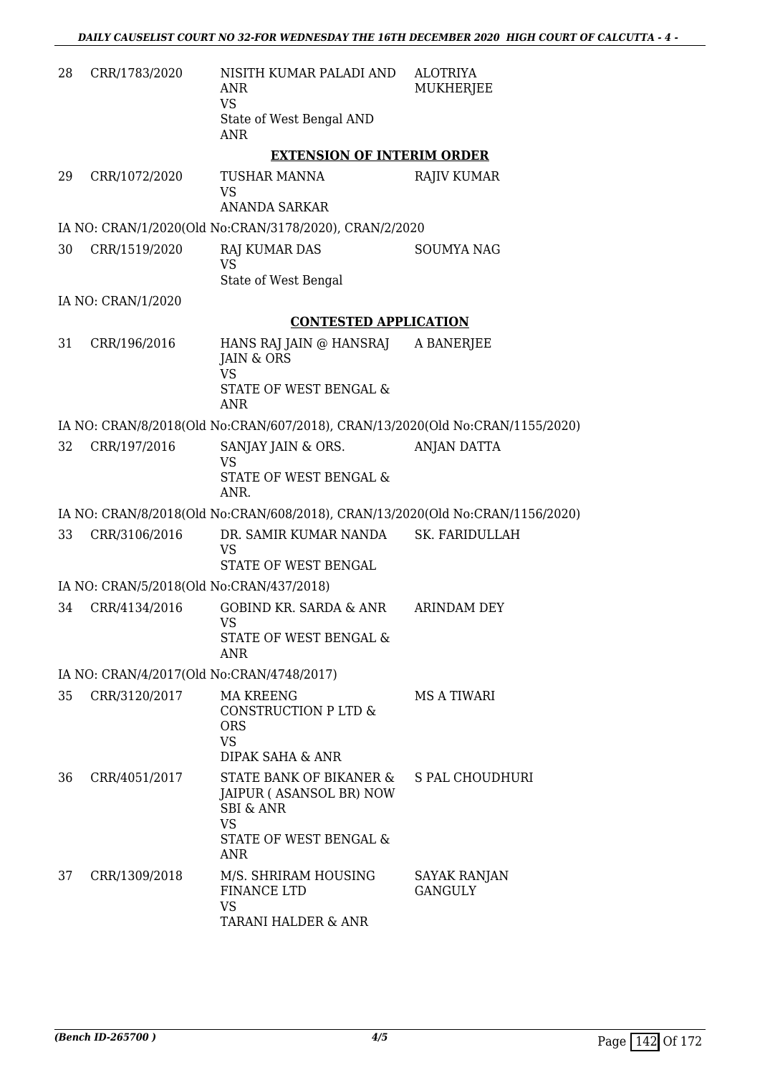| 28 | CRR/1783/2020                             | NISITH KUMAR PALADI AND<br><b>ANR</b><br><b>VS</b><br>State of West Bengal AND<br><b>ANR</b>                                    | <b>ALOTRIYA</b><br>MUKHERJEE   |
|----|-------------------------------------------|---------------------------------------------------------------------------------------------------------------------------------|--------------------------------|
|    |                                           | <b>EXTENSION OF INTERIM ORDER</b>                                                                                               |                                |
| 29 | CRR/1072/2020                             | TUSHAR MANNA<br><b>VS</b><br><b>ANANDA SARKAR</b>                                                                               | <b>RAJIV KUMAR</b>             |
|    |                                           | IA NO: CRAN/1/2020(Old No:CRAN/3178/2020), CRAN/2/2020                                                                          |                                |
| 30 | CRR/1519/2020                             | RAJ KUMAR DAS<br><b>VS</b>                                                                                                      | <b>SOUMYA NAG</b>              |
|    |                                           | State of West Bengal                                                                                                            |                                |
|    | IA NO: CRAN/1/2020                        |                                                                                                                                 |                                |
|    |                                           | <b>CONTESTED APPLICATION</b>                                                                                                    |                                |
| 31 | CRR/196/2016                              | HANS RAJ JAIN @ HANSRAJ<br>JAIN & ORS<br><b>VS</b>                                                                              | A BANERJEE                     |
|    |                                           | <b>STATE OF WEST BENGAL &amp;</b><br><b>ANR</b>                                                                                 |                                |
|    |                                           | IA NO: CRAN/8/2018(Old No:CRAN/607/2018), CRAN/13/2020(Old No:CRAN/1155/2020)                                                   |                                |
| 32 | CRR/197/2016                              | SANJAY JAIN & ORS.                                                                                                              | ANJAN DATTA                    |
|    |                                           | <b>VS</b><br>STATE OF WEST BENGAL &<br>ANR.                                                                                     |                                |
|    |                                           | IA NO: CRAN/8/2018(Old No:CRAN/608/2018), CRAN/13/2020(Old No:CRAN/1156/2020)                                                   |                                |
| 33 | CRR/3106/2016                             | DR. SAMIR KUMAR NANDA SK. FARIDULLAH<br><b>VS</b>                                                                               |                                |
|    |                                           | STATE OF WEST BENGAL                                                                                                            |                                |
|    | IA NO: CRAN/5/2018(Old No:CRAN/437/2018)  |                                                                                                                                 |                                |
| 34 | CRR/4134/2016                             | GOBIND KR. SARDA & ANR ARINDAM DEY<br>VS<br>STATE OF WEST BENGAL &                                                              |                                |
|    |                                           | ANR                                                                                                                             |                                |
|    | IA NO: CRAN/4/2017(Old No:CRAN/4748/2017) |                                                                                                                                 |                                |
| 35 | CRR/3120/2017                             | MA KREENG<br>CONSTRUCTION P LTD &<br><b>ORS</b><br><b>VS</b><br><b>DIPAK SAHA &amp; ANR</b>                                     | MS A TIWARI                    |
| 36 | CRR/4051/2017                             | STATE BANK OF BIKANER &<br>JAIPUR (ASANSOL BR) NOW<br><b>SBI &amp; ANR</b><br><b>VS</b><br>STATE OF WEST BENGAL &<br><b>ANR</b> | S PAL CHOUDHURI                |
| 37 | CRR/1309/2018                             | M/S. SHRIRAM HOUSING<br><b>FINANCE LTD</b><br><b>VS</b><br>TARANI HALDER & ANR                                                  | SAYAK RANJAN<br><b>GANGULY</b> |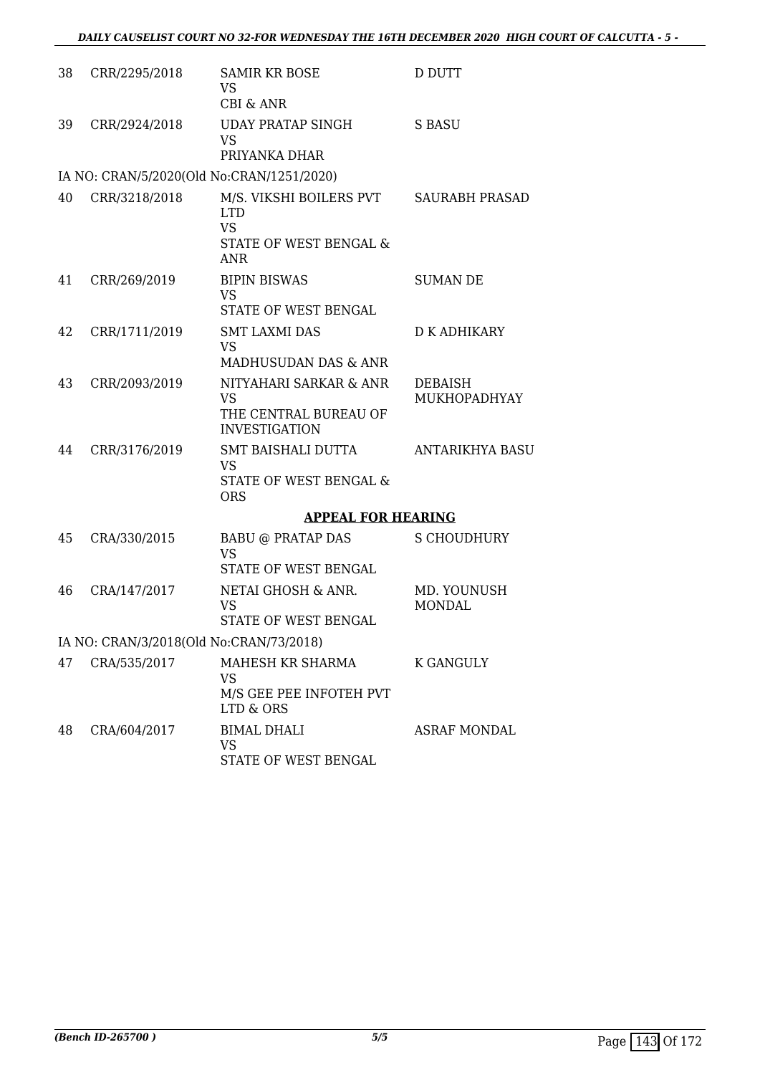| 38 | CRR/2295/2018                           | <b>SAMIR KR BOSE</b><br><b>VS</b><br><b>CBI &amp; ANR</b>                                  | D DUTT                         |
|----|-----------------------------------------|--------------------------------------------------------------------------------------------|--------------------------------|
| 39 | CRR/2924/2018                           | <b>UDAY PRATAP SINGH</b><br><b>VS</b><br>PRIYANKA DHAR                                     | <b>S BASU</b>                  |
|    |                                         | IA NO: CRAN/5/2020(Old No:CRAN/1251/2020)                                                  |                                |
| 40 | CRR/3218/2018                           | M/S. VIKSHI BOILERS PVT<br><b>LTD</b><br><b>VS</b><br>STATE OF WEST BENGAL &<br><b>ANR</b> | <b>SAURABH PRASAD</b>          |
| 41 | CRR/269/2019                            | <b>BIPIN BISWAS</b><br><b>VS</b><br>STATE OF WEST BENGAL                                   | <b>SUMAN DE</b>                |
| 42 | CRR/1711/2019                           | <b>SMT LAXMI DAS</b><br><b>VS</b><br>MADHUSUDAN DAS & ANR                                  | D K ADHIKARY                   |
| 43 | CRR/2093/2019                           | NITYAHARI SARKAR & ANR<br><b>VS</b><br>THE CENTRAL BUREAU OF<br><b>INVESTIGATION</b>       | <b>DEBAISH</b><br>MUKHOPADHYAY |
| 44 | CRR/3176/2019                           | <b>SMT BAISHALI DUTTA</b><br><b>VS</b><br>STATE OF WEST BENGAL &<br><b>ORS</b>             | <b>ANTARIKHYA BASU</b>         |
|    |                                         | <b>APPEAL FOR HEARING</b>                                                                  |                                |
| 45 | CRA/330/2015                            | <b>BABU @ PRATAP DAS</b><br><b>VS</b><br>STATE OF WEST BENGAL                              | S CHOUDHURY                    |
| 46 | CRA/147/2017                            | NETAI GHOSH & ANR.<br><b>VS</b><br>STATE OF WEST BENGAL                                    | MD. YOUNUSH<br><b>MONDAL</b>   |
|    | IA NO: CRAN/3/2018(Old No:CRAN/73/2018) |                                                                                            |                                |
| 47 | CRA/535/2017                            | MAHESH KR SHARMA<br>VS<br>M/S GEE PEE INFOTEH PVT<br>LTD & ORS                             | <b>K GANGULY</b>               |
| 48 | CRA/604/2017                            | <b>BIMAL DHALI</b><br><b>VS</b><br>STATE OF WEST BENGAL                                    | <b>ASRAF MONDAL</b>            |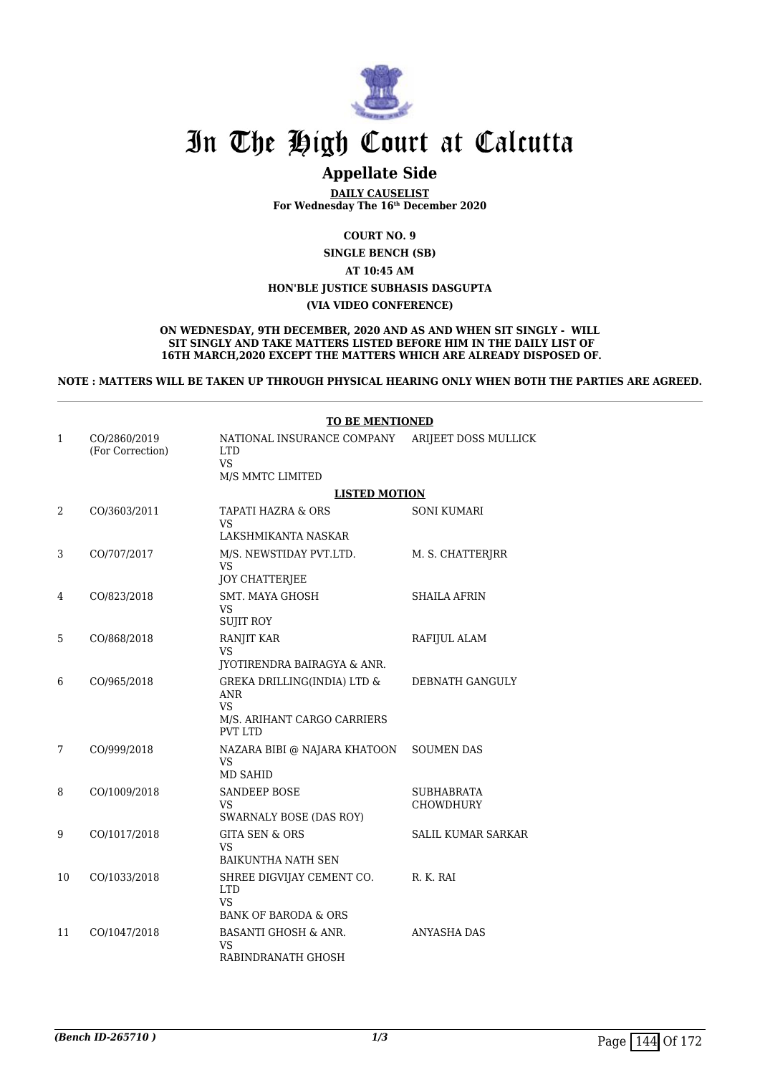

### **Appellate Side**

**DAILY CAUSELIST For Wednesday The 16th December 2020**

**COURT NO. 9**

**SINGLE BENCH (SB)**

**AT 10:45 AM**

**HON'BLE JUSTICE SUBHASIS DASGUPTA**

**(VIA VIDEO CONFERENCE)**

**ON WEDNESDAY, 9TH DECEMBER, 2020 AND AS AND WHEN SIT SINGLY - WILL SIT SINGLY AND TAKE MATTERS LISTED BEFORE HIM IN THE DAILY LIST OF 16TH MARCH,2020 EXCEPT THE MATTERS WHICH ARE ALREADY DISPOSED OF.**

**NOTE : MATTERS WILL BE TAKEN UP THROUGH PHYSICAL HEARING ONLY WHEN BOTH THE PARTIES ARE AGREED.**

|              |                                  | <b>TO BE MENTIONED</b>                                                                                  |                                |  |
|--------------|----------------------------------|---------------------------------------------------------------------------------------------------------|--------------------------------|--|
| $\mathbf{1}$ | CO/2860/2019<br>(For Correction) | NATIONAL INSURANCE COMPANY<br><b>LTD</b><br><b>VS</b><br>M/S MMTC LIMITED                               | ARIJEET DOSS MULLICK           |  |
|              |                                  | <b>LISTED MOTION</b>                                                                                    |                                |  |
| 2            | CO/3603/2011                     | TAPATI HAZRA & ORS<br>VS<br>LAKSHMIKANTA NASKAR                                                         | <b>SONI KUMARI</b>             |  |
| 3            | CO/707/2017                      | M/S. NEWSTIDAY PVT.LTD.<br><b>VS</b><br><b>JOY CHATTERJEE</b>                                           | M. S. CHATTERJRR               |  |
| 4            | CO/823/2018                      | <b>SMT. MAYA GHOSH</b><br><b>VS</b><br><b>SUJIT ROY</b>                                                 | <b>SHAILA AFRIN</b>            |  |
| 5            | CO/868/2018                      | RANJIT KAR<br><b>VS</b><br>JYOTIRENDRA BAIRAGYA & ANR.                                                  | RAFIJUL ALAM                   |  |
| 6            | CO/965/2018                      | GREKA DRILLING(INDIA) LTD &<br><b>ANR</b><br><b>VS</b><br>M/S. ARIHANT CARGO CARRIERS<br><b>PVT LTD</b> | DEBNATH GANGULY                |  |
| 7            | CO/999/2018                      | NAZARA BIBI @ NAJARA KHATOON<br>VS.<br><b>MD SAHID</b>                                                  | <b>SOUMEN DAS</b>              |  |
| 8            | CO/1009/2018                     | <b>SANDEEP BOSE</b><br>VS<br>SWARNALY BOSE (DAS ROY)                                                    | <b>SUBHABRATA</b><br>CHOWDHURY |  |
| 9            | CO/1017/2018                     | <b>GITA SEN &amp; ORS</b><br>VS<br>BAIKUNTHA NATH SEN                                                   | <b>SALIL KUMAR SARKAR</b>      |  |
| 10           | CO/1033/2018                     | SHREE DIGVIJAY CEMENT CO.<br><b>LTD</b><br>VS.<br><b>BANK OF BARODA &amp; ORS</b>                       | R. K. RAI                      |  |
| 11           | CO/1047/2018                     | <b>BASANTI GHOSH &amp; ANR.</b><br>VS<br>RABINDRANATH GHOSH                                             | <b>ANYASHA DAS</b>             |  |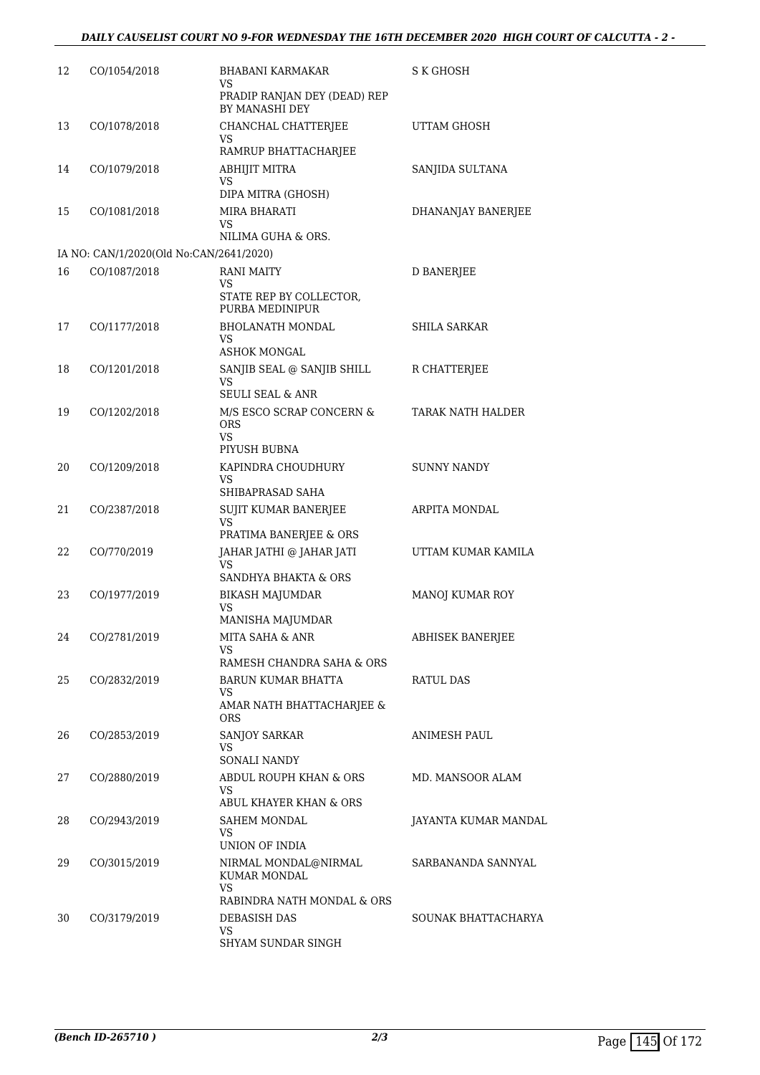| 12 | CO/1054/2018                            | <b>BHABANI KARMAKAR</b><br>VS.<br>PRADIP RANJAN DEY (DEAD) REP<br><b>BY MANASHI DEY</b> | S K GHOSH            |
|----|-----------------------------------------|-----------------------------------------------------------------------------------------|----------------------|
| 13 | CO/1078/2018                            | CHANCHAL CHATTERJEE<br>VS                                                               | UTTAM GHOSH          |
| 14 | CO/1079/2018                            | RAMRUP BHATTACHARJEE<br>ABHIJIT MITRA<br>VS                                             | SANJIDA SULTANA      |
| 15 | CO/1081/2018                            | DIPA MITRA (GHOSH)<br>MIRA BHARATI<br>VS                                                | DHANANJAY BANERJEE   |
|    | IA NO: CAN/1/2020(Old No:CAN/2641/2020) | NILIMA GUHA & ORS.                                                                      |                      |
| 16 | CO/1087/2018                            | RANI MAITY                                                                              | <b>D BANERJEE</b>    |
|    |                                         | VS<br>STATE REP BY COLLECTOR,<br>PURBA MEDINIPUR                                        |                      |
| 17 | CO/1177/2018                            | <b>BHOLANATH MONDAL</b><br>VS.<br><b>ASHOK MONGAL</b>                                   | SHILA SARKAR         |
| 18 | CO/1201/2018                            | SANJIB SEAL @ SANJIB SHILL<br>VS<br><b>SEULI SEAL &amp; ANR</b>                         | R CHATTERJEE         |
| 19 | CO/1202/2018                            | M/S ESCO SCRAP CONCERN &<br><b>ORS</b><br>VS.<br>PIYUSH BUBNA                           | TARAK NATH HALDER    |
| 20 | CO/1209/2018                            | KAPINDRA CHOUDHURY<br>VS<br>SHIBAPRASAD SAHA                                            | <b>SUNNY NANDY</b>   |
| 21 | CO/2387/2018                            | SUJIT KUMAR BANERJEE<br>VS<br>PRATIMA BANERJEE & ORS                                    | ARPITA MONDAL        |
| 22 | CO/770/2019                             | JAHAR JATHI @ JAHAR JATI<br>VS.<br>SANDHYA BHAKTA & ORS                                 | UTTAM KUMAR KAMILA   |
| 23 | CO/1977/2019                            | <b>BIKASH MAJUMDAR</b><br>VS<br>MANISHA MAJUMDAR                                        | MANOJ KUMAR ROY      |
| 24 | CO/2781/2019                            | MITA SAHA & ANR<br>VS<br>RAMESH CHANDRA SAHA & ORS                                      | ABHISEK BANERJEE     |
| 25 | CO/2832/2019                            | <b>BARUN KUMAR BHATTA</b><br>VS<br>AMAR NATH BHATTACHARJEE &                            | RATUL DAS            |
| 26 | CO/2853/2019                            | <b>ORS</b><br>SANJOY SARKAR<br>VS                                                       | ANIMESH PAUL         |
| 27 | CO/2880/2019                            | <b>SONALI NANDY</b><br>ABDUL ROUPH KHAN & ORS<br>VS.                                    | MD. MANSOOR ALAM     |
| 28 | CO/2943/2019                            | ABUL KHAYER KHAN & ORS<br>SAHEM MONDAL<br>VS.<br>UNION OF INDIA                         | JAYANTA KUMAR MANDAL |
| 29 | CO/3015/2019                            | NIRMAL MONDAL@NIRMAL<br>KUMAR MONDAL<br>VS                                              | SARBANANDA SANNYAL   |
| 30 | CO/3179/2019                            | RABINDRA NATH MONDAL & ORS<br>DEBASISH DAS<br>VS.<br>SHYAM SUNDAR SINGH                 | SOUNAK BHATTACHARYA  |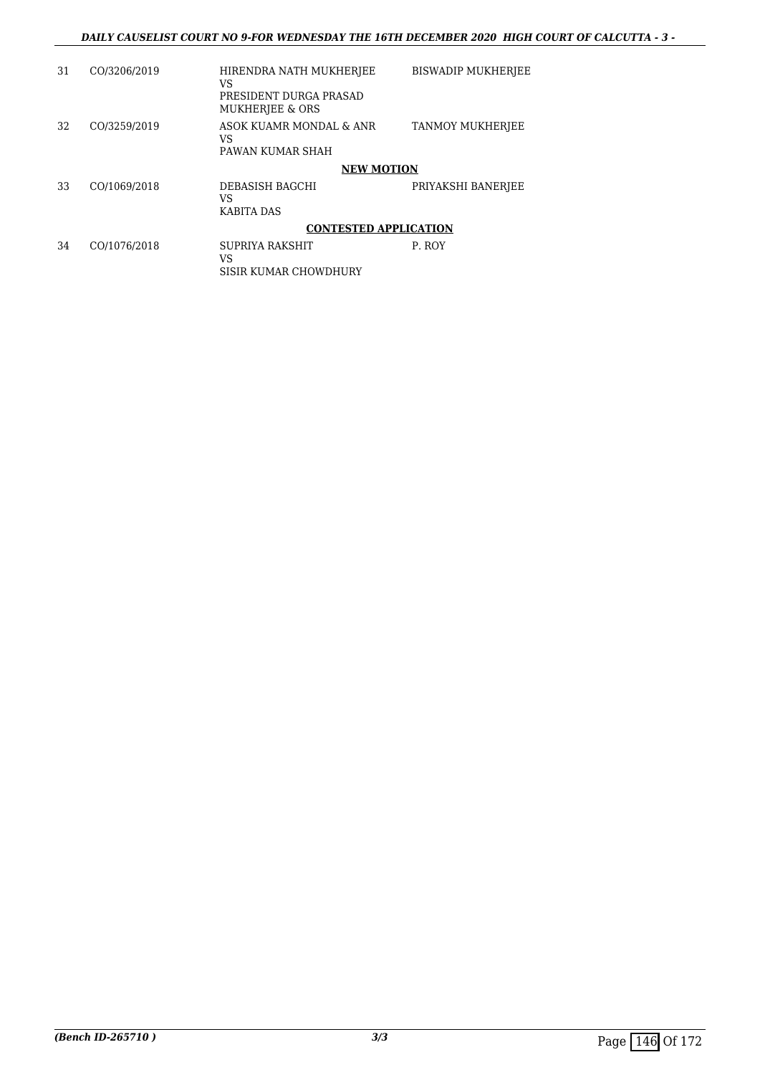| 31 | CO/3206/2019 | HIRENDRA NATH MUKHERJEE<br>VS<br>PRESIDENT DURGA PRASAD<br>MUKHERJEE & ORS | <b>BISWADIP MUKHERJEE</b> |
|----|--------------|----------------------------------------------------------------------------|---------------------------|
| 32 | CO/3259/2019 | ASOK KUAMR MONDAL & ANR<br>VS<br>PAWAN KUMAR SHAH                          | <b>TANMOY MUKHERJEE</b>   |
|    |              | <b>NEW MOTION</b>                                                          |                           |
| 33 | CO/1069/2018 | DEBASISH BAGCHI<br>VS<br>KABITA DAS                                        | PRIYAKSHI BANERJEE        |
|    |              | <b>CONTESTED APPLICATION</b>                                               |                           |
| 34 | CO/1076/2018 | <b>SUPRIYA RAKSHIT</b><br>VS<br>SISIR KUMAR CHOWDHURY                      | P. ROY                    |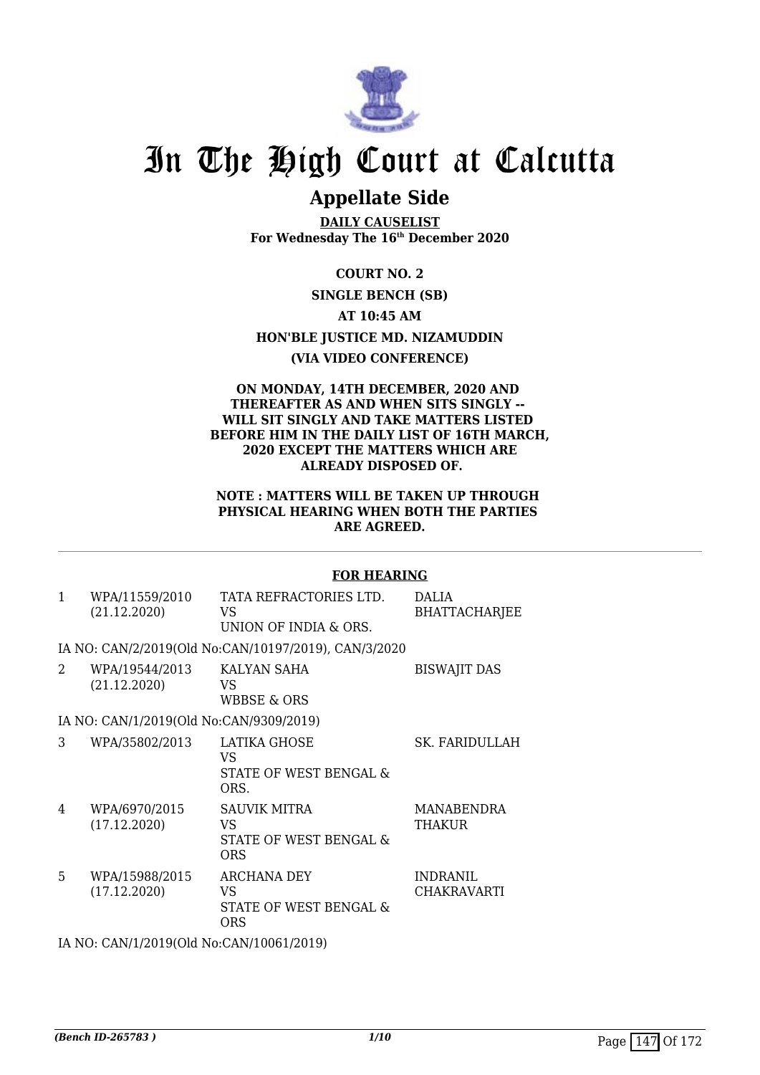

### **Appellate Side**

**DAILY CAUSELIST For Wednesday The 16th December 2020**

**COURT NO. 2**

#### **SINGLE BENCH (SB)**

**AT 10:45 AM**

#### **HON'BLE JUSTICE MD. NIZAMUDDIN**

#### **(VIA VIDEO CONFERENCE)**

#### **ON MONDAY, 14TH DECEMBER, 2020 AND THEREAFTER AS AND WHEN SITS SINGLY -- WILL SIT SINGLY AND TAKE MATTERS LISTED BEFORE HIM IN THE DAILY LIST OF 16TH MARCH, 2020 EXCEPT THE MATTERS WHICH ARE ALREADY DISPOSED OF.**

#### **NOTE : MATTERS WILL BE TAKEN UP THROUGH PHYSICAL HEARING WHEN BOTH THE PARTIES ARE AGREED.**

#### **FOR HEARING**

1 WPA/11559/2010 (21.12.2020) TATA REFRACTORIES LTD. VS UNION OF INDIA & ORS. DALIA BHATTACHARJEE

IA NO: CAN/2/2019(Old No:CAN/10197/2019), CAN/3/2020

- 2 WPA/19544/2013 (21.12.2020) KALYAN SAHA VS WBBSE & ORS BISWAJIT DAS IA NO: CAN/1/2019(Old No:CAN/9309/2019) 3 WPA/35802/2013 LATIKA GHOSE VS STATE OF WEST BENGAL & ORS. SK. FARIDULLAH 4 WPA/6970/2015 (17.12.2020) SAUVIK MITRA VS STATE OF WEST BENGAL & MANABENDRA **THAKUR**
- ORS 5 WPA/15988/2015 (17.12.2020) ARCHANA DEY VS STATE OF WEST BENGAL & ORS INDRANIL CHAKRAVARTI

IA NO: CAN/1/2019(Old No:CAN/10061/2019)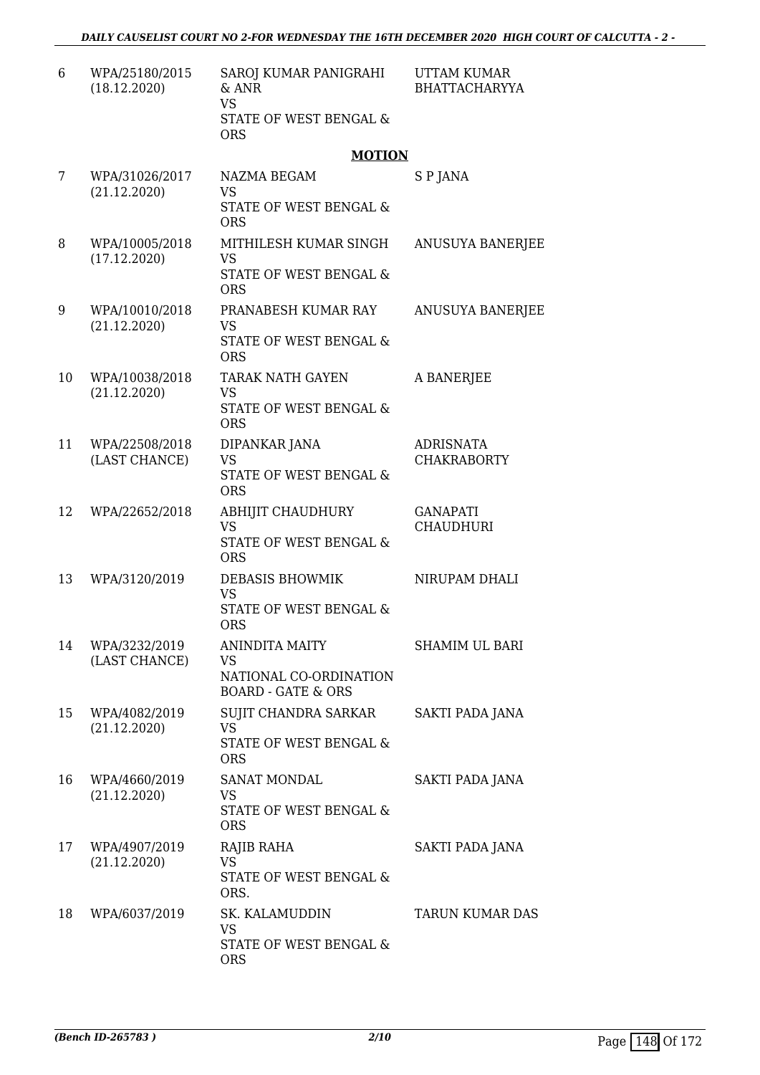| 6  | WPA/25180/2015<br>(18.12.2020)  | SAROJ KUMAR PANIGRAHI<br>& ANR<br><b>VS</b><br>STATE OF WEST BENGAL &                         | <b>UTTAM KUMAR</b><br><b>BHATTACHARYYA</b> |
|----|---------------------------------|-----------------------------------------------------------------------------------------------|--------------------------------------------|
|    |                                 | <b>ORS</b>                                                                                    |                                            |
|    |                                 | <b>MOTION</b>                                                                                 |                                            |
| 7  | WPA/31026/2017<br>(21.12.2020)  | NAZMA BEGAM<br><b>VS</b><br>STATE OF WEST BENGAL &<br><b>ORS</b>                              | S P JANA                                   |
| 8  | WPA/10005/2018<br>(17.12.2020)  | MITHILESH KUMAR SINGH<br><b>VS</b><br>STATE OF WEST BENGAL &<br><b>ORS</b>                    | ANUSUYA BANERJEE                           |
| 9  | WPA/10010/2018<br>(21.12.2020)  | PRANABESH KUMAR RAY<br><b>VS</b><br>STATE OF WEST BENGAL &                                    | <b>ANUSUYA BANERJEE</b>                    |
| 10 | WPA/10038/2018<br>(21.12.2020)  | <b>ORS</b><br><b>TARAK NATH GAYEN</b><br><b>VS</b><br>STATE OF WEST BENGAL &<br><b>ORS</b>    | A BANERJEE                                 |
| 11 | WPA/22508/2018<br>(LAST CHANCE) | DIPANKAR JANA<br><b>VS</b><br>STATE OF WEST BENGAL &<br><b>ORS</b>                            | <b>ADRISNATA</b><br><b>CHAKRABORTY</b>     |
| 12 | WPA/22652/2018                  | ABHIJIT CHAUDHURY<br><b>VS</b><br>STATE OF WEST BENGAL &<br><b>ORS</b>                        | <b>GANAPATI</b><br><b>CHAUDHURI</b>        |
| 13 | WPA/3120/2019                   | DEBASIS BHOWMIK<br><b>VS</b><br>STATE OF WEST BENGAL &<br><b>ORS</b>                          | NIRUPAM DHALI                              |
| 14 | WPA/3232/2019<br>(LAST CHANCE)  | <b>ANINDITA MAITY</b><br><b>VS</b><br>NATIONAL CO-ORDINATION<br><b>BOARD - GATE &amp; ORS</b> | <b>SHAMIM UL BARI</b>                      |
| 15 | WPA/4082/2019<br>(21.12.2020)   | SUJIT CHANDRA SARKAR<br><b>VS</b><br>STATE OF WEST BENGAL &<br><b>ORS</b>                     | SAKTI PADA JANA                            |
| 16 | WPA/4660/2019<br>(21.12.2020)   | <b>SANAT MONDAL</b><br>VS<br>STATE OF WEST BENGAL &<br><b>ORS</b>                             | SAKTI PADA JANA                            |
| 17 | WPA/4907/2019<br>(21.12.2020)   | RAJIB RAHA<br><b>VS</b><br>STATE OF WEST BENGAL &<br>ORS.                                     | SAKTI PADA JANA                            |
| 18 | WPA/6037/2019                   | SK. KALAMUDDIN<br><b>VS</b><br>STATE OF WEST BENGAL &<br><b>ORS</b>                           | TARUN KUMAR DAS                            |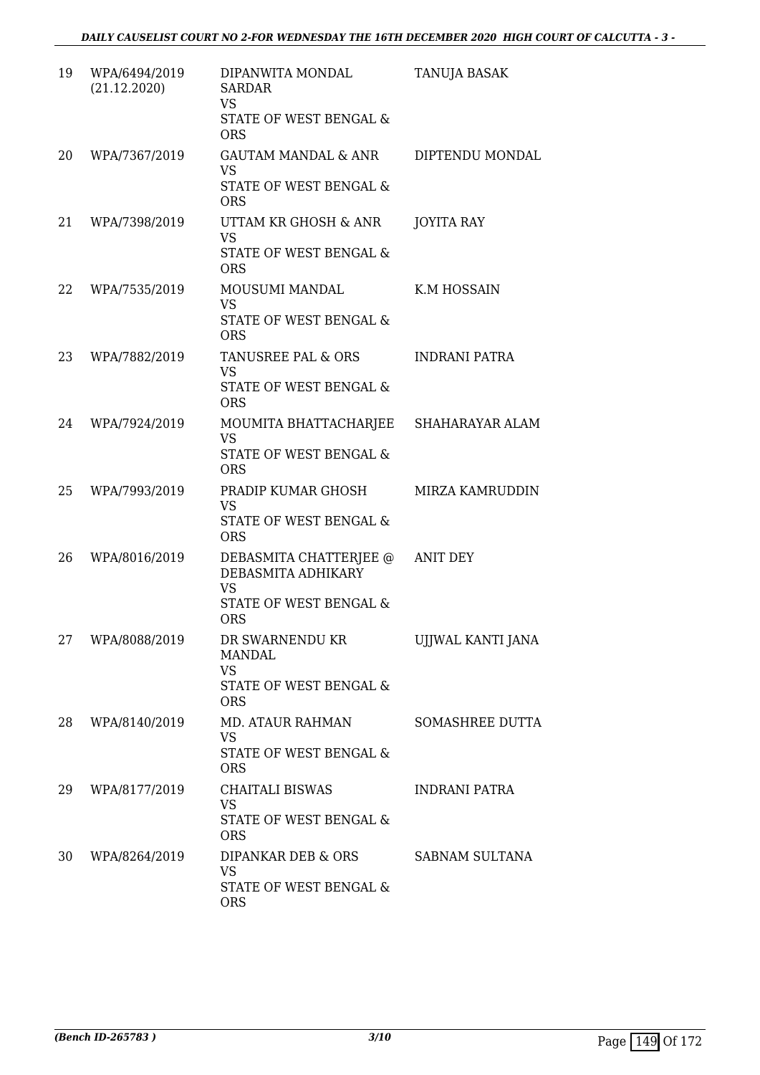| 19 | WPA/6494/2019<br>(21.12.2020) | DIPANWITA MONDAL<br><b>SARDAR</b><br><b>VS</b><br>STATE OF WEST BENGAL &<br><b>ORS</b>            | TANUJA BASAK           |
|----|-------------------------------|---------------------------------------------------------------------------------------------------|------------------------|
| 20 | WPA/7367/2019                 | <b>GAUTAM MANDAL &amp; ANR</b><br><b>VS</b><br><b>STATE OF WEST BENGAL &amp;</b><br><b>ORS</b>    | DIPTENDU MONDAL        |
| 21 | WPA/7398/2019                 | UTTAM KR GHOSH & ANR<br><b>VS</b><br>STATE OF WEST BENGAL &<br><b>ORS</b>                         | <b>JOYITA RAY</b>      |
| 22 | WPA/7535/2019                 | MOUSUMI MANDAL<br>VS<br><b>STATE OF WEST BENGAL &amp;</b><br><b>ORS</b>                           | K.M HOSSAIN            |
| 23 | WPA/7882/2019                 | TANUSREE PAL & ORS<br><b>VS</b><br>STATE OF WEST BENGAL &<br><b>ORS</b>                           | INDRANI PATRA          |
| 24 | WPA/7924/2019                 | MOUMITA BHATTACHARJEE<br><b>VS</b><br>STATE OF WEST BENGAL &<br><b>ORS</b>                        | SHAHARAYAR ALAM        |
| 25 | WPA/7993/2019                 | PRADIP KUMAR GHOSH<br><b>VS</b><br><b>STATE OF WEST BENGAL &amp;</b><br><b>ORS</b>                | <b>MIRZA KAMRUDDIN</b> |
| 26 | WPA/8016/2019                 | DEBASMITA CHATTERJEE @<br>DEBASMITA ADHIKARY<br><b>VS</b><br>STATE OF WEST BENGAL &<br><b>ORS</b> | <b>ANIT DEY</b>        |
| 27 | WPA/8088/2019                 | DR SWARNENDU KR<br><b>MANDAL</b><br><b>VS</b><br>STATE OF WEST BENGAL &<br><b>ORS</b>             | UJJWAL KANTI JANA      |
| 28 | WPA/8140/2019                 | <b>MD. ATAUR RAHMAN</b><br><b>VS</b><br>STATE OF WEST BENGAL &<br><b>ORS</b>                      | SOMASHREE DUTTA        |
| 29 | WPA/8177/2019                 | <b>CHAITALI BISWAS</b><br><b>VS</b><br>STATE OF WEST BENGAL &<br><b>ORS</b>                       | <b>INDRANI PATRA</b>   |
| 30 | WPA/8264/2019                 | DIPANKAR DEB & ORS<br><b>VS</b><br>STATE OF WEST BENGAL &<br><b>ORS</b>                           | SABNAM SULTANA         |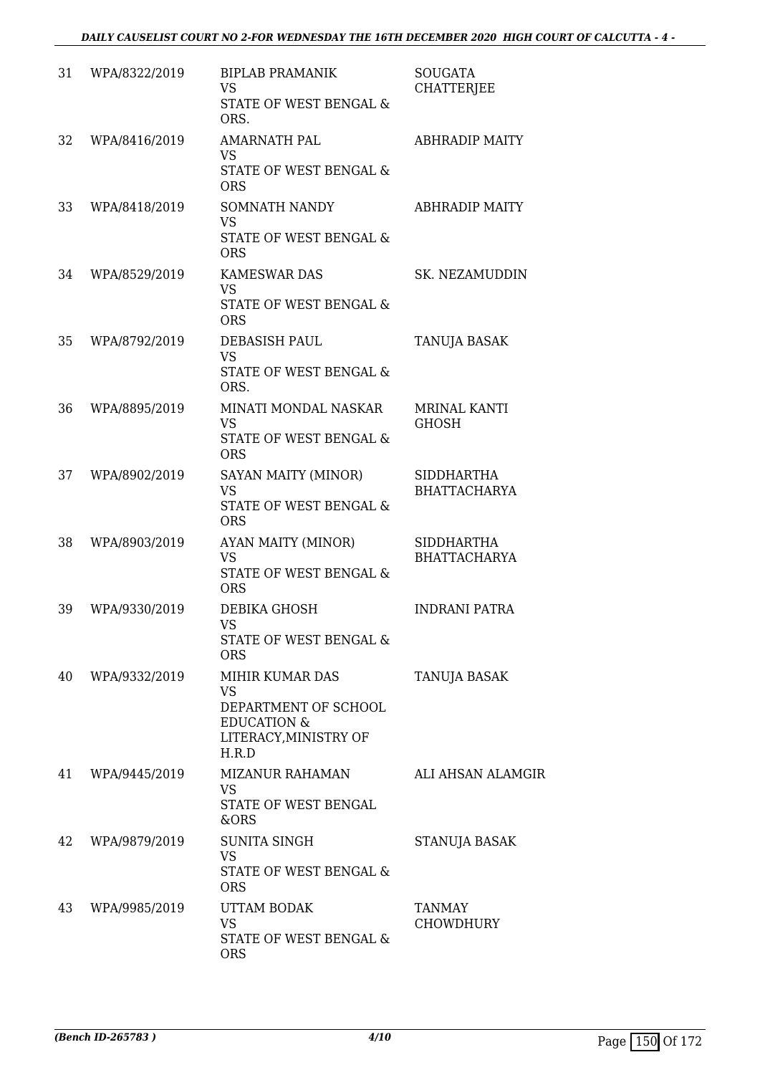| 31 | WPA/8322/2019 | <b>BIPLAB PRAMANIK</b><br><b>VS</b><br>STATE OF WEST BENGAL &<br>ORS.                                      | <b>SOUGATA</b><br><b>CHATTERJEE</b>      |
|----|---------------|------------------------------------------------------------------------------------------------------------|------------------------------------------|
| 32 | WPA/8416/2019 | <b>AMARNATH PAL</b><br><b>VS</b><br>STATE OF WEST BENGAL &<br><b>ORS</b>                                   | <b>ABHRADIP MAITY</b>                    |
| 33 | WPA/8418/2019 | <b>SOMNATH NANDY</b><br><b>VS</b><br><b>STATE OF WEST BENGAL &amp;</b><br><b>ORS</b>                       | <b>ABHRADIP MAITY</b>                    |
| 34 | WPA/8529/2019 | <b>KAMESWAR DAS</b><br><b>VS</b><br>STATE OF WEST BENGAL &<br><b>ORS</b>                                   | SK. NEZAMUDDIN                           |
| 35 | WPA/8792/2019 | DEBASISH PAUL<br><b>VS</b><br>STATE OF WEST BENGAL &<br>ORS.                                               | <b>TANUJA BASAK</b>                      |
| 36 | WPA/8895/2019 | MINATI MONDAL NASKAR<br><b>VS</b><br>STATE OF WEST BENGAL &<br><b>ORS</b>                                  | MRINAL KANTI<br>GHOSH                    |
| 37 | WPA/8902/2019 | SAYAN MAITY (MINOR)<br><b>VS</b><br>STATE OF WEST BENGAL &<br><b>ORS</b>                                   | <b>SIDDHARTHA</b><br><b>BHATTACHARYA</b> |
| 38 | WPA/8903/2019 | AYAN MAITY (MINOR)<br><b>VS</b><br>STATE OF WEST BENGAL &<br><b>ORS</b>                                    | SIDDHARTHA<br><b>BHATTACHARYA</b>        |
| 39 | WPA/9330/2019 | DEBIKA GHOSH<br><b>VS</b><br>STATE OF WEST BENGAL &<br><b>ORS</b>                                          | <b>INDRANI PATRA</b>                     |
| 40 | WPA/9332/2019 | MIHIR KUMAR DAS<br>VS.<br>DEPARTMENT OF SCHOOL<br><b>EDUCATION &amp;</b><br>LITERACY, MINISTRY OF<br>H.R.D | TANUJA BASAK                             |
| 41 | WPA/9445/2019 | MIZANUR RAHAMAN<br><b>VS</b><br>STATE OF WEST BENGAL<br>&ORS                                               | <b>ALI AHSAN ALAMGIR</b>                 |
| 42 | WPA/9879/2019 | <b>SUNITA SINGH</b><br><b>VS</b><br>STATE OF WEST BENGAL &<br><b>ORS</b>                                   | STANUJA BASAK                            |
| 43 | WPA/9985/2019 | UTTAM BODAK<br><b>VS</b><br>STATE OF WEST BENGAL &<br><b>ORS</b>                                           | <b>TANMAY</b><br><b>CHOWDHURY</b>        |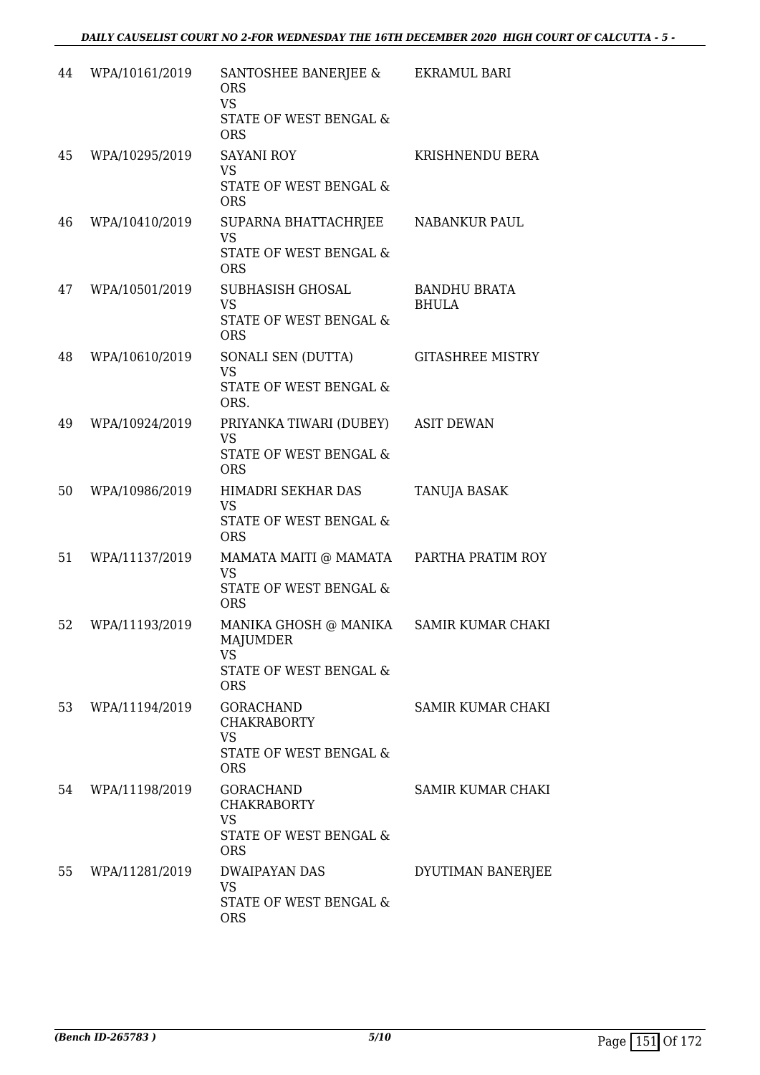| 44 | WPA/10161/2019 | SANTOSHEE BANERJEE &<br><b>ORS</b><br><b>VS</b><br>STATE OF WEST BENGAL &<br><b>ORS</b>       | EKRAMUL BARI                        |
|----|----------------|-----------------------------------------------------------------------------------------------|-------------------------------------|
| 45 | WPA/10295/2019 | <b>SAYANI ROY</b><br><b>VS</b><br>STATE OF WEST BENGAL &<br><b>ORS</b>                        | KRISHNENDU BERA                     |
| 46 | WPA/10410/2019 | SUPARNA BHATTACHRJEE<br><b>VS</b><br>STATE OF WEST BENGAL &<br><b>ORS</b>                     | NABANKUR PAUL                       |
| 47 | WPA/10501/2019 | SUBHASISH GHOSAL<br><b>VS</b><br><b>STATE OF WEST BENGAL &amp;</b><br><b>ORS</b>              | <b>BANDHU BRATA</b><br><b>BHULA</b> |
| 48 | WPA/10610/2019 | SONALI SEN (DUTTA)<br><b>VS</b><br>STATE OF WEST BENGAL &<br>ORS.                             | <b>GITASHREE MISTRY</b>             |
| 49 | WPA/10924/2019 | PRIYANKA TIWARI (DUBEY)<br><b>VS</b><br>STATE OF WEST BENGAL &<br><b>ORS</b>                  | <b>ASIT DEWAN</b>                   |
| 50 | WPA/10986/2019 | HIMADRI SEKHAR DAS<br><b>VS</b><br>STATE OF WEST BENGAL &<br><b>ORS</b>                       | <b>TANUJA BASAK</b>                 |
| 51 | WPA/11137/2019 | MAMATA MAITI @ MAMATA<br><b>VS</b><br>STATE OF WEST BENGAL &<br><b>ORS</b>                    | PARTHA PRATIM ROY                   |
| 52 | WPA/11193/2019 | MANIKA GHOSH @ MANIKA<br><b>MAJUMDER</b><br><b>VS</b><br>STATE OF WEST BENGAL &<br><b>ORS</b> | SAMIR KUMAR CHAKI                   |
| 53 | WPA/11194/2019 | <b>GORACHAND</b><br><b>CHAKRABORTY</b><br><b>VS</b><br>STATE OF WEST BENGAL &<br><b>ORS</b>   | SAMIR KUMAR CHAKI                   |
| 54 | WPA/11198/2019 | GORACHAND<br><b>CHAKRABORTY</b><br><b>VS</b><br>STATE OF WEST BENGAL &<br><b>ORS</b>          | SAMIR KUMAR CHAKI                   |
| 55 | WPA/11281/2019 | DWAIPAYAN DAS<br><b>VS</b><br>STATE OF WEST BENGAL &<br><b>ORS</b>                            | DYUTIMAN BANERJEE                   |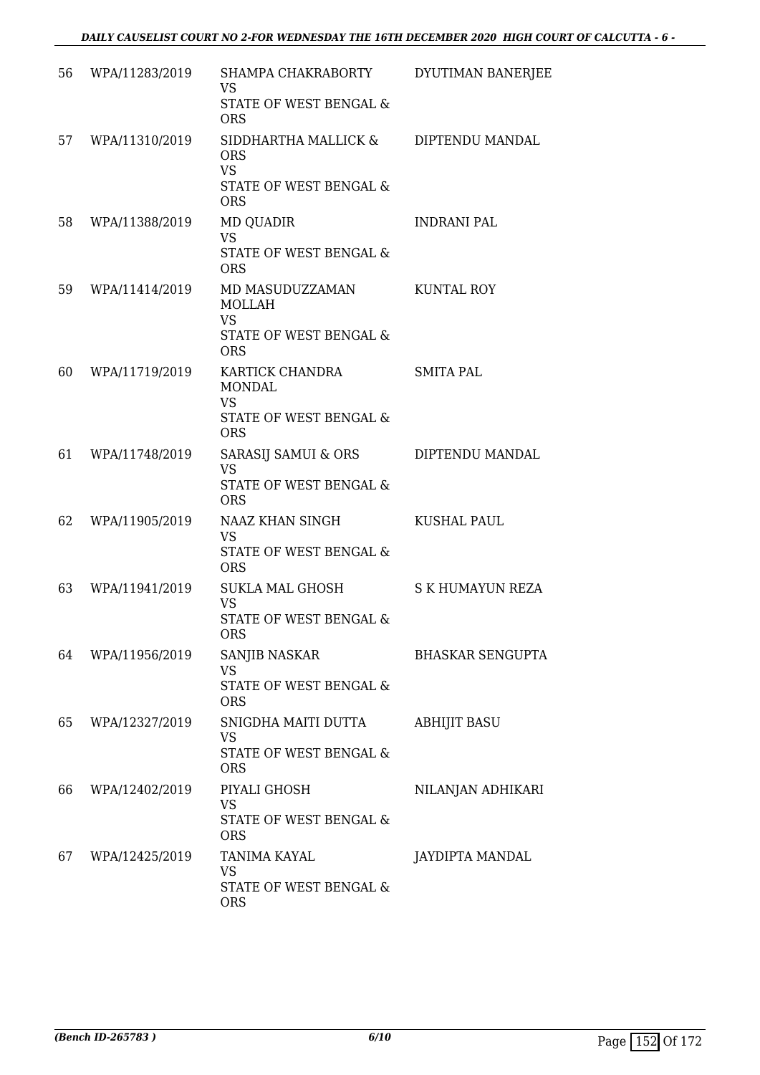| 56 | WPA/11283/2019 | SHAMPA CHAKRABORTY                                                                               | DYUTIMAN BANERJEE       |
|----|----------------|--------------------------------------------------------------------------------------------------|-------------------------|
|    |                | <b>VS</b><br>STATE OF WEST BENGAL &<br><b>ORS</b>                                                |                         |
| 57 | WPA/11310/2019 | SIDDHARTHA MALLICK &<br><b>ORS</b><br><b>VS</b><br>STATE OF WEST BENGAL &<br><b>ORS</b>          | DIPTENDU MANDAL         |
| 58 | WPA/11388/2019 | <b>MD QUADIR</b><br><b>VS</b><br>STATE OF WEST BENGAL &<br><b>ORS</b>                            | <b>INDRANI PAL</b>      |
| 59 | WPA/11414/2019 | MD MASUDUZZAMAN<br><b>MOLLAH</b><br><b>VS</b><br>STATE OF WEST BENGAL &<br><b>ORS</b>            | KUNTAL ROY              |
| 60 | WPA/11719/2019 | KARTICK CHANDRA<br><b>MONDAL</b><br><b>VS</b><br><b>STATE OF WEST BENGAL &amp;</b><br><b>ORS</b> | <b>SMITA PAL</b>        |
| 61 | WPA/11748/2019 | SARASIJ SAMUI & ORS<br><b>VS</b><br>STATE OF WEST BENGAL &<br><b>ORS</b>                         | DIPTENDU MANDAL         |
| 62 | WPA/11905/2019 | NAAZ KHAN SINGH<br><b>VS</b><br><b>STATE OF WEST BENGAL &amp;</b><br><b>ORS</b>                  | <b>KUSHAL PAUL</b>      |
| 63 | WPA/11941/2019 | SUKLA MAL GHOSH<br><b>VS</b><br>STATE OF WEST BENGAL &<br><b>ORS</b>                             | S K HUMAYUN REZA        |
| 64 | WPA/11956/2019 | SANJIB NASKAR<br><b>VS</b><br>STATE OF WEST BENGAL &<br><b>ORS</b>                               | <b>BHASKAR SENGUPTA</b> |
| 65 | WPA/12327/2019 | SNIGDHA MAITI DUTTA<br><b>VS</b><br>STATE OF WEST BENGAL &<br><b>ORS</b>                         | <b>ABHIJIT BASU</b>     |
| 66 | WPA/12402/2019 | PIYALI GHOSH<br>VS<br>STATE OF WEST BENGAL &<br><b>ORS</b>                                       | NILANJAN ADHIKARI       |
| 67 | WPA/12425/2019 | TANIMA KAYAL<br><b>VS</b><br>STATE OF WEST BENGAL &<br><b>ORS</b>                                | JAYDIPTA MANDAL         |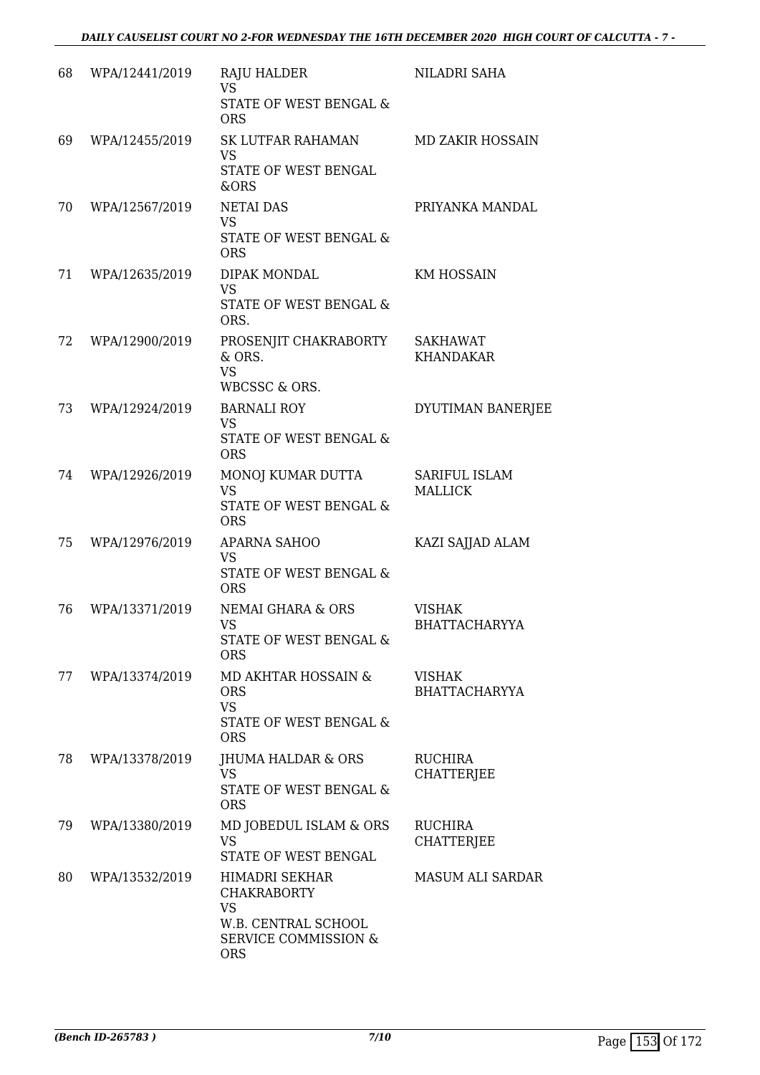| 68 | WPA/12441/2019 | <b>RAJU HALDER</b><br><b>VS</b><br>STATE OF WEST BENGAL &                                                                        | NILADRI SAHA                          |
|----|----------------|----------------------------------------------------------------------------------------------------------------------------------|---------------------------------------|
|    |                | <b>ORS</b>                                                                                                                       |                                       |
| 69 | WPA/12455/2019 | SK LUTFAR RAHAMAN<br><b>VS</b><br>STATE OF WEST BENGAL<br>&ORS                                                                   | <b>MD ZAKIR HOSSAIN</b>               |
| 70 | WPA/12567/2019 | <b>NETAI DAS</b><br><b>VS</b><br><b>STATE OF WEST BENGAL &amp;</b><br><b>ORS</b>                                                 | PRIYANKA MANDAL                       |
| 71 | WPA/12635/2019 | DIPAK MONDAL<br><b>VS</b><br>STATE OF WEST BENGAL &<br>ORS.                                                                      | <b>KM HOSSAIN</b>                     |
| 72 | WPA/12900/2019 | PROSENJIT CHAKRABORTY<br>& ORS.<br><b>VS</b><br><b>WBCSSC &amp; ORS.</b>                                                         | SAKHAWAT<br><b>KHANDAKAR</b>          |
| 73 | WPA/12924/2019 | <b>BARNALI ROY</b><br><b>VS</b><br>STATE OF WEST BENGAL &<br><b>ORS</b>                                                          | DYUTIMAN BANERJEE                     |
| 74 | WPA/12926/2019 | MONOJ KUMAR DUTTA<br><b>VS</b><br>STATE OF WEST BENGAL &<br><b>ORS</b>                                                           | SARIFUL ISLAM<br><b>MALLICK</b>       |
| 75 | WPA/12976/2019 | APARNA SAHOO<br><b>VS</b><br>STATE OF WEST BENGAL &<br><b>ORS</b>                                                                | KAZI SAJJAD ALAM                      |
| 76 | WPA/13371/2019 | NEMAI GHARA & ORS<br><b>VS</b><br><b>STATE OF WEST BENGAL &amp;</b><br><b>ORS</b>                                                | <b>VISHAK</b><br><b>BHATTACHARYYA</b> |
| 77 | WPA/13374/2019 | MD AKHTAR HOSSAIN &<br><b>ORS</b><br><b>VS</b><br>STATE OF WEST BENGAL &<br><b>ORS</b>                                           | <b>VISHAK</b><br><b>BHATTACHARYYA</b> |
| 78 | WPA/13378/2019 | <b>JHUMA HALDAR &amp; ORS</b><br><b>VS</b><br>STATE OF WEST BENGAL &<br><b>ORS</b>                                               | <b>RUCHIRA</b><br><b>CHATTERJEE</b>   |
| 79 | WPA/13380/2019 | MD JOBEDUL ISLAM & ORS<br><b>VS</b><br>STATE OF WEST BENGAL                                                                      | RUCHIRA<br><b>CHATTERJEE</b>          |
| 80 | WPA/13532/2019 | <b>HIMADRI SEKHAR</b><br><b>CHAKRABORTY</b><br><b>VS</b><br>W.B. CENTRAL SCHOOL<br><b>SERVICE COMMISSION &amp;</b><br><b>ORS</b> | MASUM ALI SARDAR                      |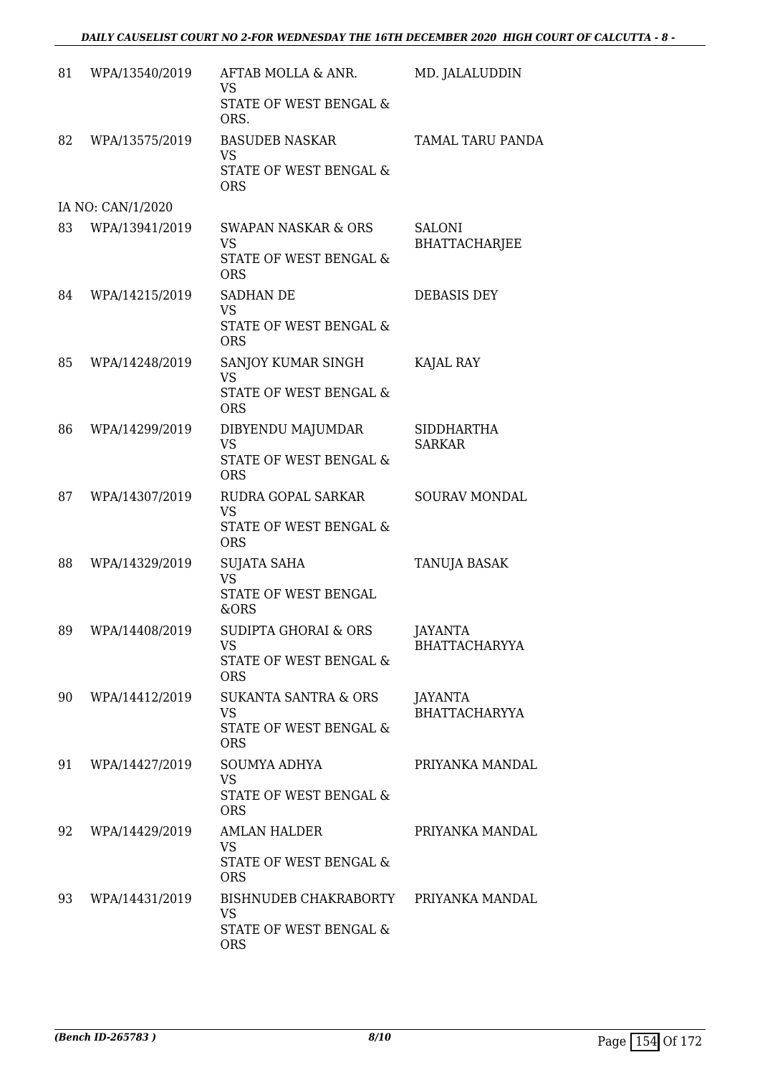| 81 | WPA/13540/2019    | AFTAB MOLLA & ANR.<br><b>VS</b><br>STATE OF WEST BENGAL &<br>ORS.                          | MD. JALALUDDIN                         |
|----|-------------------|--------------------------------------------------------------------------------------------|----------------------------------------|
| 82 | WPA/13575/2019    | <b>BASUDEB NASKAR</b><br><b>VS</b><br>STATE OF WEST BENGAL &<br><b>ORS</b>                 | TAMAL TARU PANDA                       |
|    | IA NO: CAN/1/2020 |                                                                                            |                                        |
| 83 | WPA/13941/2019    | <b>SWAPAN NASKAR &amp; ORS</b><br><b>VS</b><br>STATE OF WEST BENGAL &<br><b>ORS</b>        | <b>SALONI</b><br><b>BHATTACHARJEE</b>  |
| 84 | WPA/14215/2019    | SADHAN DE<br><b>VS</b><br>STATE OF WEST BENGAL &<br><b>ORS</b>                             | DEBASIS DEY                            |
| 85 | WPA/14248/2019    | SANJOY KUMAR SINGH<br><b>VS</b><br>STATE OF WEST BENGAL &<br><b>ORS</b>                    | KAJAL RAY                              |
| 86 | WPA/14299/2019    | DIBYENDU MAJUMDAR<br><b>VS</b><br>STATE OF WEST BENGAL &<br><b>ORS</b>                     | <b>SIDDHARTHA</b><br><b>SARKAR</b>     |
| 87 | WPA/14307/2019    | RUDRA GOPAL SARKAR<br><b>VS</b><br>STATE OF WEST BENGAL &<br><b>ORS</b>                    | <b>SOURAV MONDAL</b>                   |
| 88 | WPA/14329/2019    | SUJATA SAHA<br><b>VS</b><br>STATE OF WEST BENGAL<br>&ORS                                   | TANUJA BASAK                           |
| 89 | WPA/14408/2019    | <b>SUDIPTA GHORAI &amp; ORS</b><br><b>VS</b><br>STATE OF WEST BENGAL &<br><b>ORS</b>       | <b>JAYANTA</b><br><b>BHATTACHARYYA</b> |
| 90 | WPA/14412/2019    | <b>SUKANTA SANTRA &amp; ORS</b><br><b>VS</b><br>STATE OF WEST BENGAL &<br><b>ORS</b>       | JAYANTA<br><b>BHATTACHARYYA</b>        |
| 91 | WPA/14427/2019    | <b>SOUMYA ADHYA</b><br><b>VS</b><br><b>STATE OF WEST BENGAL &amp;</b><br><b>ORS</b>        | PRIYANKA MANDAL                        |
| 92 | WPA/14429/2019    | <b>AMLAN HALDER</b><br><b>VS</b><br>STATE OF WEST BENGAL &<br><b>ORS</b>                   | PRIYANKA MANDAL                        |
| 93 | WPA/14431/2019    | BISHNUDEB CHAKRABORTY PRIYANKA MANDAL<br><b>VS</b><br>STATE OF WEST BENGAL &<br><b>ORS</b> |                                        |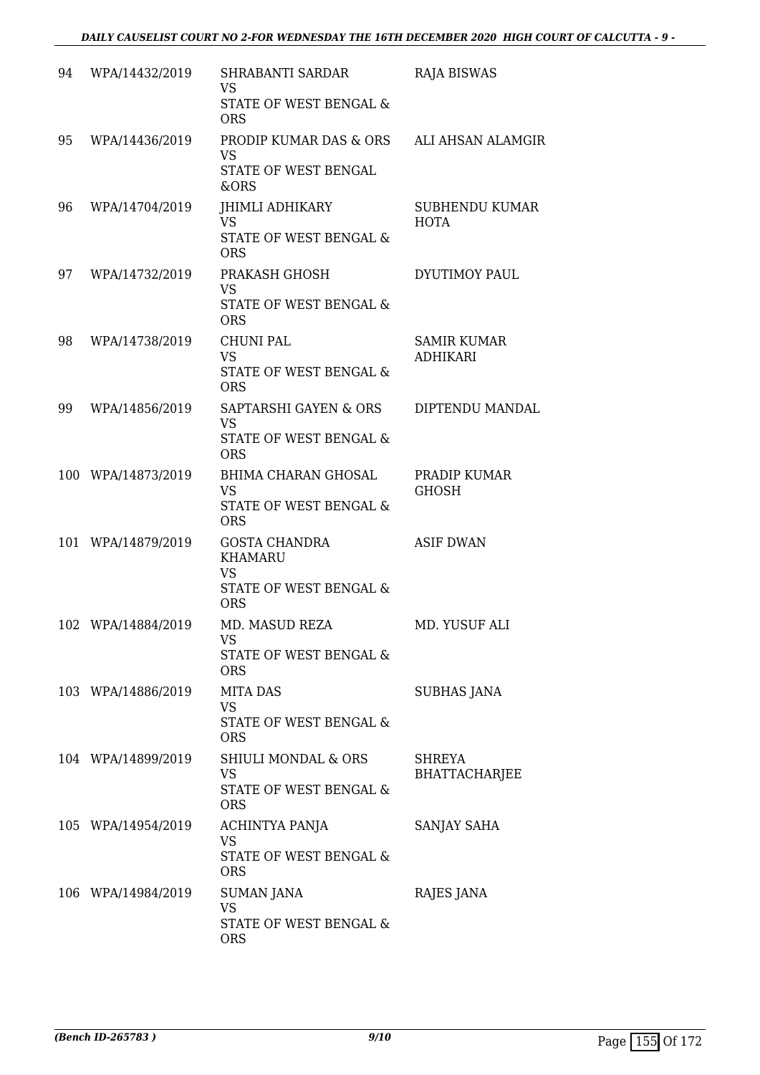| 94 | WPA/14432/2019     | SHRABANTI SARDAR<br><b>VS</b><br>STATE OF WEST BENGAL &<br><b>ORS</b>                       | <b>RAJA BISWAS</b>                    |
|----|--------------------|---------------------------------------------------------------------------------------------|---------------------------------------|
| 95 | WPA/14436/2019     | PRODIP KUMAR DAS & ORS<br><b>VS</b><br>STATE OF WEST BENGAL<br>&ORS                         | ALI AHSAN ALAMGIR                     |
| 96 | WPA/14704/2019     | JHIMLI ADHIKARY<br><b>VS</b><br>STATE OF WEST BENGAL &<br><b>ORS</b>                        | SUBHENDU KUMAR<br>HOTA                |
| 97 | WPA/14732/2019     | PRAKASH GHOSH<br>VS<br>STATE OF WEST BENGAL &<br><b>ORS</b>                                 | <b>DYUTIMOY PAUL</b>                  |
| 98 | WPA/14738/2019     | <b>CHUNI PAL</b><br><b>VS</b><br><b>STATE OF WEST BENGAL &amp;</b><br><b>ORS</b>            | <b>SAMIR KUMAR</b><br><b>ADHIKARI</b> |
| 99 | WPA/14856/2019     | SAPTARSHI GAYEN & ORS<br>VS.<br>STATE OF WEST BENGAL &<br><b>ORS</b>                        | DIPTENDU MANDAL                       |
|    | 100 WPA/14873/2019 | <b>BHIMA CHARAN GHOSAL</b><br><b>VS</b><br>STATE OF WEST BENGAL &<br><b>ORS</b>             | PRADIP KUMAR<br>GHOSH                 |
|    | 101 WPA/14879/2019 | <b>GOSTA CHANDRA</b><br><b>KHAMARU</b><br><b>VS</b><br>STATE OF WEST BENGAL &<br><b>ORS</b> | <b>ASIF DWAN</b>                      |
|    | 102 WPA/14884/2019 | MD. MASUD REZA<br>VS<br>STATE OF WEST BENGAL &<br><b>ORS</b>                                | MD. YUSUF ALI                         |
|    | 103 WPA/14886/2019 | <b>MITA DAS</b><br>VS<br>STATE OF WEST BENGAL &<br><b>ORS</b>                               | SUBHAS JANA                           |
|    | 104 WPA/14899/2019 | <b>SHIULI MONDAL &amp; ORS</b><br>VS<br>STATE OF WEST BENGAL &<br><b>ORS</b>                | <b>SHREYA</b><br><b>BHATTACHARJEE</b> |
|    | 105 WPA/14954/2019 | ACHINTYA PANJA<br><b>VS</b><br>STATE OF WEST BENGAL &<br><b>ORS</b>                         | SANJAY SAHA                           |
|    | 106 WPA/14984/2019 | <b>SUMAN JANA</b><br>VS<br>STATE OF WEST BENGAL &<br><b>ORS</b>                             | RAJES JANA                            |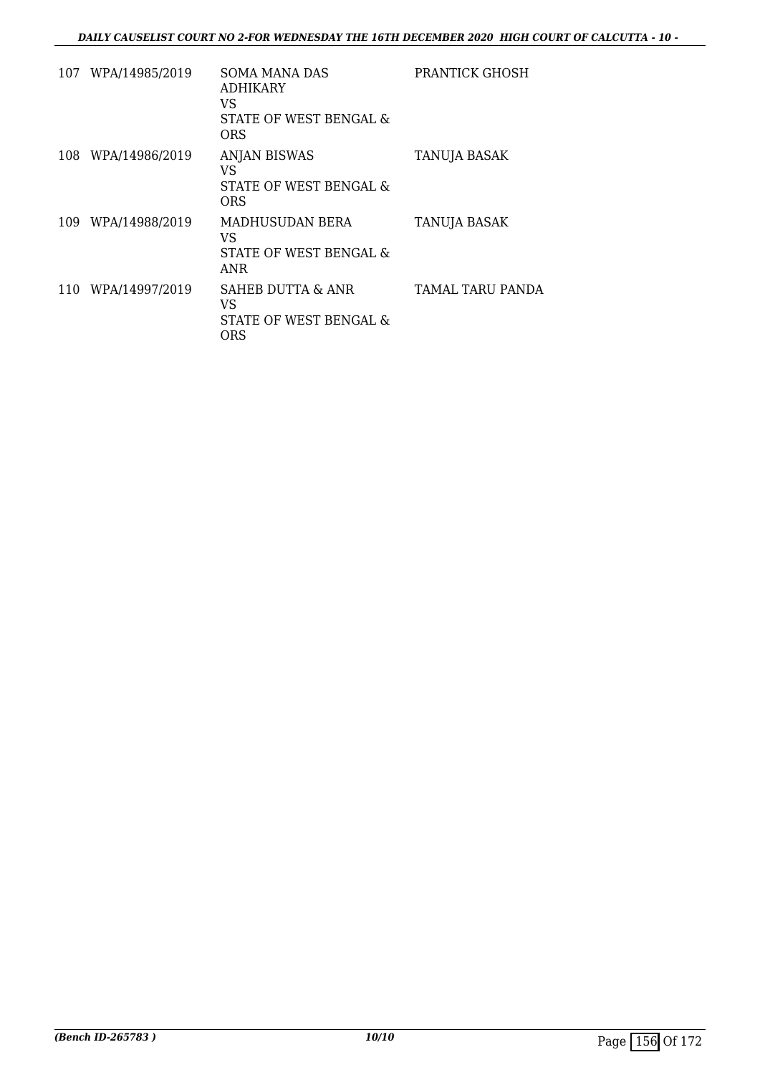|     | 107 WPA/14985/2019 | <b>SOMA MANA DAS</b><br><b>ADHIKARY</b><br>VS<br>STATE OF WEST BENGAL &<br><b>ORS</b> | PRANTICK GHOSH      |
|-----|--------------------|---------------------------------------------------------------------------------------|---------------------|
|     | 108 WPA/14986/2019 | <b>ANJAN BISWAS</b><br>VS<br>STATE OF WEST BENGAL &<br><b>ORS</b>                     | <b>TANUJA BASAK</b> |
|     | 109 WPA/14988/2019 | MADHUSUDAN BERA<br>VS<br>STATE OF WEST BENGAL &<br>ANR                                | <b>TANUJA BASAK</b> |
| 110 | WPA/14997/2019     | SAHEB DUTTA & ANR<br>VS<br><b>STATE OF WEST BENGAL &amp;</b><br>ORS                   | TAMAL TARU PANDA    |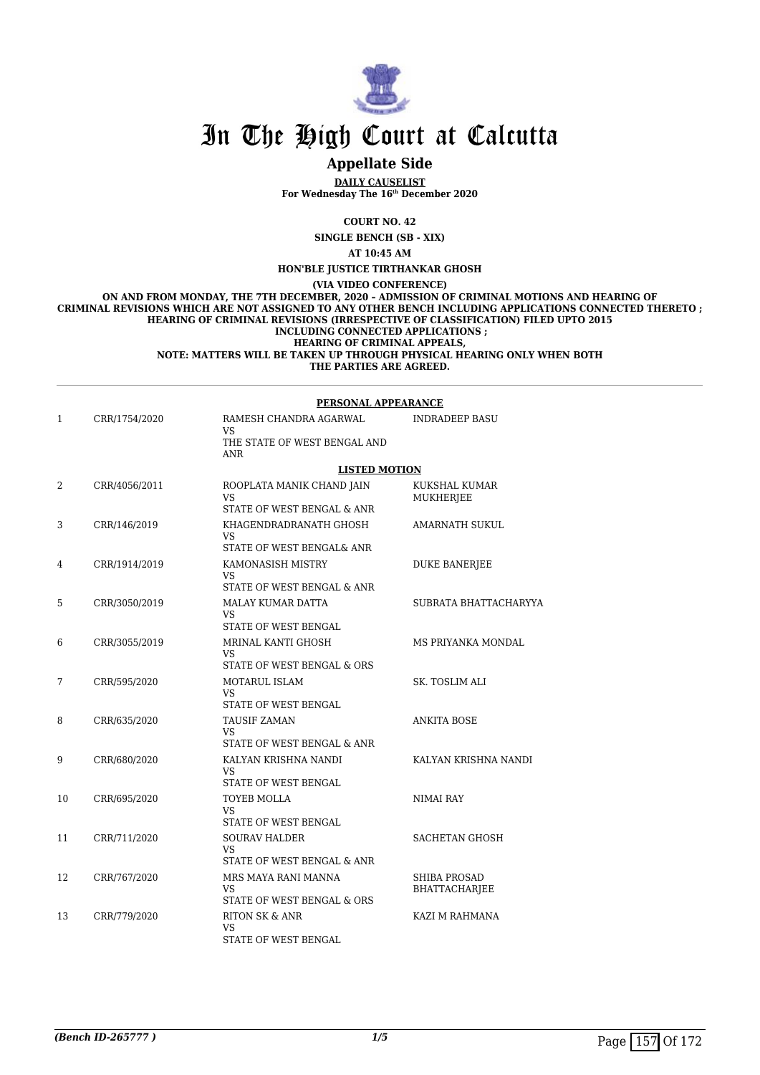

### **Appellate Side**

**DAILY CAUSELIST For Wednesday The 16th December 2020**

**COURT NO. 42**

**SINGLE BENCH (SB - XIX)**

**AT 10:45 AM**

**HON'BLE JUSTICE TIRTHANKAR GHOSH**

**(VIA VIDEO CONFERENCE)**

**ON AND FROM MONDAY, THE 7TH DECEMBER, 2020 – ADMISSION OF CRIMINAL MOTIONS AND HEARING OF CRIMINAL REVISIONS WHICH ARE NOT ASSIGNED TO ANY OTHER BENCH INCLUDING APPLICATIONS CONNECTED THERETO ; HEARING OF CRIMINAL REVISIONS (IRRESPECTIVE OF CLASSIFICATION) FILED UPTO 2015 INCLUDING CONNECTED APPLICATIONS ; HEARING OF CRIMINAL APPEALS, NOTE: MATTERS WILL BE TAKEN UP THROUGH PHYSICAL HEARING ONLY WHEN BOTH**

**THE PARTIES ARE AGREED.**

|    |               | PERSONAL APPEARANCE                                                        |                                             |  |
|----|---------------|----------------------------------------------------------------------------|---------------------------------------------|--|
| 1  | CRR/1754/2020 | RAMESH CHANDRA AGARWAL<br>VS.<br>THE STATE OF WEST BENGAL AND              | <b>INDRADEEP BASU</b>                       |  |
|    |               | ANR                                                                        |                                             |  |
|    |               | <b>LISTED MOTION</b>                                                       |                                             |  |
| 2  | CRR/4056/2011 | ROOPLATA MANIK CHAND JAIN<br>VS <sub>1</sub><br>STATE OF WEST BENGAL & ANR | KUKSHAL KUMAR<br>MUKHERJEE                  |  |
| 3  | CRR/146/2019  | KHAGENDRADRANATH GHOSH<br>VS<br>STATE OF WEST BENGAL& ANR                  | AMARNATH SUKUL                              |  |
| 4  | CRR/1914/2019 | KAMONASISH MISTRY<br>VS.                                                   | <b>DUKE BANERJEE</b>                        |  |
|    |               | STATE OF WEST BENGAL & ANR                                                 |                                             |  |
| 5  | CRR/3050/2019 | MALAY KUMAR DATTA<br>VS<br>STATE OF WEST BENGAL                            | SUBRATA BHATTACHARYYA                       |  |
| 6  | CRR/3055/2019 | MRINAL KANTI GHOSH<br>VS<br>STATE OF WEST BENGAL & ORS                     | MS PRIYANKA MONDAL                          |  |
| 7  | CRR/595/2020  | <b>MOTARUL ISLAM</b><br><b>VS</b><br>STATE OF WEST BENGAL                  | SK. TOSLIM ALI                              |  |
| 8  | CRR/635/2020  | <b>TAUSIF ZAMAN</b><br>VS<br>STATE OF WEST BENGAL & ANR                    | <b>ANKITA BOSE</b>                          |  |
| 9  | CRR/680/2020  | KALYAN KRISHNA NANDI<br>VS<br>STATE OF WEST BENGAL                         | KALYAN KRISHNA NANDI                        |  |
| 10 | CRR/695/2020  | TOYEB MOLLA<br><b>VS</b><br>STATE OF WEST BENGAL                           | <b>NIMAI RAY</b>                            |  |
| 11 | CRR/711/2020  | <b>SOURAV HALDER</b><br>VS<br>STATE OF WEST BENGAL & ANR                   | <b>SACHETAN GHOSH</b>                       |  |
| 12 | CRR/767/2020  | MRS MAYA RANI MANNA<br>VS<br>STATE OF WEST BENGAL & ORS                    | <b>SHIBA PROSAD</b><br><b>BHATTACHARJEE</b> |  |
| 13 | CRR/779/2020  | <b>RITON SK &amp; ANR</b><br>VS<br>STATE OF WEST BENGAL                    | KAZI M RAHMANA                              |  |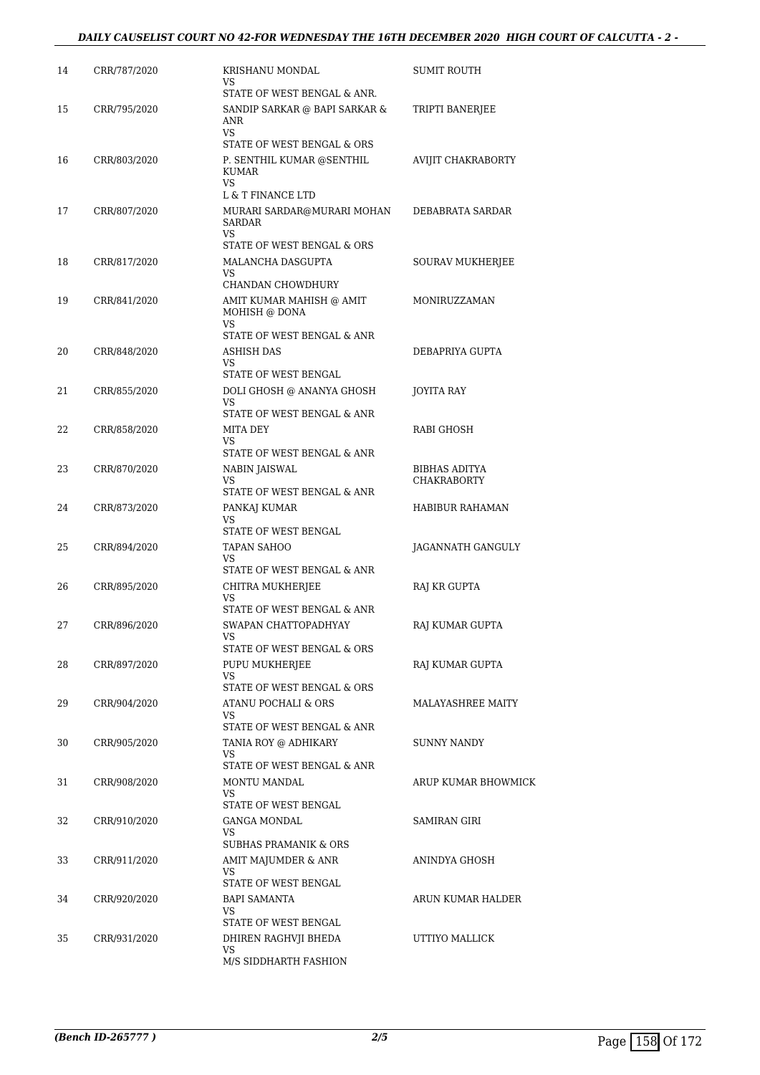#### *DAILY CAUSELIST COURT NO 42-FOR WEDNESDAY THE 16TH DECEMBER 2020 HIGH COURT OF CALCUTTA - 2 -*

| 14 | CRR/787/2020 | KRISHANU MONDAL<br>VS.<br>STATE OF WEST BENGAL & ANR.                          | SUMIT ROUTH                                |
|----|--------------|--------------------------------------------------------------------------------|--------------------------------------------|
| 15 | CRR/795/2020 | SANDIP SARKAR @ BAPI SARKAR &<br>ANR                                           | TRIPTI BANERJEE                            |
| 16 | CRR/803/2020 | VS.<br>STATE OF WEST BENGAL & ORS<br>P. SENTHIL KUMAR @SENTHIL<br><b>KUMAR</b> | AVIJIT CHAKRABORTY                         |
| 17 | CRR/807/2020 | VS<br>L & T FINANCE LTD<br>MURARI SARDAR@MURARI MOHAN<br>SARDAR                | DEBABRATA SARDAR                           |
| 18 | CRR/817/2020 | VS.<br>STATE OF WEST BENGAL & ORS<br>MALANCHA DASGUPTA<br>VS                   | <b>SOURAV MUKHERJEE</b>                    |
| 19 | CRR/841/2020 | CHANDAN CHOWDHURY<br>AMIT KUMAR MAHISH @ AMIT<br>MOHISH @ DONA<br>VS.          | MONIRUZZAMAN                               |
| 20 | CRR/848/2020 | STATE OF WEST BENGAL & ANR<br>ASHISH DAS<br>VS                                 | DEBAPRIYA GUPTA                            |
| 21 | CRR/855/2020 | STATE OF WEST BENGAL<br>DOLI GHOSH @ ANANYA GHOSH<br>VS.                       | JOYITA RAY                                 |
| 22 | CRR/858/2020 | STATE OF WEST BENGAL & ANR<br>MITA DEY<br>VS                                   | RABI GHOSH                                 |
| 23 | CRR/870/2020 | STATE OF WEST BENGAL & ANR<br>NABIN JAISWAL<br>VS                              | <b>BIBHAS ADITYA</b><br><b>CHAKRABORTY</b> |
| 24 | CRR/873/2020 | STATE OF WEST BENGAL & ANR<br>PANKAJ KUMAR<br>VS                               | HABIBUR RAHAMAN                            |
| 25 | CRR/894/2020 | STATE OF WEST BENGAL<br>TAPAN SAHOO<br>VS                                      | JAGANNATH GANGULY                          |
| 26 | CRR/895/2020 | STATE OF WEST BENGAL & ANR<br>CHITRA MUKHERJEE<br><b>VS</b>                    | RAJ KR GUPTA                               |
| 27 | CRR/896/2020 | STATE OF WEST BENGAL & ANR<br>SWAPAN CHATTOPADHYAY<br>VS                       | RAJ KUMAR GUPTA                            |
| 28 | CRR/897/2020 | STATE OF WEST BENGAL & ORS<br>PUPU MUKHERJEE<br>VS.                            | RAJ KUMAR GUPTA                            |
| 29 | CRR/904/2020 | STATE OF WEST BENGAL & ORS<br>ATANU POCHALI & ORS<br>VS                        | MALAYASHREE MAITY                          |
| 30 | CRR/905/2020 | STATE OF WEST BENGAL & ANR<br>TANIA ROY @ ADHIKARY<br>VS.                      | <b>SUNNY NANDY</b>                         |
| 31 | CRR/908/2020 | STATE OF WEST BENGAL & ANR<br>MONTU MANDAL<br>VS.                              | ARUP KUMAR BHOWMICK                        |
| 32 | CRR/910/2020 | STATE OF WEST BENGAL<br>GANGA MONDAL<br>VS                                     | SAMIRAN GIRI                               |
| 33 | CRR/911/2020 | <b>SUBHAS PRAMANIK &amp; ORS</b><br>AMIT MAJUMDER & ANR<br>VS                  | ANINDYA GHOSH                              |
| 34 | CRR/920/2020 | STATE OF WEST BENGAL<br>BAPI SAMANTA<br>VS                                     | ARUN KUMAR HALDER                          |
| 35 | CRR/931/2020 | STATE OF WEST BENGAL<br>DHIREN RAGHVJI BHEDA<br>VS<br>M/S SIDDHARTH FASHION    | UTTIYO MALLICK                             |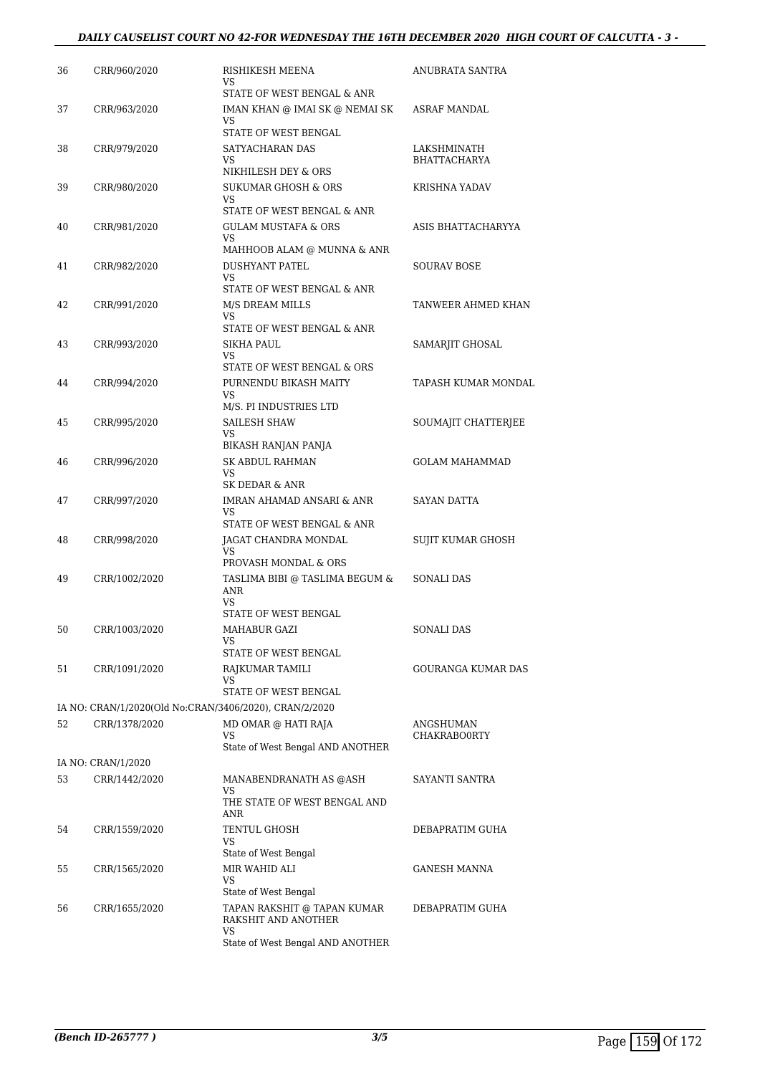#### *DAILY CAUSELIST COURT NO 42-FOR WEDNESDAY THE 16TH DECEMBER 2020 HIGH COURT OF CALCUTTA - 3 -*

| 36 | CRR/960/2020       | RISHIKESH MEENA<br>VS<br>STATE OF WEST BENGAL & ANR                              | ANUBRATA SANTRA                    |
|----|--------------------|----------------------------------------------------------------------------------|------------------------------------|
| 37 | CRR/963/2020       | IMAN KHAN @ IMAI SK @ NEMAI SK<br>VS                                             | ASRAF MANDAL                       |
| 38 | CRR/979/2020       | STATE OF WEST BENGAL<br>SATYACHARAN DAS<br>VS                                    | LAKSHMINATH<br><b>BHATTACHARYA</b> |
| 39 | CRR/980/2020       | NIKHILESH DEY & ORS<br>SUKUMAR GHOSH & ORS<br>VS                                 | KRISHNA YADAV                      |
| 40 | CRR/981/2020       | STATE OF WEST BENGAL & ANR<br><b>GULAM MUSTAFA &amp; ORS</b><br>VS               | ASIS BHATTACHARYYA                 |
| 41 | CRR/982/2020       | MAHHOOB ALAM @ MUNNA & ANR<br><b>DUSHYANT PATEL</b>                              | <b>SOURAV BOSE</b>                 |
|    |                    | VS.<br>STATE OF WEST BENGAL & ANR                                                |                                    |
| 42 | CRR/991/2020       | M/S DREAM MILLS<br>VS<br>STATE OF WEST BENGAL & ANR                              | TANWEER AHMED KHAN                 |
| 43 | CRR/993/2020       | SIKHA PAUL<br>VS.                                                                | SAMARJIT GHOSAL                    |
| 44 | CRR/994/2020       | STATE OF WEST BENGAL & ORS<br>PURNENDU BIKASH MAITY<br>VS                        | <b>TAPASH KUMAR MONDAL</b>         |
| 45 | CRR/995/2020       | M/S. PI INDUSTRIES LTD<br>SAILESH SHAW<br>VS                                     | SOUMAJIT CHATTERJEE                |
| 46 | CRR/996/2020       | BIKASH RANJAN PANJA<br><b>SK ABDUL RAHMAN</b><br>VS                              | <b>GOLAM MAHAMMAD</b>              |
| 47 | CRR/997/2020       | SK DEDAR & ANR<br>IMRAN AHAMAD ANSARI & ANR<br>VS<br>STATE OF WEST BENGAL & ANR  | SAYAN DATTA                        |
| 48 | CRR/998/2020       | JAGAT CHANDRA MONDAL<br>VS                                                       | SUJIT KUMAR GHOSH                  |
| 49 | CRR/1002/2020      | PROVASH MONDAL & ORS<br>TASLIMA BIBI @ TASLIMA BEGUM &<br><b>ANR</b><br>VS       | SONALI DAS                         |
| 50 | CRR/1003/2020      | STATE OF WEST BENGAL<br>MAHABUR GAZI<br>VS<br>STATE OF WEST BENGAL               | SONALI DAS                         |
| 51 | CRR/1091/2020      | RAJKUMAR TAMILI<br>VS.<br>STATE OF WEST BENGAL                                   | <b>GOURANGA KUMAR DAS</b>          |
|    |                    | IA NO: CRAN/1/2020(Old No:CRAN/3406/2020), CRAN/2/2020                           |                                    |
| 52 | CRR/1378/2020      | MD OMAR @ HATI RAJA<br>VS<br>State of West Bengal AND ANOTHER                    | ANGSHUMAN<br>CHAKRABO0RTY          |
|    | IA NO: CRAN/1/2020 |                                                                                  |                                    |
| 53 | CRR/1442/2020      | MANABENDRANATH AS @ASH<br>VS.<br>THE STATE OF WEST BENGAL AND                    | SAYANTI SANTRA                     |
| 54 | CRR/1559/2020      | ANR<br>TENTUL GHOSH<br>VS                                                        | DEBAPRATIM GUHA                    |
| 55 | CRR/1565/2020      | State of West Bengal<br>MIR WAHID ALI<br>VS                                      | GANESH MANNA                       |
| 56 | CRR/1655/2020      | State of West Bengal<br>TAPAN RAKSHIT @ TAPAN KUMAR<br>RAKSHIT AND ANOTHER<br>VS | DEBAPRATIM GUHA                    |
|    |                    | State of West Bengal AND ANOTHER                                                 |                                    |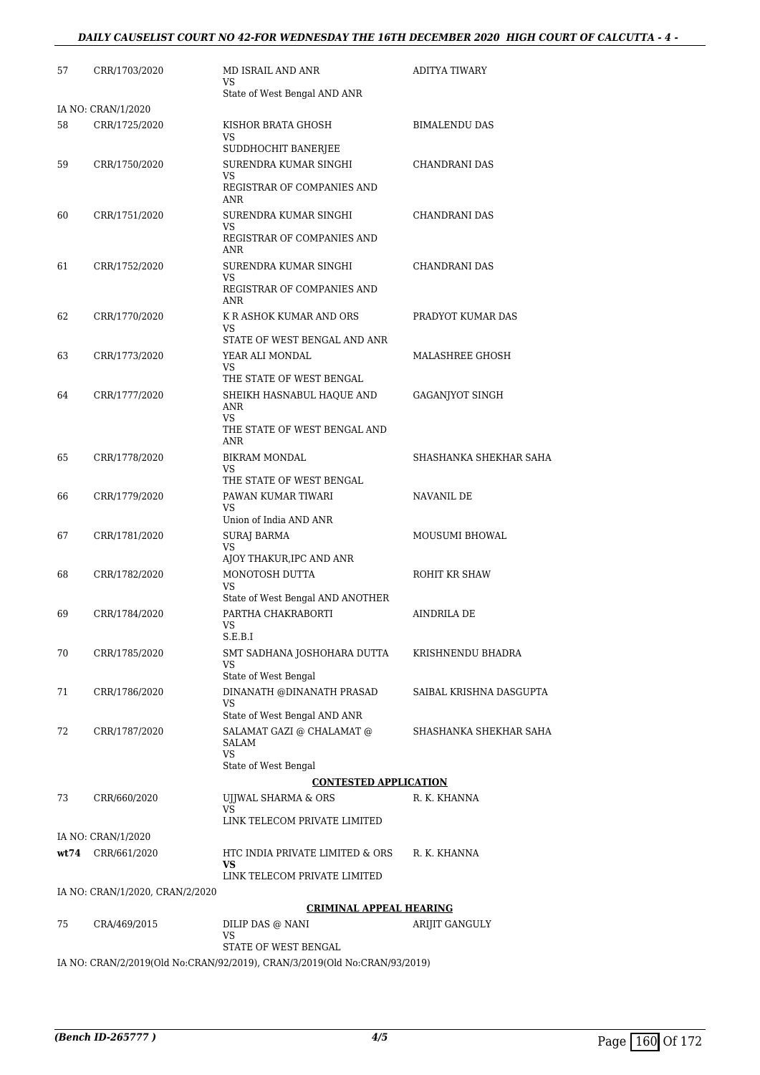#### *DAILY CAUSELIST COURT NO 42-FOR WEDNESDAY THE 16TH DECEMBER 2020 HIGH COURT OF CALCUTTA - 4 -*

| 57   | CRR/1703/2020                   | MD ISRAIL AND ANR<br>VS.                                                  | <b>ADITYA TIWARY</b>    |
|------|---------------------------------|---------------------------------------------------------------------------|-------------------------|
|      |                                 | State of West Bengal AND ANR                                              |                         |
|      | IA NO: CRAN/1/2020              |                                                                           |                         |
| 58   | CRR/1725/2020                   | KISHOR BRATA GHOSH<br>VS                                                  | <b>BIMALENDU DAS</b>    |
|      |                                 | SUDDHOCHIT BANERJEE                                                       |                         |
| 59   | CRR/1750/2020                   | SURENDRA KUMAR SINGHI<br>VS                                               | CHANDRANI DAS           |
|      |                                 | REGISTRAR OF COMPANIES AND<br>ANR                                         |                         |
| 60   | CRR/1751/2020                   | SURENDRA KUMAR SINGHI                                                     | CHANDRANI DAS           |
|      |                                 | VS<br>REGISTRAR OF COMPANIES AND<br>ANR                                   |                         |
| 61   | CRR/1752/2020                   | SURENDRA KUMAR SINGHI                                                     | CHANDRANI DAS           |
|      |                                 | VS<br>REGISTRAR OF COMPANIES AND<br>ANR                                   |                         |
| 62   | CRR/1770/2020                   | K R ASHOK KUMAR AND ORS                                                   | PRADYOT KUMAR DAS       |
|      |                                 | VS                                                                        |                         |
| 63   | CRR/1773/2020                   | STATE OF WEST BENGAL AND ANR<br>YEAR ALI MONDAL                           | MALASHREE GHOSH         |
|      |                                 | VS                                                                        |                         |
|      |                                 | THE STATE OF WEST BENGAL                                                  |                         |
| 64   | CRR/1777/2020                   | SHEIKH HASNABUL HAQUE AND<br>ANR<br>VS                                    | <b>GAGANJYOT SINGH</b>  |
|      |                                 | THE STATE OF WEST BENGAL AND<br>ANR                                       |                         |
| 65   | CRR/1778/2020                   | BIKRAM MONDAL                                                             | SHASHANKA SHEKHAR SAHA  |
|      |                                 | VS                                                                        |                         |
| 66   | CRR/1779/2020                   | THE STATE OF WEST BENGAL<br>PAWAN KUMAR TIWARI                            | NAVANIL DE              |
|      |                                 | VS.                                                                       |                         |
|      |                                 | Union of India AND ANR                                                    |                         |
| 67   | CRR/1781/2020                   | <b>SURAJ BARMA</b><br>VS                                                  | MOUSUMI BHOWAL          |
|      |                                 | AJOY THAKUR, IPC AND ANR                                                  |                         |
| 68   | CRR/1782/2020                   | MONOTOSH DUTTA                                                            | ROHIT KR SHAW           |
|      |                                 | VS<br>State of West Bengal AND ANOTHER                                    |                         |
| 69   | CRR/1784/2020                   | PARTHA CHAKRABORTI                                                        | AINDRILA DE             |
|      |                                 | VS                                                                        |                         |
|      |                                 | S.E.B.I                                                                   |                         |
| 70   | CRR/1785/2020                   | SMT SADHANA JOSHOHARA DUTTA<br>VS                                         | KRISHNENDU BHADRA       |
|      |                                 | State of West Bengal                                                      |                         |
| 71   | CRR/1786/2020                   | DINANATH @DINANATH PRASAD                                                 | SAIBAL KRISHNA DASGUPTA |
|      |                                 | VS<br>State of West Bengal AND ANR                                        |                         |
| 72   | CRR/1787/2020                   | SALAMAT GAZI @ CHALAMAT @                                                 | SHASHANKA SHEKHAR SAHA  |
|      |                                 | SALAM                                                                     |                         |
|      |                                 | VS<br>State of West Bengal                                                |                         |
|      |                                 | <b>CONTESTED APPLICATION</b>                                              |                         |
| 73   | CRR/660/2020                    | UJJWAL SHARMA & ORS                                                       | R. K. KHANNA            |
|      |                                 | VS<br>LINK TELECOM PRIVATE LIMITED                                        |                         |
|      | IA NO: CRAN/1/2020              |                                                                           |                         |
| wt74 | CRR/661/2020                    | HTC INDIA PRIVATE LIMITED & ORS                                           | R. K. KHANNA            |
|      |                                 | VS                                                                        |                         |
|      |                                 | LINK TELECOM PRIVATE LIMITED                                              |                         |
|      | IA NO: CRAN/1/2020, CRAN/2/2020 |                                                                           |                         |
| 75   |                                 | <b>CRIMINAL APPEAL HEARING</b>                                            |                         |
|      | CRA/469/2015                    | DILIP DAS @ NANI<br>VS                                                    | ARIJIT GANGULY          |
|      |                                 | STATE OF WEST BENGAL                                                      |                         |
|      |                                 | IA NO: CRAN/2/2019(Old No:CRAN/92/2019), CRAN/3/2019(Old No:CRAN/93/2019) |                         |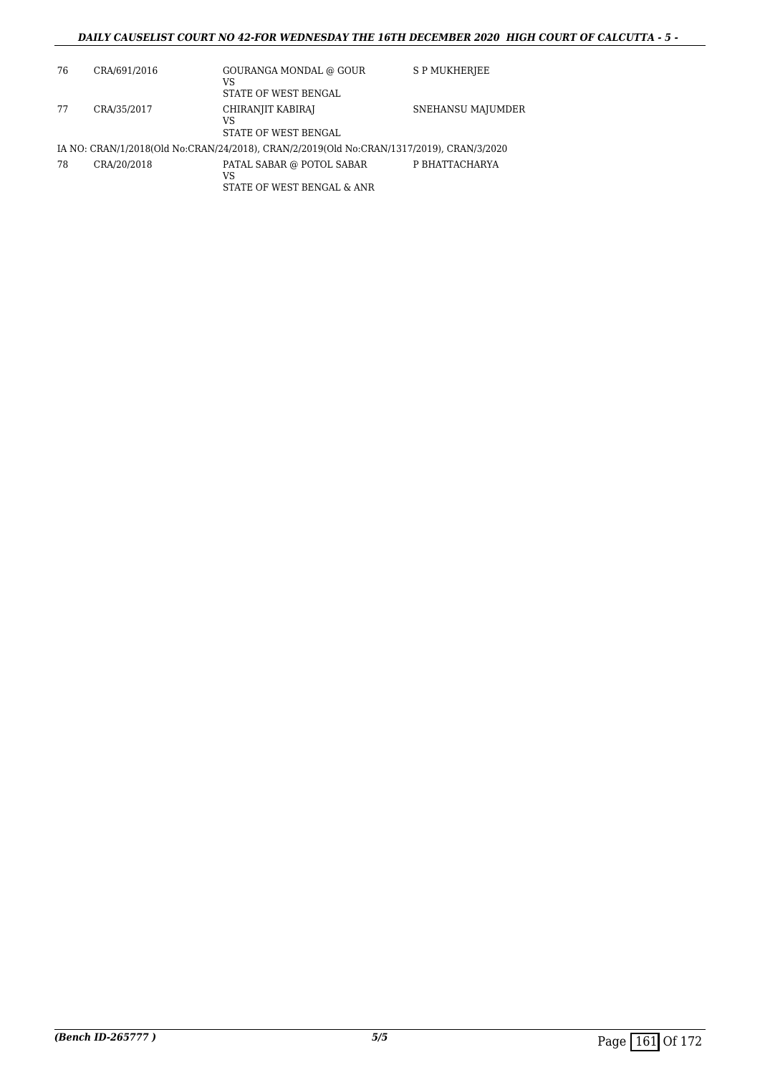#### *DAILY CAUSELIST COURT NO 42-FOR WEDNESDAY THE 16TH DECEMBER 2020 HIGH COURT OF CALCUTTA - 5 -*

| 76 | CRA/691/2016 | GOURANGA MONDAL @ GOUR<br>VS<br>STATE OF WEST BENGAL                                     | S P MUKHERJEE     |
|----|--------------|------------------------------------------------------------------------------------------|-------------------|
| 77 | CRA/35/2017  | CHIRANJIT KABIRAJ<br>VS<br>STATE OF WEST BENGAL                                          | SNEHANSU MAJUMDER |
|    |              | IA NO: CRAN/1/2018(Old No:CRAN/24/2018), CRAN/2/2019(Old No:CRAN/1317/2019), CRAN/3/2020 |                   |
| 78 | CRA/20/2018  | PATAL SABAR @ POTOL SABAR<br>VS<br>STATE OF WEST BENGAL & ANR                            | P BHATTACHARYA    |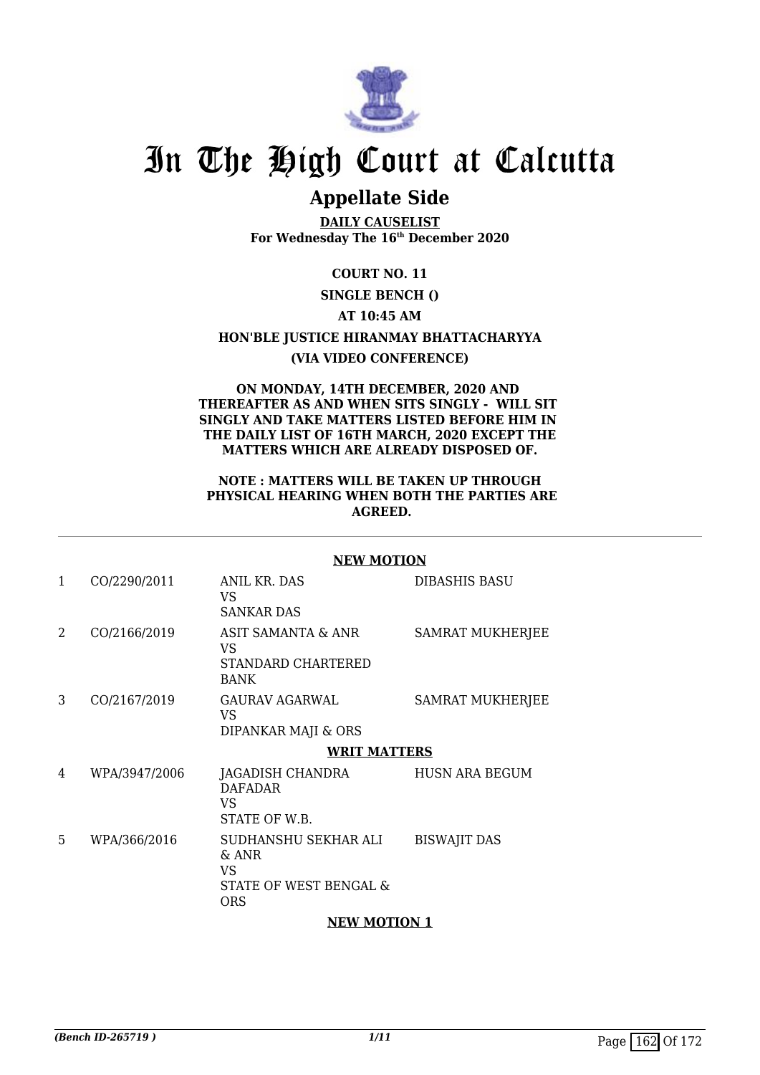

## **Appellate Side**

**DAILY CAUSELIST For Wednesday The 16th December 2020**

**COURT NO. 11**

#### **SINGLE BENCH ()**

#### **AT 10:45 AM**

# **HON'BLE JUSTICE HIRANMAY BHATTACHARYYA**

### **(VIA VIDEO CONFERENCE)**

#### **ON MONDAY, 14TH DECEMBER, 2020 AND THEREAFTER AS AND WHEN SITS SINGLY - WILL SIT SINGLY AND TAKE MATTERS LISTED BEFORE HIM IN THE DAILY LIST OF 16TH MARCH, 2020 EXCEPT THE MATTERS WHICH ARE ALREADY DISPOSED OF.**

#### **NOTE : MATTERS WILL BE TAKEN UP THROUGH PHYSICAL HEARING WHEN BOTH THE PARTIES ARE AGREED.**

#### **NEW MOTION**

| 1 | CO/2290/2011  | <b>ANIL KR. DAS</b><br>VS.<br><b>SANKAR DAS</b>                             | <b>DIBASHIS BASU</b>    |
|---|---------------|-----------------------------------------------------------------------------|-------------------------|
| 2 | CO/2166/2019  | ASIT SAMANTA & ANR<br>VS<br>STANDARD CHARTERED<br><b>BANK</b>               | SAMRAT MUKHERJEE        |
| 3 | CO/2167/2019  | <b>GAURAV AGARWAL</b><br>VS<br>DIPANKAR MAJI & ORS                          | <b>SAMRAT MUKHERJEE</b> |
|   |               | <b>WRIT MATTERS</b>                                                         |                         |
| 4 | WPA/3947/2006 | JAGADISH CHANDRA<br><b>DAFADAR</b><br>VS<br>STATE OF W.B.                   | <b>HUSN ARA BEGUM</b>   |
| 5 | WPA/366/2016  | SUDHANSHU SEKHAR ALI<br>& ANR<br>VS<br>STATE OF WEST BENGAL &<br><b>ORS</b> | <b>BISWAJIT DAS</b>     |
|   |               | <b>NEW MOTION 1</b>                                                         |                         |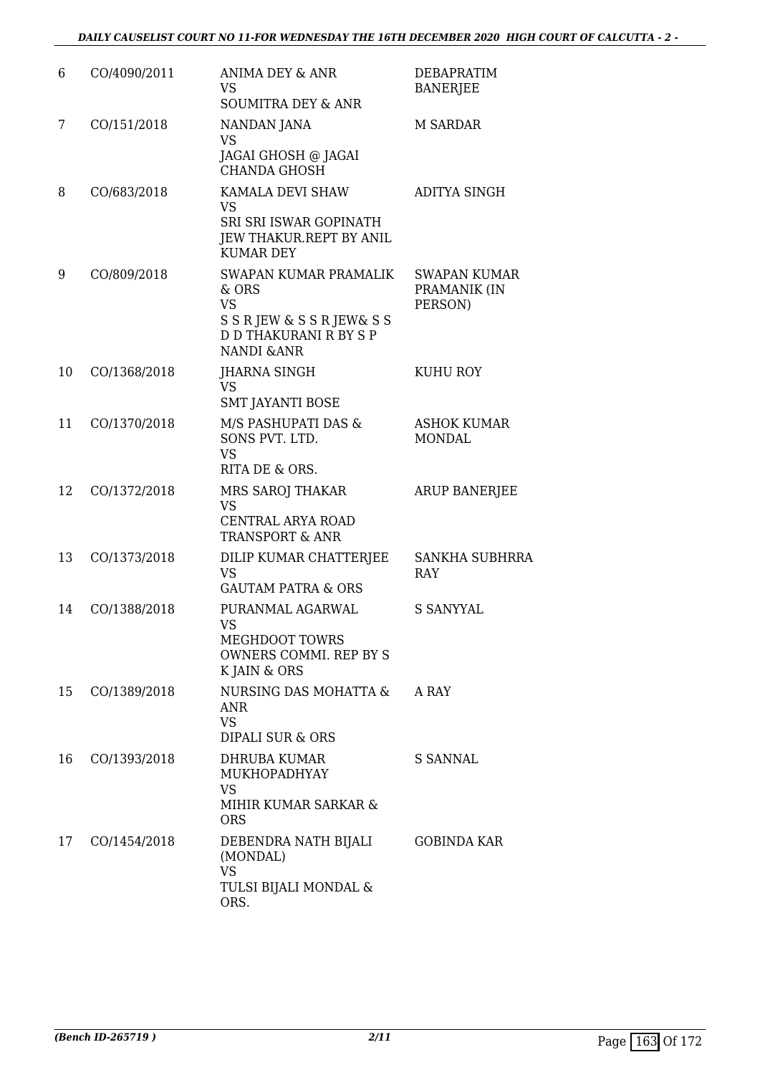| 6  | CO/4090/2011 | ANIMA DEY & ANR<br>VS.<br><b>SOUMITRA DEY &amp; ANR</b>                                                                               | <b>DEBAPRATIM</b><br><b>BANERJEE</b>           |
|----|--------------|---------------------------------------------------------------------------------------------------------------------------------------|------------------------------------------------|
| 7  | CO/151/2018  | NANDAN JANA<br><b>VS</b><br>JAGAI GHOSH @ JAGAI<br><b>CHANDA GHOSH</b>                                                                | <b>M SARDAR</b>                                |
| 8  | CO/683/2018  | KAMALA DEVI SHAW<br><b>VS</b><br>SRI SRI ISWAR GOPINATH<br>JEW THAKUR.REPT BY ANIL<br><b>KUMAR DEY</b>                                | ADITYA SINGH                                   |
| 9  | CO/809/2018  | SWAPAN KUMAR PRAMALIK<br>& ORS<br><b>VS</b><br>S S R JEW & S S R JEW & S S<br><b>D D THAKURANI R BY S P</b><br><b>NANDI &amp; ANR</b> | <b>SWAPAN KUMAR</b><br>PRAMANIK (IN<br>PERSON) |
| 10 | CO/1368/2018 | JHARNA SINGH<br><b>VS</b><br><b>SMT JAYANTI BOSE</b>                                                                                  | <b>KUHU ROY</b>                                |
| 11 | CO/1370/2018 | M/S PASHUPATI DAS &<br>SONS PVT. LTD.<br><b>VS</b><br>RITA DE & ORS.                                                                  | <b>ASHOK KUMAR</b><br><b>MONDAL</b>            |
| 12 | CO/1372/2018 | MRS SAROJ THAKAR<br><b>VS</b><br>CENTRAL ARYA ROAD<br><b>TRANSPORT &amp; ANR</b>                                                      | <b>ARUP BANERJEE</b>                           |
| 13 | CO/1373/2018 | DILIP KUMAR CHATTERJEE<br><b>VS</b><br><b>GAUTAM PATRA &amp; ORS</b>                                                                  | <b>SANKHA SUBHRRA</b><br>RAY                   |
| 14 | CO/1388/2018 | PURANMAL AGARWAL<br><b>VS</b><br>MEGHDOOT TOWRS<br>OWNERS COMMI. REP BY S<br>K JAIN & ORS                                             | <b>S SANYYAL</b>                               |
| 15 | CO/1389/2018 | NURSING DAS MOHATTA &<br><b>ANR</b><br><b>VS</b><br><b>DIPALI SUR &amp; ORS</b>                                                       | A RAY                                          |
| 16 | CO/1393/2018 | <b>DHRUBA KUMAR</b><br>MUKHOPADHYAY<br><b>VS</b><br>MIHIR KUMAR SARKAR &<br><b>ORS</b>                                                | S SANNAL                                       |
| 17 | CO/1454/2018 | DEBENDRA NATH BIJALI<br>(MONDAL)<br><b>VS</b><br>TULSI BIJALI MONDAL &<br>ORS.                                                        | <b>GOBINDA KAR</b>                             |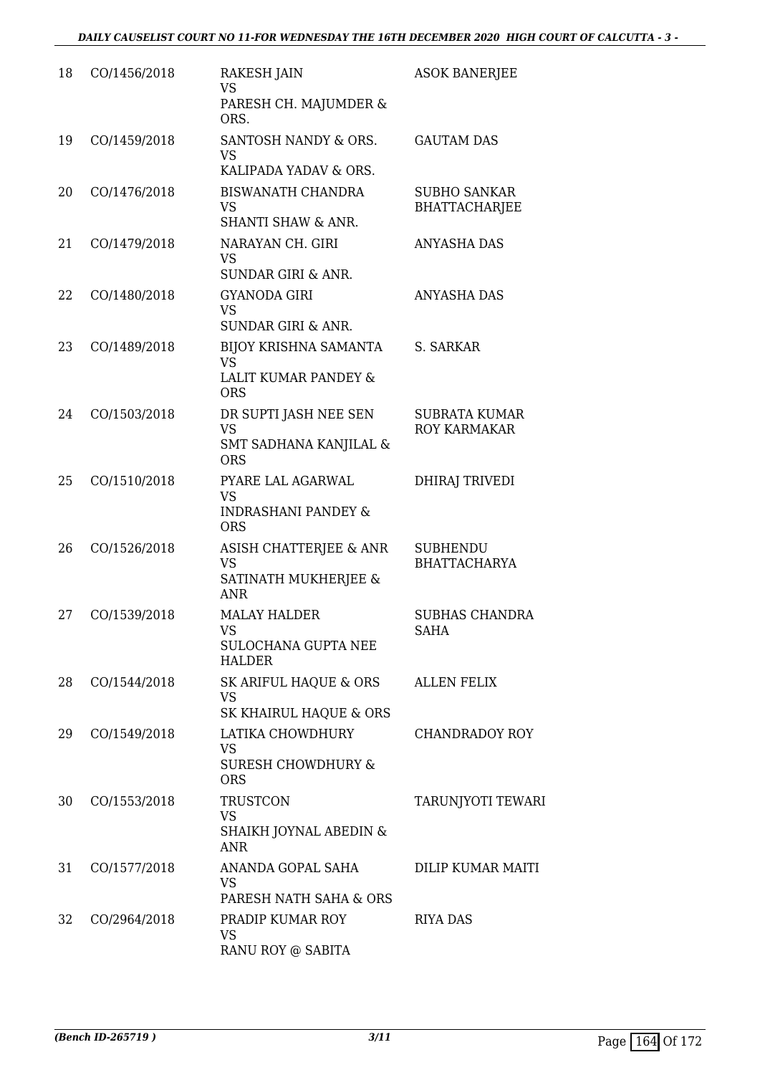| 18 | CO/1456/2018 | <b>RAKESH JAIN</b><br><b>VS</b>                                                | <b>ASOK BANERJEE</b>                        |
|----|--------------|--------------------------------------------------------------------------------|---------------------------------------------|
|    |              | PARESH CH. MAJUMDER &<br>ORS.                                                  |                                             |
| 19 | CO/1459/2018 | SANTOSH NANDY & ORS.<br><b>VS</b>                                              | <b>GAUTAM DAS</b>                           |
| 20 | CO/1476/2018 | KALIPADA YADAV & ORS.<br><b>BISWANATH CHANDRA</b>                              | <b>SUBHO SANKAR</b>                         |
|    |              | <b>VS</b>                                                                      | <b>BHATTACHARJEE</b>                        |
|    |              | <b>SHANTI SHAW &amp; ANR.</b>                                                  |                                             |
| 21 | CO/1479/2018 | NARAYAN CH. GIRI<br><b>VS</b><br><b>SUNDAR GIRI &amp; ANR.</b>                 | <b>ANYASHA DAS</b>                          |
| 22 | CO/1480/2018 | <b>GYANODA GIRI</b><br><b>VS</b>                                               | <b>ANYASHA DAS</b>                          |
|    |              | <b>SUNDAR GIRI &amp; ANR.</b>                                                  |                                             |
| 23 | CO/1489/2018 | <b>BIJOY KRISHNA SAMANTA</b><br><b>VS</b>                                      | S. SARKAR                                   |
|    |              | LALIT KUMAR PANDEY &<br><b>ORS</b>                                             |                                             |
| 24 | CO/1503/2018 | DR SUPTI JASH NEE SEN<br><b>VS</b>                                             | <b>SUBRATA KUMAR</b><br><b>ROY KARMAKAR</b> |
|    |              | SMT SADHANA KANJILAL &<br><b>ORS</b>                                           |                                             |
| 25 | CO/1510/2018 | PYARE LAL AGARWAL<br><b>VS</b><br><b>INDRASHANI PANDEY &amp;</b><br><b>ORS</b> | <b>DHIRAJ TRIVEDI</b>                       |
| 26 | CO/1526/2018 | ASISH CHATTERJEE & ANR                                                         | <b>SUBHENDU</b>                             |
|    |              | <b>VS</b><br>SATINATH MUKHERJEE &<br><b>ANR</b>                                | <b>BHATTACHARYA</b>                         |
| 27 | CO/1539/2018 | <b>MALAY HALDER</b><br>VS.                                                     | <b>SUBHAS CHANDRA</b><br><b>SAHA</b>        |
|    |              | <b>SULOCHANA GUPTA NEE</b><br><b>HALDER</b>                                    |                                             |
| 28 | CO/1544/2018 | SK ARIFUL HAQUE & ORS<br><b>VS</b>                                             | <b>ALLEN FELIX</b>                          |
|    |              | SK KHAIRUL HAQUE & ORS                                                         |                                             |
| 29 | CO/1549/2018 | LATIKA CHOWDHURY<br><b>VS</b>                                                  | CHANDRADOY ROY                              |
|    |              | <b>SURESH CHOWDHURY &amp;</b><br><b>ORS</b>                                    |                                             |
| 30 | CO/1553/2018 | <b>TRUSTCON</b><br><b>VS</b>                                                   | <b>TARUNJYOTI TEWARI</b>                    |
|    |              | SHAIKH JOYNAL ABEDIN &<br><b>ANR</b>                                           |                                             |
| 31 | CO/1577/2018 | ANANDA GOPAL SAHA<br><b>VS</b>                                                 | DILIP KUMAR MAITI                           |
|    |              | PARESH NATH SAHA & ORS                                                         |                                             |
| 32 | CO/2964/2018 | PRADIP KUMAR ROY<br><b>VS</b><br>RANU ROY @ SABITA                             | <b>RIYA DAS</b>                             |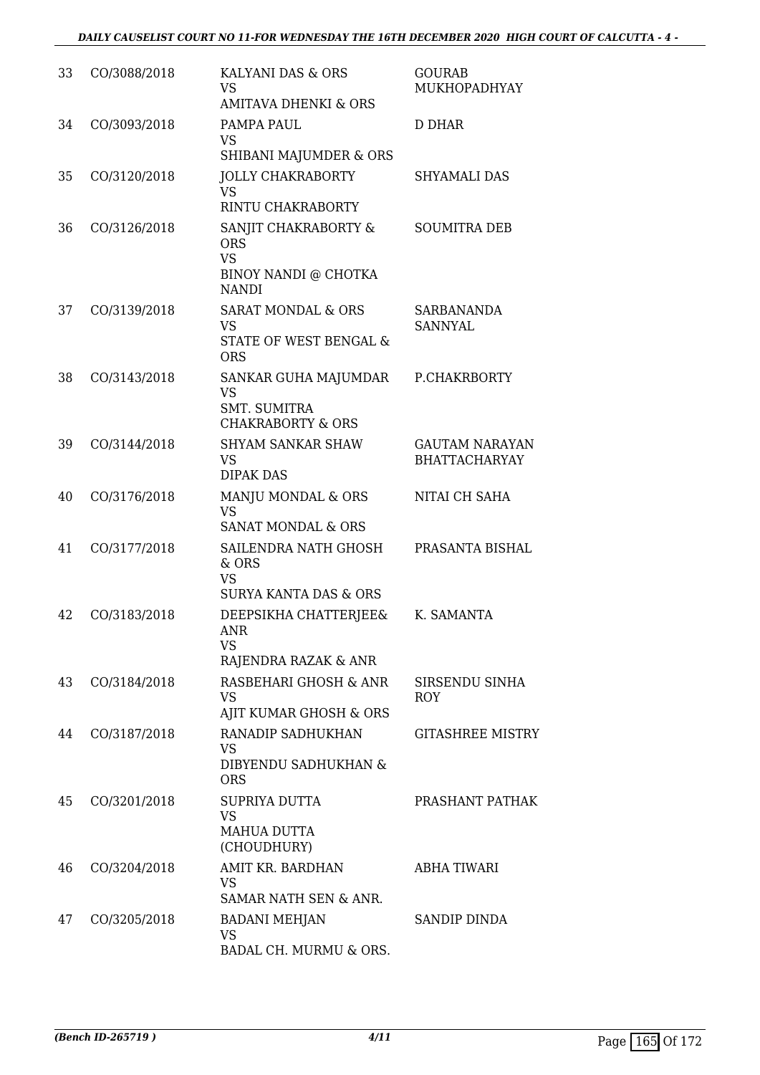| 33 | CO/3088/2018 | KALYANI DAS & ORS<br><b>VS</b><br><b>AMITAVA DHENKI &amp; ORS</b>                        | <b>GOURAB</b><br>MUKHOPADHYAY                 |
|----|--------------|------------------------------------------------------------------------------------------|-----------------------------------------------|
| 34 | CO/3093/2018 | PAMPA PAUL<br><b>VS</b><br>SHIBANI MAJUMDER & ORS                                        | <b>D DHAR</b>                                 |
| 35 | CO/3120/2018 | <b>JOLLY CHAKRABORTY</b><br><b>VS</b><br>RINTU CHAKRABORTY                               | <b>SHYAMALI DAS</b>                           |
| 36 | CO/3126/2018 | SANJIT CHAKRABORTY &<br><b>ORS</b><br><b>VS</b><br>BINOY NANDI @ CHOTKA<br><b>NANDI</b>  | <b>SOUMITRA DEB</b>                           |
| 37 | CO/3139/2018 | <b>SARAT MONDAL &amp; ORS</b><br><b>VS</b><br>STATE OF WEST BENGAL &<br><b>ORS</b>       | <b>SARBANANDA</b><br><b>SANNYAL</b>           |
| 38 | CO/3143/2018 | SANKAR GUHA MAJUMDAR<br><b>VS</b><br><b>SMT. SUMITRA</b><br><b>CHAKRABORTY &amp; ORS</b> | P.CHAKRBORTY                                  |
| 39 | CO/3144/2018 | <b>SHYAM SANKAR SHAW</b><br><b>VS</b><br><b>DIPAK DAS</b>                                | <b>GAUTAM NARAYAN</b><br><b>BHATTACHARYAY</b> |
| 40 | CO/3176/2018 | MANJU MONDAL & ORS<br><b>VS</b><br><b>SANAT MONDAL &amp; ORS</b>                         | NITAI CH SAHA                                 |
| 41 | CO/3177/2018 | SAILENDRA NATH GHOSH<br>& ORS<br><b>VS</b><br><b>SURYA KANTA DAS &amp; ORS</b>           | PRASANTA BISHAL                               |
| 42 | CO/3183/2018 | DEEPSIKHA CHATTERJEE&<br>ANR<br>VS<br>RAJENDRA RAZAK & ANR                               | K. SAMANTA                                    |
| 43 | CO/3184/2018 | RASBEHARI GHOSH & ANR<br><b>VS</b><br>AJIT KUMAR GHOSH & ORS                             | SIRSENDU SINHA<br>ROY                         |
| 44 | CO/3187/2018 | RANADIP SADHUKHAN<br>VS<br>DIBYENDU SADHUKHAN &<br><b>ORS</b>                            | <b>GITASHREE MISTRY</b>                       |
| 45 | CO/3201/2018 | SUPRIYA DUTTA<br>VS<br>MAHUA DUTTA<br>(CHOUDHURY)                                        | PRASHANT PATHAK                               |
| 46 | CO/3204/2018 | AMIT KR. BARDHAN<br>VS.<br>SAMAR NATH SEN & ANR.                                         | ABHA TIWARI                                   |
| 47 | CO/3205/2018 | <b>BADANI MEHJAN</b><br><b>VS</b><br>BADAL CH. MURMU & ORS.                              | SANDIP DINDA                                  |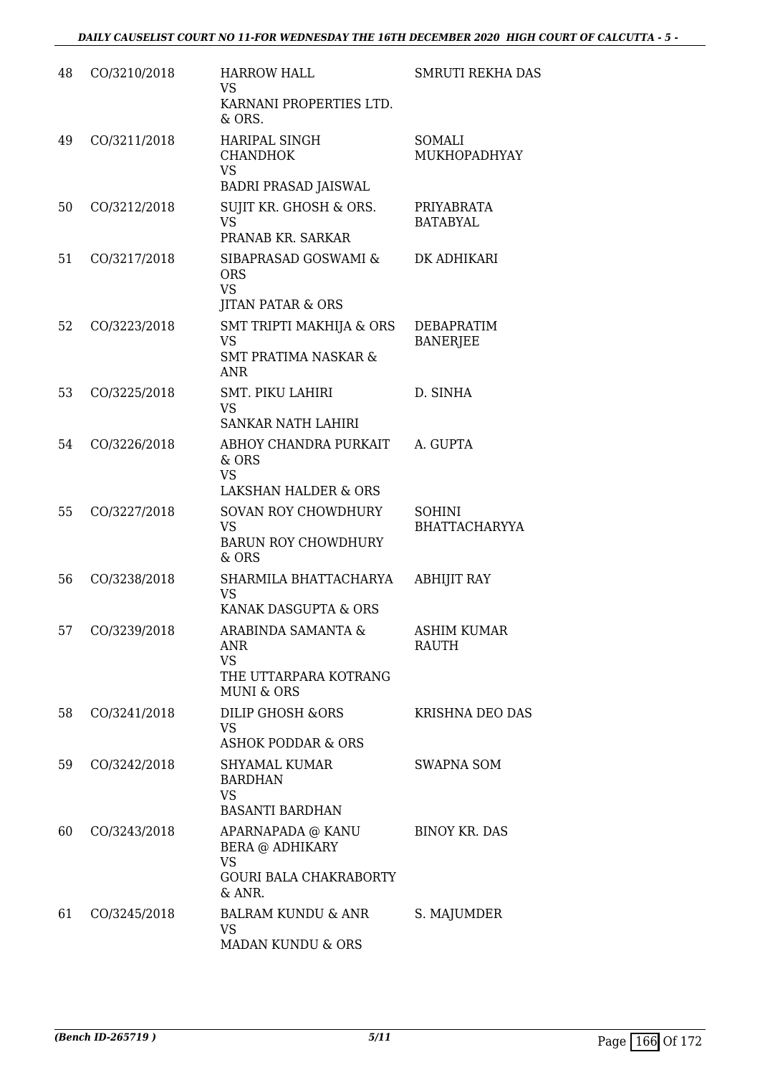| 48 | CO/3210/2018 | <b>HARROW HALL</b><br><b>VS</b><br>KARNANI PROPERTIES LTD.<br>& ORS.                                | <b>SMRUTI REKHA DAS</b>               |
|----|--------------|-----------------------------------------------------------------------------------------------------|---------------------------------------|
| 49 | CO/3211/2018 | <b>HARIPAL SINGH</b><br><b>CHANDHOK</b><br><b>VS</b>                                                | SOMALI<br>MUKHOPADHYAY                |
| 50 | CO/3212/2018 | <b>BADRI PRASAD JAISWAL</b><br>SUJIT KR. GHOSH & ORS.<br><b>VS</b><br>PRANAB KR. SARKAR             | PRIYABRATA<br><b>BATABYAL</b>         |
| 51 | CO/3217/2018 | SIBAPRASAD GOSWAMI &<br><b>ORS</b><br><b>VS</b><br><b>JITAN PATAR &amp; ORS</b>                     | DK ADHIKARI                           |
| 52 | CO/3223/2018 | SMT TRIPTI MAKHIJA & ORS<br><b>VS</b><br><b>SMT PRATIMA NASKAR &amp;</b><br><b>ANR</b>              | DEBAPRATIM<br><b>BANERJEE</b>         |
| 53 | CO/3225/2018 | <b>SMT. PIKU LAHIRI</b><br><b>VS</b><br><b>SANKAR NATH LAHIRI</b>                                   | D. SINHA                              |
| 54 | CO/3226/2018 | ABHOY CHANDRA PURKAIT<br>& ORS<br><b>VS</b><br><b>LAKSHAN HALDER &amp; ORS</b>                      | A. GUPTA                              |
| 55 | CO/3227/2018 | <b>SOVAN ROY CHOWDHURY</b><br><b>VS</b><br><b>BARUN ROY CHOWDHURY</b><br>& ORS                      | <b>SOHINI</b><br><b>BHATTACHARYYA</b> |
| 56 | CO/3238/2018 | SHARMILA BHATTACHARYA<br><b>VS</b><br>KANAK DASGUPTA & ORS                                          | <b>ABHIJIT RAY</b>                    |
| 57 | CO/3239/2018 | ARABINDA SAMANTA &<br>ANR<br><b>VS</b><br>THE UTTARPARA KOTRANG<br><b>MUNI &amp; ORS</b>            | <b>ASHIM KUMAR</b><br><b>RAUTH</b>    |
| 58 | CO/3241/2018 | DILIP GHOSH &ORS<br><b>VS</b><br><b>ASHOK PODDAR &amp; ORS</b>                                      | <b>KRISHNA DEO DAS</b>                |
| 59 | CO/3242/2018 | SHYAMAL KUMAR<br><b>BARDHAN</b><br><b>VS</b><br><b>BASANTI BARDHAN</b>                              | <b>SWAPNA SOM</b>                     |
| 60 | CO/3243/2018 | APARNAPADA @ KANU<br><b>BERA @ ADHIKARY</b><br><b>VS</b><br><b>GOURI BALA CHAKRABORTY</b><br>& ANR. | <b>BINOY KR. DAS</b>                  |
| 61 | CO/3245/2018 | <b>BALRAM KUNDU &amp; ANR</b><br><b>VS</b><br>MADAN KUNDU & ORS                                     | S. MAJUMDER                           |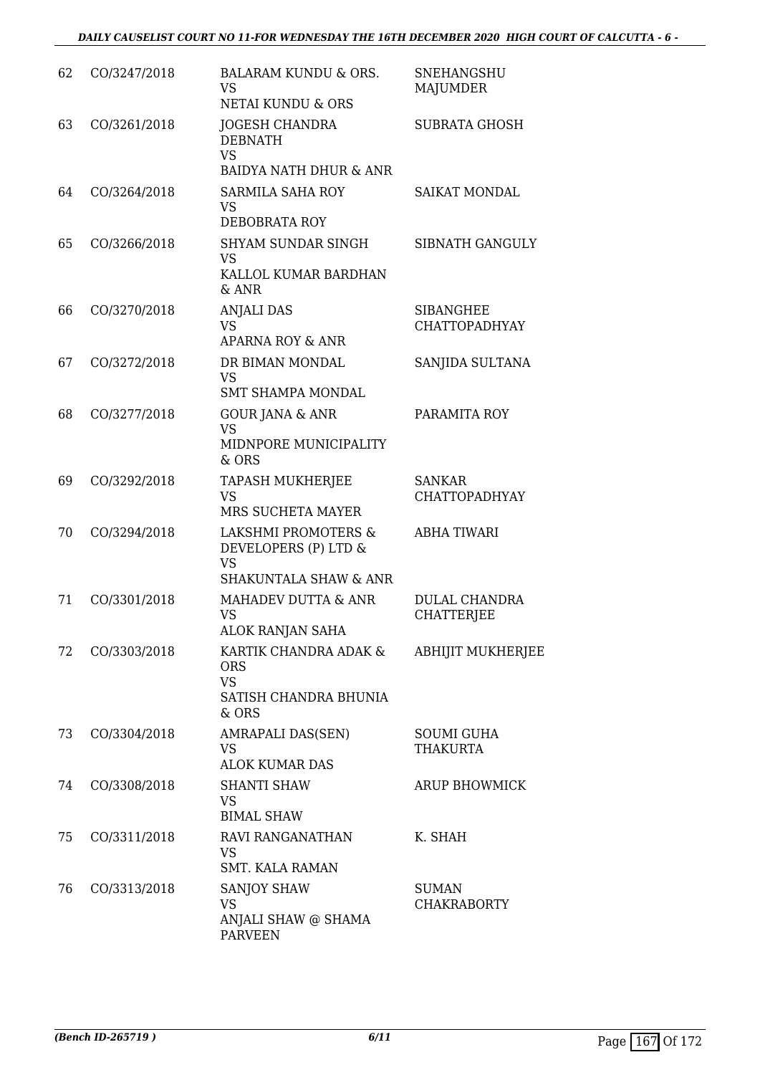| 62 | CO/3247/2018 | <b>BALARAM KUNDU &amp; ORS.</b><br><b>VS</b><br>NETAI KUNDU & ORS                            | <b>SNEHANGSHU</b><br><b>MAJUMDER</b>     |
|----|--------------|----------------------------------------------------------------------------------------------|------------------------------------------|
| 63 | CO/3261/2018 | <b>JOGESH CHANDRA</b><br><b>DEBNATH</b><br><b>VS</b><br><b>BAIDYA NATH DHUR &amp; ANR</b>    | <b>SUBRATA GHOSH</b>                     |
| 64 | CO/3264/2018 | SARMILA SAHA ROY<br><b>VS</b><br>DEBOBRATA ROY                                               | <b>SAIKAT MONDAL</b>                     |
| 65 | CO/3266/2018 | <b>SHYAM SUNDAR SINGH</b><br><b>VS</b><br>KALLOL KUMAR BARDHAN<br>$&$ ANR                    | SIBNATH GANGULY                          |
| 66 | CO/3270/2018 | <b>ANJALI DAS</b><br><b>VS</b><br>APARNA ROY & ANR                                           | <b>SIBANGHEE</b><br><b>CHATTOPADHYAY</b> |
| 67 | CO/3272/2018 | DR BIMAN MONDAL<br><b>VS</b><br><b>SMT SHAMPA MONDAL</b>                                     | SANJIDA SULTANA                          |
| 68 | CO/3277/2018 | <b>GOUR JANA &amp; ANR</b><br><b>VS</b><br>MIDNPORE MUNICIPALITY<br>& ORS                    | PARAMITA ROY                             |
| 69 | CO/3292/2018 | <b>TAPASH MUKHERJEE</b><br><b>VS</b><br>MRS SUCHETA MAYER                                    | <b>SANKAR</b><br><b>CHATTOPADHYAY</b>    |
| 70 | CO/3294/2018 | LAKSHMI PROMOTERS &<br>DEVELOPERS (P) LTD &<br><b>VS</b><br><b>SHAKUNTALA SHAW &amp; ANR</b> | <b>ABHA TIWARI</b>                       |
| 71 | CO/3301/2018 | MAHADEV DUTTA & ANR<br>VS<br>ALOK RANJAN SAHA                                                | <b>DULAL CHANDRA</b><br>CHATTERJEE       |
| 72 | CO/3303/2018 | KARTIK CHANDRA ADAK &<br><b>ORS</b><br><b>VS</b><br>SATISH CHANDRA BHUNIA<br>& ORS           | <b>ABHIJIT MUKHERJEE</b>                 |
| 73 | CO/3304/2018 | AMRAPALI DAS(SEN)<br><b>VS</b><br><b>ALOK KUMAR DAS</b>                                      | <b>SOUMI GUHA</b><br><b>THAKURTA</b>     |
| 74 | CO/3308/2018 | <b>SHANTI SHAW</b><br><b>VS</b><br><b>BIMAL SHAW</b>                                         | <b>ARUP BHOWMICK</b>                     |
| 75 | CO/3311/2018 | RAVI RANGANATHAN<br><b>VS</b><br><b>SMT. KALA RAMAN</b>                                      | K. SHAH                                  |
| 76 | CO/3313/2018 | <b>SANJOY SHAW</b><br><b>VS</b><br>ANJALI SHAW @ SHAMA<br><b>PARVEEN</b>                     | <b>SUMAN</b><br><b>CHAKRABORTY</b>       |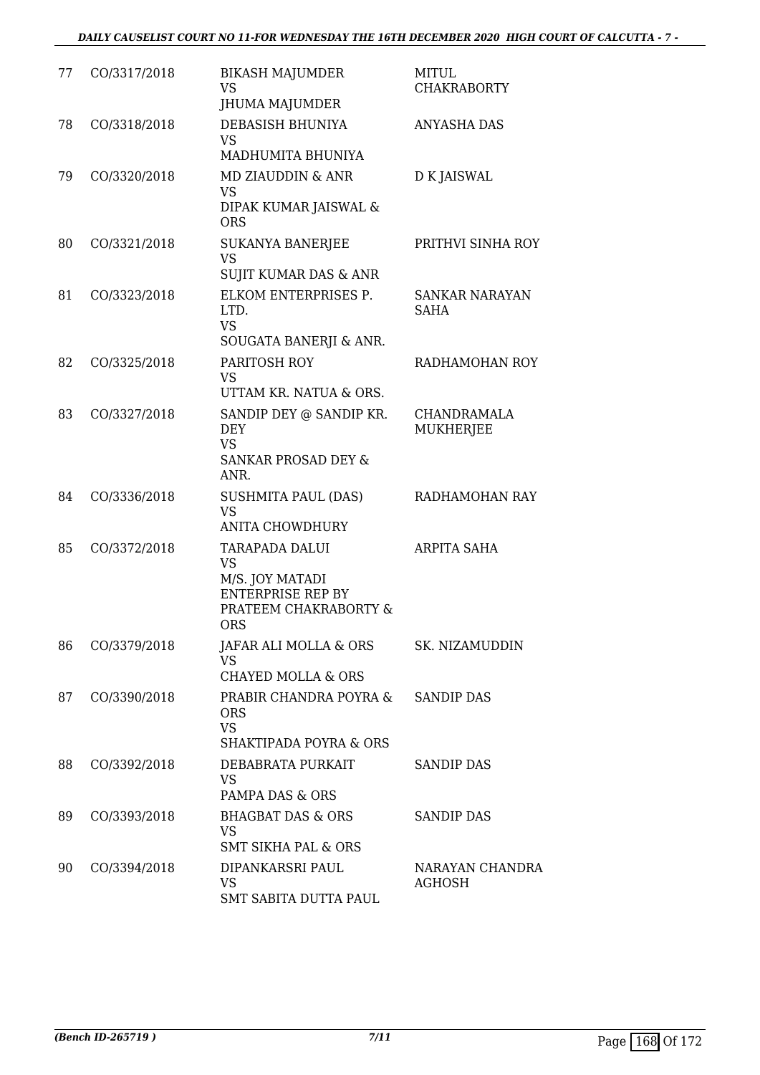| 77 | CO/3317/2018 | <b>BIKASH MAJUMDER</b><br>VS<br>JHUMA MAJUMDER                                                                           | <b>MITUL</b><br><b>CHAKRABORTY</b> |
|----|--------------|--------------------------------------------------------------------------------------------------------------------------|------------------------------------|
| 78 | CO/3318/2018 | DEBASISH BHUNIYA<br><b>VS</b><br>MADHUMITA BHUNIYA                                                                       | <b>ANYASHA DAS</b>                 |
| 79 | CO/3320/2018 | <b>MD ZIAUDDIN &amp; ANR</b><br><b>VS</b><br>DIPAK KUMAR JAISWAL &<br><b>ORS</b>                                         | D K JAISWAL                        |
| 80 | CO/3321/2018 | <b>SUKANYA BANERJEE</b><br><b>VS</b><br>SUJIT KUMAR DAS & ANR                                                            | PRITHVI SINHA ROY                  |
| 81 | CO/3323/2018 | ELKOM ENTERPRISES P.<br>LTD.<br><b>VS</b><br>SOUGATA BANERJI & ANR.                                                      | SANKAR NARAYAN<br><b>SAHA</b>      |
| 82 | CO/3325/2018 | PARITOSH ROY<br>VS.<br>UTTAM KR. NATUA & ORS.                                                                            | RADHAMOHAN ROY                     |
| 83 | CO/3327/2018 | SANDIP DEY @ SANDIP KR.<br><b>DEY</b><br><b>VS</b><br><b>SANKAR PROSAD DEY &amp;</b><br>ANR.                             | <b>CHANDRAMALA</b><br>MUKHERJEE    |
| 84 | CO/3336/2018 | SUSHMITA PAUL (DAS)<br>VS<br><b>ANITA CHOWDHURY</b>                                                                      | RADHAMOHAN RAY                     |
| 85 | CO/3372/2018 | <b>TARAPADA DALUI</b><br><b>VS</b><br>M/S. JOY MATADI<br><b>ENTERPRISE REP BY</b><br>PRATEEM CHAKRABORTY &<br><b>ORS</b> | ARPITA SAHA                        |
| 86 | CO/3379/2018 | JAFAR ALI MOLLA & ORS<br><b>VS</b><br><b>CHAYED MOLLA &amp; ORS</b>                                                      | SK. NIZAMUDDIN                     |
| 87 | CO/3390/2018 | PRABIR CHANDRA POYRA &<br><b>ORS</b><br><b>VS</b><br>SHAKTIPADA POYRA & ORS                                              | <b>SANDIP DAS</b>                  |
| 88 | CO/3392/2018 | DEBABRATA PURKAIT<br><b>VS</b><br>PAMPA DAS & ORS                                                                        | <b>SANDIP DAS</b>                  |
| 89 | CO/3393/2018 | <b>BHAGBAT DAS &amp; ORS</b><br><b>VS</b><br><b>SMT SIKHA PAL &amp; ORS</b>                                              | <b>SANDIP DAS</b>                  |
| 90 | CO/3394/2018 | DIPANKARSRI PAUL<br><b>VS</b><br>SMT SABITA DUTTA PAUL                                                                   | NARAYAN CHANDRA<br>AGHOSH          |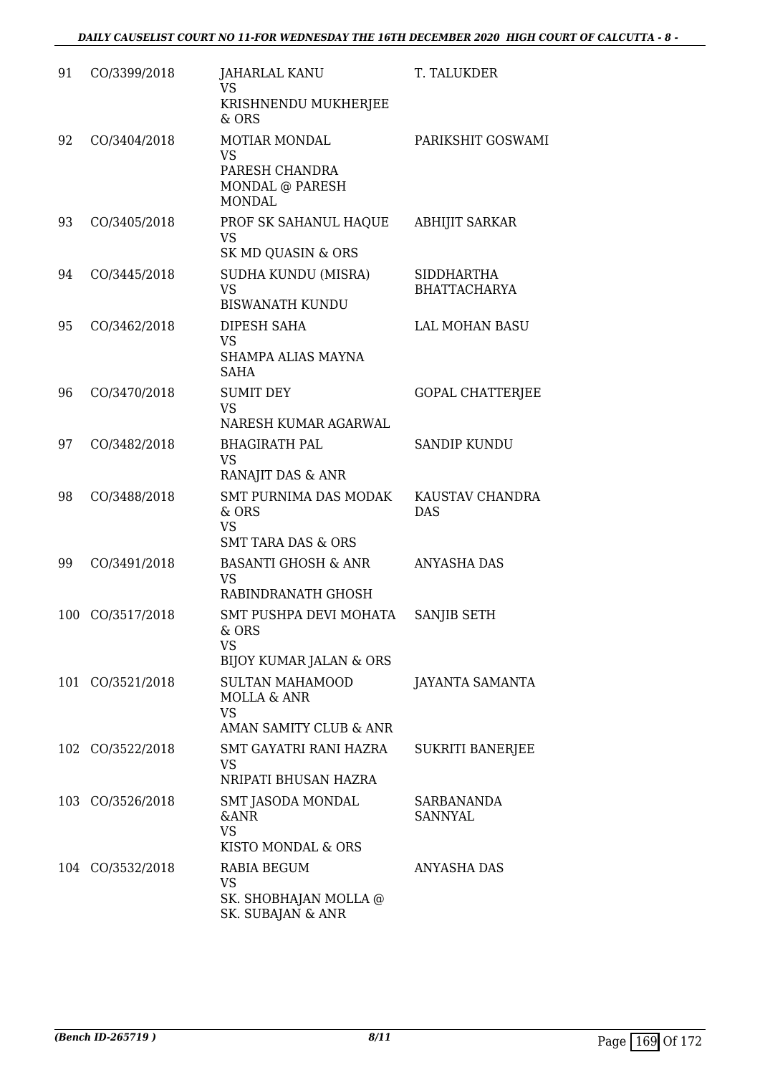| 91 | CO/3399/2018     | <b>JAHARLAL KANU</b><br><b>VS</b><br>KRISHNENDU MUKHERJEE<br>& ORS                      | T. TALUKDER                              |
|----|------------------|-----------------------------------------------------------------------------------------|------------------------------------------|
| 92 | CO/3404/2018     | <b>MOTIAR MONDAL</b><br><b>VS</b><br>PARESH CHANDRA<br>MONDAL @ PARESH<br><b>MONDAL</b> | PARIKSHIT GOSWAMI                        |
| 93 | CO/3405/2018     | PROF SK SAHANUL HAQUE<br><b>VS</b><br>SK MD QUASIN & ORS                                | <b>ABHIJIT SARKAR</b>                    |
| 94 | CO/3445/2018     | SUDHA KUNDU (MISRA)<br><b>VS</b><br><b>BISWANATH KUNDU</b>                              | <b>SIDDHARTHA</b><br><b>BHATTACHARYA</b> |
| 95 | CO/3462/2018     | DIPESH SAHA<br><b>VS</b><br>SHAMPA ALIAS MAYNA<br><b>SAHA</b>                           | <b>LAL MOHAN BASU</b>                    |
| 96 | CO/3470/2018     | <b>SUMIT DEY</b><br><b>VS</b><br>NARESH KUMAR AGARWAL                                   | <b>GOPAL CHATTERJEE</b>                  |
| 97 | CO/3482/2018     | <b>BHAGIRATH PAL</b><br><b>VS</b><br>RANAJIT DAS & ANR                                  | <b>SANDIP KUNDU</b>                      |
| 98 | CO/3488/2018     | SMT PURNIMA DAS MODAK<br>& ORS<br><b>VS</b><br><b>SMT TARA DAS &amp; ORS</b>            | KAUSTAV CHANDRA<br><b>DAS</b>            |
| 99 | CO/3491/2018     | <b>BASANTI GHOSH &amp; ANR</b><br><b>VS</b><br>RABINDRANATH GHOSH                       | <b>ANYASHA DAS</b>                       |
|    | 100 CO/3517/2018 | SMT PUSHPA DEVI MOHATA<br>& ORS<br>VS<br><b>BIJOY KUMAR JALAN &amp; ORS</b>             | SANJIB SETH                              |
|    | 101 CO/3521/2018 | <b>SULTAN MAHAMOOD</b><br>MOLLA & ANR<br><b>VS</b><br>AMAN SAMITY CLUB & ANR            | JAYANTA SAMANTA                          |
|    | 102 CO/3522/2018 | <b>SMT GAYATRI RANI HAZRA</b><br>VS<br>NRIPATI BHUSAN HAZRA                             | <b>SUKRITI BANERJEE</b>                  |
|    | 103 CO/3526/2018 | SMT JASODA MONDAL<br><b>&amp;ANR</b><br><b>VS</b><br>KISTO MONDAL & ORS                 | SARBANANDA<br>SANNYAL                    |
|    | 104 CO/3532/2018 | RABIA BEGUM<br><b>VS</b><br>SK. SHOBHAJAN MOLLA @<br>SK. SUBAJAN & ANR                  | <b>ANYASHA DAS</b>                       |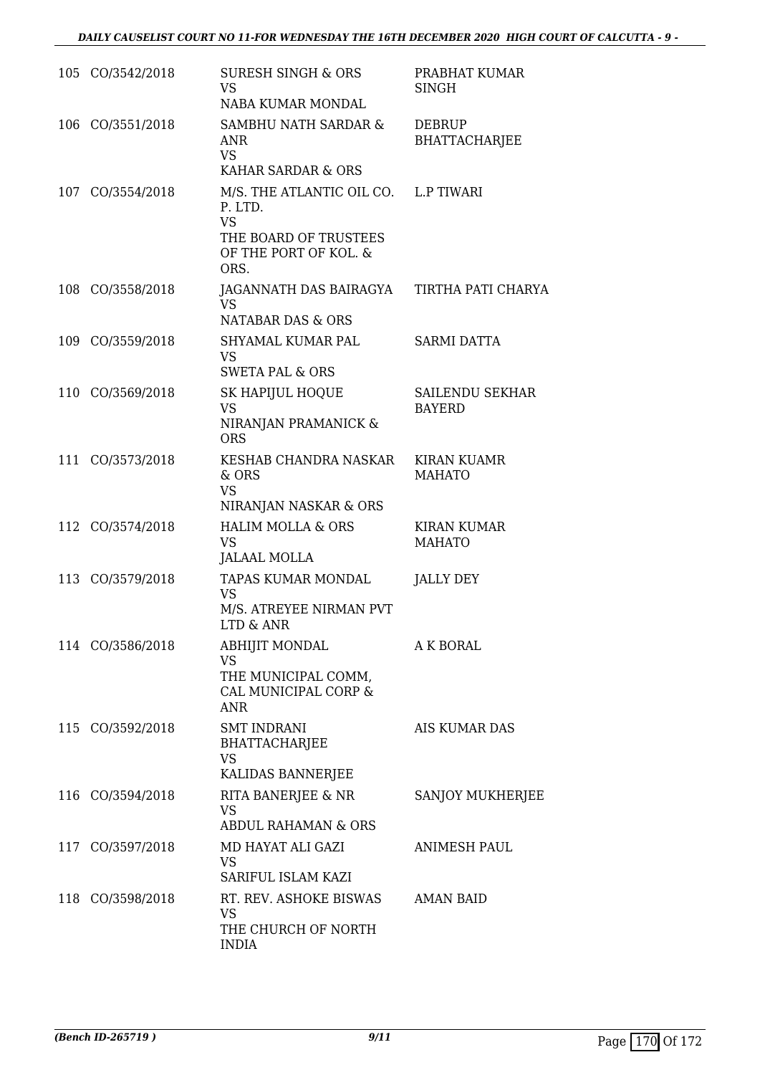| 105 CO/3542/2018 | <b>SURESH SINGH &amp; ORS</b><br><b>VS</b><br>NABA KUMAR MONDAL                                                        | PRABHAT KUMAR<br><b>SINGH</b>           |
|------------------|------------------------------------------------------------------------------------------------------------------------|-----------------------------------------|
| 106 CO/3551/2018 | SAMBHU NATH SARDAR &<br><b>ANR</b><br><b>VS</b><br>KAHAR SARDAR & ORS                                                  | <b>DEBRUP</b><br><b>BHATTACHARJEE</b>   |
| 107 CO/3554/2018 | M/S. THE ATLANTIC OIL CO. L.P TIWARI<br>P. LTD.<br><b>VS</b><br>THE BOARD OF TRUSTEES<br>OF THE PORT OF KOL. &<br>ORS. |                                         |
| 108 CO/3558/2018 | JAGANNATH DAS BAIRAGYA TIRTHA PATI CHARYA<br><b>VS</b><br>NATABAR DAS & ORS                                            |                                         |
| 109 CO/3559/2018 | SHYAMAL KUMAR PAL<br><b>VS</b><br><b>SWETA PAL &amp; ORS</b>                                                           | <b>SARMI DATTA</b>                      |
| 110 CO/3569/2018 | SK HAPIJUL HOQUE<br><b>VS</b><br>NIRANJAN PRAMANICK &<br><b>ORS</b>                                                    | <b>SAILENDU SEKHAR</b><br><b>BAYERD</b> |
| 111 CO/3573/2018 | KESHAB CHANDRA NASKAR<br>& ORS<br><b>VS</b><br>NIRANJAN NASKAR & ORS                                                   | <b>KIRAN KUAMR</b><br><b>MAHATO</b>     |
| 112 CO/3574/2018 | <b>HALIM MOLLA &amp; ORS</b><br><b>VS</b><br><b>JALAAL MOLLA</b>                                                       | <b>KIRAN KUMAR</b><br><b>MAHATO</b>     |
| 113 CO/3579/2018 | TAPAS KUMAR MONDAL<br><b>VS</b><br>M/S. ATREYEE NIRMAN PVT<br>LTD & ANR                                                | JALLY DEY                               |
| 114 CO/3586/2018 | <b>ABHIJIT MONDAL</b><br><b>VS</b><br>THE MUNICIPAL COMM,<br>CAL MUNICIPAL CORP &<br><b>ANR</b>                        | <b>A K BORAL</b>                        |
| 115 CO/3592/2018 | <b>SMT INDRANI</b><br><b>BHATTACHARJEE</b><br><b>VS</b><br>KALIDAS BANNERJEE                                           | <b>AIS KUMAR DAS</b>                    |
| 116 CO/3594/2018 | RITA BANERJEE & NR<br><b>VS</b><br><b>ABDUL RAHAMAN &amp; ORS</b>                                                      | SANJOY MUKHERJEE                        |
| 117 CO/3597/2018 | MD HAYAT ALI GAZI<br><b>VS</b><br>SARIFUL ISLAM KAZI                                                                   | <b>ANIMESH PAUL</b>                     |
| 118 CO/3598/2018 | RT. REV. ASHOKE BISWAS AMAN BAID<br><b>VS</b><br>THE CHURCH OF NORTH<br><b>INDIA</b>                                   |                                         |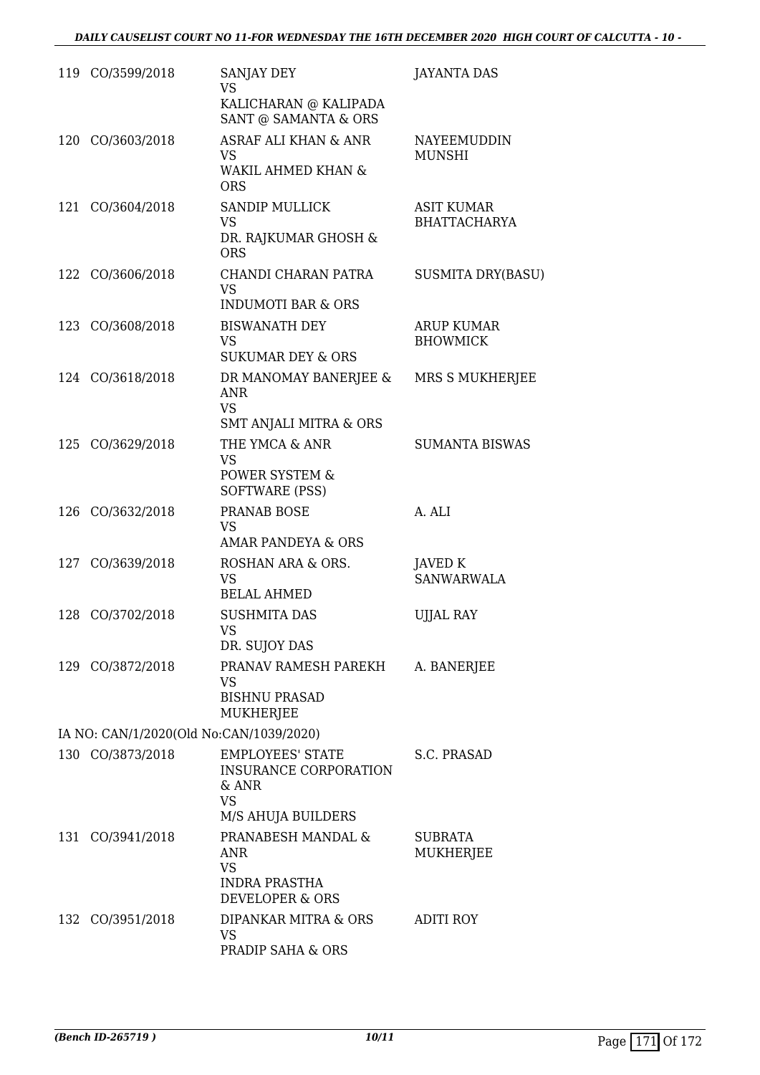|     | 119 CO/3599/2018                        | SANJAY DEY<br><b>VS</b><br>KALICHARAN @ KALIPADA                                                                    | <b>JAYANTA DAS</b>                       |
|-----|-----------------------------------------|---------------------------------------------------------------------------------------------------------------------|------------------------------------------|
|     | 120 CO/3603/2018                        | SANT @ SAMANTA & ORS<br><b>ASRAF ALI KHAN &amp; ANR</b><br><b>VS</b><br><b>WAKIL AHMED KHAN &amp;</b><br><b>ORS</b> | <b>NAYEEMUDDIN</b><br><b>MUNSHI</b>      |
| 121 | CO/3604/2018                            | <b>SANDIP MULLICK</b><br><b>VS</b><br>DR. RAJKUMAR GHOSH &<br><b>ORS</b>                                            | <b>ASIT KUMAR</b><br><b>BHATTACHARYA</b> |
|     | 122 CO/3606/2018                        | CHANDI CHARAN PATRA<br><b>VS</b><br><b>INDUMOTI BAR &amp; ORS</b>                                                   | <b>SUSMITA DRY(BASU)</b>                 |
|     | 123 CO/3608/2018                        | <b>BISWANATH DEY</b><br><b>VS</b><br><b>SUKUMAR DEY &amp; ORS</b>                                                   | <b>ARUP KUMAR</b><br><b>BHOWMICK</b>     |
|     | 124 CO/3618/2018                        | DR MANOMAY BANERJEE &<br><b>ANR</b><br><b>VS</b>                                                                    | MRS S MUKHERJEE                          |
| 125 | CO/3629/2018                            | SMT ANJALI MITRA & ORS<br>THE YMCA & ANR<br><b>VS</b><br>POWER SYSTEM &<br>SOFTWARE (PSS)                           | <b>SUMANTA BISWAS</b>                    |
|     | 126 CO/3632/2018                        | PRANAB BOSE<br><b>VS</b><br><b>AMAR PANDEYA &amp; ORS</b>                                                           | A. ALI                                   |
|     | 127 CO/3639/2018                        | ROSHAN ARA & ORS.<br><b>VS</b><br><b>BELAL AHMED</b>                                                                | <b>JAVED K</b><br><b>SANWARWALA</b>      |
|     | 128 CO/3702/2018                        | <b>SUSHMITA DAS</b><br>VS.<br>DR. SUJOY DAS                                                                         | <b>UJJAL RAY</b>                         |
|     | 129 CO/3872/2018                        | PRANAV RAMESH PAREKH<br>VS<br><b>BISHNU PRASAD</b><br>MUKHERJEE                                                     | A. BANERJEE                              |
|     | IA NO: CAN/1/2020(Old No:CAN/1039/2020) |                                                                                                                     |                                          |
|     | 130 CO/3873/2018                        | <b>EMPLOYEES' STATE</b><br><b>INSURANCE CORPORATION</b><br>& ANR<br><b>VS</b><br>M/S AHUJA BUILDERS                 | S.C. PRASAD                              |
|     | 131 CO/3941/2018                        | PRANABESH MANDAL &<br>ANR<br><b>VS</b><br><b>INDRA PRASTHA</b><br><b>DEVELOPER &amp; ORS</b>                        | <b>SUBRATA</b><br>MUKHERJEE              |
| 132 | CO/3951/2018                            | DIPANKAR MITRA & ORS<br>VS<br>PRADIP SAHA & ORS                                                                     | <b>ADITI ROY</b>                         |